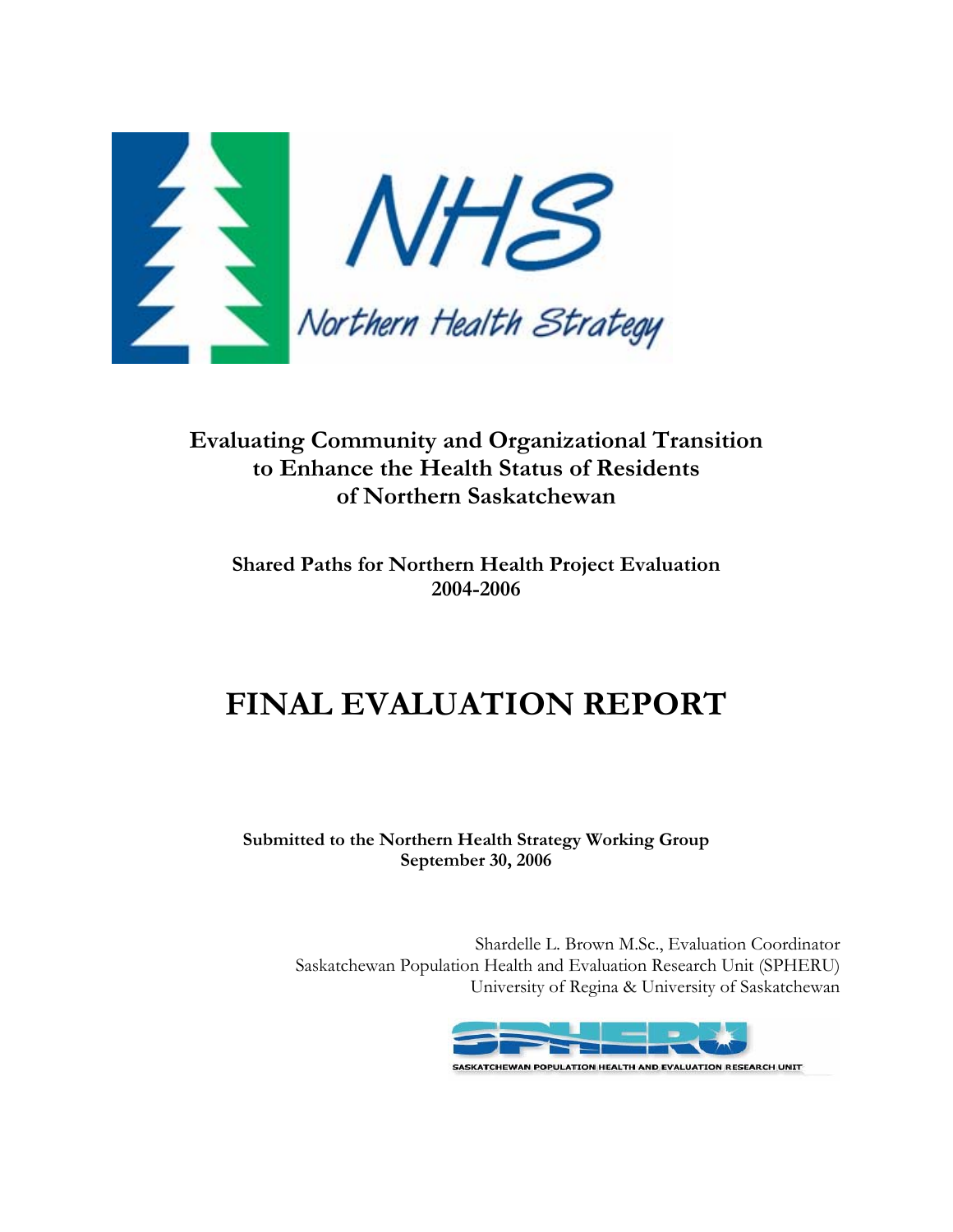

# **Evaluating Community and Organizational Transition to Enhance the Health Status of Residents of Northern Saskatchewan**

## **Shared Paths for Northern Health Project Evaluation 2004-2006**

# **FINAL EVALUATION REPORT**

#### **Submitted to the Northern Health Strategy Working Group September 30, 2006**

Shardelle L. Brown M.Sc., Evaluation Coordinator Saskatchewan Population Health and Evaluation Research Unit (SPHERU) University of Regina & University of Saskatchewan

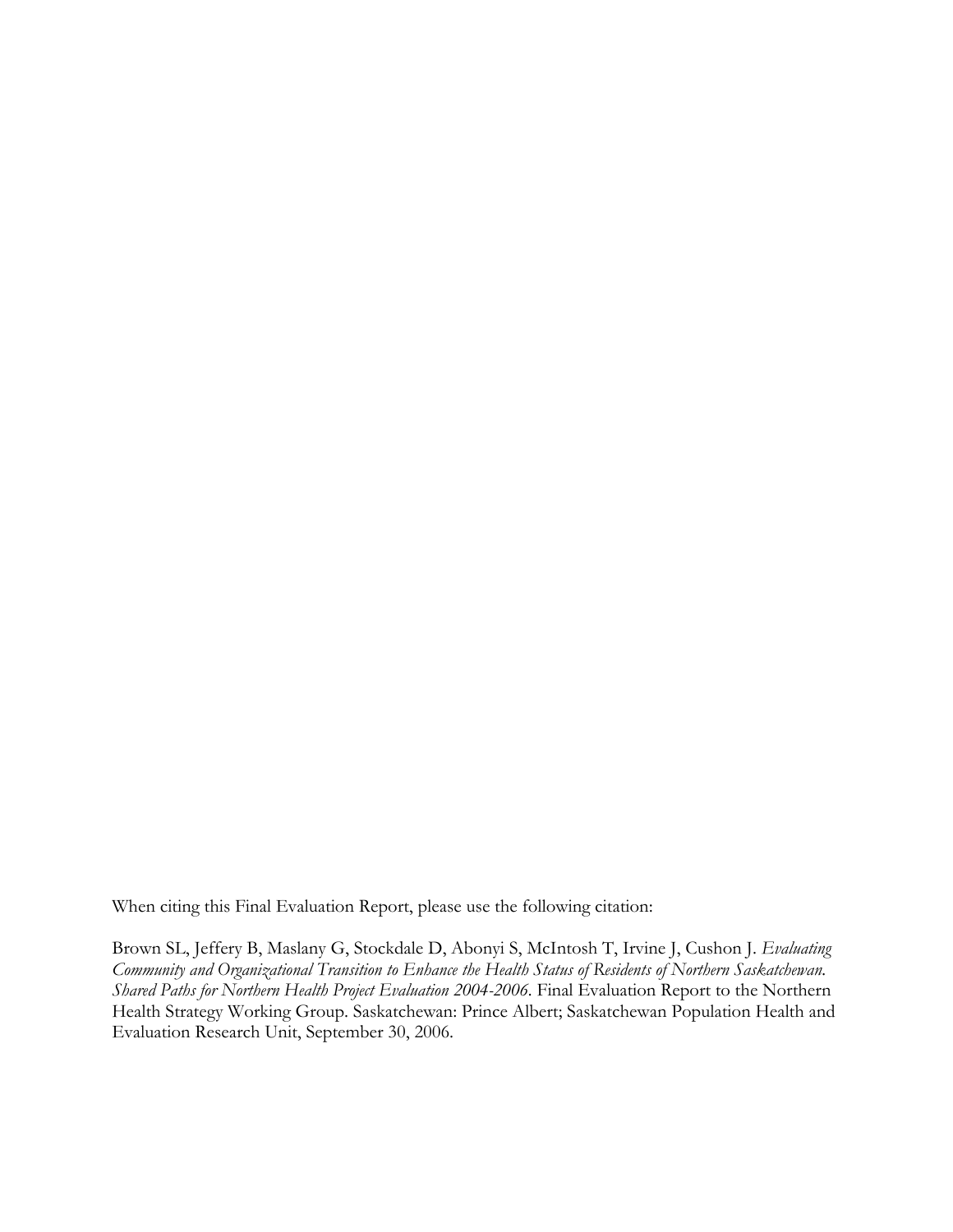When citing this Final Evaluation Report, please use the following citation:

Brown SL, Jeffery B, Maslany G, Stockdale D, Abonyi S, McIntosh T, Irvine J, Cushon J. *Evaluating Community and Organizational Transition to Enhance the Health Status of Residents of Northern Saskatchewan. Shared Paths for Northern Health Project Evaluation 2004-2006.* Final Evaluation Report to the Northern Health Strategy Working Group. Saskatchewan: Prince Albert; Saskatchewan Population Health and Evaluation Research Unit, September 30, 2006.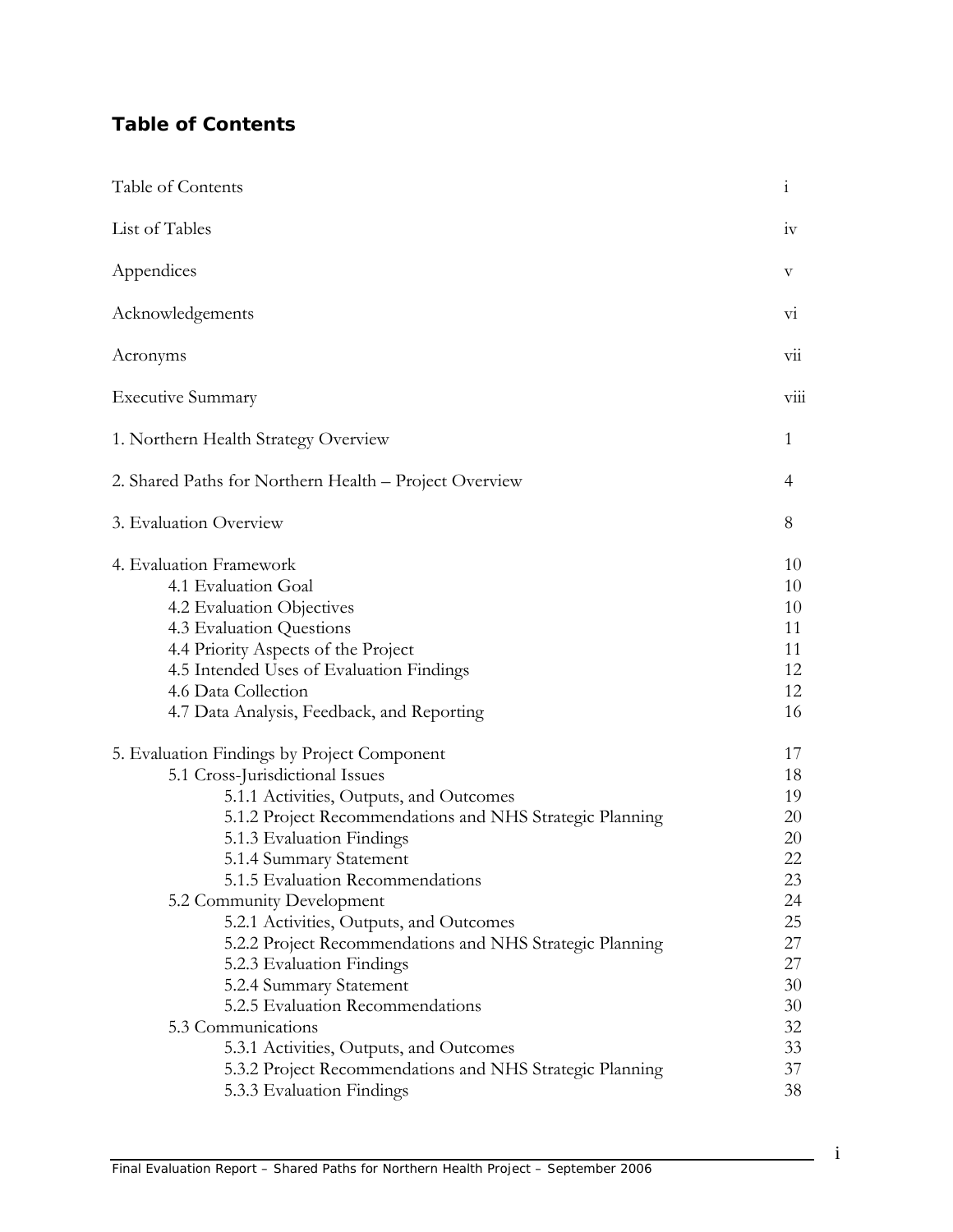## **Table of Contents**

| Table of Contents                                                                                                                                                                                                                                                                                                                                                                                                                                                                                                 | $\mathbf{1}$                                                               |
|-------------------------------------------------------------------------------------------------------------------------------------------------------------------------------------------------------------------------------------------------------------------------------------------------------------------------------------------------------------------------------------------------------------------------------------------------------------------------------------------------------------------|----------------------------------------------------------------------------|
| List of Tables                                                                                                                                                                                                                                                                                                                                                                                                                                                                                                    | 1V                                                                         |
| Appendices                                                                                                                                                                                                                                                                                                                                                                                                                                                                                                        | V                                                                          |
| Acknowledgements                                                                                                                                                                                                                                                                                                                                                                                                                                                                                                  | V1                                                                         |
| Acronyms                                                                                                                                                                                                                                                                                                                                                                                                                                                                                                          | V11                                                                        |
| <b>Executive Summary</b>                                                                                                                                                                                                                                                                                                                                                                                                                                                                                          | V111                                                                       |
| 1. Northern Health Strategy Overview                                                                                                                                                                                                                                                                                                                                                                                                                                                                              | 1                                                                          |
| 2. Shared Paths for Northern Health - Project Overview                                                                                                                                                                                                                                                                                                                                                                                                                                                            | 4                                                                          |
| 3. Evaluation Overview                                                                                                                                                                                                                                                                                                                                                                                                                                                                                            | 8                                                                          |
| 4. Evaluation Framework<br>4.1 Evaluation Goal<br>4.2 Evaluation Objectives<br>4.3 Evaluation Questions<br>4.4 Priority Aspects of the Project<br>4.5 Intended Uses of Evaluation Findings<br>4.6 Data Collection<br>4.7 Data Analysis, Feedback, and Reporting                                                                                                                                                                                                                                                   | 10<br>10<br>10<br>11<br>11<br>12<br>12<br>16                               |
| 5. Evaluation Findings by Project Component<br>5.1 Cross-Jurisdictional Issues<br>5.1.1 Activities, Outputs, and Outcomes<br>5.1.2 Project Recommendations and NHS Strategic Planning<br>5.1.3 Evaluation Findings<br>5.1.4 Summary Statement<br>5.1.5 Evaluation Recommendations<br>5.2 Community Development<br>5.2.1 Activities, Outputs, and Outcomes<br>5.2.2 Project Recommendations and NHS Strategic Planning<br>5.2.3 Evaluation Findings<br>5.2.4 Summary Statement<br>5.2.5 Evaluation Recommendations | 17<br>18<br>19<br>20<br>20<br>22<br>23<br>24<br>25<br>27<br>27<br>30<br>30 |
| 5.3 Communications<br>5.3.1 Activities, Outputs, and Outcomes<br>5.3.2 Project Recommendations and NHS Strategic Planning<br>5.3.3 Evaluation Findings                                                                                                                                                                                                                                                                                                                                                            | 32<br>33<br>37<br>38                                                       |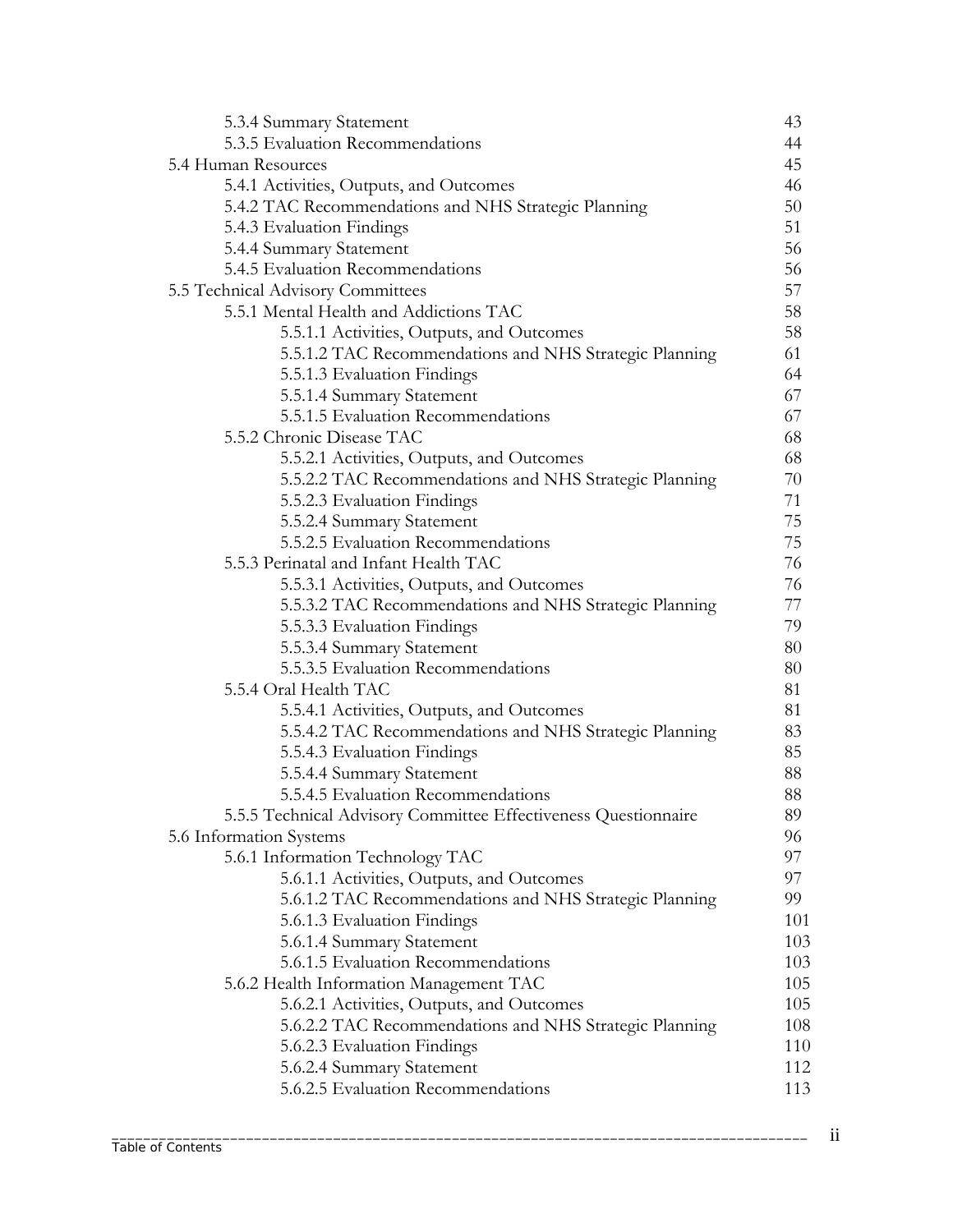| 5.3.4 Summary Statement                                        | 43  |
|----------------------------------------------------------------|-----|
| 5.3.5 Evaluation Recommendations                               | 44  |
| 5.4 Human Resources                                            | 45  |
| 5.4.1 Activities, Outputs, and Outcomes                        | 46  |
| 5.4.2 TAC Recommendations and NHS Strategic Planning           | 50  |
| 5.4.3 Evaluation Findings                                      | 51  |
| 5.4.4 Summary Statement                                        | 56  |
| 5.4.5 Evaluation Recommendations                               | 56  |
| 5.5 Technical Advisory Committees                              | 57  |
| 5.5.1 Mental Health and Addictions TAC                         | 58  |
| 5.5.1.1 Activities, Outputs, and Outcomes                      | 58  |
| 5.5.1.2 TAC Recommendations and NHS Strategic Planning         | 61  |
| 5.5.1.3 Evaluation Findings                                    | 64  |
| 5.5.1.4 Summary Statement                                      | 67  |
| 5.5.1.5 Evaluation Recommendations                             | 67  |
| 5.5.2 Chronic Disease TAC                                      | 68  |
| 5.5.2.1 Activities, Outputs, and Outcomes                      | 68  |
| 5.5.2.2 TAC Recommendations and NHS Strategic Planning         | 70  |
| 5.5.2.3 Evaluation Findings                                    | 71  |
| 5.5.2.4 Summary Statement                                      | 75  |
| 5.5.2.5 Evaluation Recommendations                             | 75  |
| 5.5.3 Perinatal and Infant Health TAC                          | 76  |
| 5.5.3.1 Activities, Outputs, and Outcomes                      | 76  |
| 5.5.3.2 TAC Recommendations and NHS Strategic Planning         | 77  |
| 5.5.3.3 Evaluation Findings                                    | 79  |
| 5.5.3.4 Summary Statement                                      | 80  |
| 5.5.3.5 Evaluation Recommendations                             | 80  |
| 5.5.4 Oral Health TAC                                          | 81  |
| 5.5.4.1 Activities, Outputs, and Outcomes                      | 81  |
| 5.5.4.2 TAC Recommendations and NHS Strategic Planning         | 83  |
| 5.5.4.3 Evaluation Findings                                    | 85  |
| 5.5.4.4 Summary Statement                                      | 88  |
| 5.5.4.5 Evaluation Recommendations                             | 88  |
| 5.5.5 Technical Advisory Committee Effectiveness Questionnaire | 89  |
| 5.6 Information Systems                                        | 96  |
| 5.6.1 Information Technology TAC                               | 97  |
| 5.6.1.1 Activities, Outputs, and Outcomes                      | 97  |
| 5.6.1.2 TAC Recommendations and NHS Strategic Planning         | 99  |
| 5.6.1.3 Evaluation Findings                                    | 101 |
| 5.6.1.4 Summary Statement                                      | 103 |
| 5.6.1.5 Evaluation Recommendations                             | 103 |
| 5.6.2 Health Information Management TAC                        | 105 |
| 5.6.2.1 Activities, Outputs, and Outcomes                      | 105 |
| 5.6.2.2 TAC Recommendations and NHS Strategic Planning         | 108 |
| 5.6.2.3 Evaluation Findings                                    | 110 |
| 5.6.2.4 Summary Statement                                      | 112 |
| 5.6.2.5 Evaluation Recommendations                             | 113 |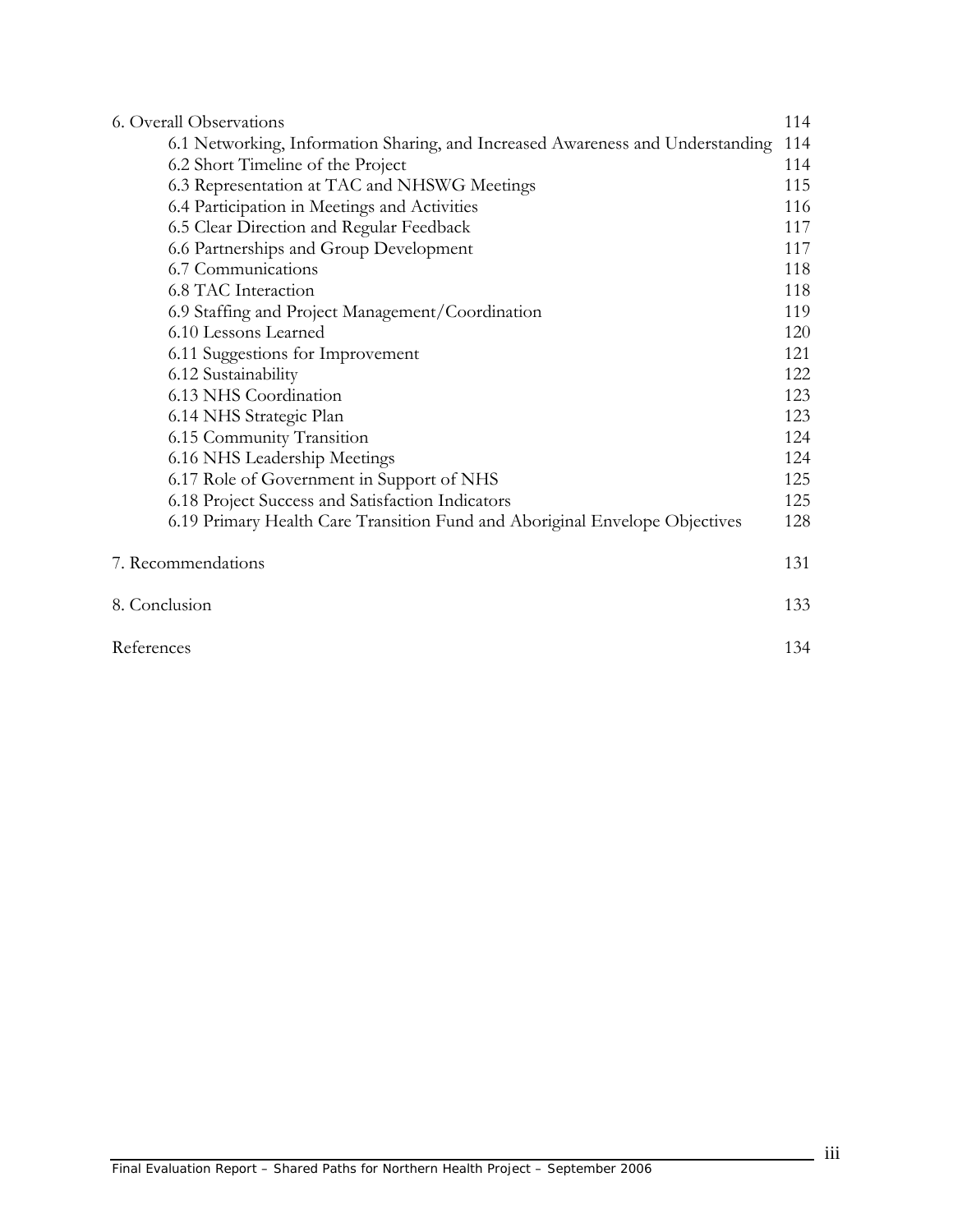| <b>6. Overall Observations</b>                                                 | 114 |
|--------------------------------------------------------------------------------|-----|
| 6.1 Networking, Information Sharing, and Increased Awareness and Understanding | 114 |
| 6.2 Short Timeline of the Project                                              | 114 |
| 6.3 Representation at TAC and NHSWG Meetings                                   | 115 |
| 6.4 Participation in Meetings and Activities                                   | 116 |
| 6.5 Clear Direction and Regular Feedback                                       | 117 |
| 6.6 Partnerships and Group Development                                         | 117 |
| 6.7 Communications                                                             | 118 |
| 6.8 TAC Interaction                                                            | 118 |
| 6.9 Staffing and Project Management/Coordination                               | 119 |
| 6.10 Lessons Learned                                                           | 120 |
| 6.11 Suggestions for Improvement                                               | 121 |
| 6.12 Sustainability                                                            | 122 |
| 6.13 NHS Coordination                                                          | 123 |
| 6.14 NHS Strategic Plan                                                        | 123 |
| 6.15 Community Transition                                                      | 124 |
| 6.16 NHS Leadership Meetings                                                   | 124 |
| 6.17 Role of Government in Support of NHS                                      | 125 |
| 6.18 Project Success and Satisfaction Indicators                               | 125 |
| 6.19 Primary Health Care Transition Fund and Aboriginal Envelope Objectives    | 128 |
| 7. Recommendations                                                             | 131 |
| 8. Conclusion                                                                  | 133 |
| References                                                                     | 134 |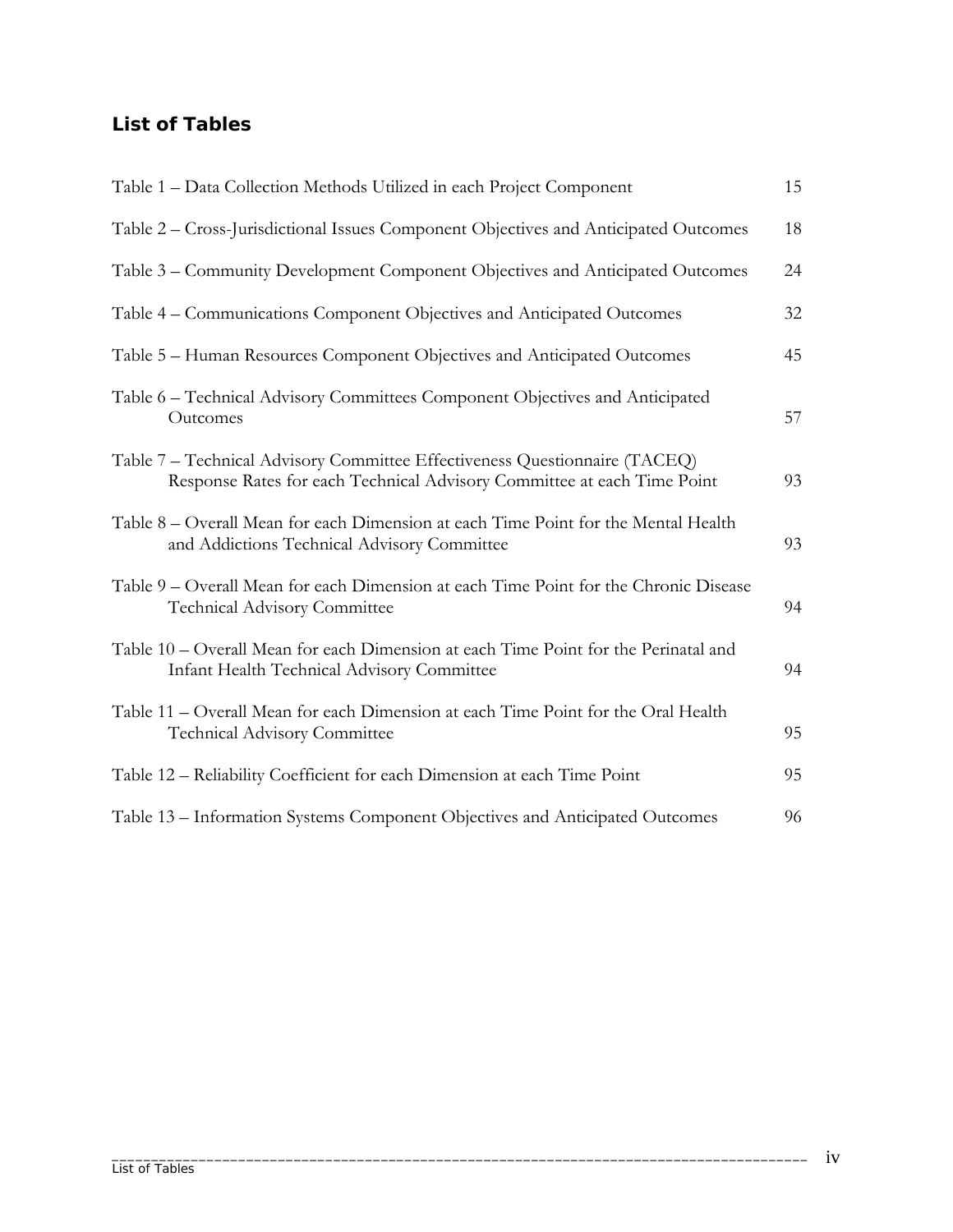## **List of Tables**

| Table 1 – Data Collection Methods Utilized in each Project Component                                                                                  | 15 |
|-------------------------------------------------------------------------------------------------------------------------------------------------------|----|
| Table 2 – Cross-Jurisdictional Issues Component Objectives and Anticipated Outcomes                                                                   | 18 |
| Table 3 – Community Development Component Objectives and Anticipated Outcomes                                                                         | 24 |
| Table 4 – Communications Component Objectives and Anticipated Outcomes                                                                                | 32 |
| Table 5 – Human Resources Component Objectives and Anticipated Outcomes                                                                               | 45 |
| Table 6 - Technical Advisory Committees Component Objectives and Anticipated<br>Outcomes                                                              | 57 |
| Table 7 – Technical Advisory Committee Effectiveness Questionnaire (TACEQ)<br>Response Rates for each Technical Advisory Committee at each Time Point | 93 |
| Table 8 – Overall Mean for each Dimension at each Time Point for the Mental Health<br>and Addictions Technical Advisory Committee                     | 93 |
| Table 9 – Overall Mean for each Dimension at each Time Point for the Chronic Disease<br><b>Technical Advisory Committee</b>                           | 94 |
| Table 10 – Overall Mean for each Dimension at each Time Point for the Perinatal and<br>Infant Health Technical Advisory Committee                     | 94 |
| Table 11 – Overall Mean for each Dimension at each Time Point for the Oral Health<br><b>Technical Advisory Committee</b>                              | 95 |
| Table 12 – Reliability Coefficient for each Dimension at each Time Point                                                                              | 95 |
| Table 13 - Information Systems Component Objectives and Anticipated Outcomes                                                                          | 96 |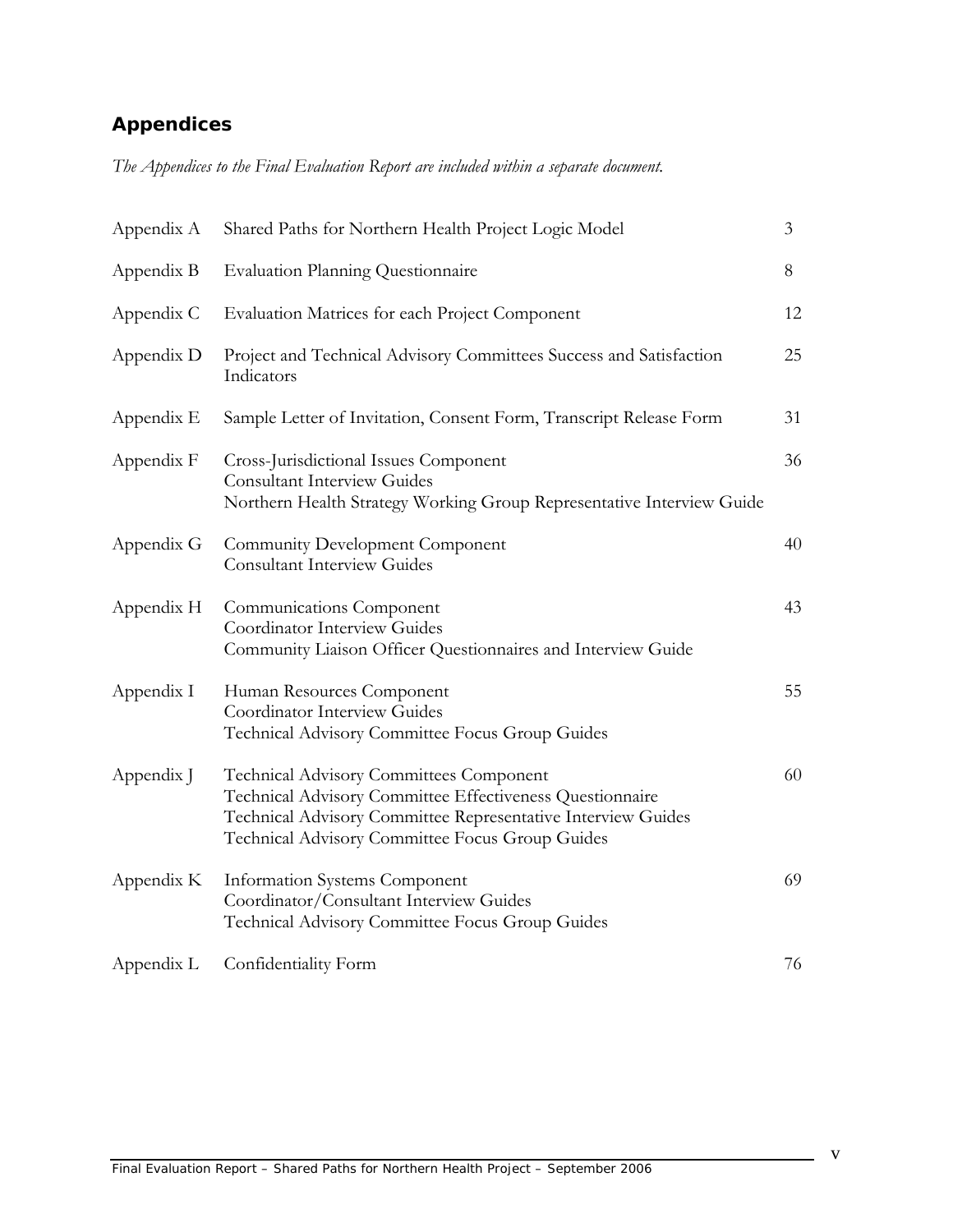# **Appendices**

*The Appendices to the Final Evaluation Report are included within a separate document.*

| Appendix A | Shared Paths for Northern Health Project Logic Model                                                                                                                                                                   | $\mathfrak{Z}$ |  |  |
|------------|------------------------------------------------------------------------------------------------------------------------------------------------------------------------------------------------------------------------|----------------|--|--|
| Appendix B | <b>Evaluation Planning Questionnaire</b>                                                                                                                                                                               |                |  |  |
| Appendix C | Evaluation Matrices for each Project Component                                                                                                                                                                         | 12             |  |  |
| Appendix D | Project and Technical Advisory Committees Success and Satisfaction<br>Indicators                                                                                                                                       | 25             |  |  |
| Appendix E | Sample Letter of Invitation, Consent Form, Transcript Release Form                                                                                                                                                     | 31             |  |  |
| Appendix F | Cross-Jurisdictional Issues Component<br><b>Consultant Interview Guides</b><br>Northern Health Strategy Working Group Representative Interview Guide                                                                   | 36             |  |  |
| Appendix G | Community Development Component<br><b>Consultant Interview Guides</b>                                                                                                                                                  | 40             |  |  |
| Appendix H | Communications Component<br>Coordinator Interview Guides<br>Community Liaison Officer Questionnaires and Interview Guide                                                                                               | 43             |  |  |
| Appendix I | Human Resources Component<br>Coordinator Interview Guides<br>Technical Advisory Committee Focus Group Guides                                                                                                           | 55             |  |  |
| Appendix J | Technical Advisory Committees Component<br>Technical Advisory Committee Effectiveness Questionnaire<br>Technical Advisory Committee Representative Interview Guides<br>Technical Advisory Committee Focus Group Guides | 60             |  |  |
| Appendix K | <b>Information Systems Component</b><br>Coordinator/Consultant Interview Guides<br>Technical Advisory Committee Focus Group Guides                                                                                     | 69             |  |  |
| Appendix L | Confidentiality Form                                                                                                                                                                                                   | 76             |  |  |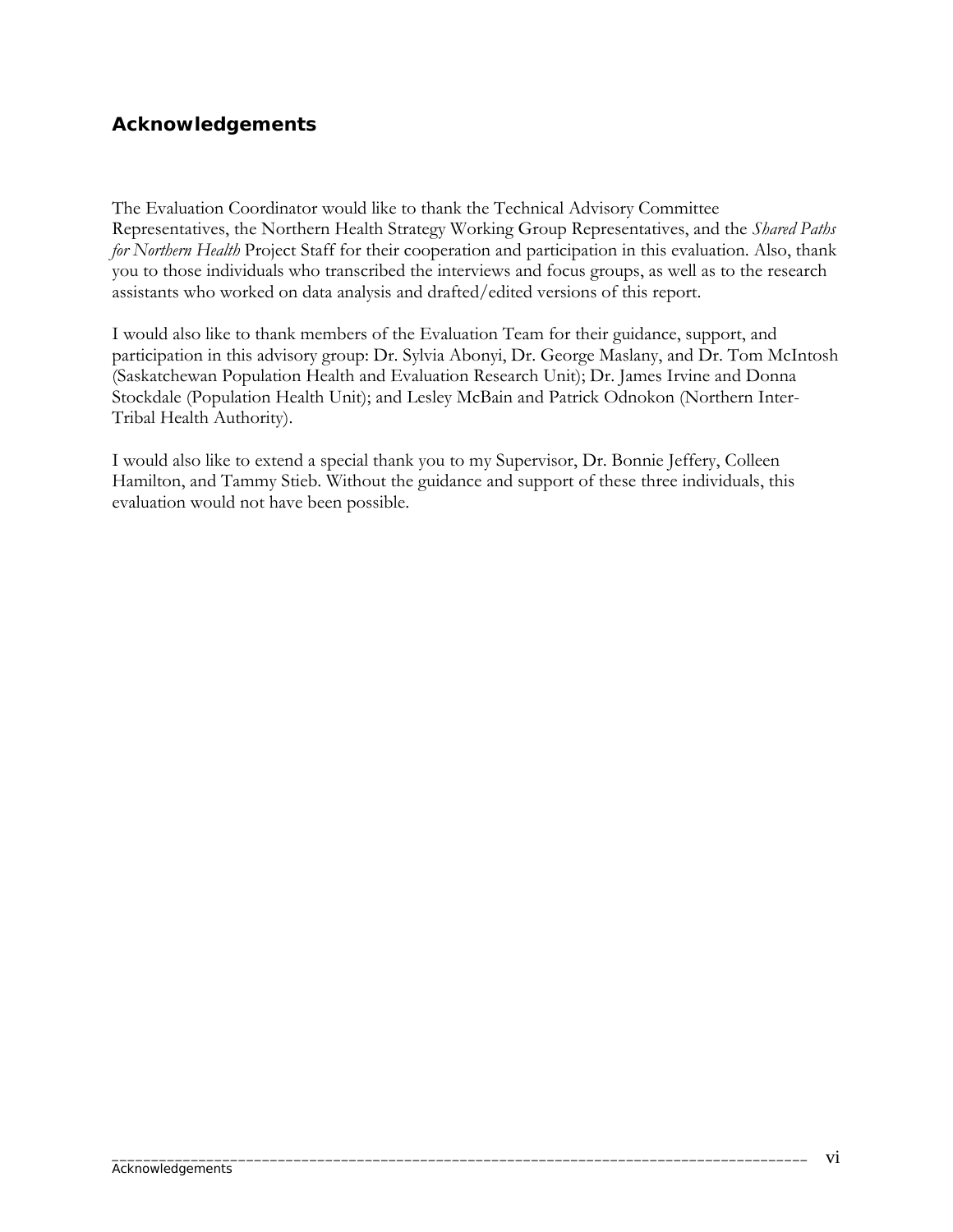## **Acknowledgements**

The Evaluation Coordinator would like to thank the Technical Advisory Committee Representatives, the Northern Health Strategy Working Group Representatives, and the *Shared Paths for Northern Health* Project Staff for their cooperation and participation in this evaluation. Also, thank you to those individuals who transcribed the interviews and focus groups, as well as to the research assistants who worked on data analysis and drafted/edited versions of this report.

I would also like to thank members of the Evaluation Team for their guidance, support, and participation in this advisory group: Dr. Sylvia Abonyi, Dr. George Maslany, and Dr. Tom McIntosh (Saskatchewan Population Health and Evaluation Research Unit); Dr. James Irvine and Donna Stockdale (Population Health Unit); and Lesley McBain and Patrick Odnokon (Northern Inter-Tribal Health Authority).

I would also like to extend a special thank you to my Supervisor, Dr. Bonnie Jeffery, Colleen Hamilton, and Tammy Stieb. Without the guidance and support of these three individuals, this evaluation would not have been possible.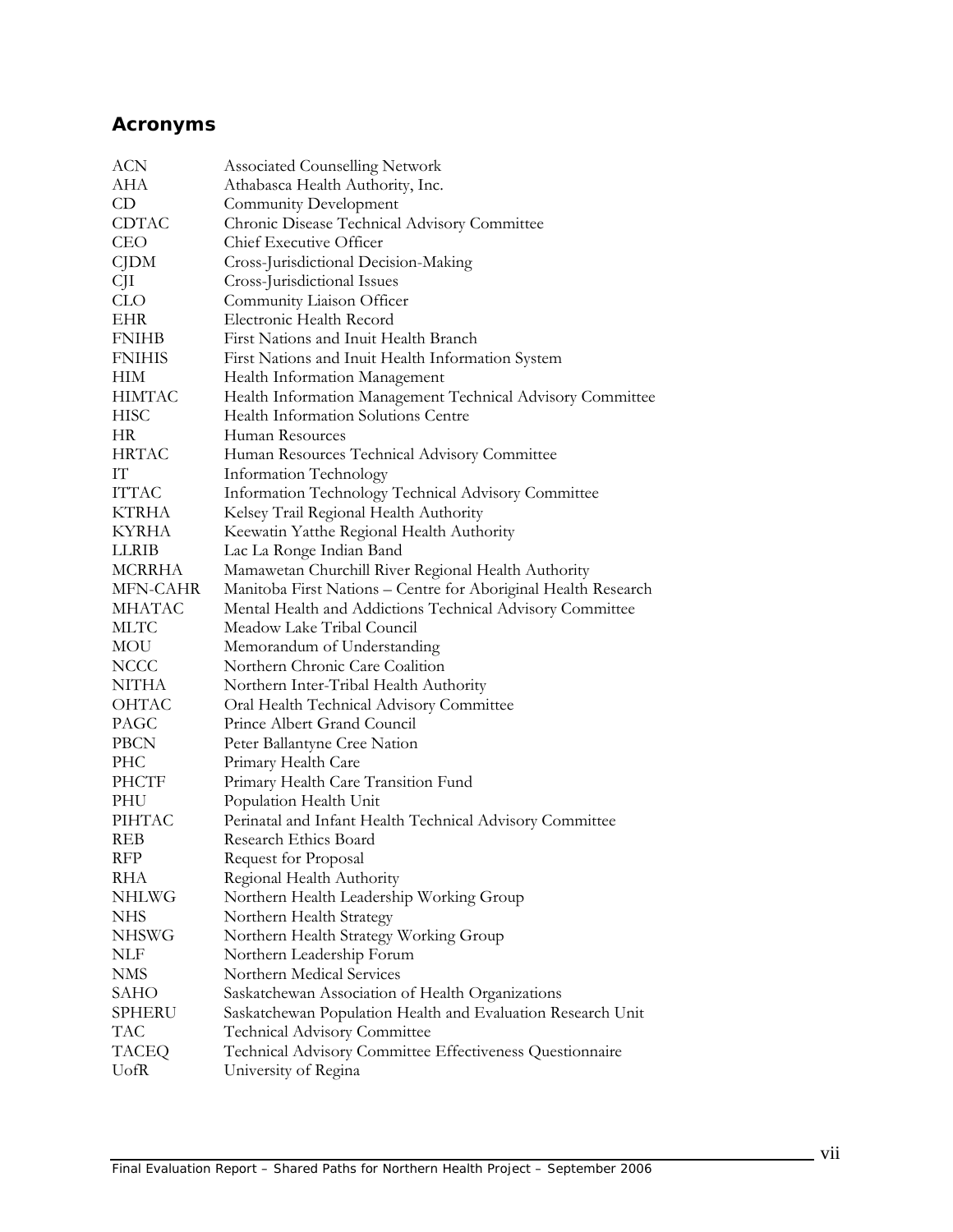# **Acronyms**

| <b>ACN</b>    | <b>Associated Counselling Network</b>                          |
|---------------|----------------------------------------------------------------|
| AHA           | Athabasca Health Authority, Inc.                               |
| CD.           | Community Development                                          |
| CDTAC         | Chronic Disease Technical Advisory Committee                   |
| <b>CEO</b>    | Chief Executive Officer                                        |
| CJDM          | Cross-Jurisdictional Decision-Making                           |
| СJI           | Cross-Jurisdictional Issues                                    |
| <b>CLO</b>    | Community Liaison Officer                                      |
| EHR           | Electronic Health Record                                       |
| <b>FNIHB</b>  | First Nations and Inuit Health Branch                          |
| <b>FNIHIS</b> | First Nations and Inuit Health Information System              |
| <b>HIM</b>    | Health Information Management                                  |
| <b>HIMTAC</b> | Health Information Management Technical Advisory Committee     |
| <b>HISC</b>   | Health Information Solutions Centre                            |
| HR.           | Human Resources                                                |
| <b>HRTAC</b>  | Human Resources Technical Advisory Committee                   |
| IТ            | Information Technology                                         |
| <b>ITTAC</b>  | Information Technology Technical Advisory Committee            |
| KTRHA         | Kelsey Trail Regional Health Authority                         |
| <b>KYRHA</b>  | Keewatin Yatthe Regional Health Authority                      |
| LLRIB         | Lac La Ronge Indian Band                                       |
| <b>MCRRHA</b> | Mamawetan Churchill River Regional Health Authority            |
| MFN-CAHR      | Manitoba First Nations - Centre for Aboriginal Health Research |
| <b>MHATAC</b> | Mental Health and Addictions Technical Advisory Committee      |
| <b>MLTC</b>   | Meadow Lake Tribal Council                                     |
| MOU           | Memorandum of Understanding                                    |
| <b>NCCC</b>   | Northern Chronic Care Coalition                                |
| NITHA         | Northern Inter-Tribal Health Authority                         |
| OHTAC         | Oral Health Technical Advisory Committee                       |
| PAGC          | Prince Albert Grand Council                                    |
| PBCN          | Peter Ballantyne Cree Nation                                   |
| PHC           | Primary Health Care                                            |
| PHCTF         | Primary Health Care Transition Fund                            |
| PHU           | Population Health Unit                                         |
| PIHTAC        | Perinatal and Infant Health Technical Advisory Committee       |
| REB           | Research Ethics Board                                          |
| <b>RFP</b>    | Request for Proposal                                           |
| RHA           | Regional Health Authority                                      |
| <b>NHLWG</b>  | Northern Health Leadership Working Group                       |
| <b>NHS</b>    | Northern Health Strategy                                       |
| <b>NHSWG</b>  | Northern Health Strategy Working Group                         |
| NLF           | Northern Leadership Forum                                      |
| <b>NMS</b>    | Northern Medical Services                                      |
| SAHO          | Saskatchewan Association of Health Organizations               |
| SPHERU        | Saskatchewan Population Health and Evaluation Research Unit    |
| <b>TAC</b>    | Technical Advisory Committee                                   |
| <b>TACEQ</b>  | Technical Advisory Committee Effectiveness Questionnaire       |
| UofR          | University of Regina                                           |
|               |                                                                |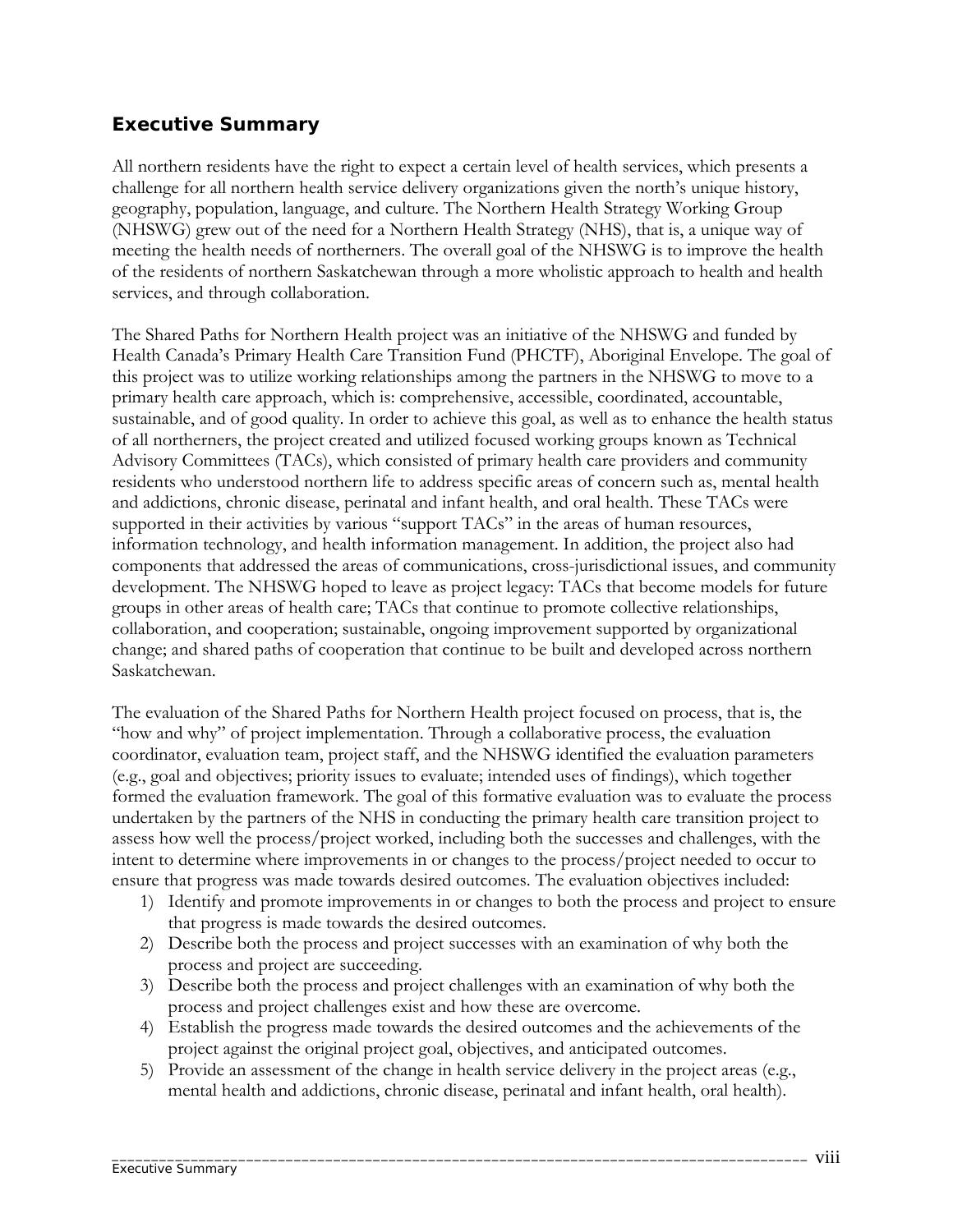#### **Executive Summary**

All northern residents have the right to expect a certain level of health services, which presents a challenge for all northern health service delivery organizations given the north's unique history, geography, population, language, and culture. The Northern Health Strategy Working Group (NHSWG) grew out of the need for a Northern Health Strategy (NHS), that is, a unique way of meeting the health needs of northerners. The overall goal of the NHSWG is to improve the health of the residents of northern Saskatchewan through a more wholistic approach to health and health services, and through collaboration.

The Shared Paths for Northern Health project was an initiative of the NHSWG and funded by Health Canada's Primary Health Care Transition Fund (PHCTF), Aboriginal Envelope. The goal of this project was to utilize working relationships among the partners in the NHSWG to move to a primary health care approach, which is: comprehensive, accessible, coordinated, accountable, sustainable, and of good quality. In order to achieve this goal, as well as to enhance the health status of all northerners, the project created and utilized focused working groups known as Technical Advisory Committees (TACs), which consisted of primary health care providers and community residents who understood northern life to address specific areas of concern such as, mental health and addictions, chronic disease, perinatal and infant health, and oral health. These TACs were supported in their activities by various "support TACs" in the areas of human resources, information technology, and health information management. In addition, the project also had components that addressed the areas of communications, cross-jurisdictional issues, and community development. The NHSWG hoped to leave as project legacy: TACs that become models for future groups in other areas of health care; TACs that continue to promote collective relationships, collaboration, and cooperation; sustainable, ongoing improvement supported by organizational change; and shared paths of cooperation that continue to be built and developed across northern Saskatchewan.

The evaluation of the Shared Paths for Northern Health project focused on process, that is, the "how and why" of project implementation. Through a collaborative process, the evaluation coordinator, evaluation team, project staff, and the NHSWG identified the evaluation parameters (e.g., goal and objectives; priority issues to evaluate; intended uses of findings), which together formed the evaluation framework. The goal of this formative evaluation was to evaluate the process undertaken by the partners of the NHS in conducting the primary health care transition project to assess how well the process/project worked, including both the successes and challenges, with the intent to determine where improvements in or changes to the process/project needed to occur to ensure that progress was made towards desired outcomes. The evaluation objectives included:

- 1) Identify and promote improvements in or changes to both the process and project to ensure that progress is made towards the desired outcomes.
- 2) Describe both the process and project successes with an examination of why both the process and project are succeeding.
- 3) Describe both the process and project challenges with an examination of why both the process and project challenges exist and how these are overcome.
- 4) Establish the progress made towards the desired outcomes and the achievements of the project against the original project goal, objectives, and anticipated outcomes.
- 5) Provide an assessment of the change in health service delivery in the project areas (e.g., mental health and addictions, chronic disease, perinatal and infant health, oral health).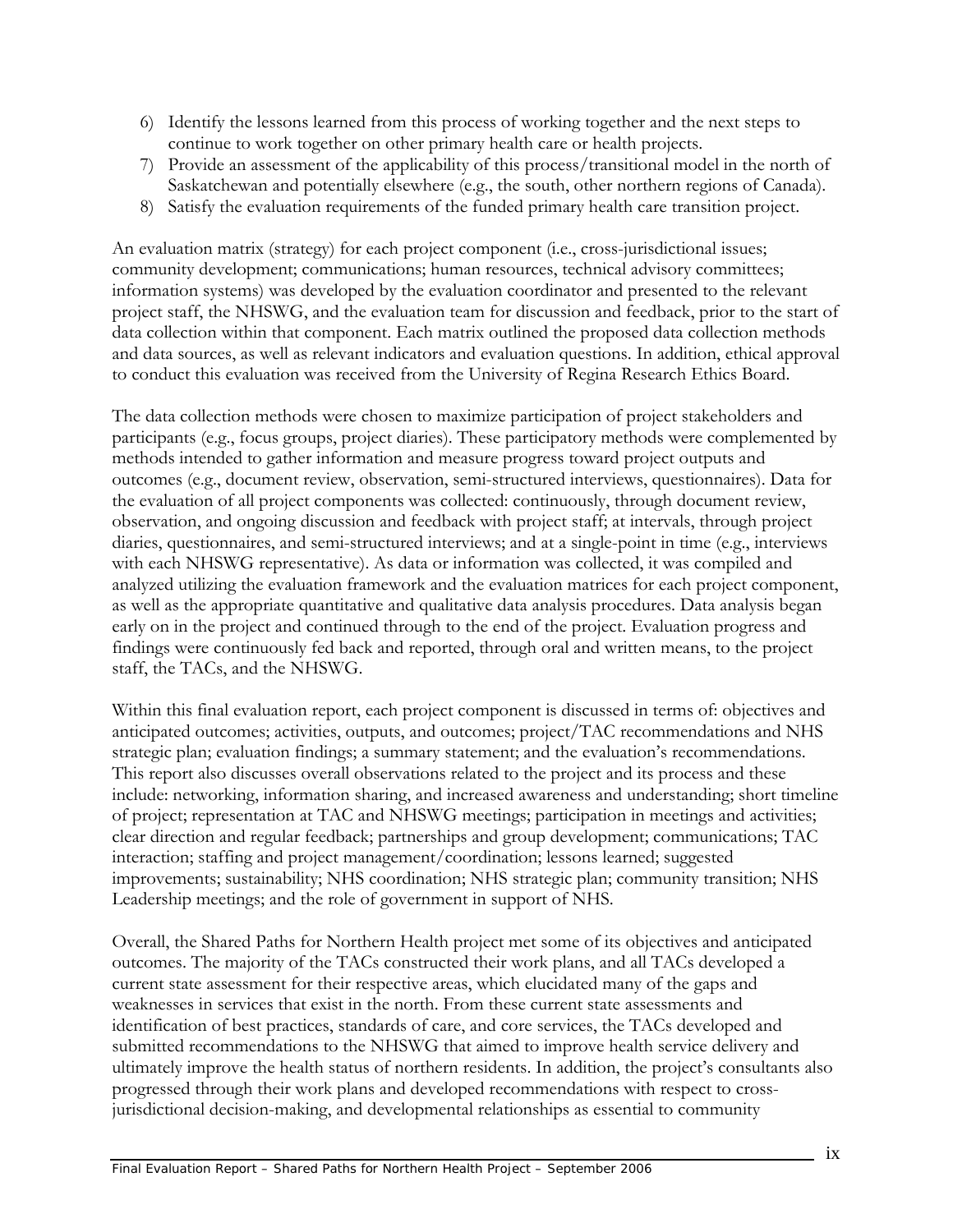- 6) Identify the lessons learned from this process of working together and the next steps to continue to work together on other primary health care or health projects.
- 7) Provide an assessment of the applicability of this process/transitional model in the north of Saskatchewan and potentially elsewhere (e.g., the south, other northern regions of Canada).
- 8) Satisfy the evaluation requirements of the funded primary health care transition project.

An evaluation matrix (strategy) for each project component (i.e., cross-jurisdictional issues; community development; communications; human resources, technical advisory committees; information systems) was developed by the evaluation coordinator and presented to the relevant project staff, the NHSWG, and the evaluation team for discussion and feedback, prior to the start of data collection within that component. Each matrix outlined the proposed data collection methods and data sources, as well as relevant indicators and evaluation questions. In addition, ethical approval to conduct this evaluation was received from the University of Regina Research Ethics Board.

The data collection methods were chosen to maximize participation of project stakeholders and participants (e.g., focus groups, project diaries). These participatory methods were complemented by methods intended to gather information and measure progress toward project outputs and outcomes (e.g., document review, observation, semi-structured interviews, questionnaires). Data for the evaluation of all project components was collected: continuously, through document review, observation, and ongoing discussion and feedback with project staff; at intervals, through project diaries, questionnaires, and semi-structured interviews; and at a single-point in time (e.g., interviews with each NHSWG representative). As data or information was collected, it was compiled and analyzed utilizing the evaluation framework and the evaluation matrices for each project component, as well as the appropriate quantitative and qualitative data analysis procedures. Data analysis began early on in the project and continued through to the end of the project. Evaluation progress and findings were continuously fed back and reported, through oral and written means, to the project staff, the TACs, and the NHSWG.

Within this final evaluation report, each project component is discussed in terms of: objectives and anticipated outcomes; activities, outputs, and outcomes; project/TAC recommendations and NHS strategic plan; evaluation findings; a summary statement; and the evaluation's recommendations. This report also discusses overall observations related to the project and its process and these include: networking, information sharing, and increased awareness and understanding; short timeline of project; representation at TAC and NHSWG meetings; participation in meetings and activities; clear direction and regular feedback; partnerships and group development; communications; TAC interaction; staffing and project management/coordination; lessons learned; suggested improvements; sustainability; NHS coordination; NHS strategic plan; community transition; NHS Leadership meetings; and the role of government in support of NHS.

Overall, the Shared Paths for Northern Health project met some of its objectives and anticipated outcomes. The majority of the TACs constructed their work plans, and all TACs developed a current state assessment for their respective areas, which elucidated many of the gaps and weaknesses in services that exist in the north. From these current state assessments and identification of best practices, standards of care, and core services, the TACs developed and submitted recommendations to the NHSWG that aimed to improve health service delivery and ultimately improve the health status of northern residents. In addition, the project's consultants also progressed through their work plans and developed recommendations with respect to crossjurisdictional decision-making, and developmental relationships as essential to community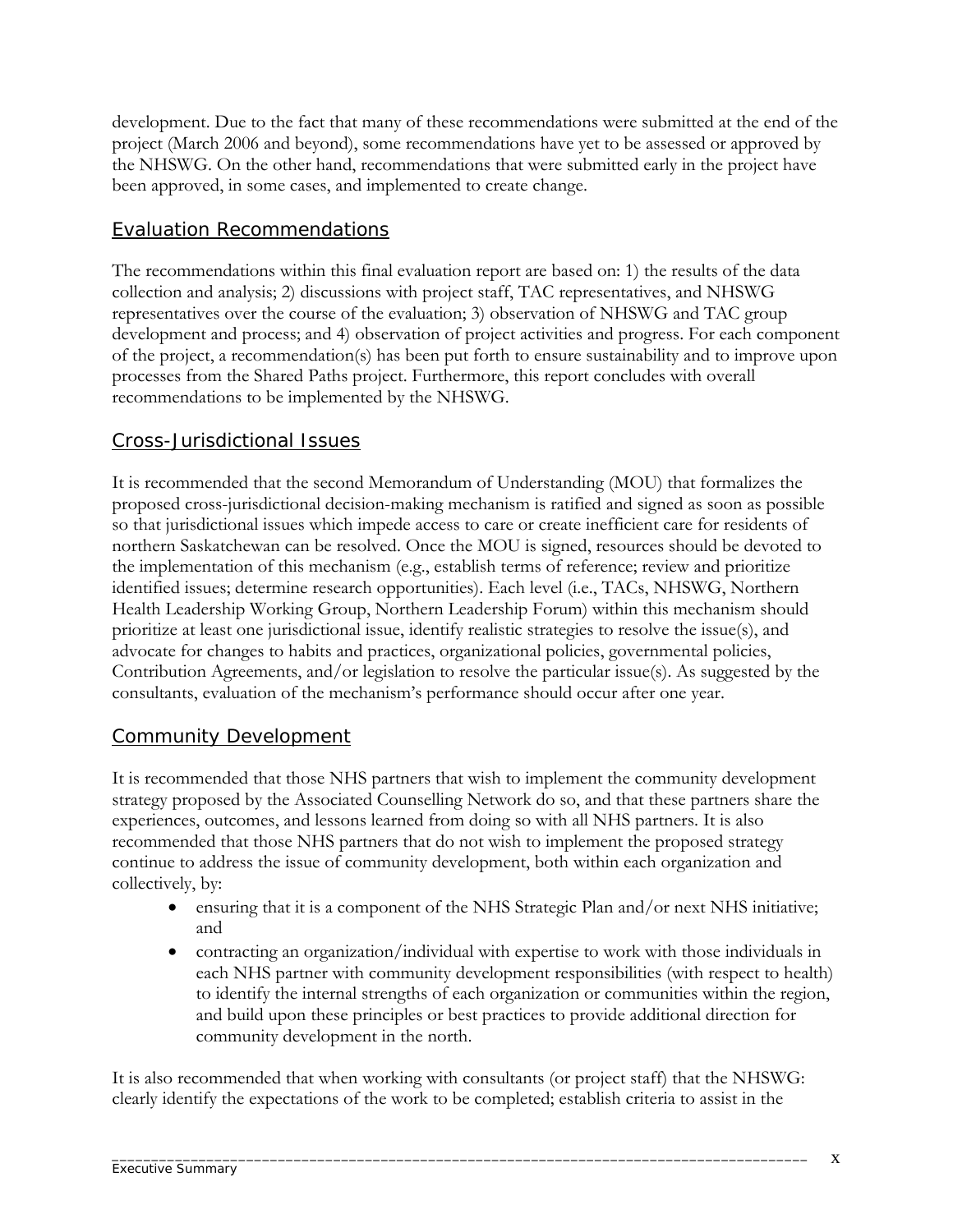development. Due to the fact that many of these recommendations were submitted at the end of the project (March 2006 and beyond), some recommendations have yet to be assessed or approved by the NHSWG. On the other hand, recommendations that were submitted early in the project have been approved, in some cases, and implemented to create change.

#### Evaluation Recommendations

The recommendations within this final evaluation report are based on: 1) the results of the data collection and analysis; 2) discussions with project staff, TAC representatives, and NHSWG representatives over the course of the evaluation; 3) observation of NHSWG and TAC group development and process; and 4) observation of project activities and progress. For each component of the project, a recommendation(s) has been put forth to ensure sustainability and to improve upon processes from the Shared Paths project. Furthermore, this report concludes with overall recommendations to be implemented by the NHSWG.

#### Cross-Jurisdictional Issues

It is recommended that the second Memorandum of Understanding (MOU) that formalizes the proposed cross-jurisdictional decision-making mechanism is ratified and signed as soon as possible so that jurisdictional issues which impede access to care or create inefficient care for residents of northern Saskatchewan can be resolved. Once the MOU is signed, resources should be devoted to the implementation of this mechanism (e.g., establish terms of reference; review and prioritize identified issues; determine research opportunities). Each level (i.e., TACs, NHSWG, Northern Health Leadership Working Group, Northern Leadership Forum) within this mechanism should prioritize at least one jurisdictional issue, identify realistic strategies to resolve the issue(s), and advocate for changes to habits and practices, organizational policies, governmental policies, Contribution Agreements, and/or legislation to resolve the particular issue(s). As suggested by the consultants, evaluation of the mechanism's performance should occur after one year.

## Community Development

It is recommended that those NHS partners that wish to implement the community development strategy proposed by the Associated Counselling Network do so, and that these partners share the experiences, outcomes, and lessons learned from doing so with all NHS partners. It is also recommended that those NHS partners that do not wish to implement the proposed strategy continue to address the issue of community development, both within each organization and collectively, by:

- ensuring that it is a component of the NHS Strategic Plan and/or next NHS initiative; and
- contracting an organization/individual with expertise to work with those individuals in each NHS partner with community development responsibilities (with respect to health) to identify the internal strengths of each organization or communities within the region, and build upon these principles or best practices to provide additional direction for community development in the north.

It is also recommended that when working with consultants (or project staff) that the NHSWG: clearly identify the expectations of the work to be completed; establish criteria to assist in the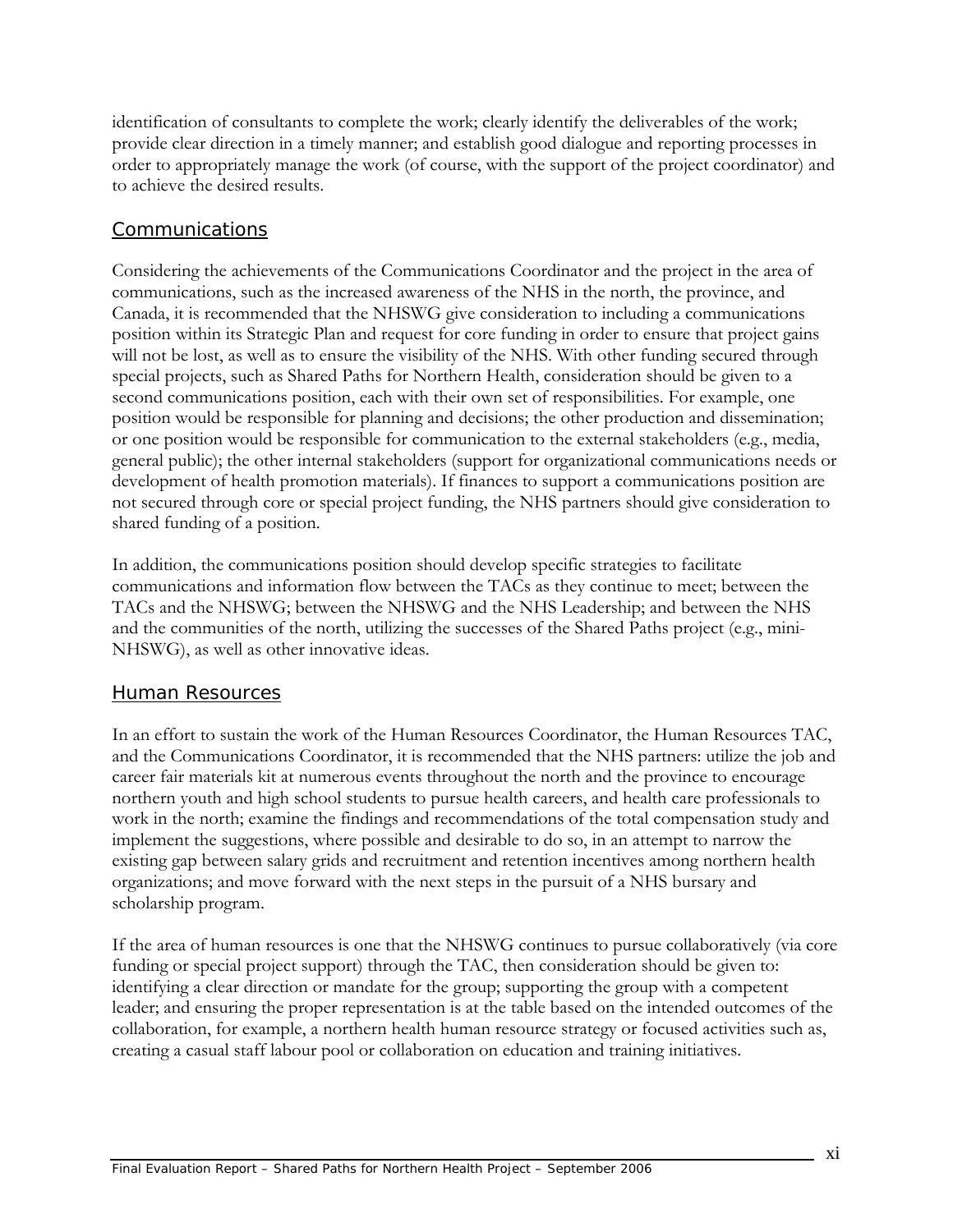identification of consultants to complete the work; clearly identify the deliverables of the work; provide clear direction in a timely manner; and establish good dialogue and reporting processes in order to appropriately manage the work (of course, with the support of the project coordinator) and to achieve the desired results.

#### Communications

Considering the achievements of the Communications Coordinator and the project in the area of communications, such as the increased awareness of the NHS in the north, the province, and Canada, it is recommended that the NHSWG give consideration to including a communications position within its Strategic Plan and request for core funding in order to ensure that project gains will not be lost, as well as to ensure the visibility of the NHS. With other funding secured through special projects, such as Shared Paths for Northern Health, consideration should be given to a second communications position, each with their own set of responsibilities. For example, one position would be responsible for planning and decisions; the other production and dissemination; or one position would be responsible for communication to the external stakeholders (e.g., media, general public); the other internal stakeholders (support for organizational communications needs or development of health promotion materials). If finances to support a communications position are not secured through core or special project funding, the NHS partners should give consideration to shared funding of a position.

In addition, the communications position should develop specific strategies to facilitate communications and information flow between the TACs as they continue to meet; between the TACs and the NHSWG; between the NHSWG and the NHS Leadership; and between the NHS and the communities of the north, utilizing the successes of the Shared Paths project (e.g., mini-NHSWG), as well as other innovative ideas.

#### Human Resources

In an effort to sustain the work of the Human Resources Coordinator, the Human Resources TAC, and the Communications Coordinator, it is recommended that the NHS partners: utilize the job and career fair materials kit at numerous events throughout the north and the province to encourage northern youth and high school students to pursue health careers, and health care professionals to work in the north; examine the findings and recommendations of the total compensation study and implement the suggestions, where possible and desirable to do so, in an attempt to narrow the existing gap between salary grids and recruitment and retention incentives among northern health organizations; and move forward with the next steps in the pursuit of a NHS bursary and scholarship program.

If the area of human resources is one that the NHSWG continues to pursue collaboratively (via core funding or special project support) through the TAC, then consideration should be given to: identifying a clear direction or mandate for the group; supporting the group with a competent leader; and ensuring the proper representation is at the table based on the intended outcomes of the collaboration, for example, a northern health human resource strategy or focused activities such as, creating a casual staff labour pool or collaboration on education and training initiatives.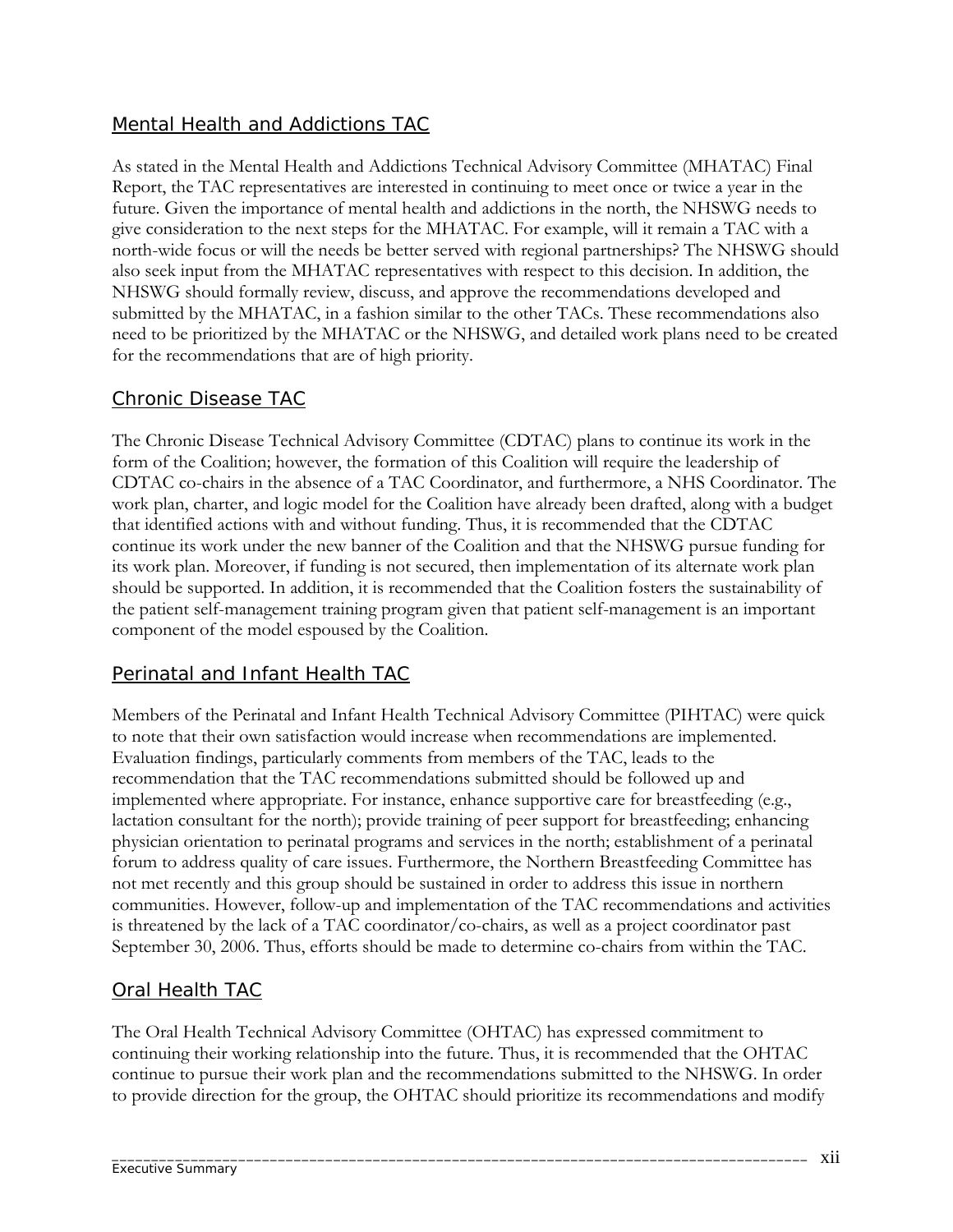## Mental Health and Addictions TAC

As stated in the Mental Health and Addictions Technical Advisory Committee (MHATAC) Final Report, the TAC representatives are interested in continuing to meet once or twice a year in the future. Given the importance of mental health and addictions in the north, the NHSWG needs to give consideration to the next steps for the MHATAC. For example, will it remain a TAC with a north-wide focus or will the needs be better served with regional partnerships? The NHSWG should also seek input from the MHATAC representatives with respect to this decision. In addition, the NHSWG should formally review, discuss, and approve the recommendations developed and submitted by the MHATAC, in a fashion similar to the other TACs. These recommendations also need to be prioritized by the MHATAC or the NHSWG, and detailed work plans need to be created for the recommendations that are of high priority.

#### Chronic Disease TAC

The Chronic Disease Technical Advisory Committee (CDTAC) plans to continue its work in the form of the Coalition; however, the formation of this Coalition will require the leadership of CDTAC co-chairs in the absence of a TAC Coordinator, and furthermore, a NHS Coordinator. The work plan, charter, and logic model for the Coalition have already been drafted, along with a budget that identified actions with and without funding. Thus, it is recommended that the CDTAC continue its work under the new banner of the Coalition and that the NHSWG pursue funding for its work plan. Moreover, if funding is not secured, then implementation of its alternate work plan should be supported. In addition, it is recommended that the Coalition fosters the sustainability of the patient self-management training program given that patient self-management is an important component of the model espoused by the Coalition.

## Perinatal and Infant Health TAC

Members of the Perinatal and Infant Health Technical Advisory Committee (PIHTAC) were quick to note that their own satisfaction would increase when recommendations are implemented. Evaluation findings, particularly comments from members of the TAC, leads to the recommendation that the TAC recommendations submitted should be followed up and implemented where appropriate. For instance, enhance supportive care for breastfeeding (e.g., lactation consultant for the north); provide training of peer support for breastfeeding; enhancing physician orientation to perinatal programs and services in the north; establishment of a perinatal forum to address quality of care issues. Furthermore, the Northern Breastfeeding Committee has not met recently and this group should be sustained in order to address this issue in northern communities. However, follow-up and implementation of the TAC recommendations and activities is threatened by the lack of a TAC coordinator/co-chairs, as well as a project coordinator past September 30, 2006. Thus, efforts should be made to determine co-chairs from within the TAC.

#### Oral Health TAC

The Oral Health Technical Advisory Committee (OHTAC) has expressed commitment to continuing their working relationship into the future. Thus, it is recommended that the OHTAC continue to pursue their work plan and the recommendations submitted to the NHSWG. In order to provide direction for the group, the OHTAC should prioritize its recommendations and modify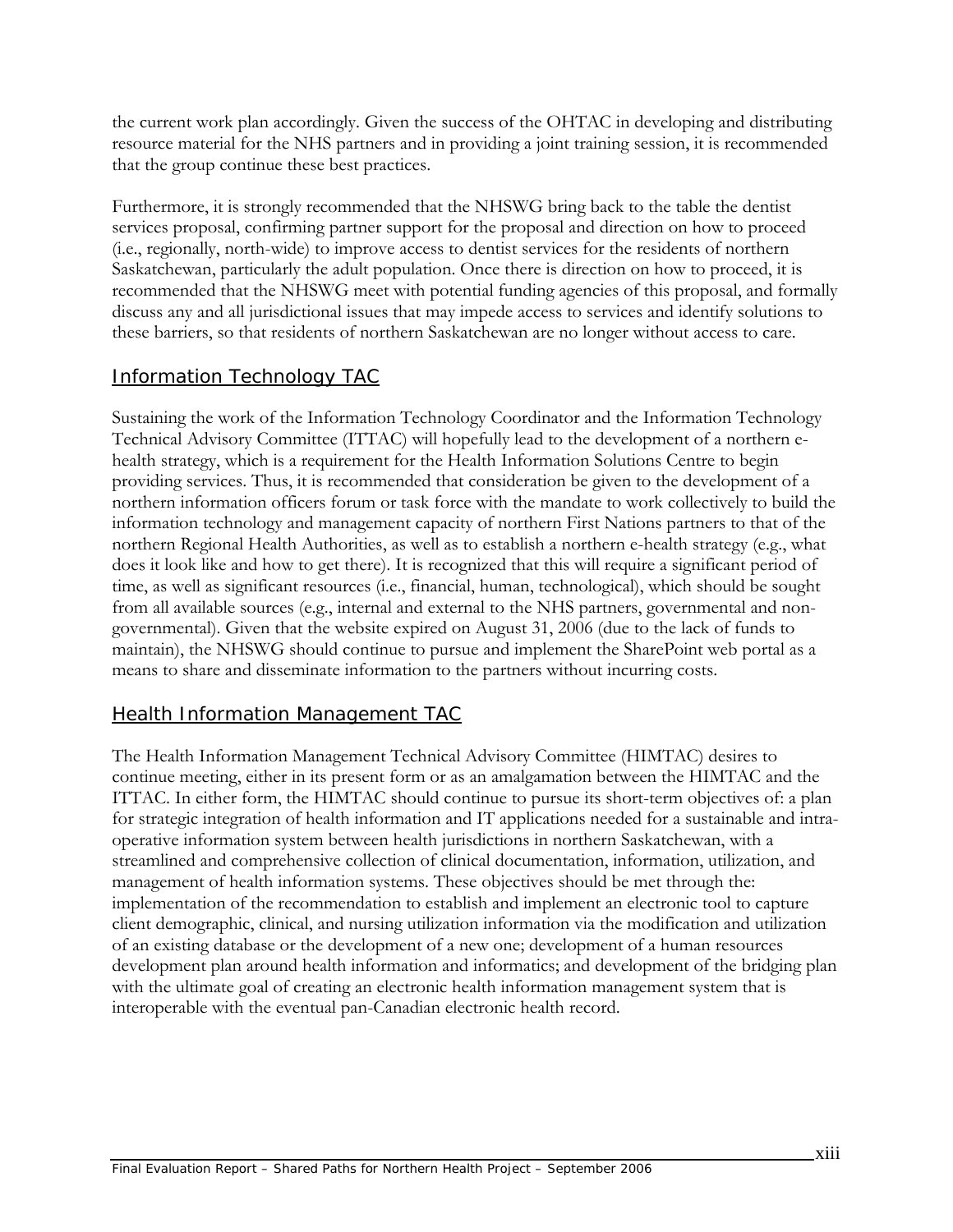the current work plan accordingly. Given the success of the OHTAC in developing and distributing resource material for the NHS partners and in providing a joint training session, it is recommended that the group continue these best practices.

Furthermore, it is strongly recommended that the NHSWG bring back to the table the dentist services proposal, confirming partner support for the proposal and direction on how to proceed (i.e., regionally, north-wide) to improve access to dentist services for the residents of northern Saskatchewan, particularly the adult population. Once there is direction on how to proceed, it is recommended that the NHSWG meet with potential funding agencies of this proposal, and formally discuss any and all jurisdictional issues that may impede access to services and identify solutions to these barriers, so that residents of northern Saskatchewan are no longer without access to care.

## Information Technology TAC

Sustaining the work of the Information Technology Coordinator and the Information Technology Technical Advisory Committee (ITTAC) will hopefully lead to the development of a northern ehealth strategy, which is a requirement for the Health Information Solutions Centre to begin providing services. Thus, it is recommended that consideration be given to the development of a northern information officers forum or task force with the mandate to work collectively to build the information technology and management capacity of northern First Nations partners to that of the northern Regional Health Authorities, as well as to establish a northern e-health strategy (e.g., what does it look like and how to get there). It is recognized that this will require a significant period of time, as well as significant resources (i.e., financial, human, technological), which should be sought from all available sources (e.g., internal and external to the NHS partners, governmental and nongovernmental). Given that the website expired on August 31, 2006 (due to the lack of funds to maintain), the NHSWG should continue to pursue and implement the SharePoint web portal as a means to share and disseminate information to the partners without incurring costs.

## Health Information Management TAC

The Health Information Management Technical Advisory Committee (HIMTAC) desires to continue meeting, either in its present form or as an amalgamation between the HIMTAC and the ITTAC. In either form, the HIMTAC should continue to pursue its short-term objectives of: a plan for strategic integration of health information and IT applications needed for a sustainable and intraoperative information system between health jurisdictions in northern Saskatchewan, with a streamlined and comprehensive collection of clinical documentation, information, utilization, and management of health information systems. These objectives should be met through the: implementation of the recommendation to establish and implement an electronic tool to capture client demographic, clinical, and nursing utilization information via the modification and utilization of an existing database or the development of a new one; development of a human resources development plan around health information and informatics; and development of the bridging plan with the ultimate goal of creating an electronic health information management system that is interoperable with the eventual pan-Canadian electronic health record.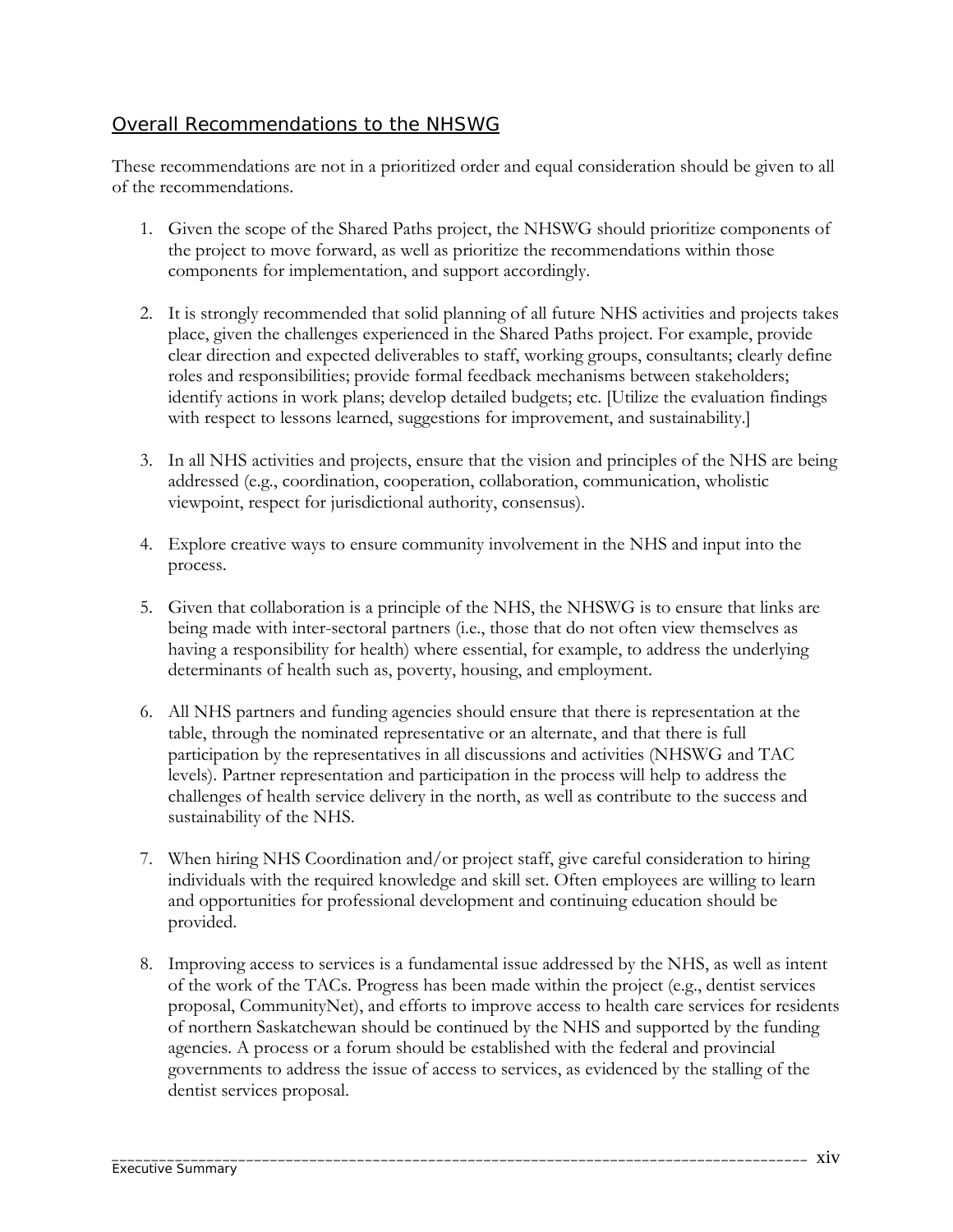#### Overall Recommendations to the NHSWG

These recommendations are not in a prioritized order and equal consideration should be given to all of the recommendations.

- 1. Given the scope of the Shared Paths project, the NHSWG should prioritize components of the project to move forward, as well as prioritize the recommendations within those components for implementation, and support accordingly.
- 2. It is strongly recommended that solid planning of all future NHS activities and projects takes place, given the challenges experienced in the Shared Paths project. For example, provide clear direction and expected deliverables to staff, working groups, consultants; clearly define roles and responsibilities; provide formal feedback mechanisms between stakeholders; identify actions in work plans; develop detailed budgets; etc. [Utilize the evaluation findings with respect to lessons learned, suggestions for improvement, and sustainability.]
- 3. In all NHS activities and projects, ensure that the vision and principles of the NHS are being addressed (e.g., coordination, cooperation, collaboration, communication, wholistic viewpoint, respect for jurisdictional authority, consensus).
- 4. Explore creative ways to ensure community involvement in the NHS and input into the process.
- 5. Given that collaboration is a principle of the NHS, the NHSWG is to ensure that links are being made with inter-sectoral partners (i.e., those that do not often view themselves as having a responsibility for health) where essential, for example, to address the underlying determinants of health such as, poverty, housing, and employment.
- 6. All NHS partners and funding agencies should ensure that there is representation at the table, through the nominated representative or an alternate, and that there is full participation by the representatives in all discussions and activities (NHSWG and TAC levels). Partner representation and participation in the process will help to address the challenges of health service delivery in the north, as well as contribute to the success and sustainability of the NHS.
- 7. When hiring NHS Coordination and/or project staff, give careful consideration to hiring individuals with the required knowledge and skill set. Often employees are willing to learn and opportunities for professional development and continuing education should be provided.
- 8. Improving access to services is a fundamental issue addressed by the NHS, as well as intent of the work of the TACs. Progress has been made within the project (e.g., dentist services proposal, CommunityNet), and efforts to improve access to health care services for residents of northern Saskatchewan should be continued by the NHS and supported by the funding agencies. A process or a forum should be established with the federal and provincial governments to address the issue of access to services, as evidenced by the stalling of the dentist services proposal.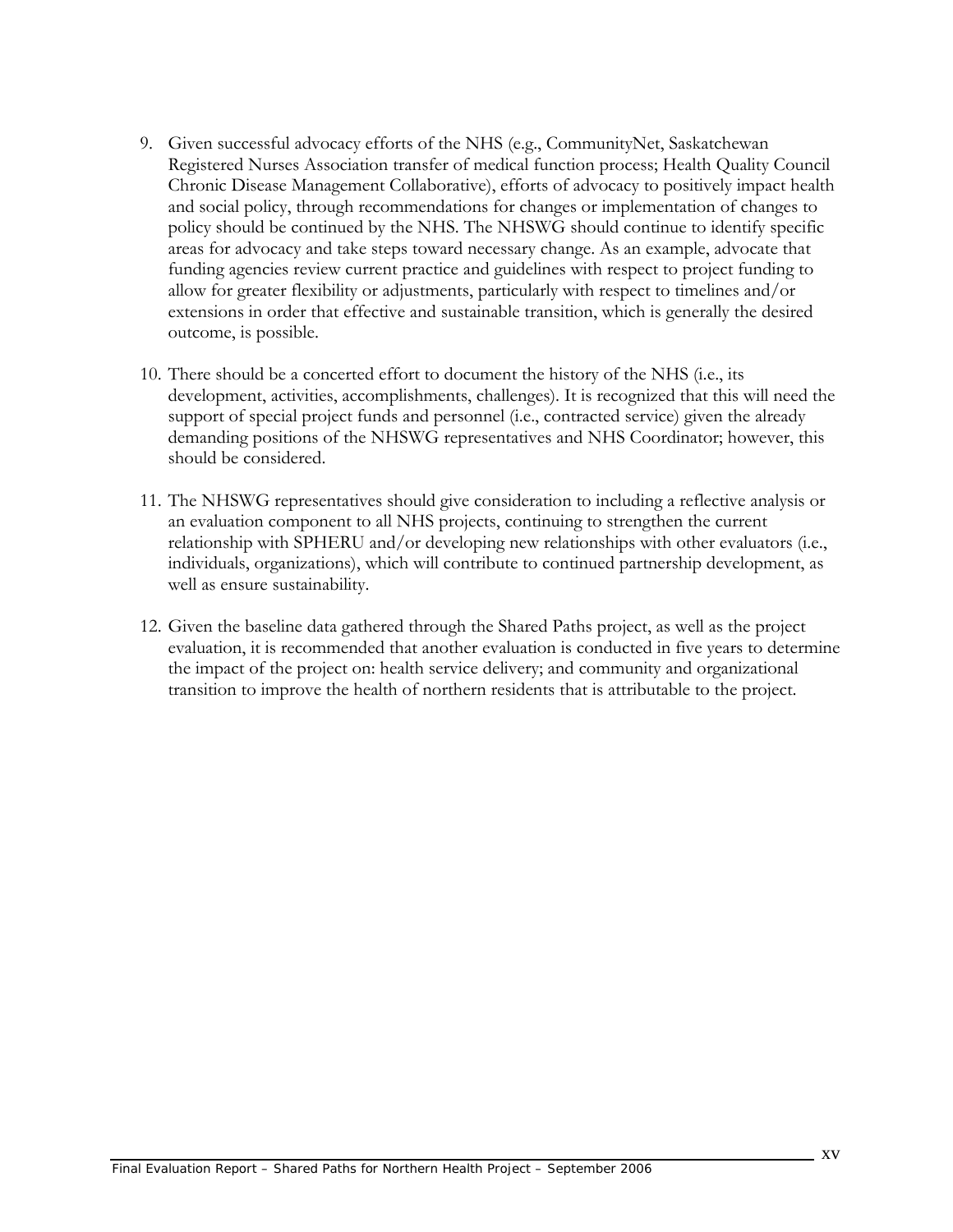- 9. Given successful advocacy efforts of the NHS (e.g., CommunityNet, Saskatchewan Registered Nurses Association transfer of medical function process; Health Quality Council Chronic Disease Management Collaborative), efforts of advocacy to positively impact health and social policy, through recommendations for changes or implementation of changes to policy should be continued by the NHS. The NHSWG should continue to identify specific areas for advocacy and take steps toward necessary change. As an example, advocate that funding agencies review current practice and guidelines with respect to project funding to allow for greater flexibility or adjustments, particularly with respect to timelines and/or extensions in order that effective and sustainable transition, which is generally the desired outcome, is possible.
- 10. There should be a concerted effort to document the history of the NHS (i.e., its development, activities, accomplishments, challenges). It is recognized that this will need the support of special project funds and personnel (i.e., contracted service) given the already demanding positions of the NHSWG representatives and NHS Coordinator; however, this should be considered.
- 11. The NHSWG representatives should give consideration to including a reflective analysis or an evaluation component to all NHS projects, continuing to strengthen the current relationship with SPHERU and/or developing new relationships with other evaluators (i.e., individuals, organizations), which will contribute to continued partnership development, as well as ensure sustainability.
- 12. Given the baseline data gathered through the Shared Paths project, as well as the project evaluation, it is recommended that another evaluation is conducted in five years to determine the impact of the project on: health service delivery; and community and organizational transition to improve the health of northern residents that is attributable to the project.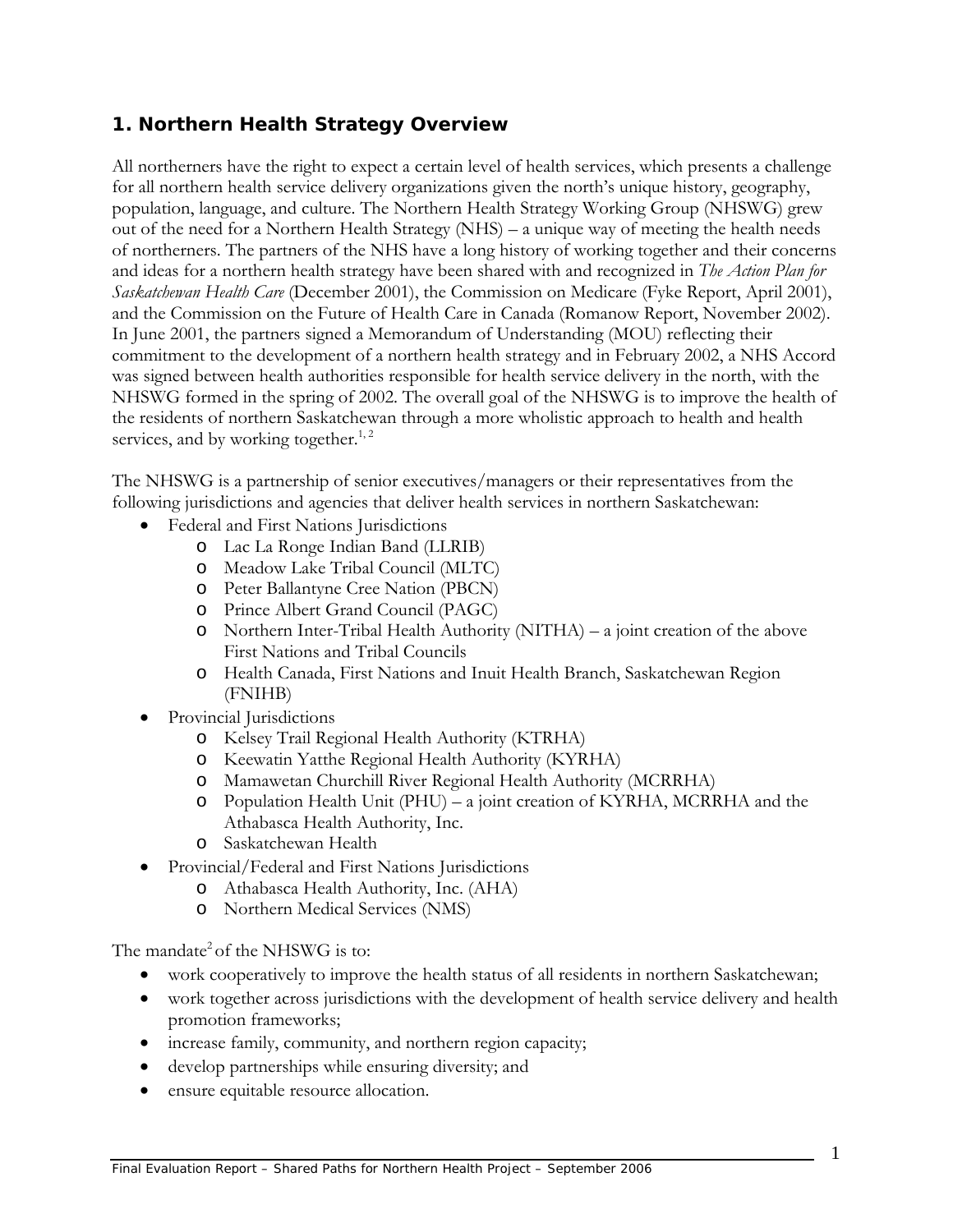## **1. Northern Health Strategy Overview**

All northerners have the right to expect a certain level of health services, which presents a challenge for all northern health service delivery organizations given the north's unique history, geography, population, language, and culture. The Northern Health Strategy Working Group (NHSWG) grew out of the need for a Northern Health Strategy (NHS) – a unique way of meeting the health needs of northerners. The partners of the NHS have a long history of working together and their concerns and ideas for a northern health strategy have been shared with and recognized in *The Action Plan for Saskatchewan Health Care* (December 2001), the Commission on Medicare (Fyke Report, April 2001), and the Commission on the Future of Health Care in Canada (Romanow Report, November 2002). In June 2001, the partners signed a Memorandum of Understanding (MOU) reflecting their commitment to the development of a northern health strategy and in February 2002, a NHS Accord was signed between health authorities responsible for health service delivery in the north, with the NHSWG formed in the spring of 2002. The overall goal of the NHSWG is to improve the health of the residents of northern Saskatchewan through a more wholistic approach to health and health services, and by working together.<sup>1, 2</sup>

The NHSWG is a partnership of senior executives/managers or their representatives from the following jurisdictions and agencies that deliver health services in northern Saskatchewan:

- Federal and First Nations Jurisdictions
	- o Lac La Ronge Indian Band (LLRIB)
	- o Meadow Lake Tribal Council (MLTC)
	- o Peter Ballantyne Cree Nation (PBCN)
	- o Prince Albert Grand Council (PAGC)
	- o Northern Inter-Tribal Health Authority (NITHA) a joint creation of the above First Nations and Tribal Councils
	- o Health Canada, First Nations and Inuit Health Branch, Saskatchewan Region (FNIHB)
- Provincial Jurisdictions
	- o Kelsey Trail Regional Health Authority (KTRHA)
	- o Keewatin Yatthe Regional Health Authority (KYRHA)
	- o Mamawetan Churchill River Regional Health Authority (MCRRHA)
	- o Population Health Unit (PHU) a joint creation of KYRHA, MCRRHA and the Athabasca Health Authority, Inc.
	- o Saskatchewan Health
- Provincial/Federal and First Nations Jurisdictions
	- o Athabasca Health Authority, Inc. (AHA)
	- o Northern Medical Services (NMS)

The mandate<sup>2</sup> of the NHSWG is to:

- work cooperatively to improve the health status of all residents in northern Saskatchewan;
- work together across jurisdictions with the development of health service delivery and health promotion frameworks;
- increase family, community, and northern region capacity;
- develop partnerships while ensuring diversity; and
- ensure equitable resource allocation.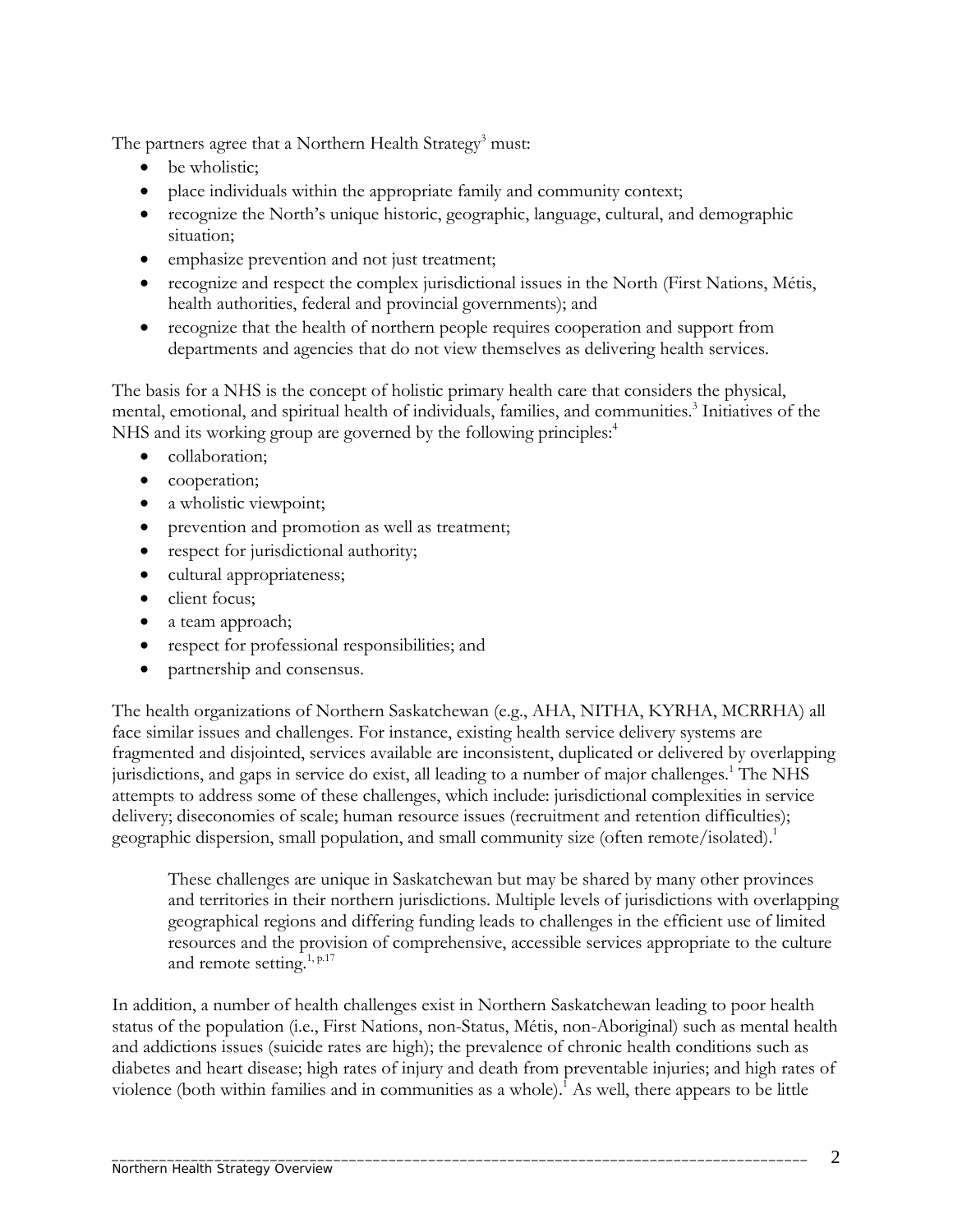The partners agree that a Northern Health Strategy<sup>3</sup> must:

- be wholistic:
- place individuals within the appropriate family and community context;
- recognize the North's unique historic, geographic, language, cultural, and demographic situation;
- emphasize prevention and not just treatment;
- recognize and respect the complex jurisdictional issues in the North (First Nations, Métis, health authorities, federal and provincial governments); and
- recognize that the health of northern people requires cooperation and support from departments and agencies that do not view themselves as delivering health services.

The basis for a NHS is the concept of holistic primary health care that considers the physical, mental, emotional, and spiritual health of individuals, families, and communities.<sup>3</sup> Initiatives of the NHS and its working group are governed by the following principles:<sup>4</sup>

- collaboration;
- cooperation;
- a wholistic viewpoint;
- prevention and promotion as well as treatment;
- respect for jurisdictional authority;
- cultural appropriateness;
- client focus;
- a team approach;
- respect for professional responsibilities; and
- partnership and consensus.

The health organizations of Northern Saskatchewan (e.g., AHA, NITHA, KYRHA, MCRRHA) all face similar issues and challenges. For instance, existing health service delivery systems are fragmented and disjointed, services available are inconsistent, duplicated or delivered by overlapping jurisdictions, and gaps in service do exist, all leading to a number of major challenges.<sup>1</sup> The NHS attempts to address some of these challenges, which include: jurisdictional complexities in service delivery; diseconomies of scale; human resource issues (recruitment and retention difficulties); geographic dispersion, small population, and small community size (often remote/isolated).<sup>1</sup>

These challenges are unique in Saskatchewan but may be shared by many other provinces and territories in their northern jurisdictions. Multiple levels of jurisdictions with overlapping geographical regions and differing funding leads to challenges in the efficient use of limited resources and the provision of comprehensive, accessible services appropriate to the culture and remote setting.<sup>1, p.17</sup>

In addition, a number of health challenges exist in Northern Saskatchewan leading to poor health status of the population (i.e., First Nations, non-Status, Métis, non-Aboriginal) such as mental health and addictions issues (suicide rates are high); the prevalence of chronic health conditions such as diabetes and heart disease; high rates of injury and death from preventable injuries; and high rates of violence (both within families and in communities as a whole).<sup>1</sup> As well, there appears to be little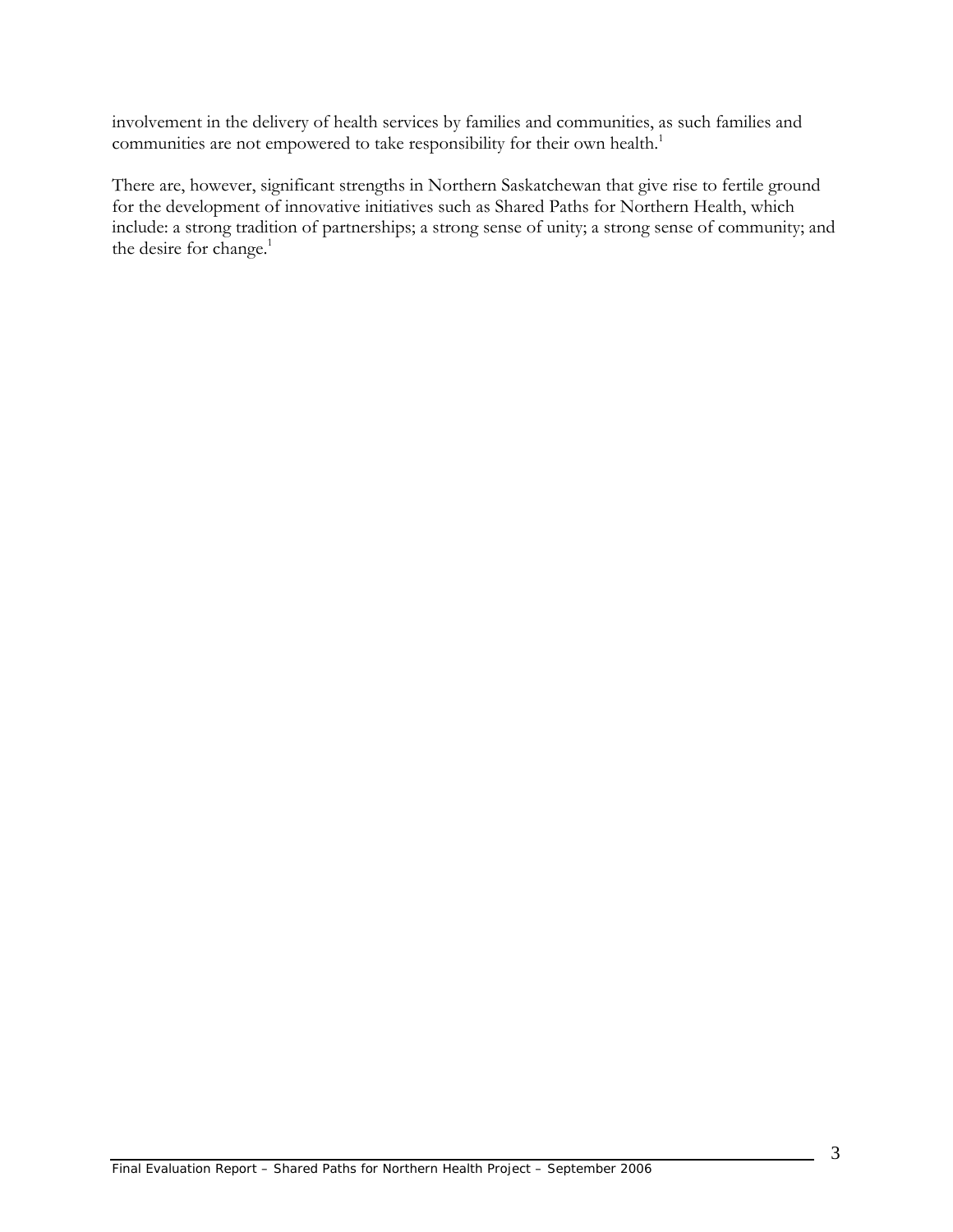involvement in the delivery of health services by families and communities, as such families and communities are not empowered to take responsibility for their own health.<sup>1</sup>

There are, however, significant strengths in Northern Saskatchewan that give rise to fertile ground for the development of innovative initiatives such as Shared Paths for Northern Health, which include: a strong tradition of partnerships; a strong sense of unity; a strong sense of community; and the desire for change.<sup>1</sup>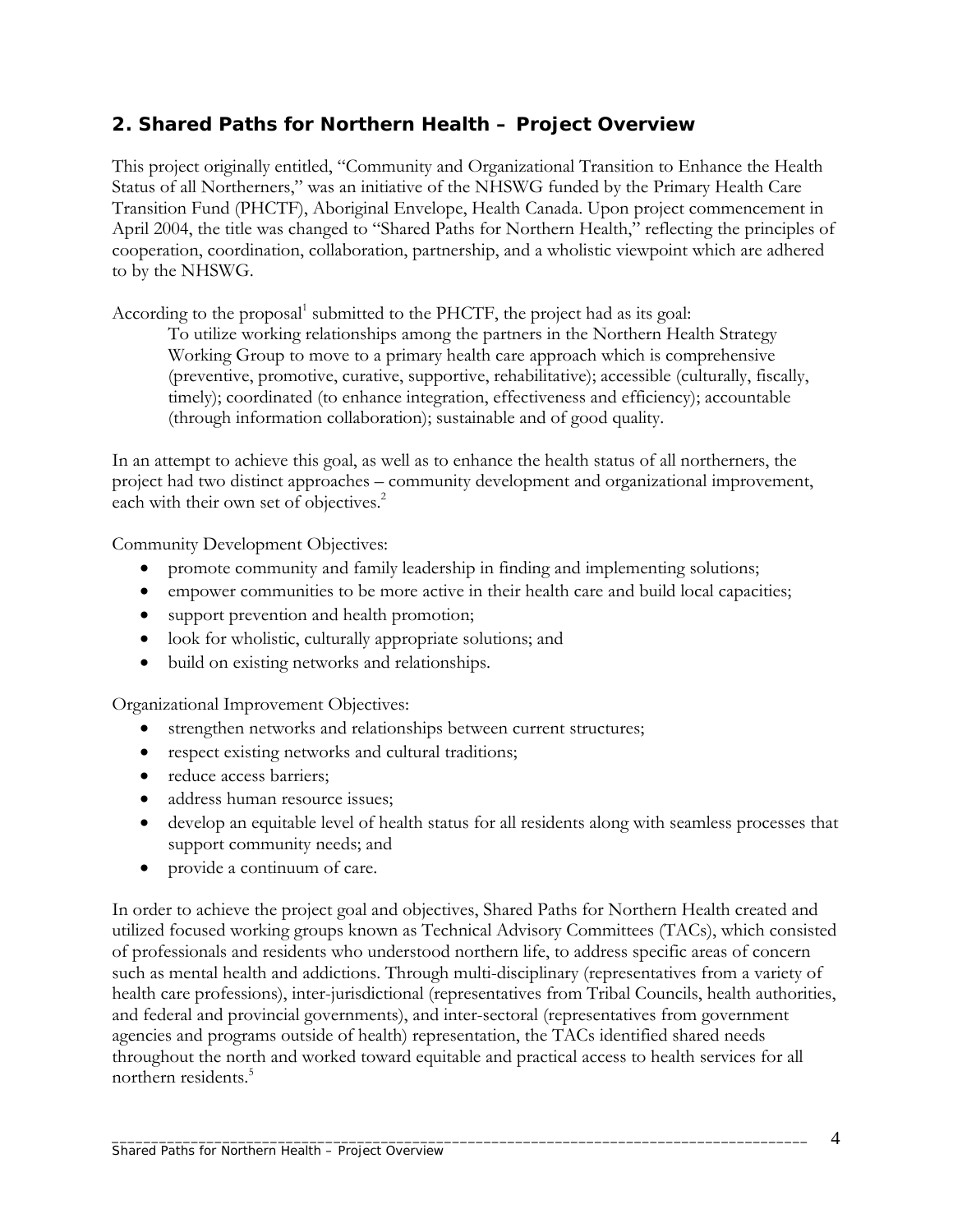## **2. Shared Paths for Northern Health – Project Overview**

This project originally entitled, "Community and Organizational Transition to Enhance the Health Status of all Northerners," was an initiative of the NHSWG funded by the Primary Health Care Transition Fund (PHCTF), Aboriginal Envelope, Health Canada. Upon project commencement in April 2004, the title was changed to "Shared Paths for Northern Health," reflecting the principles of cooperation, coordination, collaboration, partnership, and a wholistic viewpoint which are adhered to by the NHSWG.

According to the proposal<sup>1</sup> submitted to the PHCTF, the project had as its goal:

To utilize working relationships among the partners in the Northern Health Strategy Working Group to move to a primary health care approach which is comprehensive (preventive, promotive, curative, supportive, rehabilitative); accessible (culturally, fiscally, timely); coordinated (to enhance integration, effectiveness and efficiency); accountable (through information collaboration); sustainable and of good quality.

In an attempt to achieve this goal, as well as to enhance the health status of all northerners, the project had two distinct approaches – community development and organizational improvement, each with their own set of objectives.<sup>2</sup>

Community Development Objectives:

- promote community and family leadership in finding and implementing solutions;
- empower communities to be more active in their health care and build local capacities;
- support prevention and health promotion;
- look for wholistic, culturally appropriate solutions; and
- build on existing networks and relationships.

Organizational Improvement Objectives:

- strengthen networks and relationships between current structures;
- respect existing networks and cultural traditions;
- reduce access barriers;
- address human resource issues:
- develop an equitable level of health status for all residents along with seamless processes that support community needs; and
- provide a continuum of care.

In order to achieve the project goal and objectives, Shared Paths for Northern Health created and utilized focused working groups known as Technical Advisory Committees (TACs), which consisted of professionals and residents who understood northern life, to address specific areas of concern such as mental health and addictions. Through multi-disciplinary (representatives from a variety of health care professions), inter-jurisdictional (representatives from Tribal Councils, health authorities, and federal and provincial governments), and inter-sectoral (representatives from government agencies and programs outside of health) representation, the TACs identified shared needs throughout the north and worked toward equitable and practical access to health services for all northern residents  $5$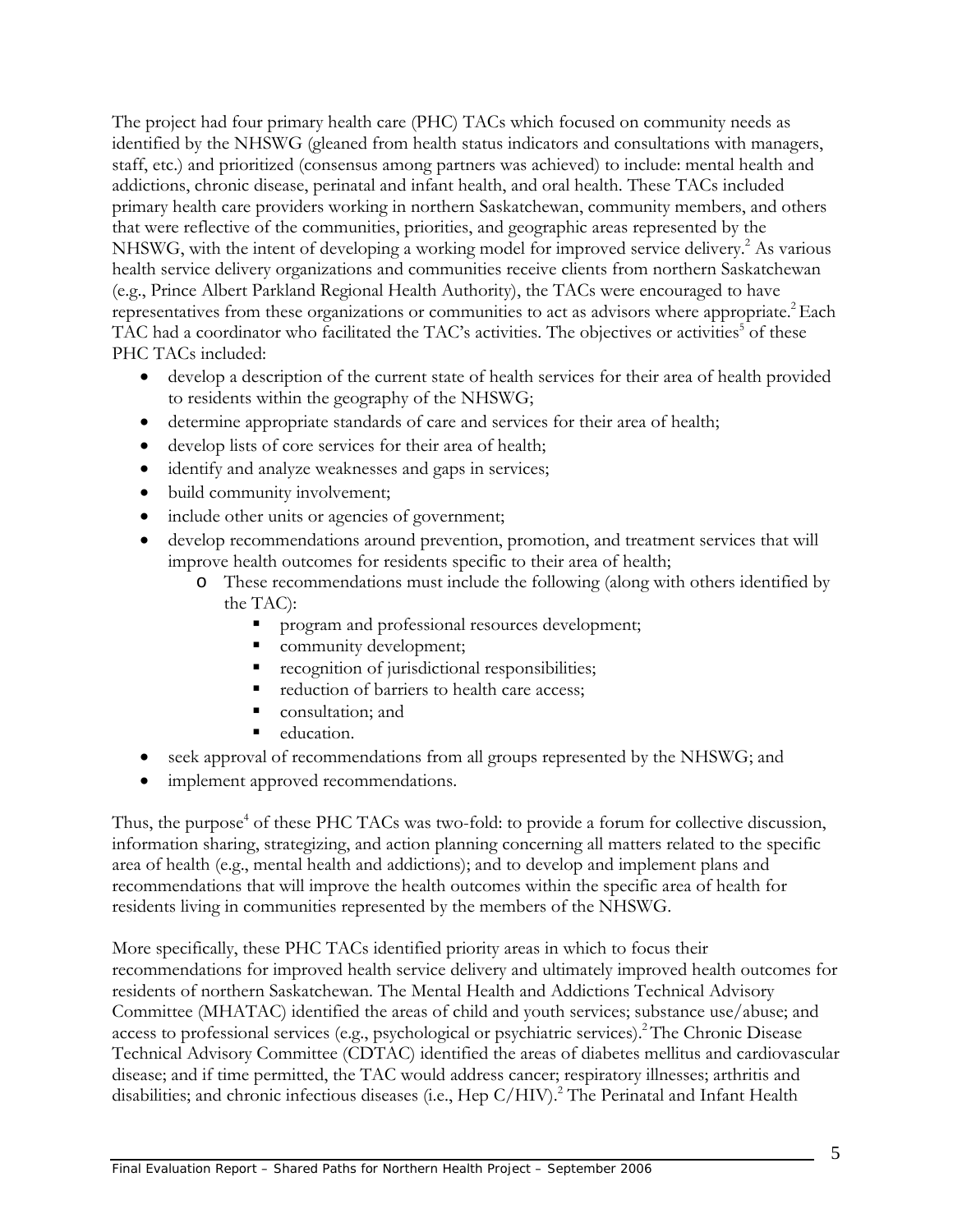The project had four primary health care (PHC) TACs which focused on community needs as identified by the NHSWG (gleaned from health status indicators and consultations with managers, staff, etc.) and prioritized (consensus among partners was achieved) to include: mental health and addictions, chronic disease, perinatal and infant health, and oral health. These TACs included primary health care providers working in northern Saskatchewan, community members, and others that were reflective of the communities, priorities, and geographic areas represented by the NHSWG, with the intent of developing a working model for improved service delivery.<sup>2</sup> As various health service delivery organizations and communities receive clients from northern Saskatchewan (e.g., Prince Albert Parkland Regional Health Authority), the TACs were encouraged to have representatives from these organizations or communities to act as advisors where appropriate.<sup>2</sup> Each TAC had a coordinator who facilitated the TAC's activities. The objectives or activities<sup>5</sup> of these PHC TACs included:

- develop a description of the current state of health services for their area of health provided to residents within the geography of the NHSWG;
- determine appropriate standards of care and services for their area of health;
- develop lists of core services for their area of health;
- identify and analyze weaknesses and gaps in services;
- build community involvement;
- include other units or agencies of government;
- develop recommendations around prevention, promotion, and treatment services that will improve health outcomes for residents specific to their area of health;
	- o These recommendations must include the following (along with others identified by the TAC):
		- program and professional resources development;
		- community development;
		- **recognition of jurisdictional responsibilities;**
		- reduction of barriers to health care access;
		- consultation; and
		- education.
- seek approval of recommendations from all groups represented by the NHSWG; and
- implement approved recommendations.

Thus, the purpose<sup>4</sup> of these PHC TACs was two-fold: to provide a forum for collective discussion, information sharing, strategizing, and action planning concerning all matters related to the specific area of health (e.g., mental health and addictions); and to develop and implement plans and recommendations that will improve the health outcomes within the specific area of health for residents living in communities represented by the members of the NHSWG.

More specifically, these PHC TACs identified priority areas in which to focus their recommendations for improved health service delivery and ultimately improved health outcomes for residents of northern Saskatchewan. The Mental Health and Addictions Technical Advisory Committee (MHATAC) identified the areas of child and youth services; substance use/abuse; and access to professional services (e.g., psychological or psychiatric services).<sup>2</sup> The Chronic Disease Technical Advisory Committee (CDTAC) identified the areas of diabetes mellitus and cardiovascular disease; and if time permitted, the TAC would address cancer; respiratory illnesses; arthritis and disabilities; and chronic infectious diseases (i.e., Hep C/HIV).<sup>2</sup> The Perinatal and Infant Health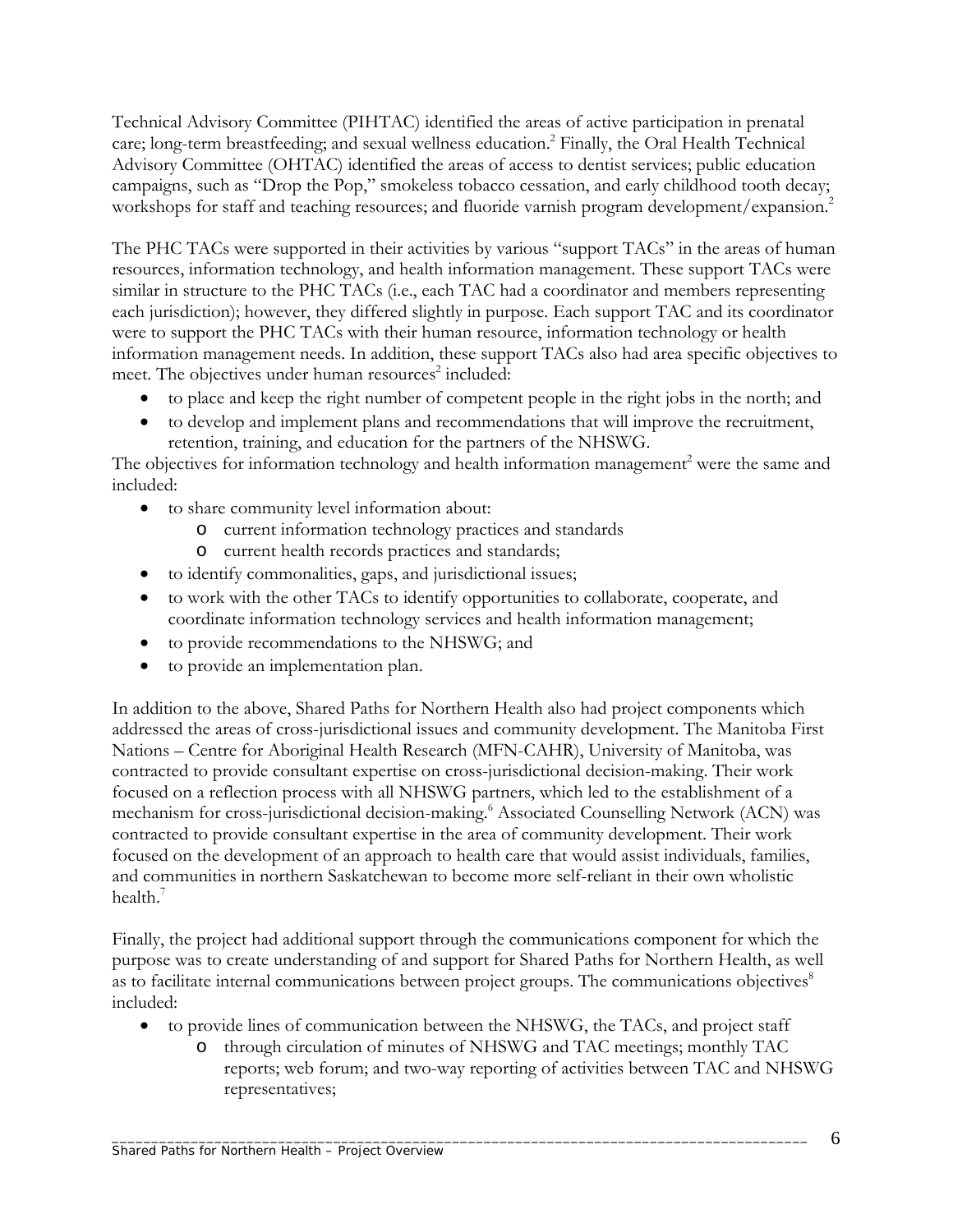Technical Advisory Committee (PIHTAC) identified the areas of active participation in prenatal care; long-term breastfeeding; and sexual wellness education.<sup>2</sup> Finally, the Oral Health Technical Advisory Committee (OHTAC) identified the areas of access to dentist services; public education campaigns, such as "Drop the Pop," smokeless tobacco cessation, and early childhood tooth decay; workshops for staff and teaching resources; and fluoride varnish program development/expansion.<sup>2</sup>

The PHC TACs were supported in their activities by various "support TACs" in the areas of human resources, information technology, and health information management. These support TACs were similar in structure to the PHC TACs (i.e., each TAC had a coordinator and members representing each jurisdiction); however, they differed slightly in purpose. Each support TAC and its coordinator were to support the PHC TACs with their human resource, information technology or health information management needs. In addition, these support TACs also had area specific objectives to meet. The objectives under human resources<sup>2</sup> included:

- to place and keep the right number of competent people in the right jobs in the north; and
- to develop and implement plans and recommendations that will improve the recruitment, retention, training, and education for the partners of the NHSWG.

The objectives for information technology and health information management<sup>2</sup> were the same and included:

- to share community level information about:
	- o current information technology practices and standards
	- o current health records practices and standards;
- to identify commonalities, gaps, and jurisdictional issues;
- to work with the other TACs to identify opportunities to collaborate, cooperate, and coordinate information technology services and health information management;
- to provide recommendations to the NHSWG; and
- to provide an implementation plan.

In addition to the above, Shared Paths for Northern Health also had project components which addressed the areas of cross-jurisdictional issues and community development. The Manitoba First Nations – Centre for Aboriginal Health Research (MFN-CAHR), University of Manitoba, was contracted to provide consultant expertise on cross-jurisdictional decision-making. Their work focused on a reflection process with all NHSWG partners, which led to the establishment of a mechanism for cross-jurisdictional decision-making.<sup>6</sup> Associated Counselling Network (ACN) was contracted to provide consultant expertise in the area of community development. Their work focused on the development of an approach to health care that would assist individuals, families, and communities in northern Saskatchewan to become more self-reliant in their own wholistic health. $<sup>7</sup>$ </sup>

Finally, the project had additional support through the communications component for which the purpose was to create understanding of and support for Shared Paths for Northern Health, as well as to facilitate internal communications between project groups. The communications objectives<sup>8</sup> included:

- to provide lines of communication between the NHSWG, the TACs, and project staff
	- o through circulation of minutes of NHSWG and TAC meetings; monthly TAC reports; web forum; and two-way reporting of activities between TAC and NHSWG representatives;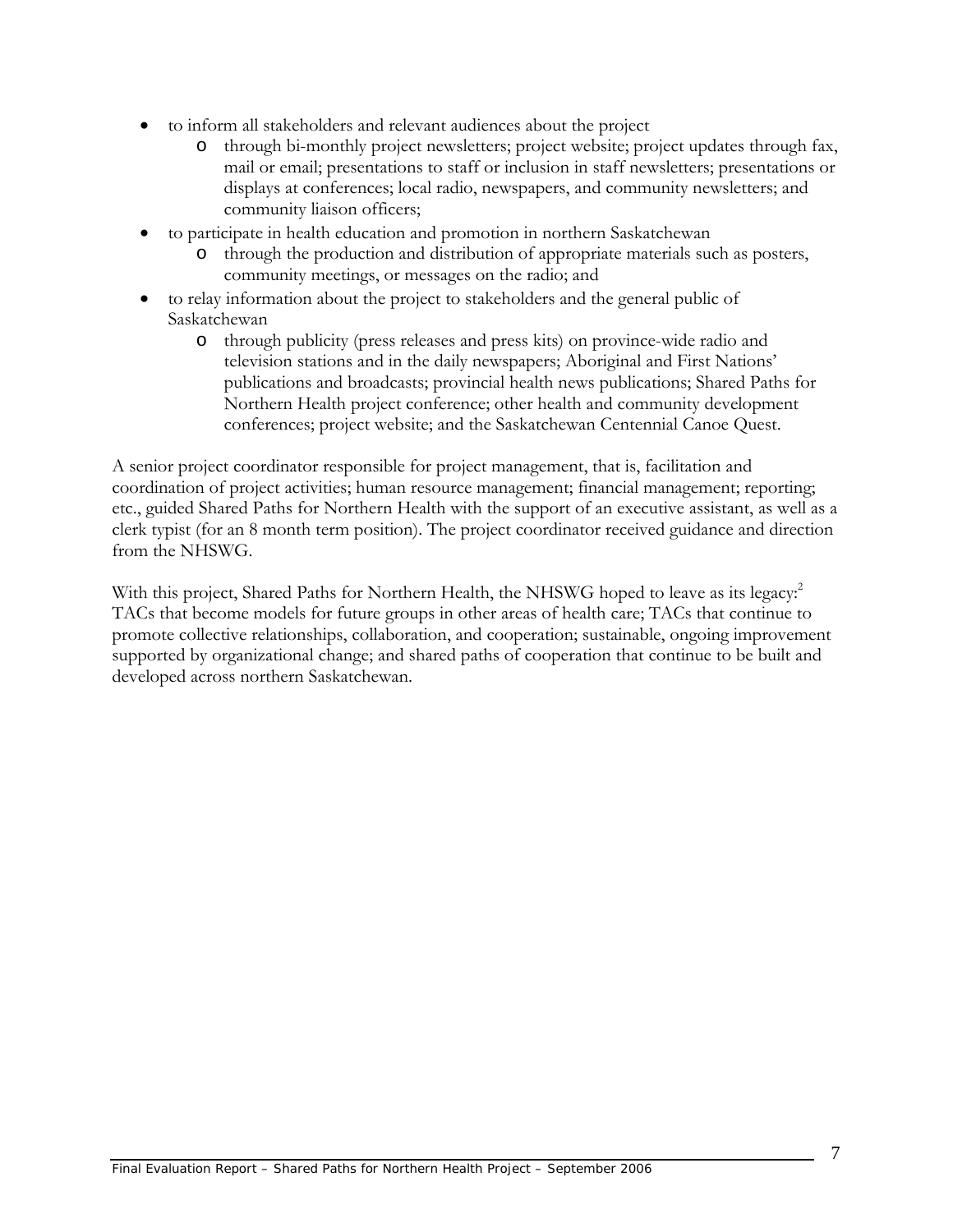- to inform all stakeholders and relevant audiences about the project
	- o through bi-monthly project newsletters; project website; project updates through fax, mail or email; presentations to staff or inclusion in staff newsletters; presentations or displays at conferences; local radio, newspapers, and community newsletters; and community liaison officers;
- to participate in health education and promotion in northern Saskatchewan
	- o through the production and distribution of appropriate materials such as posters, community meetings, or messages on the radio; and
- to relay information about the project to stakeholders and the general public of Saskatchewan
	- o through publicity (press releases and press kits) on province-wide radio and television stations and in the daily newspapers; Aboriginal and First Nations' publications and broadcasts; provincial health news publications; Shared Paths for Northern Health project conference; other health and community development conferences; project website; and the Saskatchewan Centennial Canoe Quest.

A senior project coordinator responsible for project management, that is, facilitation and coordination of project activities; human resource management; financial management; reporting; etc., guided Shared Paths for Northern Health with the support of an executive assistant, as well as a clerk typist (for an 8 month term position). The project coordinator received guidance and direction from the NHSWG.

With this project, Shared Paths for Northern Health, the NHSWG hoped to leave as its legacy:<sup>2</sup> TACs that become models for future groups in other areas of health care; TACs that continue to promote collective relationships, collaboration, and cooperation; sustainable, ongoing improvement supported by organizational change; and shared paths of cooperation that continue to be built and developed across northern Saskatchewan.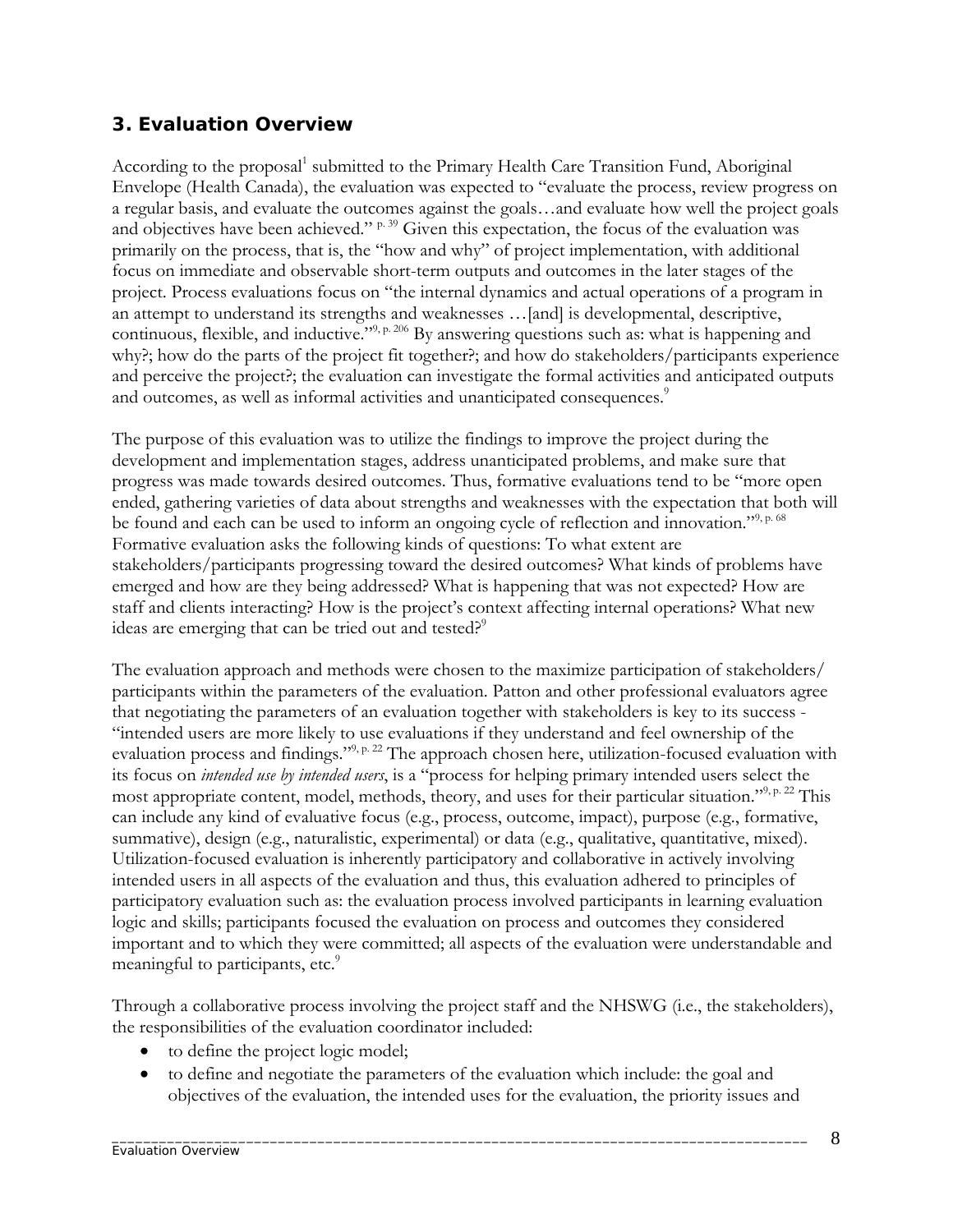#### **3. Evaluation Overview**

According to the proposal<sup>1</sup> submitted to the Primary Health Care Transition Fund, Aboriginal Envelope (Health Canada), the evaluation was expected to "evaluate the process, review progress on a regular basis, and evaluate the outcomes against the goals…and evaluate how well the project goals and objectives have been achieved."  $P.39$  Given this expectation, the focus of the evaluation was primarily on the process, that is, the "how and why" of project implementation, with additional focus on immediate and observable short-term outputs and outcomes in the later stages of the project. Process evaluations focus on "the internal dynamics and actual operations of a program in an attempt to understand its strengths and weaknesses …[and] is developmental, descriptive, continuous, flexible, and inductive."<sup>9, p. 206</sup> By answering questions such as: what is happening and why?; how do the parts of the project fit together?; and how do stakeholders/participants experience and perceive the project?; the evaluation can investigate the formal activities and anticipated outputs and outcomes, as well as informal activities and unanticipated consequences.<sup>9</sup>

The purpose of this evaluation was to utilize the findings to improve the project during the development and implementation stages, address unanticipated problems, and make sure that progress was made towards desired outcomes. Thus, formative evaluations tend to be "more open ended, gathering varieties of data about strengths and weaknesses with the expectation that both will be found and each can be used to inform an ongoing cycle of reflection and innovation."<sup>9, p. 68</sup> Formative evaluation asks the following kinds of questions: To what extent are stakeholders/participants progressing toward the desired outcomes? What kinds of problems have emerged and how are they being addressed? What is happening that was not expected? How are staff and clients interacting? How is the project's context affecting internal operations? What new ideas are emerging that can be tried out and tested?<sup>9</sup>

The evaluation approach and methods were chosen to the maximize participation of stakeholders/ participants within the parameters of the evaluation. Patton and other professional evaluators agree that negotiating the parameters of an evaluation together with stakeholders is key to its success - "intended users are more likely to use evaluations if they understand and feel ownership of the evaluation process and findings."<sup>9, p. 22</sup> The approach chosen here, utilization-focused evaluation with its focus on *intended use by intended users*, is a "process for helping primary intended users select the most appropriate content, model, methods, theory, and uses for their particular situation."9, p. 22 This can include any kind of evaluative focus (e.g., process, outcome, impact), purpose (e.g., formative, summative), design (e.g., naturalistic, experimental) or data (e.g., qualitative, quantitative, mixed). Utilization-focused evaluation is inherently participatory and collaborative in actively involving intended users in all aspects of the evaluation and thus, this evaluation adhered to principles of participatory evaluation such as: the evaluation process involved participants in learning evaluation logic and skills; participants focused the evaluation on process and outcomes they considered important and to which they were committed; all aspects of the evaluation were understandable and meaningful to participants, etc.<sup>9</sup>

Through a collaborative process involving the project staff and the NHSWG (i.e., the stakeholders), the responsibilities of the evaluation coordinator included:

- to define the project logic model;
- to define and negotiate the parameters of the evaluation which include: the goal and objectives of the evaluation, the intended uses for the evaluation, the priority issues and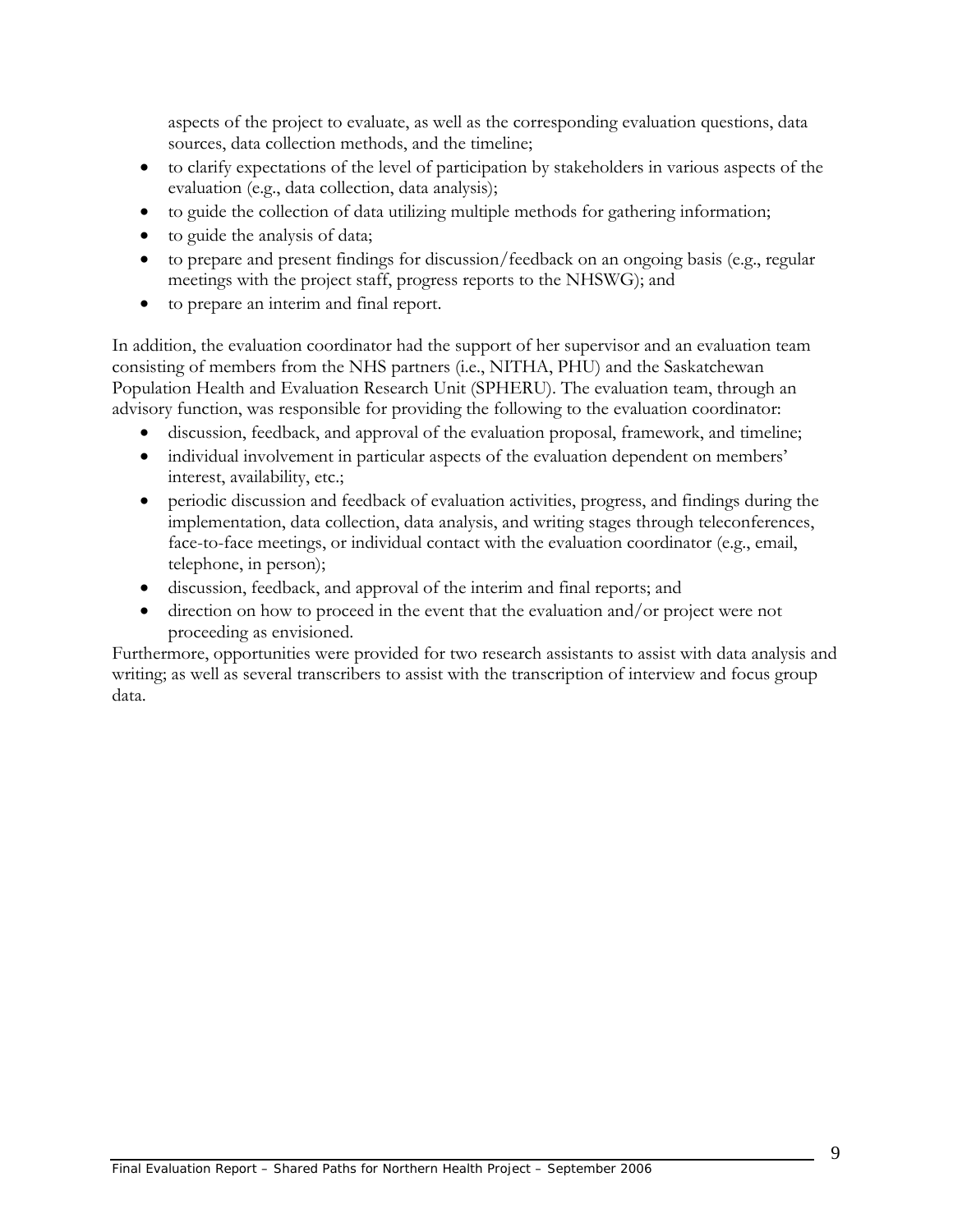aspects of the project to evaluate, as well as the corresponding evaluation questions, data sources, data collection methods, and the timeline;

- to clarify expectations of the level of participation by stakeholders in various aspects of the evaluation (e.g., data collection, data analysis);
- to guide the collection of data utilizing multiple methods for gathering information;
- to guide the analysis of data;
- to prepare and present findings for discussion/feedback on an ongoing basis (e.g., regular meetings with the project staff, progress reports to the NHSWG); and
- to prepare an interim and final report.

In addition, the evaluation coordinator had the support of her supervisor and an evaluation team consisting of members from the NHS partners (i.e., NITHA, PHU) and the Saskatchewan Population Health and Evaluation Research Unit (SPHERU). The evaluation team, through an advisory function, was responsible for providing the following to the evaluation coordinator:

- discussion, feedback, and approval of the evaluation proposal, framework, and timeline;
- individual involvement in particular aspects of the evaluation dependent on members' interest, availability, etc.;
- periodic discussion and feedback of evaluation activities, progress, and findings during the implementation, data collection, data analysis, and writing stages through teleconferences, face-to-face meetings, or individual contact with the evaluation coordinator (e.g., email, telephone, in person);
- discussion, feedback, and approval of the interim and final reports; and
- direction on how to proceed in the event that the evaluation and/or project were not proceeding as envisioned.

Furthermore, opportunities were provided for two research assistants to assist with data analysis and writing; as well as several transcribers to assist with the transcription of interview and focus group data.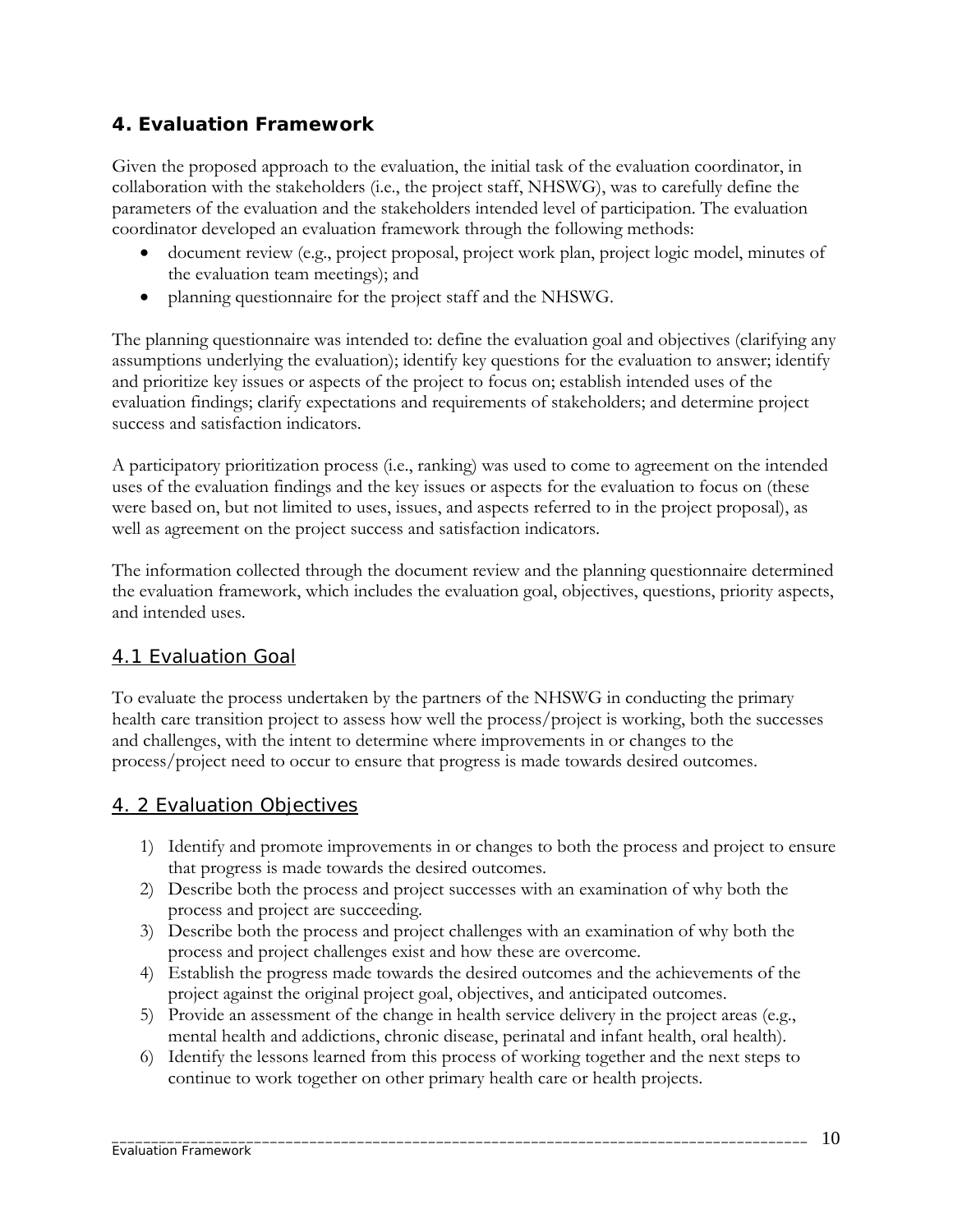## **4. Evaluation Framework**

Given the proposed approach to the evaluation, the initial task of the evaluation coordinator, in collaboration with the stakeholders (i.e., the project staff, NHSWG), was to carefully define the parameters of the evaluation and the stakeholders intended level of participation. The evaluation coordinator developed an evaluation framework through the following methods:

- document review (e.g., project proposal, project work plan, project logic model, minutes of the evaluation team meetings); and
- planning questionnaire for the project staff and the NHSWG.

The planning questionnaire was intended to: define the evaluation goal and objectives (clarifying any assumptions underlying the evaluation); identify key questions for the evaluation to answer; identify and prioritize key issues or aspects of the project to focus on; establish intended uses of the evaluation findings; clarify expectations and requirements of stakeholders; and determine project success and satisfaction indicators.

A participatory prioritization process (i.e., ranking) was used to come to agreement on the intended uses of the evaluation findings and the key issues or aspects for the evaluation to focus on (these were based on, but not limited to uses, issues, and aspects referred to in the project proposal), as well as agreement on the project success and satisfaction indicators.

The information collected through the document review and the planning questionnaire determined the evaluation framework, which includes the evaluation goal, objectives, questions, priority aspects, and intended uses.

#### 4.1 Evaluation Goal

To evaluate the process undertaken by the partners of the NHSWG in conducting the primary health care transition project to assess how well the process/project is working, both the successes and challenges, with the intent to determine where improvements in or changes to the process/project need to occur to ensure that progress is made towards desired outcomes.

#### 4. 2 Evaluation Objectives

- 1) Identify and promote improvements in or changes to both the process and project to ensure that progress is made towards the desired outcomes.
- 2) Describe both the process and project successes with an examination of why both the process and project are succeeding.
- 3) Describe both the process and project challenges with an examination of why both the process and project challenges exist and how these are overcome.
- 4) Establish the progress made towards the desired outcomes and the achievements of the project against the original project goal, objectives, and anticipated outcomes.
- 5) Provide an assessment of the change in health service delivery in the project areas (e.g., mental health and addictions, chronic disease, perinatal and infant health, oral health).
- 6) Identify the lessons learned from this process of working together and the next steps to continue to work together on other primary health care or health projects.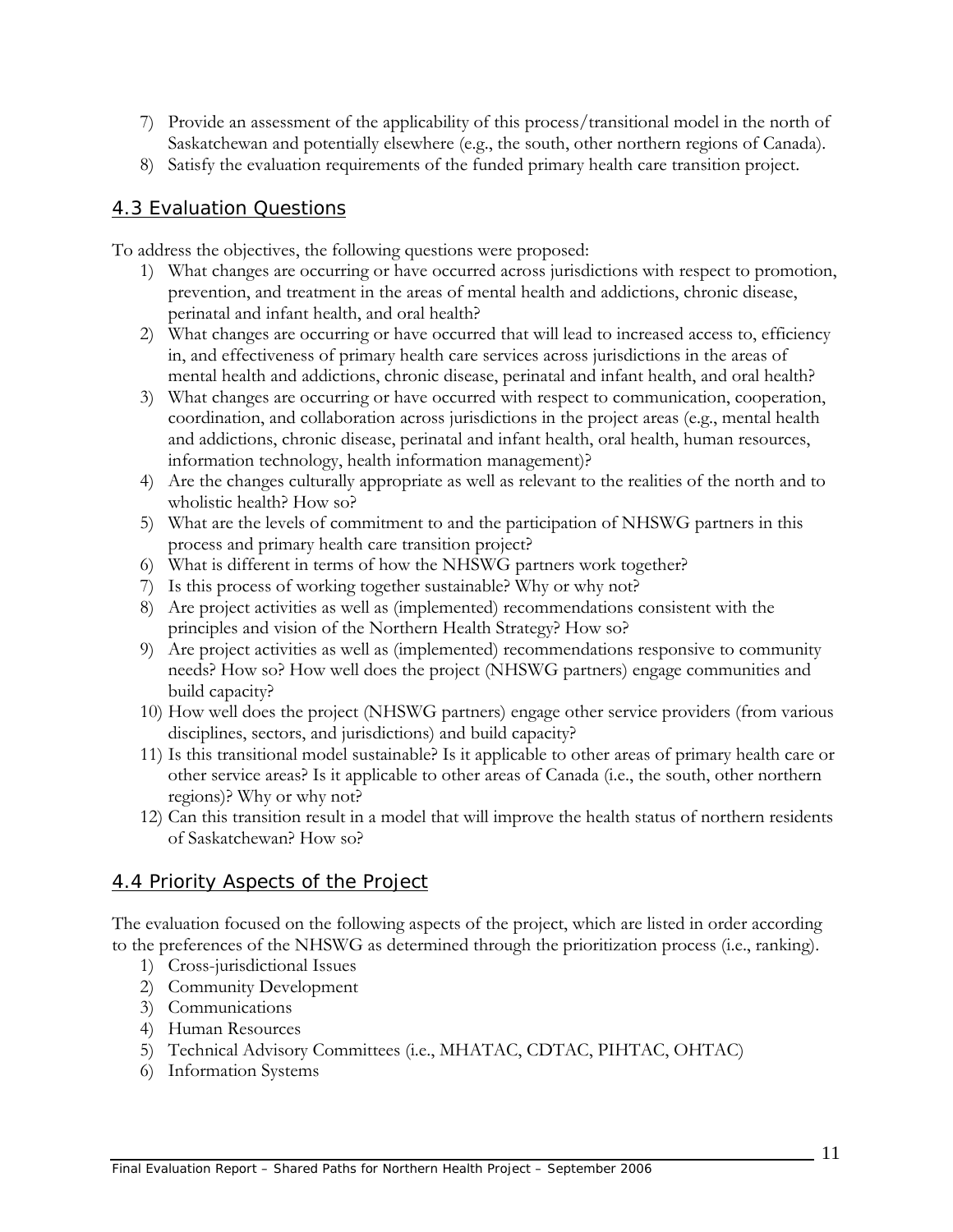- 7) Provide an assessment of the applicability of this process/transitional model in the north of Saskatchewan and potentially elsewhere (e.g., the south, other northern regions of Canada).
- 8) Satisfy the evaluation requirements of the funded primary health care transition project.

#### 4.3 Evaluation Questions

To address the objectives, the following questions were proposed:

- 1) What changes are occurring or have occurred across jurisdictions with respect to promotion, prevention, and treatment in the areas of mental health and addictions, chronic disease, perinatal and infant health, and oral health?
- 2) What changes are occurring or have occurred that will lead to increased access to, efficiency in, and effectiveness of primary health care services across jurisdictions in the areas of mental health and addictions, chronic disease, perinatal and infant health, and oral health?
- 3) What changes are occurring or have occurred with respect to communication, cooperation, coordination, and collaboration across jurisdictions in the project areas (e.g., mental health and addictions, chronic disease, perinatal and infant health, oral health, human resources, information technology, health information management)?
- 4) Are the changes culturally appropriate as well as relevant to the realities of the north and to wholistic health? How so?
- 5) What are the levels of commitment to and the participation of NHSWG partners in this process and primary health care transition project?
- 6) What is different in terms of how the NHSWG partners work together?
- 7) Is this process of working together sustainable? Why or why not?
- 8) Are project activities as well as (implemented) recommendations consistent with the principles and vision of the Northern Health Strategy? How so?
- 9) Are project activities as well as (implemented) recommendations responsive to community needs? How so? How well does the project (NHSWG partners) engage communities and build capacity?
- 10) How well does the project (NHSWG partners) engage other service providers (from various disciplines, sectors, and jurisdictions) and build capacity?
- 11) Is this transitional model sustainable? Is it applicable to other areas of primary health care or other service areas? Is it applicable to other areas of Canada (i.e., the south, other northern regions)? Why or why not?
- 12) Can this transition result in a model that will improve the health status of northern residents of Saskatchewan? How so?

#### 4.4 Priority Aspects of the Project

The evaluation focused on the following aspects of the project, which are listed in order according to the preferences of the NHSWG as determined through the prioritization process (i.e., ranking).

- 1) Cross-jurisdictional Issues
- 2) Community Development
- 3) Communications
- 4) Human Resources
- 5) Technical Advisory Committees (i.e., MHATAC, CDTAC, PIHTAC, OHTAC)
- 6) Information Systems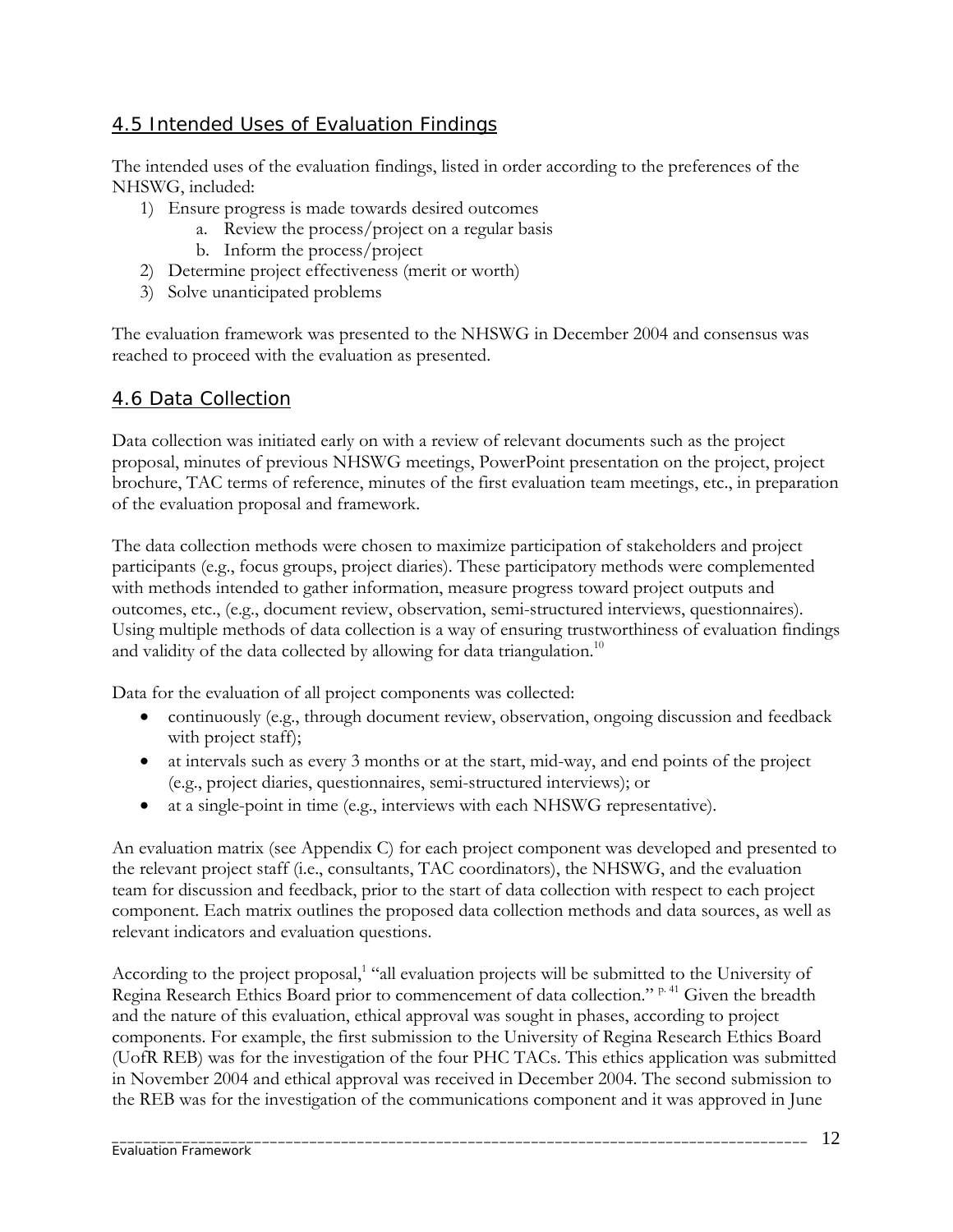## 4.5 Intended Uses of Evaluation Findings

The intended uses of the evaluation findings, listed in order according to the preferences of the NHSWG, included:

- 1) Ensure progress is made towards desired outcomes
	- a. Review the process/project on a regular basis
	- b. Inform the process/project
- 2) Determine project effectiveness (merit or worth)
- 3) Solve unanticipated problems

The evaluation framework was presented to the NHSWG in December 2004 and consensus was reached to proceed with the evaluation as presented.

#### 4.6 Data Collection

Data collection was initiated early on with a review of relevant documents such as the project proposal, minutes of previous NHSWG meetings, PowerPoint presentation on the project, project brochure, TAC terms of reference, minutes of the first evaluation team meetings, etc., in preparation of the evaluation proposal and framework.

The data collection methods were chosen to maximize participation of stakeholders and project participants (e.g., focus groups, project diaries). These participatory methods were complemented with methods intended to gather information, measure progress toward project outputs and outcomes, etc., (e.g., document review, observation, semi-structured interviews, questionnaires). Using multiple methods of data collection is a way of ensuring trustworthiness of evaluation findings and validity of the data collected by allowing for data triangulation.<sup>10</sup>

Data for the evaluation of all project components was collected:

- continuously (e.g., through document review, observation, ongoing discussion and feedback with project staff);
- at intervals such as every 3 months or at the start, mid-way, and end points of the project (e.g., project diaries, questionnaires, semi-structured interviews); or
- at a single-point in time (e.g., interviews with each NHSWG representative).

An evaluation matrix (see Appendix C) for each project component was developed and presented to the relevant project staff (i.e., consultants, TAC coordinators), the NHSWG, and the evaluation team for discussion and feedback, prior to the start of data collection with respect to each project component. Each matrix outlines the proposed data collection methods and data sources, as well as relevant indicators and evaluation questions.

According to the project proposal,<sup>1</sup> "all evaluation projects will be submitted to the University of Regina Research Ethics Board prior to commencement of data collection." p.41 Given the breadth and the nature of this evaluation, ethical approval was sought in phases, according to project components. For example, the first submission to the University of Regina Research Ethics Board (UofR REB) was for the investigation of the four PHC TACs. This ethics application was submitted in November 2004 and ethical approval was received in December 2004. The second submission to the REB was for the investigation of the communications component and it was approved in June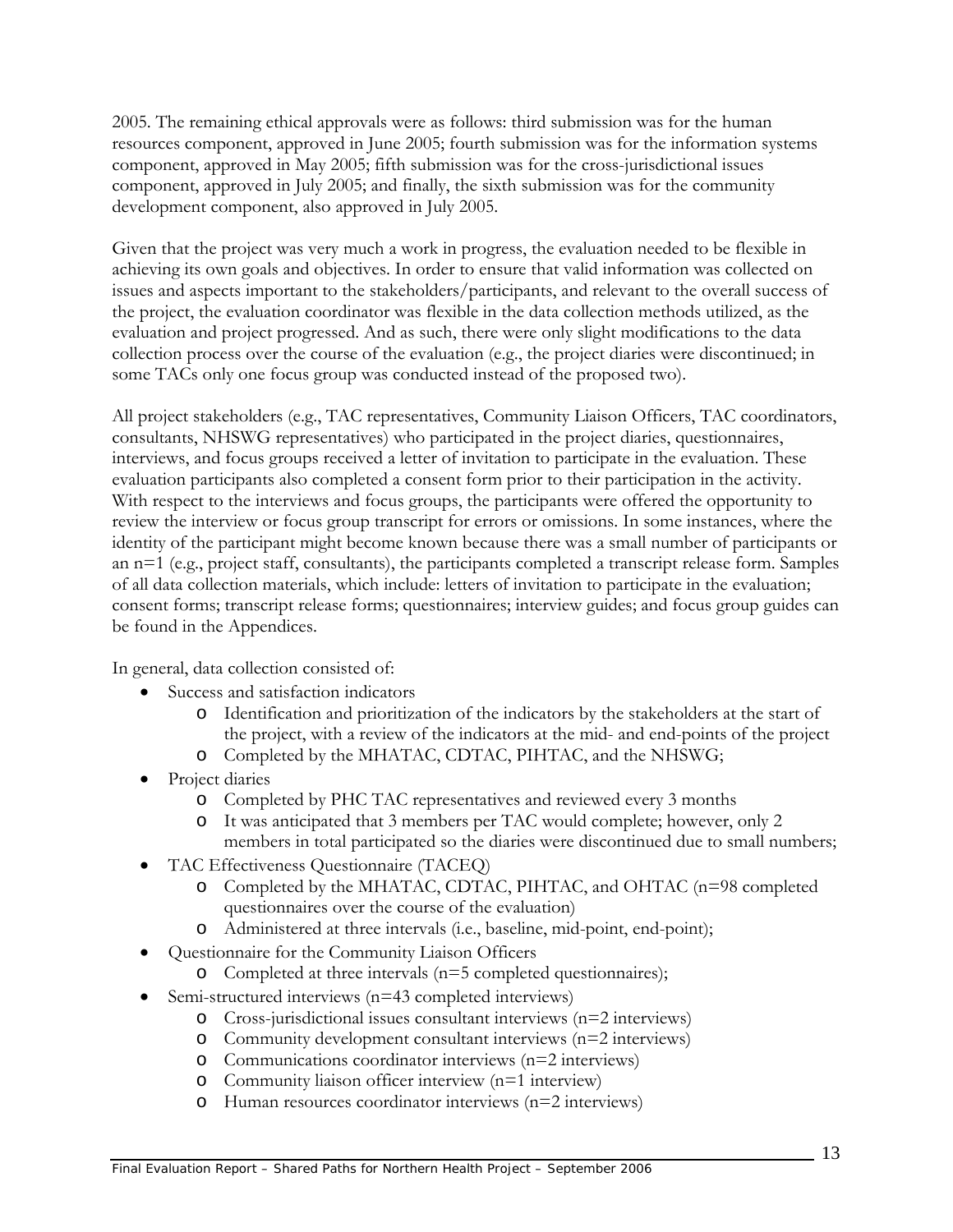2005. The remaining ethical approvals were as follows: third submission was for the human resources component, approved in June 2005; fourth submission was for the information systems component, approved in May 2005; fifth submission was for the cross-jurisdictional issues component, approved in July 2005; and finally, the sixth submission was for the community development component, also approved in July 2005.

Given that the project was very much a work in progress, the evaluation needed to be flexible in achieving its own goals and objectives. In order to ensure that valid information was collected on issues and aspects important to the stakeholders/participants, and relevant to the overall success of the project, the evaluation coordinator was flexible in the data collection methods utilized, as the evaluation and project progressed. And as such, there were only slight modifications to the data collection process over the course of the evaluation (e.g., the project diaries were discontinued; in some TACs only one focus group was conducted instead of the proposed two).

All project stakeholders (e.g., TAC representatives, Community Liaison Officers, TAC coordinators, consultants, NHSWG representatives) who participated in the project diaries, questionnaires, interviews, and focus groups received a letter of invitation to participate in the evaluation. These evaluation participants also completed a consent form prior to their participation in the activity. With respect to the interviews and focus groups, the participants were offered the opportunity to review the interview or focus group transcript for errors or omissions. In some instances, where the identity of the participant might become known because there was a small number of participants or an n=1 (e.g., project staff, consultants), the participants completed a transcript release form. Samples of all data collection materials, which include: letters of invitation to participate in the evaluation; consent forms; transcript release forms; questionnaires; interview guides; and focus group guides can be found in the Appendices.

In general, data collection consisted of:

- Success and satisfaction indicators
	- o Identification and prioritization of the indicators by the stakeholders at the start of the project, with a review of the indicators at the mid- and end-points of the project
	- o Completed by the MHATAC, CDTAC, PIHTAC, and the NHSWG;
- Project diaries
	- o Completed by PHC TAC representatives and reviewed every 3 months
	- o It was anticipated that 3 members per TAC would complete; however, only 2 members in total participated so the diaries were discontinued due to small numbers;
- TAC Effectiveness Questionnaire (TACEQ)
	- o Completed by the MHATAC, CDTAC, PIHTAC, and OHTAC (n=98 completed questionnaires over the course of the evaluation)
	- o Administered at three intervals (i.e., baseline, mid-point, end-point);
- Questionnaire for the Community Liaison Officers
	- o Completed at three intervals (n=5 completed questionnaires);
- Semi-structured interviews (n=43 completed interviews)
	- o Cross-jurisdictional issues consultant interviews (n=2 interviews)
	- o Community development consultant interviews (n=2 interviews)
	- o Communications coordinator interviews (n=2 interviews)
	- o Community liaison officer interview (n=1 interview)
	- o Human resources coordinator interviews (n=2 interviews)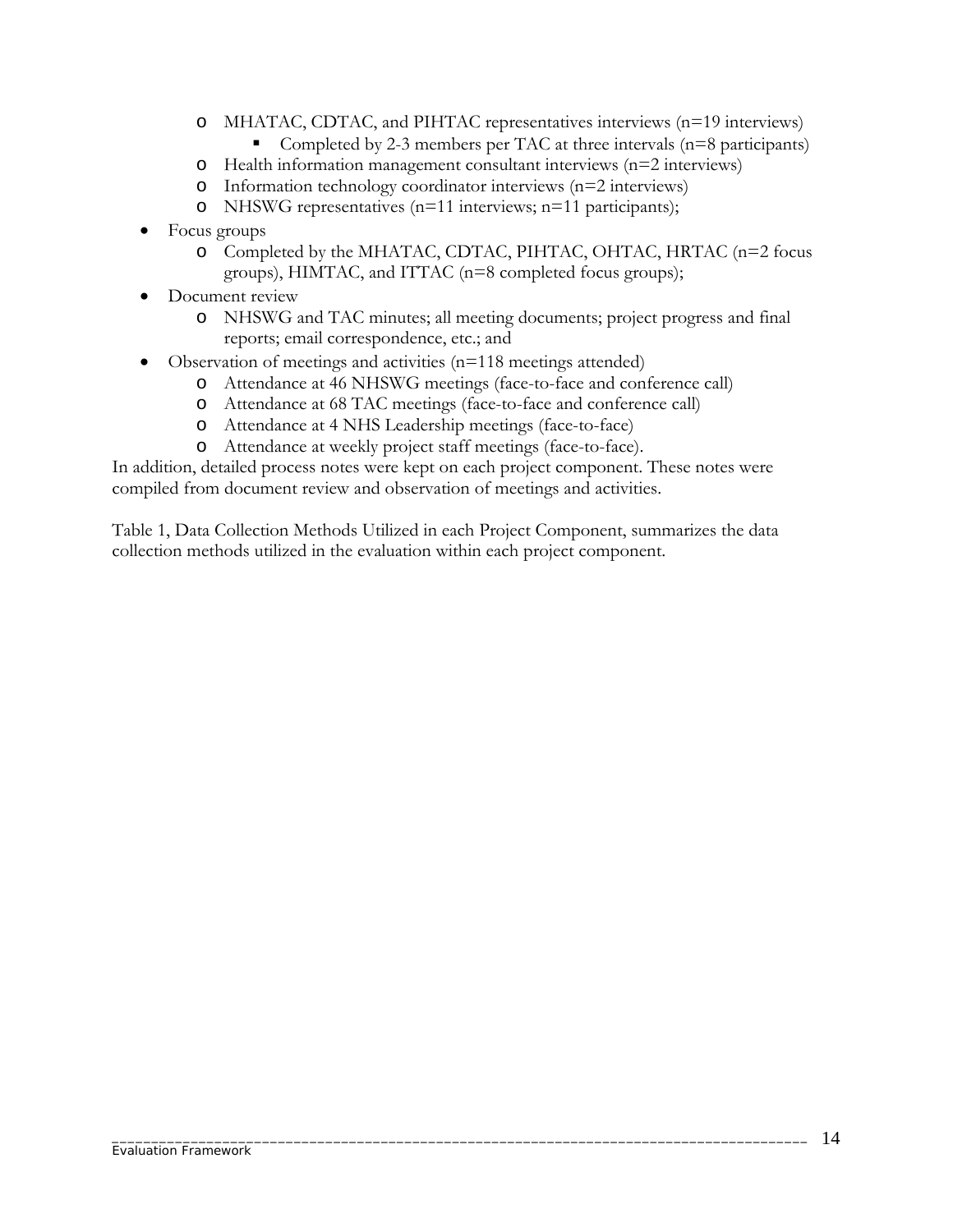- o MHATAC, CDTAC, and PIHTAC representatives interviews (n=19 interviews)
	- Completed by 2-3 members per TAC at three intervals  $(n=8$  participants)
- o Health information management consultant interviews (n=2 interviews)
- o Information technology coordinator interviews (n=2 interviews)
- o NHSWG representatives (n=11 interviews; n=11 participants);
- Focus groups
	- o Completed by the MHATAC, CDTAC, PIHTAC, OHTAC, HRTAC (n=2 focus groups), HIMTAC, and ITTAC (n=8 completed focus groups);
- Document review
	- o NHSWG and TAC minutes; all meeting documents; project progress and final reports; email correspondence, etc.; and
- Observation of meetings and activities (n=118 meetings attended)
	- o Attendance at 46 NHSWG meetings (face-to-face and conference call)
	- o Attendance at 68 TAC meetings (face-to-face and conference call)
	- o Attendance at 4 NHS Leadership meetings (face-to-face)
	- o Attendance at weekly project staff meetings (face-to-face).

In addition, detailed process notes were kept on each project component. These notes were compiled from document review and observation of meetings and activities.

Table 1, Data Collection Methods Utilized in each Project Component, summarizes the data collection methods utilized in the evaluation within each project component.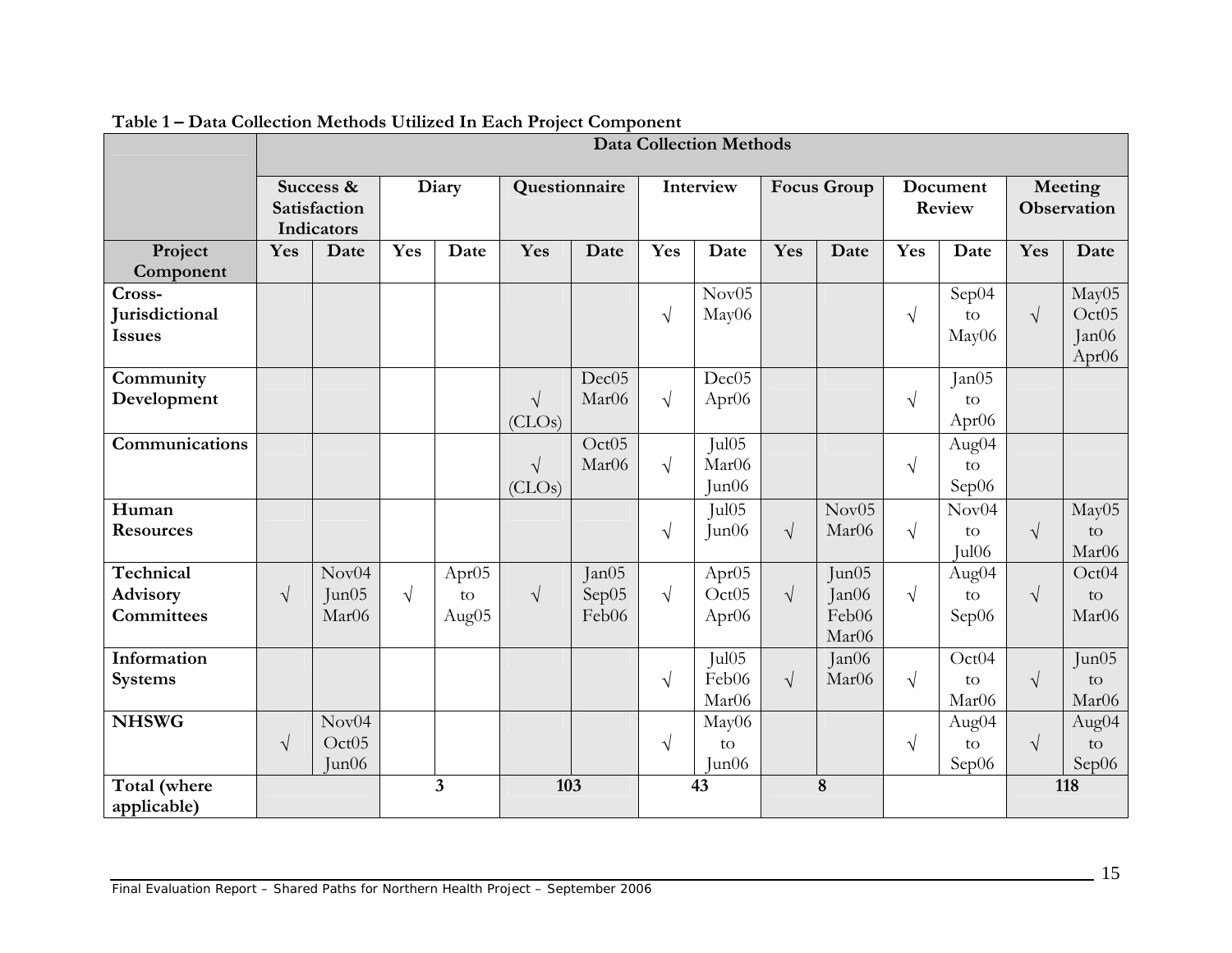|                                           | <b>Data Collection Methods</b>          |                                     |            |                                  |                      |                                        |            |                                                             |                    |                                  |                    |                                  |                               |                                              |
|-------------------------------------------|-----------------------------------------|-------------------------------------|------------|----------------------------------|----------------------|----------------------------------------|------------|-------------------------------------------------------------|--------------------|----------------------------------|--------------------|----------------------------------|-------------------------------|----------------------------------------------|
|                                           | Success &<br>Satisfaction<br>Indicators |                                     | Diary      |                                  | Questionnaire        |                                        | Interview  |                                                             | <b>Focus Group</b> |                                  | Document<br>Review |                                  | Meeting<br><b>Observation</b> |                                              |
| Project<br>Component                      | Yes                                     | Date                                | Yes        | Date                             | Yes                  | Date                                   | Yes        | Date                                                        | Yes                | Date                             | Yes                | Date                             | Yes                           | Date                                         |
| Cross-<br>Jurisdictional<br><b>Issues</b> |                                         |                                     |            |                                  |                      |                                        | $\sqrt{}$  | Nov05<br>May06                                              |                    |                                  | $\sqrt{}$          | Sep04<br>$\rm{to}$<br>May06      | $\sqrt{ }$                    | May05<br>Oct05<br>Jan06<br>Apr <sub>06</sub> |
| Community<br>Development                  |                                         |                                     |            |                                  | $\sqrt{ }$<br>(CLOs) | Dec05<br>Mar <sub>06</sub>             | $\sqrt{ }$ | Dec05<br>Apr06                                              |                    |                                  | $\sqrt{ }$         | Jan05<br>to<br>Apr <sub>06</sub> |                               |                                              |
| Communications                            |                                         |                                     |            |                                  | $\sqrt{ }$<br>(CLOs) | Oct <sub>05</sub><br>Mar <sub>06</sub> | $\sqrt{ }$ | Jul05<br>Mar06<br>Jun06                                     |                    |                                  | $\sqrt{ }$         | Aug04<br>to<br>Sep06             |                               |                                              |
| Human<br><b>Resources</b>                 |                                         |                                     |            |                                  |                      |                                        | $\sqrt{}$  | Jul <sub>05</sub><br>Jun06                                  | $\sqrt{ }$         | Nov05<br>Mar06                   | $\sqrt{ }$         | Nov04<br>to<br>Jul06             | $\sqrt{}$                     | May05<br>to<br>Mar06                         |
| Technical<br>Advisory<br>Committees       | $\sqrt{ }$                              | Nov04<br>Jun05<br>Mar <sub>06</sub> | $\sqrt{ }$ | Apr <sub>05</sub><br>to<br>Aug05 | $\sqrt{ }$           | Jan05<br>Sep05<br>Feb06                | $\sqrt{ }$ | Apr <sub>05</sub><br>Oct <sub>05</sub><br>Apr <sub>06</sub> | $\sqrt{ }$         | Jun05<br>Jan06<br>Feb06<br>Mar06 | $\sqrt{ }$         | Aug04<br>to<br>Sep06             | $\sqrt{ }$                    | Oct04<br>to<br>Mar06                         |
| Information<br><b>Systems</b>             |                                         |                                     |            |                                  |                      |                                        | $\sqrt{}$  | Jul <sub>05</sub><br>Feb06<br>Mar06                         | $\sqrt{ }$         | Jan06<br>Mar06                   | $\sqrt{ }$         | Oct04<br>to<br>Mar <sub>06</sub> | $\sqrt{}$                     | Jun05<br>to<br>Mar06                         |
| <b>NHSWG</b>                              | $\sqrt{ }$                              | Nov04<br>Oct05<br>Jun06             |            |                                  |                      |                                        | $\sqrt{ }$ | May06<br>to<br>Jun06                                        |                    |                                  | $\sqrt{ }$         | Aug04<br>to<br>Sep06             | $\sqrt{ }$                    | Aug04<br>to<br>Sep06                         |
| Total (where<br>applicable)               |                                         |                                     |            | $\overline{3}$                   | 103                  |                                        |            | 43                                                          |                    | 8                                |                    |                                  |                               | 118                                          |

**Table 1 – Data Collection Methods Utilized In Each Project Component**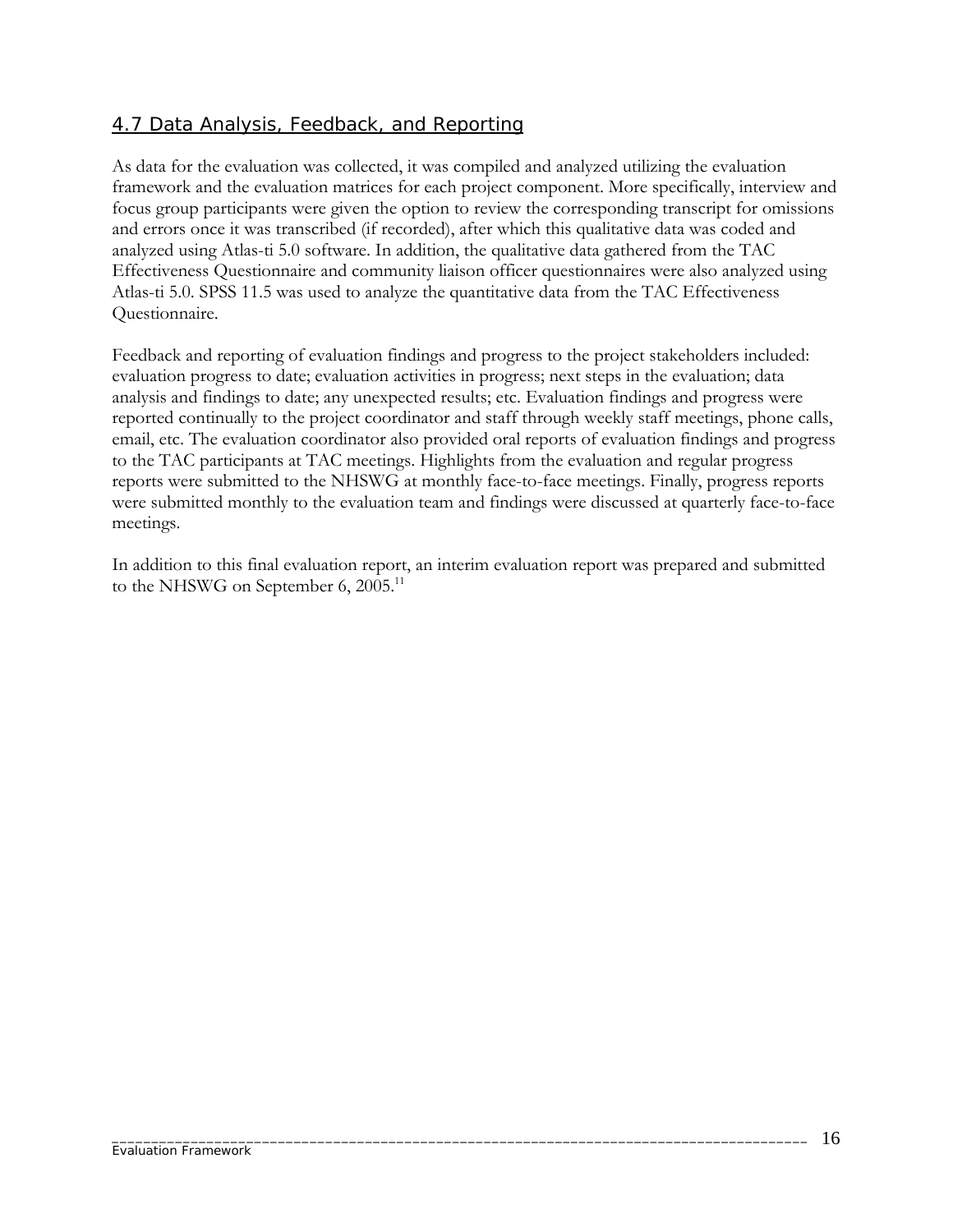#### 4.7 Data Analysis, Feedback, and Reporting

As data for the evaluation was collected, it was compiled and analyzed utilizing the evaluation framework and the evaluation matrices for each project component. More specifically, interview and focus group participants were given the option to review the corresponding transcript for omissions and errors once it was transcribed (if recorded), after which this qualitative data was coded and analyzed using Atlas-ti 5.0 software. In addition, the qualitative data gathered from the TAC Effectiveness Questionnaire and community liaison officer questionnaires were also analyzed using Atlas-ti 5.0. SPSS 11.5 was used to analyze the quantitative data from the TAC Effectiveness Questionnaire.

Feedback and reporting of evaluation findings and progress to the project stakeholders included: evaluation progress to date; evaluation activities in progress; next steps in the evaluation; data analysis and findings to date; any unexpected results; etc. Evaluation findings and progress were reported continually to the project coordinator and staff through weekly staff meetings, phone calls, email, etc. The evaluation coordinator also provided oral reports of evaluation findings and progress to the TAC participants at TAC meetings. Highlights from the evaluation and regular progress reports were submitted to the NHSWG at monthly face-to-face meetings. Finally, progress reports were submitted monthly to the evaluation team and findings were discussed at quarterly face-to-face meetings.

In addition to this final evaluation report, an interim evaluation report was prepared and submitted to the NHSWG on September 6,  $2005<sup>11</sup>$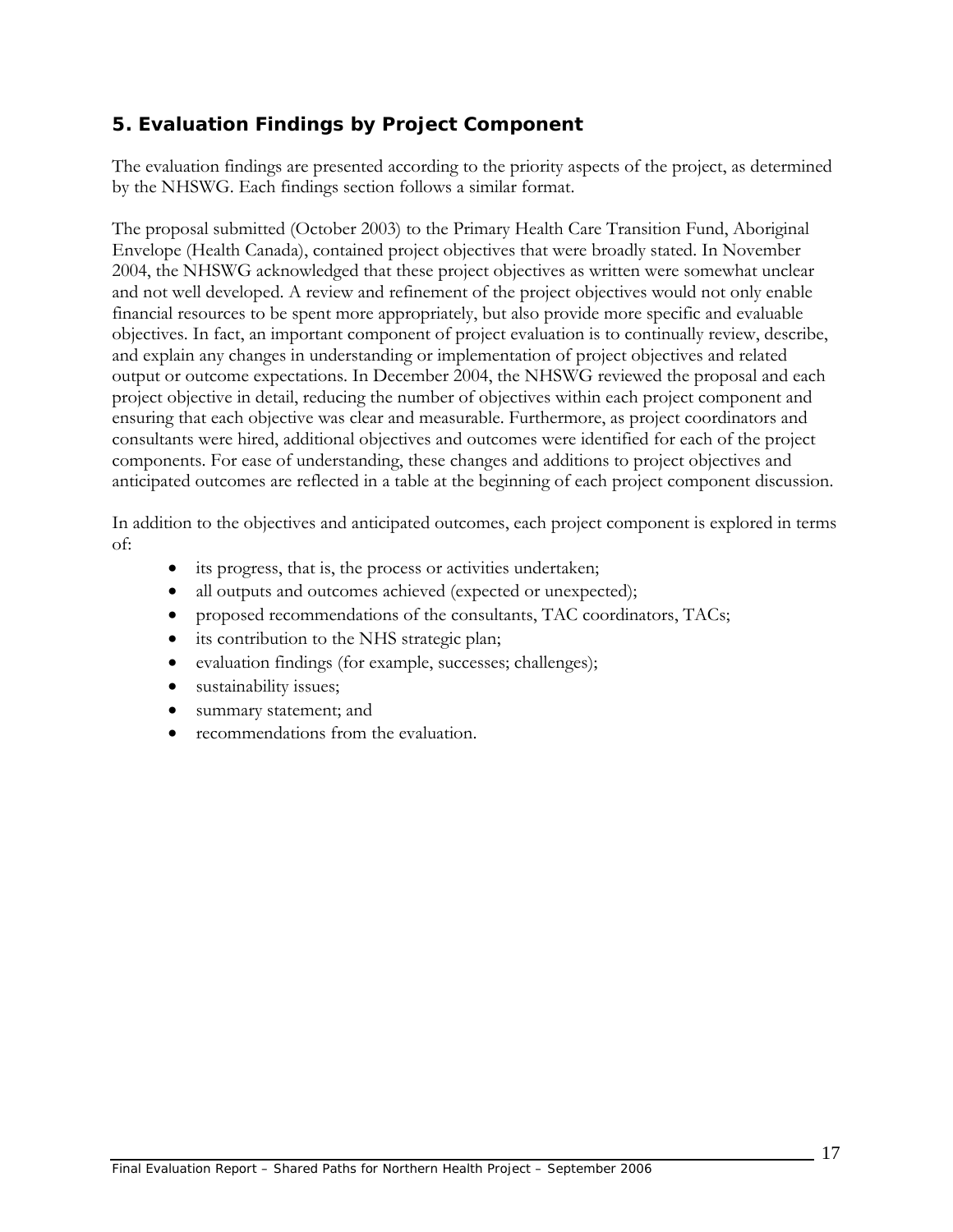## **5. Evaluation Findings by Project Component**

The evaluation findings are presented according to the priority aspects of the project, as determined by the NHSWG. Each findings section follows a similar format.

The proposal submitted (October 2003) to the Primary Health Care Transition Fund, Aboriginal Envelope (Health Canada), contained project objectives that were broadly stated. In November 2004, the NHSWG acknowledged that these project objectives as written were somewhat unclear and not well developed. A review and refinement of the project objectives would not only enable financial resources to be spent more appropriately, but also provide more specific and evaluable objectives. In fact, an important component of project evaluation is to continually review, describe, and explain any changes in understanding or implementation of project objectives and related output or outcome expectations. In December 2004, the NHSWG reviewed the proposal and each project objective in detail, reducing the number of objectives within each project component and ensuring that each objective was clear and measurable. Furthermore, as project coordinators and consultants were hired, additional objectives and outcomes were identified for each of the project components. For ease of understanding, these changes and additions to project objectives and anticipated outcomes are reflected in a table at the beginning of each project component discussion.

In addition to the objectives and anticipated outcomes, each project component is explored in terms of:

- its progress, that is, the process or activities undertaken;
- all outputs and outcomes achieved (expected or unexpected);
- proposed recommendations of the consultants, TAC coordinators, TACs;
- its contribution to the NHS strategic plan;
- evaluation findings (for example, successes; challenges);
- sustainability issues;
- summary statement; and
- recommendations from the evaluation.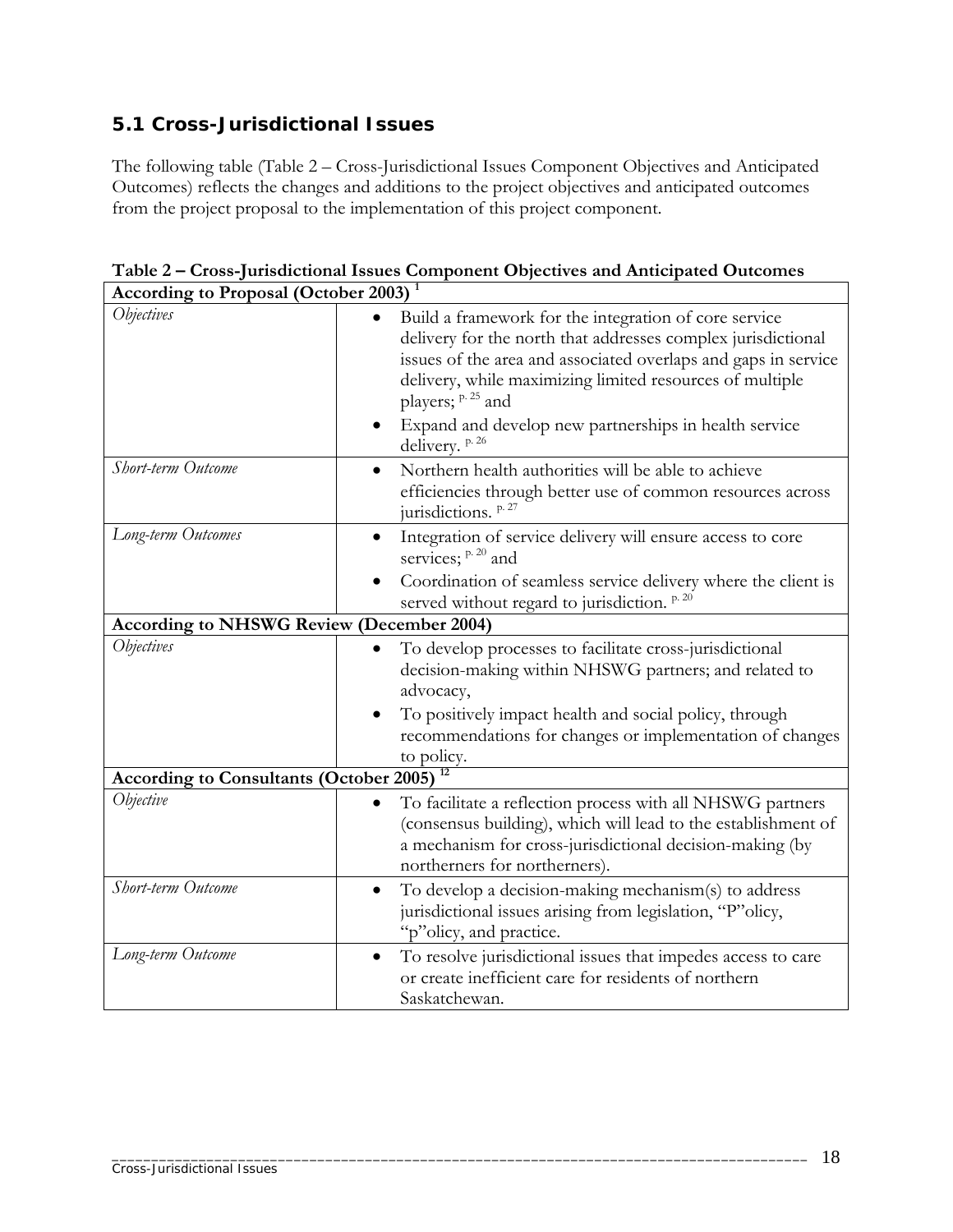## **5.1 Cross-Jurisdictional Issues**

The following table (Table 2 – Cross-Jurisdictional Issues Component Objectives and Anticipated Outcomes) reflects the changes and additions to the project objectives and anticipated outcomes from the project proposal to the implementation of this project component.

| <b>According to Proposal (October 2003)</b> <sup>1</sup> |                                                                                                                                                                                                                                                                                                                                                                                    |  |  |  |  |
|----------------------------------------------------------|------------------------------------------------------------------------------------------------------------------------------------------------------------------------------------------------------------------------------------------------------------------------------------------------------------------------------------------------------------------------------------|--|--|--|--|
| <i><b>Objectives</b></i>                                 | Build a framework for the integration of core service<br>$\bullet$<br>delivery for the north that addresses complex jurisdictional<br>issues of the area and associated overlaps and gaps in service<br>delivery, while maximizing limited resources of multiple<br>players; <sup>p. 25</sup> and<br>Expand and develop new partnerships in health service<br>٠<br>delivery. p. 26 |  |  |  |  |
| Short-term Outcome                                       | Northern health authorities will be able to achieve<br>$\bullet$<br>efficiencies through better use of common resources across<br>jurisdictions. p. 27                                                                                                                                                                                                                             |  |  |  |  |
| Long-term Outcomes                                       | Integration of service delivery will ensure access to core<br>$\bullet$<br>services; <sup>p. 20</sup> and<br>Coordination of seamless service delivery where the client is<br>served without regard to jurisdiction. <sup>p.20</sup>                                                                                                                                               |  |  |  |  |
| <b>According to NHSWG Review (December 2004)</b>         |                                                                                                                                                                                                                                                                                                                                                                                    |  |  |  |  |
| <i><b>Objectives</b></i>                                 | To develop processes to facilitate cross-jurisdictional<br>$\bullet$<br>decision-making within NHSWG partners; and related to<br>advocacy,<br>To positively impact health and social policy, through<br>recommendations for changes or implementation of changes<br>to policy.<br>12                                                                                               |  |  |  |  |
| <b>According to Consultants (October 2005)</b>           |                                                                                                                                                                                                                                                                                                                                                                                    |  |  |  |  |
| Objective                                                | To facilitate a reflection process with all NHSWG partners<br>٠<br>(consensus building), which will lead to the establishment of<br>a mechanism for cross-jurisdictional decision-making (by<br>northerners for northerners).                                                                                                                                                      |  |  |  |  |
| Short-term Outcome                                       | To develop a decision-making mechanism(s) to address<br>$\bullet$<br>jurisdictional issues arising from legislation, "P"olicy,<br>"p"olicy, and practice.                                                                                                                                                                                                                          |  |  |  |  |
| Long-term Outcome                                        | To resolve jurisdictional issues that impedes access to care<br>$\bullet$<br>or create inefficient care for residents of northern<br>Saskatchewan.                                                                                                                                                                                                                                 |  |  |  |  |

**Table 2 – Cross-Jurisdictional Issues Component Objectives and Anticipated Outcomes**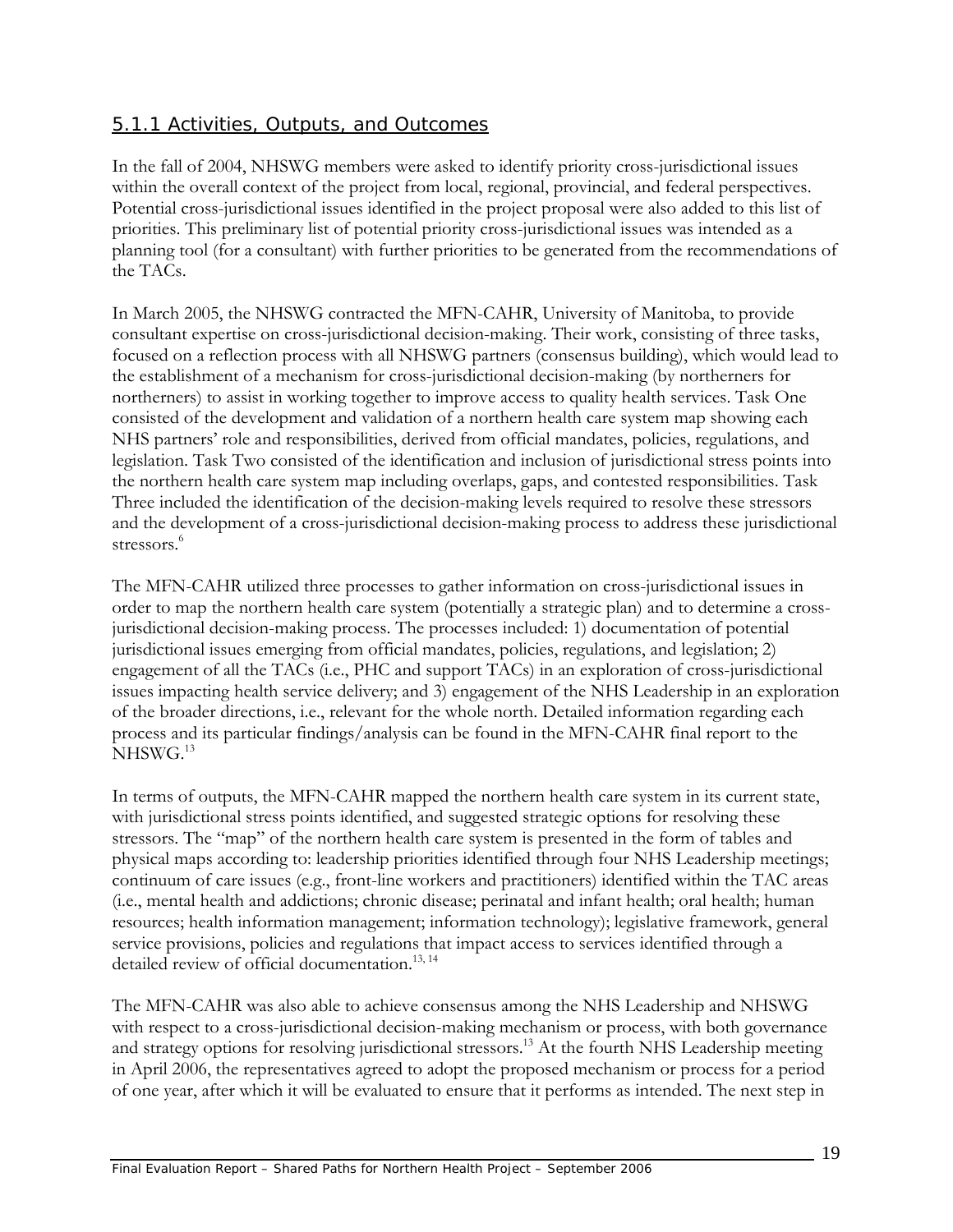## 5.1.1 Activities, Outputs, and Outcomes

In the fall of 2004, NHSWG members were asked to identify priority cross-jurisdictional issues within the overall context of the project from local, regional, provincial, and federal perspectives. Potential cross-jurisdictional issues identified in the project proposal were also added to this list of priorities. This preliminary list of potential priority cross-jurisdictional issues was intended as a planning tool (for a consultant) with further priorities to be generated from the recommendations of the TACs.

In March 2005, the NHSWG contracted the MFN-CAHR, University of Manitoba, to provide consultant expertise on cross-jurisdictional decision-making. Their work, consisting of three tasks, focused on a reflection process with all NHSWG partners (consensus building), which would lead to the establishment of a mechanism for cross-jurisdictional decision-making (by northerners for northerners) to assist in working together to improve access to quality health services. Task One consisted of the development and validation of a northern health care system map showing each NHS partners' role and responsibilities, derived from official mandates, policies, regulations, and legislation. Task Two consisted of the identification and inclusion of jurisdictional stress points into the northern health care system map including overlaps, gaps, and contested responsibilities. Task Three included the identification of the decision-making levels required to resolve these stressors and the development of a cross-jurisdictional decision-making process to address these jurisdictional stressors.<sup>6</sup>

The MFN-CAHR utilized three processes to gather information on cross-jurisdictional issues in order to map the northern health care system (potentially a strategic plan) and to determine a crossjurisdictional decision-making process. The processes included: 1) documentation of potential jurisdictional issues emerging from official mandates, policies, regulations, and legislation; 2) engagement of all the TACs (i.e., PHC and support TACs) in an exploration of cross-jurisdictional issues impacting health service delivery; and 3) engagement of the NHS Leadership in an exploration of the broader directions, i.e., relevant for the whole north. Detailed information regarding each process and its particular findings/analysis can be found in the MFN-CAHR final report to the NHSWG.<sup>13</sup>

In terms of outputs, the MFN-CAHR mapped the northern health care system in its current state, with jurisdictional stress points identified, and suggested strategic options for resolving these stressors. The "map" of the northern health care system is presented in the form of tables and physical maps according to: leadership priorities identified through four NHS Leadership meetings; continuum of care issues (e.g., front-line workers and practitioners) identified within the TAC areas (i.e., mental health and addictions; chronic disease; perinatal and infant health; oral health; human resources; health information management; information technology); legislative framework, general service provisions, policies and regulations that impact access to services identified through a detailed review of official documentation.<sup>13,14</sup>

The MFN-CAHR was also able to achieve consensus among the NHS Leadership and NHSWG with respect to a cross-jurisdictional decision-making mechanism or process, with both governance and strategy options for resolving jurisdictional stressors.<sup>13</sup> At the fourth NHS Leadership meeting in April 2006, the representatives agreed to adopt the proposed mechanism or process for a period of one year, after which it will be evaluated to ensure that it performs as intended. The next step in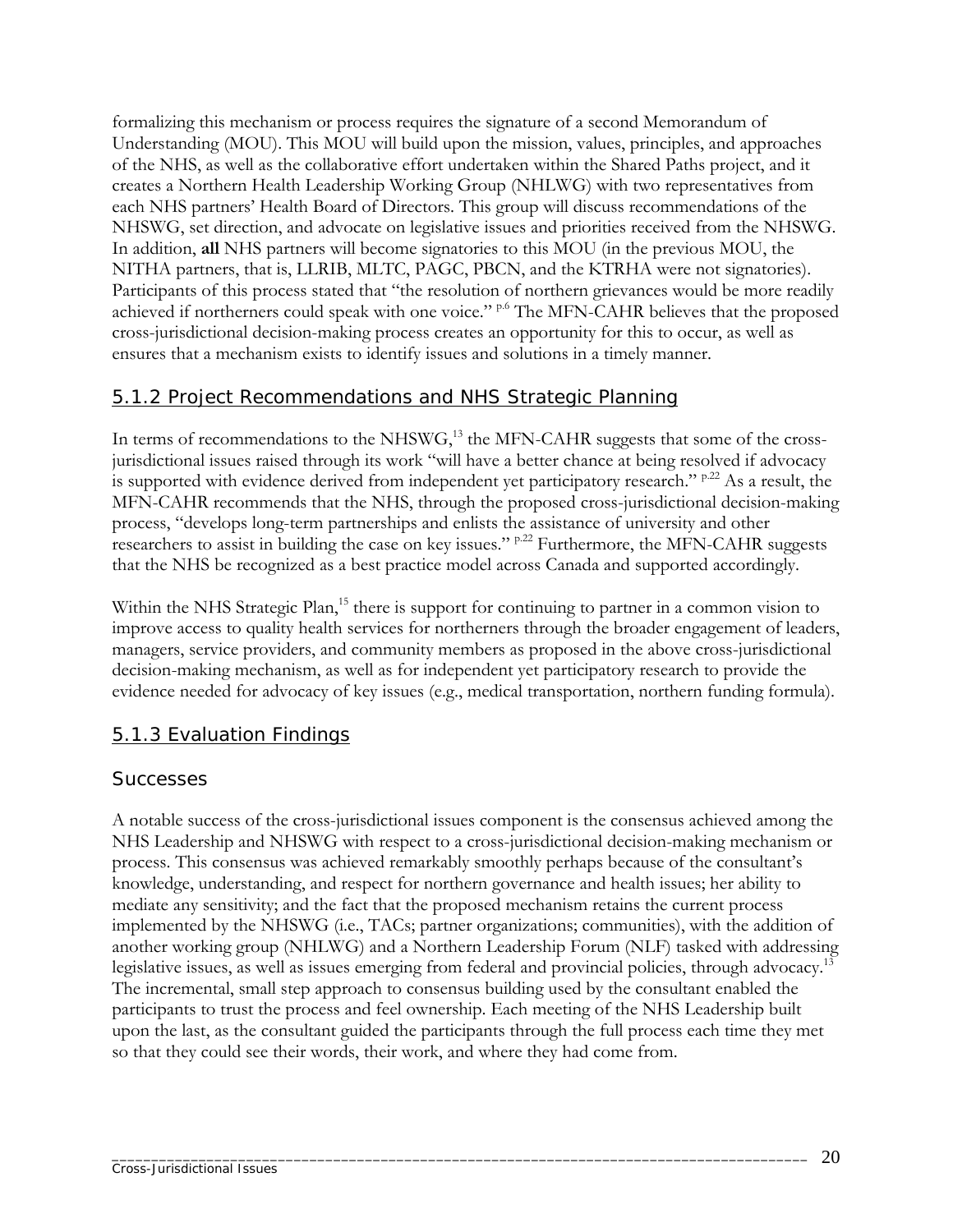formalizing this mechanism or process requires the signature of a second Memorandum of Understanding (MOU). This MOU will build upon the mission, values, principles, and approaches of the NHS, as well as the collaborative effort undertaken within the Shared Paths project, and it creates a Northern Health Leadership Working Group (NHLWG) with two representatives from each NHS partners' Health Board of Directors. This group will discuss recommendations of the NHSWG, set direction, and advocate on legislative issues and priorities received from the NHSWG. In addition, **all** NHS partners will become signatories to this MOU (in the previous MOU, the NITHA partners, that is, LLRIB, MLTC, PAGC, PBCN, and the KTRHA were not signatories). Participants of this process stated that "the resolution of northern grievances would be more readily achieved if northerners could speak with one voice." <sup>p.6</sup> The MFN-CAHR believes that the proposed cross-jurisdictional decision-making process creates an opportunity for this to occur, as well as ensures that a mechanism exists to identify issues and solutions in a timely manner.

### 5.1.2 Project Recommendations and NHS Strategic Planning

In terms of recommendations to the NHSW $G<sub>13</sub>$  the MFN-CAHR suggests that some of the crossjurisdictional issues raised through its work "will have a better chance at being resolved if advocacy is supported with evidence derived from independent yet participatory research."  $P^{22}$  As a result, the MFN-CAHR recommends that the NHS, through the proposed cross-jurisdictional decision-making process, "develops long-term partnerships and enlists the assistance of university and other researchers to assist in building the case on key issues."  $P^{22}$  Furthermore, the MFN-CAHR suggests that the NHS be recognized as a best practice model across Canada and supported accordingly.

Within the NHS Strategic Plan,<sup>15</sup> there is support for continuing to partner in a common vision to improve access to quality health services for northerners through the broader engagement of leaders, managers, service providers, and community members as proposed in the above cross-jurisdictional decision-making mechanism, as well as for independent yet participatory research to provide the evidence needed for advocacy of key issues (e.g., medical transportation, northern funding formula).

#### 5.1.3 Evaluation Findings

#### *Successes*

A notable success of the cross-jurisdictional issues component is the consensus achieved among the NHS Leadership and NHSWG with respect to a cross-jurisdictional decision-making mechanism or process. This consensus was achieved remarkably smoothly perhaps because of the consultant's knowledge, understanding, and respect for northern governance and health issues; her ability to mediate any sensitivity; and the fact that the proposed mechanism retains the current process implemented by the NHSWG (i.e., TACs; partner organizations; communities), with the addition of another working group (NHLWG) and a Northern Leadership Forum (NLF) tasked with addressing legislative issues, as well as issues emerging from federal and provincial policies, through advocacy.<sup>13</sup> The incremental, small step approach to consensus building used by the consultant enabled the participants to trust the process and feel ownership. Each meeting of the NHS Leadership built upon the last, as the consultant guided the participants through the full process each time they met so that they could see their words, their work, and where they had come from.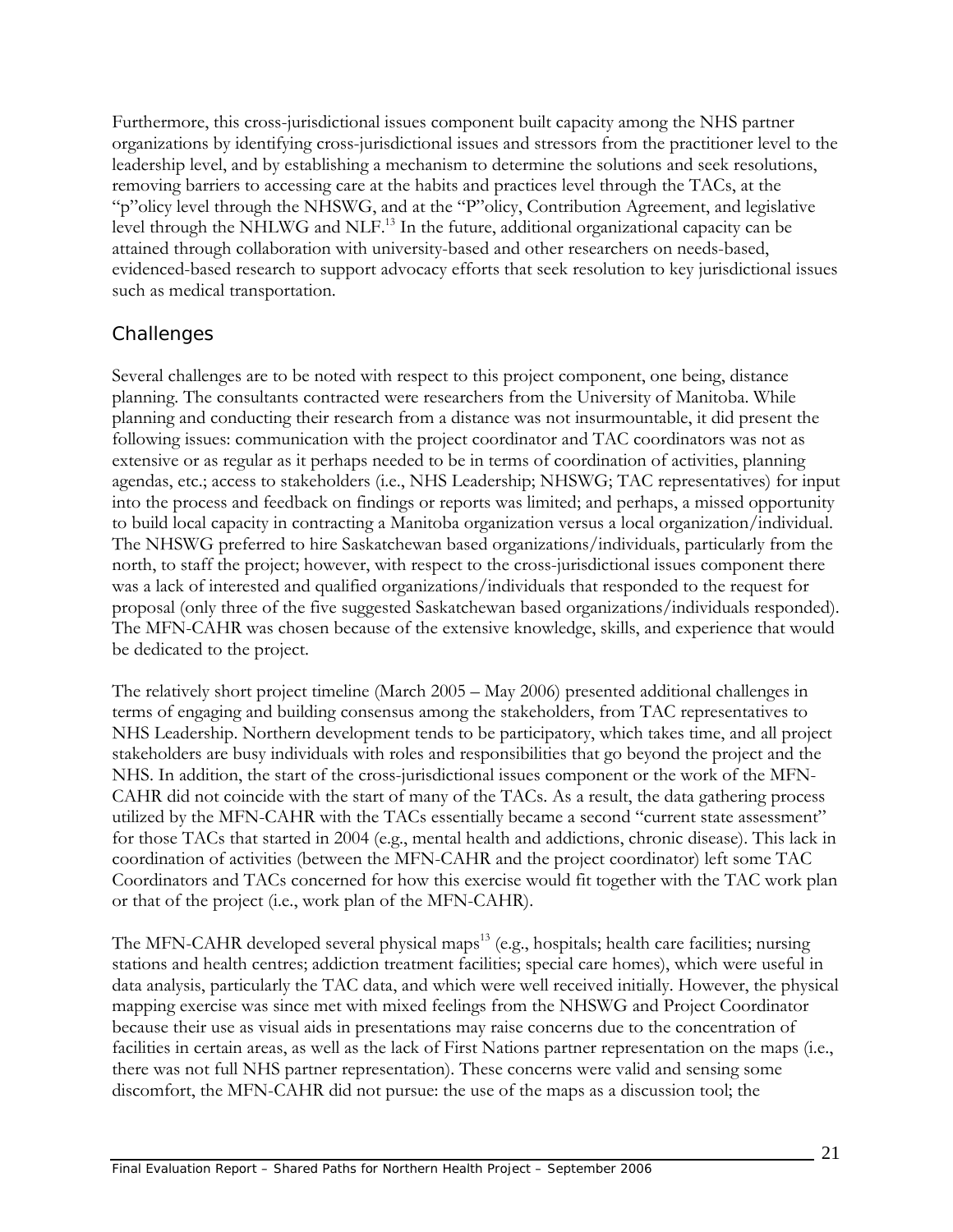Furthermore, this cross-jurisdictional issues component built capacity among the NHS partner organizations by identifying cross-jurisdictional issues and stressors from the practitioner level to the leadership level, and by establishing a mechanism to determine the solutions and seek resolutions, removing barriers to accessing care at the habits and practices level through the TACs, at the "p"olicy level through the NHSWG, and at the "P"olicy, Contribution Agreement, and legislative level through the NHLWG and NLF.<sup>13</sup> In the future, additional organizational capacity can be attained through collaboration with university-based and other researchers on needs-based, evidenced-based research to support advocacy efforts that seek resolution to key jurisdictional issues such as medical transportation.

### *Challenges*

Several challenges are to be noted with respect to this project component, one being, distance planning. The consultants contracted were researchers from the University of Manitoba. While planning and conducting their research from a distance was not insurmountable, it did present the following issues: communication with the project coordinator and TAC coordinators was not as extensive or as regular as it perhaps needed to be in terms of coordination of activities, planning agendas, etc.; access to stakeholders (i.e., NHS Leadership; NHSWG; TAC representatives) for input into the process and feedback on findings or reports was limited; and perhaps, a missed opportunity to build local capacity in contracting a Manitoba organization versus a local organization/individual. The NHSWG preferred to hire Saskatchewan based organizations/individuals, particularly from the north, to staff the project; however, with respect to the cross-jurisdictional issues component there was a lack of interested and qualified organizations/individuals that responded to the request for proposal (only three of the five suggested Saskatchewan based organizations/individuals responded). The MFN-CAHR was chosen because of the extensive knowledge, skills, and experience that would be dedicated to the project.

The relatively short project timeline (March 2005 – May 2006) presented additional challenges in terms of engaging and building consensus among the stakeholders, from TAC representatives to NHS Leadership. Northern development tends to be participatory, which takes time, and all project stakeholders are busy individuals with roles and responsibilities that go beyond the project and the NHS. In addition, the start of the cross-jurisdictional issues component or the work of the MFN-CAHR did not coincide with the start of many of the TACs. As a result, the data gathering process utilized by the MFN-CAHR with the TACs essentially became a second "current state assessment" for those TACs that started in 2004 (e.g., mental health and addictions, chronic disease). This lack in coordination of activities (between the MFN-CAHR and the project coordinator) left some TAC Coordinators and TACs concerned for how this exercise would fit together with the TAC work plan or that of the project (i.e., work plan of the MFN-CAHR).

The MFN-CAHR developed several physical maps<sup>13</sup> (e.g., hospitals; health care facilities; nursing stations and health centres; addiction treatment facilities; special care homes), which were useful in data analysis, particularly the TAC data, and which were well received initially. However, the physical mapping exercise was since met with mixed feelings from the NHSWG and Project Coordinator because their use as visual aids in presentations may raise concerns due to the concentration of facilities in certain areas, as well as the lack of First Nations partner representation on the maps (i.e., there was not full NHS partner representation). These concerns were valid and sensing some discomfort, the MFN-CAHR did not pursue: the use of the maps as a discussion tool; the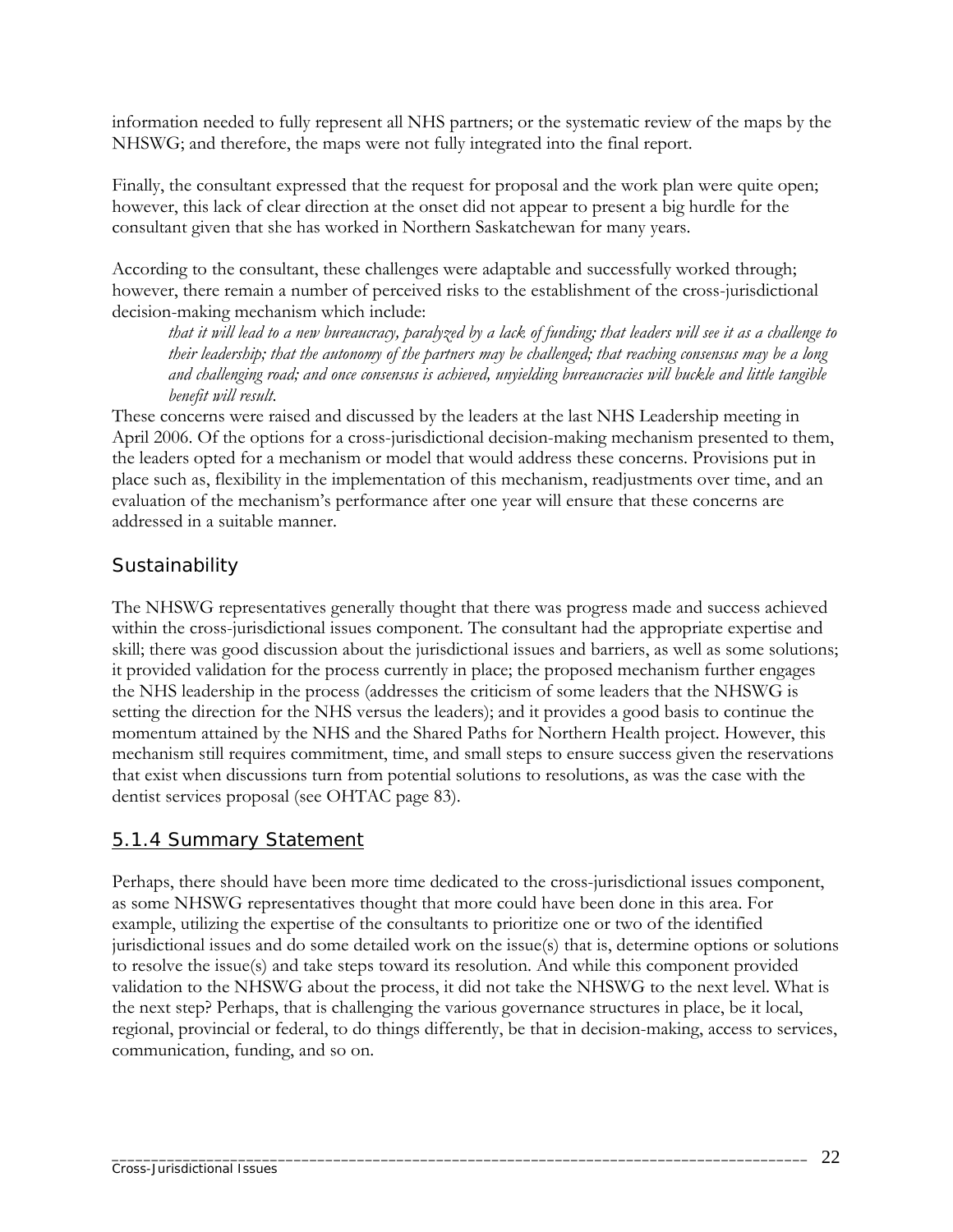information needed to fully represent all NHS partners; or the systematic review of the maps by the NHSWG; and therefore, the maps were not fully integrated into the final report.

Finally, the consultant expressed that the request for proposal and the work plan were quite open; however, this lack of clear direction at the onset did not appear to present a big hurdle for the consultant given that she has worked in Northern Saskatchewan for many years.

According to the consultant, these challenges were adaptable and successfully worked through; however, there remain a number of perceived risks to the establishment of the cross-jurisdictional decision-making mechanism which include:

*that it will lead to a new bureaucracy, paralyzed by a lack of funding; that leaders will see it as a challenge to their leadership; that the autonomy of the partners may be challenged; that reaching consensus may be a long and challenging road; and once consensus is achieved, unyielding bureaucracies will buckle and little tangible benefit will result*.

These concerns were raised and discussed by the leaders at the last NHS Leadership meeting in April 2006. Of the options for a cross-jurisdictional decision-making mechanism presented to them, the leaders opted for a mechanism or model that would address these concerns. Provisions put in place such as, flexibility in the implementation of this mechanism, readjustments over time, and an evaluation of the mechanism's performance after one year will ensure that these concerns are addressed in a suitable manner.

## *Sustainability*

The NHSWG representatives generally thought that there was progress made and success achieved within the cross-jurisdictional issues component. The consultant had the appropriate expertise and skill; there was good discussion about the jurisdictional issues and barriers, as well as some solutions; it provided validation for the process currently in place; the proposed mechanism further engages the NHS leadership in the process (addresses the criticism of some leaders that the NHSWG is setting the direction for the NHS versus the leaders); and it provides a good basis to continue the momentum attained by the NHS and the Shared Paths for Northern Health project. However, this mechanism still requires commitment, time, and small steps to ensure success given the reservations that exist when discussions turn from potential solutions to resolutions, as was the case with the dentist services proposal (see OHTAC page 83).

### 5.1.4 Summary Statement

Perhaps, there should have been more time dedicated to the cross-jurisdictional issues component, as some NHSWG representatives thought that more could have been done in this area. For example, utilizing the expertise of the consultants to prioritize one or two of the identified jurisdictional issues and do some detailed work on the issue(s) that is, determine options or solutions to resolve the issue(s) and take steps toward its resolution. And while this component provided validation to the NHSWG about the process, it did not take the NHSWG to the next level. What is the next step? Perhaps, that is challenging the various governance structures in place, be it local, regional, provincial or federal, to do things differently, be that in decision-making, access to services, communication, funding, and so on.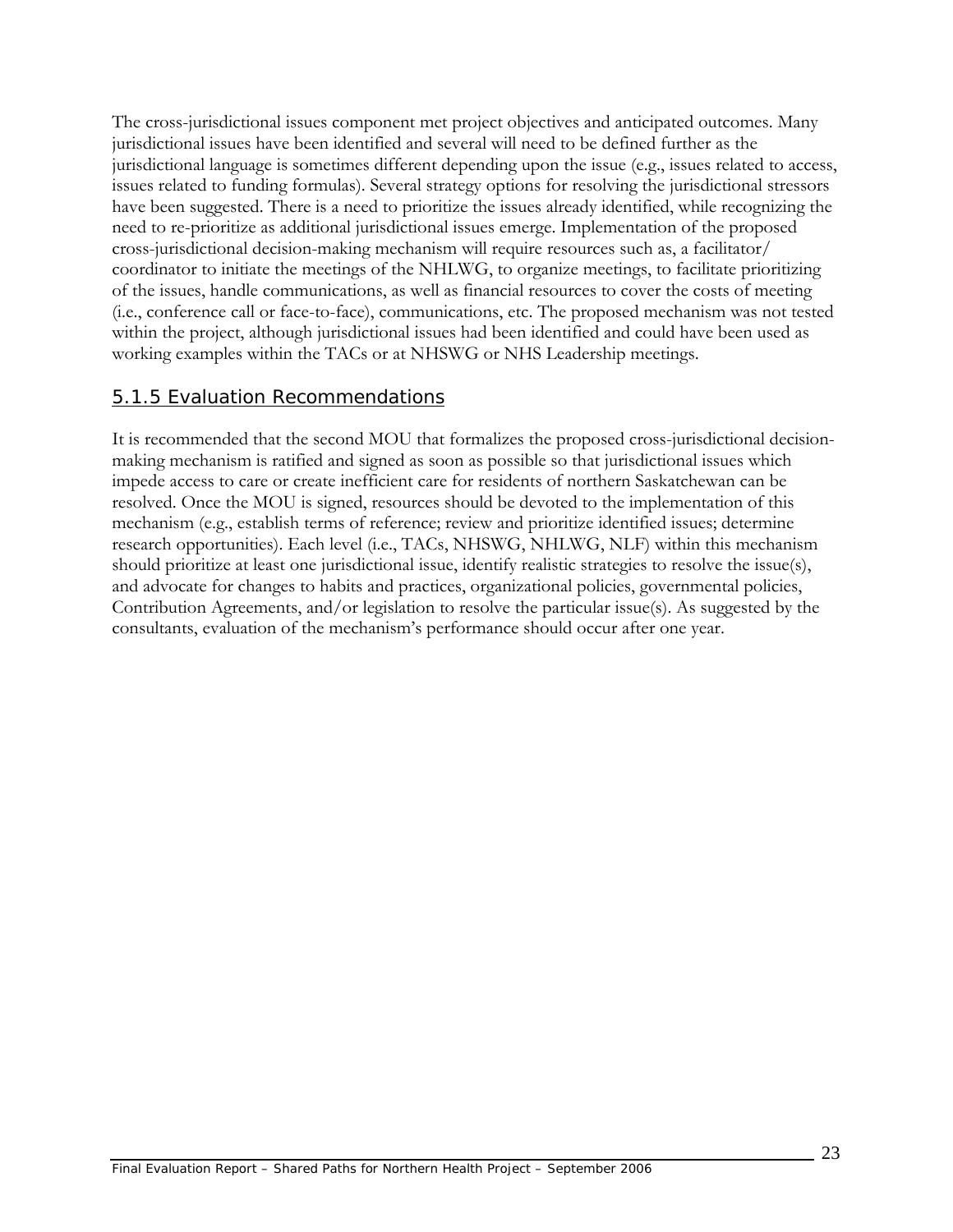The cross-jurisdictional issues component met project objectives and anticipated outcomes. Many jurisdictional issues have been identified and several will need to be defined further as the jurisdictional language is sometimes different depending upon the issue (e.g., issues related to access, issues related to funding formulas). Several strategy options for resolving the jurisdictional stressors have been suggested. There is a need to prioritize the issues already identified, while recognizing the need to re-prioritize as additional jurisdictional issues emerge. Implementation of the proposed cross-jurisdictional decision-making mechanism will require resources such as, a facilitator/ coordinator to initiate the meetings of the NHLWG, to organize meetings, to facilitate prioritizing of the issues, handle communications, as well as financial resources to cover the costs of meeting (i.e., conference call or face-to-face), communications, etc. The proposed mechanism was not tested within the project, although jurisdictional issues had been identified and could have been used as working examples within the TACs or at NHSWG or NHS Leadership meetings.

#### 5.1.5 Evaluation Recommendations

It is recommended that the second MOU that formalizes the proposed cross-jurisdictional decisionmaking mechanism is ratified and signed as soon as possible so that jurisdictional issues which impede access to care or create inefficient care for residents of northern Saskatchewan can be resolved. Once the MOU is signed, resources should be devoted to the implementation of this mechanism (e.g., establish terms of reference; review and prioritize identified issues; determine research opportunities). Each level (i.e., TACs, NHSWG, NHLWG, NLF) within this mechanism should prioritize at least one jurisdictional issue, identify realistic strategies to resolve the issue(s), and advocate for changes to habits and practices, organizational policies, governmental policies, Contribution Agreements, and/or legislation to resolve the particular issue(s). As suggested by the consultants, evaluation of the mechanism's performance should occur after one year.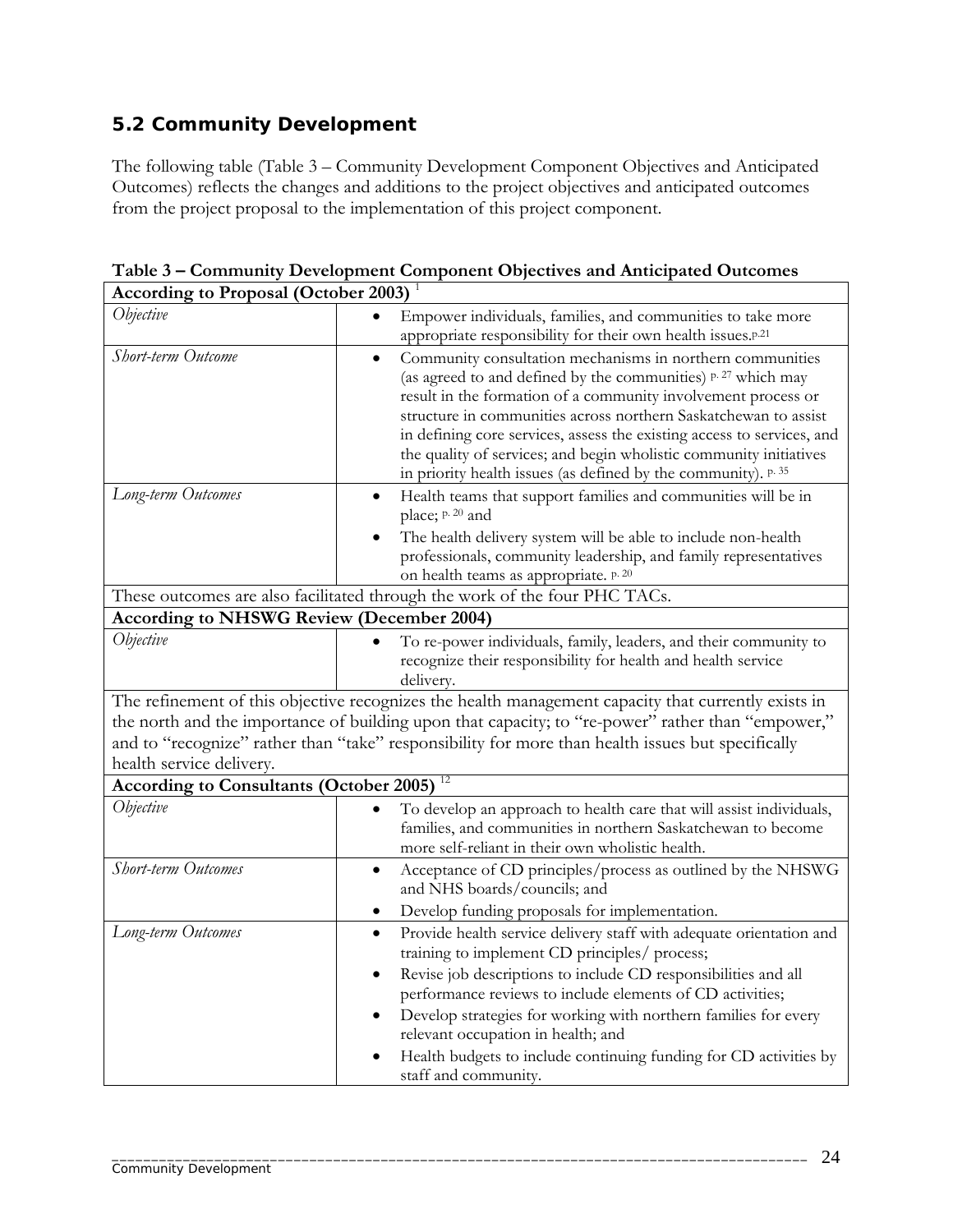# **5.2 Community Development**

The following table (Table 3 – Community Development Component Objectives and Anticipated Outcomes) reflects the changes and additions to the project objectives and anticipated outcomes from the project proposal to the implementation of this project component.

| <b>According to Proposal (October 2003)</b>                                                                                    |                                                                                                                                                                                                                                                                                                                                                                                                                                                                                               |  |
|--------------------------------------------------------------------------------------------------------------------------------|-----------------------------------------------------------------------------------------------------------------------------------------------------------------------------------------------------------------------------------------------------------------------------------------------------------------------------------------------------------------------------------------------------------------------------------------------------------------------------------------------|--|
| Objective                                                                                                                      | Empower individuals, families, and communities to take more<br>appropriate responsibility for their own health issues. <sup>p.21</sup>                                                                                                                                                                                                                                                                                                                                                        |  |
| Short-term Outcome                                                                                                             | Community consultation mechanisms in northern communities<br>$\bullet$<br>(as agreed to and defined by the communities) p. 27 which may<br>result in the formation of a community involvement process or<br>structure in communities across northern Saskatchewan to assist<br>in defining core services, assess the existing access to services, and<br>the quality of services; and begin wholistic community initiatives<br>in priority health issues (as defined by the community). p. 35 |  |
| Long-term Outcomes                                                                                                             | Health teams that support families and communities will be in<br>$\bullet$<br>place; p. 20 and<br>The health delivery system will be able to include non-health<br>professionals, community leadership, and family representatives<br>on health teams as appropriate. p. 20                                                                                                                                                                                                                   |  |
| These outcomes are also facilitated through the work of the four PHC TACs.<br><b>According to NHSWG Review (December 2004)</b> |                                                                                                                                                                                                                                                                                                                                                                                                                                                                                               |  |
| Objective                                                                                                                      | To re-power individuals, family, leaders, and their community to                                                                                                                                                                                                                                                                                                                                                                                                                              |  |
|                                                                                                                                | recognize their responsibility for health and health service<br>delivery.                                                                                                                                                                                                                                                                                                                                                                                                                     |  |
| health service delivery.                                                                                                       | The refinement of this objective recognizes the health management capacity that currently exists in<br>the north and the importance of building upon that capacity; to "re-power" rather than "empower,"<br>and to "recognize" rather than "take" responsibility for more than health issues but specifically                                                                                                                                                                                 |  |
| <b>According to Consultants (October 2005)</b>                                                                                 | 12                                                                                                                                                                                                                                                                                                                                                                                                                                                                                            |  |
| Objective                                                                                                                      | To develop an approach to health care that will assist individuals,<br>families, and communities in northern Saskatchewan to become<br>more self-reliant in their own wholistic health.                                                                                                                                                                                                                                                                                                       |  |
| Short-term Outcomes                                                                                                            | Acceptance of CD principles/process as outlined by the NHSWG<br>$\bullet$<br>and NHS boards/councils; and<br>Develop funding proposals for implementation.<br>$\bullet$                                                                                                                                                                                                                                                                                                                       |  |
| Long-term Outcomes                                                                                                             | Provide health service delivery staff with adequate orientation and<br>$\bullet$<br>training to implement CD principles/ process;<br>Revise job descriptions to include CD responsibilities and all<br>$\bullet$<br>performance reviews to include elements of CD activities;<br>Develop strategies for working with northern families for every<br>٠<br>relevant occupation in health; and<br>Health budgets to include continuing funding for CD activities by<br>staff and community.      |  |

**Table 3 – Community Development Component Objectives and Anticipated Outcomes**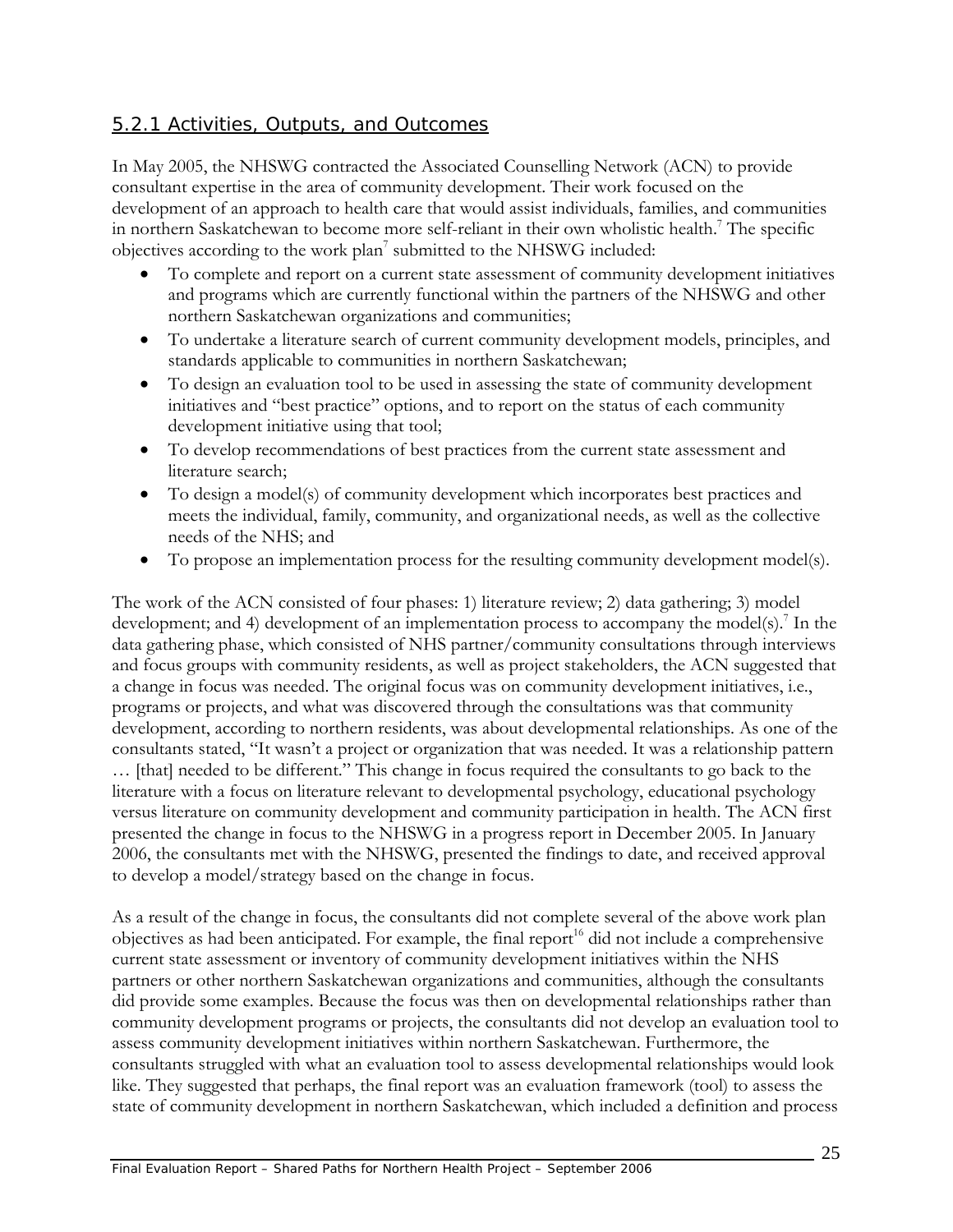## 5.2.1 Activities, Outputs, and Outcomes

In May 2005, the NHSWG contracted the Associated Counselling Network (ACN) to provide consultant expertise in the area of community development. Their work focused on the development of an approach to health care that would assist individuals, families, and communities in northern Saskatchewan to become more self-reliant in their own wholistic health.<sup>7</sup> The specific objectives according to the work plan<sup>7</sup> submitted to the NHSWG included:

- To complete and report on a current state assessment of community development initiatives and programs which are currently functional within the partners of the NHSWG and other northern Saskatchewan organizations and communities;
- To undertake a literature search of current community development models, principles, and standards applicable to communities in northern Saskatchewan;
- To design an evaluation tool to be used in assessing the state of community development initiatives and "best practice" options, and to report on the status of each community development initiative using that tool;
- To develop recommendations of best practices from the current state assessment and literature search;
- To design a model(s) of community development which incorporates best practices and meets the individual, family, community, and organizational needs, as well as the collective needs of the NHS; and
- To propose an implementation process for the resulting community development model(s).

The work of the ACN consisted of four phases: 1) literature review; 2) data gathering; 3) model development; and 4) development of an implementation process to accompany the model(s).<sup>7</sup> In the data gathering phase, which consisted of NHS partner/community consultations through interviews and focus groups with community residents, as well as project stakeholders, the ACN suggested that a change in focus was needed. The original focus was on community development initiatives, i.e., programs or projects, and what was discovered through the consultations was that community development, according to northern residents, was about developmental relationships. As one of the consultants stated, "It wasn't a project or organization that was needed. It was a relationship pattern … [that] needed to be different." This change in focus required the consultants to go back to the literature with a focus on literature relevant to developmental psychology, educational psychology versus literature on community development and community participation in health. The ACN first presented the change in focus to the NHSWG in a progress report in December 2005. In January 2006, the consultants met with the NHSWG, presented the findings to date, and received approval to develop a model/strategy based on the change in focus.

As a result of the change in focus, the consultants did not complete several of the above work plan objectives as had been anticipated. For example, the final report<sup>16</sup> did not include a comprehensive current state assessment or inventory of community development initiatives within the NHS partners or other northern Saskatchewan organizations and communities, although the consultants did provide some examples. Because the focus was then on developmental relationships rather than community development programs or projects, the consultants did not develop an evaluation tool to assess community development initiatives within northern Saskatchewan. Furthermore, the consultants struggled with what an evaluation tool to assess developmental relationships would look like. They suggested that perhaps, the final report was an evaluation framework (tool) to assess the state of community development in northern Saskatchewan, which included a definition and process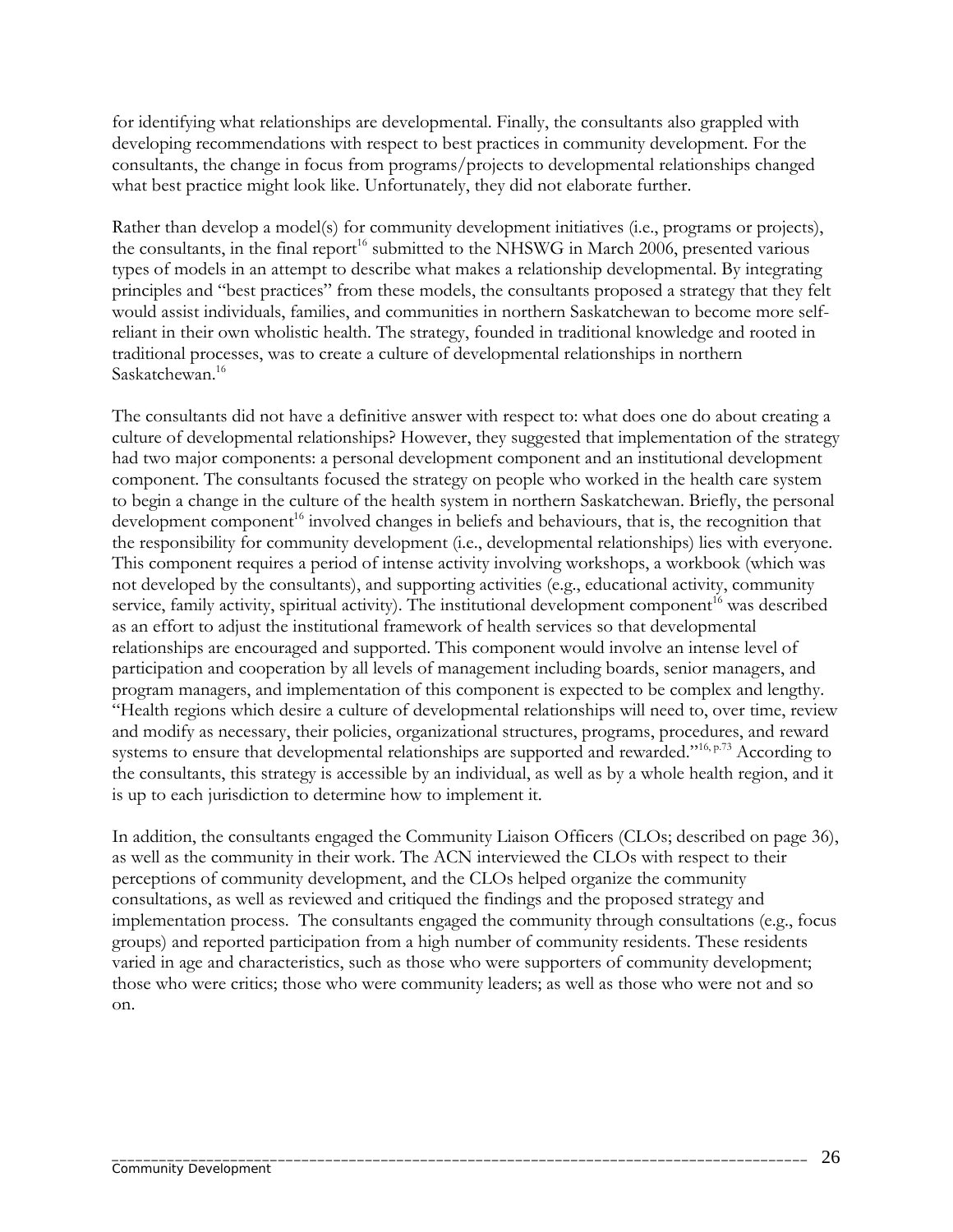for identifying what relationships are developmental. Finally, the consultants also grappled with developing recommendations with respect to best practices in community development. For the consultants, the change in focus from programs/projects to developmental relationships changed what best practice might look like. Unfortunately, they did not elaborate further.

Rather than develop a model(s) for community development initiatives (i.e., programs or projects), the consultants, in the final report<sup>16</sup> submitted to the NHSWG in March 2006, presented various types of models in an attempt to describe what makes a relationship developmental. By integrating principles and "best practices" from these models, the consultants proposed a strategy that they felt would assist individuals, families, and communities in northern Saskatchewan to become more selfreliant in their own wholistic health. The strategy, founded in traditional knowledge and rooted in traditional processes, was to create a culture of developmental relationships in northern Saskatchewan.16

The consultants did not have a definitive answer with respect to: what does one do about creating a culture of developmental relationships? However, they suggested that implementation of the strategy had two major components: a personal development component and an institutional development component. The consultants focused the strategy on people who worked in the health care system to begin a change in the culture of the health system in northern Saskatchewan. Briefly, the personal development component<sup>16</sup> involved changes in beliefs and behaviours, that is, the recognition that the responsibility for community development (i.e., developmental relationships) lies with everyone. This component requires a period of intense activity involving workshops, a workbook (which was not developed by the consultants), and supporting activities (e.g., educational activity, community service, family activity, spiritual activity). The institutional development component<sup>16</sup> was described as an effort to adjust the institutional framework of health services so that developmental relationships are encouraged and supported. This component would involve an intense level of participation and cooperation by all levels of management including boards, senior managers, and program managers, and implementation of this component is expected to be complex and lengthy. "Health regions which desire a culture of developmental relationships will need to, over time, review and modify as necessary, their policies, organizational structures, programs, procedures, and reward systems to ensure that developmental relationships are supported and rewarded."<sup>16, p.73</sup> According to the consultants, this strategy is accessible by an individual, as well as by a whole health region, and it is up to each jurisdiction to determine how to implement it.

In addition, the consultants engaged the Community Liaison Officers (CLOs; described on page 36), as well as the community in their work. The ACN interviewed the CLOs with respect to their perceptions of community development, and the CLOs helped organize the community consultations, as well as reviewed and critiqued the findings and the proposed strategy and implementation process. The consultants engaged the community through consultations (e.g., focus groups) and reported participation from a high number of community residents. These residents varied in age and characteristics, such as those who were supporters of community development; those who were critics; those who were community leaders; as well as those who were not and so on.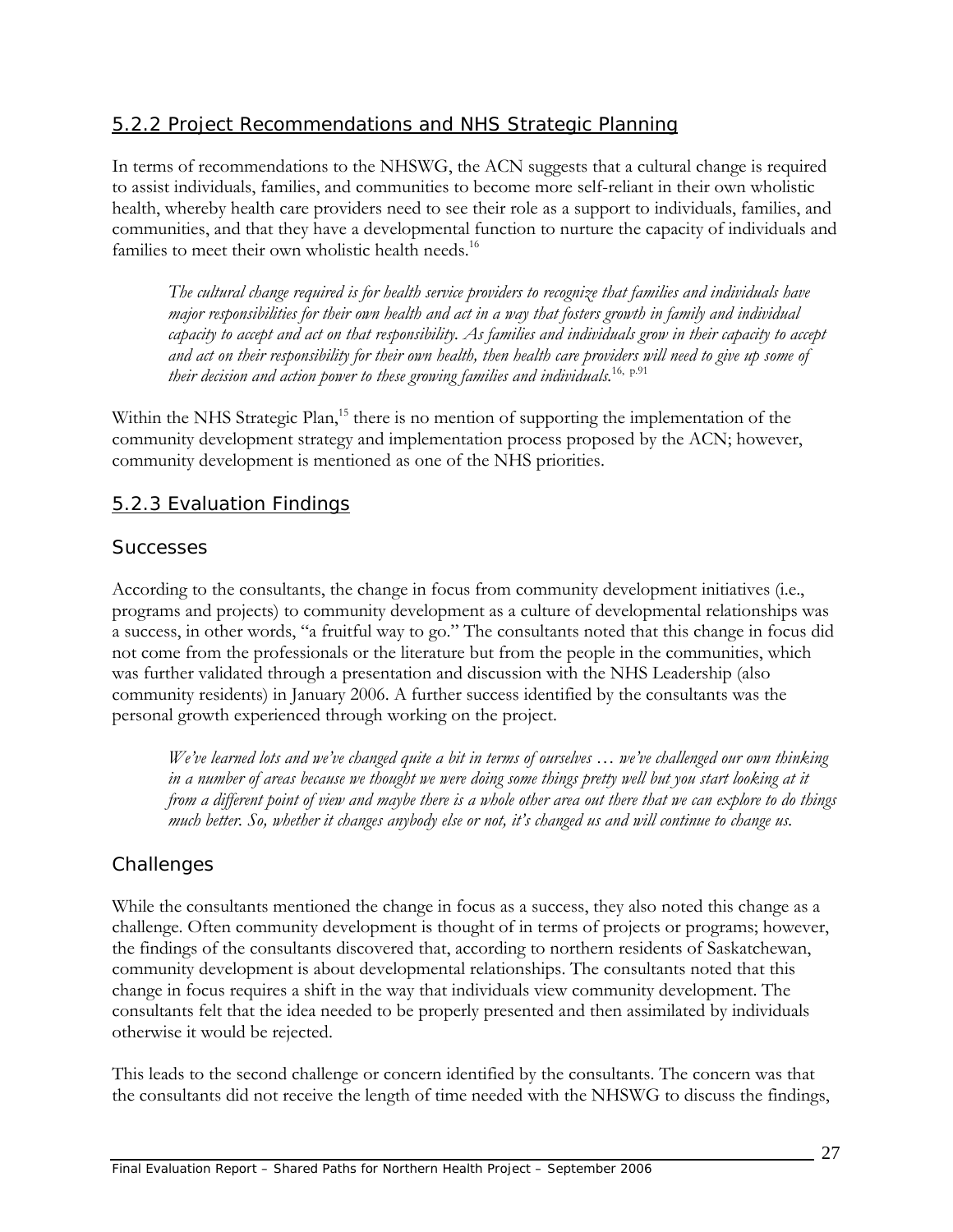## 5.2.2 Project Recommendations and NHS Strategic Planning

In terms of recommendations to the NHSWG, the ACN suggests that a cultural change is required to assist individuals, families, and communities to become more self-reliant in their own wholistic health, whereby health care providers need to see their role as a support to individuals, families, and communities, and that they have a developmental function to nurture the capacity of individuals and families to meet their own wholistic health needs.<sup>16</sup>

*The cultural change required is for health service providers to recognize that families and individuals have major responsibilities for their own health and act in a way that fosters growth in family and individual capacity to accept and act on that responsibility. As families and individuals grow in their capacity to accept and act on their responsibility for their own health, then health care providers will need to give up some of their decision and action power to these growing families and individuals.*16, p.91

Within the NHS Strategic Plan,<sup>15</sup> there is no mention of supporting the implementation of the community development strategy and implementation process proposed by the ACN; however, community development is mentioned as one of the NHS priorities.

#### 5.2.3 Evaluation Findings

#### *Successes*

According to the consultants, the change in focus from community development initiatives (i.e., programs and projects) to community development as a culture of developmental relationships was a success, in other words, "a fruitful way to go." The consultants noted that this change in focus did not come from the professionals or the literature but from the people in the communities, which was further validated through a presentation and discussion with the NHS Leadership (also community residents) in January 2006. A further success identified by the consultants was the personal growth experienced through working on the project.

*We've learned lots and we've changed quite a bit in terms of ourselves … we've challenged our own thinking*  in a number of areas because we thought we were doing some things pretty well but you start looking at it *from a different point of view and maybe there is a whole other area out there that we can explore to do things much better. So, whether it changes anybody else or not, it's changed us and will continue to change us.* 

### *Challenges*

While the consultants mentioned the change in focus as a success, they also noted this change as a challenge. Often community development is thought of in terms of projects or programs; however, the findings of the consultants discovered that, according to northern residents of Saskatchewan, community development is about developmental relationships. The consultants noted that this change in focus requires a shift in the way that individuals view community development. The consultants felt that the idea needed to be properly presented and then assimilated by individuals otherwise it would be rejected.

This leads to the second challenge or concern identified by the consultants. The concern was that the consultants did not receive the length of time needed with the NHSWG to discuss the findings,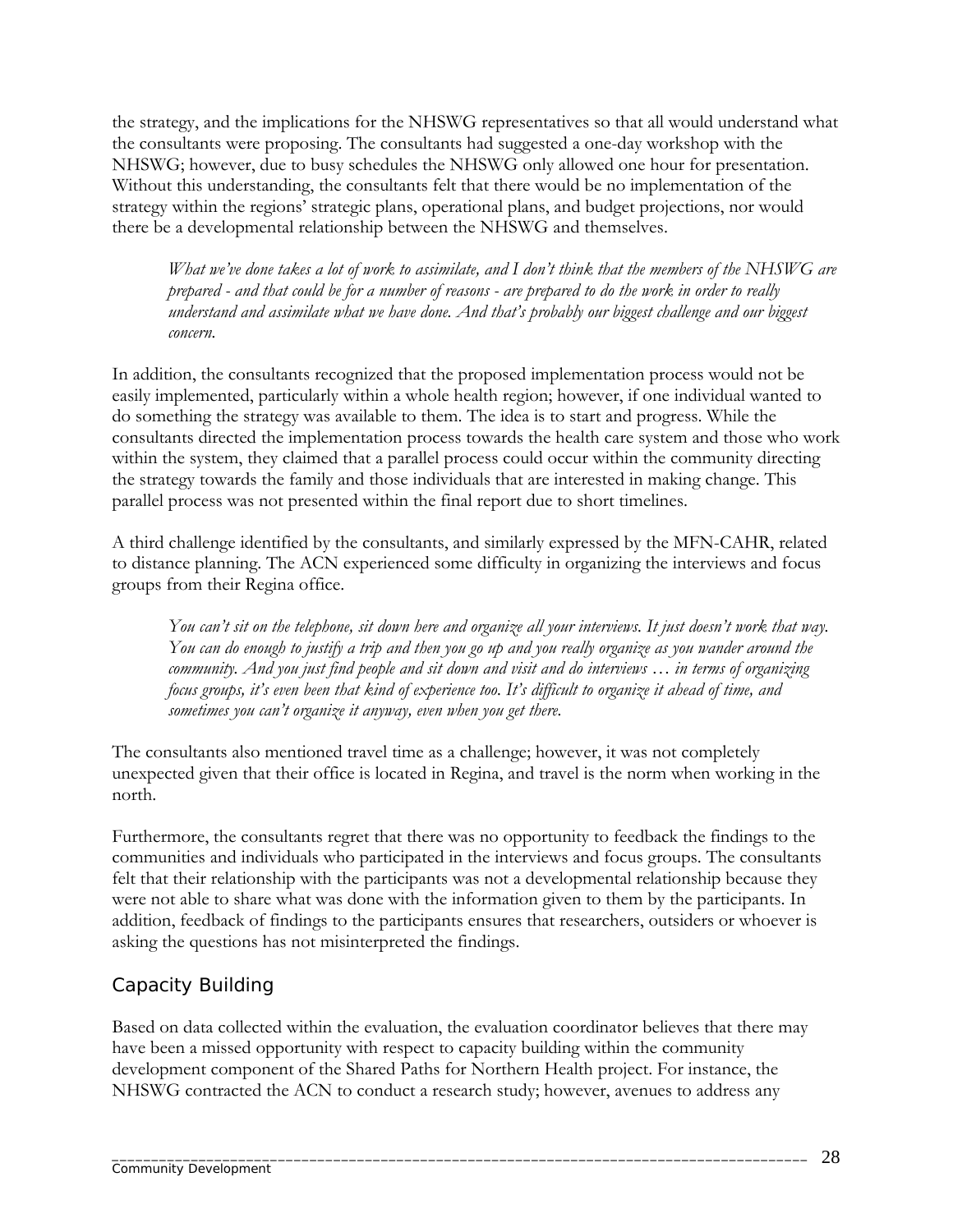the strategy, and the implications for the NHSWG representatives so that all would understand what the consultants were proposing. The consultants had suggested a one-day workshop with the NHSWG; however, due to busy schedules the NHSWG only allowed one hour for presentation. Without this understanding, the consultants felt that there would be no implementation of the strategy within the regions' strategic plans, operational plans, and budget projections, nor would there be a developmental relationship between the NHSWG and themselves.

*What we've done takes a lot of work to assimilate, and I don't think that the members of the NHSWG are prepared - and that could be for a number of reasons - are prepared to do the work in order to really understand and assimilate what we have done. And that's probably our biggest challenge and our biggest concern.* 

In addition, the consultants recognized that the proposed implementation process would not be easily implemented, particularly within a whole health region; however, if one individual wanted to do something the strategy was available to them. The idea is to start and progress. While the consultants directed the implementation process towards the health care system and those who work within the system, they claimed that a parallel process could occur within the community directing the strategy towards the family and those individuals that are interested in making change. This parallel process was not presented within the final report due to short timelines.

A third challenge identified by the consultants, and similarly expressed by the MFN-CAHR, related to distance planning. The ACN experienced some difficulty in organizing the interviews and focus groups from their Regina office.

*You can't sit on the telephone, sit down here and organize all your interviews. It just doesn't work that way. You can do enough to justify a trip and then you go up and you really organize as you wander around the community. And you just find people and sit down and visit and do interviews … in terms of organizing focus groups, it's even been that kind of experience too. It's difficult to organize it ahead of time, and sometimes you can't organize it anyway, even when you get there.* 

The consultants also mentioned travel time as a challenge; however, it was not completely unexpected given that their office is located in Regina, and travel is the norm when working in the north.

Furthermore, the consultants regret that there was no opportunity to feedback the findings to the communities and individuals who participated in the interviews and focus groups. The consultants felt that their relationship with the participants was not a developmental relationship because they were not able to share what was done with the information given to them by the participants. In addition, feedback of findings to the participants ensures that researchers, outsiders or whoever is asking the questions has not misinterpreted the findings.

## *Capacity Building*

Based on data collected within the evaluation, the evaluation coordinator believes that there may have been a missed opportunity with respect to capacity building within the community development component of the Shared Paths for Northern Health project. For instance, the NHSWG contracted the ACN to conduct a research study; however, avenues to address any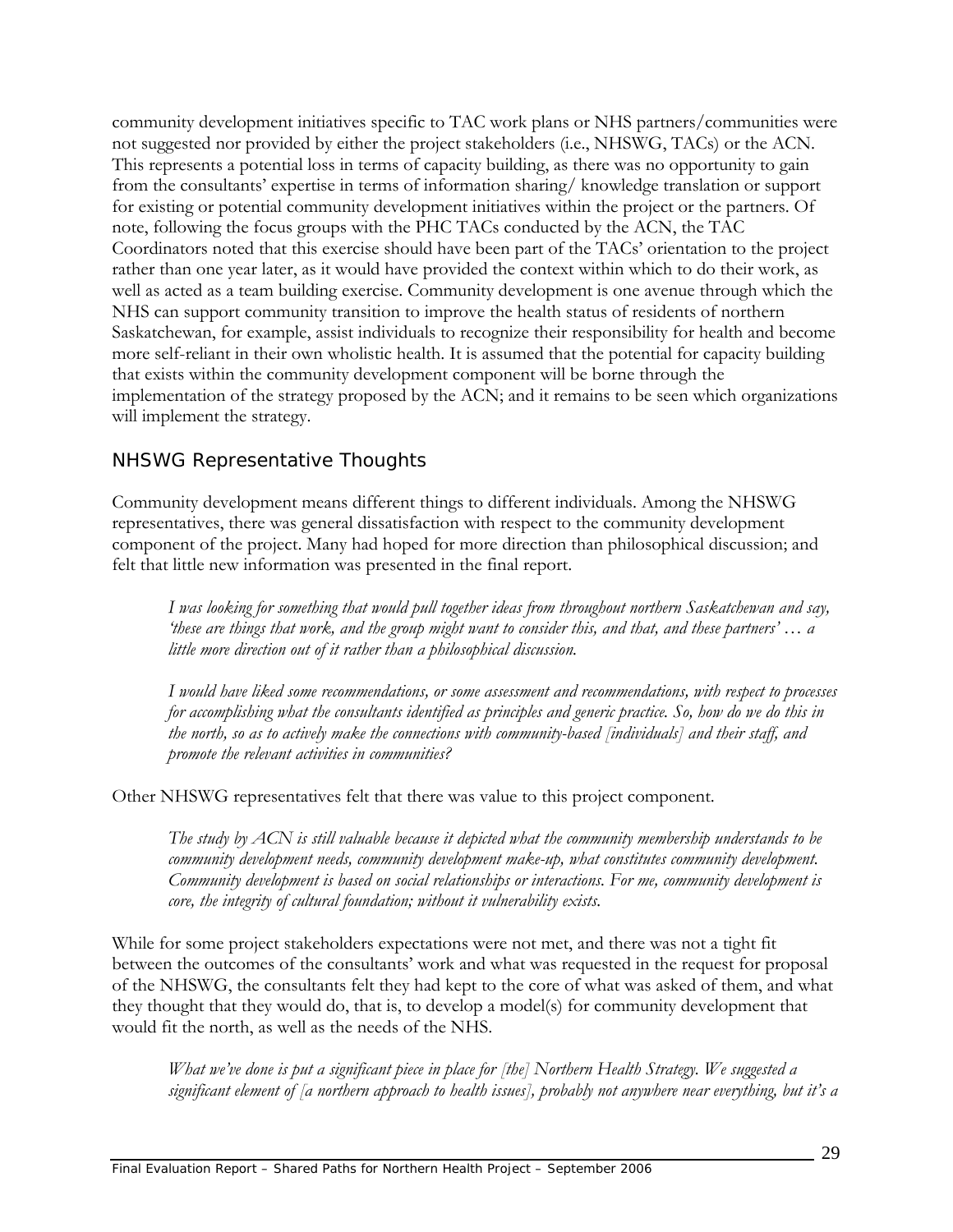community development initiatives specific to TAC work plans or NHS partners/communities were not suggested nor provided by either the project stakeholders (i.e., NHSWG, TACs) or the ACN. This represents a potential loss in terms of capacity building, as there was no opportunity to gain from the consultants' expertise in terms of information sharing/ knowledge translation or support for existing or potential community development initiatives within the project or the partners. Of note, following the focus groups with the PHC TACs conducted by the ACN, the TAC Coordinators noted that this exercise should have been part of the TACs' orientation to the project rather than one year later, as it would have provided the context within which to do their work, as well as acted as a team building exercise. Community development is one avenue through which the NHS can support community transition to improve the health status of residents of northern Saskatchewan, for example, assist individuals to recognize their responsibility for health and become more self-reliant in their own wholistic health. It is assumed that the potential for capacity building that exists within the community development component will be borne through the implementation of the strategy proposed by the ACN; and it remains to be seen which organizations will implement the strategy.

## *NHSWG Representative Thoughts*

Community development means different things to different individuals. Among the NHSWG representatives, there was general dissatisfaction with respect to the community development component of the project. Many had hoped for more direction than philosophical discussion; and felt that little new information was presented in the final report.

*I was looking for something that would pull together ideas from throughout northern Saskatchewan and say, 'these are things that work, and the group might want to consider this, and that, and these partners' … a little more direction out of it rather than a philosophical discussion.* 

*I would have liked some recommendations, or some assessment and recommendations, with respect to processes for accomplishing what the consultants identified as principles and generic practice. So, how do we do this in the north, so as to actively make the connections with community-based [individuals] and their staff, and promote the relevant activities in communities?* 

Other NHSWG representatives felt that there was value to this project component.

*The study by ACN is still valuable because it depicted what the community membership understands to be community development needs, community development make-up, what constitutes community development. Community development is based on social relationships or interactions. For me, community development is core, the integrity of cultural foundation; without it vulnerability exists.* 

While for some project stakeholders expectations were not met, and there was not a tight fit between the outcomes of the consultants' work and what was requested in the request for proposal of the NHSWG, the consultants felt they had kept to the core of what was asked of them, and what they thought that they would do, that is, to develop a model(s) for community development that would fit the north, as well as the needs of the NHS.

*What we've done is put a significant piece in place for [the] Northern Health Strategy. We suggested a significant element of [a northern approach to health issues], probably not anywhere near everything, but it's a*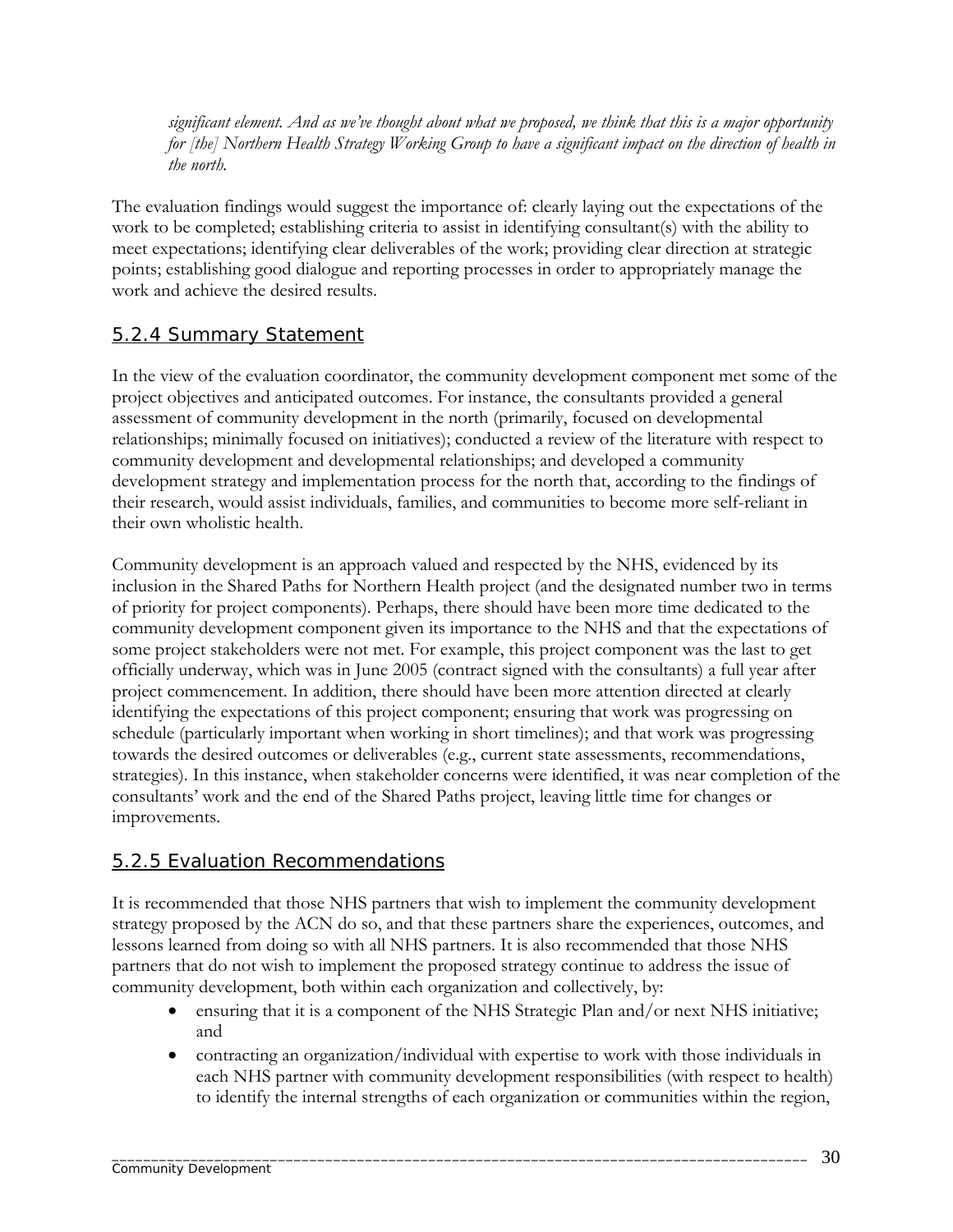*significant element. And as we've thought about what we proposed, we think that this is a major opportunity for [the] Northern Health Strategy Working Group to have a significant impact on the direction of health in the north.* 

The evaluation findings would suggest the importance of: clearly laying out the expectations of the work to be completed; establishing criteria to assist in identifying consultant(s) with the ability to meet expectations; identifying clear deliverables of the work; providing clear direction at strategic points; establishing good dialogue and reporting processes in order to appropriately manage the work and achieve the desired results.

## 5.2.4 Summary Statement

In the view of the evaluation coordinator, the community development component met some of the project objectives and anticipated outcomes. For instance, the consultants provided a general assessment of community development in the north (primarily, focused on developmental relationships; minimally focused on initiatives); conducted a review of the literature with respect to community development and developmental relationships; and developed a community development strategy and implementation process for the north that, according to the findings of their research, would assist individuals, families, and communities to become more self-reliant in their own wholistic health.

Community development is an approach valued and respected by the NHS, evidenced by its inclusion in the Shared Paths for Northern Health project (and the designated number two in terms of priority for project components). Perhaps, there should have been more time dedicated to the community development component given its importance to the NHS and that the expectations of some project stakeholders were not met. For example, this project component was the last to get officially underway, which was in June 2005 (contract signed with the consultants) a full year after project commencement. In addition, there should have been more attention directed at clearly identifying the expectations of this project component; ensuring that work was progressing on schedule (particularly important when working in short timelines); and that work was progressing towards the desired outcomes or deliverables (e.g., current state assessments, recommendations, strategies). In this instance, when stakeholder concerns were identified, it was near completion of the consultants' work and the end of the Shared Paths project, leaving little time for changes or improvements.

### 5.2.5 Evaluation Recommendations

It is recommended that those NHS partners that wish to implement the community development strategy proposed by the ACN do so, and that these partners share the experiences, outcomes, and lessons learned from doing so with all NHS partners. It is also recommended that those NHS partners that do not wish to implement the proposed strategy continue to address the issue of community development, both within each organization and collectively, by:

- ensuring that it is a component of the NHS Strategic Plan and/or next NHS initiative; and
- contracting an organization/individual with expertise to work with those individuals in each NHS partner with community development responsibilities (with respect to health) to identify the internal strengths of each organization or communities within the region,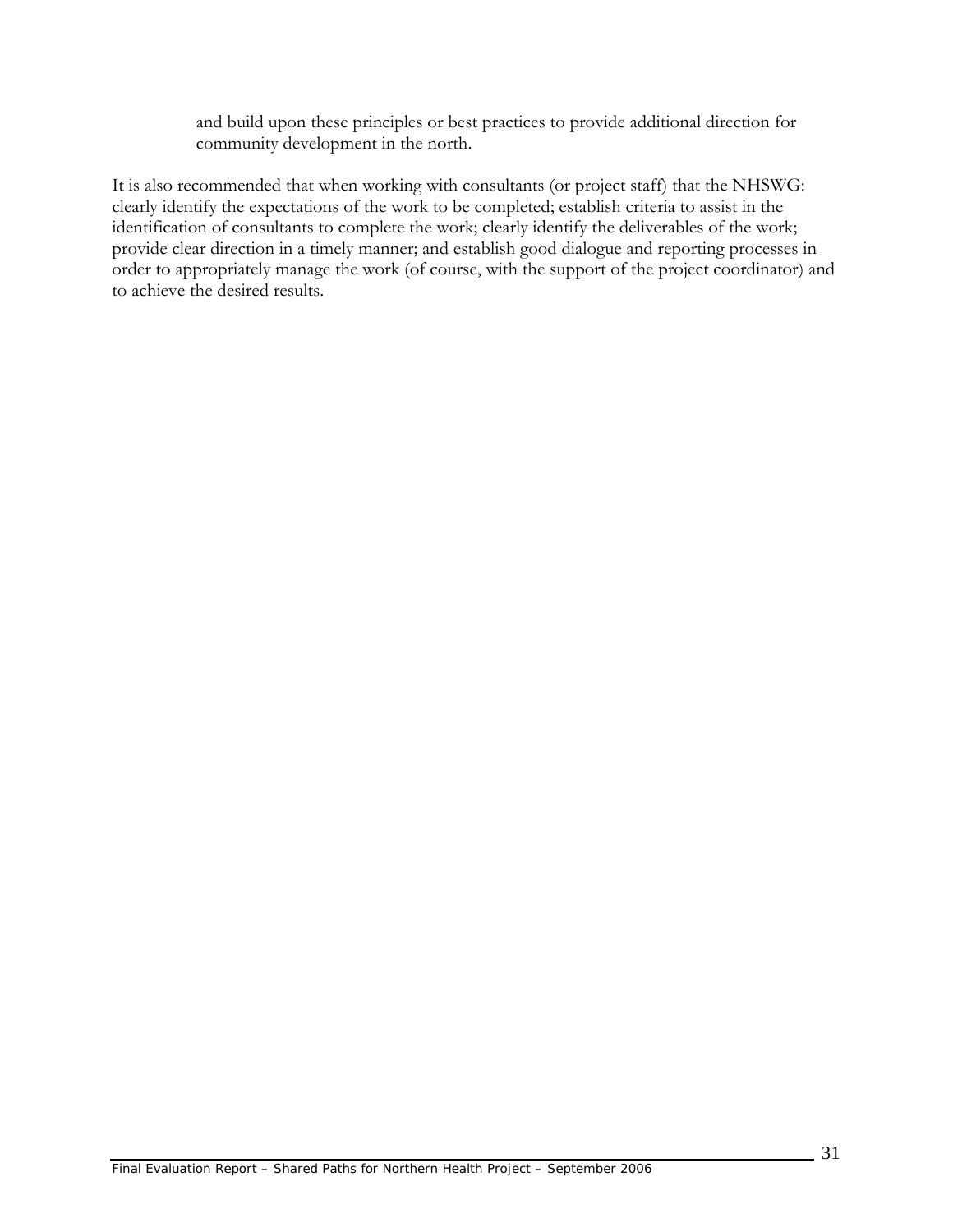and build upon these principles or best practices to provide additional direction for community development in the north.

It is also recommended that when working with consultants (or project staff) that the NHSWG: clearly identify the expectations of the work to be completed; establish criteria to assist in the identification of consultants to complete the work; clearly identify the deliverables of the work; provide clear direction in a timely manner; and establish good dialogue and reporting processes in order to appropriately manage the work (of course, with the support of the project coordinator) and to achieve the desired results.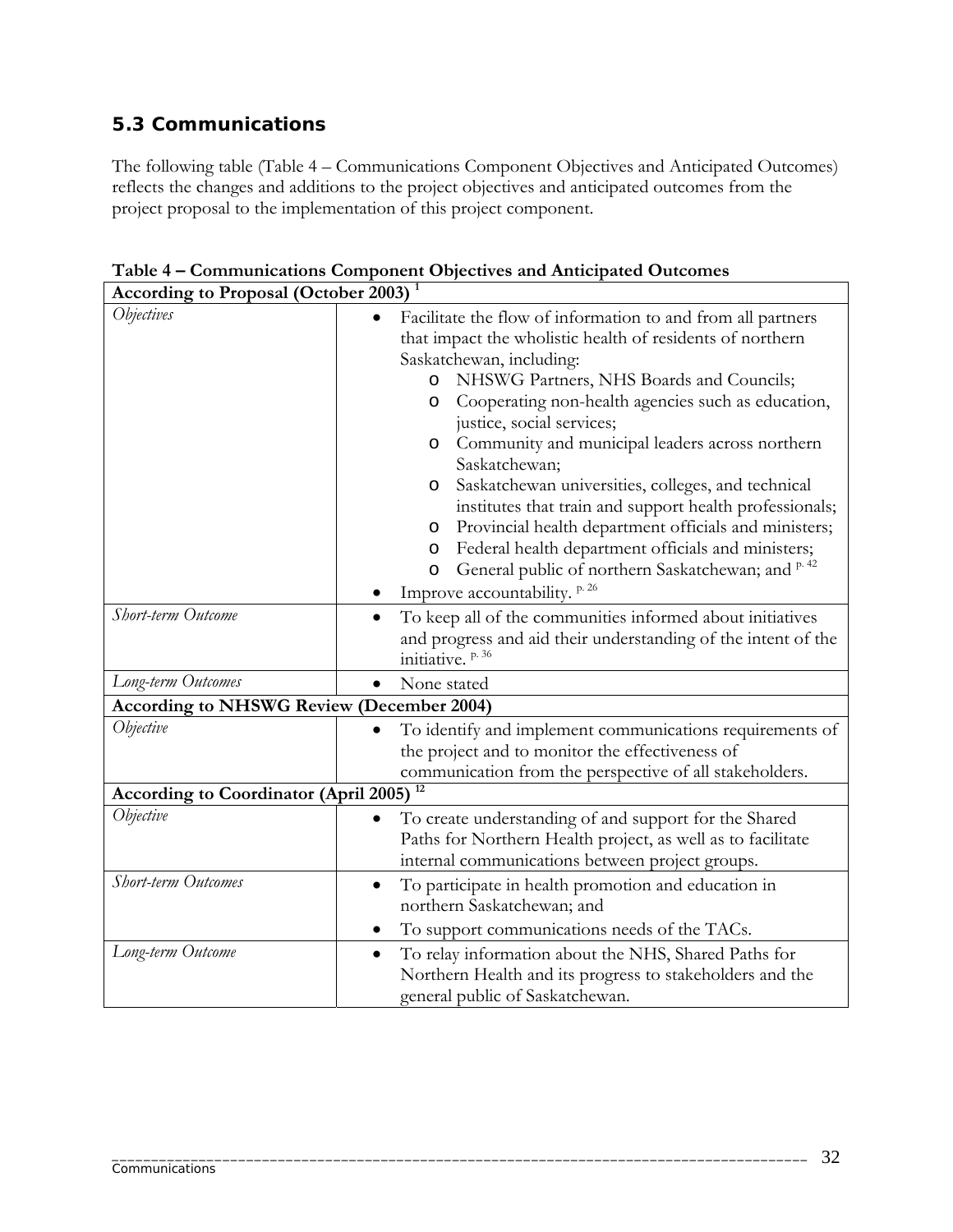# **5.3 Communications**

The following table (Table 4 – Communications Component Objectives and Anticipated Outcomes) reflects the changes and additions to the project objectives and anticipated outcomes from the project proposal to the implementation of this project component.

| <b>According to Proposal (October 2003)</b>      |                                                                                                                                                                                                                                                                                                                                                                                                                                                                                                                                                                                                                                                                                                                                        |  |  |  |
|--------------------------------------------------|----------------------------------------------------------------------------------------------------------------------------------------------------------------------------------------------------------------------------------------------------------------------------------------------------------------------------------------------------------------------------------------------------------------------------------------------------------------------------------------------------------------------------------------------------------------------------------------------------------------------------------------------------------------------------------------------------------------------------------------|--|--|--|
| <i><b>Objectives</b></i>                         | Facilitate the flow of information to and from all partners<br>that impact the wholistic health of residents of northern<br>Saskatchewan, including:<br>NHSWG Partners, NHS Boards and Councils;<br>O<br>Cooperating non-health agencies such as education,<br>O<br>justice, social services;<br>Community and municipal leaders across northern<br>$\circ$<br>Saskatchewan;<br>Saskatchewan universities, colleges, and technical<br>O<br>institutes that train and support health professionals;<br>Provincial health department officials and ministers;<br>O<br>Federal health department officials and ministers;<br>O<br>General public of northern Saskatchewan; and P.42<br>$\circ$<br>Improve accountability. <sup>p.26</sup> |  |  |  |
| Short-term Outcome                               | To keep all of the communities informed about initiatives<br>$\bullet$<br>and progress and aid their understanding of the intent of the<br>initiative. <sup>p.36</sup>                                                                                                                                                                                                                                                                                                                                                                                                                                                                                                                                                                 |  |  |  |
| Long-term Outcomes                               | None stated<br>$\bullet$                                                                                                                                                                                                                                                                                                                                                                                                                                                                                                                                                                                                                                                                                                               |  |  |  |
| <b>According to NHSWG Review (December 2004)</b> |                                                                                                                                                                                                                                                                                                                                                                                                                                                                                                                                                                                                                                                                                                                                        |  |  |  |
| Objective                                        | To identify and implement communications requirements of<br>the project and to monitor the effectiveness of<br>communication from the perspective of all stakeholders.                                                                                                                                                                                                                                                                                                                                                                                                                                                                                                                                                                 |  |  |  |
| <b>According to Coordinator (April 2005)</b>     |                                                                                                                                                                                                                                                                                                                                                                                                                                                                                                                                                                                                                                                                                                                                        |  |  |  |
| Objective                                        | To create understanding of and support for the Shared<br>$\bullet$<br>Paths for Northern Health project, as well as to facilitate<br>internal communications between project groups.                                                                                                                                                                                                                                                                                                                                                                                                                                                                                                                                                   |  |  |  |
| Short-term Outcomes                              | To participate in health promotion and education in<br>$\bullet$<br>northern Saskatchewan; and<br>To support communications needs of the TACs.                                                                                                                                                                                                                                                                                                                                                                                                                                                                                                                                                                                         |  |  |  |
| Long-term Outcome                                | To relay information about the NHS, Shared Paths for<br>$\bullet$<br>Northern Health and its progress to stakeholders and the<br>general public of Saskatchewan.                                                                                                                                                                                                                                                                                                                                                                                                                                                                                                                                                                       |  |  |  |

\_\_\_\_\_\_\_\_\_\_\_\_\_\_\_\_\_\_\_\_\_\_\_\_\_\_\_\_\_\_\_\_\_\_\_\_\_\_\_\_\_\_\_\_\_\_\_\_\_\_\_\_\_\_\_\_\_\_\_\_\_\_\_\_\_\_\_\_\_\_\_\_\_\_\_\_\_\_\_\_\_\_\_\_\_\_\_\_

**Table 4 – Communications Component Objectives and Anticipated Outcomes** 

7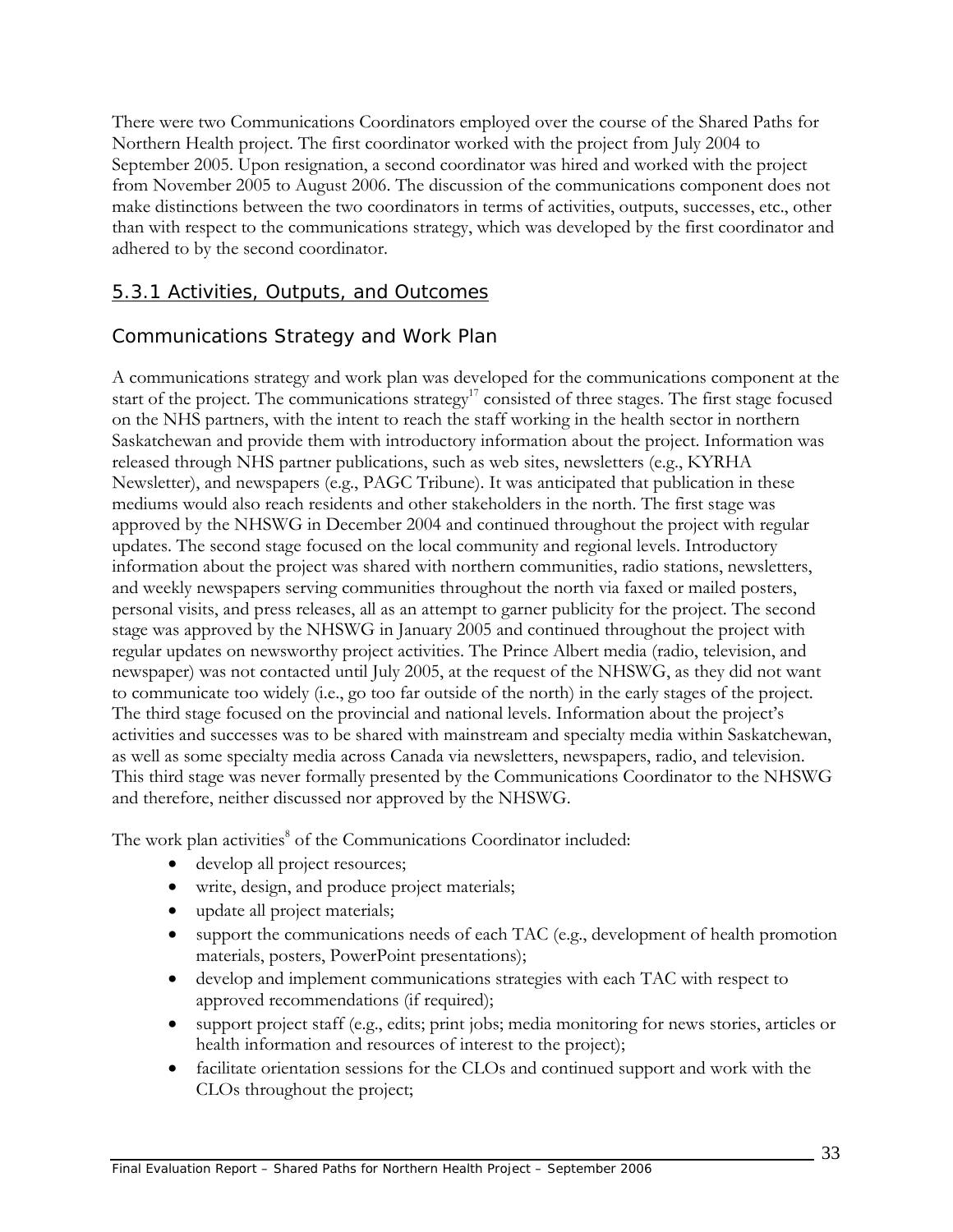There were two Communications Coordinators employed over the course of the Shared Paths for Northern Health project. The first coordinator worked with the project from July 2004 to September 2005. Upon resignation, a second coordinator was hired and worked with the project from November 2005 to August 2006. The discussion of the communications component does not make distinctions between the two coordinators in terms of activities, outputs, successes, etc., other than with respect to the communications strategy, which was developed by the first coordinator and adhered to by the second coordinator.

### 5.3.1 Activities, Outputs, and Outcomes

### *Communications Strategy and Work Plan*

A communications strategy and work plan was developed for the communications component at the start of the project. The communications strategy<sup>17</sup> consisted of three stages. The first stage focused on the NHS partners, with the intent to reach the staff working in the health sector in northern Saskatchewan and provide them with introductory information about the project. Information was released through NHS partner publications, such as web sites, newsletters (e.g., KYRHA Newsletter), and newspapers (e.g., PAGC Tribune). It was anticipated that publication in these mediums would also reach residents and other stakeholders in the north. The first stage was approved by the NHSWG in December 2004 and continued throughout the project with regular updates. The second stage focused on the local community and regional levels. Introductory information about the project was shared with northern communities, radio stations, newsletters, and weekly newspapers serving communities throughout the north via faxed or mailed posters, personal visits, and press releases, all as an attempt to garner publicity for the project. The second stage was approved by the NHSWG in January 2005 and continued throughout the project with regular updates on newsworthy project activities. The Prince Albert media (radio, television, and newspaper) was not contacted until July 2005, at the request of the NHSWG, as they did not want to communicate too widely (i.e., go too far outside of the north) in the early stages of the project. The third stage focused on the provincial and national levels. Information about the project's activities and successes was to be shared with mainstream and specialty media within Saskatchewan, as well as some specialty media across Canada via newsletters, newspapers, radio, and television. This third stage was never formally presented by the Communications Coordinator to the NHSWG and therefore, neither discussed nor approved by the NHSWG.

The work plan activities<sup>8</sup> of the Communications Coordinator included:

- develop all project resources;
- write, design, and produce project materials;
- update all project materials;
- support the communications needs of each TAC (e.g., development of health promotion materials, posters, PowerPoint presentations);
- develop and implement communications strategies with each TAC with respect to approved recommendations (if required);
- support project staff (e.g., edits; print jobs; media monitoring for news stories, articles or health information and resources of interest to the project);
- facilitate orientation sessions for the CLOs and continued support and work with the CLOs throughout the project;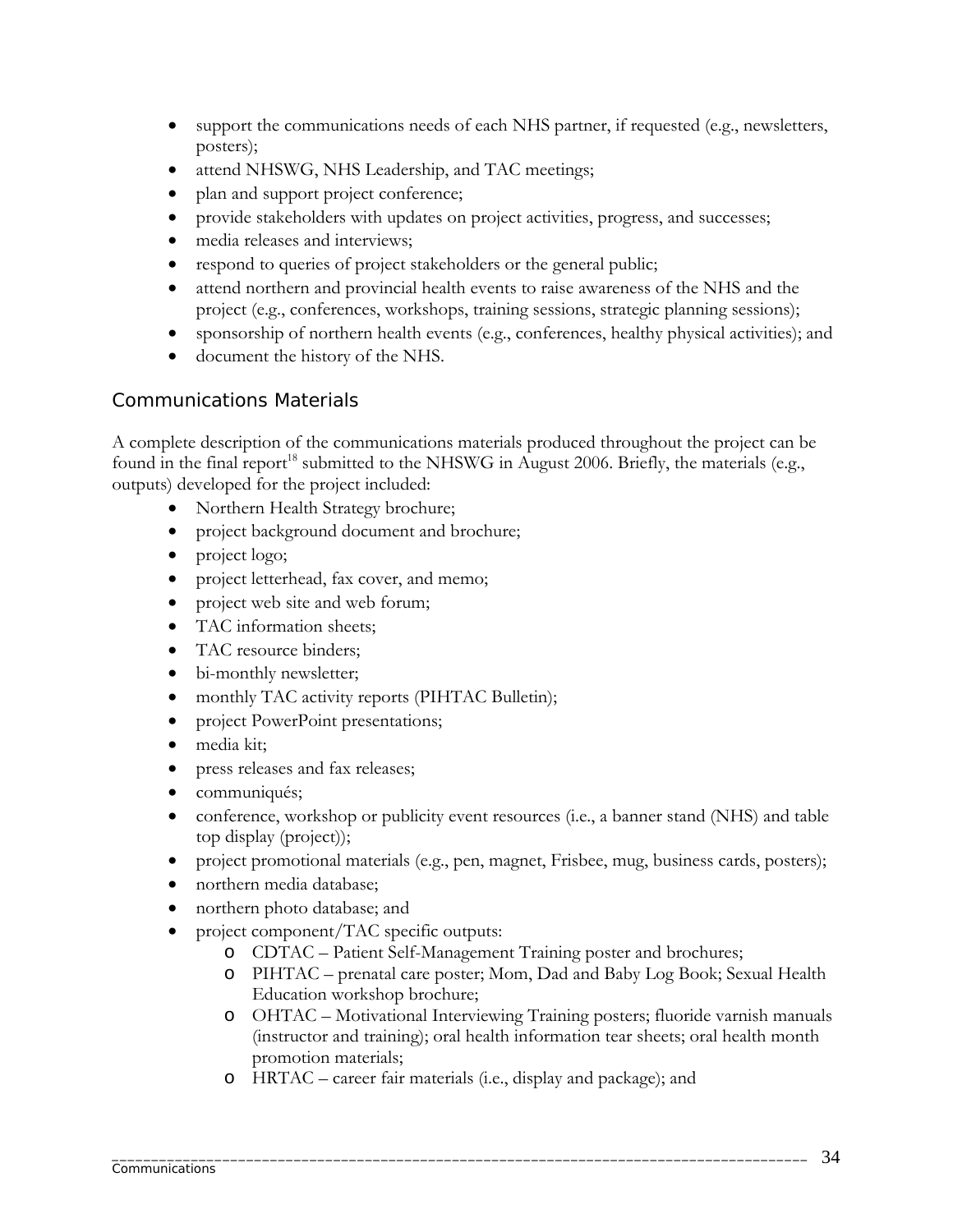- support the communications needs of each NHS partner, if requested (e.g., newsletters, posters);
- attend NHSWG, NHS Leadership, and TAC meetings;
- plan and support project conference;
- provide stakeholders with updates on project activities, progress, and successes;
- media releases and interviews;
- respond to queries of project stakeholders or the general public;
- attend northern and provincial health events to raise awareness of the NHS and the project (e.g., conferences, workshops, training sessions, strategic planning sessions);
- sponsorship of northern health events (e.g., conferences, healthy physical activities); and
- document the history of the NHS.

## *Communications Materials*

A complete description of the communications materials produced throughout the project can be found in the final report<sup>18</sup> submitted to the NHSWG in August 2006. Briefly, the materials (e.g., outputs) developed for the project included:

- Northern Health Strategy brochure;
- project background document and brochure;
- project logo;
- project letterhead, fax cover, and memo;
- project web site and web forum;
- TAC information sheets;
- TAC resource binders;
- bi-monthly newsletter;
- monthly TAC activity reports (PIHTAC Bulletin);
- project PowerPoint presentations;
- media kit;
- press releases and fax releases;
- communiqués;
- conference, workshop or publicity event resources (i.e., a banner stand (NHS) and table top display (project));
- project promotional materials (e.g., pen, magnet, Frisbee, mug, business cards, posters);
- northern media database;
- northern photo database; and
- project component/TAC specific outputs:
	- o CDTAC Patient Self-Management Training poster and brochures;
	- o PIHTAC prenatal care poster; Mom, Dad and Baby Log Book; Sexual Health Education workshop brochure;
	- o OHTAC Motivational Interviewing Training posters; fluoride varnish manuals (instructor and training); oral health information tear sheets; oral health month promotion materials;
	- o HRTAC career fair materials (i.e., display and package); and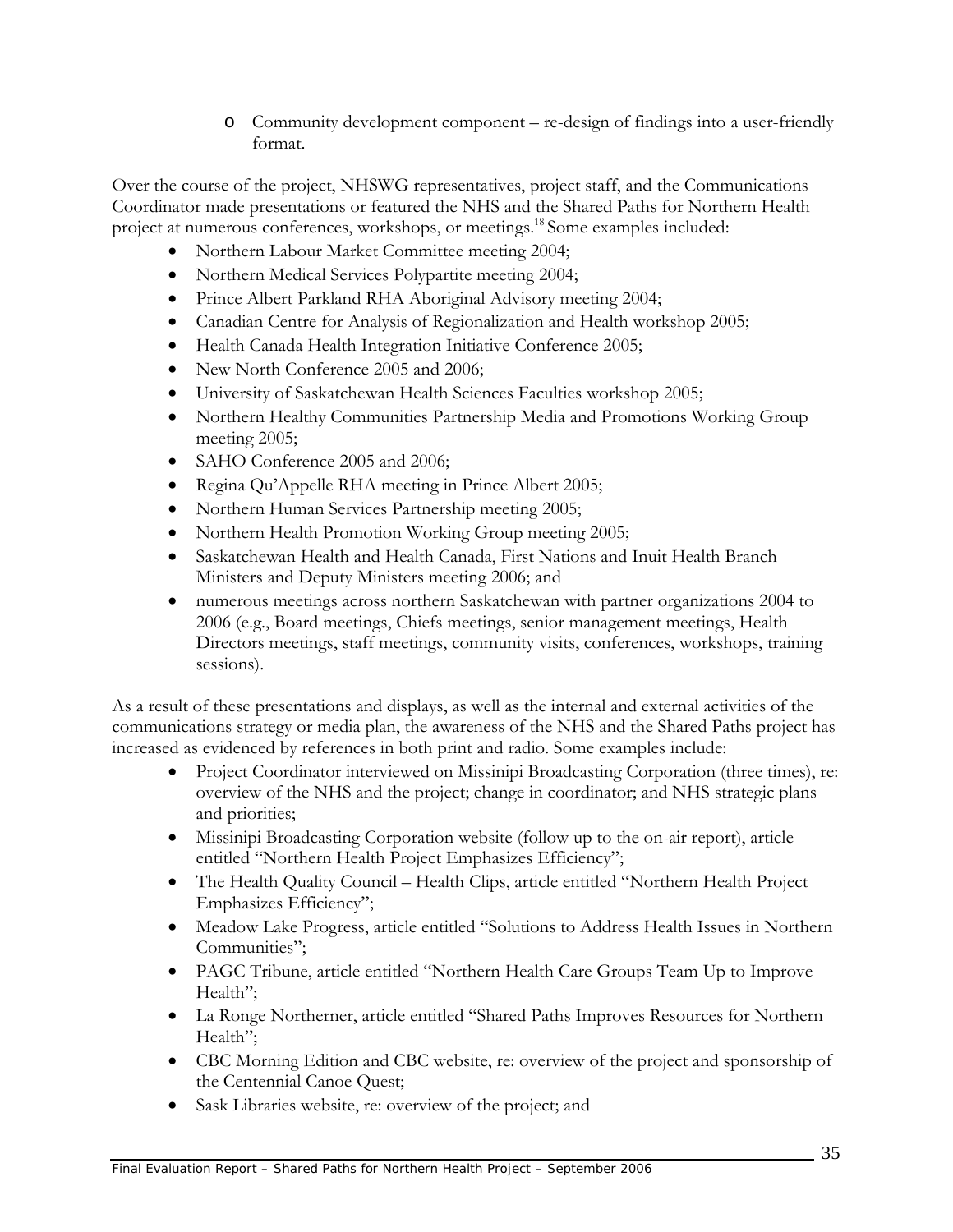o Community development component – re-design of findings into a user-friendly format.

Over the course of the project, NHSWG representatives, project staff, and the Communications Coordinator made presentations or featured the NHS and the Shared Paths for Northern Health project at numerous conferences, workshops, or meetings.<sup>18</sup> Some examples included:

- Northern Labour Market Committee meeting 2004;
- Northern Medical Services Polypartite meeting 2004;
- Prince Albert Parkland RHA Aboriginal Advisory meeting 2004;
- Canadian Centre for Analysis of Regionalization and Health workshop 2005;
- Health Canada Health Integration Initiative Conference 2005;
- New North Conference 2005 and 2006;
- University of Saskatchewan Health Sciences Faculties workshop 2005;
- Northern Healthy Communities Partnership Media and Promotions Working Group meeting 2005;
- SAHO Conference 2005 and 2006;
- Regina Qu'Appelle RHA meeting in Prince Albert 2005;
- Northern Human Services Partnership meeting 2005;
- Northern Health Promotion Working Group meeting 2005;
- Saskatchewan Health and Health Canada, First Nations and Inuit Health Branch Ministers and Deputy Ministers meeting 2006; and
- numerous meetings across northern Saskatchewan with partner organizations 2004 to 2006 (e.g., Board meetings, Chiefs meetings, senior management meetings, Health Directors meetings, staff meetings, community visits, conferences, workshops, training sessions).

As a result of these presentations and displays, as well as the internal and external activities of the communications strategy or media plan, the awareness of the NHS and the Shared Paths project has increased as evidenced by references in both print and radio. Some examples include:

- Project Coordinator interviewed on Missinipi Broadcasting Corporation (three times), re: overview of the NHS and the project; change in coordinator; and NHS strategic plans and priorities;
- Missinipi Broadcasting Corporation website (follow up to the on-air report), article entitled "Northern Health Project Emphasizes Efficiency";
- The Health Quality Council Health Clips, article entitled "Northern Health Project" Emphasizes Efficiency";
- Meadow Lake Progress, article entitled "Solutions to Address Health Issues in Northern Communities";
- PAGC Tribune, article entitled "Northern Health Care Groups Team Up to Improve Health";
- La Ronge Northerner, article entitled "Shared Paths Improves Resources for Northern Health";
- CBC Morning Edition and CBC website, re: overview of the project and sponsorship of the Centennial Canoe Quest;
- Sask Libraries website, re: overview of the project; and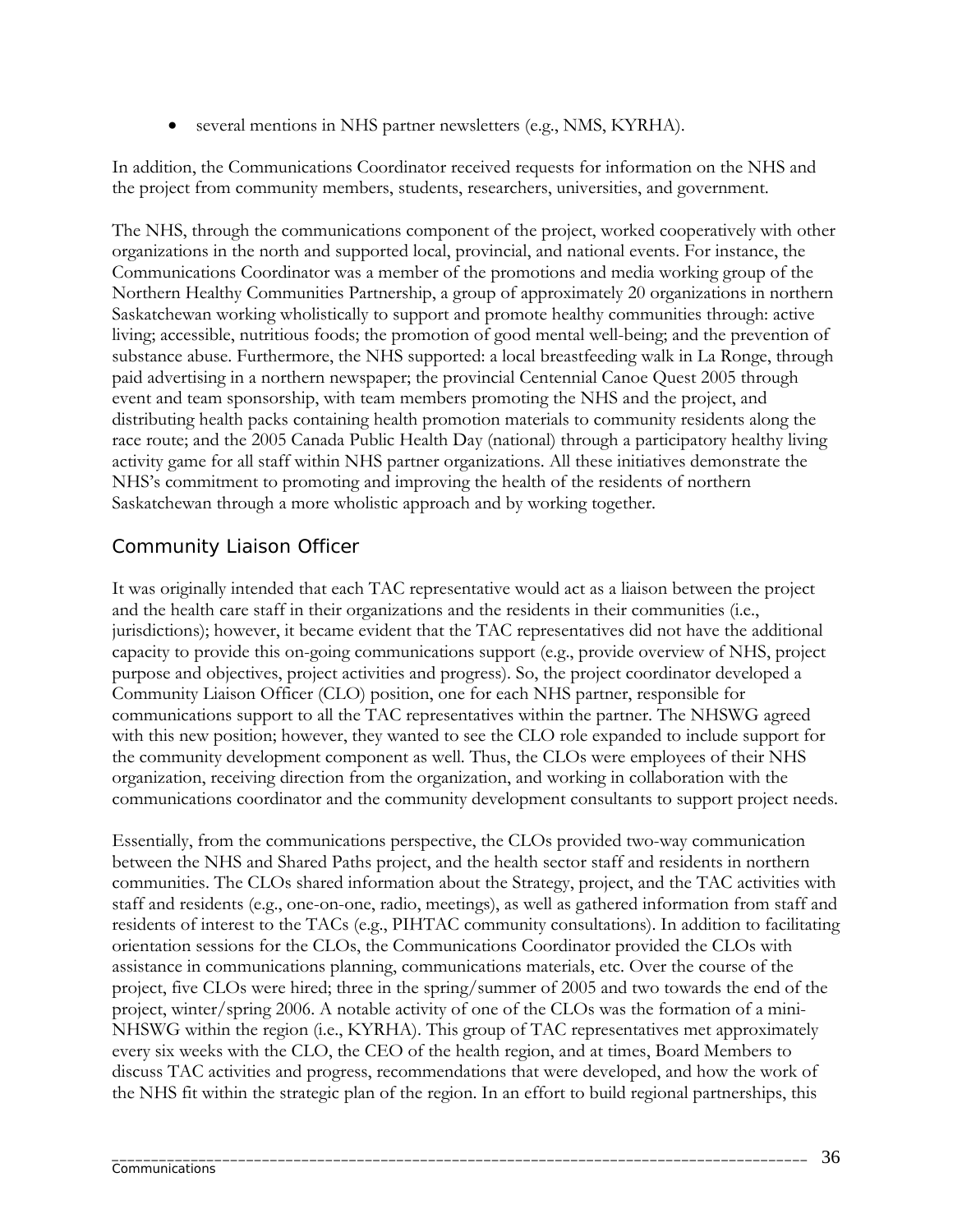• several mentions in NHS partner newsletters (e.g., NMS, KYRHA).

In addition, the Communications Coordinator received requests for information on the NHS and the project from community members, students, researchers, universities, and government.

The NHS, through the communications component of the project, worked cooperatively with other organizations in the north and supported local, provincial, and national events. For instance, the Communications Coordinator was a member of the promotions and media working group of the Northern Healthy Communities Partnership, a group of approximately 20 organizations in northern Saskatchewan working wholistically to support and promote healthy communities through: active living; accessible, nutritious foods; the promotion of good mental well-being; and the prevention of substance abuse. Furthermore, the NHS supported: a local breastfeeding walk in La Ronge, through paid advertising in a northern newspaper; the provincial Centennial Canoe Quest 2005 through event and team sponsorship, with team members promoting the NHS and the project, and distributing health packs containing health promotion materials to community residents along the race route; and the 2005 Canada Public Health Day (national) through a participatory healthy living activity game for all staff within NHS partner organizations. All these initiatives demonstrate the NHS's commitment to promoting and improving the health of the residents of northern Saskatchewan through a more wholistic approach and by working together.

## *Community Liaison Officer*

It was originally intended that each TAC representative would act as a liaison between the project and the health care staff in their organizations and the residents in their communities (i.e., jurisdictions); however, it became evident that the TAC representatives did not have the additional capacity to provide this on-going communications support (e.g., provide overview of NHS, project purpose and objectives, project activities and progress). So, the project coordinator developed a Community Liaison Officer (CLO) position, one for each NHS partner, responsible for communications support to all the TAC representatives within the partner. The NHSWG agreed with this new position; however, they wanted to see the CLO role expanded to include support for the community development component as well. Thus, the CLOs were employees of their NHS organization, receiving direction from the organization, and working in collaboration with the communications coordinator and the community development consultants to support project needs.

Essentially, from the communications perspective, the CLOs provided two-way communication between the NHS and Shared Paths project, and the health sector staff and residents in northern communities. The CLOs shared information about the Strategy, project, and the TAC activities with staff and residents (e.g., one-on-one, radio, meetings), as well as gathered information from staff and residents of interest to the TACs (e.g., PIHTAC community consultations). In addition to facilitating orientation sessions for the CLOs, the Communications Coordinator provided the CLOs with assistance in communications planning, communications materials, etc. Over the course of the project, five CLOs were hired; three in the spring/summer of 2005 and two towards the end of the project, winter/spring 2006. A notable activity of one of the CLOs was the formation of a mini-NHSWG within the region (i.e., KYRHA). This group of TAC representatives met approximately every six weeks with the CLO, the CEO of the health region, and at times, Board Members to discuss TAC activities and progress, recommendations that were developed, and how the work of the NHS fit within the strategic plan of the region. In an effort to build regional partnerships, this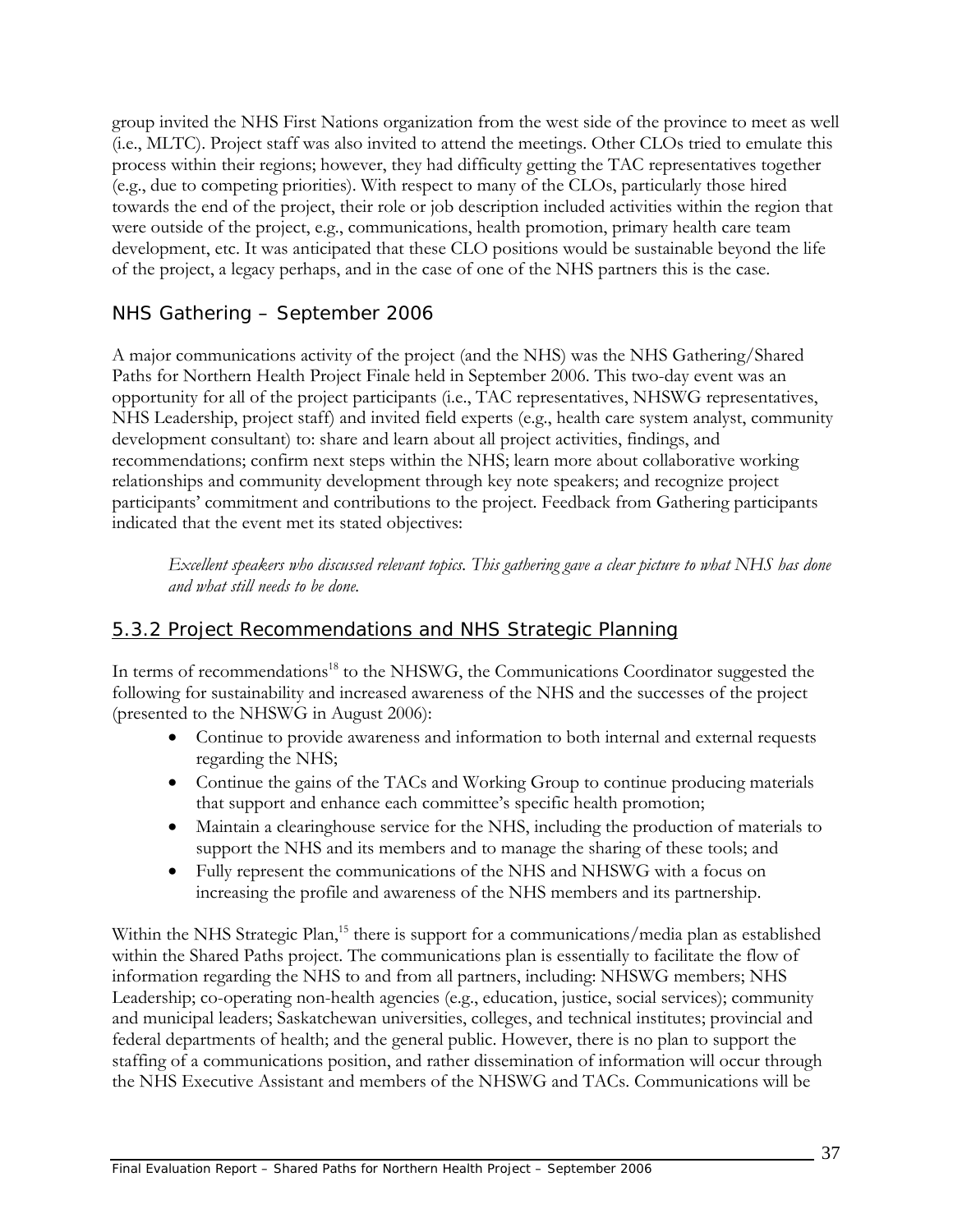group invited the NHS First Nations organization from the west side of the province to meet as well (i.e., MLTC). Project staff was also invited to attend the meetings. Other CLOs tried to emulate this process within their regions; however, they had difficulty getting the TAC representatives together (e.g., due to competing priorities). With respect to many of the CLOs, particularly those hired towards the end of the project, their role or job description included activities within the region that were outside of the project, e.g., communications, health promotion, primary health care team development, etc. It was anticipated that these CLO positions would be sustainable beyond the life of the project, a legacy perhaps, and in the case of one of the NHS partners this is the case.

## *NHS Gathering – September 2006*

A major communications activity of the project (and the NHS) was the NHS Gathering/Shared Paths for Northern Health Project Finale held in September 2006. This two-day event was an opportunity for all of the project participants (i.e., TAC representatives, NHSWG representatives, NHS Leadership, project staff) and invited field experts (e.g., health care system analyst, community development consultant) to: share and learn about all project activities, findings, and recommendations; confirm next steps within the NHS; learn more about collaborative working relationships and community development through key note speakers; and recognize project participants' commitment and contributions to the project. Feedback from Gathering participants indicated that the event met its stated objectives:

*Excellent speakers who discussed relevant topics. This gathering gave a clear picture to what NHS has done and what still needs to be done.* 

## 5.3.2 Project Recommendations and NHS Strategic Planning

In terms of recommendations<sup>18</sup> to the NHSWG, the Communications Coordinator suggested the following for sustainability and increased awareness of the NHS and the successes of the project (presented to the NHSWG in August 2006):

- Continue to provide awareness and information to both internal and external requests regarding the NHS;
- Continue the gains of the TACs and Working Group to continue producing materials that support and enhance each committee's specific health promotion;
- Maintain a clearinghouse service for the NHS, including the production of materials to support the NHS and its members and to manage the sharing of these tools; and
- Fully represent the communications of the NHS and NHSWG with a focus on increasing the profile and awareness of the NHS members and its partnership.

Within the NHS Strategic Plan,<sup>15</sup> there is support for a communications/media plan as established within the Shared Paths project. The communications plan is essentially to facilitate the flow of information regarding the NHS to and from all partners, including: NHSWG members; NHS Leadership; co-operating non-health agencies (e.g., education, justice, social services); community and municipal leaders; Saskatchewan universities, colleges, and technical institutes; provincial and federal departments of health; and the general public. However, there is no plan to support the staffing of a communications position, and rather dissemination of information will occur through the NHS Executive Assistant and members of the NHSWG and TACs. Communications will be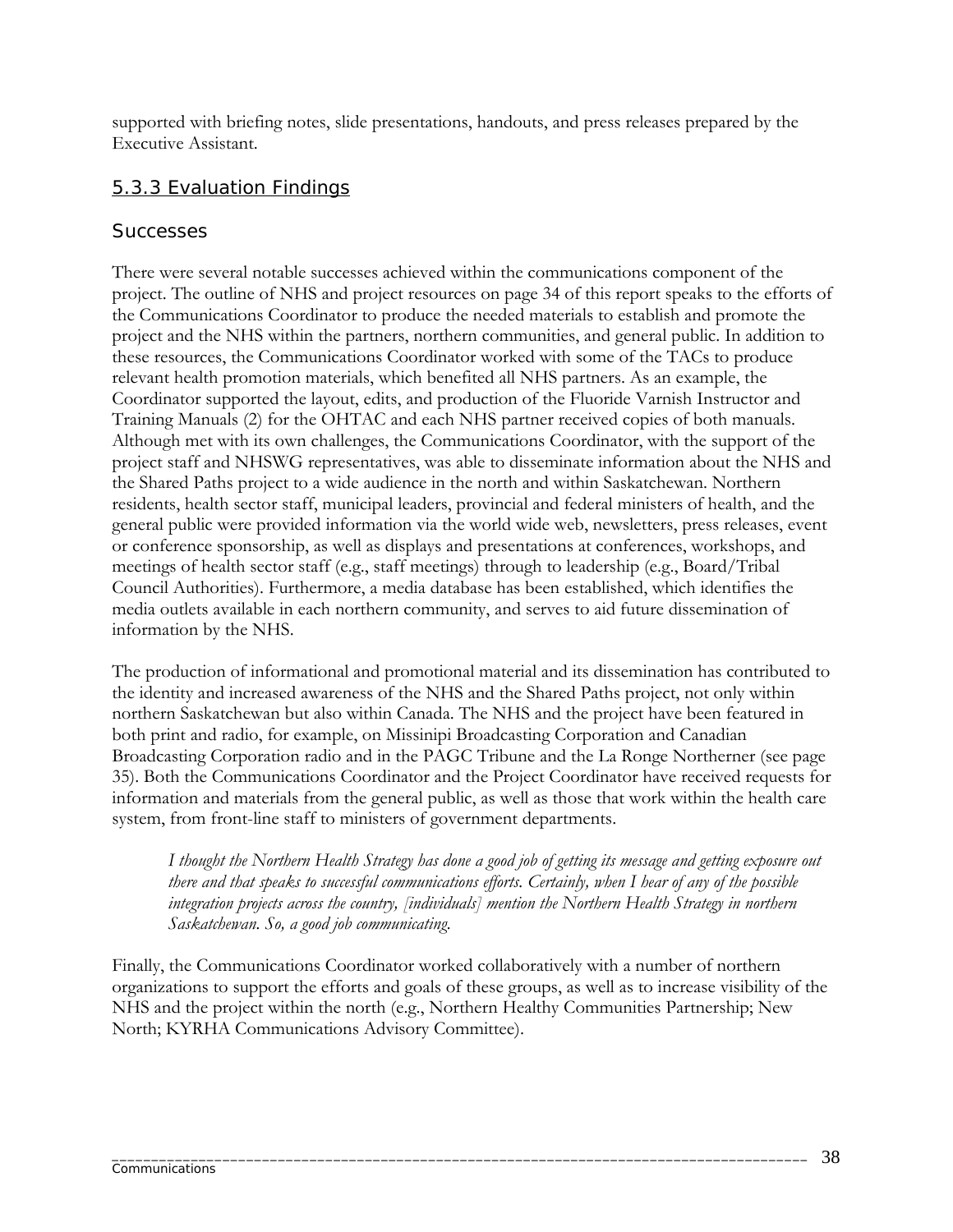supported with briefing notes, slide presentations, handouts, and press releases prepared by the Executive Assistant.

## 5.3.3 Evaluation Findings

#### *Successes*

There were several notable successes achieved within the communications component of the project. The outline of NHS and project resources on page 34 of this report speaks to the efforts of the Communications Coordinator to produce the needed materials to establish and promote the project and the NHS within the partners, northern communities, and general public. In addition to these resources, the Communications Coordinator worked with some of the TACs to produce relevant health promotion materials, which benefited all NHS partners. As an example, the Coordinator supported the layout, edits, and production of the Fluoride Varnish Instructor and Training Manuals (2) for the OHTAC and each NHS partner received copies of both manuals. Although met with its own challenges, the Communications Coordinator, with the support of the project staff and NHSWG representatives, was able to disseminate information about the NHS and the Shared Paths project to a wide audience in the north and within Saskatchewan. Northern residents, health sector staff, municipal leaders, provincial and federal ministers of health, and the general public were provided information via the world wide web, newsletters, press releases, event or conference sponsorship, as well as displays and presentations at conferences, workshops, and meetings of health sector staff (e.g., staff meetings) through to leadership (e.g., Board/Tribal Council Authorities). Furthermore, a media database has been established, which identifies the media outlets available in each northern community, and serves to aid future dissemination of information by the NHS.

The production of informational and promotional material and its dissemination has contributed to the identity and increased awareness of the NHS and the Shared Paths project, not only within northern Saskatchewan but also within Canada. The NHS and the project have been featured in both print and radio, for example, on Missinipi Broadcasting Corporation and Canadian Broadcasting Corporation radio and in the PAGC Tribune and the La Ronge Northerner (see page 35). Both the Communications Coordinator and the Project Coordinator have received requests for information and materials from the general public, as well as those that work within the health care system, from front-line staff to ministers of government departments.

*I thought the Northern Health Strategy has done a good job of getting its message and getting exposure out there and that speaks to successful communications efforts. Certainly, when I hear of any of the possible integration projects across the country, [individuals] mention the Northern Health Strategy in northern Saskatchewan. So, a good job communicating.* 

Finally, the Communications Coordinator worked collaboratively with a number of northern organizations to support the efforts and goals of these groups, as well as to increase visibility of the NHS and the project within the north (e.g., Northern Healthy Communities Partnership; New North; KYRHA Communications Advisory Committee).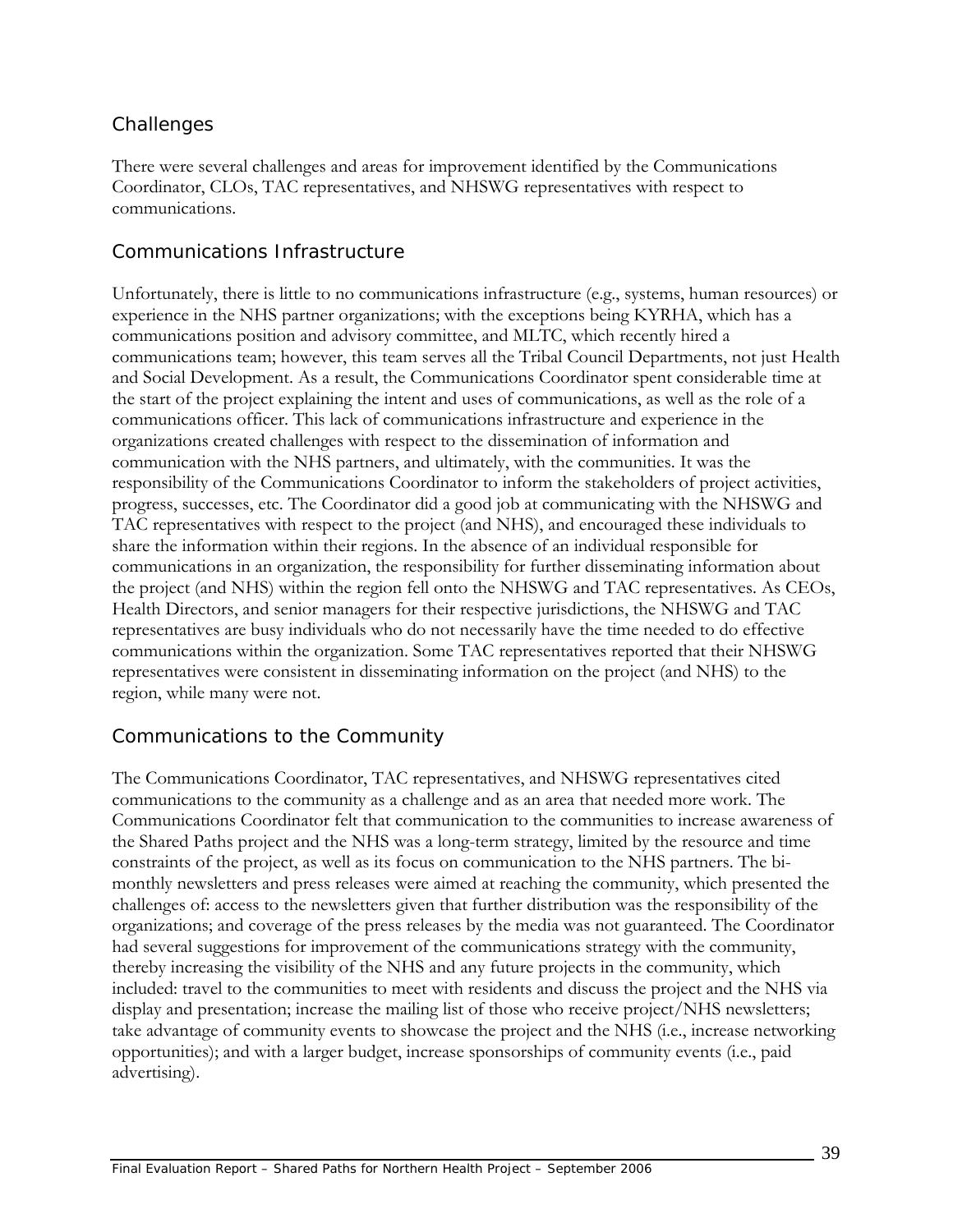## *Challenges*

There were several challenges and areas for improvement identified by the Communications Coordinator, CLOs, TAC representatives, and NHSWG representatives with respect to communications.

#### *Communications Infrastructure*

Unfortunately, there is little to no communications infrastructure (e.g., systems, human resources) or experience in the NHS partner organizations; with the exceptions being KYRHA, which has a communications position and advisory committee, and MLTC, which recently hired a communications team; however, this team serves all the Tribal Council Departments, not just Health and Social Development. As a result, the Communications Coordinator spent considerable time at the start of the project explaining the intent and uses of communications, as well as the role of a communications officer. This lack of communications infrastructure and experience in the organizations created challenges with respect to the dissemination of information and communication with the NHS partners, and ultimately, with the communities. It was the responsibility of the Communications Coordinator to inform the stakeholders of project activities, progress, successes, etc. The Coordinator did a good job at communicating with the NHSWG and TAC representatives with respect to the project (and NHS), and encouraged these individuals to share the information within their regions. In the absence of an individual responsible for communications in an organization, the responsibility for further disseminating information about the project (and NHS) within the region fell onto the NHSWG and TAC representatives. As CEOs, Health Directors, and senior managers for their respective jurisdictions, the NHSWG and TAC representatives are busy individuals who do not necessarily have the time needed to do effective communications within the organization. Some TAC representatives reported that their NHSWG representatives were consistent in disseminating information on the project (and NHS) to the region, while many were not.

### *Communications to the Community*

The Communications Coordinator, TAC representatives, and NHSWG representatives cited communications to the community as a challenge and as an area that needed more work. The Communications Coordinator felt that communication to the communities to increase awareness of the Shared Paths project and the NHS was a long-term strategy, limited by the resource and time constraints of the project, as well as its focus on communication to the NHS partners. The bimonthly newsletters and press releases were aimed at reaching the community, which presented the challenges of: access to the newsletters given that further distribution was the responsibility of the organizations; and coverage of the press releases by the media was not guaranteed. The Coordinator had several suggestions for improvement of the communications strategy with the community, thereby increasing the visibility of the NHS and any future projects in the community, which included: travel to the communities to meet with residents and discuss the project and the NHS via display and presentation; increase the mailing list of those who receive project/NHS newsletters; take advantage of community events to showcase the project and the NHS (i.e., increase networking opportunities); and with a larger budget, increase sponsorships of community events (i.e., paid advertising).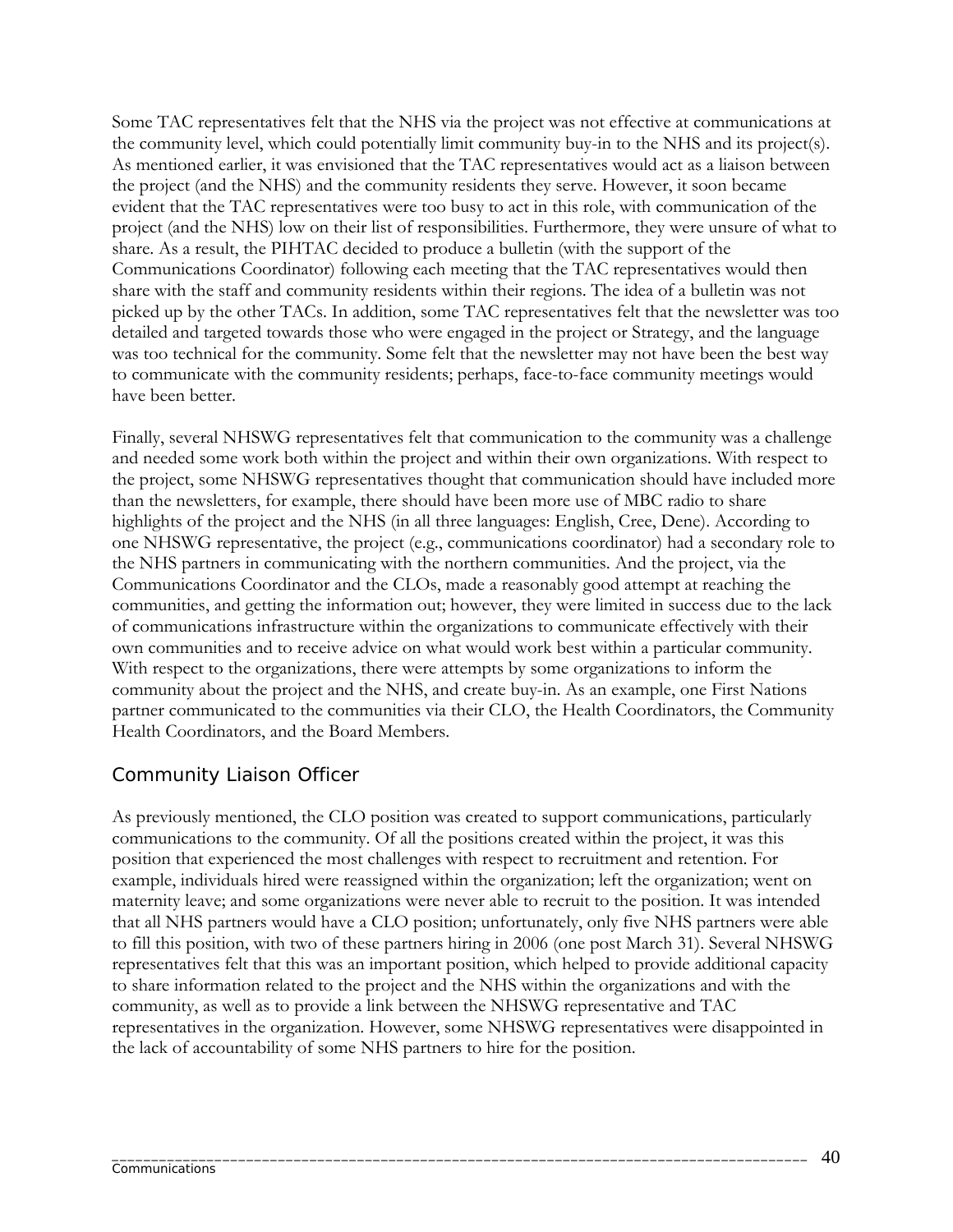Some TAC representatives felt that the NHS via the project was not effective at communications at the community level, which could potentially limit community buy-in to the NHS and its project(s). As mentioned earlier, it was envisioned that the TAC representatives would act as a liaison between the project (and the NHS) and the community residents they serve. However, it soon became evident that the TAC representatives were too busy to act in this role, with communication of the project (and the NHS) low on their list of responsibilities. Furthermore, they were unsure of what to share. As a result, the PIHTAC decided to produce a bulletin (with the support of the Communications Coordinator) following each meeting that the TAC representatives would then share with the staff and community residents within their regions. The idea of a bulletin was not picked up by the other TACs. In addition, some TAC representatives felt that the newsletter was too detailed and targeted towards those who were engaged in the project or Strategy, and the language was too technical for the community. Some felt that the newsletter may not have been the best way to communicate with the community residents; perhaps, face-to-face community meetings would have been better.

Finally, several NHSWG representatives felt that communication to the community was a challenge and needed some work both within the project and within their own organizations. With respect to the project, some NHSWG representatives thought that communication should have included more than the newsletters, for example, there should have been more use of MBC radio to share highlights of the project and the NHS (in all three languages: English, Cree, Dene). According to one NHSWG representative, the project (e.g., communications coordinator) had a secondary role to the NHS partners in communicating with the northern communities. And the project, via the Communications Coordinator and the CLOs, made a reasonably good attempt at reaching the communities, and getting the information out; however, they were limited in success due to the lack of communications infrastructure within the organizations to communicate effectively with their own communities and to receive advice on what would work best within a particular community. With respect to the organizations, there were attempts by some organizations to inform the community about the project and the NHS, and create buy-in. As an example, one First Nations partner communicated to the communities via their CLO, the Health Coordinators, the Community Health Coordinators, and the Board Members.

### *Community Liaison Officer*

As previously mentioned, the CLO position was created to support communications, particularly communications to the community. Of all the positions created within the project, it was this position that experienced the most challenges with respect to recruitment and retention. For example, individuals hired were reassigned within the organization; left the organization; went on maternity leave; and some organizations were never able to recruit to the position. It was intended that all NHS partners would have a CLO position; unfortunately, only five NHS partners were able to fill this position, with two of these partners hiring in 2006 (one post March 31). Several NHSWG representatives felt that this was an important position, which helped to provide additional capacity to share information related to the project and the NHS within the organizations and with the community, as well as to provide a link between the NHSWG representative and TAC representatives in the organization. However, some NHSWG representatives were disappointed in the lack of accountability of some NHS partners to hire for the position.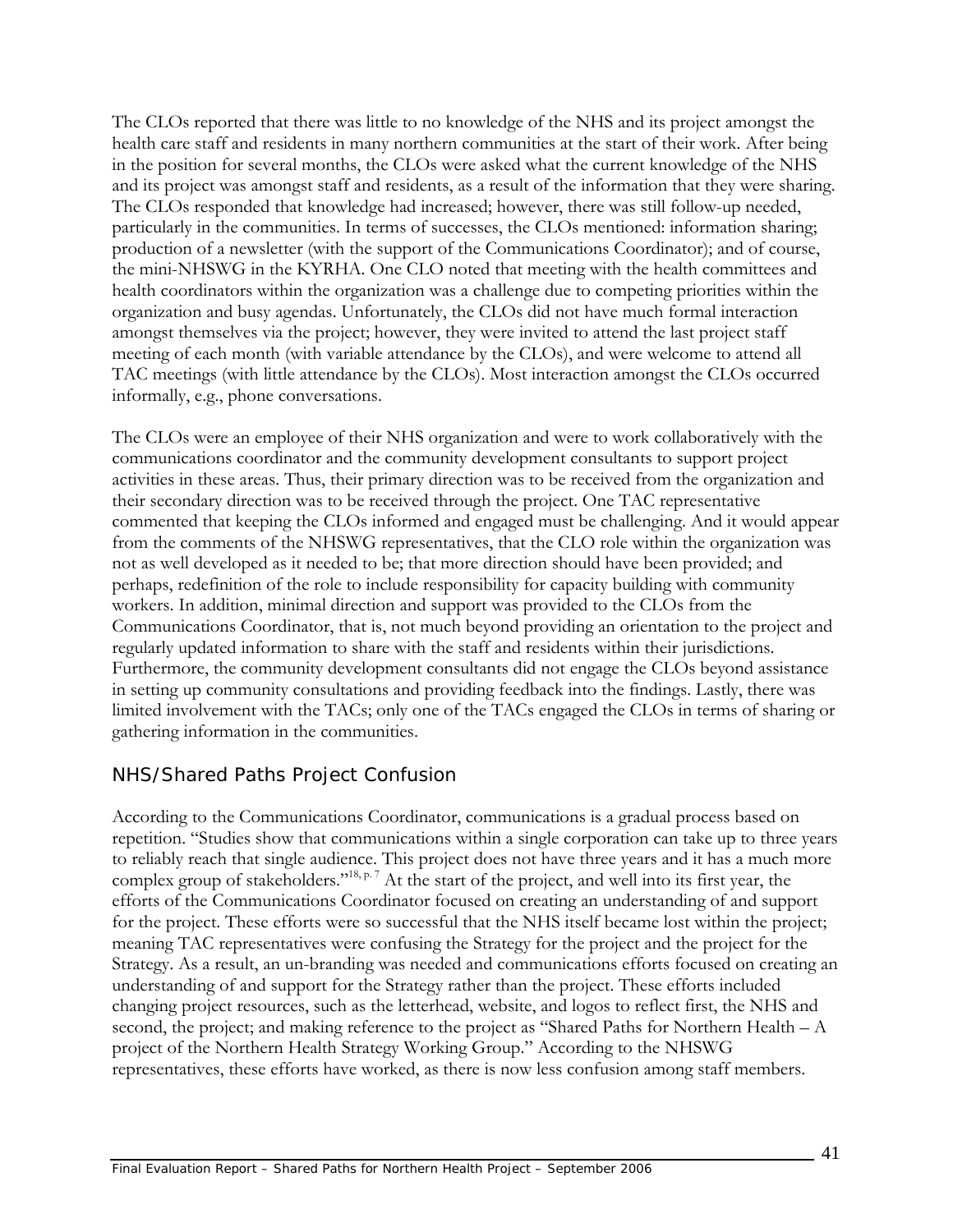The CLOs reported that there was little to no knowledge of the NHS and its project amongst the health care staff and residents in many northern communities at the start of their work. After being in the position for several months, the CLOs were asked what the current knowledge of the NHS and its project was amongst staff and residents, as a result of the information that they were sharing. The CLOs responded that knowledge had increased; however, there was still follow-up needed, particularly in the communities. In terms of successes, the CLOs mentioned: information sharing; production of a newsletter (with the support of the Communications Coordinator); and of course, the mini-NHSWG in the KYRHA. One CLO noted that meeting with the health committees and health coordinators within the organization was a challenge due to competing priorities within the organization and busy agendas. Unfortunately, the CLOs did not have much formal interaction amongst themselves via the project; however, they were invited to attend the last project staff meeting of each month (with variable attendance by the CLOs), and were welcome to attend all TAC meetings (with little attendance by the CLOs). Most interaction amongst the CLOs occurred informally, e.g., phone conversations.

The CLOs were an employee of their NHS organization and were to work collaboratively with the communications coordinator and the community development consultants to support project activities in these areas. Thus, their primary direction was to be received from the organization and their secondary direction was to be received through the project. One TAC representative commented that keeping the CLOs informed and engaged must be challenging. And it would appear from the comments of the NHSWG representatives, that the CLO role within the organization was not as well developed as it needed to be; that more direction should have been provided; and perhaps, redefinition of the role to include responsibility for capacity building with community workers. In addition, minimal direction and support was provided to the CLOs from the Communications Coordinator, that is, not much beyond providing an orientation to the project and regularly updated information to share with the staff and residents within their jurisdictions. Furthermore, the community development consultants did not engage the CLOs beyond assistance in setting up community consultations and providing feedback into the findings. Lastly, there was limited involvement with the TACs; only one of the TACs engaged the CLOs in terms of sharing or gathering information in the communities.

## *NHS/Shared Paths Project Confusion*

According to the Communications Coordinator, communications is a gradual process based on repetition. "Studies show that communications within a single corporation can take up to three years to reliably reach that single audience. This project does not have three years and it has a much more complex group of stakeholders."<sup>18, p. 7</sup> At the start of the project, and well into its first year, the efforts of the Communications Coordinator focused on creating an understanding of and support for the project. These efforts were so successful that the NHS itself became lost within the project; meaning TAC representatives were confusing the Strategy for the project and the project for the Strategy. As a result, an un-branding was needed and communications efforts focused on creating an understanding of and support for the Strategy rather than the project. These efforts included changing project resources, such as the letterhead, website, and logos to reflect first, the NHS and second, the project; and making reference to the project as "Shared Paths for Northern Health – A project of the Northern Health Strategy Working Group." According to the NHSWG representatives, these efforts have worked, as there is now less confusion among staff members.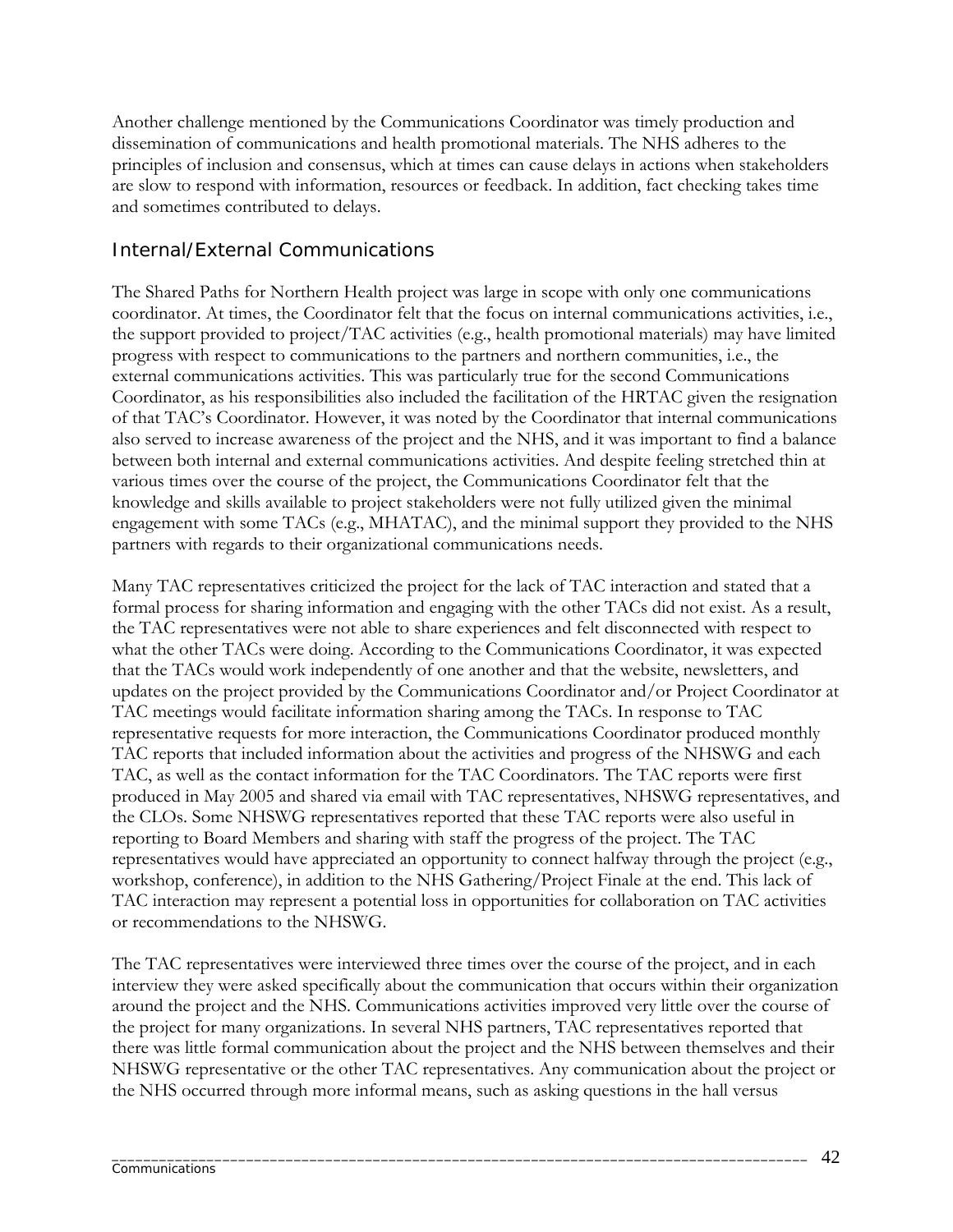Another challenge mentioned by the Communications Coordinator was timely production and dissemination of communications and health promotional materials. The NHS adheres to the principles of inclusion and consensus, which at times can cause delays in actions when stakeholders are slow to respond with information, resources or feedback. In addition, fact checking takes time and sometimes contributed to delays.

### *Internal/External Communications*

The Shared Paths for Northern Health project was large in scope with only one communications coordinator. At times, the Coordinator felt that the focus on internal communications activities, i.e., the support provided to project/TAC activities (e.g., health promotional materials) may have limited progress with respect to communications to the partners and northern communities, i.e., the external communications activities. This was particularly true for the second Communications Coordinator, as his responsibilities also included the facilitation of the HRTAC given the resignation of that TAC's Coordinator. However, it was noted by the Coordinator that internal communications also served to increase awareness of the project and the NHS, and it was important to find a balance between both internal and external communications activities. And despite feeling stretched thin at various times over the course of the project, the Communications Coordinator felt that the knowledge and skills available to project stakeholders were not fully utilized given the minimal engagement with some TACs (e.g., MHATAC), and the minimal support they provided to the NHS partners with regards to their organizational communications needs.

Many TAC representatives criticized the project for the lack of TAC interaction and stated that a formal process for sharing information and engaging with the other TACs did not exist. As a result, the TAC representatives were not able to share experiences and felt disconnected with respect to what the other TACs were doing. According to the Communications Coordinator, it was expected that the TACs would work independently of one another and that the website, newsletters, and updates on the project provided by the Communications Coordinator and/or Project Coordinator at TAC meetings would facilitate information sharing among the TACs. In response to TAC representative requests for more interaction, the Communications Coordinator produced monthly TAC reports that included information about the activities and progress of the NHSWG and each TAC, as well as the contact information for the TAC Coordinators. The TAC reports were first produced in May 2005 and shared via email with TAC representatives, NHSWG representatives, and the CLOs. Some NHSWG representatives reported that these TAC reports were also useful in reporting to Board Members and sharing with staff the progress of the project. The TAC representatives would have appreciated an opportunity to connect halfway through the project (e.g., workshop, conference), in addition to the NHS Gathering/Project Finale at the end. This lack of TAC interaction may represent a potential loss in opportunities for collaboration on TAC activities or recommendations to the NHSWG.

The TAC representatives were interviewed three times over the course of the project, and in each interview they were asked specifically about the communication that occurs within their organization around the project and the NHS. Communications activities improved very little over the course of the project for many organizations. In several NHS partners, TAC representatives reported that there was little formal communication about the project and the NHS between themselves and their NHSWG representative or the other TAC representatives. Any communication about the project or the NHS occurred through more informal means, such as asking questions in the hall versus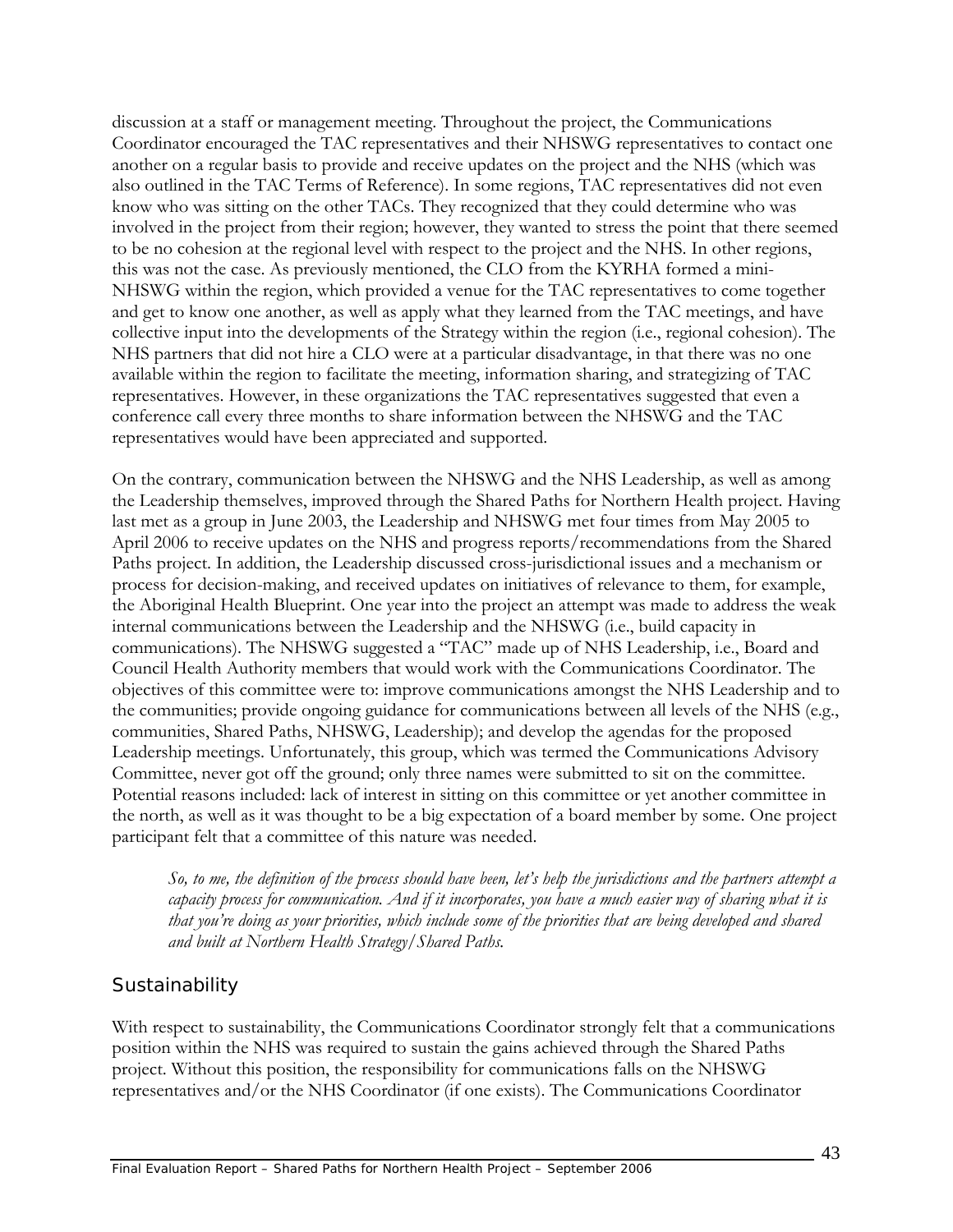discussion at a staff or management meeting. Throughout the project, the Communications Coordinator encouraged the TAC representatives and their NHSWG representatives to contact one another on a regular basis to provide and receive updates on the project and the NHS (which was also outlined in the TAC Terms of Reference). In some regions, TAC representatives did not even know who was sitting on the other TACs. They recognized that they could determine who was involved in the project from their region; however, they wanted to stress the point that there seemed to be no cohesion at the regional level with respect to the project and the NHS. In other regions, this was not the case. As previously mentioned, the CLO from the KYRHA formed a mini-NHSWG within the region, which provided a venue for the TAC representatives to come together and get to know one another, as well as apply what they learned from the TAC meetings, and have collective input into the developments of the Strategy within the region (i.e., regional cohesion). The NHS partners that did not hire a CLO were at a particular disadvantage, in that there was no one available within the region to facilitate the meeting, information sharing, and strategizing of TAC representatives. However, in these organizations the TAC representatives suggested that even a conference call every three months to share information between the NHSWG and the TAC representatives would have been appreciated and supported.

On the contrary, communication between the NHSWG and the NHS Leadership, as well as among the Leadership themselves, improved through the Shared Paths for Northern Health project. Having last met as a group in June 2003, the Leadership and NHSWG met four times from May 2005 to April 2006 to receive updates on the NHS and progress reports/recommendations from the Shared Paths project. In addition, the Leadership discussed cross-jurisdictional issues and a mechanism or process for decision-making, and received updates on initiatives of relevance to them, for example, the Aboriginal Health Blueprint. One year into the project an attempt was made to address the weak internal communications between the Leadership and the NHSWG (i.e., build capacity in communications). The NHSWG suggested a "TAC" made up of NHS Leadership, i.e., Board and Council Health Authority members that would work with the Communications Coordinator. The objectives of this committee were to: improve communications amongst the NHS Leadership and to the communities; provide ongoing guidance for communications between all levels of the NHS (e.g., communities, Shared Paths, NHSWG, Leadership); and develop the agendas for the proposed Leadership meetings. Unfortunately, this group, which was termed the Communications Advisory Committee, never got off the ground; only three names were submitted to sit on the committee. Potential reasons included: lack of interest in sitting on this committee or yet another committee in the north, as well as it was thought to be a big expectation of a board member by some. One project participant felt that a committee of this nature was needed.

*So, to me, the definition of the process should have been, let's help the jurisdictions and the partners attempt a capacity process for communication. And if it incorporates, you have a much easier way of sharing what it is that you're doing as your priorities, which include some of the priorities that are being developed and shared and built at Northern Health Strategy/Shared Paths.* 

### *Sustainability*

With respect to sustainability, the Communications Coordinator strongly felt that a communications position within the NHS was required to sustain the gains achieved through the Shared Paths project. Without this position, the responsibility for communications falls on the NHSWG representatives and/or the NHS Coordinator (if one exists). The Communications Coordinator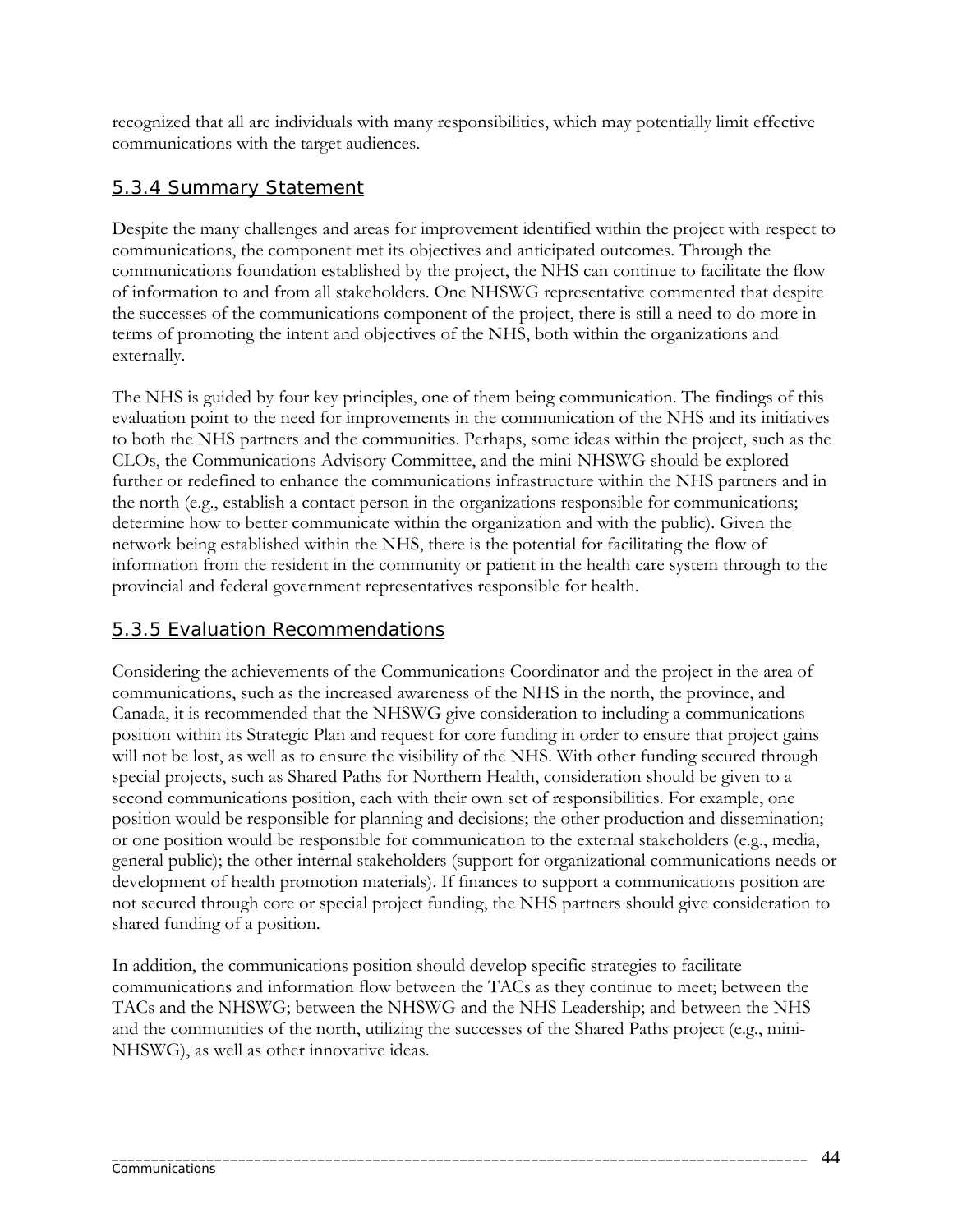recognized that all are individuals with many responsibilities, which may potentially limit effective communications with the target audiences.

## 5.3.4 Summary Statement

Despite the many challenges and areas for improvement identified within the project with respect to communications, the component met its objectives and anticipated outcomes. Through the communications foundation established by the project, the NHS can continue to facilitate the flow of information to and from all stakeholders. One NHSWG representative commented that despite the successes of the communications component of the project, there is still a need to do more in terms of promoting the intent and objectives of the NHS, both within the organizations and externally.

The NHS is guided by four key principles, one of them being communication. The findings of this evaluation point to the need for improvements in the communication of the NHS and its initiatives to both the NHS partners and the communities. Perhaps, some ideas within the project, such as the CLOs, the Communications Advisory Committee, and the mini-NHSWG should be explored further or redefined to enhance the communications infrastructure within the NHS partners and in the north (e.g., establish a contact person in the organizations responsible for communications; determine how to better communicate within the organization and with the public). Given the network being established within the NHS, there is the potential for facilitating the flow of information from the resident in the community or patient in the health care system through to the provincial and federal government representatives responsible for health.

## 5.3.5 Evaluation Recommendations

Considering the achievements of the Communications Coordinator and the project in the area of communications, such as the increased awareness of the NHS in the north, the province, and Canada, it is recommended that the NHSWG give consideration to including a communications position within its Strategic Plan and request for core funding in order to ensure that project gains will not be lost, as well as to ensure the visibility of the NHS. With other funding secured through special projects, such as Shared Paths for Northern Health, consideration should be given to a second communications position, each with their own set of responsibilities. For example, one position would be responsible for planning and decisions; the other production and dissemination; or one position would be responsible for communication to the external stakeholders (e.g., media, general public); the other internal stakeholders (support for organizational communications needs or development of health promotion materials). If finances to support a communications position are not secured through core or special project funding, the NHS partners should give consideration to shared funding of a position.

In addition, the communications position should develop specific strategies to facilitate communications and information flow between the TACs as they continue to meet; between the TACs and the NHSWG; between the NHSWG and the NHS Leadership; and between the NHS and the communities of the north, utilizing the successes of the Shared Paths project (e.g., mini-NHSWG), as well as other innovative ideas.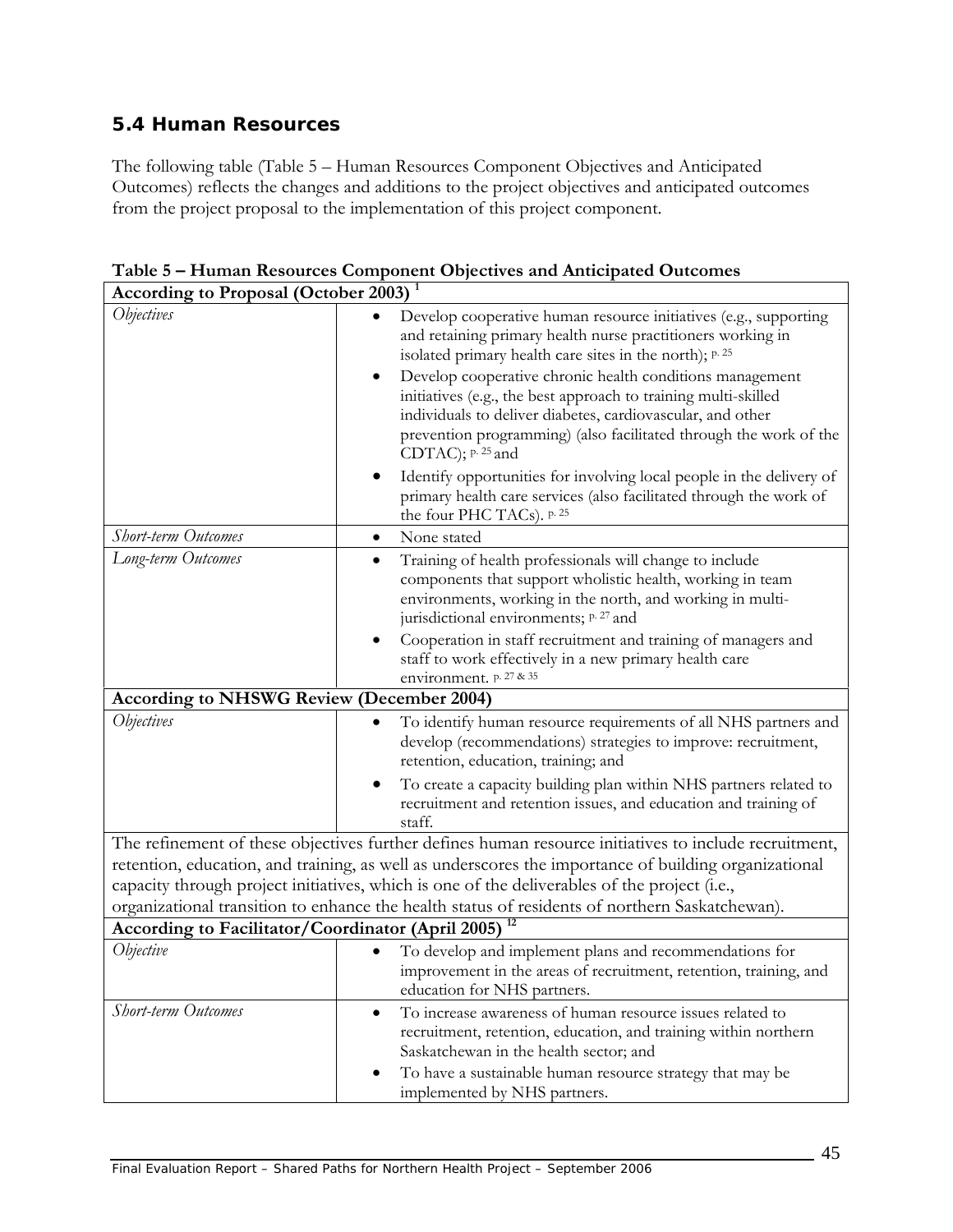## **5.4 Human Resources**

The following table (Table 5 – Human Resources Component Objectives and Anticipated Outcomes) reflects the changes and additions to the project objectives and anticipated outcomes from the project proposal to the implementation of this project component.

| <b>According to Proposal (October 2003)</b> <sup>1</sup>                                                                                                                                                                                                                                                                                                                                                        |                                                                                                                                                                                                                                                                                                                                                                                                                                                                                                                                                                                                                                                  |  |
|-----------------------------------------------------------------------------------------------------------------------------------------------------------------------------------------------------------------------------------------------------------------------------------------------------------------------------------------------------------------------------------------------------------------|--------------------------------------------------------------------------------------------------------------------------------------------------------------------------------------------------------------------------------------------------------------------------------------------------------------------------------------------------------------------------------------------------------------------------------------------------------------------------------------------------------------------------------------------------------------------------------------------------------------------------------------------------|--|
| <i><b>Objectives</b></i>                                                                                                                                                                                                                                                                                                                                                                                        | Develop cooperative human resource initiatives (e.g., supporting<br>and retaining primary health nurse practitioners working in<br>isolated primary health care sites in the north); p. 25<br>Develop cooperative chronic health conditions management<br>$\bullet$<br>initiatives (e.g., the best approach to training multi-skilled<br>individuals to deliver diabetes, cardiovascular, and other<br>prevention programming) (also facilitated through the work of the<br>CDTAC); p. 25 and<br>Identify opportunities for involving local people in the delivery of<br>٠<br>primary health care services (also facilitated through the work of |  |
| Short-term Outcomes                                                                                                                                                                                                                                                                                                                                                                                             | the four PHC TACs). p. 25<br>None stated<br>٠                                                                                                                                                                                                                                                                                                                                                                                                                                                                                                                                                                                                    |  |
| Long-term Outcomes                                                                                                                                                                                                                                                                                                                                                                                              | Training of health professionals will change to include<br>٠<br>components that support wholistic health, working in team<br>environments, working in the north, and working in multi-<br>jurisdictional environments; p. 27 and<br>Cooperation in staff recruitment and training of managers and<br>staff to work effectively in a new primary health care                                                                                                                                                                                                                                                                                      |  |
|                                                                                                                                                                                                                                                                                                                                                                                                                 | environment. p. 27 & 35                                                                                                                                                                                                                                                                                                                                                                                                                                                                                                                                                                                                                          |  |
| <b>According to NHSWG Review (December 2004)</b>                                                                                                                                                                                                                                                                                                                                                                |                                                                                                                                                                                                                                                                                                                                                                                                                                                                                                                                                                                                                                                  |  |
| <i><b>Objectives</b></i>                                                                                                                                                                                                                                                                                                                                                                                        | To identify human resource requirements of all NHS partners and<br>develop (recommendations) strategies to improve: recruitment,<br>retention, education, training; and<br>To create a capacity building plan within NHS partners related to<br>$\bullet$                                                                                                                                                                                                                                                                                                                                                                                        |  |
|                                                                                                                                                                                                                                                                                                                                                                                                                 | recruitment and retention issues, and education and training of<br>staff.                                                                                                                                                                                                                                                                                                                                                                                                                                                                                                                                                                        |  |
| The refinement of these objectives further defines human resource initiatives to include recruitment,<br>retention, education, and training, as well as underscores the importance of building organizational<br>capacity through project initiatives, which is one of the deliverables of the project (i.e.,<br>organizational transition to enhance the health status of residents of northern Saskatchewan). |                                                                                                                                                                                                                                                                                                                                                                                                                                                                                                                                                                                                                                                  |  |
| According to Facilitator/Coordinator (April 2005)                                                                                                                                                                                                                                                                                                                                                               |                                                                                                                                                                                                                                                                                                                                                                                                                                                                                                                                                                                                                                                  |  |
| Objective                                                                                                                                                                                                                                                                                                                                                                                                       | To develop and implement plans and recommendations for<br>improvement in the areas of recruitment, retention, training, and<br>education for NHS partners.                                                                                                                                                                                                                                                                                                                                                                                                                                                                                       |  |
| <b>Short-term Outcomes</b>                                                                                                                                                                                                                                                                                                                                                                                      | To increase awareness of human resource issues related to<br>$\bullet$<br>recruitment, retention, education, and training within northern<br>Saskatchewan in the health sector; and<br>To have a sustainable human resource strategy that may be<br>٠<br>implemented by NHS partners.                                                                                                                                                                                                                                                                                                                                                            |  |

**Table 5 – Human Resources Component Objectives and Anticipated Outcomes**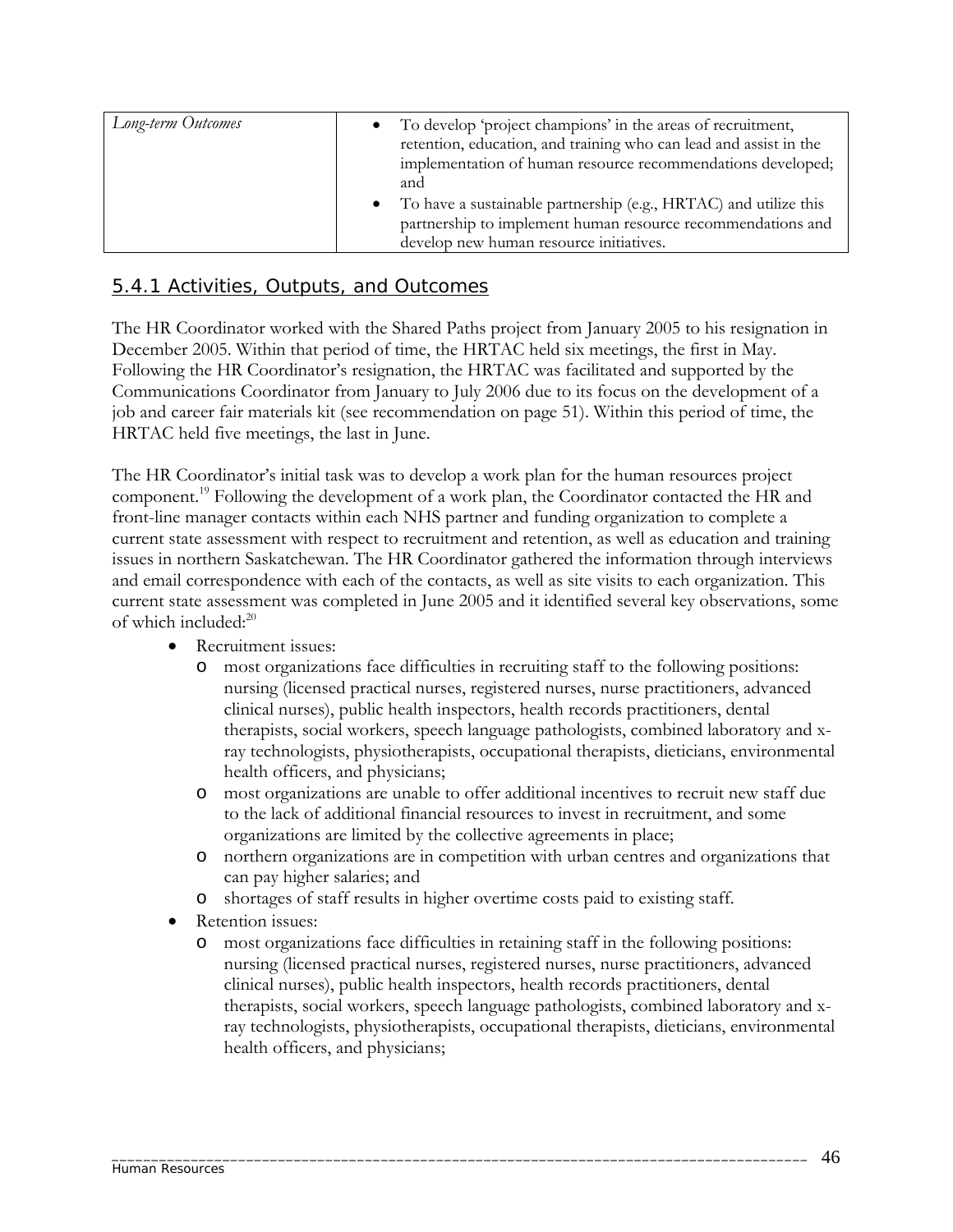| Long-term Outcomes | To develop 'project champions' in the areas of recruitment,<br>$\bullet$<br>retention, education, and training who can lead and assist in the<br>implementation of human resource recommendations developed;<br>and |
|--------------------|---------------------------------------------------------------------------------------------------------------------------------------------------------------------------------------------------------------------|
|                    | • To have a sustainable partnership (e.g., HRTAC) and utilize this<br>partnership to implement human resource recommendations and<br>develop new human resource initiatives.                                        |

## 5.4.1 Activities, Outputs, and Outcomes

The HR Coordinator worked with the Shared Paths project from January 2005 to his resignation in December 2005. Within that period of time, the HRTAC held six meetings, the first in May. Following the HR Coordinator's resignation, the HRTAC was facilitated and supported by the Communications Coordinator from January to July 2006 due to its focus on the development of a job and career fair materials kit (see recommendation on page 51). Within this period of time, the HRTAC held five meetings, the last in June.

The HR Coordinator's initial task was to develop a work plan for the human resources project component.19 Following the development of a work plan, the Coordinator contacted the HR and front-line manager contacts within each NHS partner and funding organization to complete a current state assessment with respect to recruitment and retention, as well as education and training issues in northern Saskatchewan. The HR Coordinator gathered the information through interviews and email correspondence with each of the contacts, as well as site visits to each organization. This current state assessment was completed in June 2005 and it identified several key observations, some of which included:<sup>20</sup>

- Recruitment issues:
	- o most organizations face difficulties in recruiting staff to the following positions: nursing (licensed practical nurses, registered nurses, nurse practitioners, advanced clinical nurses), public health inspectors, health records practitioners, dental therapists, social workers, speech language pathologists, combined laboratory and xray technologists, physiotherapists, occupational therapists, dieticians, environmental health officers, and physicians;
	- o most organizations are unable to offer additional incentives to recruit new staff due to the lack of additional financial resources to invest in recruitment, and some organizations are limited by the collective agreements in place;
	- o northern organizations are in competition with urban centres and organizations that can pay higher salaries; and
	- o shortages of staff results in higher overtime costs paid to existing staff.

- Retention issues:
	- o most organizations face difficulties in retaining staff in the following positions: nursing (licensed practical nurses, registered nurses, nurse practitioners, advanced clinical nurses), public health inspectors, health records practitioners, dental therapists, social workers, speech language pathologists, combined laboratory and xray technologists, physiotherapists, occupational therapists, dieticians, environmental health officers, and physicians;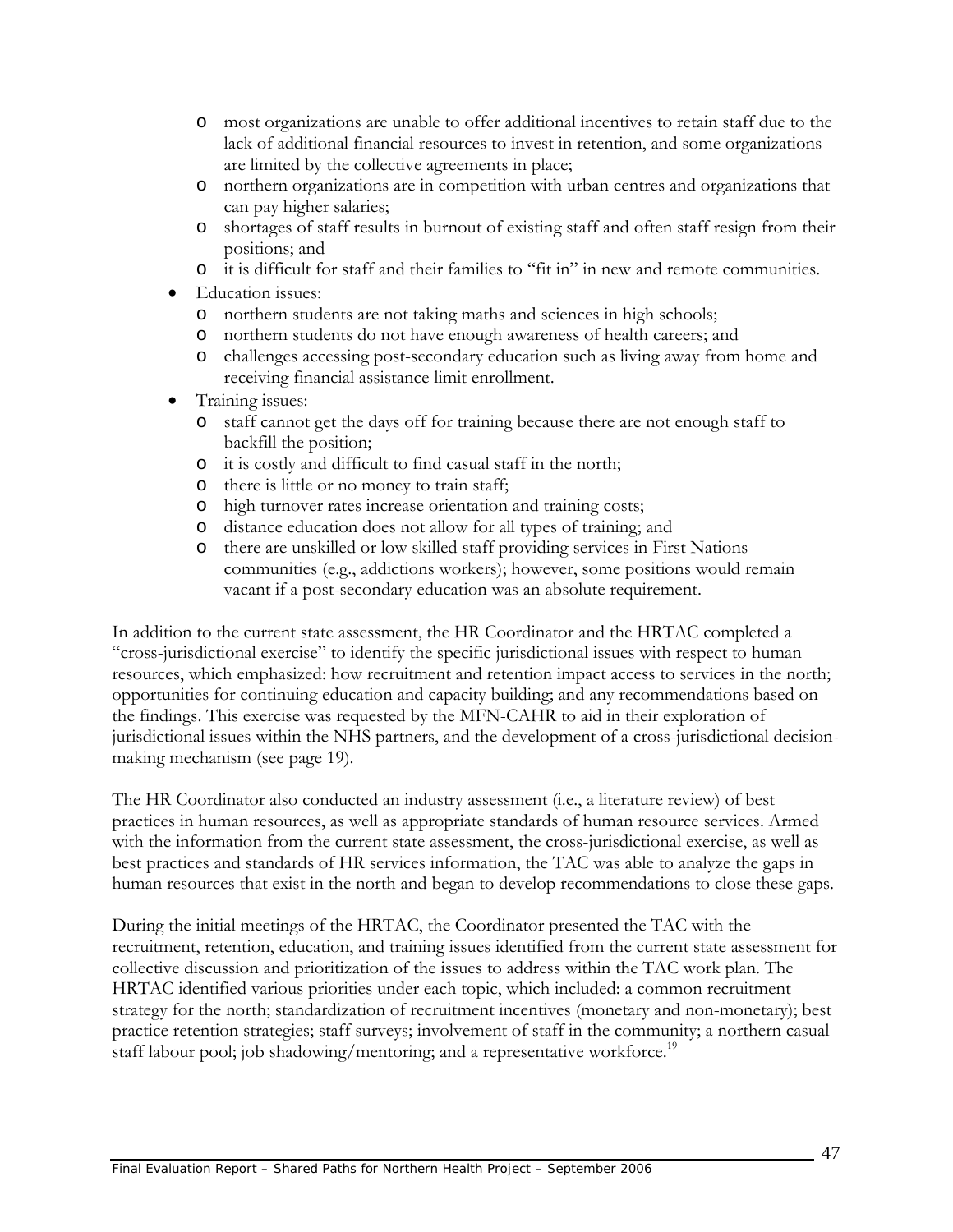- o most organizations are unable to offer additional incentives to retain staff due to the lack of additional financial resources to invest in retention, and some organizations are limited by the collective agreements in place;
- o northern organizations are in competition with urban centres and organizations that can pay higher salaries;
- o shortages of staff results in burnout of existing staff and often staff resign from their positions; and
- o it is difficult for staff and their families to "fit in" in new and remote communities.
- Education issues:
	- o northern students are not taking maths and sciences in high schools;
	- o northern students do not have enough awareness of health careers; and
	- o challenges accessing post-secondary education such as living away from home and receiving financial assistance limit enrollment.
- Training issues:
	- o staff cannot get the days off for training because there are not enough staff to backfill the position;
	- o it is costly and difficult to find casual staff in the north;
	- o there is little or no money to train staff;
	- o high turnover rates increase orientation and training costs;
	- o distance education does not allow for all types of training; and
	- o there are unskilled or low skilled staff providing services in First Nations communities (e.g., addictions workers); however, some positions would remain vacant if a post-secondary education was an absolute requirement.

In addition to the current state assessment, the HR Coordinator and the HRTAC completed a "cross-jurisdictional exercise" to identify the specific jurisdictional issues with respect to human resources, which emphasized: how recruitment and retention impact access to services in the north; opportunities for continuing education and capacity building; and any recommendations based on the findings. This exercise was requested by the MFN-CAHR to aid in their exploration of jurisdictional issues within the NHS partners, and the development of a cross-jurisdictional decisionmaking mechanism (see page 19).

The HR Coordinator also conducted an industry assessment (i.e., a literature review) of best practices in human resources, as well as appropriate standards of human resource services. Armed with the information from the current state assessment, the cross-jurisdictional exercise, as well as best practices and standards of HR services information, the TAC was able to analyze the gaps in human resources that exist in the north and began to develop recommendations to close these gaps.

During the initial meetings of the HRTAC, the Coordinator presented the TAC with the recruitment, retention, education, and training issues identified from the current state assessment for collective discussion and prioritization of the issues to address within the TAC work plan. The HRTAC identified various priorities under each topic, which included: a common recruitment strategy for the north; standardization of recruitment incentives (monetary and non-monetary); best practice retention strategies; staff surveys; involvement of staff in the community; a northern casual staff labour pool; job shadowing/mentoring; and a representative workforce.<sup>19</sup>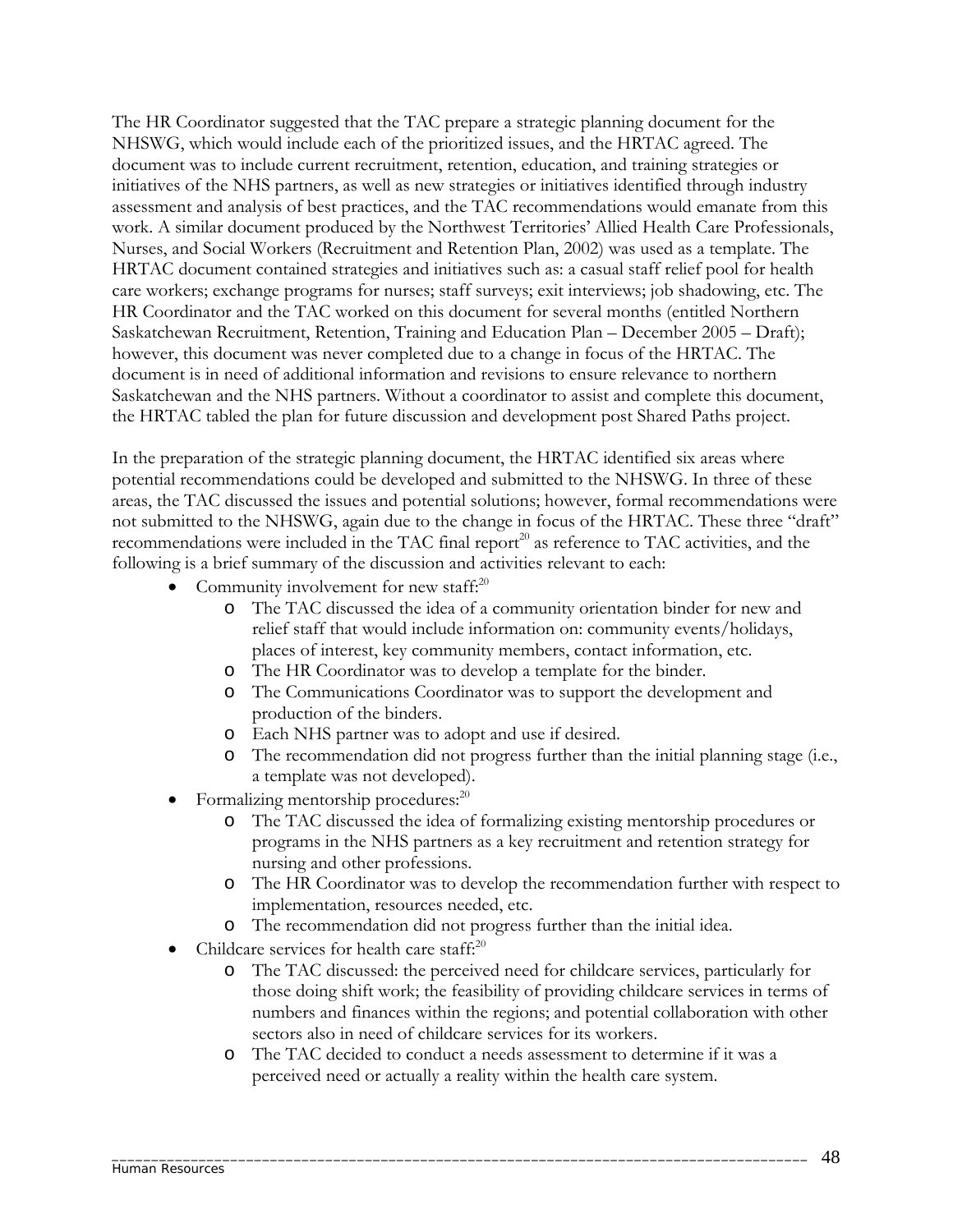The HR Coordinator suggested that the TAC prepare a strategic planning document for the NHSWG, which would include each of the prioritized issues, and the HRTAC agreed. The document was to include current recruitment, retention, education, and training strategies or initiatives of the NHS partners, as well as new strategies or initiatives identified through industry assessment and analysis of best practices, and the TAC recommendations would emanate from this work. A similar document produced by the Northwest Territories' Allied Health Care Professionals, Nurses, and Social Workers (Recruitment and Retention Plan, 2002) was used as a template. The HRTAC document contained strategies and initiatives such as: a casual staff relief pool for health care workers; exchange programs for nurses; staff surveys; exit interviews; job shadowing, etc. The HR Coordinator and the TAC worked on this document for several months (entitled Northern Saskatchewan Recruitment, Retention, Training and Education Plan – December 2005 – Draft); however, this document was never completed due to a change in focus of the HRTAC. The document is in need of additional information and revisions to ensure relevance to northern Saskatchewan and the NHS partners. Without a coordinator to assist and complete this document, the HRTAC tabled the plan for future discussion and development post Shared Paths project.

In the preparation of the strategic planning document, the HRTAC identified six areas where potential recommendations could be developed and submitted to the NHSWG. In three of these areas, the TAC discussed the issues and potential solutions; however, formal recommendations were not submitted to the NHSWG, again due to the change in focus of the HRTAC. These three "draft" recommendations were included in the TAC final report<sup>20</sup> as reference to TAC activities, and the following is a brief summary of the discussion and activities relevant to each:

- Community involvement for new staff: $^{20}$ 
	- o The TAC discussed the idea of a community orientation binder for new and relief staff that would include information on: community events/holidays, places of interest, key community members, contact information, etc.
	- o The HR Coordinator was to develop a template for the binder.
	- o The Communications Coordinator was to support the development and production of the binders.
	- o Each NHS partner was to adopt and use if desired.
	- o The recommendation did not progress further than the initial planning stage (i.e., a template was not developed).
- Formalizing mentorship procedures: $^{20}$ 
	- o The TAC discussed the idea of formalizing existing mentorship procedures or programs in the NHS partners as a key recruitment and retention strategy for nursing and other professions.
	- o The HR Coordinator was to develop the recommendation further with respect to implementation, resources needed, etc.
	- o The recommendation did not progress further than the initial idea.
- Childcare services for health care staff:<sup>20</sup>
	- o The TAC discussed: the perceived need for childcare services, particularly for those doing shift work; the feasibility of providing childcare services in terms of numbers and finances within the regions; and potential collaboration with other sectors also in need of childcare services for its workers.
	- o The TAC decided to conduct a needs assessment to determine if it was a perceived need or actually a reality within the health care system.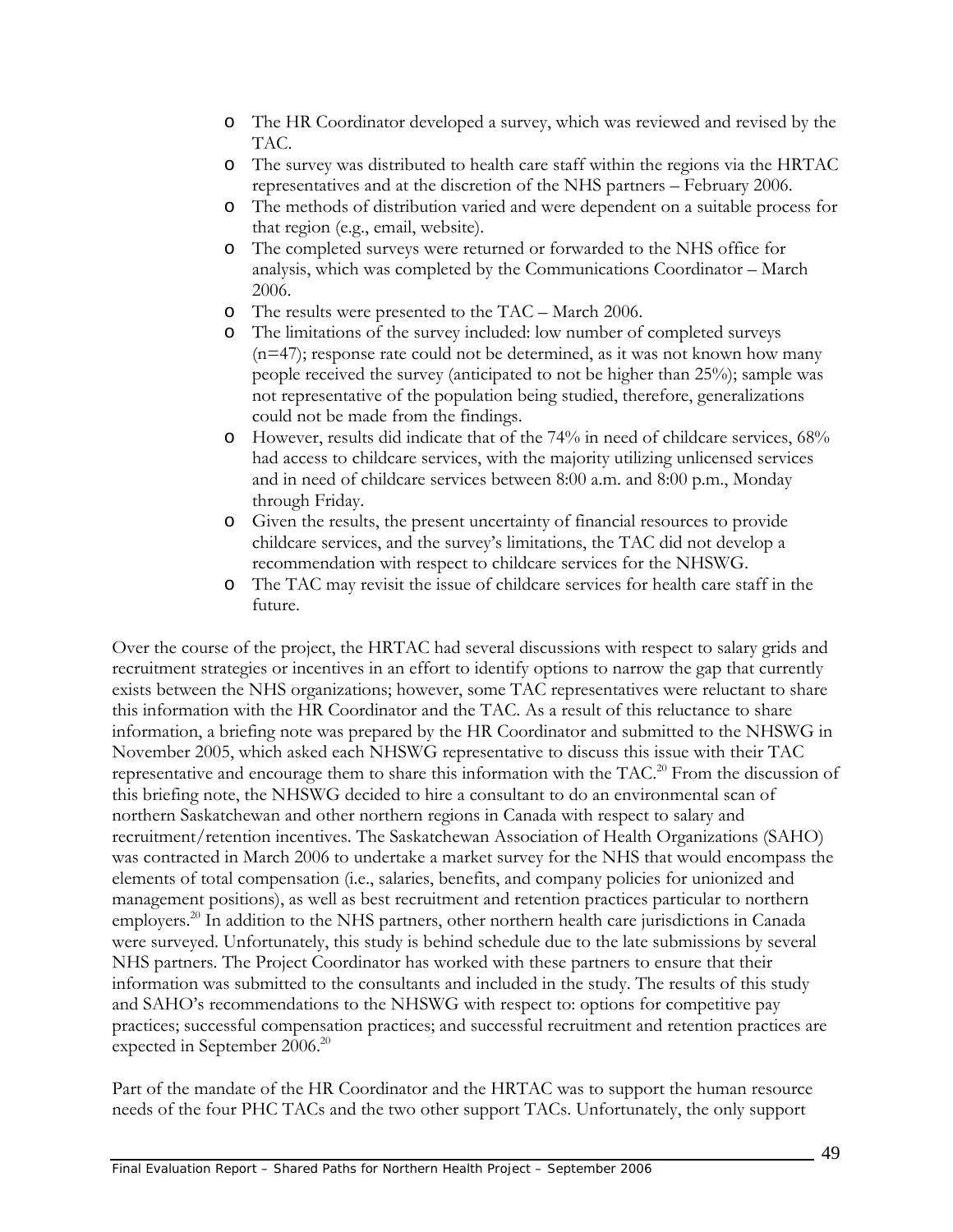- o The HR Coordinator developed a survey, which was reviewed and revised by the TAC.
- o The survey was distributed to health care staff within the regions via the HRTAC representatives and at the discretion of the NHS partners – February 2006.
- o The methods of distribution varied and were dependent on a suitable process for that region (e.g., email, website).
- o The completed surveys were returned or forwarded to the NHS office for analysis, which was completed by the Communications Coordinator – March 2006.
- o The results were presented to the TAC March 2006.
- o The limitations of the survey included: low number of completed surveys (n=47); response rate could not be determined, as it was not known how many people received the survey (anticipated to not be higher than 25%); sample was not representative of the population being studied, therefore, generalizations could not be made from the findings.
- o However, results did indicate that of the 74% in need of childcare services, 68% had access to childcare services, with the majority utilizing unlicensed services and in need of childcare services between 8:00 a.m. and 8:00 p.m., Monday through Friday.
- o Given the results, the present uncertainty of financial resources to provide childcare services, and the survey's limitations, the TAC did not develop a recommendation with respect to childcare services for the NHSWG.
- o The TAC may revisit the issue of childcare services for health care staff in the future.

Over the course of the project, the HRTAC had several discussions with respect to salary grids and recruitment strategies or incentives in an effort to identify options to narrow the gap that currently exists between the NHS organizations; however, some TAC representatives were reluctant to share this information with the HR Coordinator and the TAC. As a result of this reluctance to share information, a briefing note was prepared by the HR Coordinator and submitted to the NHSWG in November 2005, which asked each NHSWG representative to discuss this issue with their TAC representative and encourage them to share this information with the TAC.<sup>20</sup> From the discussion of this briefing note, the NHSWG decided to hire a consultant to do an environmental scan of northern Saskatchewan and other northern regions in Canada with respect to salary and recruitment/retention incentives. The Saskatchewan Association of Health Organizations (SAHO) was contracted in March 2006 to undertake a market survey for the NHS that would encompass the elements of total compensation (i.e., salaries, benefits, and company policies for unionized and management positions), as well as best recruitment and retention practices particular to northern employers.<sup>20</sup> In addition to the NHS partners, other northern health care jurisdictions in Canada were surveyed. Unfortunately, this study is behind schedule due to the late submissions by several NHS partners. The Project Coordinator has worked with these partners to ensure that their information was submitted to the consultants and included in the study. The results of this study and SAHO's recommendations to the NHSWG with respect to: options for competitive pay practices; successful compensation practices; and successful recruitment and retention practices are expected in September 2006.<sup>20</sup>

Part of the mandate of the HR Coordinator and the HRTAC was to support the human resource needs of the four PHC TACs and the two other support TACs. Unfortunately, the only support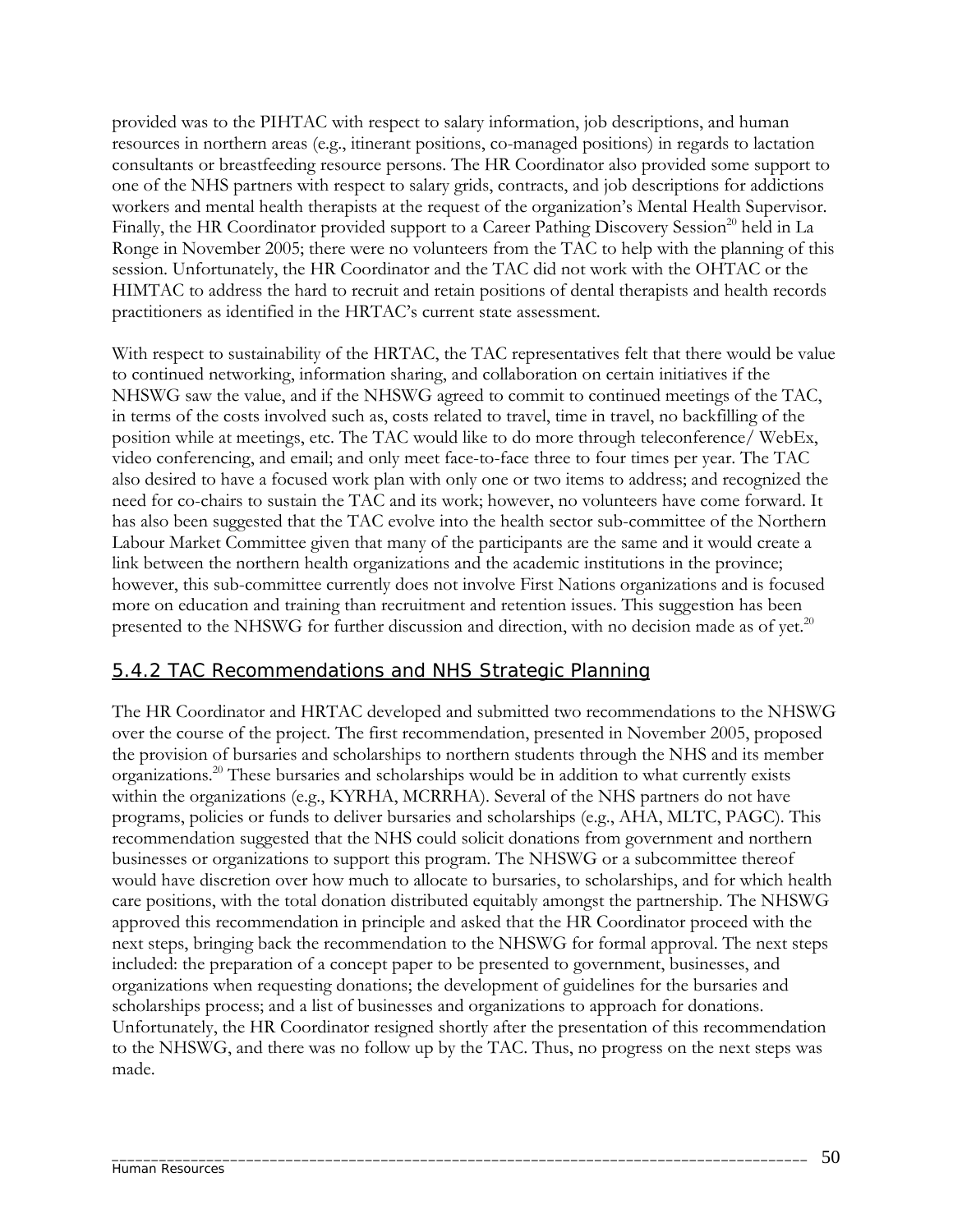provided was to the PIHTAC with respect to salary information, job descriptions, and human resources in northern areas (e.g., itinerant positions, co-managed positions) in regards to lactation consultants or breastfeeding resource persons. The HR Coordinator also provided some support to one of the NHS partners with respect to salary grids, contracts, and job descriptions for addictions workers and mental health therapists at the request of the organization's Mental Health Supervisor. Finally, the HR Coordinator provided support to a Career Pathing Discovery Session<sup>20</sup> held in La Ronge in November 2005; there were no volunteers from the TAC to help with the planning of this session. Unfortunately, the HR Coordinator and the TAC did not work with the OHTAC or the HIMTAC to address the hard to recruit and retain positions of dental therapists and health records practitioners as identified in the HRTAC's current state assessment.

With respect to sustainability of the HRTAC, the TAC representatives felt that there would be value to continued networking, information sharing, and collaboration on certain initiatives if the NHSWG saw the value, and if the NHSWG agreed to commit to continued meetings of the TAC, in terms of the costs involved such as, costs related to travel, time in travel, no backfilling of the position while at meetings, etc. The TAC would like to do more through teleconference/ WebEx, video conferencing, and email; and only meet face-to-face three to four times per year. The TAC also desired to have a focused work plan with only one or two items to address; and recognized the need for co-chairs to sustain the TAC and its work; however, no volunteers have come forward. It has also been suggested that the TAC evolve into the health sector sub-committee of the Northern Labour Market Committee given that many of the participants are the same and it would create a link between the northern health organizations and the academic institutions in the province; however, this sub-committee currently does not involve First Nations organizations and is focused more on education and training than recruitment and retention issues. This suggestion has been presented to the NHSWG for further discussion and direction, with no decision made as of yet.<sup>20</sup>

### 5.4.2 TAC Recommendations and NHS Strategic Planning

The HR Coordinator and HRTAC developed and submitted two recommendations to the NHSWG over the course of the project. The first recommendation, presented in November 2005, proposed the provision of bursaries and scholarships to northern students through the NHS and its member organizations.20 These bursaries and scholarships would be in addition to what currently exists within the organizations (e.g., KYRHA, MCRRHA). Several of the NHS partners do not have programs, policies or funds to deliver bursaries and scholarships (e.g., AHA, MLTC, PAGC). This recommendation suggested that the NHS could solicit donations from government and northern businesses or organizations to support this program. The NHSWG or a subcommittee thereof would have discretion over how much to allocate to bursaries, to scholarships, and for which health care positions, with the total donation distributed equitably amongst the partnership. The NHSWG approved this recommendation in principle and asked that the HR Coordinator proceed with the next steps, bringing back the recommendation to the NHSWG for formal approval. The next steps included: the preparation of a concept paper to be presented to government, businesses, and organizations when requesting donations; the development of guidelines for the bursaries and scholarships process; and a list of businesses and organizations to approach for donations. Unfortunately, the HR Coordinator resigned shortly after the presentation of this recommendation to the NHSWG, and there was no follow up by the TAC. Thus, no progress on the next steps was made.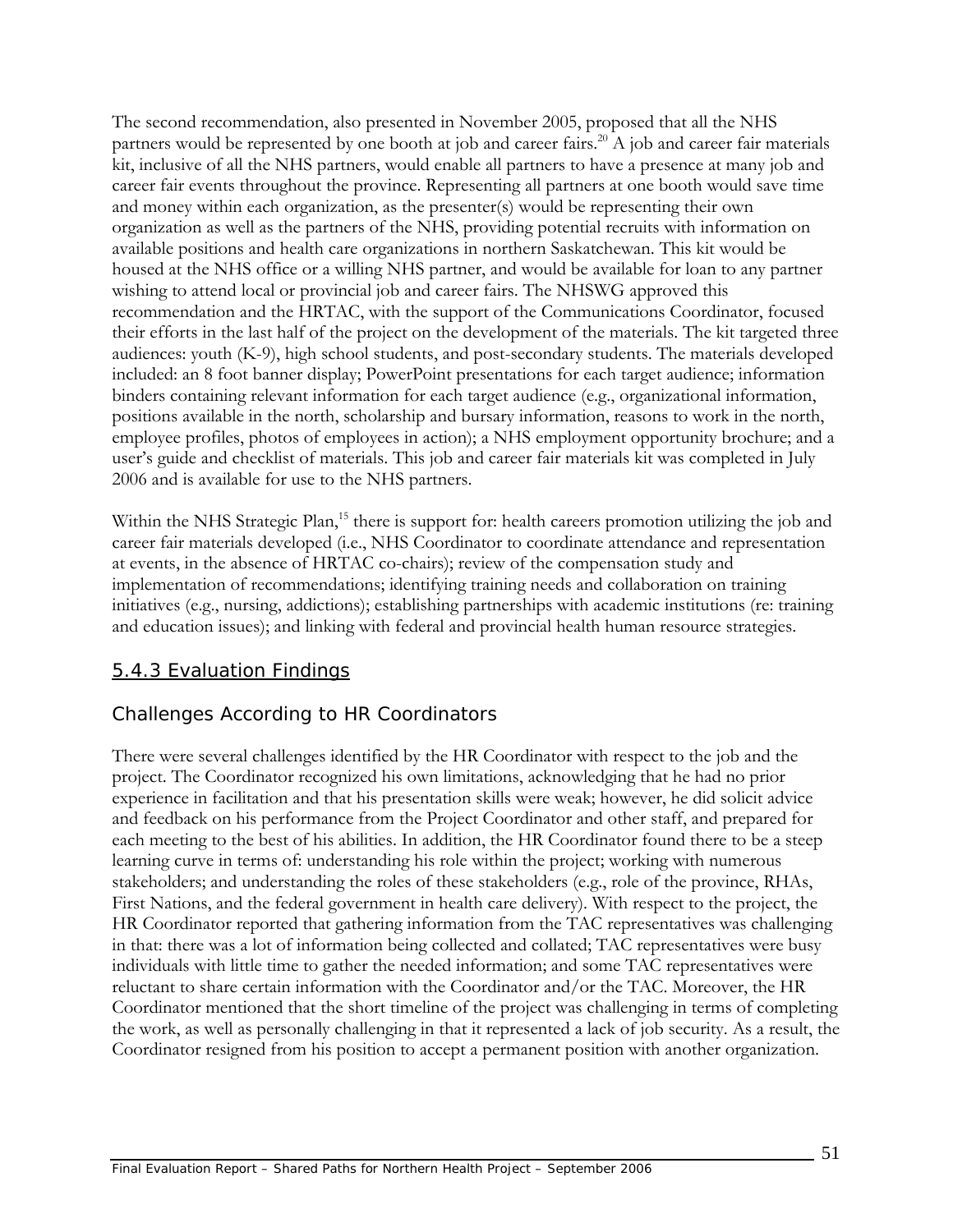The second recommendation, also presented in November 2005, proposed that all the NHS partners would be represented by one booth at job and career fairs.<sup>20</sup> A job and career fair materials kit, inclusive of all the NHS partners, would enable all partners to have a presence at many job and career fair events throughout the province. Representing all partners at one booth would save time and money within each organization, as the presenter(s) would be representing their own organization as well as the partners of the NHS, providing potential recruits with information on available positions and health care organizations in northern Saskatchewan. This kit would be housed at the NHS office or a willing NHS partner, and would be available for loan to any partner wishing to attend local or provincial job and career fairs. The NHSWG approved this recommendation and the HRTAC, with the support of the Communications Coordinator, focused their efforts in the last half of the project on the development of the materials. The kit targeted three audiences: youth (K-9), high school students, and post-secondary students. The materials developed included: an 8 foot banner display; PowerPoint presentations for each target audience; information binders containing relevant information for each target audience (e.g., organizational information, positions available in the north, scholarship and bursary information, reasons to work in the north, employee profiles, photos of employees in action); a NHS employment opportunity brochure; and a user's guide and checklist of materials. This job and career fair materials kit was completed in July 2006 and is available for use to the NHS partners.

Within the NHS Strategic Plan,<sup>15</sup> there is support for: health careers promotion utilizing the job and career fair materials developed (i.e., NHS Coordinator to coordinate attendance and representation at events, in the absence of HRTAC co-chairs); review of the compensation study and implementation of recommendations; identifying training needs and collaboration on training initiatives (e.g., nursing, addictions); establishing partnerships with academic institutions (re: training and education issues); and linking with federal and provincial health human resource strategies.

## 5.4.3 Evaluation Findings

### *Challenges According to HR Coordinators*

There were several challenges identified by the HR Coordinator with respect to the job and the project. The Coordinator recognized his own limitations, acknowledging that he had no prior experience in facilitation and that his presentation skills were weak; however, he did solicit advice and feedback on his performance from the Project Coordinator and other staff, and prepared for each meeting to the best of his abilities. In addition, the HR Coordinator found there to be a steep learning curve in terms of: understanding his role within the project; working with numerous stakeholders; and understanding the roles of these stakeholders (e.g., role of the province, RHAs, First Nations, and the federal government in health care delivery). With respect to the project, the HR Coordinator reported that gathering information from the TAC representatives was challenging in that: there was a lot of information being collected and collated; TAC representatives were busy individuals with little time to gather the needed information; and some TAC representatives were reluctant to share certain information with the Coordinator and/or the TAC. Moreover, the HR Coordinator mentioned that the short timeline of the project was challenging in terms of completing the work, as well as personally challenging in that it represented a lack of job security. As a result, the Coordinator resigned from his position to accept a permanent position with another organization.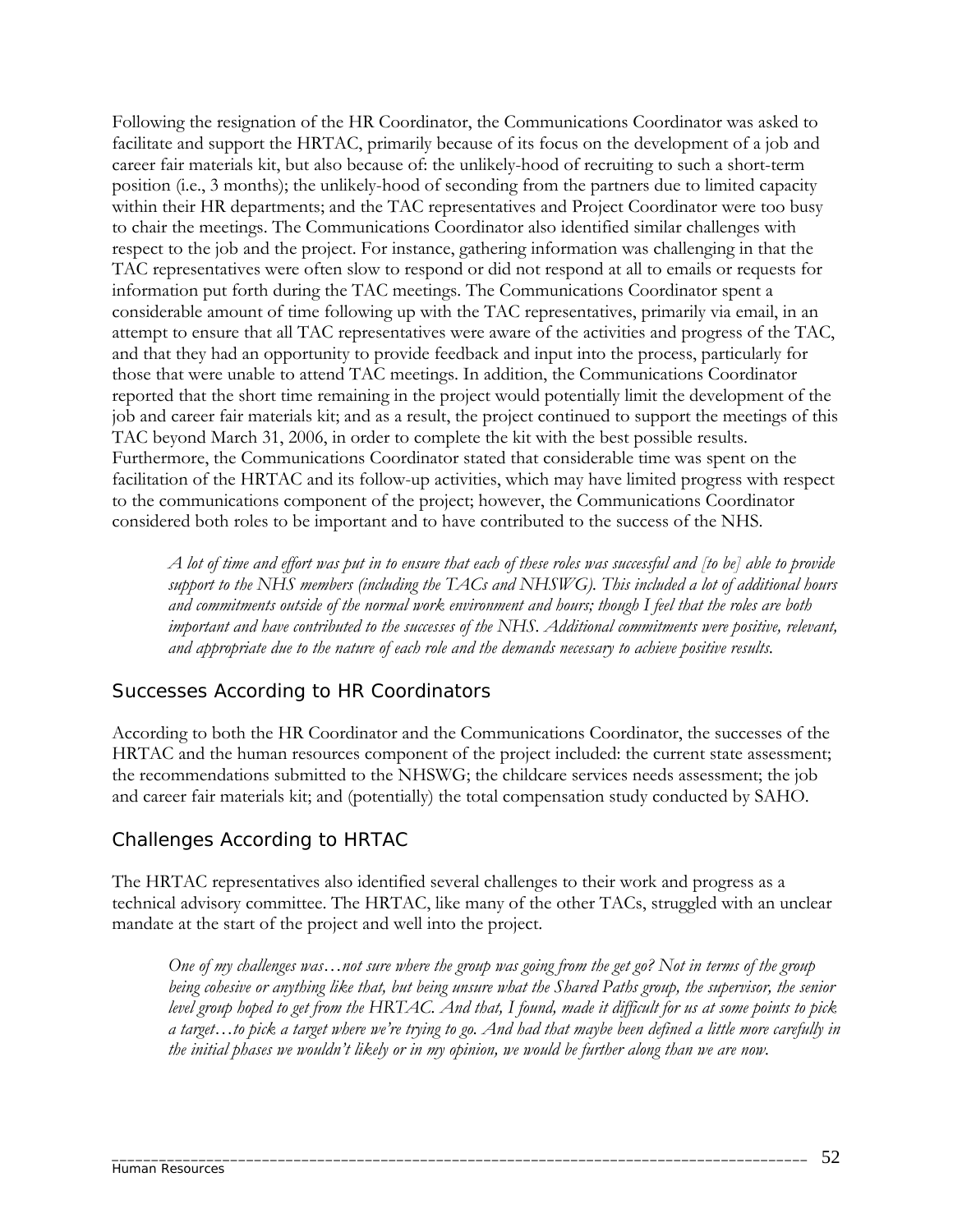Following the resignation of the HR Coordinator, the Communications Coordinator was asked to facilitate and support the HRTAC, primarily because of its focus on the development of a job and career fair materials kit, but also because of: the unlikely-hood of recruiting to such a short-term position (i.e., 3 months); the unlikely-hood of seconding from the partners due to limited capacity within their HR departments; and the TAC representatives and Project Coordinator were too busy to chair the meetings. The Communications Coordinator also identified similar challenges with respect to the job and the project. For instance, gathering information was challenging in that the TAC representatives were often slow to respond or did not respond at all to emails or requests for information put forth during the TAC meetings. The Communications Coordinator spent a considerable amount of time following up with the TAC representatives, primarily via email, in an attempt to ensure that all TAC representatives were aware of the activities and progress of the TAC, and that they had an opportunity to provide feedback and input into the process, particularly for those that were unable to attend TAC meetings. In addition, the Communications Coordinator reported that the short time remaining in the project would potentially limit the development of the job and career fair materials kit; and as a result, the project continued to support the meetings of this TAC beyond March 31, 2006, in order to complete the kit with the best possible results. Furthermore, the Communications Coordinator stated that considerable time was spent on the facilitation of the HRTAC and its follow-up activities, which may have limited progress with respect to the communications component of the project; however, the Communications Coordinator considered both roles to be important and to have contributed to the success of the NHS.

*A lot of time and effort was put in to ensure that each of these roles was successful and [to be] able to provide support to the NHS members (including the TACs and NHSWG). This included a lot of additional hours and commitments outside of the normal work environment and hours; though I feel that the roles are both important and have contributed to the successes of the NHS. Additional commitments were positive, relevant, and appropriate due to the nature of each role and the demands necessary to achieve positive results.* 

### *Successes According to HR Coordinators*

According to both the HR Coordinator and the Communications Coordinator, the successes of the HRTAC and the human resources component of the project included: the current state assessment; the recommendations submitted to the NHSWG; the childcare services needs assessment; the job and career fair materials kit; and (potentially) the total compensation study conducted by SAHO.

## *Challenges According to HRTAC*

The HRTAC representatives also identified several challenges to their work and progress as a technical advisory committee. The HRTAC, like many of the other TACs, struggled with an unclear mandate at the start of the project and well into the project.

\_\_\_\_\_\_\_\_\_\_\_\_\_\_\_\_\_\_\_\_\_\_\_\_\_\_\_\_\_\_\_\_\_\_\_\_\_\_\_\_\_\_\_\_\_\_\_\_\_\_\_\_\_\_\_\_\_\_\_\_\_\_\_\_\_\_\_\_\_\_\_\_\_\_\_\_\_\_\_\_\_\_\_\_\_\_\_\_

*One of my challenges was…not sure where the group was going from the get go? Not in terms of the group being cohesive or anything like that, but being unsure what the Shared Paths group, the supervisor, the senior level group hoped to get from the HRTAC. And that, I found, made it difficult for us at some points to pick a target…to pick a target where we're trying to go. And had that maybe been defined a little more carefully in the initial phases we wouldn't likely or in my opinion, we would be further along than we are now.*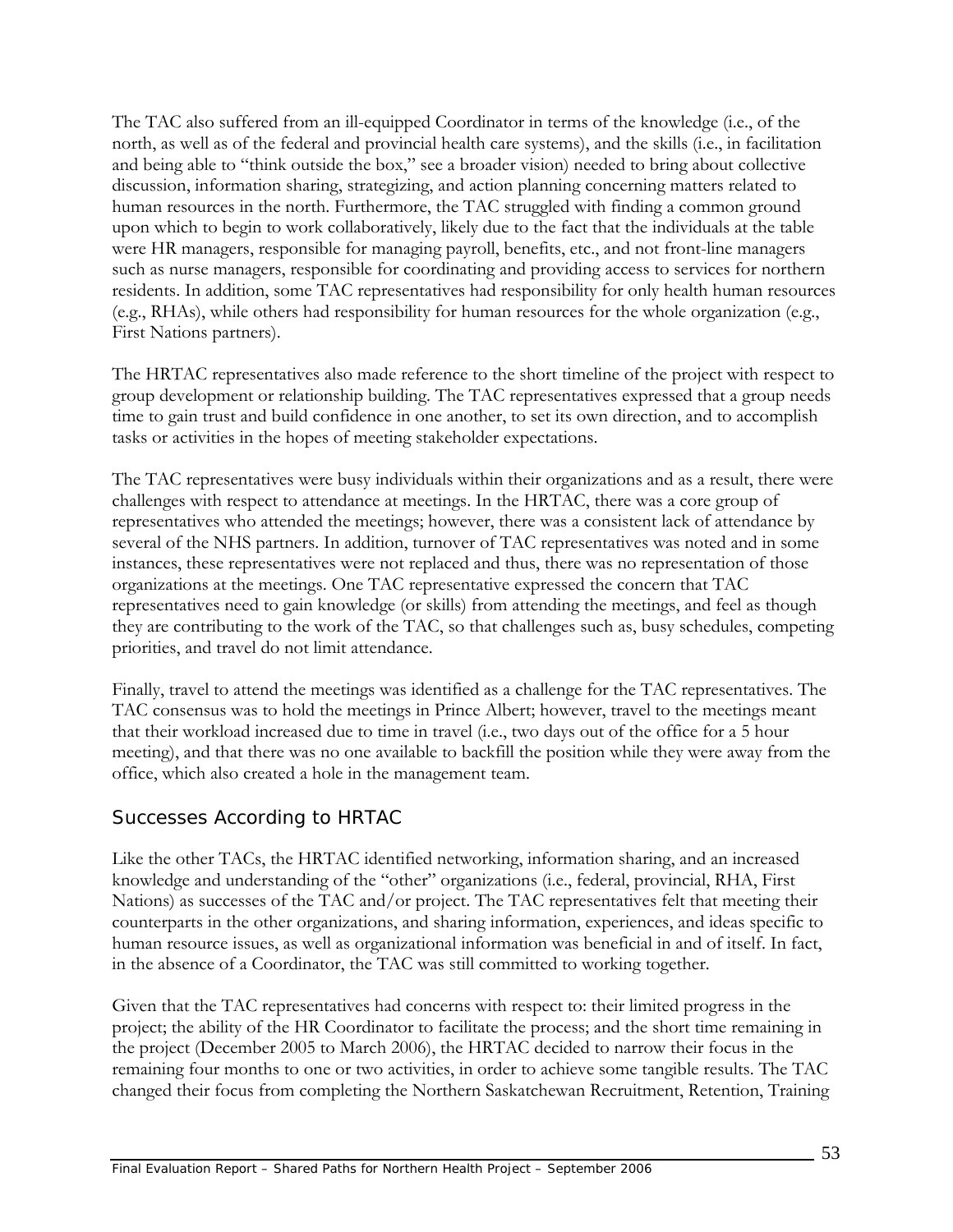The TAC also suffered from an ill-equipped Coordinator in terms of the knowledge (i.e., of the north, as well as of the federal and provincial health care systems), and the skills (i.e., in facilitation and being able to "think outside the box," see a broader vision) needed to bring about collective discussion, information sharing, strategizing, and action planning concerning matters related to human resources in the north. Furthermore, the TAC struggled with finding a common ground upon which to begin to work collaboratively, likely due to the fact that the individuals at the table were HR managers, responsible for managing payroll, benefits, etc., and not front-line managers such as nurse managers, responsible for coordinating and providing access to services for northern residents. In addition, some TAC representatives had responsibility for only health human resources (e.g., RHAs), while others had responsibility for human resources for the whole organization (e.g., First Nations partners).

The HRTAC representatives also made reference to the short timeline of the project with respect to group development or relationship building. The TAC representatives expressed that a group needs time to gain trust and build confidence in one another, to set its own direction, and to accomplish tasks or activities in the hopes of meeting stakeholder expectations.

The TAC representatives were busy individuals within their organizations and as a result, there were challenges with respect to attendance at meetings. In the HRTAC, there was a core group of representatives who attended the meetings; however, there was a consistent lack of attendance by several of the NHS partners. In addition, turnover of TAC representatives was noted and in some instances, these representatives were not replaced and thus, there was no representation of those organizations at the meetings. One TAC representative expressed the concern that TAC representatives need to gain knowledge (or skills) from attending the meetings, and feel as though they are contributing to the work of the TAC, so that challenges such as, busy schedules, competing priorities, and travel do not limit attendance.

Finally, travel to attend the meetings was identified as a challenge for the TAC representatives. The TAC consensus was to hold the meetings in Prince Albert; however, travel to the meetings meant that their workload increased due to time in travel (i.e., two days out of the office for a 5 hour meeting), and that there was no one available to backfill the position while they were away from the office, which also created a hole in the management team.

### *Successes According to HRTAC*

Like the other TACs, the HRTAC identified networking, information sharing, and an increased knowledge and understanding of the "other" organizations (i.e., federal, provincial, RHA, First Nations) as successes of the TAC and/or project. The TAC representatives felt that meeting their counterparts in the other organizations, and sharing information, experiences, and ideas specific to human resource issues, as well as organizational information was beneficial in and of itself. In fact, in the absence of a Coordinator, the TAC was still committed to working together.

Given that the TAC representatives had concerns with respect to: their limited progress in the project; the ability of the HR Coordinator to facilitate the process; and the short time remaining in the project (December 2005 to March 2006), the HRTAC decided to narrow their focus in the remaining four months to one or two activities, in order to achieve some tangible results. The TAC changed their focus from completing the Northern Saskatchewan Recruitment, Retention, Training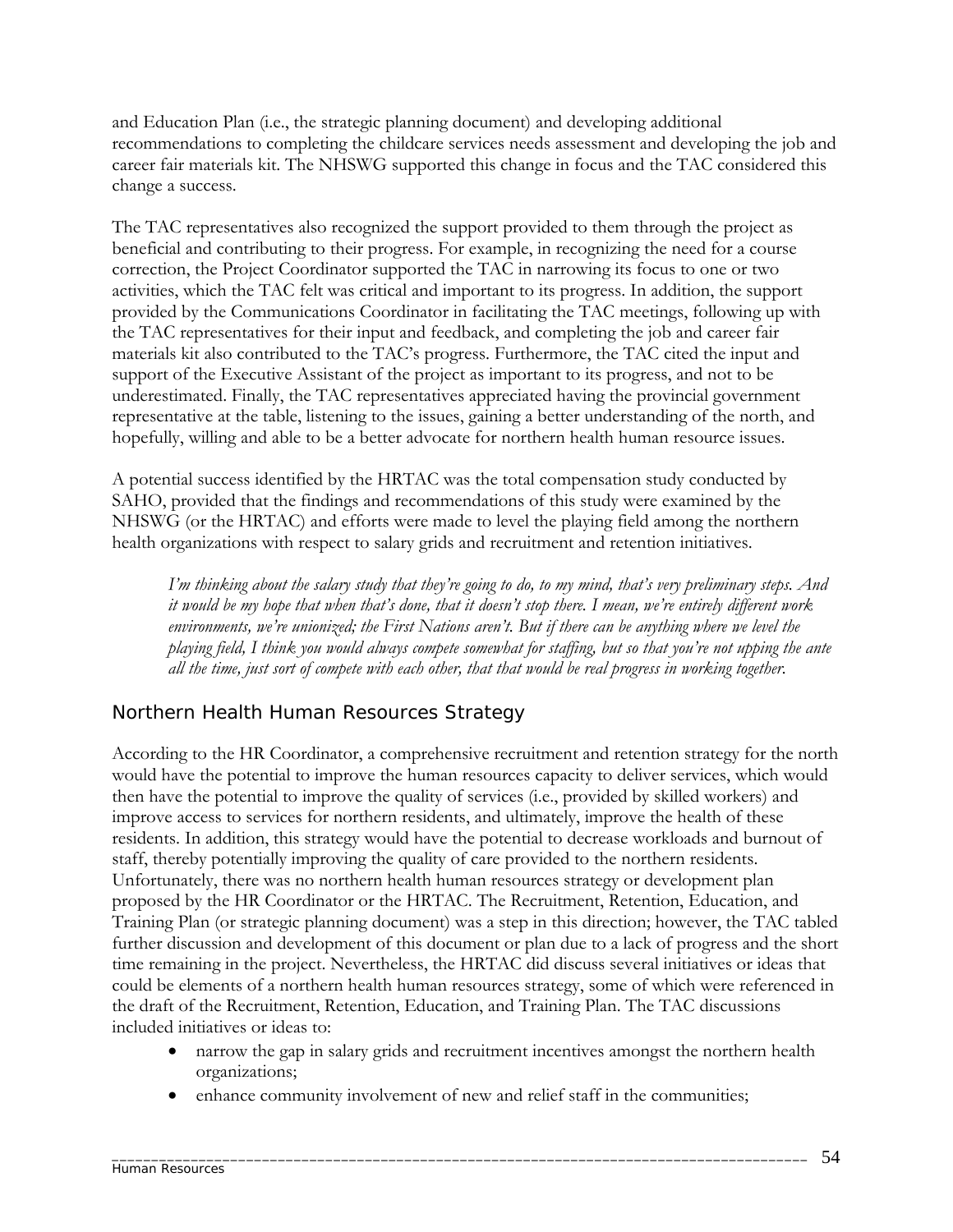and Education Plan (i.e., the strategic planning document) and developing additional recommendations to completing the childcare services needs assessment and developing the job and career fair materials kit. The NHSWG supported this change in focus and the TAC considered this change a success.

The TAC representatives also recognized the support provided to them through the project as beneficial and contributing to their progress. For example, in recognizing the need for a course correction, the Project Coordinator supported the TAC in narrowing its focus to one or two activities, which the TAC felt was critical and important to its progress. In addition, the support provided by the Communications Coordinator in facilitating the TAC meetings, following up with the TAC representatives for their input and feedback, and completing the job and career fair materials kit also contributed to the TAC's progress. Furthermore, the TAC cited the input and support of the Executive Assistant of the project as important to its progress, and not to be underestimated. Finally, the TAC representatives appreciated having the provincial government representative at the table, listening to the issues, gaining a better understanding of the north, and hopefully, willing and able to be a better advocate for northern health human resource issues.

A potential success identified by the HRTAC was the total compensation study conducted by SAHO, provided that the findings and recommendations of this study were examined by the NHSWG (or the HRTAC) and efforts were made to level the playing field among the northern health organizations with respect to salary grids and recruitment and retention initiatives.

*I'm thinking about the salary study that they're going to do, to my mind, that's very preliminary steps. And it would be my hope that when that's done, that it doesn't stop there. I mean, we're entirely different work environments, we're unionized; the First Nations aren't. But if there can be anything where we level the playing field, I think you would always compete somewhat for staffing, but so that you're not upping the ante all the time, just sort of compete with each other, that that would be real progress in working together.* 

## *Northern Health Human Resources Strategy*

According to the HR Coordinator, a comprehensive recruitment and retention strategy for the north would have the potential to improve the human resources capacity to deliver services, which would then have the potential to improve the quality of services (i.e., provided by skilled workers) and improve access to services for northern residents, and ultimately, improve the health of these residents. In addition, this strategy would have the potential to decrease workloads and burnout of staff, thereby potentially improving the quality of care provided to the northern residents. Unfortunately, there was no northern health human resources strategy or development plan proposed by the HR Coordinator or the HRTAC. The Recruitment, Retention, Education, and Training Plan (or strategic planning document) was a step in this direction; however, the TAC tabled further discussion and development of this document or plan due to a lack of progress and the short time remaining in the project. Nevertheless, the HRTAC did discuss several initiatives or ideas that could be elements of a northern health human resources strategy, some of which were referenced in the draft of the Recruitment, Retention, Education, and Training Plan. The TAC discussions included initiatives or ideas to:

- narrow the gap in salary grids and recruitment incentives amongst the northern health organizations;
- enhance community involvement of new and relief staff in the communities;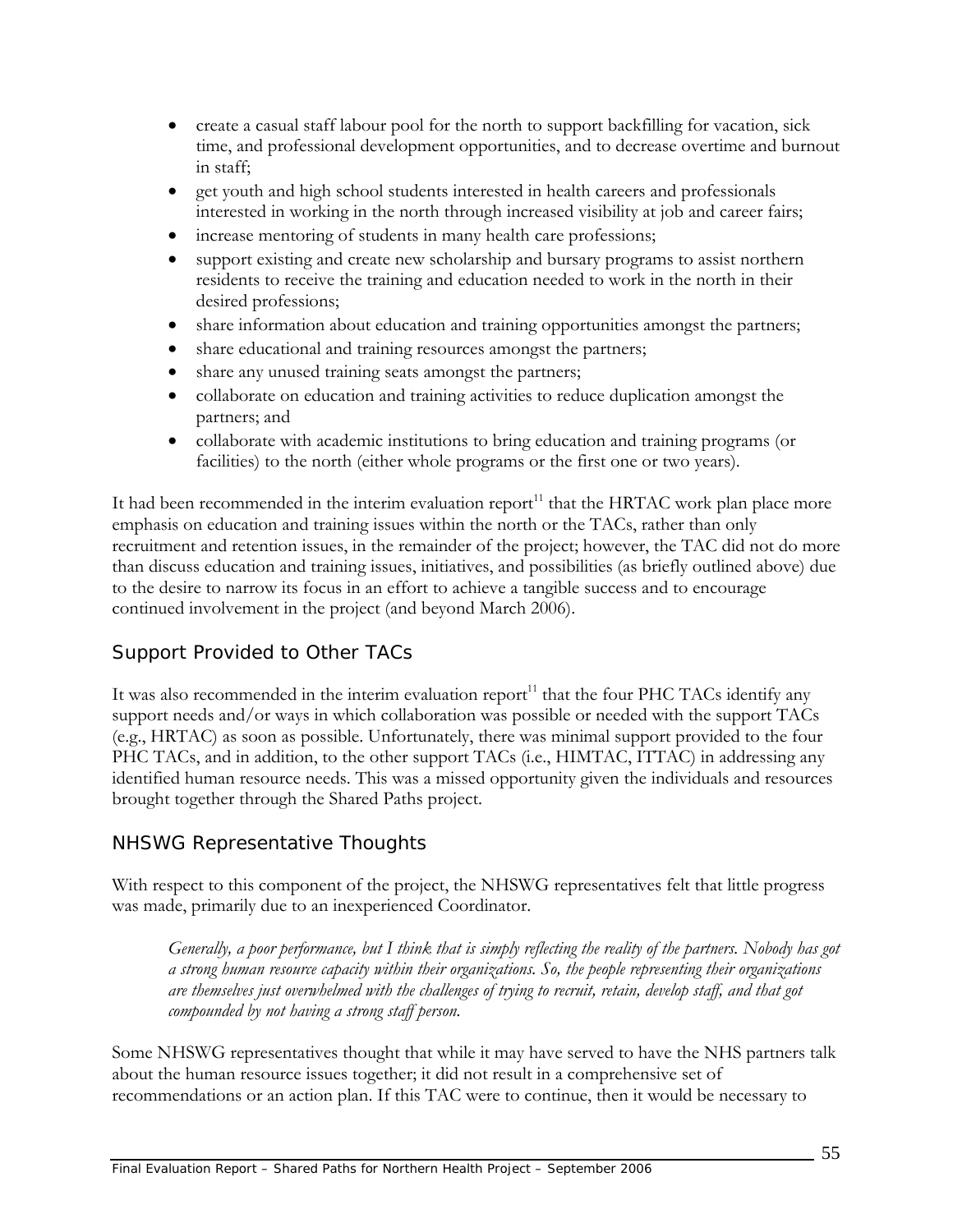- create a casual staff labour pool for the north to support backfilling for vacation, sick time, and professional development opportunities, and to decrease overtime and burnout in staff;
- get youth and high school students interested in health careers and professionals interested in working in the north through increased visibility at job and career fairs;
- increase mentoring of students in many health care professions;
- support existing and create new scholarship and bursary programs to assist northern residents to receive the training and education needed to work in the north in their desired professions;
- share information about education and training opportunities amongst the partners;
- share educational and training resources amongst the partners;
- share any unused training seats amongst the partners;
- collaborate on education and training activities to reduce duplication amongst the partners; and
- collaborate with academic institutions to bring education and training programs (or facilities) to the north (either whole programs or the first one or two years).

It had been recommended in the interim evaluation report<sup>11</sup> that the HRTAC work plan place more emphasis on education and training issues within the north or the TACs, rather than only recruitment and retention issues, in the remainder of the project; however, the TAC did not do more than discuss education and training issues, initiatives, and possibilities (as briefly outlined above) due to the desire to narrow its focus in an effort to achieve a tangible success and to encourage continued involvement in the project (and beyond March 2006).

## *Support Provided to Other TACs*

It was also recommended in the interim evaluation report $^{11}$  that the four PHC TACs identify any support needs and/or ways in which collaboration was possible or needed with the support TACs (e.g., HRTAC) as soon as possible. Unfortunately, there was minimal support provided to the four PHC TACs, and in addition, to the other support TACs (i.e., HIMTAC, ITTAC) in addressing any identified human resource needs. This was a missed opportunity given the individuals and resources brought together through the Shared Paths project.

## *NHSWG Representative Thoughts*

With respect to this component of the project, the NHSWG representatives felt that little progress was made, primarily due to an inexperienced Coordinator.

*Generally, a poor performance, but I think that is simply reflecting the reality of the partners. Nobody has got a strong human resource capacity within their organizations. So, the people representing their organizations are themselves just overwhelmed with the challenges of trying to recruit, retain, develop staff, and that got compounded by not having a strong staff person.* 

Some NHSWG representatives thought that while it may have served to have the NHS partners talk about the human resource issues together; it did not result in a comprehensive set of recommendations or an action plan. If this TAC were to continue, then it would be necessary to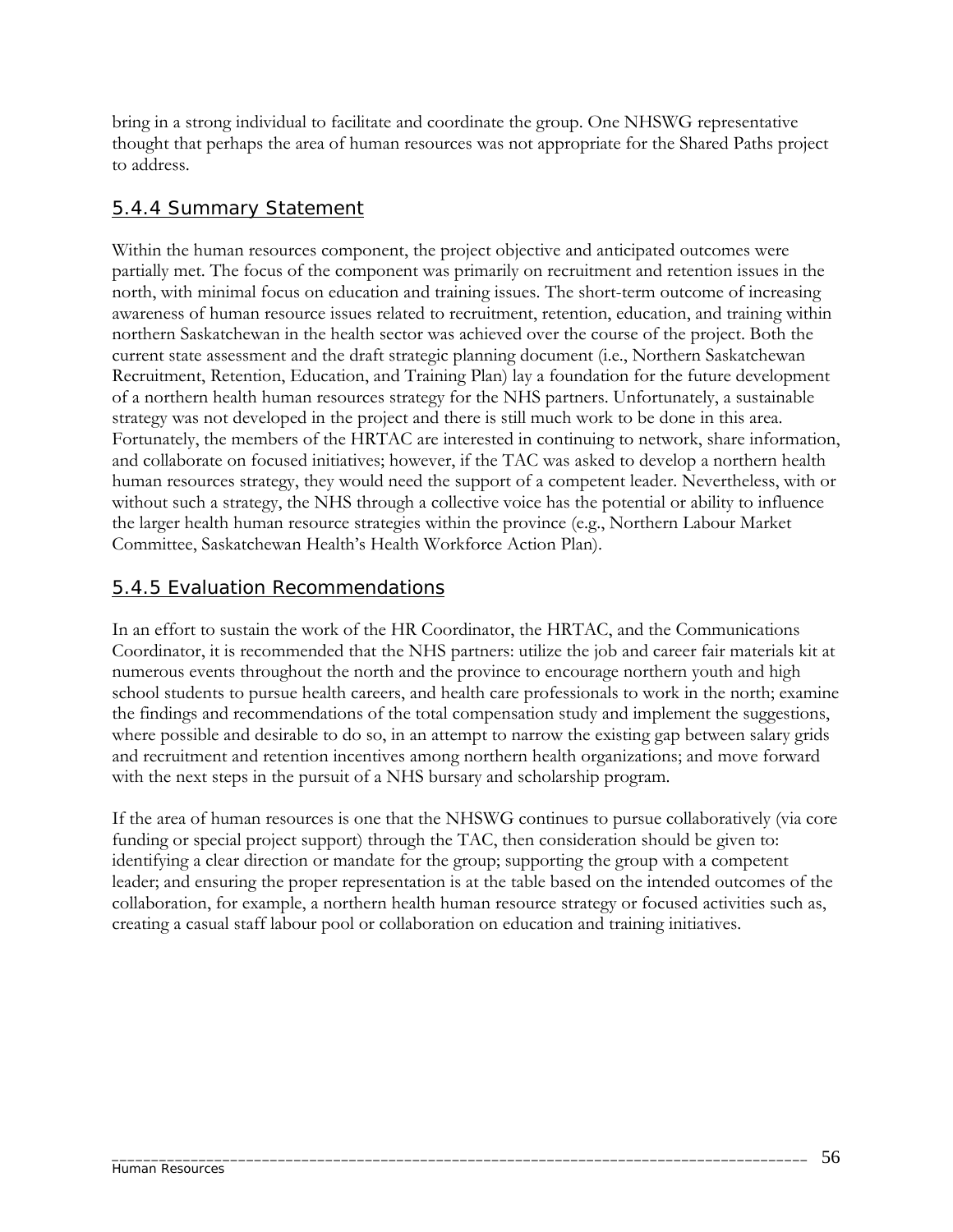bring in a strong individual to facilitate and coordinate the group. One NHSWG representative thought that perhaps the area of human resources was not appropriate for the Shared Paths project to address.

### 5.4.4 Summary Statement

Within the human resources component, the project objective and anticipated outcomes were partially met. The focus of the component was primarily on recruitment and retention issues in the north, with minimal focus on education and training issues. The short-term outcome of increasing awareness of human resource issues related to recruitment, retention, education, and training within northern Saskatchewan in the health sector was achieved over the course of the project. Both the current state assessment and the draft strategic planning document (i.e., Northern Saskatchewan Recruitment, Retention, Education, and Training Plan) lay a foundation for the future development of a northern health human resources strategy for the NHS partners. Unfortunately, a sustainable strategy was not developed in the project and there is still much work to be done in this area. Fortunately, the members of the HRTAC are interested in continuing to network, share information, and collaborate on focused initiatives; however, if the TAC was asked to develop a northern health human resources strategy, they would need the support of a competent leader. Nevertheless, with or without such a strategy, the NHS through a collective voice has the potential or ability to influence the larger health human resource strategies within the province (e.g., Northern Labour Market Committee, Saskatchewan Health's Health Workforce Action Plan).

### 5.4.5 Evaluation Recommendations

In an effort to sustain the work of the HR Coordinator, the HRTAC, and the Communications Coordinator, it is recommended that the NHS partners: utilize the job and career fair materials kit at numerous events throughout the north and the province to encourage northern youth and high school students to pursue health careers, and health care professionals to work in the north; examine the findings and recommendations of the total compensation study and implement the suggestions, where possible and desirable to do so, in an attempt to narrow the existing gap between salary grids and recruitment and retention incentives among northern health organizations; and move forward with the next steps in the pursuit of a NHS bursary and scholarship program.

If the area of human resources is one that the NHSWG continues to pursue collaboratively (via core funding or special project support) through the TAC, then consideration should be given to: identifying a clear direction or mandate for the group; supporting the group with a competent leader; and ensuring the proper representation is at the table based on the intended outcomes of the collaboration, for example, a northern health human resource strategy or focused activities such as, creating a casual staff labour pool or collaboration on education and training initiatives.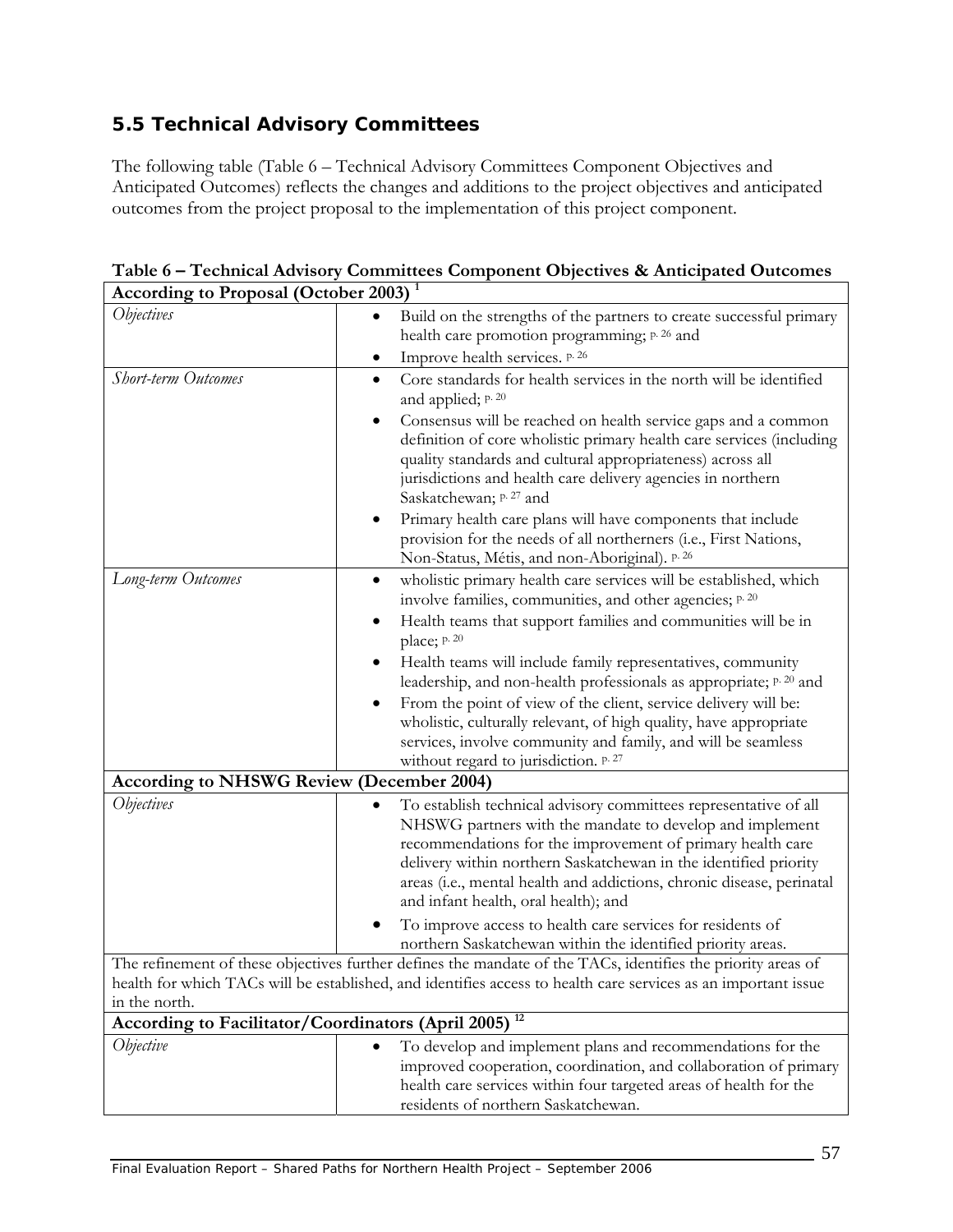# **5.5 Technical Advisory Committees**

The following table (Table 6 – Technical Advisory Committees Component Objectives and Anticipated Outcomes) reflects the changes and additions to the project objectives and anticipated outcomes from the project proposal to the implementation of this project component.

| According to Proposal (October 2003)                             |                                                                                                                                                                                                                                                                                                                                                                                              |
|------------------------------------------------------------------|----------------------------------------------------------------------------------------------------------------------------------------------------------------------------------------------------------------------------------------------------------------------------------------------------------------------------------------------------------------------------------------------|
| <i><b>Objectives</b></i>                                         | Build on the strengths of the partners to create successful primary<br>health care promotion programming; p. 26 and                                                                                                                                                                                                                                                                          |
|                                                                  | Improve health services. p. 26<br>٠                                                                                                                                                                                                                                                                                                                                                          |
| <b>Short-term Outcomes</b>                                       | Core standards for health services in the north will be identified<br>٠<br>and applied; p. 20                                                                                                                                                                                                                                                                                                |
|                                                                  | Consensus will be reached on health service gaps and a common<br>$\bullet$<br>definition of core wholistic primary health care services (including<br>quality standards and cultural appropriateness) across all<br>jurisdictions and health care delivery agencies in northern<br>Saskatchewan; p. 27 and                                                                                   |
|                                                                  | Primary health care plans will have components that include<br>٠<br>provision for the needs of all northerners (i.e., First Nations,<br>Non-Status, Métis, and non-Aboriginal). p. 26                                                                                                                                                                                                        |
| Long-term Outcomes                                               | wholistic primary health care services will be established, which<br>٠<br>involve families, communities, and other agencies; p. 20                                                                                                                                                                                                                                                           |
|                                                                  | Health teams that support families and communities will be in<br>$\bullet$<br>place; p. 20                                                                                                                                                                                                                                                                                                   |
|                                                                  | Health teams will include family representatives, community<br>٠<br>leadership, and non-health professionals as appropriate; p. 20 and                                                                                                                                                                                                                                                       |
|                                                                  | From the point of view of the client, service delivery will be:<br>$\bullet$<br>wholistic, culturally relevant, of high quality, have appropriate<br>services, involve community and family, and will be seamless<br>without regard to jurisdiction. p. 27                                                                                                                                   |
| <b>According to NHSWG Review (December 2004)</b>                 |                                                                                                                                                                                                                                                                                                                                                                                              |
| <i><b>Objectives</b></i>                                         | To establish technical advisory committees representative of all<br>$\bullet$<br>NHSWG partners with the mandate to develop and implement<br>recommendations for the improvement of primary health care<br>delivery within northern Saskatchewan in the identified priority<br>areas (i.e., mental health and addictions, chronic disease, perinatal<br>and infant health, oral health); and |
|                                                                  | To improve access to health care services for residents of<br>northern Saskatchewan within the identified priority areas.                                                                                                                                                                                                                                                                    |
| in the north.                                                    | The refinement of these objectives further defines the mandate of the TACs, identifies the priority areas of<br>health for which TACs will be established, and identifies access to health care services as an important issue                                                                                                                                                               |
| According to Facilitator/Coordinators (April 2005) <sup>12</sup> |                                                                                                                                                                                                                                                                                                                                                                                              |
| Objective                                                        | To develop and implement plans and recommendations for the<br>$\bullet$<br>improved cooperation, coordination, and collaboration of primary<br>health care services within four targeted areas of health for the<br>residents of northern Saskatchewan.                                                                                                                                      |

**Table 6 – Technical Advisory Committees Component Objectives & Anticipated Outcomes According to Proposal (October 2003) 1**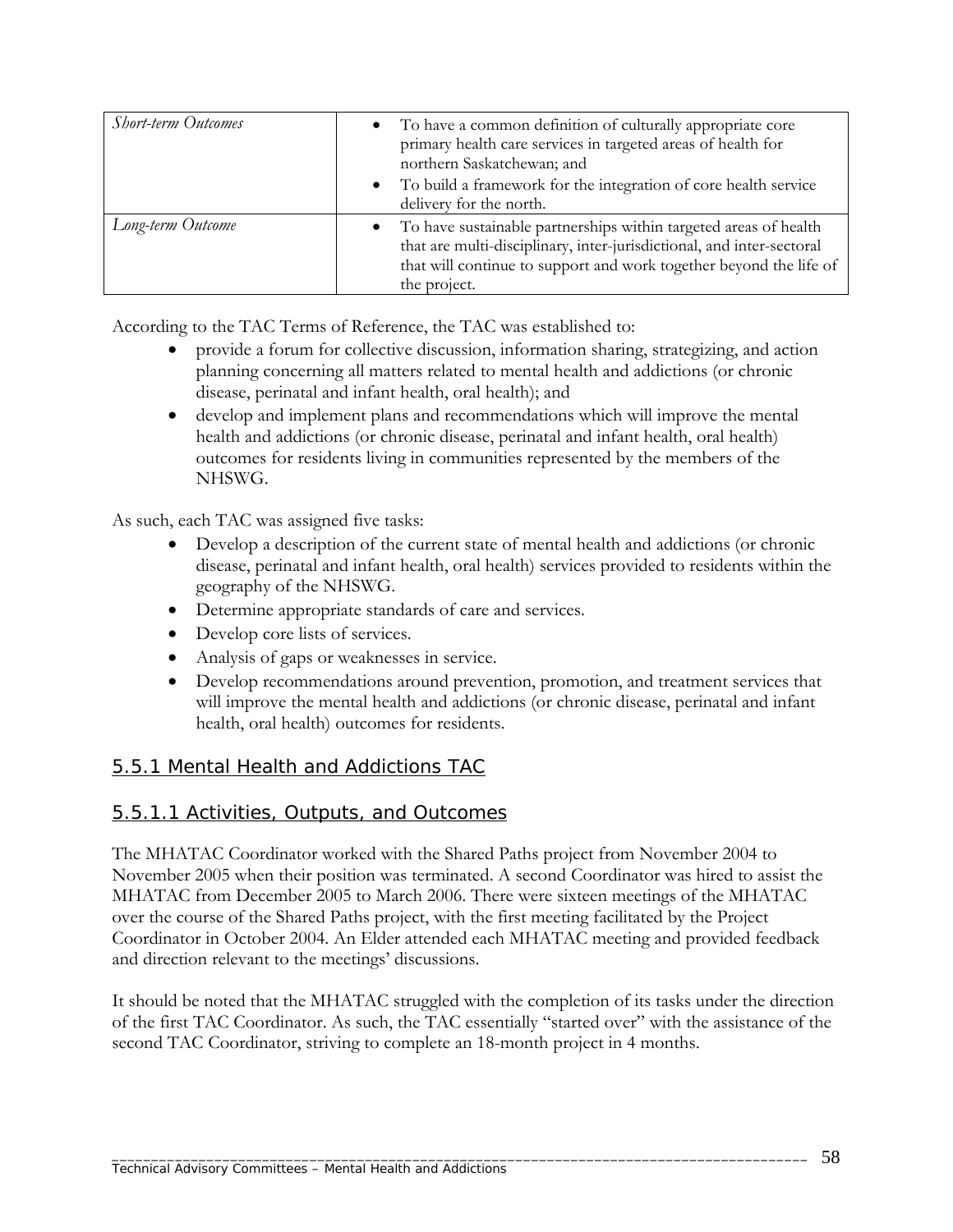| <b>Short-term Outcomes</b> | To have a common definition of culturally appropriate core<br>primary health care services in targeted areas of health for<br>northern Saskatchewan; and<br>• To build a framework for the integration of core health service<br>delivery for the north. |
|----------------------------|----------------------------------------------------------------------------------------------------------------------------------------------------------------------------------------------------------------------------------------------------------|
| Long-term Outcome          | • To have sustainable partnerships within targeted areas of health<br>that are multi-disciplinary, inter-jurisdictional, and inter-sectoral<br>that will continue to support and work together beyond the life of<br>the project.                        |

According to the TAC Terms of Reference, the TAC was established to:

- provide a forum for collective discussion, information sharing, strategizing, and action planning concerning all matters related to mental health and addictions (or chronic disease, perinatal and infant health, oral health); and
- develop and implement plans and recommendations which will improve the mental health and addictions (or chronic disease, perinatal and infant health, oral health) outcomes for residents living in communities represented by the members of the NHSWG.

As such, each TAC was assigned five tasks:

- Develop a description of the current state of mental health and addictions (or chronic disease, perinatal and infant health, oral health) services provided to residents within the geography of the NHSWG.
- Determine appropriate standards of care and services.
- Develop core lists of services.
- Analysis of gaps or weaknesses in service.
- Develop recommendations around prevention, promotion, and treatment services that will improve the mental health and addictions (or chronic disease, perinatal and infant health, oral health) outcomes for residents.

### 5.5.1 Mental Health and Addictions TAC

#### 5.5.1.1 Activities, Outputs, and Outcomes

The MHATAC Coordinator worked with the Shared Paths project from November 2004 to November 2005 when their position was terminated. A second Coordinator was hired to assist the MHATAC from December 2005 to March 2006. There were sixteen meetings of the MHATAC over the course of the Shared Paths project, with the first meeting facilitated by the Project Coordinator in October 2004. An Elder attended each MHATAC meeting and provided feedback and direction relevant to the meetings' discussions.

It should be noted that the MHATAC struggled with the completion of its tasks under the direction of the first TAC Coordinator. As such, the TAC essentially "started over" with the assistance of the second TAC Coordinator, striving to complete an 18-month project in 4 months.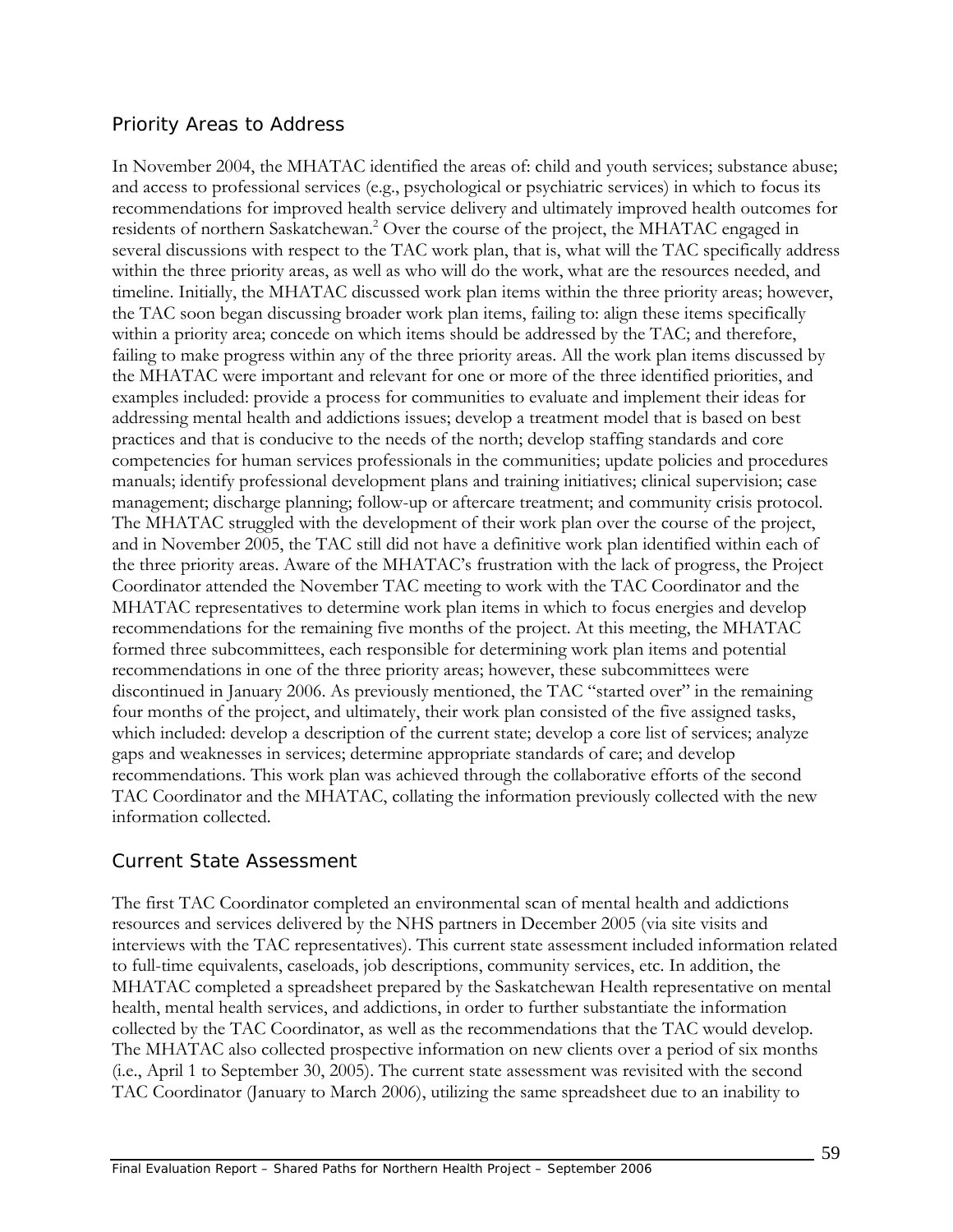#### *Priority Areas to Address*

In November 2004, the MHATAC identified the areas of: child and youth services; substance abuse; and access to professional services (e.g., psychological or psychiatric services) in which to focus its recommendations for improved health service delivery and ultimately improved health outcomes for residents of northern Saskatchewan.<sup>2</sup> Over the course of the project, the MHATAC engaged in several discussions with respect to the TAC work plan, that is, what will the TAC specifically address within the three priority areas, as well as who will do the work, what are the resources needed, and timeline. Initially, the MHATAC discussed work plan items within the three priority areas; however, the TAC soon began discussing broader work plan items, failing to: align these items specifically within a priority area; concede on which items should be addressed by the TAC; and therefore, failing to make progress within any of the three priority areas. All the work plan items discussed by the MHATAC were important and relevant for one or more of the three identified priorities, and examples included: provide a process for communities to evaluate and implement their ideas for addressing mental health and addictions issues; develop a treatment model that is based on best practices and that is conducive to the needs of the north; develop staffing standards and core competencies for human services professionals in the communities; update policies and procedures manuals; identify professional development plans and training initiatives; clinical supervision; case management; discharge planning; follow-up or aftercare treatment; and community crisis protocol. The MHATAC struggled with the development of their work plan over the course of the project, and in November 2005, the TAC still did not have a definitive work plan identified within each of the three priority areas. Aware of the MHATAC's frustration with the lack of progress, the Project Coordinator attended the November TAC meeting to work with the TAC Coordinator and the MHATAC representatives to determine work plan items in which to focus energies and develop recommendations for the remaining five months of the project. At this meeting, the MHATAC formed three subcommittees, each responsible for determining work plan items and potential recommendations in one of the three priority areas; however, these subcommittees were discontinued in January 2006. As previously mentioned, the TAC "started over" in the remaining four months of the project, and ultimately, their work plan consisted of the five assigned tasks, which included: develop a description of the current state; develop a core list of services; analyze gaps and weaknesses in services; determine appropriate standards of care; and develop recommendations. This work plan was achieved through the collaborative efforts of the second TAC Coordinator and the MHATAC, collating the information previously collected with the new information collected.

### *Current State Assessment*

The first TAC Coordinator completed an environmental scan of mental health and addictions resources and services delivered by the NHS partners in December 2005 (via site visits and interviews with the TAC representatives). This current state assessment included information related to full-time equivalents, caseloads, job descriptions, community services, etc. In addition, the MHATAC completed a spreadsheet prepared by the Saskatchewan Health representative on mental health, mental health services, and addictions, in order to further substantiate the information collected by the TAC Coordinator, as well as the recommendations that the TAC would develop. The MHATAC also collected prospective information on new clients over a period of six months (i.e., April 1 to September 30, 2005). The current state assessment was revisited with the second TAC Coordinator (January to March 2006), utilizing the same spreadsheet due to an inability to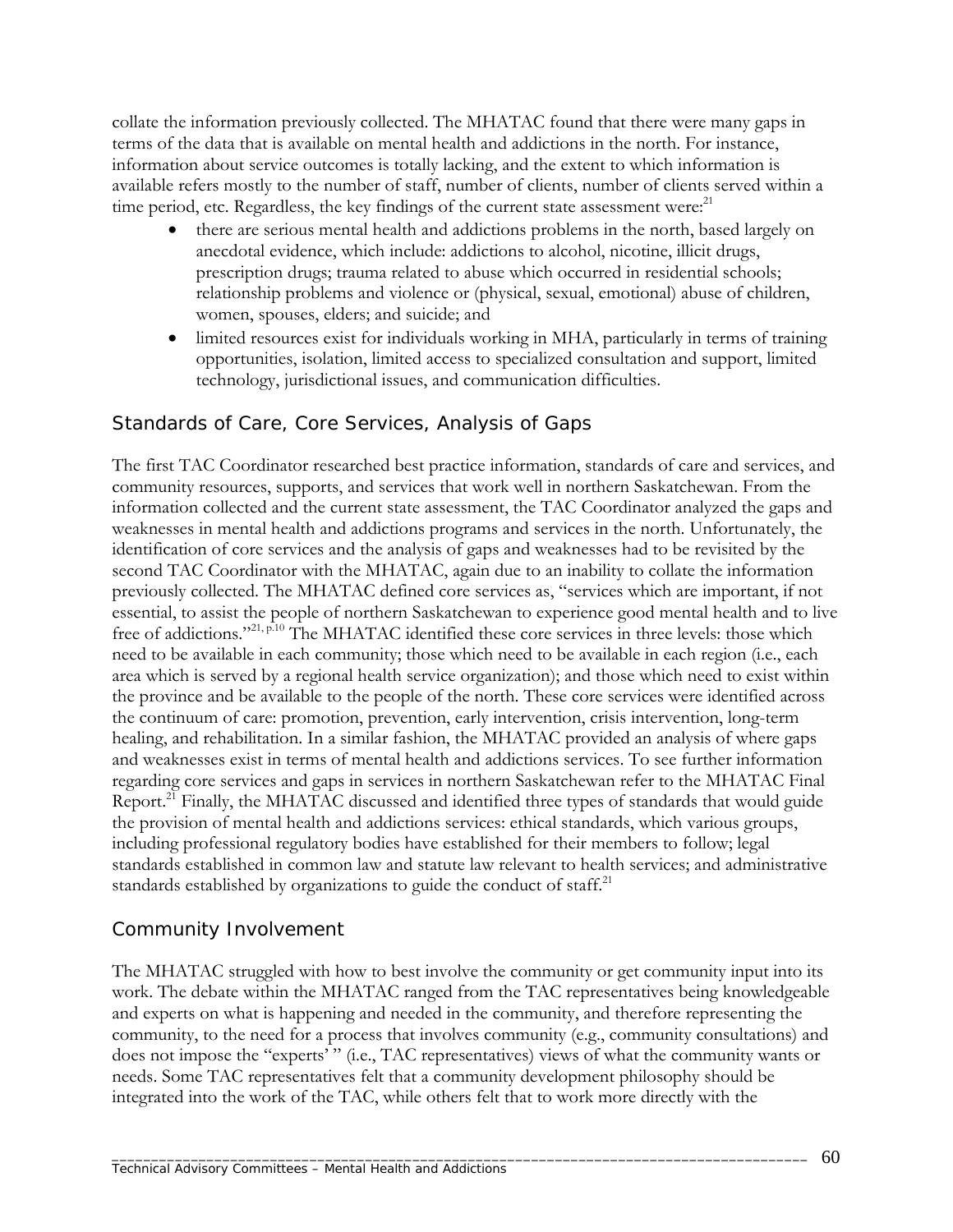collate the information previously collected. The MHATAC found that there were many gaps in terms of the data that is available on mental health and addictions in the north. For instance, information about service outcomes is totally lacking, and the extent to which information is available refers mostly to the number of staff, number of clients, number of clients served within a time period, etc. Regardless, the key findings of the current state assessment were: $^{21}$ 

- there are serious mental health and addictions problems in the north, based largely on anecdotal evidence, which include: addictions to alcohol, nicotine, illicit drugs, prescription drugs; trauma related to abuse which occurred in residential schools; relationship problems and violence or (physical, sexual, emotional) abuse of children, women, spouses, elders; and suicide; and
- limited resources exist for individuals working in MHA, particularly in terms of training opportunities, isolation, limited access to specialized consultation and support, limited technology, jurisdictional issues, and communication difficulties.

## *Standards of Care, Core Services, Analysis of Gaps*

The first TAC Coordinator researched best practice information, standards of care and services, and community resources, supports, and services that work well in northern Saskatchewan. From the information collected and the current state assessment, the TAC Coordinator analyzed the gaps and weaknesses in mental health and addictions programs and services in the north. Unfortunately, the identification of core services and the analysis of gaps and weaknesses had to be revisited by the second TAC Coordinator with the MHATAC, again due to an inability to collate the information previously collected. The MHATAC defined core services as, "services which are important, if not essential, to assist the people of northern Saskatchewan to experience good mental health and to live free of addictions."<sup>21, p.10</sup> The MHATAC identified these core services in three levels: those which need to be available in each community; those which need to be available in each region (i.e., each area which is served by a regional health service organization); and those which need to exist within the province and be available to the people of the north. These core services were identified across the continuum of care: promotion, prevention, early intervention, crisis intervention, long-term healing, and rehabilitation. In a similar fashion, the MHATAC provided an analysis of where gaps and weaknesses exist in terms of mental health and addictions services. To see further information regarding core services and gaps in services in northern Saskatchewan refer to the MHATAC Final Report.<sup>21</sup> Finally, the MHATAC discussed and identified three types of standards that would guide the provision of mental health and addictions services: ethical standards, which various groups, including professional regulatory bodies have established for their members to follow; legal standards established in common law and statute law relevant to health services; and administrative standards established by organizations to guide the conduct of staff.<sup>21</sup>

### *Community Involvement*

The MHATAC struggled with how to best involve the community or get community input into its work. The debate within the MHATAC ranged from the TAC representatives being knowledgeable and experts on what is happening and needed in the community, and therefore representing the community, to the need for a process that involves community (e.g., community consultations) and does not impose the "experts' " (i.e., TAC representatives) views of what the community wants or needs. Some TAC representatives felt that a community development philosophy should be integrated into the work of the TAC, while others felt that to work more directly with the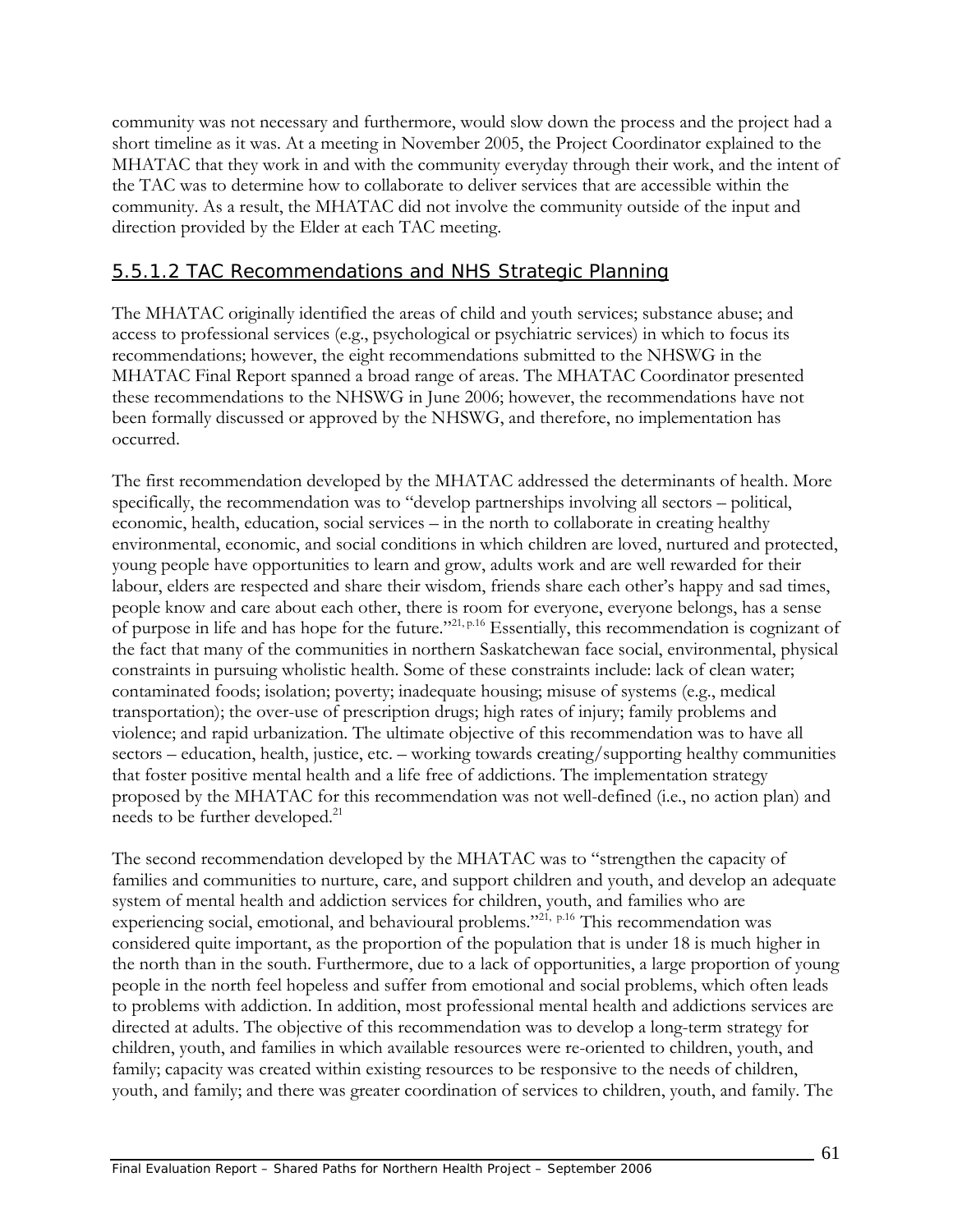community was not necessary and furthermore, would slow down the process and the project had a short timeline as it was. At a meeting in November 2005, the Project Coordinator explained to the MHATAC that they work in and with the community everyday through their work, and the intent of the TAC was to determine how to collaborate to deliver services that are accessible within the community. As a result, the MHATAC did not involve the community outside of the input and direction provided by the Elder at each TAC meeting.

### 5.5.1.2 TAC Recommendations and NHS Strategic Planning

The MHATAC originally identified the areas of child and youth services; substance abuse; and access to professional services (e.g., psychological or psychiatric services) in which to focus its recommendations; however, the eight recommendations submitted to the NHSWG in the MHATAC Final Report spanned a broad range of areas. The MHATAC Coordinator presented these recommendations to the NHSWG in June 2006; however, the recommendations have not been formally discussed or approved by the NHSWG, and therefore, no implementation has occurred.

The first recommendation developed by the MHATAC addressed the determinants of health. More specifically, the recommendation was to "develop partnerships involving all sectors – political, economic, health, education, social services – in the north to collaborate in creating healthy environmental, economic, and social conditions in which children are loved, nurtured and protected, young people have opportunities to learn and grow, adults work and are well rewarded for their labour, elders are respected and share their wisdom, friends share each other's happy and sad times, people know and care about each other, there is room for everyone, everyone belongs, has a sense of purpose in life and has hope for the future."21, p.16 Essentially, this recommendation is cognizant of the fact that many of the communities in northern Saskatchewan face social, environmental, physical constraints in pursuing wholistic health. Some of these constraints include: lack of clean water; contaminated foods; isolation; poverty; inadequate housing; misuse of systems (e.g., medical transportation); the over-use of prescription drugs; high rates of injury; family problems and violence; and rapid urbanization. The ultimate objective of this recommendation was to have all sectors – education, health, justice, etc. – working towards creating/supporting healthy communities that foster positive mental health and a life free of addictions. The implementation strategy proposed by the MHATAC for this recommendation was not well-defined (i.e., no action plan) and needs to be further developed.<sup>21</sup>

The second recommendation developed by the MHATAC was to "strengthen the capacity of families and communities to nurture, care, and support children and youth, and develop an adequate system of mental health and addiction services for children, youth, and families who are experiencing social, emotional, and behavioural problems."<sup>21, p.16</sup> This recommendation was considered quite important, as the proportion of the population that is under 18 is much higher in the north than in the south. Furthermore, due to a lack of opportunities, a large proportion of young people in the north feel hopeless and suffer from emotional and social problems, which often leads to problems with addiction. In addition, most professional mental health and addictions services are directed at adults. The objective of this recommendation was to develop a long-term strategy for children, youth, and families in which available resources were re-oriented to children, youth, and family; capacity was created within existing resources to be responsive to the needs of children, youth, and family; and there was greater coordination of services to children, youth, and family. The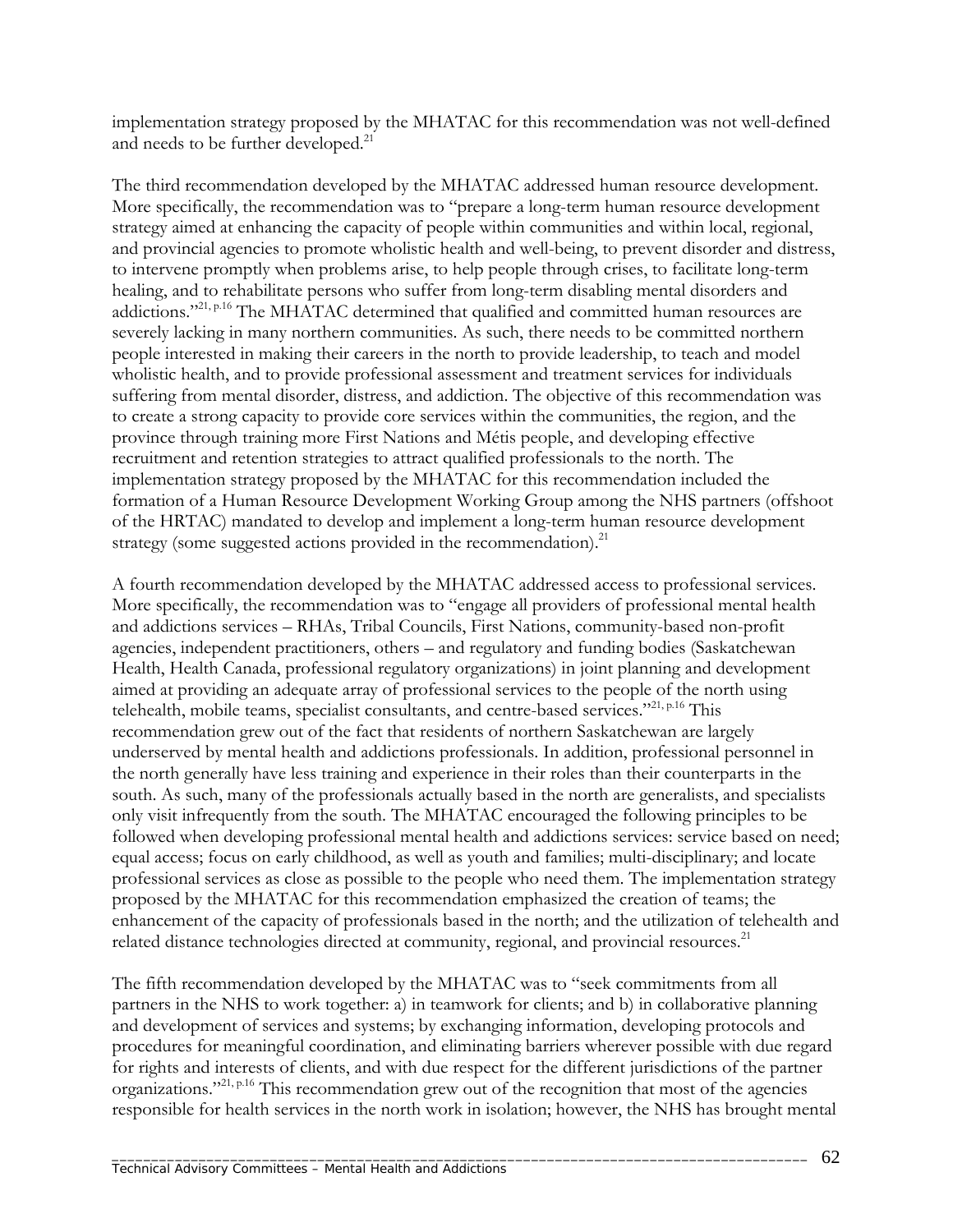implementation strategy proposed by the MHATAC for this recommendation was not well-defined and needs to be further developed.<sup>21</sup>

The third recommendation developed by the MHATAC addressed human resource development. More specifically, the recommendation was to "prepare a long-term human resource development strategy aimed at enhancing the capacity of people within communities and within local, regional, and provincial agencies to promote wholistic health and well-being, to prevent disorder and distress, to intervene promptly when problems arise, to help people through crises, to facilitate long-term healing, and to rehabilitate persons who suffer from long-term disabling mental disorders and addictions."<sup>21, p.16</sup> The MHATAC determined that qualified and committed human resources are severely lacking in many northern communities. As such, there needs to be committed northern people interested in making their careers in the north to provide leadership, to teach and model wholistic health, and to provide professional assessment and treatment services for individuals suffering from mental disorder, distress, and addiction. The objective of this recommendation was to create a strong capacity to provide core services within the communities, the region, and the province through training more First Nations and Métis people, and developing effective recruitment and retention strategies to attract qualified professionals to the north. The implementation strategy proposed by the MHATAC for this recommendation included the formation of a Human Resource Development Working Group among the NHS partners (offshoot of the HRTAC) mandated to develop and implement a long-term human resource development strategy (some suggested actions provided in the recommendation).<sup>21</sup>

A fourth recommendation developed by the MHATAC addressed access to professional services. More specifically, the recommendation was to "engage all providers of professional mental health and addictions services – RHAs, Tribal Councils, First Nations, community-based non-profit agencies, independent practitioners, others – and regulatory and funding bodies (Saskatchewan Health, Health Canada, professional regulatory organizations) in joint planning and development aimed at providing an adequate array of professional services to the people of the north using telehealth, mobile teams, specialist consultants, and centre-based services."21, p.16 This recommendation grew out of the fact that residents of northern Saskatchewan are largely underserved by mental health and addictions professionals. In addition, professional personnel in the north generally have less training and experience in their roles than their counterparts in the south. As such, many of the professionals actually based in the north are generalists, and specialists only visit infrequently from the south. The MHATAC encouraged the following principles to be followed when developing professional mental health and addictions services: service based on need; equal access; focus on early childhood, as well as youth and families; multi-disciplinary; and locate professional services as close as possible to the people who need them. The implementation strategy proposed by the MHATAC for this recommendation emphasized the creation of teams; the enhancement of the capacity of professionals based in the north; and the utilization of telehealth and related distance technologies directed at community, regional, and provincial resources.<sup>21</sup>

The fifth recommendation developed by the MHATAC was to "seek commitments from all partners in the NHS to work together: a) in teamwork for clients; and b) in collaborative planning and development of services and systems; by exchanging information, developing protocols and procedures for meaningful coordination, and eliminating barriers wherever possible with due regard for rights and interests of clients, and with due respect for the different jurisdictions of the partner organizations."21, p.16 This recommendation grew out of the recognition that most of the agencies responsible for health services in the north work in isolation; however, the NHS has brought mental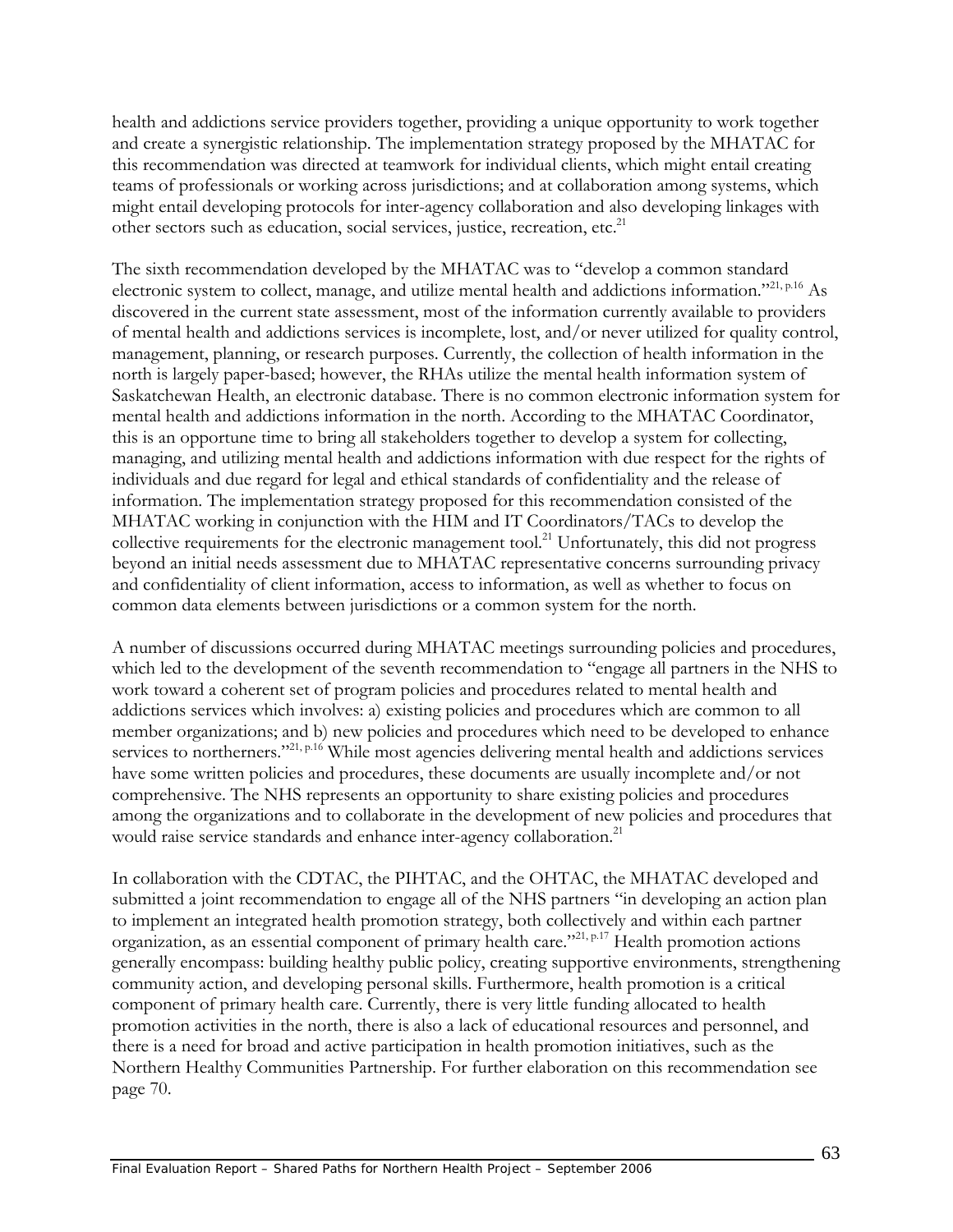health and addictions service providers together, providing a unique opportunity to work together and create a synergistic relationship. The implementation strategy proposed by the MHATAC for this recommendation was directed at teamwork for individual clients, which might entail creating teams of professionals or working across jurisdictions; and at collaboration among systems, which might entail developing protocols for inter-agency collaboration and also developing linkages with other sectors such as education, social services, justice, recreation, etc.<sup>21</sup>

The sixth recommendation developed by the MHATAC was to "develop a common standard electronic system to collect, manage, and utilize mental health and addictions information."<sup>21, p.16</sup> As discovered in the current state assessment, most of the information currently available to providers of mental health and addictions services is incomplete, lost, and/or never utilized for quality control, management, planning, or research purposes. Currently, the collection of health information in the north is largely paper-based; however, the RHAs utilize the mental health information system of Saskatchewan Health, an electronic database. There is no common electronic information system for mental health and addictions information in the north. According to the MHATAC Coordinator, this is an opportune time to bring all stakeholders together to develop a system for collecting, managing, and utilizing mental health and addictions information with due respect for the rights of individuals and due regard for legal and ethical standards of confidentiality and the release of information. The implementation strategy proposed for this recommendation consisted of the MHATAC working in conjunction with the HIM and IT Coordinators/TACs to develop the collective requirements for the electronic management tool.<sup>21</sup> Unfortunately, this did not progress beyond an initial needs assessment due to MHATAC representative concerns surrounding privacy and confidentiality of client information, access to information, as well as whether to focus on common data elements between jurisdictions or a common system for the north.

A number of discussions occurred during MHATAC meetings surrounding policies and procedures, which led to the development of the seventh recommendation to "engage all partners in the NHS to work toward a coherent set of program policies and procedures related to mental health and addictions services which involves: a) existing policies and procedures which are common to all member organizations; and b) new policies and procedures which need to be developed to enhance services to northerners."<sup>21, p.16</sup> While most agencies delivering mental health and addictions services have some written policies and procedures, these documents are usually incomplete and/or not comprehensive. The NHS represents an opportunity to share existing policies and procedures among the organizations and to collaborate in the development of new policies and procedures that would raise service standards and enhance inter-agency collaboration.<sup>21</sup>

In collaboration with the CDTAC, the PIHTAC, and the OHTAC, the MHATAC developed and submitted a joint recommendation to engage all of the NHS partners "in developing an action plan to implement an integrated health promotion strategy, both collectively and within each partner organization, as an essential component of primary health care."<sup>21, p.17</sup> Health promotion actions generally encompass: building healthy public policy, creating supportive environments, strengthening community action, and developing personal skills. Furthermore, health promotion is a critical component of primary health care. Currently, there is very little funding allocated to health promotion activities in the north, there is also a lack of educational resources and personnel, and there is a need for broad and active participation in health promotion initiatives, such as the Northern Healthy Communities Partnership. For further elaboration on this recommendation see page 70.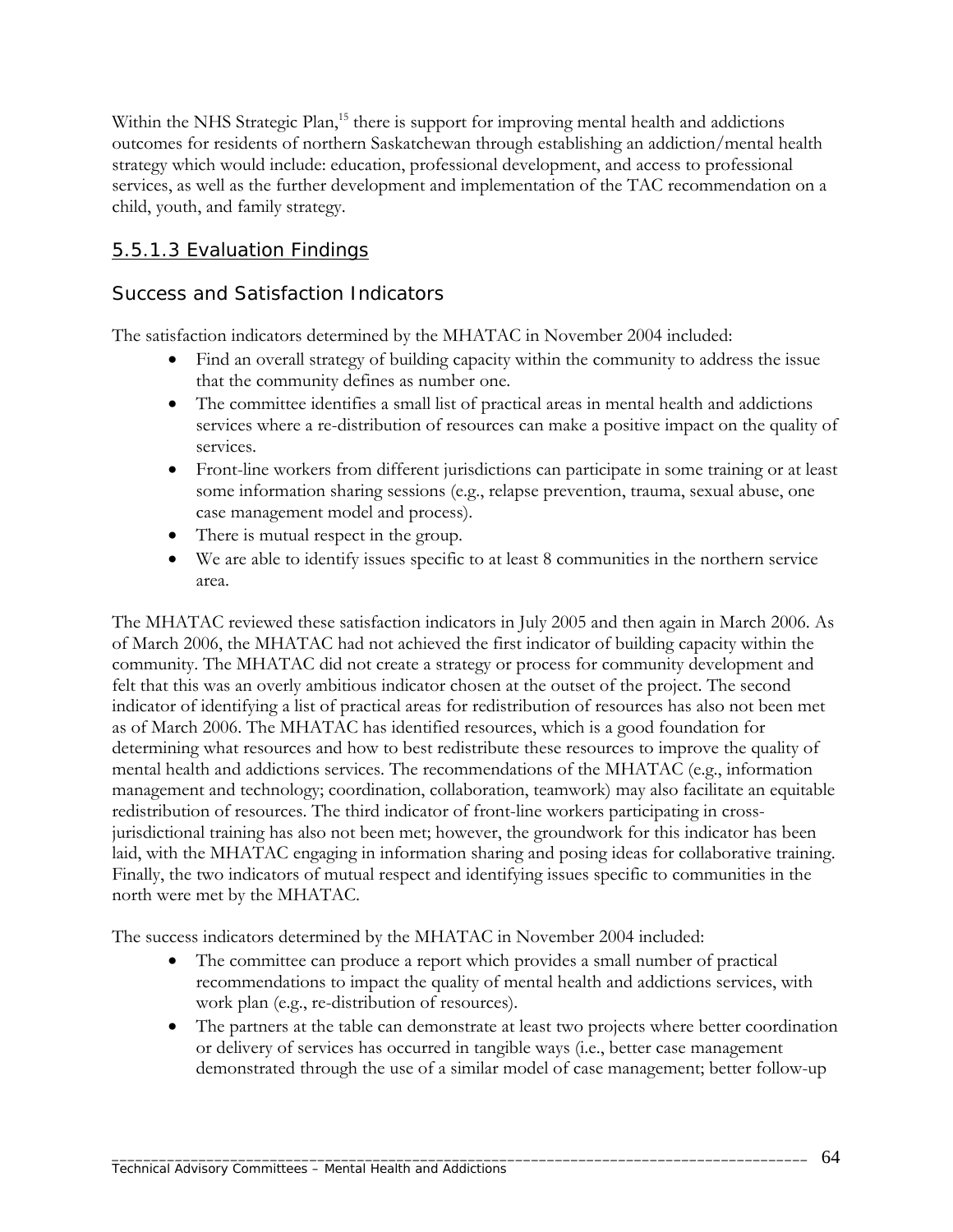Within the NHS Strategic Plan,<sup>15</sup> there is support for improving mental health and addictions outcomes for residents of northern Saskatchewan through establishing an addiction/mental health strategy which would include: education, professional development, and access to professional services, as well as the further development and implementation of the TAC recommendation on a child, youth, and family strategy.

## 5.5.1.3 Evaluation Findings

### *Success and Satisfaction Indicators*

The satisfaction indicators determined by the MHATAC in November 2004 included:

- Find an overall strategy of building capacity within the community to address the issue that the community defines as number one.
- The committee identifies a small list of practical areas in mental health and addictions services where a re-distribution of resources can make a positive impact on the quality of services.
- Front-line workers from different jurisdictions can participate in some training or at least some information sharing sessions (e.g., relapse prevention, trauma, sexual abuse, one case management model and process).
- There is mutual respect in the group.
- We are able to identify issues specific to at least 8 communities in the northern service area.

The MHATAC reviewed these satisfaction indicators in July 2005 and then again in March 2006. As of March 2006, the MHATAC had not achieved the first indicator of building capacity within the community. The MHATAC did not create a strategy or process for community development and felt that this was an overly ambitious indicator chosen at the outset of the project. The second indicator of identifying a list of practical areas for redistribution of resources has also not been met as of March 2006. The MHATAC has identified resources, which is a good foundation for determining what resources and how to best redistribute these resources to improve the quality of mental health and addictions services. The recommendations of the MHATAC (e.g., information management and technology; coordination, collaboration, teamwork) may also facilitate an equitable redistribution of resources. The third indicator of front-line workers participating in crossjurisdictional training has also not been met; however, the groundwork for this indicator has been laid, with the MHATAC engaging in information sharing and posing ideas for collaborative training. Finally, the two indicators of mutual respect and identifying issues specific to communities in the north were met by the MHATAC.

The success indicators determined by the MHATAC in November 2004 included:

- The committee can produce a report which provides a small number of practical recommendations to impact the quality of mental health and addictions services, with work plan (e.g., re-distribution of resources).
- The partners at the table can demonstrate at least two projects where better coordination or delivery of services has occurred in tangible ways (i.e., better case management demonstrated through the use of a similar model of case management; better follow-up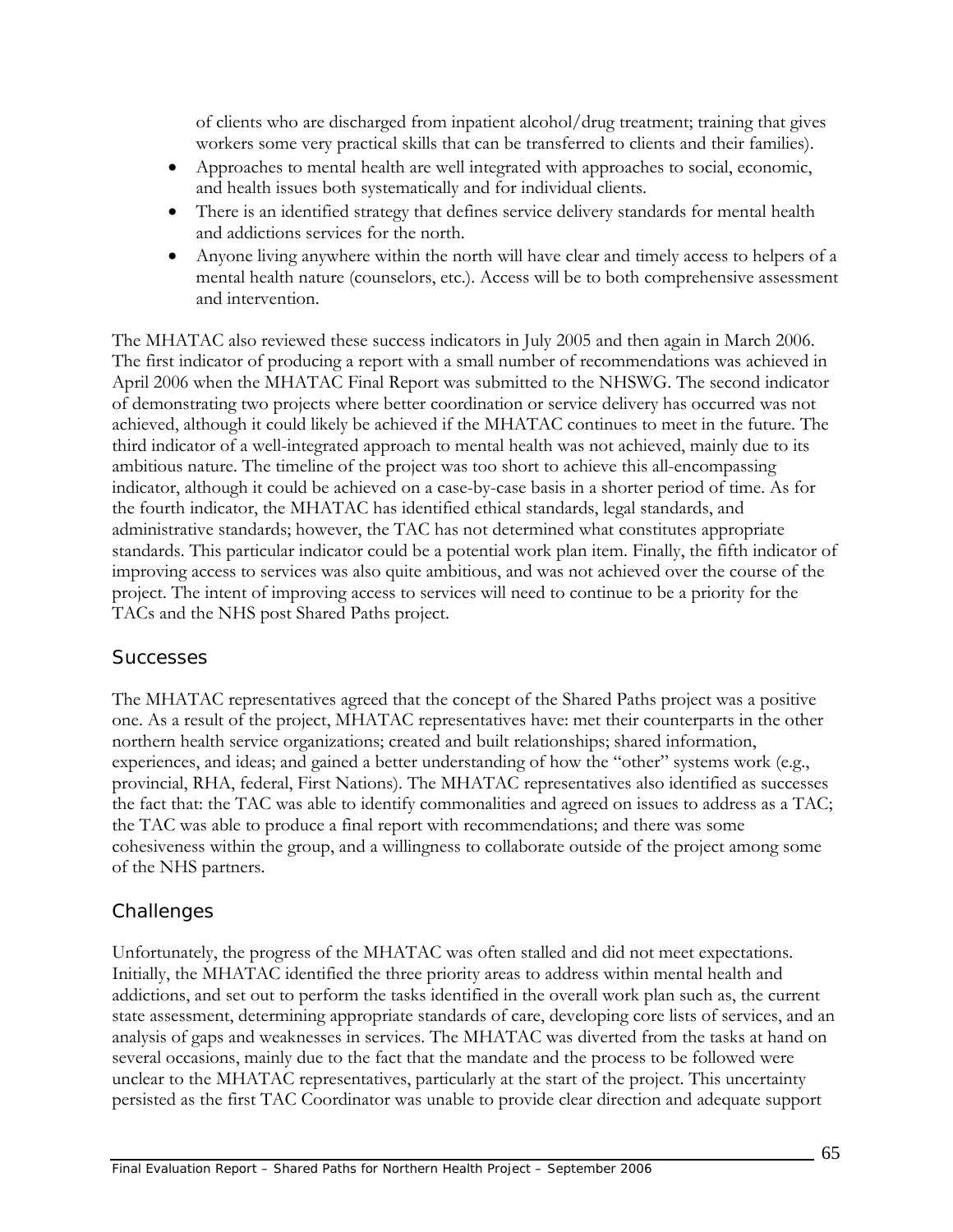of clients who are discharged from inpatient alcohol/drug treatment; training that gives workers some very practical skills that can be transferred to clients and their families).

- Approaches to mental health are well integrated with approaches to social, economic, and health issues both systematically and for individual clients.
- There is an identified strategy that defines service delivery standards for mental health and addictions services for the north.
- Anyone living anywhere within the north will have clear and timely access to helpers of a mental health nature (counselors, etc.). Access will be to both comprehensive assessment and intervention.

The MHATAC also reviewed these success indicators in July 2005 and then again in March 2006. The first indicator of producing a report with a small number of recommendations was achieved in April 2006 when the MHATAC Final Report was submitted to the NHSWG. The second indicator of demonstrating two projects where better coordination or service delivery has occurred was not achieved, although it could likely be achieved if the MHATAC continues to meet in the future. The third indicator of a well-integrated approach to mental health was not achieved, mainly due to its ambitious nature. The timeline of the project was too short to achieve this all-encompassing indicator, although it could be achieved on a case-by-case basis in a shorter period of time. As for the fourth indicator, the MHATAC has identified ethical standards, legal standards, and administrative standards; however, the TAC has not determined what constitutes appropriate standards. This particular indicator could be a potential work plan item. Finally, the fifth indicator of improving access to services was also quite ambitious, and was not achieved over the course of the project. The intent of improving access to services will need to continue to be a priority for the TACs and the NHS post Shared Paths project.

#### *Successes*

The MHATAC representatives agreed that the concept of the Shared Paths project was a positive one. As a result of the project, MHATAC representatives have: met their counterparts in the other northern health service organizations; created and built relationships; shared information, experiences, and ideas; and gained a better understanding of how the "other" systems work (e.g., provincial, RHA, federal, First Nations). The MHATAC representatives also identified as successes the fact that: the TAC was able to identify commonalities and agreed on issues to address as a TAC; the TAC was able to produce a final report with recommendations; and there was some cohesiveness within the group, and a willingness to collaborate outside of the project among some of the NHS partners.

### *Challenges*

Unfortunately, the progress of the MHATAC was often stalled and did not meet expectations. Initially, the MHATAC identified the three priority areas to address within mental health and addictions, and set out to perform the tasks identified in the overall work plan such as, the current state assessment, determining appropriate standards of care, developing core lists of services, and an analysis of gaps and weaknesses in services. The MHATAC was diverted from the tasks at hand on several occasions, mainly due to the fact that the mandate and the process to be followed were unclear to the MHATAC representatives, particularly at the start of the project. This uncertainty persisted as the first TAC Coordinator was unable to provide clear direction and adequate support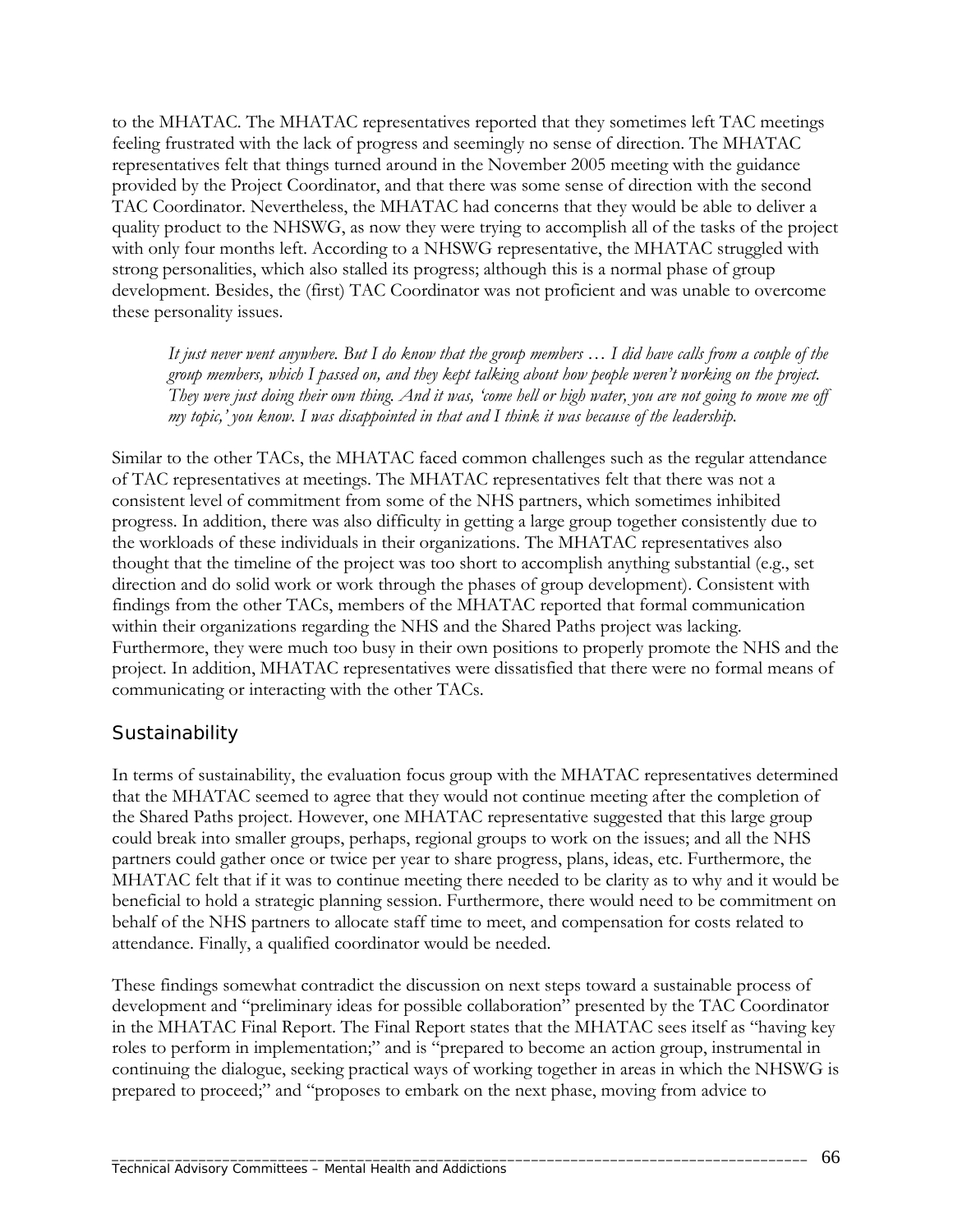to the MHATAC. The MHATAC representatives reported that they sometimes left TAC meetings feeling frustrated with the lack of progress and seemingly no sense of direction. The MHATAC representatives felt that things turned around in the November 2005 meeting with the guidance provided by the Project Coordinator, and that there was some sense of direction with the second TAC Coordinator. Nevertheless, the MHATAC had concerns that they would be able to deliver a quality product to the NHSWG, as now they were trying to accomplish all of the tasks of the project with only four months left. According to a NHSWG representative, the MHATAC struggled with strong personalities, which also stalled its progress; although this is a normal phase of group development. Besides, the (first) TAC Coordinator was not proficient and was unable to overcome these personality issues.

*It just never went anywhere. But I do know that the group members … I did have calls from a couple of the group members, which I passed on, and they kept talking about how people weren't working on the project. They were just doing their own thing. And it was, 'come hell or high water, you are not going to move me off my topic,' you know. I was disappointed in that and I think it was because of the leadership.* 

Similar to the other TACs, the MHATAC faced common challenges such as the regular attendance of TAC representatives at meetings. The MHATAC representatives felt that there was not a consistent level of commitment from some of the NHS partners, which sometimes inhibited progress. In addition, there was also difficulty in getting a large group together consistently due to the workloads of these individuals in their organizations. The MHATAC representatives also thought that the timeline of the project was too short to accomplish anything substantial (e.g., set direction and do solid work or work through the phases of group development). Consistent with findings from the other TACs, members of the MHATAC reported that formal communication within their organizations regarding the NHS and the Shared Paths project was lacking. Furthermore, they were much too busy in their own positions to properly promote the NHS and the project. In addition, MHATAC representatives were dissatisfied that there were no formal means of communicating or interacting with the other TACs.

#### *Sustainability*

In terms of sustainability, the evaluation focus group with the MHATAC representatives determined that the MHATAC seemed to agree that they would not continue meeting after the completion of the Shared Paths project. However, one MHATAC representative suggested that this large group could break into smaller groups, perhaps, regional groups to work on the issues; and all the NHS partners could gather once or twice per year to share progress, plans, ideas, etc. Furthermore, the MHATAC felt that if it was to continue meeting there needed to be clarity as to why and it would be beneficial to hold a strategic planning session. Furthermore, there would need to be commitment on behalf of the NHS partners to allocate staff time to meet, and compensation for costs related to attendance. Finally, a qualified coordinator would be needed.

These findings somewhat contradict the discussion on next steps toward a sustainable process of development and "preliminary ideas for possible collaboration" presented by the TAC Coordinator in the MHATAC Final Report. The Final Report states that the MHATAC sees itself as "having key roles to perform in implementation;" and is "prepared to become an action group, instrumental in continuing the dialogue, seeking practical ways of working together in areas in which the NHSWG is prepared to proceed;" and "proposes to embark on the next phase, moving from advice to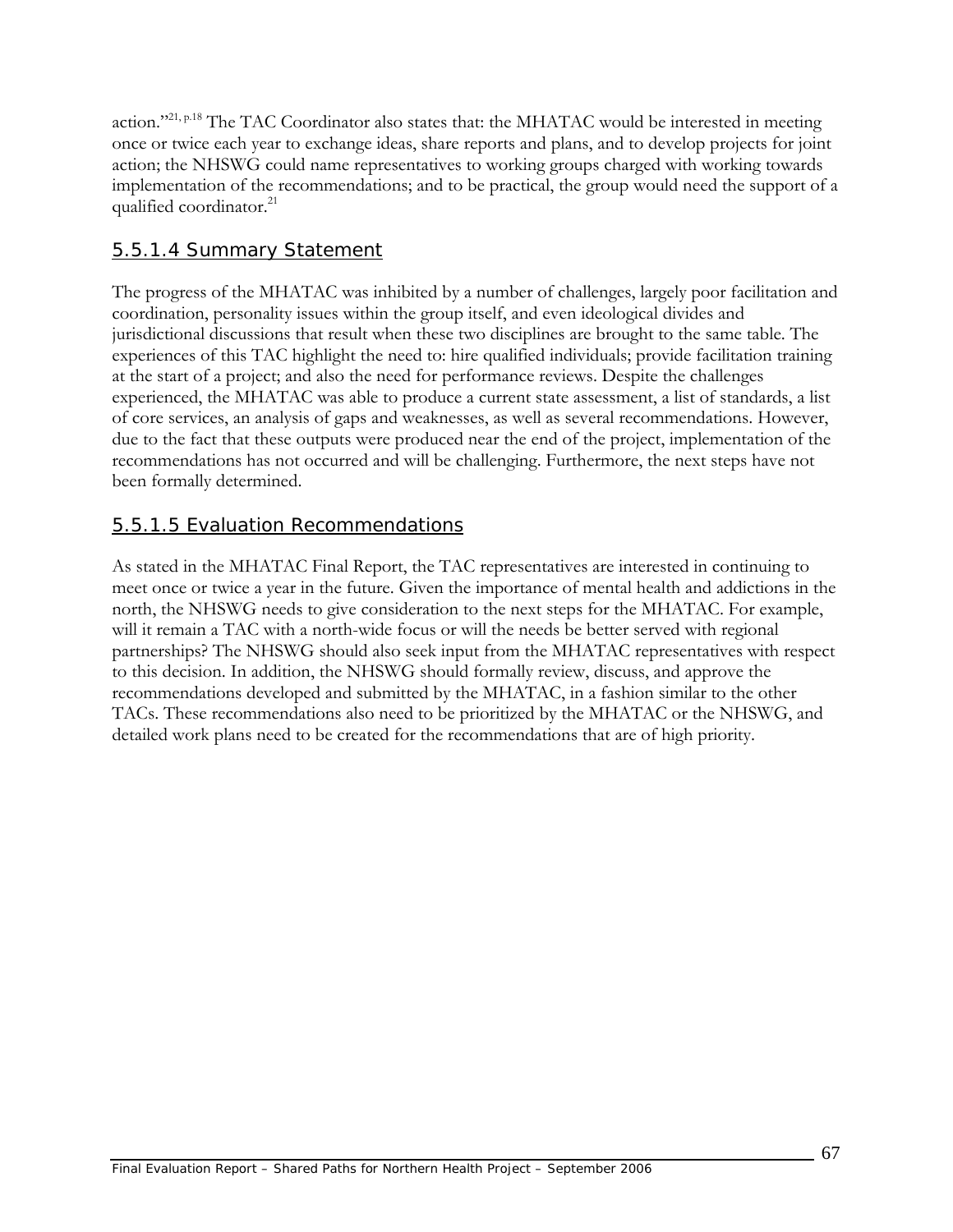action."<sup>21, p.18</sup> The TAC Coordinator also states that: the MHATAC would be interested in meeting once or twice each year to exchange ideas, share reports and plans, and to develop projects for joint action; the NHSWG could name representatives to working groups charged with working towards implementation of the recommendations; and to be practical, the group would need the support of a qualified coordinator.<sup>21</sup>

### 5.5.1.4 Summary Statement

The progress of the MHATAC was inhibited by a number of challenges, largely poor facilitation and coordination, personality issues within the group itself, and even ideological divides and jurisdictional discussions that result when these two disciplines are brought to the same table. The experiences of this TAC highlight the need to: hire qualified individuals; provide facilitation training at the start of a project; and also the need for performance reviews. Despite the challenges experienced, the MHATAC was able to produce a current state assessment, a list of standards, a list of core services, an analysis of gaps and weaknesses, as well as several recommendations. However, due to the fact that these outputs were produced near the end of the project, implementation of the recommendations has not occurred and will be challenging. Furthermore, the next steps have not been formally determined.

### 5.5.1.5 Evaluation Recommendations

As stated in the MHATAC Final Report, the TAC representatives are interested in continuing to meet once or twice a year in the future. Given the importance of mental health and addictions in the north, the NHSWG needs to give consideration to the next steps for the MHATAC. For example, will it remain a TAC with a north-wide focus or will the needs be better served with regional partnerships? The NHSWG should also seek input from the MHATAC representatives with respect to this decision. In addition, the NHSWG should formally review, discuss, and approve the recommendations developed and submitted by the MHATAC, in a fashion similar to the other TACs. These recommendations also need to be prioritized by the MHATAC or the NHSWG, and detailed work plans need to be created for the recommendations that are of high priority.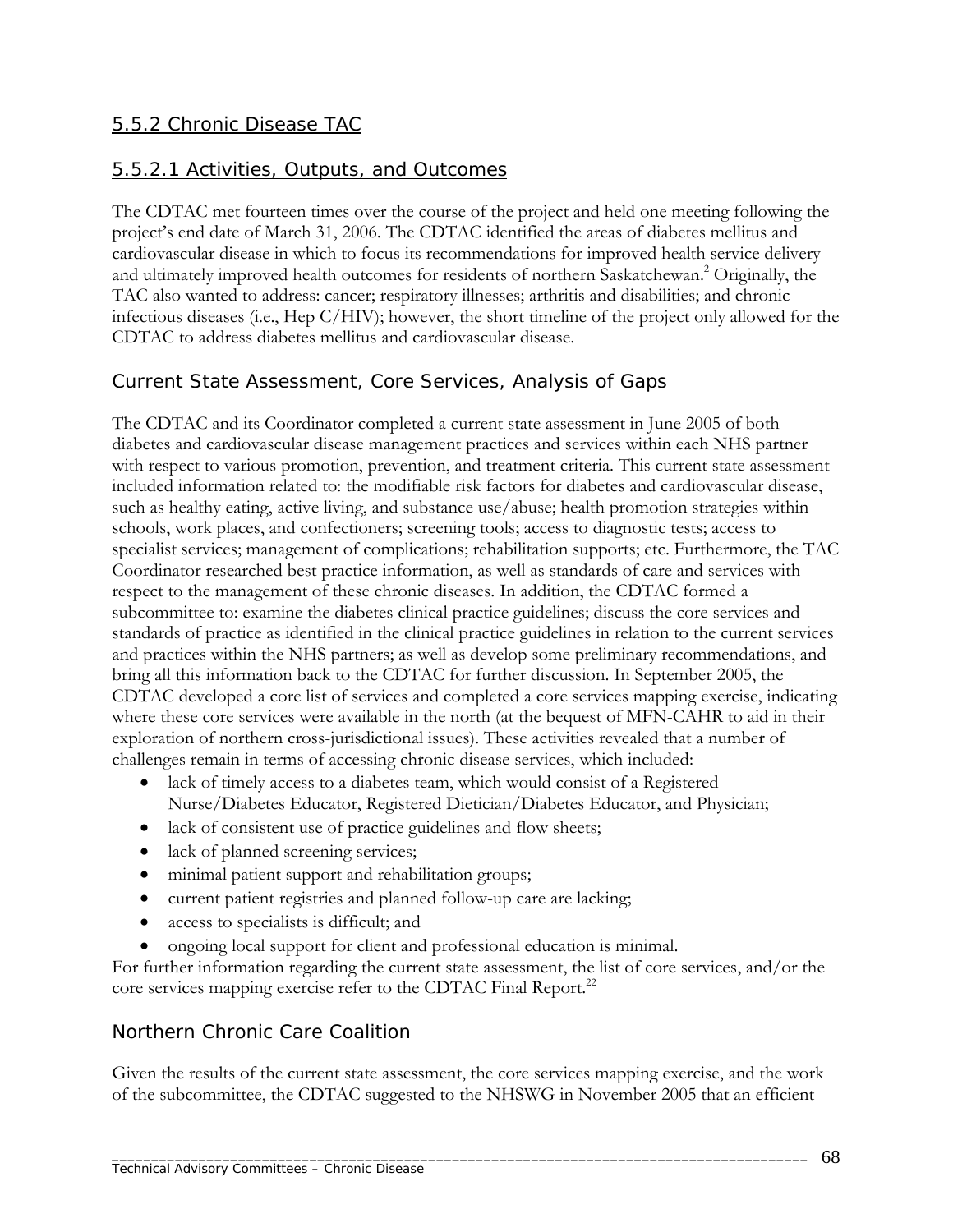### 5.5.2 Chronic Disease TAC

#### 5.5.2.1 Activities, Outputs, and Outcomes

The CDTAC met fourteen times over the course of the project and held one meeting following the project's end date of March 31, 2006. The CDTAC identified the areas of diabetes mellitus and cardiovascular disease in which to focus its recommendations for improved health service delivery and ultimately improved health outcomes for residents of northern Saskatchewan.<sup>2</sup> Originally, the TAC also wanted to address: cancer; respiratory illnesses; arthritis and disabilities; and chronic infectious diseases (i.e., Hep C/HIV); however, the short timeline of the project only allowed for the CDTAC to address diabetes mellitus and cardiovascular disease.

#### *Current State Assessment, Core Services, Analysis of Gaps*

The CDTAC and its Coordinator completed a current state assessment in June 2005 of both diabetes and cardiovascular disease management practices and services within each NHS partner with respect to various promotion, prevention, and treatment criteria. This current state assessment included information related to: the modifiable risk factors for diabetes and cardiovascular disease, such as healthy eating, active living, and substance use/abuse; health promotion strategies within schools, work places, and confectioners; screening tools; access to diagnostic tests; access to specialist services; management of complications; rehabilitation supports; etc. Furthermore, the TAC Coordinator researched best practice information, as well as standards of care and services with respect to the management of these chronic diseases. In addition, the CDTAC formed a subcommittee to: examine the diabetes clinical practice guidelines; discuss the core services and standards of practice as identified in the clinical practice guidelines in relation to the current services and practices within the NHS partners; as well as develop some preliminary recommendations, and bring all this information back to the CDTAC for further discussion. In September 2005, the CDTAC developed a core list of services and completed a core services mapping exercise, indicating where these core services were available in the north (at the bequest of MFN-CAHR to aid in their exploration of northern cross-jurisdictional issues). These activities revealed that a number of challenges remain in terms of accessing chronic disease services, which included:

- lack of timely access to a diabetes team, which would consist of a Registered Nurse/Diabetes Educator, Registered Dietician/Diabetes Educator, and Physician;
- lack of consistent use of practice guidelines and flow sheets;
- lack of planned screening services;
- minimal patient support and rehabilitation groups;
- current patient registries and planned follow-up care are lacking;
- access to specialists is difficult; and
- ongoing local support for client and professional education is minimal.

For further information regarding the current state assessment, the list of core services, and/or the core services mapping exercise refer to the CDTAC Final Report.<sup>22</sup>

#### *Northern Chronic Care Coalition*

Given the results of the current state assessment, the core services mapping exercise, and the work of the subcommittee, the CDTAC suggested to the NHSWG in November 2005 that an efficient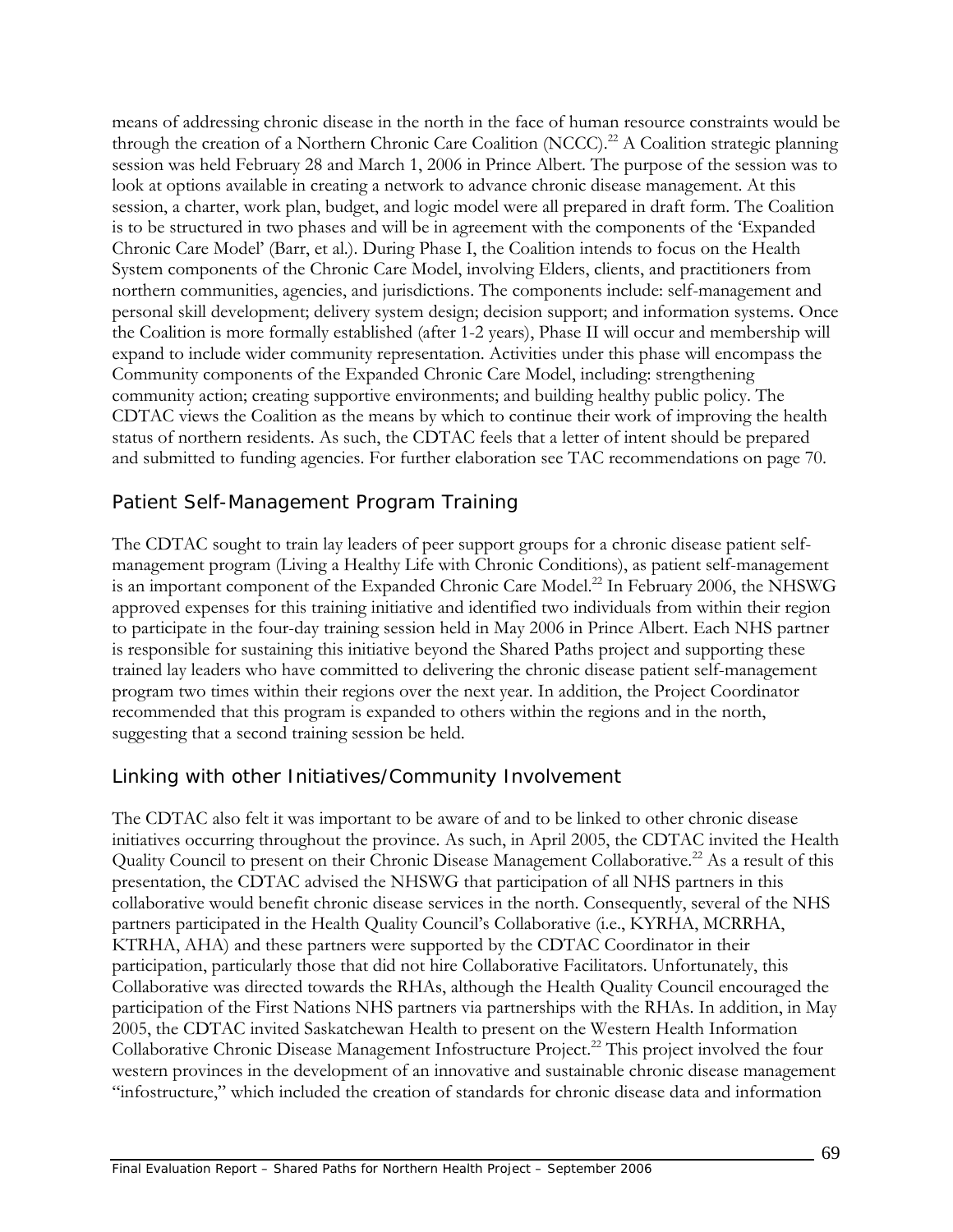means of addressing chronic disease in the north in the face of human resource constraints would be through the creation of a Northern Chronic Care Coalition (NCCC).<sup>22</sup> A Coalition strategic planning session was held February 28 and March 1, 2006 in Prince Albert. The purpose of the session was to look at options available in creating a network to advance chronic disease management. At this session, a charter, work plan, budget, and logic model were all prepared in draft form. The Coalition is to be structured in two phases and will be in agreement with the components of the 'Expanded Chronic Care Model' (Barr, et al.). During Phase I, the Coalition intends to focus on the Health System components of the Chronic Care Model, involving Elders, clients, and practitioners from northern communities, agencies, and jurisdictions. The components include: self-management and personal skill development; delivery system design; decision support; and information systems. Once the Coalition is more formally established (after 1-2 years), Phase II will occur and membership will expand to include wider community representation. Activities under this phase will encompass the Community components of the Expanded Chronic Care Model, including: strengthening community action; creating supportive environments; and building healthy public policy. The CDTAC views the Coalition as the means by which to continue their work of improving the health status of northern residents. As such, the CDTAC feels that a letter of intent should be prepared and submitted to funding agencies. For further elaboration see TAC recommendations on page 70.

## *Patient Self-Management Program Training*

The CDTAC sought to train lay leaders of peer support groups for a chronic disease patient selfmanagement program (Living a Healthy Life with Chronic Conditions), as patient self-management is an important component of the Expanded Chronic Care Model.<sup>22</sup> In February 2006, the NHSWG approved expenses for this training initiative and identified two individuals from within their region to participate in the four-day training session held in May 2006 in Prince Albert. Each NHS partner is responsible for sustaining this initiative beyond the Shared Paths project and supporting these trained lay leaders who have committed to delivering the chronic disease patient self-management program two times within their regions over the next year. In addition, the Project Coordinator recommended that this program is expanded to others within the regions and in the north, suggesting that a second training session be held.

## *Linking with other Initiatives/Community Involvement*

The CDTAC also felt it was important to be aware of and to be linked to other chronic disease initiatives occurring throughout the province. As such, in April 2005, the CDTAC invited the Health Quality Council to present on their Chronic Disease Management Collaborative.<sup>22</sup> As a result of this presentation, the CDTAC advised the NHSWG that participation of all NHS partners in this collaborative would benefit chronic disease services in the north. Consequently, several of the NHS partners participated in the Health Quality Council's Collaborative (i.e., KYRHA, MCRRHA, KTRHA, AHA) and these partners were supported by the CDTAC Coordinator in their participation, particularly those that did not hire Collaborative Facilitators. Unfortunately, this Collaborative was directed towards the RHAs, although the Health Quality Council encouraged the participation of the First Nations NHS partners via partnerships with the RHAs. In addition, in May 2005, the CDTAC invited Saskatchewan Health to present on the Western Health Information Collaborative Chronic Disease Management Infostructure Project.<sup>22</sup> This project involved the four western provinces in the development of an innovative and sustainable chronic disease management "infostructure," which included the creation of standards for chronic disease data and information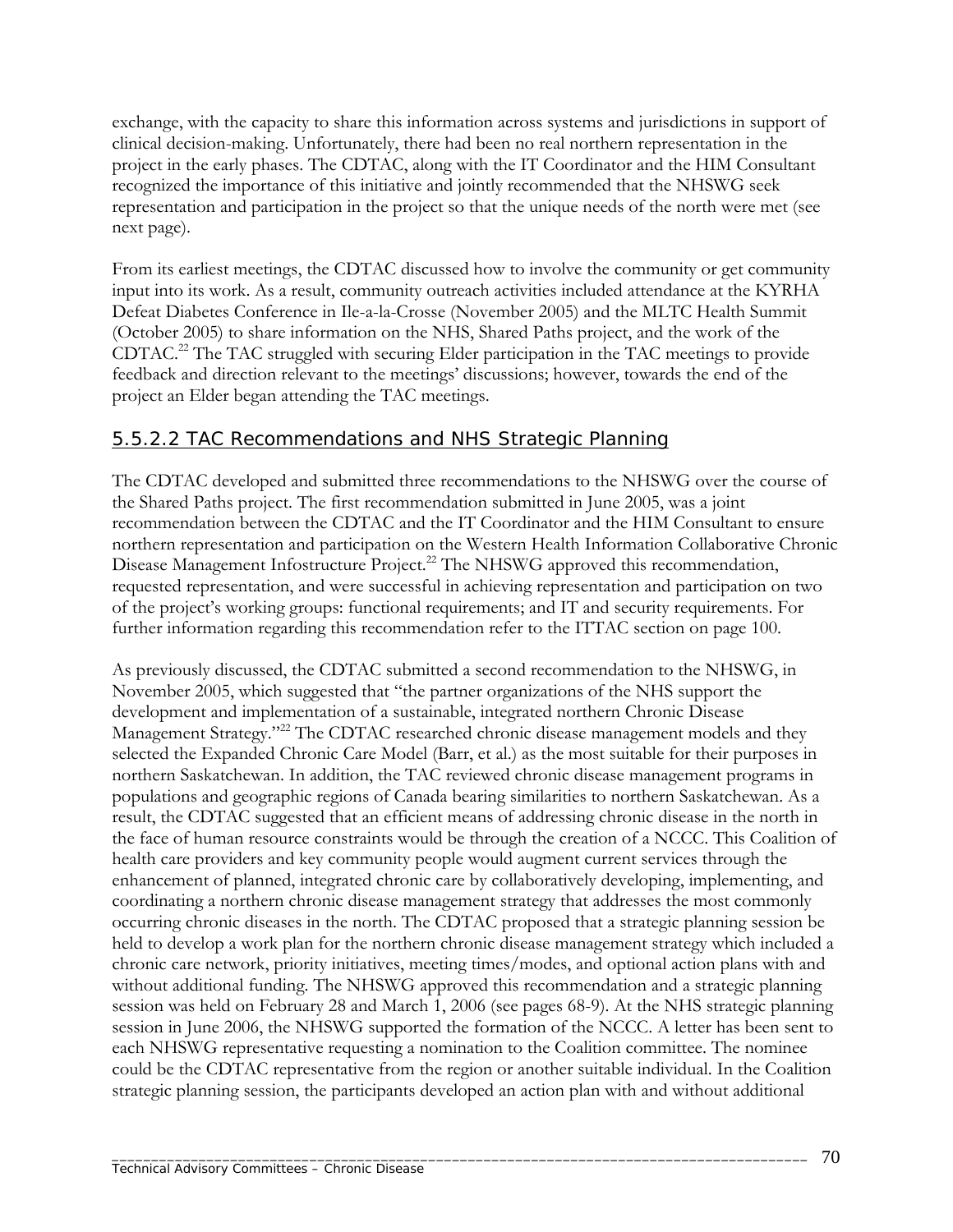exchange, with the capacity to share this information across systems and jurisdictions in support of clinical decision-making. Unfortunately, there had been no real northern representation in the project in the early phases. The CDTAC, along with the IT Coordinator and the HIM Consultant recognized the importance of this initiative and jointly recommended that the NHSWG seek representation and participation in the project so that the unique needs of the north were met (see next page).

From its earliest meetings, the CDTAC discussed how to involve the community or get community input into its work. As a result, community outreach activities included attendance at the KYRHA Defeat Diabetes Conference in Ile-a-la-Crosse (November 2005) and the MLTC Health Summit (October 2005) to share information on the NHS, Shared Paths project, and the work of the CDTAC.22 The TAC struggled with securing Elder participation in the TAC meetings to provide feedback and direction relevant to the meetings' discussions; however, towards the end of the project an Elder began attending the TAC meetings.

### 5.5.2.2 TAC Recommendations and NHS Strategic Planning

The CDTAC developed and submitted three recommendations to the NHSWG over the course of the Shared Paths project. The first recommendation submitted in June 2005, was a joint recommendation between the CDTAC and the IT Coordinator and the HIM Consultant to ensure northern representation and participation on the Western Health Information Collaborative Chronic Disease Management Infostructure Project.<sup>22</sup> The NHSWG approved this recommendation, requested representation, and were successful in achieving representation and participation on two of the project's working groups: functional requirements; and IT and security requirements. For further information regarding this recommendation refer to the ITTAC section on page 100.

As previously discussed, the CDTAC submitted a second recommendation to the NHSWG, in November 2005, which suggested that "the partner organizations of the NHS support the development and implementation of a sustainable, integrated northern Chronic Disease Management Strategy."<sup>22</sup> The CDTAC researched chronic disease management models and they selected the Expanded Chronic Care Model (Barr, et al.) as the most suitable for their purposes in northern Saskatchewan. In addition, the TAC reviewed chronic disease management programs in populations and geographic regions of Canada bearing similarities to northern Saskatchewan. As a result, the CDTAC suggested that an efficient means of addressing chronic disease in the north in the face of human resource constraints would be through the creation of a NCCC. This Coalition of health care providers and key community people would augment current services through the enhancement of planned, integrated chronic care by collaboratively developing, implementing, and coordinating a northern chronic disease management strategy that addresses the most commonly occurring chronic diseases in the north. The CDTAC proposed that a strategic planning session be held to develop a work plan for the northern chronic disease management strategy which included a chronic care network, priority initiatives, meeting times/modes, and optional action plans with and without additional funding. The NHSWG approved this recommendation and a strategic planning session was held on February 28 and March 1, 2006 (see pages 68-9). At the NHS strategic planning session in June 2006, the NHSWG supported the formation of the NCCC. A letter has been sent to each NHSWG representative requesting a nomination to the Coalition committee. The nominee could be the CDTAC representative from the region or another suitable individual. In the Coalition strategic planning session, the participants developed an action plan with and without additional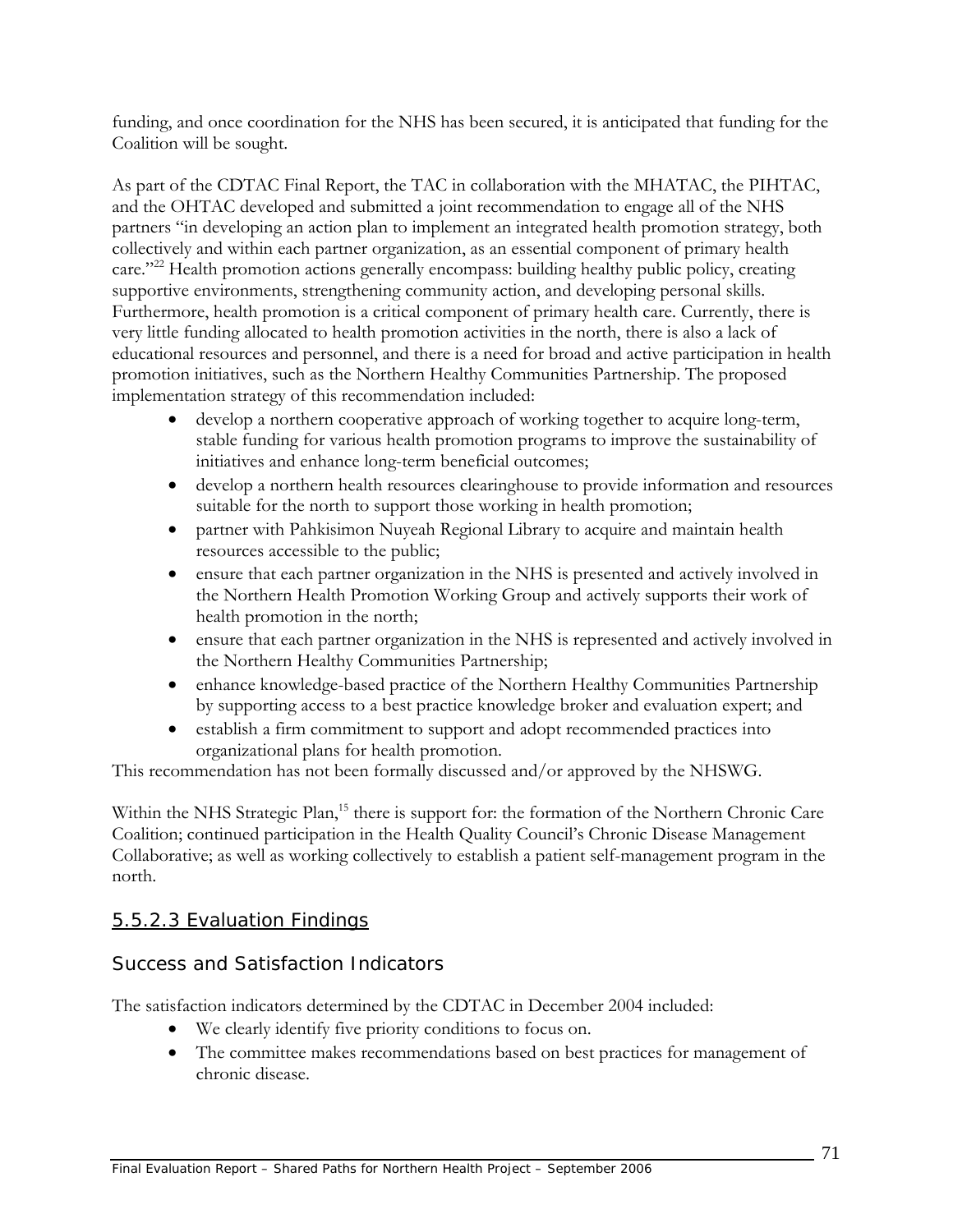funding, and once coordination for the NHS has been secured, it is anticipated that funding for the Coalition will be sought.

As part of the CDTAC Final Report, the TAC in collaboration with the MHATAC, the PIHTAC, and the OHTAC developed and submitted a joint recommendation to engage all of the NHS partners "in developing an action plan to implement an integrated health promotion strategy, both collectively and within each partner organization, as an essential component of primary health care."<sup>22</sup> Health promotion actions generally encompass: building healthy public policy, creating supportive environments, strengthening community action, and developing personal skills. Furthermore, health promotion is a critical component of primary health care. Currently, there is very little funding allocated to health promotion activities in the north, there is also a lack of educational resources and personnel, and there is a need for broad and active participation in health promotion initiatives, such as the Northern Healthy Communities Partnership. The proposed implementation strategy of this recommendation included:

- develop a northern cooperative approach of working together to acquire long-term, stable funding for various health promotion programs to improve the sustainability of initiatives and enhance long-term beneficial outcomes;
- develop a northern health resources clearinghouse to provide information and resources suitable for the north to support those working in health promotion;
- partner with Pahkisimon Nuyeah Regional Library to acquire and maintain health resources accessible to the public;
- ensure that each partner organization in the NHS is presented and actively involved in the Northern Health Promotion Working Group and actively supports their work of health promotion in the north;
- ensure that each partner organization in the NHS is represented and actively involved in the Northern Healthy Communities Partnership;
- enhance knowledge-based practice of the Northern Healthy Communities Partnership by supporting access to a best practice knowledge broker and evaluation expert; and
- establish a firm commitment to support and adopt recommended practices into organizational plans for health promotion.

This recommendation has not been formally discussed and/or approved by the NHSWG.

Within the NHS Strategic Plan,<sup>15</sup> there is support for: the formation of the Northern Chronic Care Coalition; continued participation in the Health Quality Council's Chronic Disease Management Collaborative; as well as working collectively to establish a patient self-management program in the north.

## 5.5.2.3 Evaluation Findings

## *Success and Satisfaction Indicators*

The satisfaction indicators determined by the CDTAC in December 2004 included:

- We clearly identify five priority conditions to focus on.
- The committee makes recommendations based on best practices for management of chronic disease.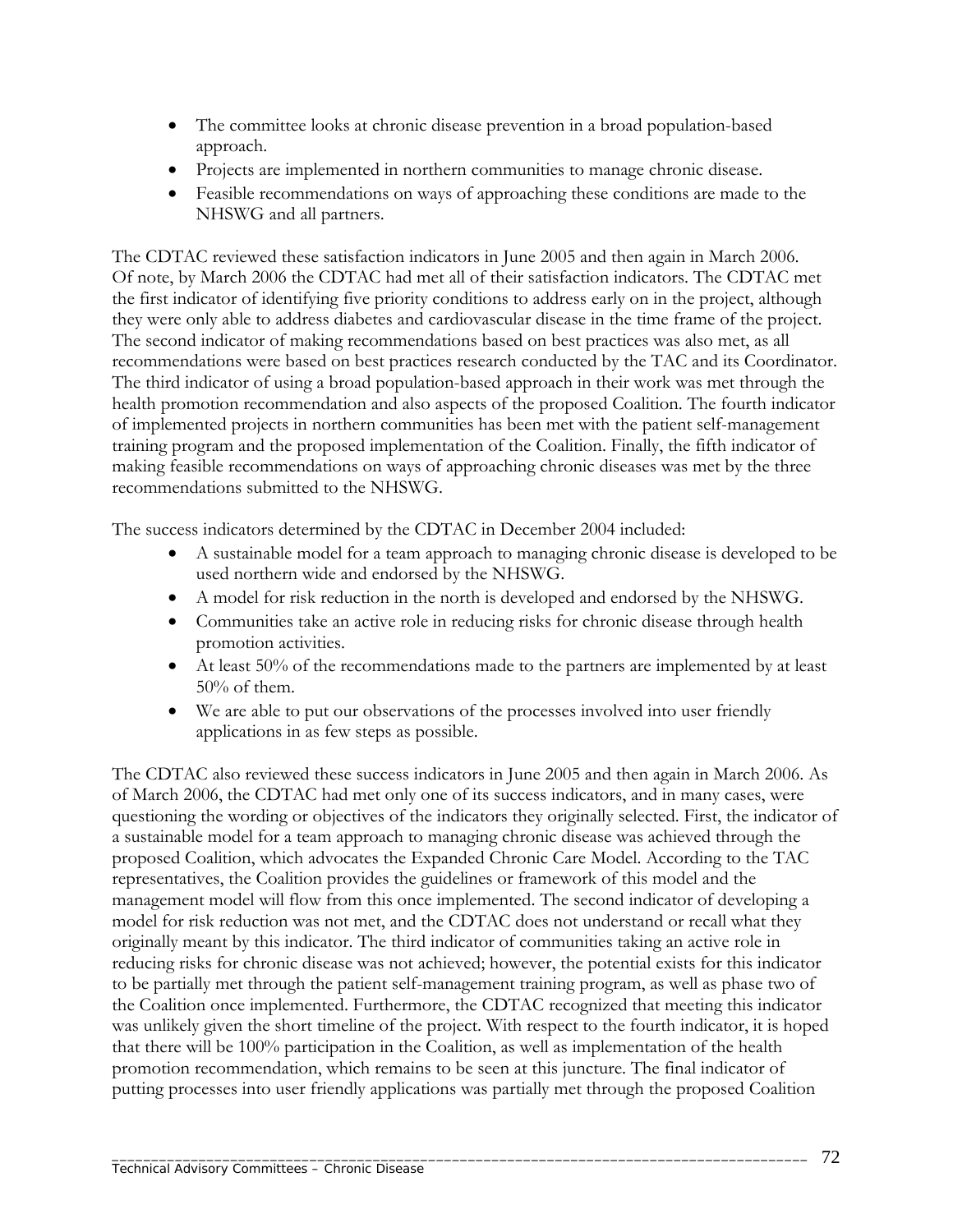- The committee looks at chronic disease prevention in a broad population-based approach.
- Projects are implemented in northern communities to manage chronic disease.
- Feasible recommendations on ways of approaching these conditions are made to the NHSWG and all partners.

The CDTAC reviewed these satisfaction indicators in June 2005 and then again in March 2006. Of note, by March 2006 the CDTAC had met all of their satisfaction indicators. The CDTAC met the first indicator of identifying five priority conditions to address early on in the project, although they were only able to address diabetes and cardiovascular disease in the time frame of the project. The second indicator of making recommendations based on best practices was also met, as all recommendations were based on best practices research conducted by the TAC and its Coordinator. The third indicator of using a broad population-based approach in their work was met through the health promotion recommendation and also aspects of the proposed Coalition. The fourth indicator of implemented projects in northern communities has been met with the patient self-management training program and the proposed implementation of the Coalition. Finally, the fifth indicator of making feasible recommendations on ways of approaching chronic diseases was met by the three recommendations submitted to the NHSWG.

The success indicators determined by the CDTAC in December 2004 included:

- A sustainable model for a team approach to managing chronic disease is developed to be used northern wide and endorsed by the NHSWG.
- A model for risk reduction in the north is developed and endorsed by the NHSWG.
- Communities take an active role in reducing risks for chronic disease through health promotion activities.
- At least 50% of the recommendations made to the partners are implemented by at least  $50\%$  of them.
- We are able to put our observations of the processes involved into user friendly applications in as few steps as possible.

The CDTAC also reviewed these success indicators in June 2005 and then again in March 2006. As of March 2006, the CDTAC had met only one of its success indicators, and in many cases, were questioning the wording or objectives of the indicators they originally selected. First, the indicator of a sustainable model for a team approach to managing chronic disease was achieved through the proposed Coalition, which advocates the Expanded Chronic Care Model. According to the TAC representatives, the Coalition provides the guidelines or framework of this model and the management model will flow from this once implemented. The second indicator of developing a model for risk reduction was not met, and the CDTAC does not understand or recall what they originally meant by this indicator. The third indicator of communities taking an active role in reducing risks for chronic disease was not achieved; however, the potential exists for this indicator to be partially met through the patient self-management training program, as well as phase two of the Coalition once implemented. Furthermore, the CDTAC recognized that meeting this indicator was unlikely given the short timeline of the project. With respect to the fourth indicator, it is hoped that there will be 100% participation in the Coalition, as well as implementation of the health promotion recommendation, which remains to be seen at this juncture. The final indicator of putting processes into user friendly applications was partially met through the proposed Coalition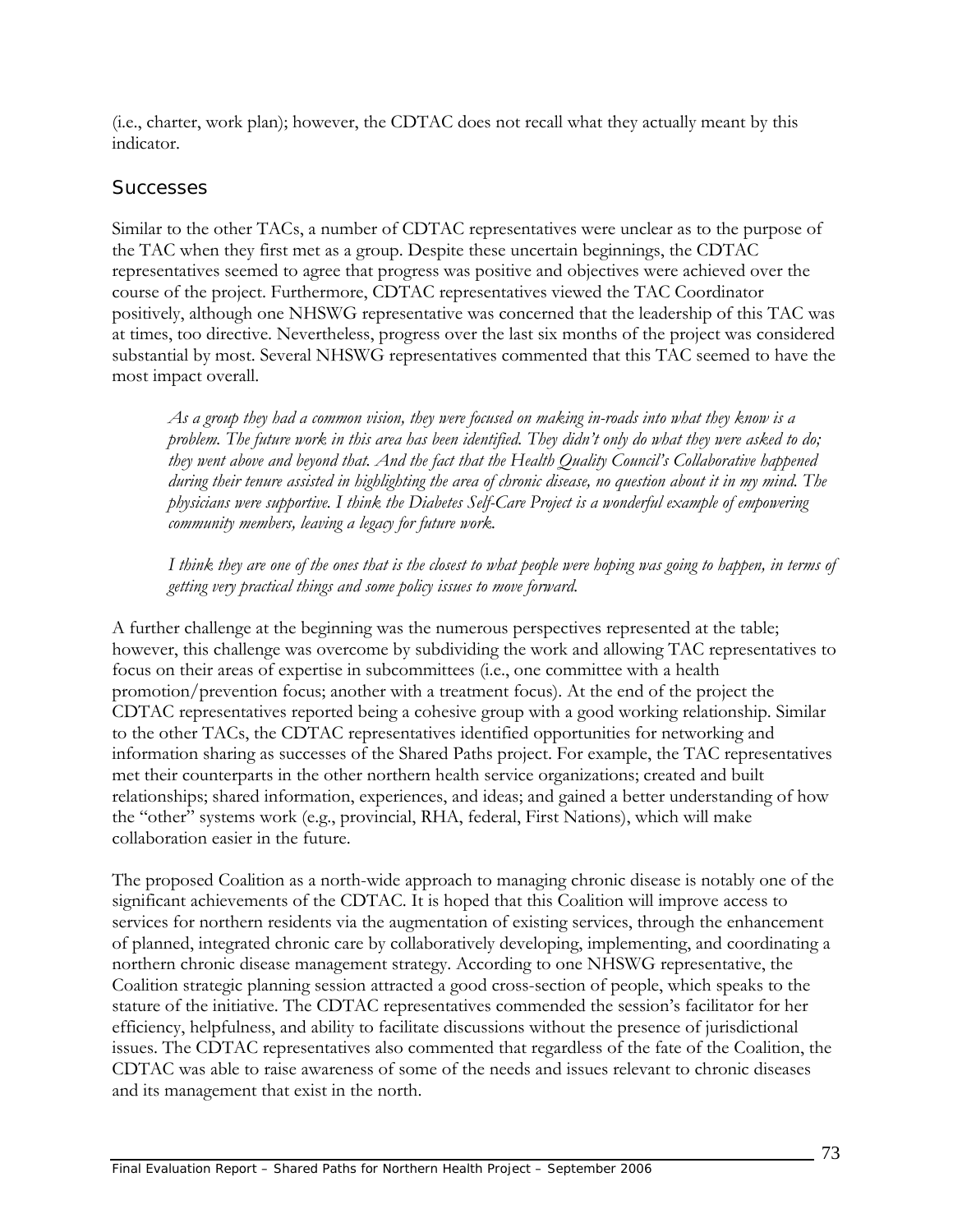(i.e., charter, work plan); however, the CDTAC does not recall what they actually meant by this indicator.

#### *Successes*

Similar to the other TACs, a number of CDTAC representatives were unclear as to the purpose of the TAC when they first met as a group. Despite these uncertain beginnings, the CDTAC representatives seemed to agree that progress was positive and objectives were achieved over the course of the project. Furthermore, CDTAC representatives viewed the TAC Coordinator positively, although one NHSWG representative was concerned that the leadership of this TAC was at times, too directive. Nevertheless, progress over the last six months of the project was considered substantial by most. Several NHSWG representatives commented that this TAC seemed to have the most impact overall.

*As a group they had a common vision, they were focused on making in-roads into what they know is a problem. The future work in this area has been identified. They didn't only do what they were asked to do; they went above and beyond that. And the fact that the Health Quality Council's Collaborative happened during their tenure assisted in highlighting the area of chronic disease, no question about it in my mind. The physicians were supportive. I think the Diabetes Self-Care Project is a wonderful example of empowering community members, leaving a legacy for future work.* 

*I think they are one of the ones that is the closest to what people were hoping was going to happen, in terms of getting very practical things and some policy issues to move forward.* 

A further challenge at the beginning was the numerous perspectives represented at the table; however, this challenge was overcome by subdividing the work and allowing TAC representatives to focus on their areas of expertise in subcommittees (i.e., one committee with a health promotion/prevention focus; another with a treatment focus). At the end of the project the CDTAC representatives reported being a cohesive group with a good working relationship. Similar to the other TACs, the CDTAC representatives identified opportunities for networking and information sharing as successes of the Shared Paths project. For example, the TAC representatives met their counterparts in the other northern health service organizations; created and built relationships; shared information, experiences, and ideas; and gained a better understanding of how the "other" systems work (e.g., provincial, RHA, federal, First Nations), which will make collaboration easier in the future.

The proposed Coalition as a north-wide approach to managing chronic disease is notably one of the significant achievements of the CDTAC. It is hoped that this Coalition will improve access to services for northern residents via the augmentation of existing services, through the enhancement of planned, integrated chronic care by collaboratively developing, implementing, and coordinating a northern chronic disease management strategy. According to one NHSWG representative, the Coalition strategic planning session attracted a good cross-section of people, which speaks to the stature of the initiative. The CDTAC representatives commended the session's facilitator for her efficiency, helpfulness, and ability to facilitate discussions without the presence of jurisdictional issues. The CDTAC representatives also commented that regardless of the fate of the Coalition, the CDTAC was able to raise awareness of some of the needs and issues relevant to chronic diseases and its management that exist in the north.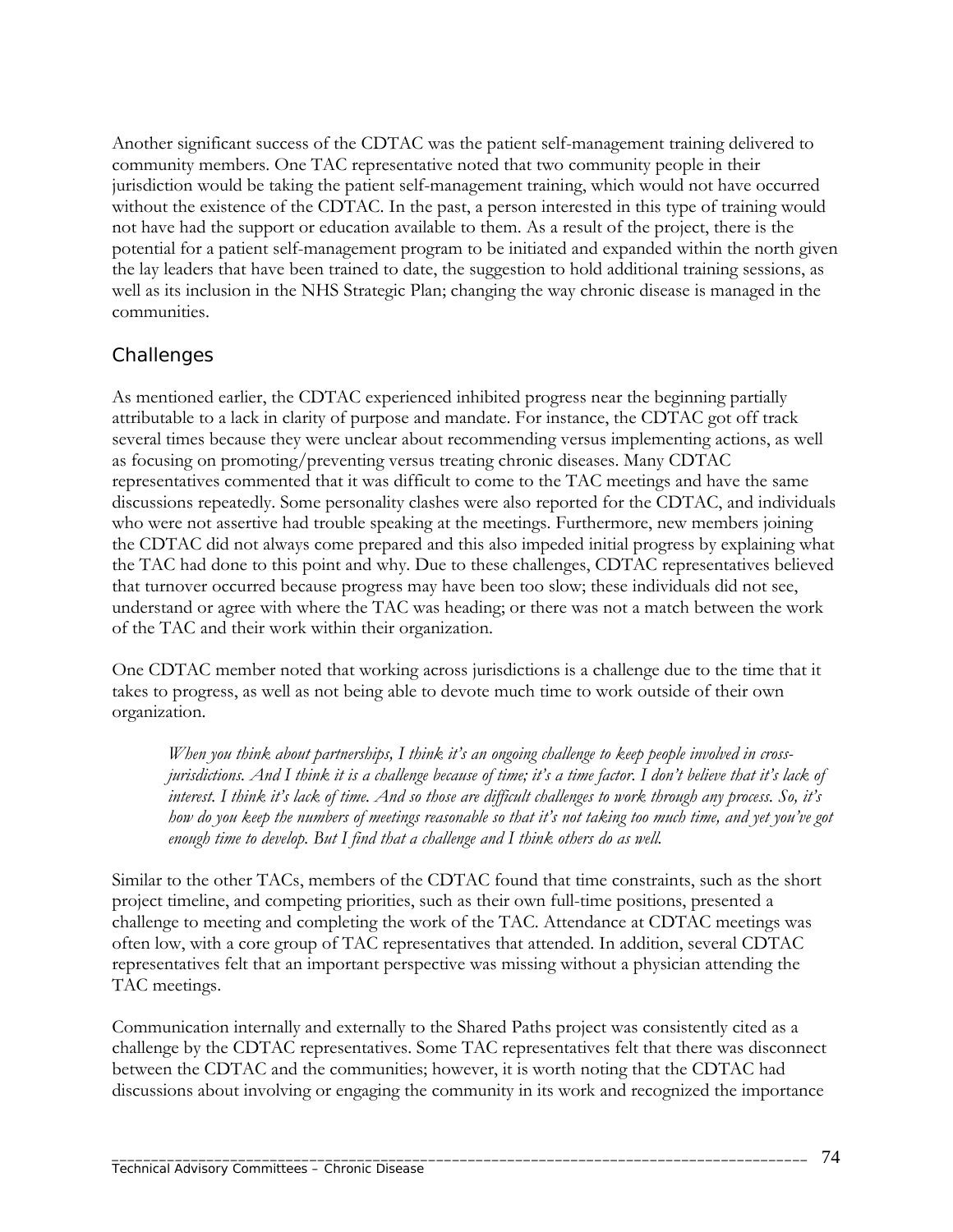Another significant success of the CDTAC was the patient self-management training delivered to community members. One TAC representative noted that two community people in their jurisdiction would be taking the patient self-management training, which would not have occurred without the existence of the CDTAC. In the past, a person interested in this type of training would not have had the support or education available to them. As a result of the project, there is the potential for a patient self-management program to be initiated and expanded within the north given the lay leaders that have been trained to date, the suggestion to hold additional training sessions, as well as its inclusion in the NHS Strategic Plan; changing the way chronic disease is managed in the communities.

### *Challenges*

As mentioned earlier, the CDTAC experienced inhibited progress near the beginning partially attributable to a lack in clarity of purpose and mandate. For instance, the CDTAC got off track several times because they were unclear about recommending versus implementing actions, as well as focusing on promoting/preventing versus treating chronic diseases. Many CDTAC representatives commented that it was difficult to come to the TAC meetings and have the same discussions repeatedly. Some personality clashes were also reported for the CDTAC, and individuals who were not assertive had trouble speaking at the meetings. Furthermore, new members joining the CDTAC did not always come prepared and this also impeded initial progress by explaining what the TAC had done to this point and why. Due to these challenges, CDTAC representatives believed that turnover occurred because progress may have been too slow; these individuals did not see, understand or agree with where the TAC was heading; or there was not a match between the work of the TAC and their work within their organization.

One CDTAC member noted that working across jurisdictions is a challenge due to the time that it takes to progress, as well as not being able to devote much time to work outside of their own organization.

*When you think about partnerships, I think it's an ongoing challenge to keep people involved in crossjurisdictions. And I think it is a challenge because of time; it's a time factor. I don't believe that it's lack of interest. I think it's lack of time. And so those are difficult challenges to work through any process. So, it's how do you keep the numbers of meetings reasonable so that it's not taking too much time, and yet you've got enough time to develop. But I find that a challenge and I think others do as well.* 

Similar to the other TACs, members of the CDTAC found that time constraints, such as the short project timeline, and competing priorities, such as their own full-time positions, presented a challenge to meeting and completing the work of the TAC. Attendance at CDTAC meetings was often low, with a core group of TAC representatives that attended. In addition, several CDTAC representatives felt that an important perspective was missing without a physician attending the TAC meetings.

Communication internally and externally to the Shared Paths project was consistently cited as a challenge by the CDTAC representatives. Some TAC representatives felt that there was disconnect between the CDTAC and the communities; however, it is worth noting that the CDTAC had discussions about involving or engaging the community in its work and recognized the importance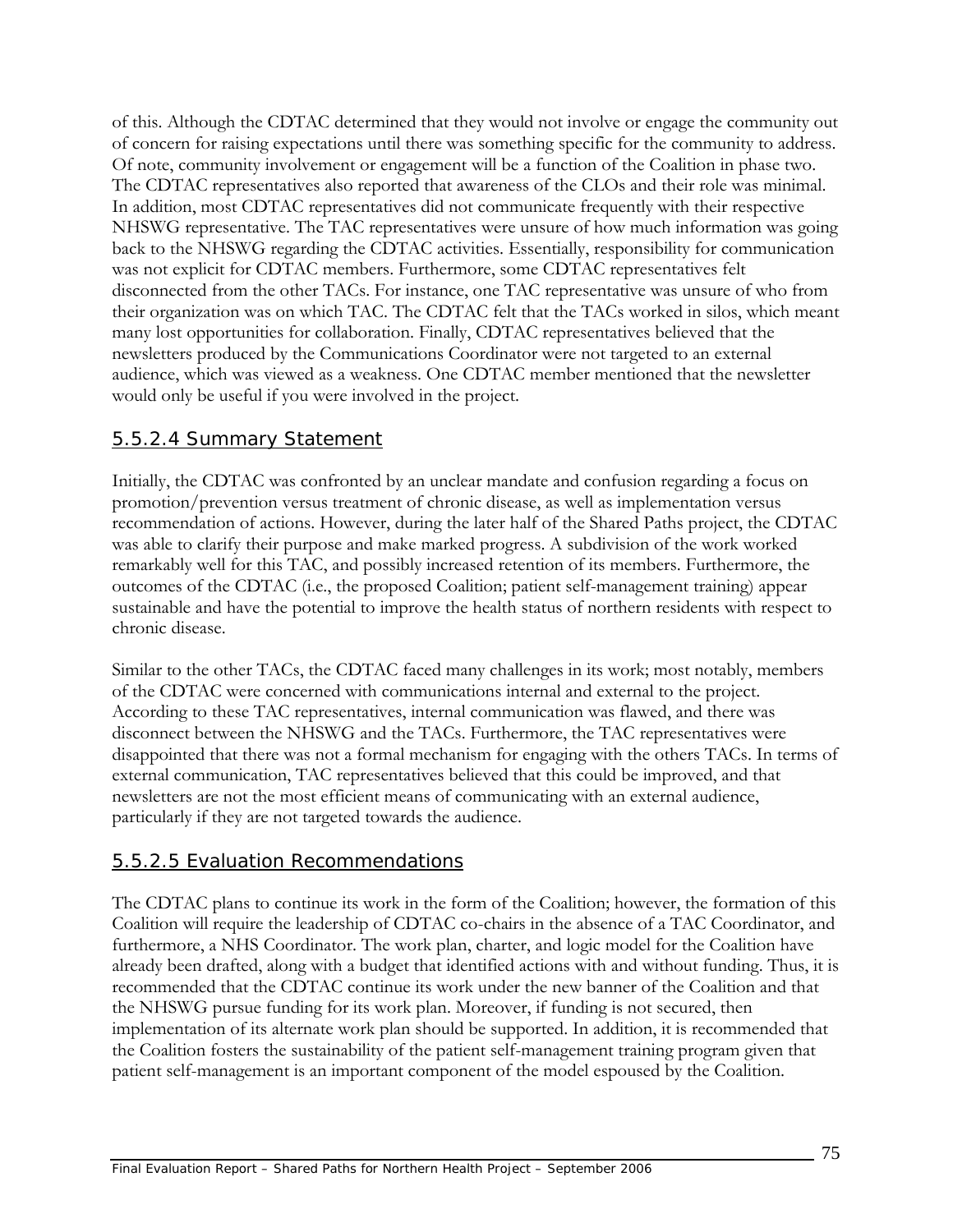of this. Although the CDTAC determined that they would not involve or engage the community out of concern for raising expectations until there was something specific for the community to address. Of note, community involvement or engagement will be a function of the Coalition in phase two. The CDTAC representatives also reported that awareness of the CLOs and their role was minimal. In addition, most CDTAC representatives did not communicate frequently with their respective NHSWG representative. The TAC representatives were unsure of how much information was going back to the NHSWG regarding the CDTAC activities. Essentially, responsibility for communication was not explicit for CDTAC members. Furthermore, some CDTAC representatives felt disconnected from the other TACs. For instance, one TAC representative was unsure of who from their organization was on which TAC. The CDTAC felt that the TACs worked in silos, which meant many lost opportunities for collaboration. Finally, CDTAC representatives believed that the newsletters produced by the Communications Coordinator were not targeted to an external audience, which was viewed as a weakness. One CDTAC member mentioned that the newsletter would only be useful if you were involved in the project.

### 5.5.2.4 Summary Statement

Initially, the CDTAC was confronted by an unclear mandate and confusion regarding a focus on promotion/prevention versus treatment of chronic disease, as well as implementation versus recommendation of actions. However, during the later half of the Shared Paths project, the CDTAC was able to clarify their purpose and make marked progress. A subdivision of the work worked remarkably well for this TAC, and possibly increased retention of its members. Furthermore, the outcomes of the CDTAC (i.e., the proposed Coalition; patient self-management training) appear sustainable and have the potential to improve the health status of northern residents with respect to chronic disease.

Similar to the other TACs, the CDTAC faced many challenges in its work; most notably, members of the CDTAC were concerned with communications internal and external to the project. According to these TAC representatives, internal communication was flawed, and there was disconnect between the NHSWG and the TACs. Furthermore, the TAC representatives were disappointed that there was not a formal mechanism for engaging with the others TACs. In terms of external communication, TAC representatives believed that this could be improved, and that newsletters are not the most efficient means of communicating with an external audience, particularly if they are not targeted towards the audience.

### 5.5.2.5 Evaluation Recommendations

The CDTAC plans to continue its work in the form of the Coalition; however, the formation of this Coalition will require the leadership of CDTAC co-chairs in the absence of a TAC Coordinator, and furthermore, a NHS Coordinator. The work plan, charter, and logic model for the Coalition have already been drafted, along with a budget that identified actions with and without funding. Thus, it is recommended that the CDTAC continue its work under the new banner of the Coalition and that the NHSWG pursue funding for its work plan. Moreover, if funding is not secured, then implementation of its alternate work plan should be supported. In addition, it is recommended that the Coalition fosters the sustainability of the patient self-management training program given that patient self-management is an important component of the model espoused by the Coalition.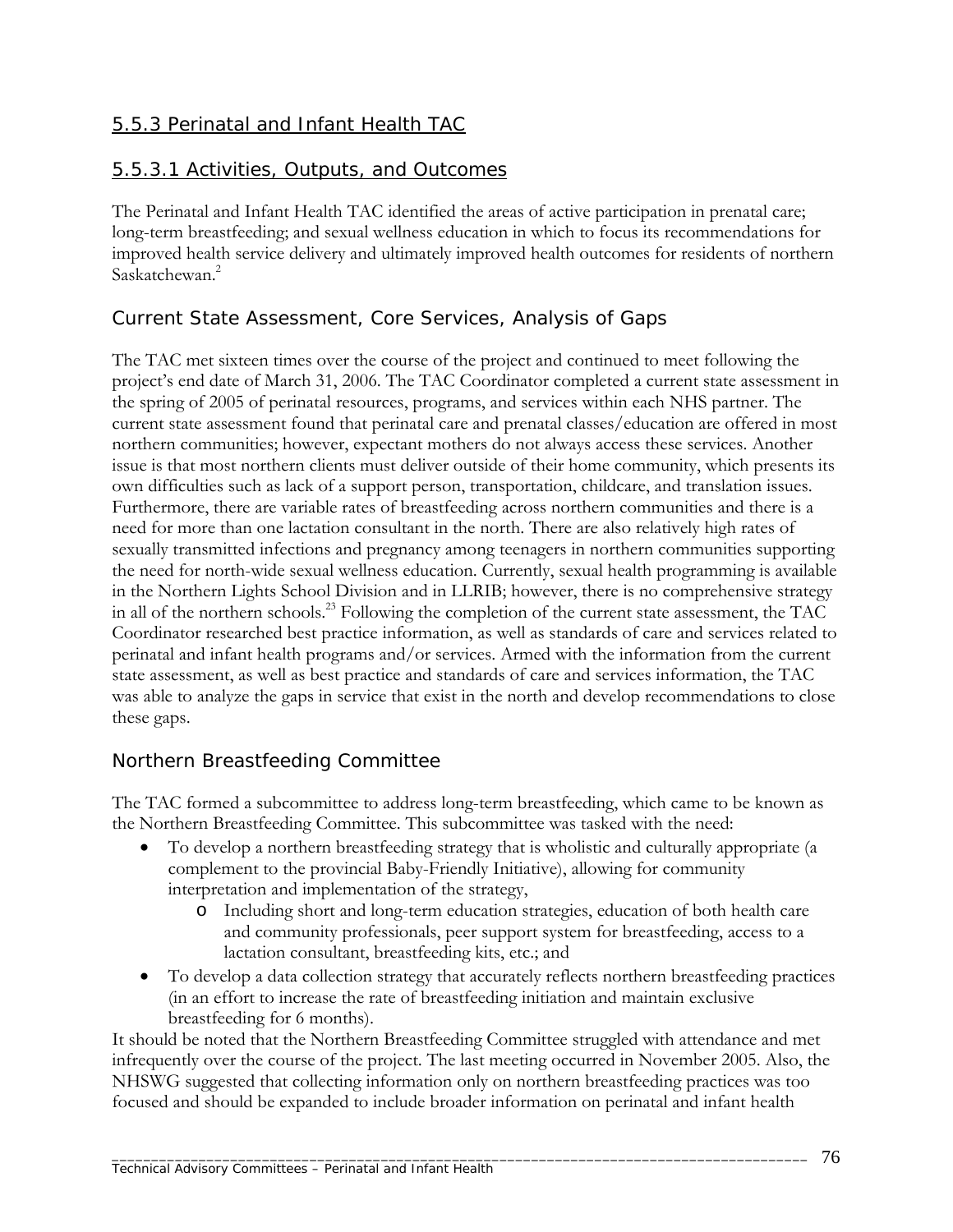## 5.5.3 Perinatal and Infant Health TAC

### 5.5.3.1 Activities, Outputs, and Outcomes

The Perinatal and Infant Health TAC identified the areas of active participation in prenatal care; long-term breastfeeding; and sexual wellness education in which to focus its recommendations for improved health service delivery and ultimately improved health outcomes for residents of northern Saskatchewan.<sup>2</sup>

## *Current State Assessment, Core Services, Analysis of Gaps*

The TAC met sixteen times over the course of the project and continued to meet following the project's end date of March 31, 2006. The TAC Coordinator completed a current state assessment in the spring of 2005 of perinatal resources, programs, and services within each NHS partner. The current state assessment found that perinatal care and prenatal classes/education are offered in most northern communities; however, expectant mothers do not always access these services. Another issue is that most northern clients must deliver outside of their home community, which presents its own difficulties such as lack of a support person, transportation, childcare, and translation issues. Furthermore, there are variable rates of breastfeeding across northern communities and there is a need for more than one lactation consultant in the north. There are also relatively high rates of sexually transmitted infections and pregnancy among teenagers in northern communities supporting the need for north-wide sexual wellness education. Currently, sexual health programming is available in the Northern Lights School Division and in LLRIB; however, there is no comprehensive strategy in all of the northern schools.23 Following the completion of the current state assessment, the TAC Coordinator researched best practice information, as well as standards of care and services related to perinatal and infant health programs and/or services. Armed with the information from the current state assessment, as well as best practice and standards of care and services information, the TAC was able to analyze the gaps in service that exist in the north and develop recommendations to close these gaps.

## *Northern Breastfeeding Committee*

The TAC formed a subcommittee to address long-term breastfeeding, which came to be known as the Northern Breastfeeding Committee. This subcommittee was tasked with the need:

- To develop a northern breastfeeding strategy that is wholistic and culturally appropriate (a complement to the provincial Baby-Friendly Initiative), allowing for community interpretation and implementation of the strategy,
	- o Including short and long-term education strategies, education of both health care and community professionals, peer support system for breastfeeding, access to a lactation consultant, breastfeeding kits, etc.; and
- To develop a data collection strategy that accurately reflects northern breastfeeding practices (in an effort to increase the rate of breastfeeding initiation and maintain exclusive breastfeeding for 6 months).

It should be noted that the Northern Breastfeeding Committee struggled with attendance and met infrequently over the course of the project. The last meeting occurred in November 2005. Also, the NHSWG suggested that collecting information only on northern breastfeeding practices was too focused and should be expanded to include broader information on perinatal and infant health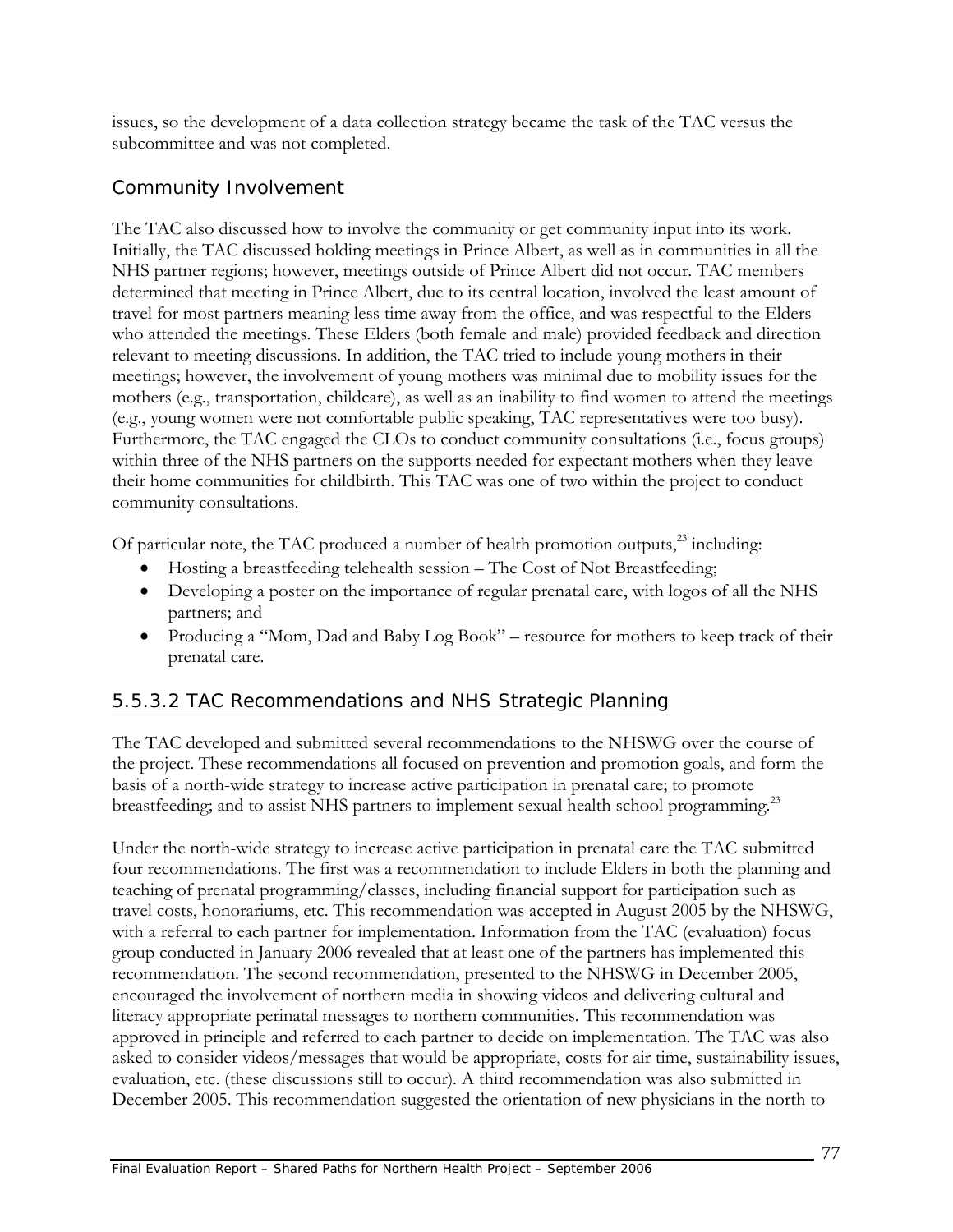issues, so the development of a data collection strategy became the task of the TAC versus the subcommittee and was not completed.

## *Community Involvement*

The TAC also discussed how to involve the community or get community input into its work. Initially, the TAC discussed holding meetings in Prince Albert, as well as in communities in all the NHS partner regions; however, meetings outside of Prince Albert did not occur. TAC members determined that meeting in Prince Albert, due to its central location, involved the least amount of travel for most partners meaning less time away from the office, and was respectful to the Elders who attended the meetings. These Elders (both female and male) provided feedback and direction relevant to meeting discussions. In addition, the TAC tried to include young mothers in their meetings; however, the involvement of young mothers was minimal due to mobility issues for the mothers (e.g., transportation, childcare), as well as an inability to find women to attend the meetings (e.g., young women were not comfortable public speaking, TAC representatives were too busy). Furthermore, the TAC engaged the CLOs to conduct community consultations (i.e., focus groups) within three of the NHS partners on the supports needed for expectant mothers when they leave their home communities for childbirth. This TAC was one of two within the project to conduct community consultations.

Of particular note, the TAC produced a number of health promotion outputs,<sup>23</sup> including:

- Hosting a breastfeeding telehealth session The Cost of Not Breastfeeding;
- Developing a poster on the importance of regular prenatal care, with logos of all the NHS partners; and
- Producing a "Mom, Dad and Baby Log Book" resource for mothers to keep track of their prenatal care.

## 5.5.3.2 TAC Recommendations and NHS Strategic Planning

The TAC developed and submitted several recommendations to the NHSWG over the course of the project. These recommendations all focused on prevention and promotion goals, and form the basis of a north-wide strategy to increase active participation in prenatal care; to promote breastfeeding; and to assist NHS partners to implement sexual health school programming.<sup>23</sup>

Under the north-wide strategy to increase active participation in prenatal care the TAC submitted four recommendations. The first was a recommendation to include Elders in both the planning and teaching of prenatal programming/classes, including financial support for participation such as travel costs, honorariums, etc. This recommendation was accepted in August 2005 by the NHSWG, with a referral to each partner for implementation. Information from the TAC (evaluation) focus group conducted in January 2006 revealed that at least one of the partners has implemented this recommendation. The second recommendation, presented to the NHSWG in December 2005, encouraged the involvement of northern media in showing videos and delivering cultural and literacy appropriate perinatal messages to northern communities. This recommendation was approved in principle and referred to each partner to decide on implementation. The TAC was also asked to consider videos/messages that would be appropriate, costs for air time, sustainability issues, evaluation, etc. (these discussions still to occur). A third recommendation was also submitted in December 2005. This recommendation suggested the orientation of new physicians in the north to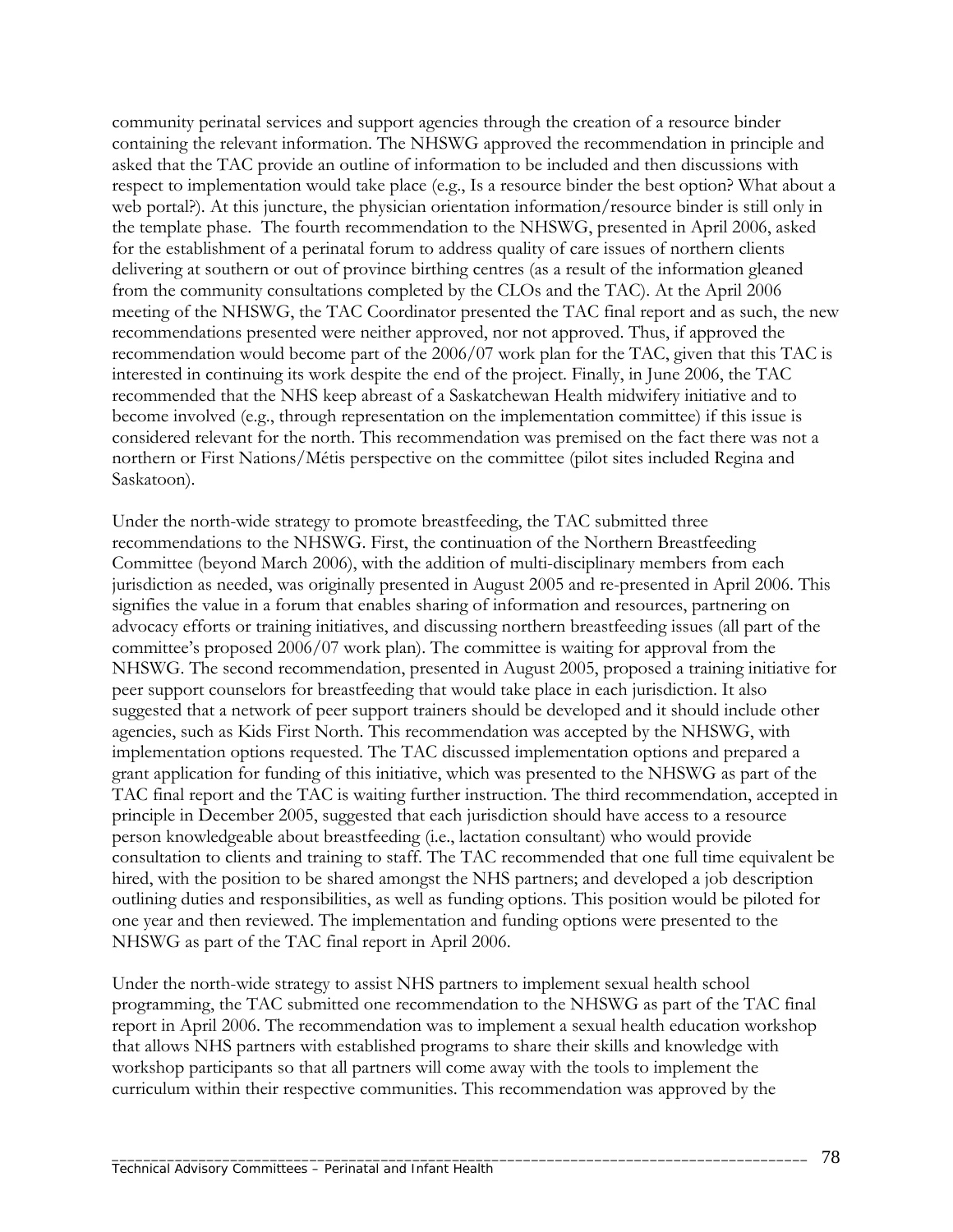community perinatal services and support agencies through the creation of a resource binder containing the relevant information. The NHSWG approved the recommendation in principle and asked that the TAC provide an outline of information to be included and then discussions with respect to implementation would take place (e.g., Is a resource binder the best option? What about a web portal?). At this juncture, the physician orientation information/resource binder is still only in the template phase. The fourth recommendation to the NHSWG, presented in April 2006, asked for the establishment of a perinatal forum to address quality of care issues of northern clients delivering at southern or out of province birthing centres (as a result of the information gleaned from the community consultations completed by the CLOs and the TAC). At the April 2006 meeting of the NHSWG, the TAC Coordinator presented the TAC final report and as such, the new recommendations presented were neither approved, nor not approved. Thus, if approved the recommendation would become part of the 2006/07 work plan for the TAC, given that this TAC is interested in continuing its work despite the end of the project. Finally, in June 2006, the TAC recommended that the NHS keep abreast of a Saskatchewan Health midwifery initiative and to become involved (e.g., through representation on the implementation committee) if this issue is considered relevant for the north. This recommendation was premised on the fact there was not a northern or First Nations/Métis perspective on the committee (pilot sites included Regina and Saskatoon).

Under the north-wide strategy to promote breastfeeding, the TAC submitted three recommendations to the NHSWG. First, the continuation of the Northern Breastfeeding Committee (beyond March 2006), with the addition of multi-disciplinary members from each jurisdiction as needed, was originally presented in August 2005 and re-presented in April 2006. This signifies the value in a forum that enables sharing of information and resources, partnering on advocacy efforts or training initiatives, and discussing northern breastfeeding issues (all part of the committee's proposed 2006/07 work plan). The committee is waiting for approval from the NHSWG. The second recommendation, presented in August 2005, proposed a training initiative for peer support counselors for breastfeeding that would take place in each jurisdiction. It also suggested that a network of peer support trainers should be developed and it should include other agencies, such as Kids First North. This recommendation was accepted by the NHSWG, with implementation options requested. The TAC discussed implementation options and prepared a grant application for funding of this initiative, which was presented to the NHSWG as part of the TAC final report and the TAC is waiting further instruction. The third recommendation, accepted in principle in December 2005, suggested that each jurisdiction should have access to a resource person knowledgeable about breastfeeding (i.e., lactation consultant) who would provide consultation to clients and training to staff. The TAC recommended that one full time equivalent be hired, with the position to be shared amongst the NHS partners; and developed a job description outlining duties and responsibilities, as well as funding options. This position would be piloted for one year and then reviewed. The implementation and funding options were presented to the NHSWG as part of the TAC final report in April 2006.

Under the north-wide strategy to assist NHS partners to implement sexual health school programming, the TAC submitted one recommendation to the NHSWG as part of the TAC final report in April 2006. The recommendation was to implement a sexual health education workshop that allows NHS partners with established programs to share their skills and knowledge with workshop participants so that all partners will come away with the tools to implement the curriculum within their respective communities. This recommendation was approved by the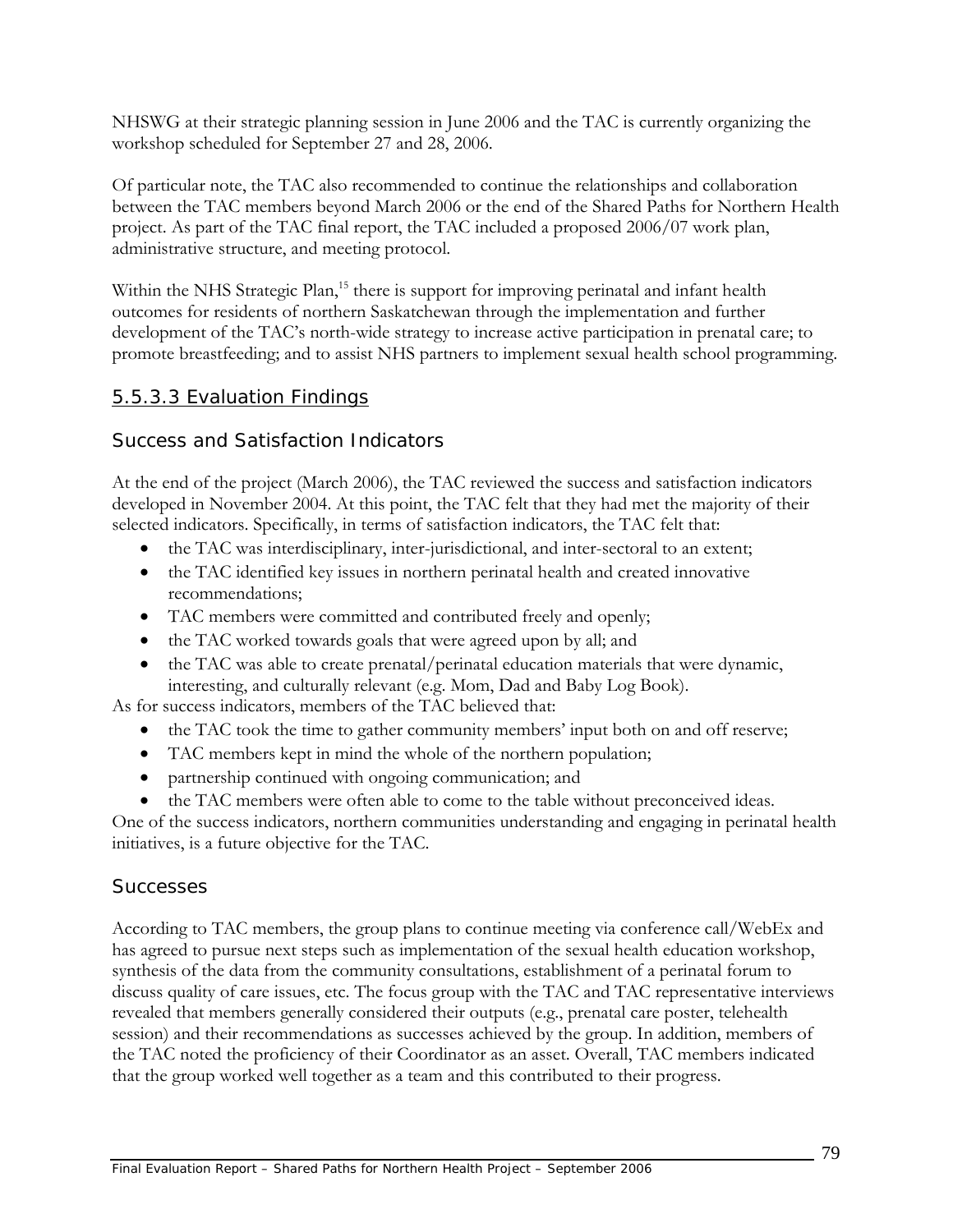NHSWG at their strategic planning session in June 2006 and the TAC is currently organizing the workshop scheduled for September 27 and 28, 2006.

Of particular note, the TAC also recommended to continue the relationships and collaboration between the TAC members beyond March 2006 or the end of the Shared Paths for Northern Health project. As part of the TAC final report, the TAC included a proposed 2006/07 work plan, administrative structure, and meeting protocol.

Within the NHS Strategic Plan,<sup>15</sup> there is support for improving perinatal and infant health outcomes for residents of northern Saskatchewan through the implementation and further development of the TAC's north-wide strategy to increase active participation in prenatal care; to promote breastfeeding; and to assist NHS partners to implement sexual health school programming.

### 5.5.3.3 Evaluation Findings

### *Success and Satisfaction Indicators*

At the end of the project (March 2006), the TAC reviewed the success and satisfaction indicators developed in November 2004. At this point, the TAC felt that they had met the majority of their selected indicators. Specifically, in terms of satisfaction indicators, the TAC felt that:

- the TAC was interdisciplinary, inter-jurisdictional, and inter-sectoral to an extent;
- the TAC identified key issues in northern perinatal health and created innovative recommendations;
- TAC members were committed and contributed freely and openly;
- the TAC worked towards goals that were agreed upon by all; and
- the TAC was able to create prenatal/perinatal education materials that were dynamic, interesting, and culturally relevant (e.g. Mom, Dad and Baby Log Book).

As for success indicators, members of the TAC believed that:

- the TAC took the time to gather community members' input both on and off reserve;
- TAC members kept in mind the whole of the northern population;
- partnership continued with ongoing communication; and
- the TAC members were often able to come to the table without preconceived ideas.

One of the success indicators, northern communities understanding and engaging in perinatal health initiatives, is a future objective for the TAC.

### *Successes*

According to TAC members, the group plans to continue meeting via conference call/WebEx and has agreed to pursue next steps such as implementation of the sexual health education workshop, synthesis of the data from the community consultations, establishment of a perinatal forum to discuss quality of care issues, etc. The focus group with the TAC and TAC representative interviews revealed that members generally considered their outputs (e.g., prenatal care poster, telehealth session) and their recommendations as successes achieved by the group. In addition, members of the TAC noted the proficiency of their Coordinator as an asset. Overall, TAC members indicated that the group worked well together as a team and this contributed to their progress.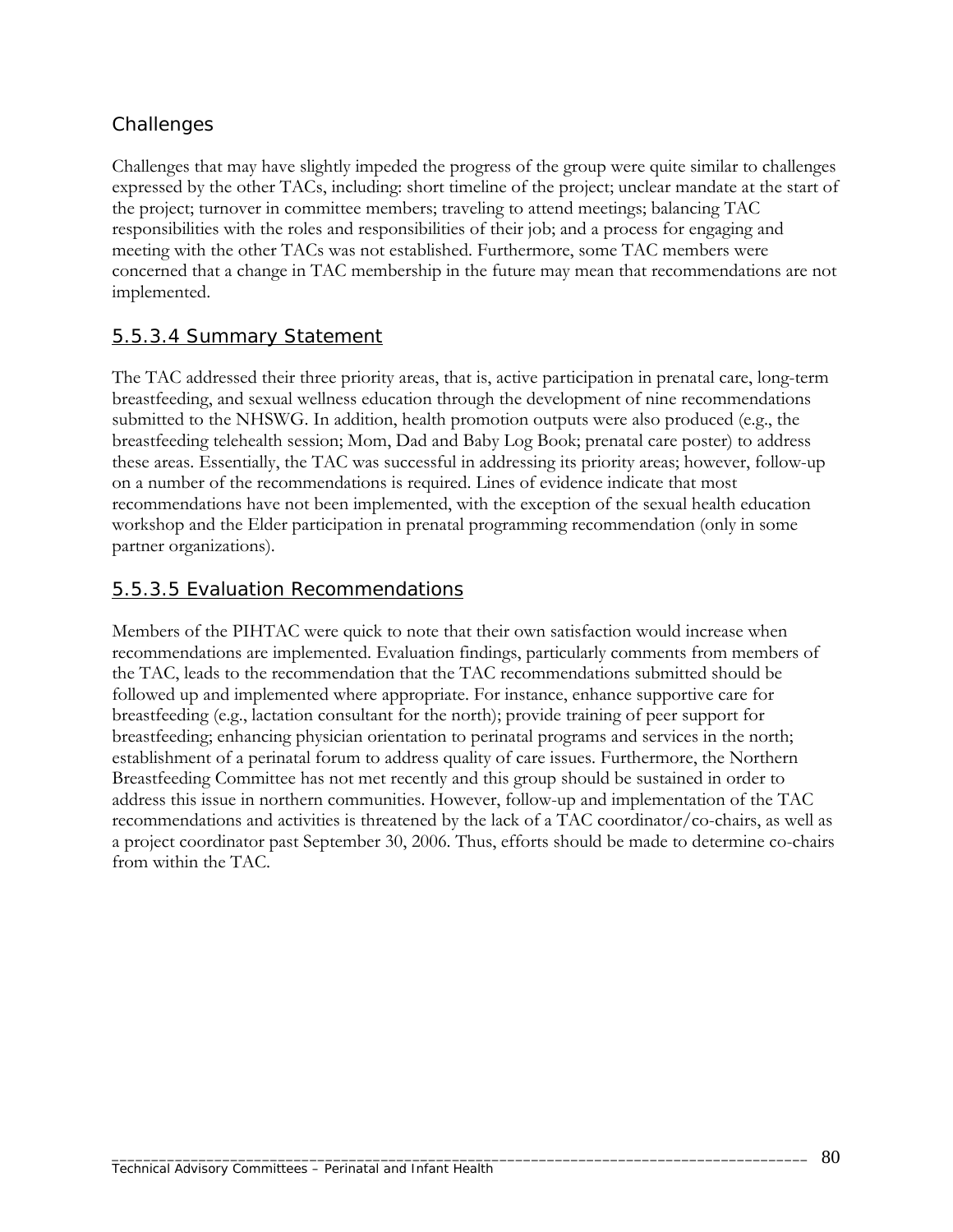## *Challenges*

Challenges that may have slightly impeded the progress of the group were quite similar to challenges expressed by the other TACs, including: short timeline of the project; unclear mandate at the start of the project; turnover in committee members; traveling to attend meetings; balancing TAC responsibilities with the roles and responsibilities of their job; and a process for engaging and meeting with the other TACs was not established. Furthermore, some TAC members were concerned that a change in TAC membership in the future may mean that recommendations are not implemented.

### 5.5.3.4 Summary Statement

The TAC addressed their three priority areas, that is, active participation in prenatal care, long-term breastfeeding, and sexual wellness education through the development of nine recommendations submitted to the NHSWG. In addition, health promotion outputs were also produced (e.g., the breastfeeding telehealth session; Mom, Dad and Baby Log Book; prenatal care poster) to address these areas. Essentially, the TAC was successful in addressing its priority areas; however, follow-up on a number of the recommendations is required. Lines of evidence indicate that most recommendations have not been implemented, with the exception of the sexual health education workshop and the Elder participation in prenatal programming recommendation (only in some partner organizations).

#### 5.5.3.5 Evaluation Recommendations

Members of the PIHTAC were quick to note that their own satisfaction would increase when recommendations are implemented. Evaluation findings, particularly comments from members of the TAC, leads to the recommendation that the TAC recommendations submitted should be followed up and implemented where appropriate. For instance, enhance supportive care for breastfeeding (e.g., lactation consultant for the north); provide training of peer support for breastfeeding; enhancing physician orientation to perinatal programs and services in the north; establishment of a perinatal forum to address quality of care issues. Furthermore, the Northern Breastfeeding Committee has not met recently and this group should be sustained in order to address this issue in northern communities. However, follow-up and implementation of the TAC recommendations and activities is threatened by the lack of a TAC coordinator/co-chairs, as well as a project coordinator past September 30, 2006. Thus, efforts should be made to determine co-chairs from within the TAC.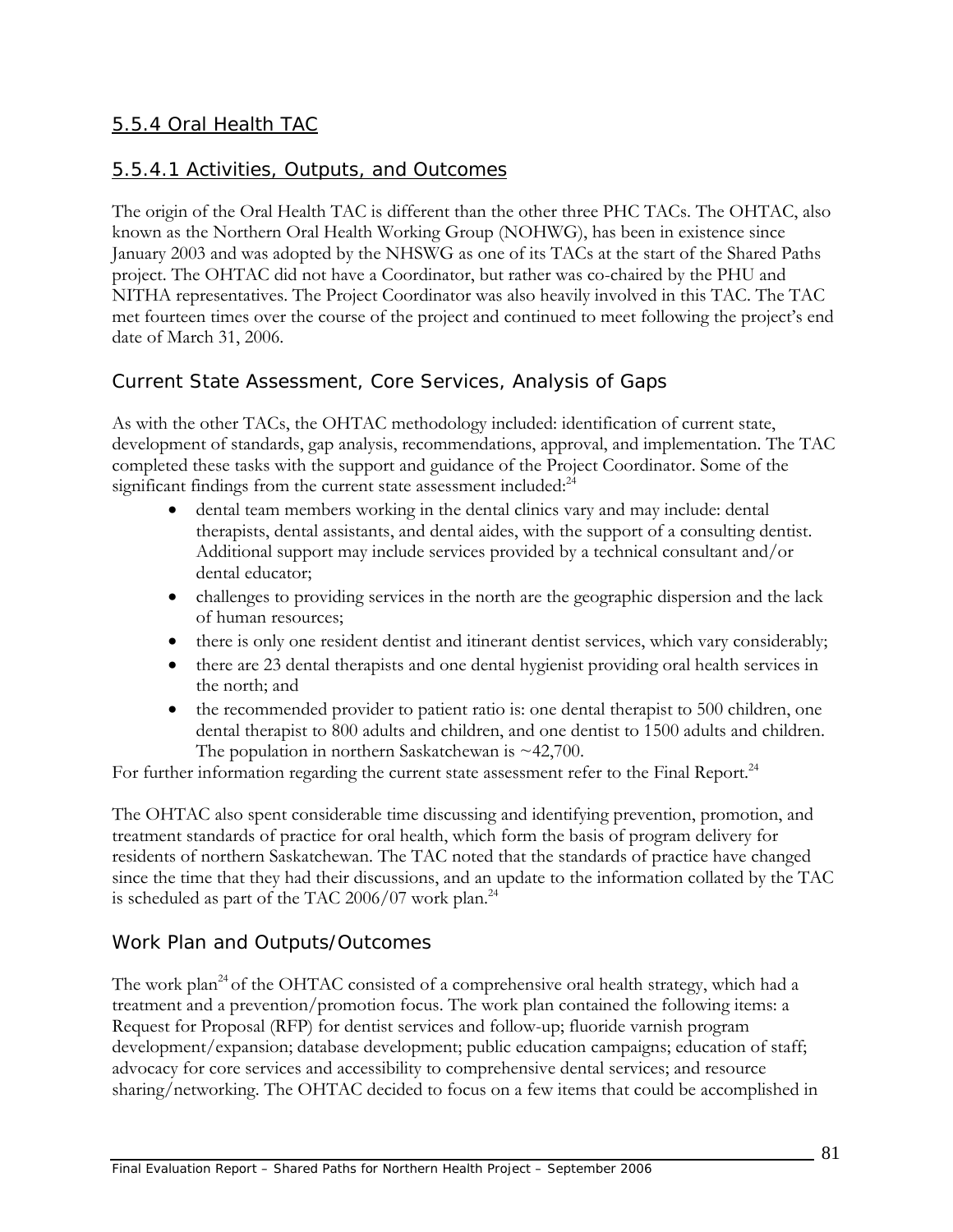### 5.5.4 Oral Health TAC

### 5.5.4.1 Activities, Outputs, and Outcomes

The origin of the Oral Health TAC is different than the other three PHC TACs. The OHTAC, also known as the Northern Oral Health Working Group (NOHWG), has been in existence since January 2003 and was adopted by the NHSWG as one of its TACs at the start of the Shared Paths project. The OHTAC did not have a Coordinator, but rather was co-chaired by the PHU and NITHA representatives. The Project Coordinator was also heavily involved in this TAC. The TAC met fourteen times over the course of the project and continued to meet following the project's end date of March 31, 2006.

### *Current State Assessment, Core Services, Analysis of Gaps*

As with the other TACs, the OHTAC methodology included: identification of current state, development of standards, gap analysis, recommendations, approval, and implementation. The TAC completed these tasks with the support and guidance of the Project Coordinator. Some of the significant findings from the current state assessment included:<sup>24</sup>

- dental team members working in the dental clinics vary and may include: dental therapists, dental assistants, and dental aides, with the support of a consulting dentist. Additional support may include services provided by a technical consultant and/or dental educator;
- challenges to providing services in the north are the geographic dispersion and the lack of human resources;
- there is only one resident dentist and itinerant dentist services, which vary considerably;
- there are 23 dental therapists and one dental hygienist providing oral health services in the north; and
- the recommended provider to patient ratio is: one dental therapist to 500 children, one dental therapist to 800 adults and children, and one dentist to 1500 adults and children. The population in northern Saskatchewan is  $\sim$  42,700.

For further information regarding the current state assessment refer to the Final Report.<sup>24</sup>

The OHTAC also spent considerable time discussing and identifying prevention, promotion, and treatment standards of practice for oral health, which form the basis of program delivery for residents of northern Saskatchewan. The TAC noted that the standards of practice have changed since the time that they had their discussions, and an update to the information collated by the TAC is scheduled as part of the TAC 2006/07 work plan. $^{24}$ 

### *Work Plan and Outputs/Outcomes*

The work plan<sup>24</sup> of the OHTAC consisted of a comprehensive oral health strategy, which had a treatment and a prevention/promotion focus. The work plan contained the following items: a Request for Proposal (RFP) for dentist services and follow-up; fluoride varnish program development/expansion; database development; public education campaigns; education of staff; advocacy for core services and accessibility to comprehensive dental services; and resource sharing/networking. The OHTAC decided to focus on a few items that could be accomplished in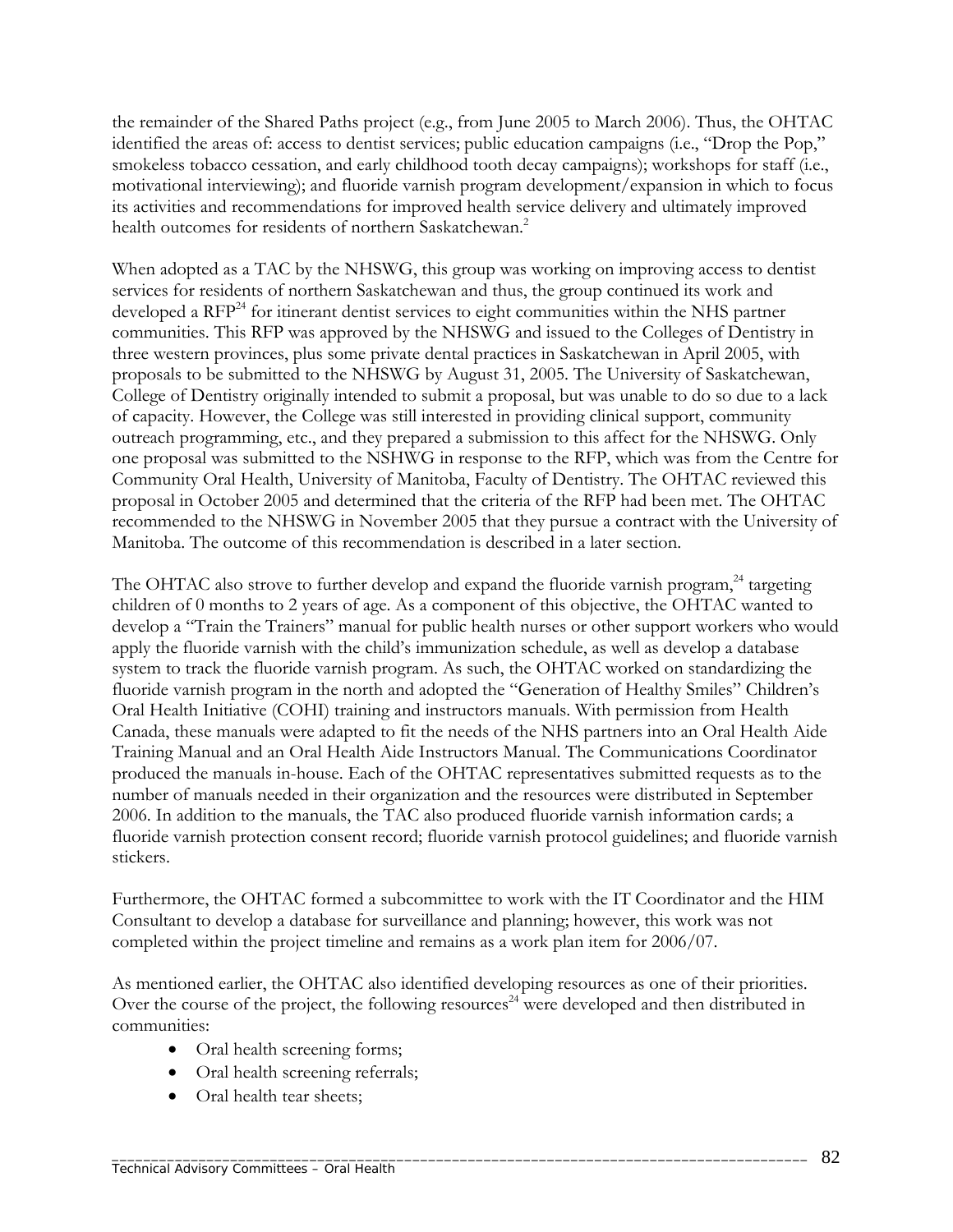the remainder of the Shared Paths project (e.g., from June 2005 to March 2006). Thus, the OHTAC identified the areas of: access to dentist services; public education campaigns (i.e., "Drop the Pop," smokeless tobacco cessation, and early childhood tooth decay campaigns); workshops for staff (i.e., motivational interviewing); and fluoride varnish program development/expansion in which to focus its activities and recommendations for improved health service delivery and ultimately improved health outcomes for residents of northern Saskatchewan.<sup>2</sup>

When adopted as a TAC by the NHSWG, this group was working on improving access to dentist services for residents of northern Saskatchewan and thus, the group continued its work and developed a RFP<sup>24</sup> for itinerant dentist services to eight communities within the NHS partner communities. This RFP was approved by the NHSWG and issued to the Colleges of Dentistry in three western provinces, plus some private dental practices in Saskatchewan in April 2005, with proposals to be submitted to the NHSWG by August 31, 2005. The University of Saskatchewan, College of Dentistry originally intended to submit a proposal, but was unable to do so due to a lack of capacity. However, the College was still interested in providing clinical support, community outreach programming, etc., and they prepared a submission to this affect for the NHSWG. Only one proposal was submitted to the NSHWG in response to the RFP, which was from the Centre for Community Oral Health, University of Manitoba, Faculty of Dentistry. The OHTAC reviewed this proposal in October 2005 and determined that the criteria of the RFP had been met. The OHTAC recommended to the NHSWG in November 2005 that they pursue a contract with the University of Manitoba. The outcome of this recommendation is described in a later section.

The OHTAC also strove to further develop and expand the fluoride varnish program,  $^{24}$  targeting children of 0 months to 2 years of age. As a component of this objective, the OHTAC wanted to develop a "Train the Trainers" manual for public health nurses or other support workers who would apply the fluoride varnish with the child's immunization schedule, as well as develop a database system to track the fluoride varnish program. As such, the OHTAC worked on standardizing the fluoride varnish program in the north and adopted the "Generation of Healthy Smiles" Children's Oral Health Initiative (COHI) training and instructors manuals. With permission from Health Canada, these manuals were adapted to fit the needs of the NHS partners into an Oral Health Aide Training Manual and an Oral Health Aide Instructors Manual. The Communications Coordinator produced the manuals in-house. Each of the OHTAC representatives submitted requests as to the number of manuals needed in their organization and the resources were distributed in September 2006. In addition to the manuals, the TAC also produced fluoride varnish information cards; a fluoride varnish protection consent record; fluoride varnish protocol guidelines; and fluoride varnish stickers.

Furthermore, the OHTAC formed a subcommittee to work with the IT Coordinator and the HIM Consultant to develop a database for surveillance and planning; however, this work was not completed within the project timeline and remains as a work plan item for 2006/07.

As mentioned earlier, the OHTAC also identified developing resources as one of their priorities. Over the course of the project, the following resources<sup>24</sup> were developed and then distributed in communities:

- Oral health screening forms;
- Oral health screening referrals;
- Oral health tear sheets;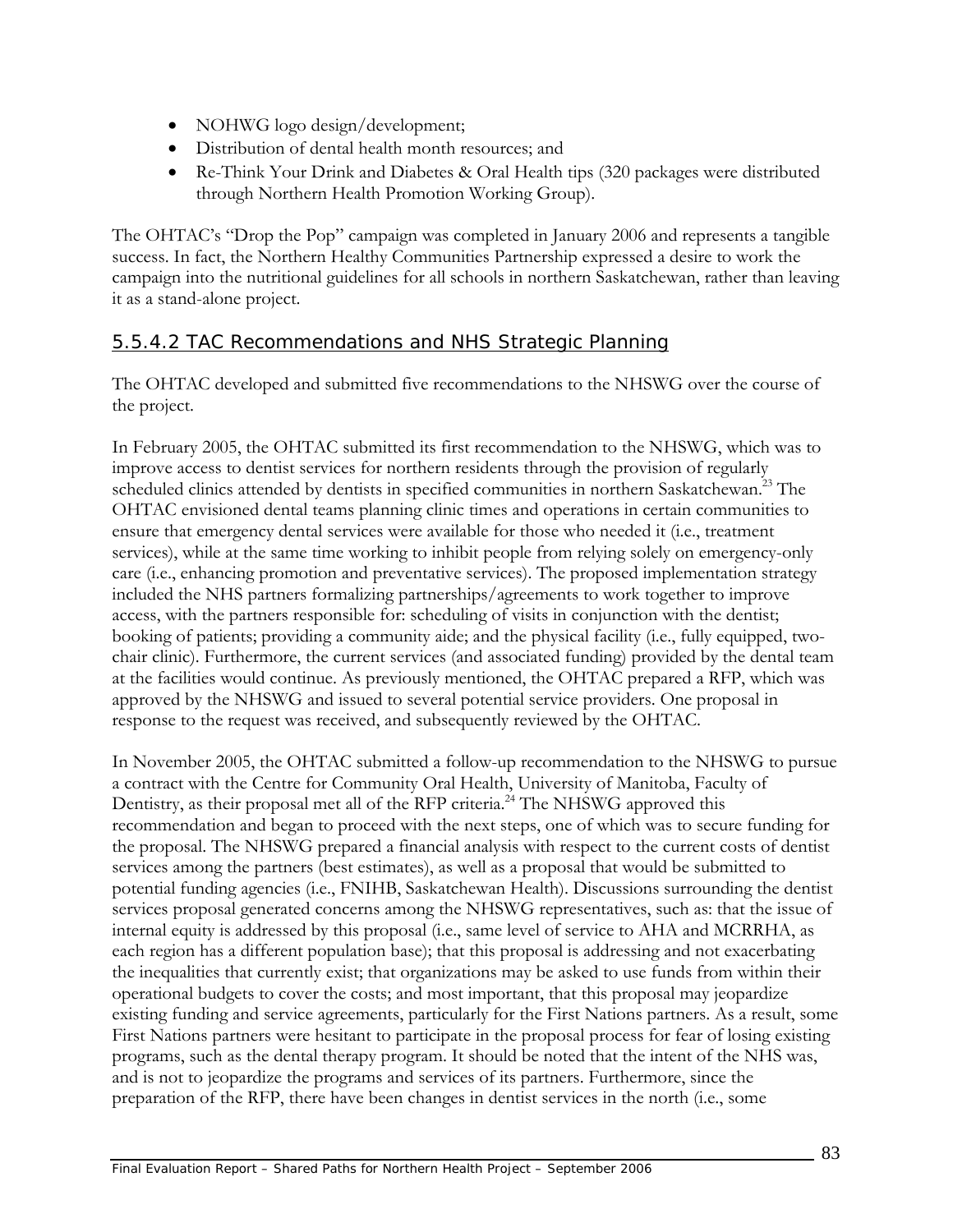- NOHWG logo design/development;
- Distribution of dental health month resources; and
- Re-Think Your Drink and Diabetes & Oral Health tips (320 packages were distributed through Northern Health Promotion Working Group).

The OHTAC's "Drop the Pop" campaign was completed in January 2006 and represents a tangible success. In fact, the Northern Healthy Communities Partnership expressed a desire to work the campaign into the nutritional guidelines for all schools in northern Saskatchewan, rather than leaving it as a stand-alone project.

#### 5.5.4.2 TAC Recommendations and NHS Strategic Planning

The OHTAC developed and submitted five recommendations to the NHSWG over the course of the project.

In February 2005, the OHTAC submitted its first recommendation to the NHSWG, which was to improve access to dentist services for northern residents through the provision of regularly scheduled clinics attended by dentists in specified communities in northern Saskatchewan.<sup>23</sup> The OHTAC envisioned dental teams planning clinic times and operations in certain communities to ensure that emergency dental services were available for those who needed it (i.e., treatment services), while at the same time working to inhibit people from relying solely on emergency-only care (i.e., enhancing promotion and preventative services). The proposed implementation strategy included the NHS partners formalizing partnerships/agreements to work together to improve access, with the partners responsible for: scheduling of visits in conjunction with the dentist; booking of patients; providing a community aide; and the physical facility (i.e., fully equipped, twochair clinic). Furthermore, the current services (and associated funding) provided by the dental team at the facilities would continue. As previously mentioned, the OHTAC prepared a RFP, which was approved by the NHSWG and issued to several potential service providers. One proposal in response to the request was received, and subsequently reviewed by the OHTAC.

In November 2005, the OHTAC submitted a follow-up recommendation to the NHSWG to pursue a contract with the Centre for Community Oral Health, University of Manitoba, Faculty of Dentistry, as their proposal met all of the RFP criteria.<sup>24</sup> The NHSWG approved this recommendation and began to proceed with the next steps, one of which was to secure funding for the proposal. The NHSWG prepared a financial analysis with respect to the current costs of dentist services among the partners (best estimates), as well as a proposal that would be submitted to potential funding agencies (i.e., FNIHB, Saskatchewan Health). Discussions surrounding the dentist services proposal generated concerns among the NHSWG representatives, such as: that the issue of internal equity is addressed by this proposal (i.e., same level of service to AHA and MCRRHA, as each region has a different population base); that this proposal is addressing and not exacerbating the inequalities that currently exist; that organizations may be asked to use funds from within their operational budgets to cover the costs; and most important, that this proposal may jeopardize existing funding and service agreements, particularly for the First Nations partners. As a result, some First Nations partners were hesitant to participate in the proposal process for fear of losing existing programs, such as the dental therapy program. It should be noted that the intent of the NHS was, and is not to jeopardize the programs and services of its partners. Furthermore, since the preparation of the RFP, there have been changes in dentist services in the north (i.e., some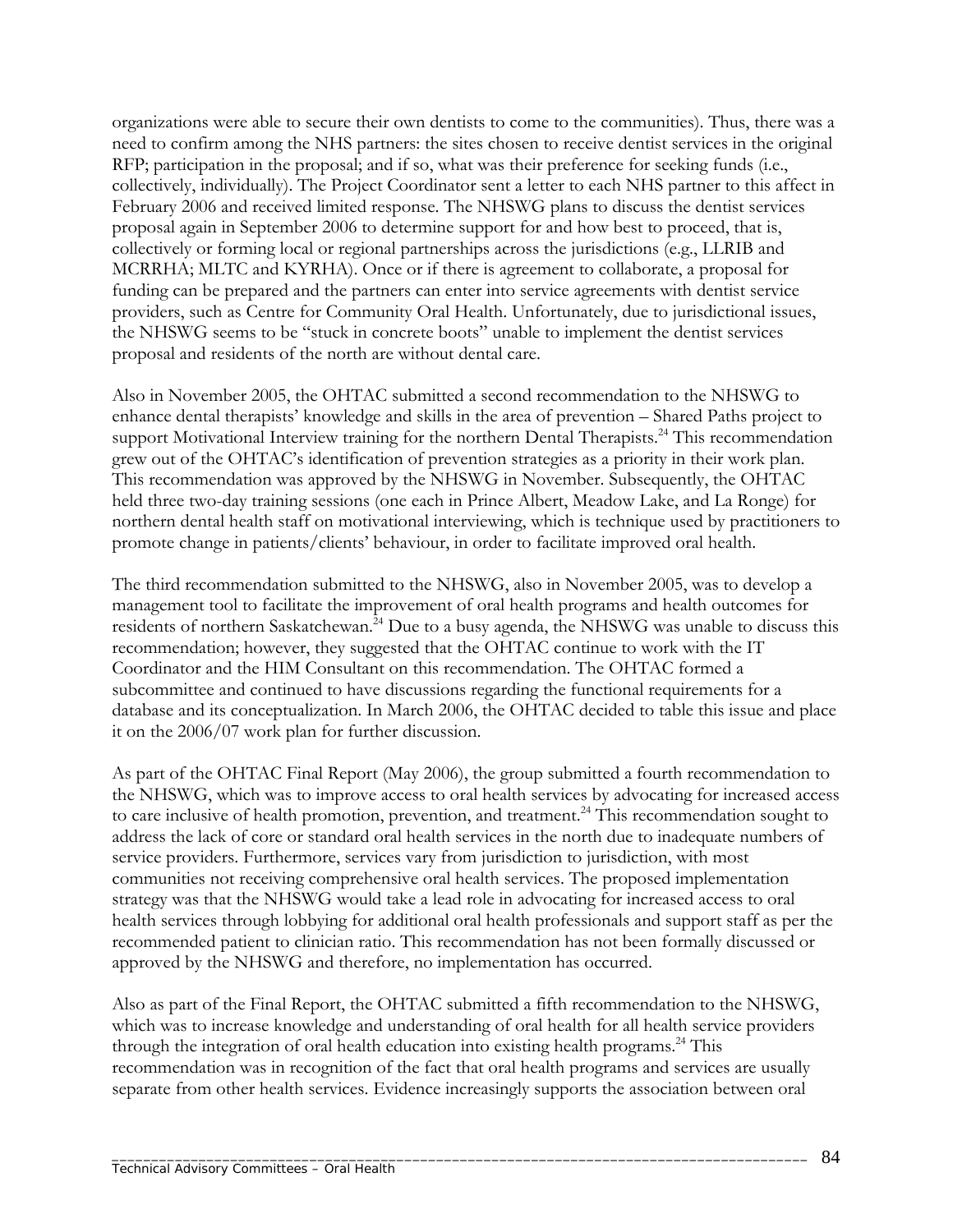organizations were able to secure their own dentists to come to the communities). Thus, there was a need to confirm among the NHS partners: the sites chosen to receive dentist services in the original RFP; participation in the proposal; and if so, what was their preference for seeking funds (i.e., collectively, individually). The Project Coordinator sent a letter to each NHS partner to this affect in February 2006 and received limited response. The NHSWG plans to discuss the dentist services proposal again in September 2006 to determine support for and how best to proceed, that is, collectively or forming local or regional partnerships across the jurisdictions (e.g., LLRIB and MCRRHA; MLTC and KYRHA). Once or if there is agreement to collaborate, a proposal for funding can be prepared and the partners can enter into service agreements with dentist service providers, such as Centre for Community Oral Health. Unfortunately, due to jurisdictional issues, the NHSWG seems to be "stuck in concrete boots" unable to implement the dentist services proposal and residents of the north are without dental care.

Also in November 2005, the OHTAC submitted a second recommendation to the NHSWG to enhance dental therapists' knowledge and skills in the area of prevention – Shared Paths project to support Motivational Interview training for the northern Dental Therapists.<sup>24</sup> This recommendation grew out of the OHTAC's identification of prevention strategies as a priority in their work plan. This recommendation was approved by the NHSWG in November. Subsequently, the OHTAC held three two-day training sessions (one each in Prince Albert, Meadow Lake, and La Ronge) for northern dental health staff on motivational interviewing, which is technique used by practitioners to promote change in patients/clients' behaviour, in order to facilitate improved oral health.

The third recommendation submitted to the NHSWG, also in November 2005, was to develop a management tool to facilitate the improvement of oral health programs and health outcomes for residents of northern Saskatchewan.<sup>24</sup> Due to a busy agenda, the NHSWG was unable to discuss this recommendation; however, they suggested that the OHTAC continue to work with the IT Coordinator and the HIM Consultant on this recommendation. The OHTAC formed a subcommittee and continued to have discussions regarding the functional requirements for a database and its conceptualization. In March 2006, the OHTAC decided to table this issue and place it on the 2006/07 work plan for further discussion.

As part of the OHTAC Final Report (May 2006), the group submitted a fourth recommendation to the NHSWG, which was to improve access to oral health services by advocating for increased access to care inclusive of health promotion, prevention, and treatment.<sup>24</sup> This recommendation sought to address the lack of core or standard oral health services in the north due to inadequate numbers of service providers. Furthermore, services vary from jurisdiction to jurisdiction, with most communities not receiving comprehensive oral health services. The proposed implementation strategy was that the NHSWG would take a lead role in advocating for increased access to oral health services through lobbying for additional oral health professionals and support staff as per the recommended patient to clinician ratio. This recommendation has not been formally discussed or approved by the NHSWG and therefore, no implementation has occurred.

Also as part of the Final Report, the OHTAC submitted a fifth recommendation to the NHSWG, which was to increase knowledge and understanding of oral health for all health service providers through the integration of oral health education into existing health programs.<sup>24</sup> This recommendation was in recognition of the fact that oral health programs and services are usually separate from other health services. Evidence increasingly supports the association between oral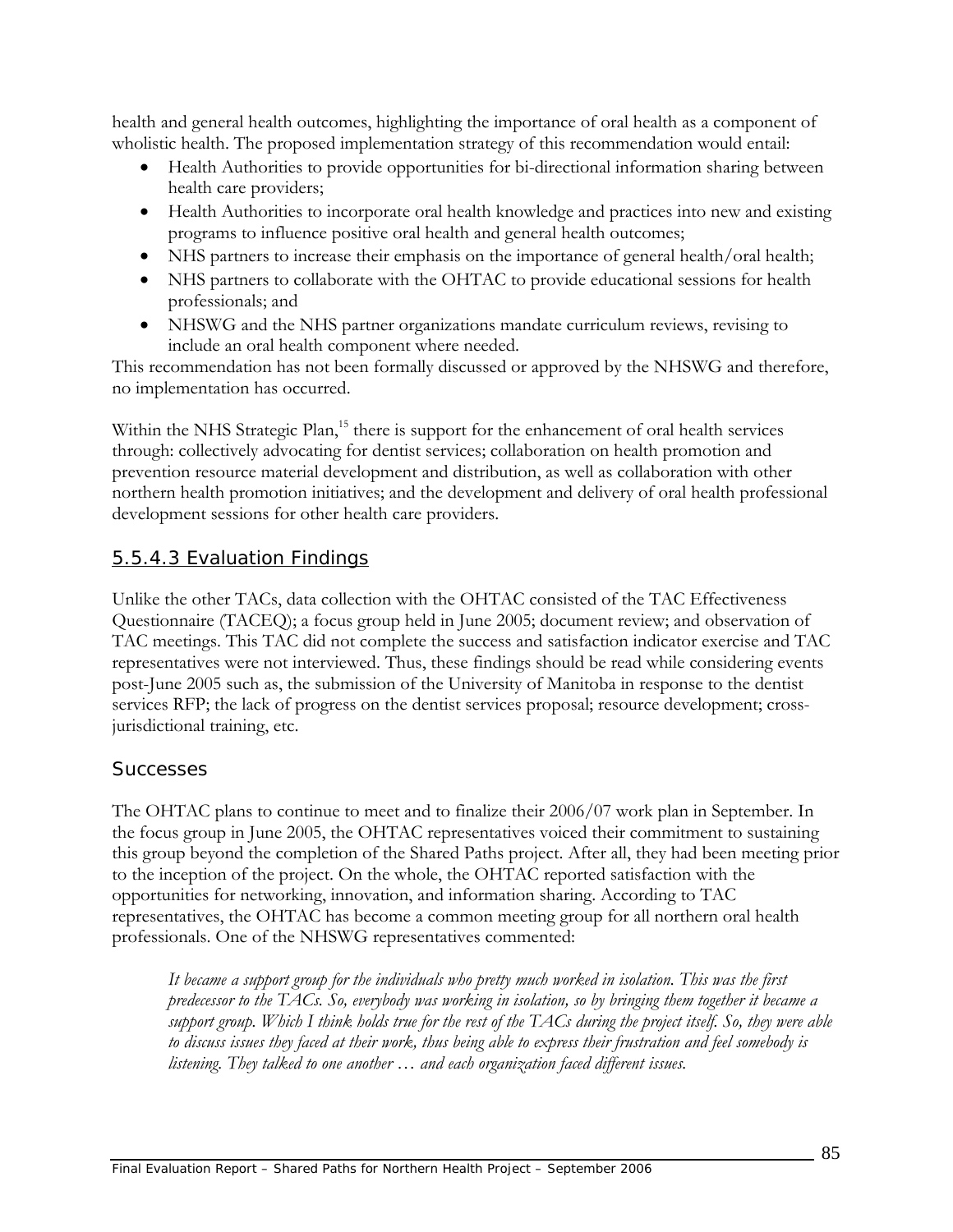health and general health outcomes, highlighting the importance of oral health as a component of wholistic health. The proposed implementation strategy of this recommendation would entail:

- Health Authorities to provide opportunities for bi-directional information sharing between health care providers;
- Health Authorities to incorporate oral health knowledge and practices into new and existing programs to influence positive oral health and general health outcomes;
- NHS partners to increase their emphasis on the importance of general health/oral health;
- NHS partners to collaborate with the OHTAC to provide educational sessions for health professionals; and
- NHSWG and the NHS partner organizations mandate curriculum reviews, revising to include an oral health component where needed.

This recommendation has not been formally discussed or approved by the NHSWG and therefore, no implementation has occurred.

Within the NHS Strategic Plan,<sup>15</sup> there is support for the enhancement of oral health services through: collectively advocating for dentist services; collaboration on health promotion and prevention resource material development and distribution, as well as collaboration with other northern health promotion initiatives; and the development and delivery of oral health professional development sessions for other health care providers.

## 5.5.4.3 Evaluation Findings

Unlike the other TACs, data collection with the OHTAC consisted of the TAC Effectiveness Questionnaire (TACEQ); a focus group held in June 2005; document review; and observation of TAC meetings. This TAC did not complete the success and satisfaction indicator exercise and TAC representatives were not interviewed. Thus, these findings should be read while considering events post-June 2005 such as, the submission of the University of Manitoba in response to the dentist services RFP; the lack of progress on the dentist services proposal; resource development; crossjurisdictional training, etc.

### *Successes*

The OHTAC plans to continue to meet and to finalize their 2006/07 work plan in September. In the focus group in June 2005, the OHTAC representatives voiced their commitment to sustaining this group beyond the completion of the Shared Paths project. After all, they had been meeting prior to the inception of the project. On the whole, the OHTAC reported satisfaction with the opportunities for networking, innovation, and information sharing. According to TAC representatives, the OHTAC has become a common meeting group for all northern oral health professionals. One of the NHSWG representatives commented:

*It became a support group for the individuals who pretty much worked in isolation. This was the first predecessor to the TACs. So, everybody was working in isolation, so by bringing them together it became a support group. Which I think holds true for the rest of the TACs during the project itself. So, they were able to discuss issues they faced at their work, thus being able to express their frustration and feel somebody is listening. They talked to one another … and each organization faced different issues.*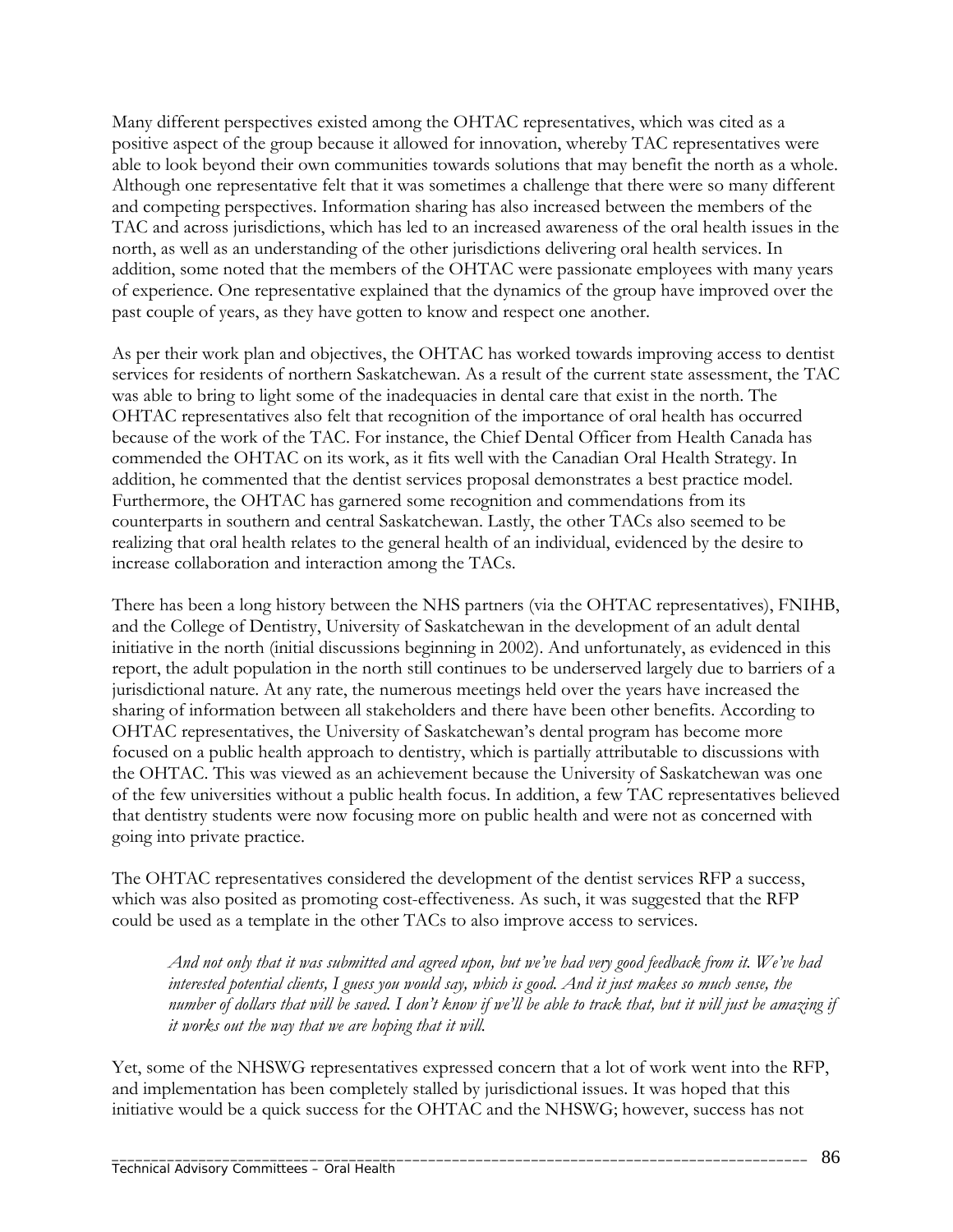Many different perspectives existed among the OHTAC representatives, which was cited as a positive aspect of the group because it allowed for innovation, whereby TAC representatives were able to look beyond their own communities towards solutions that may benefit the north as a whole. Although one representative felt that it was sometimes a challenge that there were so many different and competing perspectives. Information sharing has also increased between the members of the TAC and across jurisdictions, which has led to an increased awareness of the oral health issues in the north, as well as an understanding of the other jurisdictions delivering oral health services. In addition, some noted that the members of the OHTAC were passionate employees with many years of experience. One representative explained that the dynamics of the group have improved over the past couple of years, as they have gotten to know and respect one another.

As per their work plan and objectives, the OHTAC has worked towards improving access to dentist services for residents of northern Saskatchewan. As a result of the current state assessment, the TAC was able to bring to light some of the inadequacies in dental care that exist in the north. The OHTAC representatives also felt that recognition of the importance of oral health has occurred because of the work of the TAC. For instance, the Chief Dental Officer from Health Canada has commended the OHTAC on its work, as it fits well with the Canadian Oral Health Strategy. In addition, he commented that the dentist services proposal demonstrates a best practice model. Furthermore, the OHTAC has garnered some recognition and commendations from its counterparts in southern and central Saskatchewan. Lastly, the other TACs also seemed to be realizing that oral health relates to the general health of an individual, evidenced by the desire to increase collaboration and interaction among the TACs.

There has been a long history between the NHS partners (via the OHTAC representatives), FNIHB, and the College of Dentistry, University of Saskatchewan in the development of an adult dental initiative in the north (initial discussions beginning in 2002). And unfortunately, as evidenced in this report, the adult population in the north still continues to be underserved largely due to barriers of a jurisdictional nature. At any rate, the numerous meetings held over the years have increased the sharing of information between all stakeholders and there have been other benefits. According to OHTAC representatives, the University of Saskatchewan's dental program has become more focused on a public health approach to dentistry, which is partially attributable to discussions with the OHTAC. This was viewed as an achievement because the University of Saskatchewan was one of the few universities without a public health focus. In addition, a few TAC representatives believed that dentistry students were now focusing more on public health and were not as concerned with going into private practice.

The OHTAC representatives considered the development of the dentist services RFP a success, which was also posited as promoting cost-effectiveness. As such, it was suggested that the RFP could be used as a template in the other TACs to also improve access to services.

*And not only that it was submitted and agreed upon, but we've had very good feedback from it. We've had interested potential clients, I guess you would say, which is good. And it just makes so much sense, the number of dollars that will be saved. I don't know if we'll be able to track that, but it will just be amazing if it works out the way that we are hoping that it will.* 

Yet, some of the NHSWG representatives expressed concern that a lot of work went into the RFP, and implementation has been completely stalled by jurisdictional issues. It was hoped that this initiative would be a quick success for the OHTAC and the NHSWG; however, success has not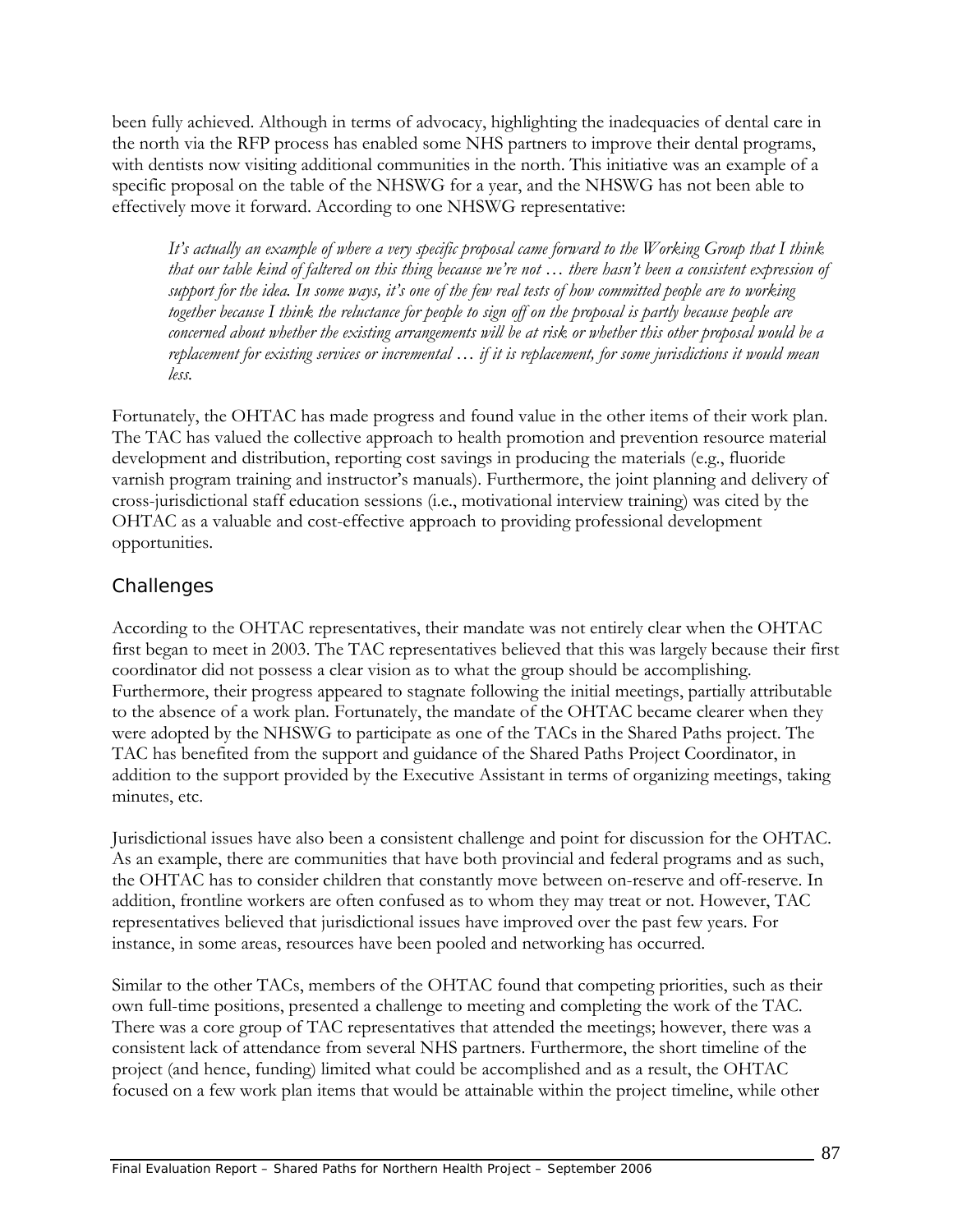been fully achieved. Although in terms of advocacy, highlighting the inadequacies of dental care in the north via the RFP process has enabled some NHS partners to improve their dental programs, with dentists now visiting additional communities in the north. This initiative was an example of a specific proposal on the table of the NHSWG for a year, and the NHSWG has not been able to effectively move it forward. According to one NHSWG representative:

*It's actually an example of where a very specific proposal came forward to the Working Group that I think that our table kind of faltered on this thing because we're not … there hasn't been a consistent expression of support for the idea. In some ways, it's one of the few real tests of how committed people are to working together because I think the reluctance for people to sign off on the proposal is partly because people are concerned about whether the existing arrangements will be at risk or whether this other proposal would be a replacement for existing services or incremental … if it is replacement, for some jurisdictions it would mean less.* 

Fortunately, the OHTAC has made progress and found value in the other items of their work plan. The TAC has valued the collective approach to health promotion and prevention resource material development and distribution, reporting cost savings in producing the materials (e.g., fluoride varnish program training and instructor's manuals). Furthermore, the joint planning and delivery of cross-jurisdictional staff education sessions (i.e., motivational interview training) was cited by the OHTAC as a valuable and cost-effective approach to providing professional development opportunities.

### *Challenges*

According to the OHTAC representatives, their mandate was not entirely clear when the OHTAC first began to meet in 2003. The TAC representatives believed that this was largely because their first coordinator did not possess a clear vision as to what the group should be accomplishing. Furthermore, their progress appeared to stagnate following the initial meetings, partially attributable to the absence of a work plan. Fortunately, the mandate of the OHTAC became clearer when they were adopted by the NHSWG to participate as one of the TACs in the Shared Paths project. The TAC has benefited from the support and guidance of the Shared Paths Project Coordinator, in addition to the support provided by the Executive Assistant in terms of organizing meetings, taking minutes, etc.

Jurisdictional issues have also been a consistent challenge and point for discussion for the OHTAC. As an example, there are communities that have both provincial and federal programs and as such, the OHTAC has to consider children that constantly move between on-reserve and off-reserve. In addition, frontline workers are often confused as to whom they may treat or not. However, TAC representatives believed that jurisdictional issues have improved over the past few years. For instance, in some areas, resources have been pooled and networking has occurred.

Similar to the other TACs, members of the OHTAC found that competing priorities, such as their own full-time positions, presented a challenge to meeting and completing the work of the TAC. There was a core group of TAC representatives that attended the meetings; however, there was a consistent lack of attendance from several NHS partners. Furthermore, the short timeline of the project (and hence, funding) limited what could be accomplished and as a result, the OHTAC focused on a few work plan items that would be attainable within the project timeline, while other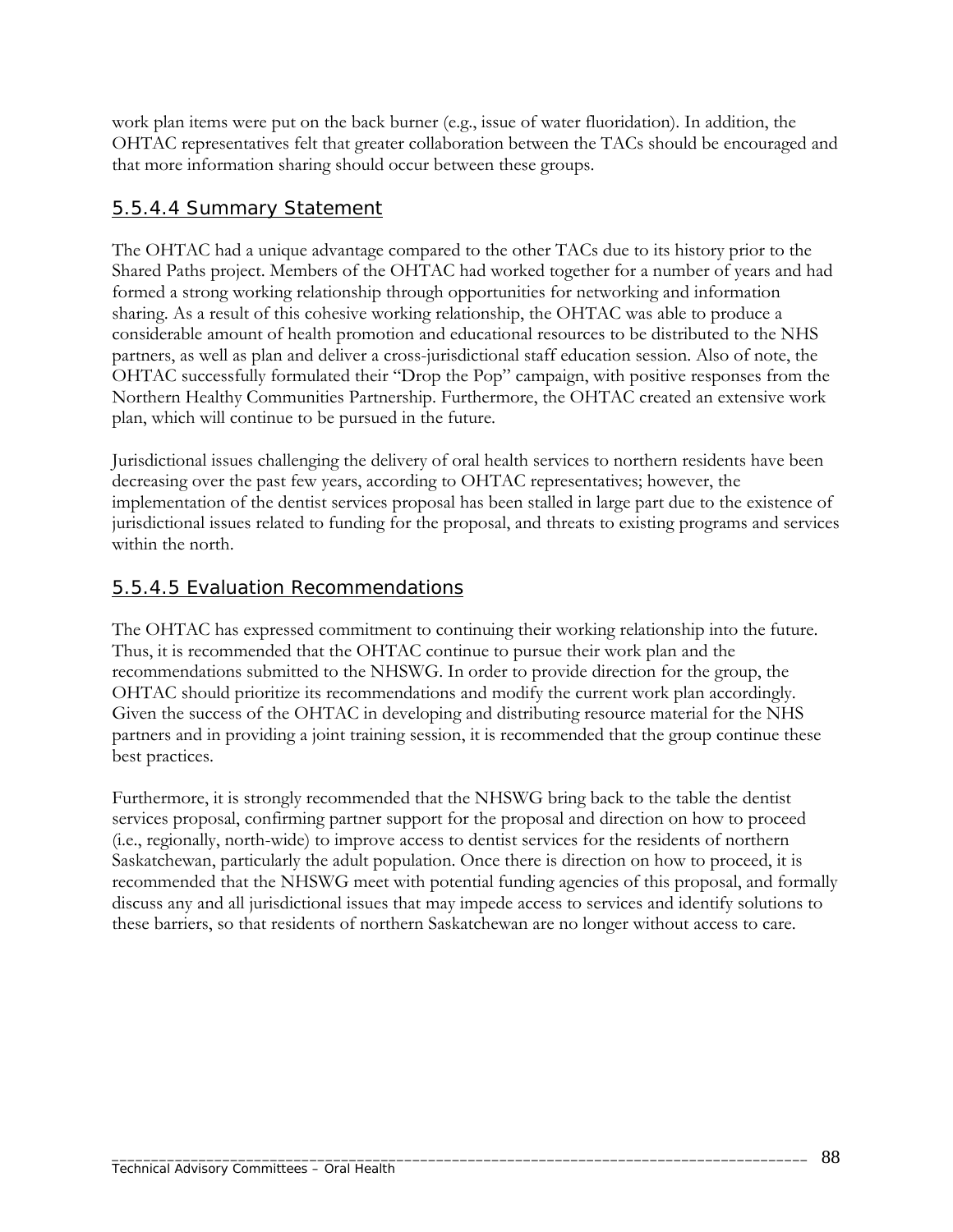work plan items were put on the back burner (e.g., issue of water fluoridation). In addition, the OHTAC representatives felt that greater collaboration between the TACs should be encouraged and that more information sharing should occur between these groups.

### 5.5.4.4 Summary Statement

The OHTAC had a unique advantage compared to the other TACs due to its history prior to the Shared Paths project. Members of the OHTAC had worked together for a number of years and had formed a strong working relationship through opportunities for networking and information sharing. As a result of this cohesive working relationship, the OHTAC was able to produce a considerable amount of health promotion and educational resources to be distributed to the NHS partners, as well as plan and deliver a cross-jurisdictional staff education session. Also of note, the OHTAC successfully formulated their "Drop the Pop" campaign, with positive responses from the Northern Healthy Communities Partnership. Furthermore, the OHTAC created an extensive work plan, which will continue to be pursued in the future.

Jurisdictional issues challenging the delivery of oral health services to northern residents have been decreasing over the past few years, according to OHTAC representatives; however, the implementation of the dentist services proposal has been stalled in large part due to the existence of jurisdictional issues related to funding for the proposal, and threats to existing programs and services within the north.

### 5.5.4.5 Evaluation Recommendations

The OHTAC has expressed commitment to continuing their working relationship into the future. Thus, it is recommended that the OHTAC continue to pursue their work plan and the recommendations submitted to the NHSWG. In order to provide direction for the group, the OHTAC should prioritize its recommendations and modify the current work plan accordingly. Given the success of the OHTAC in developing and distributing resource material for the NHS partners and in providing a joint training session, it is recommended that the group continue these best practices.

Furthermore, it is strongly recommended that the NHSWG bring back to the table the dentist services proposal, confirming partner support for the proposal and direction on how to proceed (i.e., regionally, north-wide) to improve access to dentist services for the residents of northern Saskatchewan, particularly the adult population. Once there is direction on how to proceed, it is recommended that the NHSWG meet with potential funding agencies of this proposal, and formally discuss any and all jurisdictional issues that may impede access to services and identify solutions to these barriers, so that residents of northern Saskatchewan are no longer without access to care.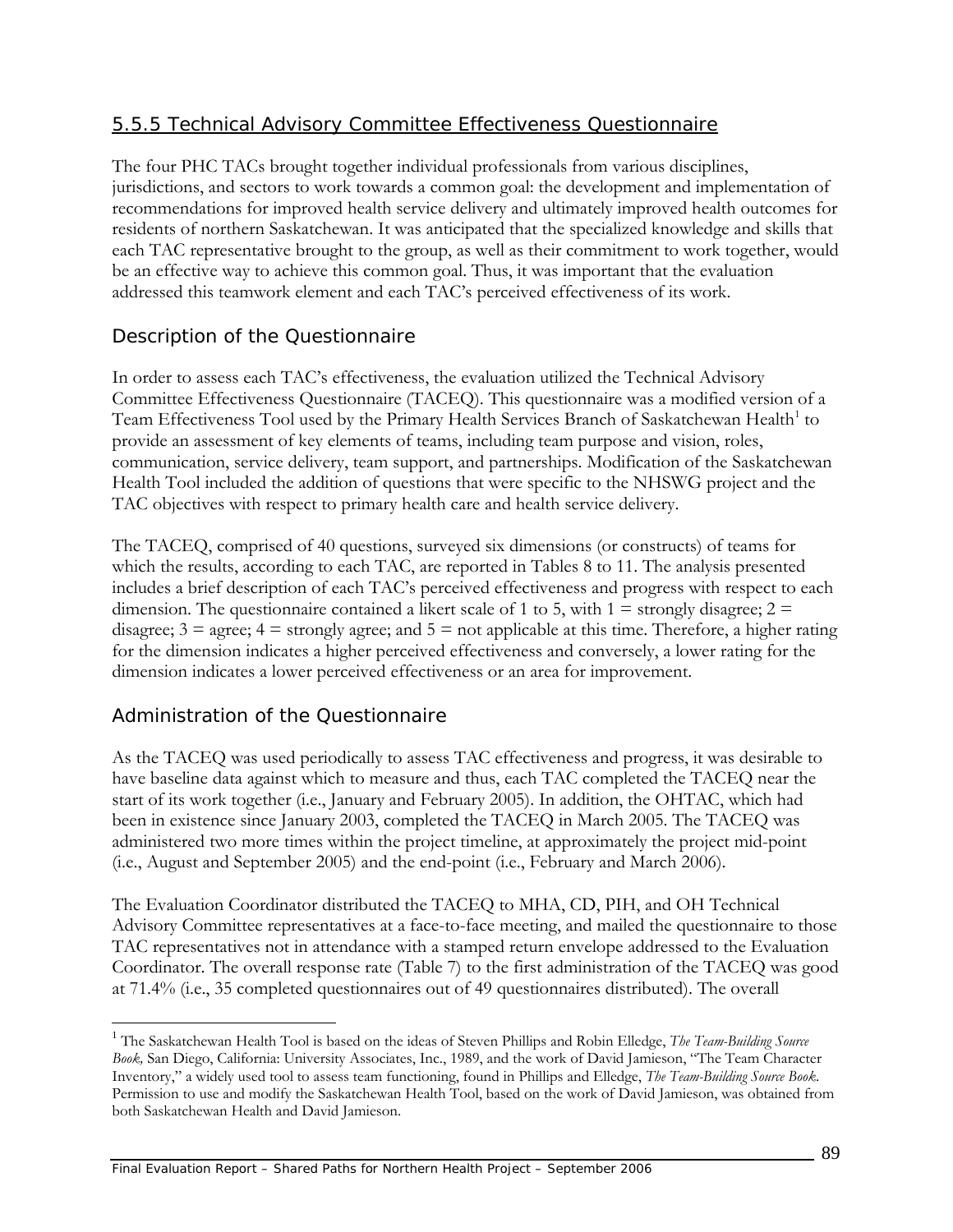### 5.5.5 Technical Advisory Committee Effectiveness Questionnaire

The four PHC TACs brought together individual professionals from various disciplines, jurisdictions, and sectors to work towards a common goal: the development and implementation of recommendations for improved health service delivery and ultimately improved health outcomes for residents of northern Saskatchewan. It was anticipated that the specialized knowledge and skills that each TAC representative brought to the group, as well as their commitment to work together, would be an effective way to achieve this common goal. Thus, it was important that the evaluation addressed this teamwork element and each TAC's perceived effectiveness of its work.

### *Description of the Questionnaire*

In order to assess each TAC's effectiveness, the evaluation utilized the Technical Advisory Committee Effectiveness Questionnaire (TACEQ). This questionnaire was a modified version of a Team Effectiveness Tool used by the Primary Health Services Branch of Saskatchewan Health<sup>[1](#page-106-0)</sup> to provide an assessment of key elements of teams, including team purpose and vision, roles, communication, service delivery, team support, and partnerships. Modification of the Saskatchewan Health Tool included the addition of questions that were specific to the NHSWG project and the TAC objectives with respect to primary health care and health service delivery.

The TACEQ, comprised of 40 questions, surveyed six dimensions (or constructs) of teams for which the results, according to each TAC, are reported in Tables 8 to 11. The analysis presented includes a brief description of each TAC's perceived effectiveness and progress with respect to each dimension. The questionnaire contained a likert scale of 1 to 5, with  $1 =$  strongly disagree;  $2 =$ disagree;  $3 = \text{agree}$ ;  $4 = \text{strongly agree}$ ; and  $5 = \text{not applicable at this time}$ . Therefore, a higher rating for the dimension indicates a higher perceived effectiveness and conversely, a lower rating for the dimension indicates a lower perceived effectiveness or an area for improvement.

### *Administration of the Questionnaire*

<u>.</u>

As the TACEQ was used periodically to assess TAC effectiveness and progress, it was desirable to have baseline data against which to measure and thus, each TAC completed the TACEQ near the start of its work together (i.e., January and February 2005). In addition, the OHTAC, which had been in existence since January 2003, completed the TACEQ in March 2005. The TACEQ was administered two more times within the project timeline, at approximately the project mid-point (i.e., August and September 2005) and the end-point (i.e., February and March 2006).

The Evaluation Coordinator distributed the TACEQ to MHA, CD, PIH, and OH Technical Advisory Committee representatives at a face-to-face meeting, and mailed the questionnaire to those TAC representatives not in attendance with a stamped return envelope addressed to the Evaluation Coordinator. The overall response rate (Table 7) to the first administration of the TACEQ was good at 71.4% (i.e., 35 completed questionnaires out of 49 questionnaires distributed). The overall

<span id="page-106-0"></span><sup>1</sup> The Saskatchewan Health Tool is based on the ideas of Steven Phillips and Robin Elledge, *The Team-Building Source Book,* San Diego, California: University Associates, Inc., 1989, and the work of David Jamieson, "The Team Character Inventory," a widely used tool to assess team functioning, found in Phillips and Elledge, *The Team-Building Source Book*. Permission to use and modify the Saskatchewan Health Tool, based on the work of David Jamieson, was obtained from both Saskatchewan Health and David Jamieson.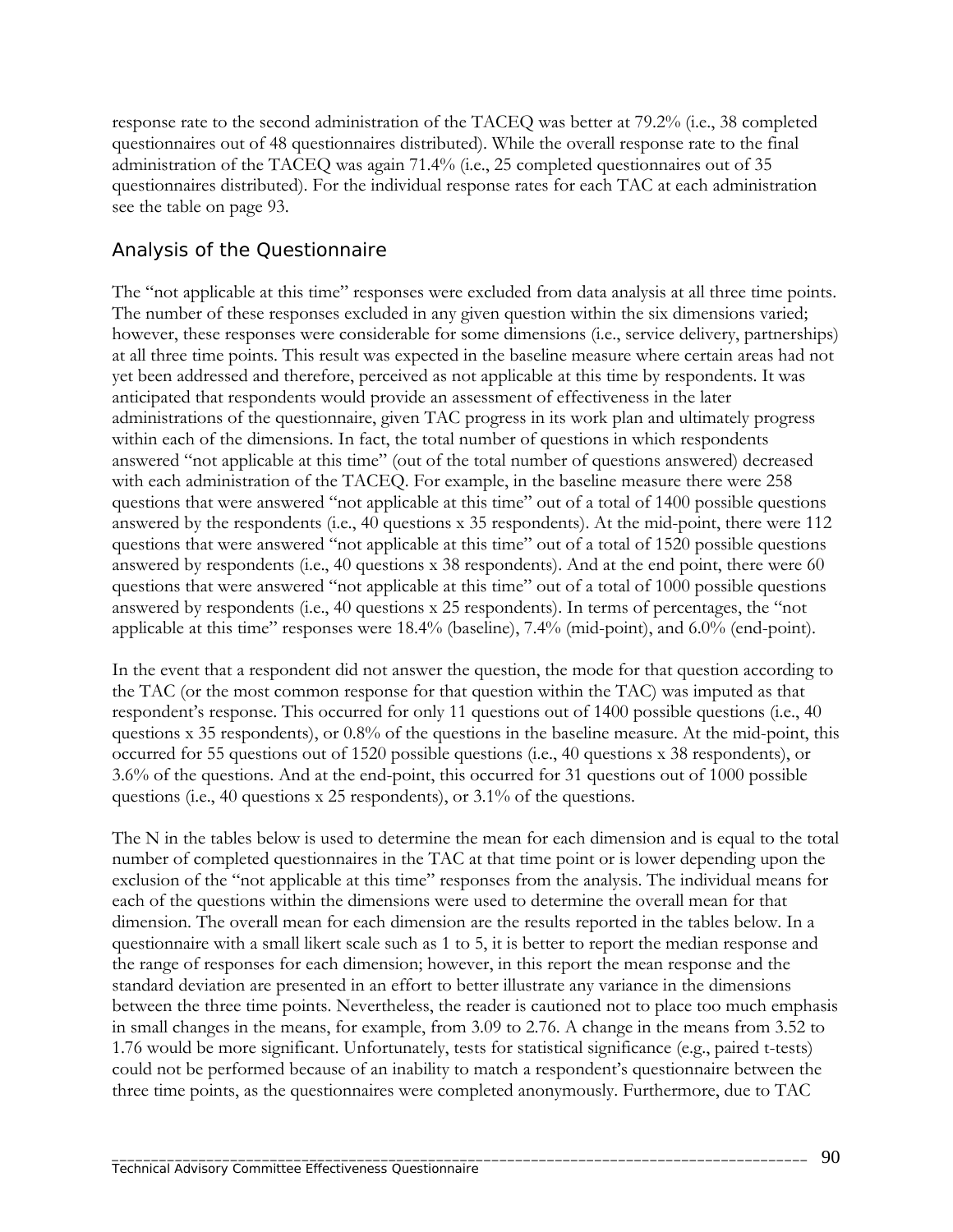response rate to the second administration of the TACEQ was better at 79.2% (i.e., 38 completed questionnaires out of 48 questionnaires distributed). While the overall response rate to the final administration of the TACEQ was again 71.4% (i.e., 25 completed questionnaires out of 35 questionnaires distributed). For the individual response rates for each TAC at each administration see the table on page 93.

#### *Analysis of the Questionnaire*

The "not applicable at this time" responses were excluded from data analysis at all three time points. The number of these responses excluded in any given question within the six dimensions varied; however, these responses were considerable for some dimensions (i.e., service delivery, partnerships) at all three time points. This result was expected in the baseline measure where certain areas had not yet been addressed and therefore, perceived as not applicable at this time by respondents. It was anticipated that respondents would provide an assessment of effectiveness in the later administrations of the questionnaire, given TAC progress in its work plan and ultimately progress within each of the dimensions. In fact, the total number of questions in which respondents answered "not applicable at this time" (out of the total number of questions answered) decreased with each administration of the TACEQ. For example, in the baseline measure there were 258 questions that were answered "not applicable at this time" out of a total of 1400 possible questions answered by the respondents (i.e., 40 questions x 35 respondents). At the mid-point, there were 112 questions that were answered "not applicable at this time" out of a total of 1520 possible questions answered by respondents (i.e., 40 questions x 38 respondents). And at the end point, there were 60 questions that were answered "not applicable at this time" out of a total of 1000 possible questions answered by respondents (i.e., 40 questions x 25 respondents). In terms of percentages, the "not applicable at this time" responses were 18.4% (baseline), 7.4% (mid-point), and 6.0% (end-point).

In the event that a respondent did not answer the question, the mode for that question according to the TAC (or the most common response for that question within the TAC) was imputed as that respondent's response. This occurred for only 11 questions out of 1400 possible questions (i.e., 40 questions x 35 respondents), or 0.8% of the questions in the baseline measure. At the mid-point, this occurred for 55 questions out of 1520 possible questions (i.e., 40 questions x 38 respondents), or 3.6% of the questions. And at the end-point, this occurred for 31 questions out of 1000 possible questions (i.e., 40 questions x 25 respondents), or 3.1% of the questions.

The N in the tables below is used to determine the mean for each dimension and is equal to the total number of completed questionnaires in the TAC at that time point or is lower depending upon the exclusion of the "not applicable at this time" responses from the analysis. The individual means for each of the questions within the dimensions were used to determine the overall mean for that dimension. The overall mean for each dimension are the results reported in the tables below. In a questionnaire with a small likert scale such as 1 to 5, it is better to report the median response and the range of responses for each dimension; however, in this report the mean response and the standard deviation are presented in an effort to better illustrate any variance in the dimensions between the three time points. Nevertheless, the reader is cautioned not to place too much emphasis in small changes in the means, for example, from 3.09 to 2.76. A change in the means from 3.52 to 1.76 would be more significant. Unfortunately, tests for statistical significance (e.g., paired t-tests) could not be performed because of an inability to match a respondent's questionnaire between the three time points, as the questionnaires were completed anonymously. Furthermore, due to TAC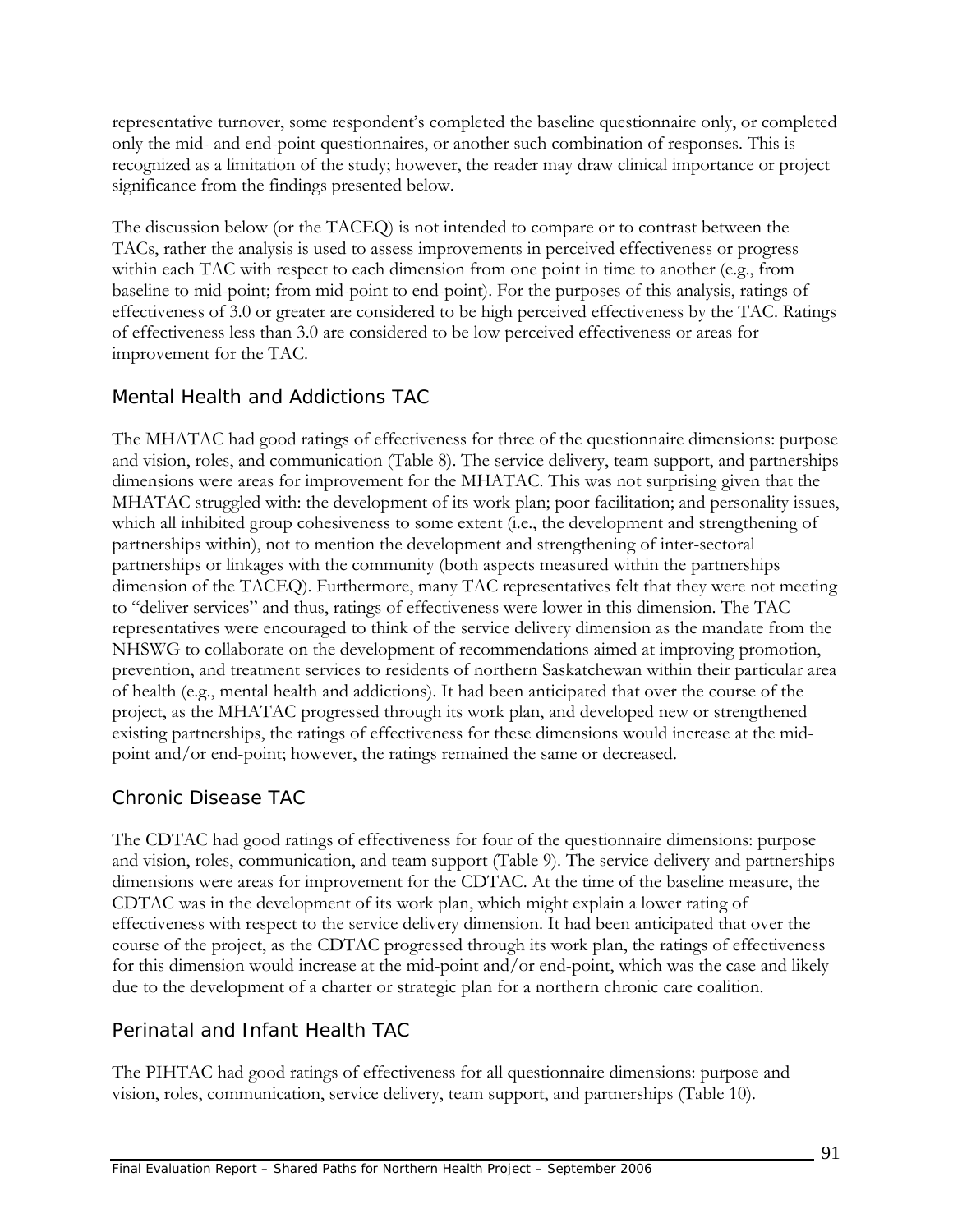representative turnover, some respondent's completed the baseline questionnaire only, or completed only the mid- and end-point questionnaires, or another such combination of responses. This is recognized as a limitation of the study; however, the reader may draw clinical importance or project significance from the findings presented below.

The discussion below (or the TACEQ) is not intended to compare or to contrast between the TACs, rather the analysis is used to assess improvements in perceived effectiveness or progress within each TAC with respect to each dimension from one point in time to another (e.g., from baseline to mid-point; from mid-point to end-point). For the purposes of this analysis, ratings of effectiveness of 3.0 or greater are considered to be high perceived effectiveness by the TAC. Ratings of effectiveness less than 3.0 are considered to be low perceived effectiveness or areas for improvement for the TAC.

# *Mental Health and Addictions TAC*

The MHATAC had good ratings of effectiveness for three of the questionnaire dimensions: purpose and vision, roles, and communication (Table 8). The service delivery, team support, and partnerships dimensions were areas for improvement for the MHATAC. This was not surprising given that the MHATAC struggled with: the development of its work plan; poor facilitation; and personality issues, which all inhibited group cohesiveness to some extent (i.e., the development and strengthening of partnerships within), not to mention the development and strengthening of inter-sectoral partnerships or linkages with the community (both aspects measured within the partnerships dimension of the TACEQ). Furthermore, many TAC representatives felt that they were not meeting to "deliver services" and thus, ratings of effectiveness were lower in this dimension. The TAC representatives were encouraged to think of the service delivery dimension as the mandate from the NHSWG to collaborate on the development of recommendations aimed at improving promotion, prevention, and treatment services to residents of northern Saskatchewan within their particular area of health (e.g., mental health and addictions). It had been anticipated that over the course of the project, as the MHATAC progressed through its work plan, and developed new or strengthened existing partnerships, the ratings of effectiveness for these dimensions would increase at the midpoint and/or end-point; however, the ratings remained the same or decreased.

# *Chronic Disease TAC*

The CDTAC had good ratings of effectiveness for four of the questionnaire dimensions: purpose and vision, roles, communication, and team support (Table 9). The service delivery and partnerships dimensions were areas for improvement for the CDTAC. At the time of the baseline measure, the CDTAC was in the development of its work plan, which might explain a lower rating of effectiveness with respect to the service delivery dimension. It had been anticipated that over the course of the project, as the CDTAC progressed through its work plan, the ratings of effectiveness for this dimension would increase at the mid-point and/or end-point, which was the case and likely due to the development of a charter or strategic plan for a northern chronic care coalition.

# *Perinatal and Infant Health TAC*

The PIHTAC had good ratings of effectiveness for all questionnaire dimensions: purpose and vision, roles, communication, service delivery, team support, and partnerships (Table 10).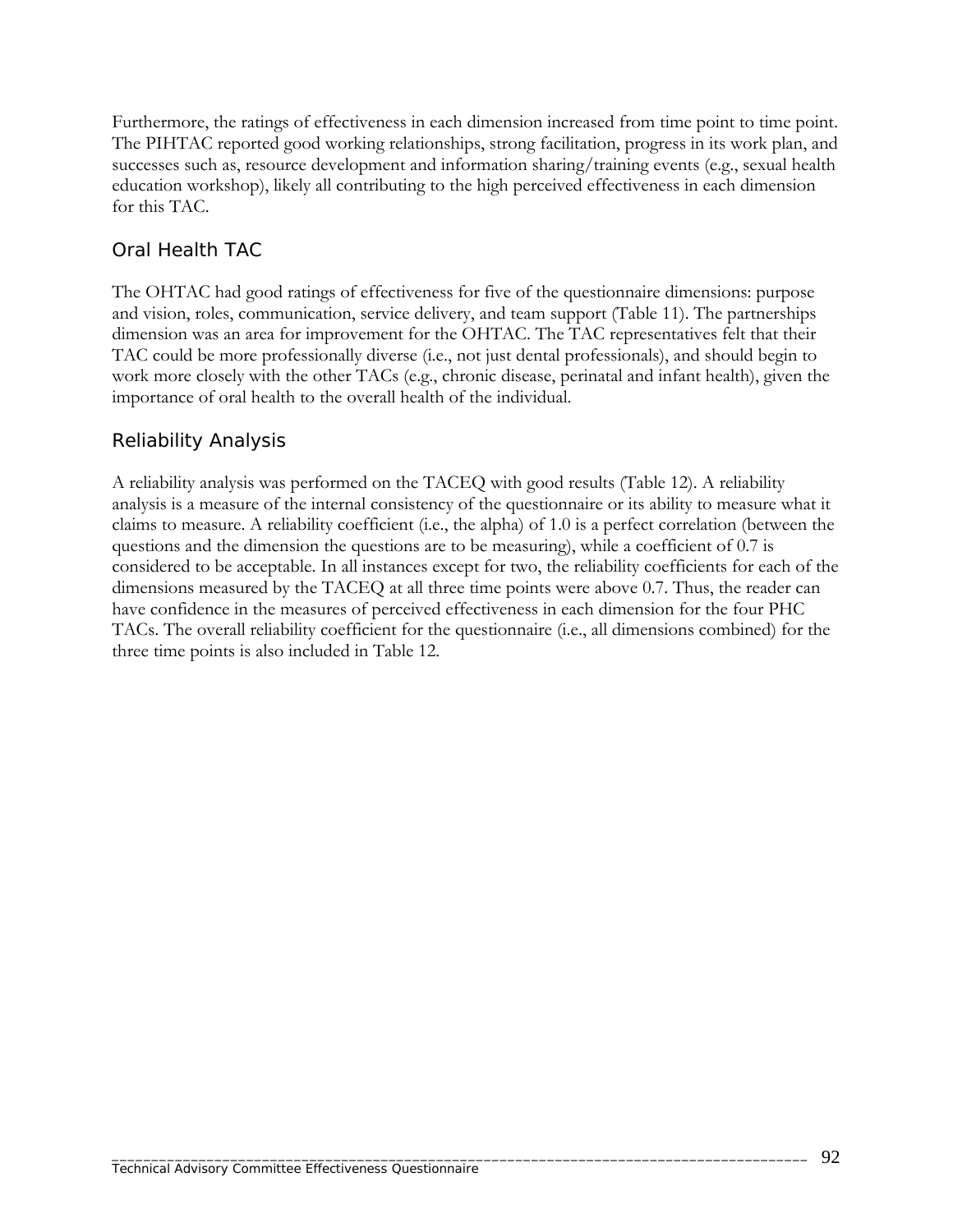Furthermore, the ratings of effectiveness in each dimension increased from time point to time point. The PIHTAC reported good working relationships, strong facilitation, progress in its work plan, and successes such as, resource development and information sharing/training events (e.g., sexual health education workshop), likely all contributing to the high perceived effectiveness in each dimension for this TAC.

### *Oral Health TAC*

The OHTAC had good ratings of effectiveness for five of the questionnaire dimensions: purpose and vision, roles, communication, service delivery, and team support (Table 11). The partnerships dimension was an area for improvement for the OHTAC. The TAC representatives felt that their TAC could be more professionally diverse (i.e., not just dental professionals), and should begin to work more closely with the other TACs (e.g., chronic disease, perinatal and infant health), given the importance of oral health to the overall health of the individual.

# *Reliability Analysis*

A reliability analysis was performed on the TACEQ with good results (Table 12). A reliability analysis is a measure of the internal consistency of the questionnaire or its ability to measure what it claims to measure. A reliability coefficient (i.e., the alpha) of 1.0 is a perfect correlation (between the questions and the dimension the questions are to be measuring), while a coefficient of 0.7 is considered to be acceptable. In all instances except for two, the reliability coefficients for each of the dimensions measured by the TACEQ at all three time points were above 0.7. Thus, the reader can have confidence in the measures of perceived effectiveness in each dimension for the four PHC TACs. The overall reliability coefficient for the questionnaire (i.e., all dimensions combined) for the three time points is also included in Table 12.

\_\_\_\_\_\_\_\_\_\_\_\_\_\_\_\_\_\_\_\_\_\_\_\_\_\_\_\_\_\_\_\_\_\_\_\_\_\_\_\_\_\_\_\_\_\_\_\_\_\_\_\_\_\_\_\_\_\_\_\_\_\_\_\_\_\_\_\_\_\_\_\_\_\_\_\_\_\_\_\_\_\_\_\_\_\_\_\_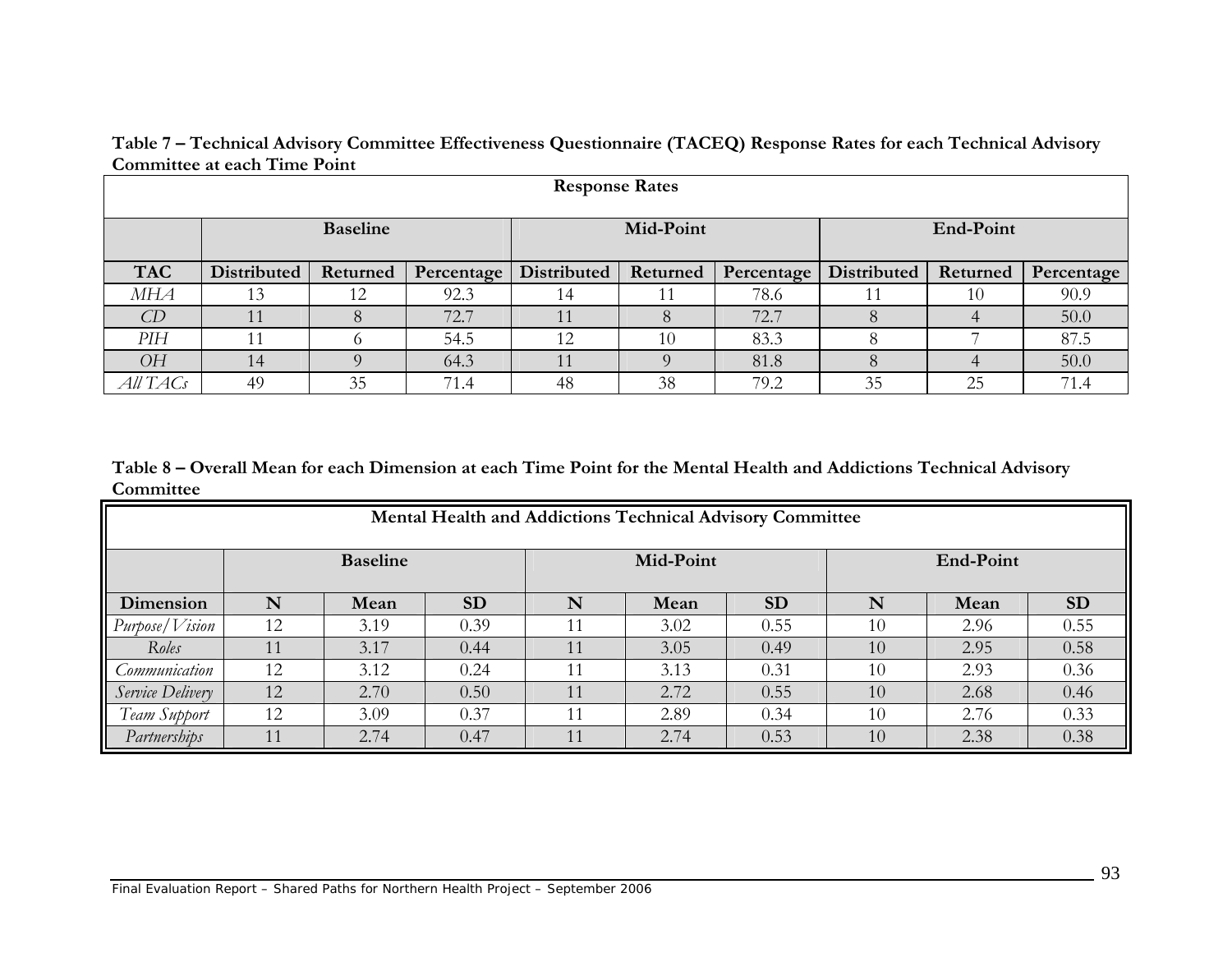|                       | sonning we cwon thing to only |          |            |             |           |            |             |          |            |
|-----------------------|-------------------------------|----------|------------|-------------|-----------|------------|-------------|----------|------------|
| <b>Response Rates</b> |                               |          |            |             |           |            |             |          |            |
|                       | <b>Baseline</b>               |          |            |             | Mid-Point |            | End-Point   |          |            |
| <b>TAC</b>            | <b>Distributed</b>            | Returned | Percentage | Distributed | Returned  | Percentage | Distributed | Returned | Percentage |
| MНА                   | 13                            | 12       | 92.3       | 14          |           | 78.6       |             | 10       | 90.9       |
| CD                    |                               | 8        | 72.7       |             |           | 72.7       | 8           | 4        | 50.0       |
| PIH                   |                               |          | 54.5       | 12          | 10        | 83.3       | 8           |          | 87.5       |
| <b>OH</b>             | 14                            |          | 64.3       |             |           | 81.8       | 8           |          | 50.0       |
| All TACs              | 49                            | 35       | 71.4       | 48          | 38        | 79.2       | 35          | 25       | 71.4       |

**Table 7 – Technical Advisory Committee Effectiveness Questionnaire (TACEQ) Response Rates for each Technical Advisory Committee at each Time Point** 

**Table 8 – Overall Mean for each Dimension at each Time Point for the Mental Health and Addictions Technical Advisory Committee**

| <b>Mental Health and Addictions Technical Advisory Committee</b> |                 |      |           |           |      |           |           |      |           |
|------------------------------------------------------------------|-----------------|------|-----------|-----------|------|-----------|-----------|------|-----------|
|                                                                  | <b>Baseline</b> |      |           | Mid-Point |      |           | End-Point |      |           |
| Dimension                                                        | N               | Mean | <b>SD</b> | N         | Mean | <b>SD</b> | N         | Mean | <b>SD</b> |
| Purpose/Vision                                                   | 12              | 3.19 | 0.39      | 11        | 3.02 | 0.55      | 10        | 2.96 | 0.55      |
| Roles                                                            | 11              | 3.17 | 0.44      | 11        | 3.05 | 0.49      | 10        | 2.95 | 0.58      |
| Communication                                                    | 12              | 3.12 | 0.24      | 11        | 3.13 | 0.31      | 10        | 2.93 | 0.36      |
| Service Delivery                                                 | 12              | 2.70 | 0.50      | 11        | 2.72 | 0.55      | 10        | 2.68 | 0.46      |
| Team Support                                                     | 12              | 3.09 | 0.37      | 11        | 2.89 | 0.34      | 10        | 2.76 | 0.33      |
| Partnerships                                                     | 11              | 2.74 | 0.47      | 11        | 2.74 | 0.53      | 10        | 2.38 | 0.38      |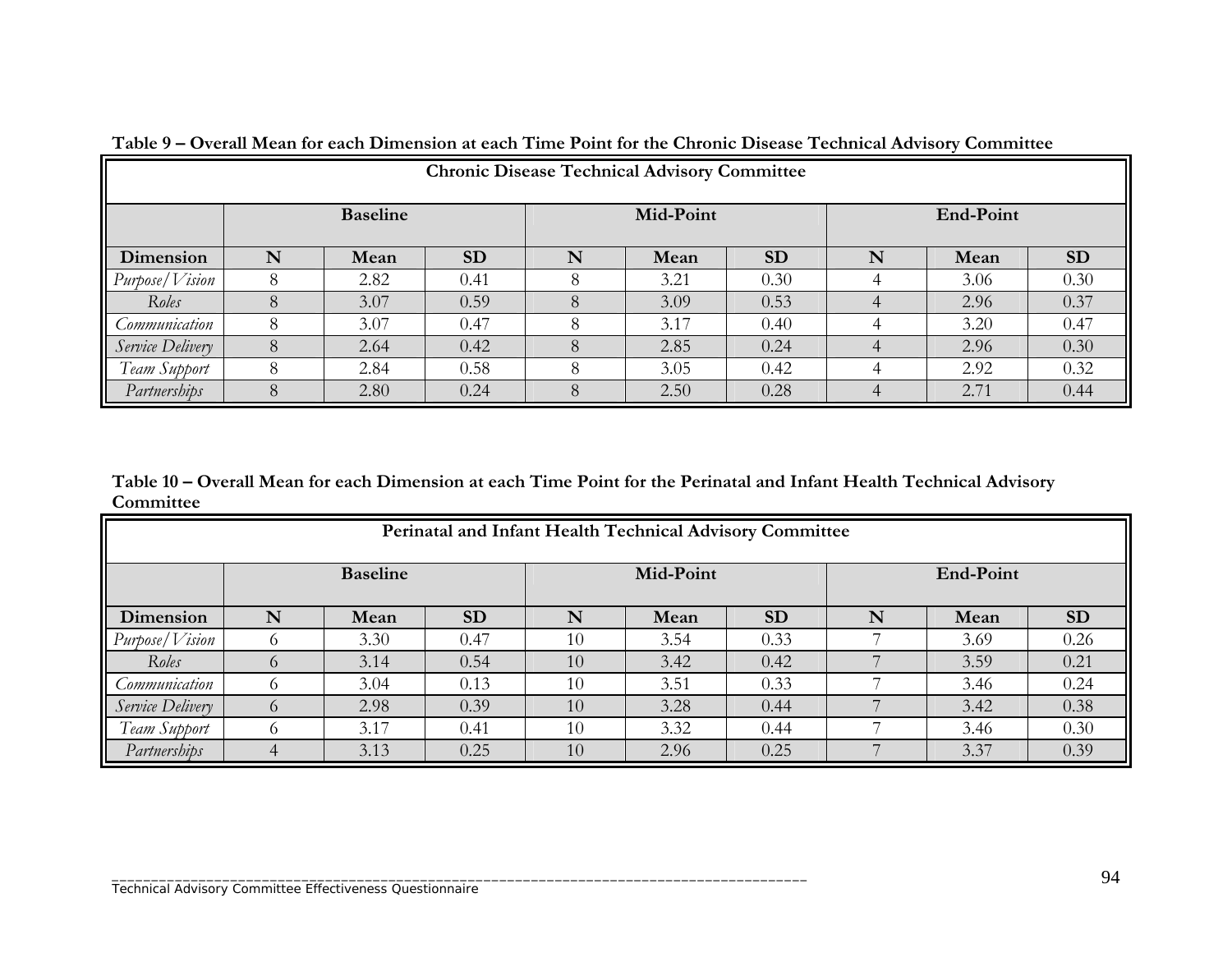| <b>Chronic Disease Technical Advisory Committee</b> |                 |      |           |   |      |           |   |      |           |
|-----------------------------------------------------|-----------------|------|-----------|---|------|-----------|---|------|-----------|
|                                                     | <b>Baseline</b> |      | Mid-Point |   |      | End-Point |   |      |           |
| Dimension                                           | N               | Mean | <b>SD</b> | N | Mean | <b>SD</b> | N | Mean | <b>SD</b> |
| $P$ urpose/ $V$ ision                               | 8               | 2.82 | 0.41      | 8 | 3.21 | 0.30      | 4 | 3.06 | 0.30      |
| Roles                                               |                 | 3.07 | 0.59      | 8 | 3.09 | 0.53      |   | 2.96 | 0.37      |
| Communication                                       | 8               | 3.07 | 0.47      | 8 | 3.17 | 0.40      |   | 3.20 | 0.47      |
| Service Delivery                                    | 8               | 2.64 | 0.42      | 8 | 2.85 | 0.24      |   | 2.96 | 0.30      |
| Team Support                                        | 8               | 2.84 | 0.58      | 8 | 3.05 | 0.42      | 4 | 2.92 | 0.32      |
| Partnerships                                        |                 | 2.80 | 0.24      | 8 | 2.50 | 0.28      |   | 2.71 | 0.44      |

**Table 9 – Overall Mean for each Dimension at each Time Point for the Chronic Disease Technical Advisory Committee** 

**Table 10 – Overall Mean for each Dimension at each Time Point for the Perinatal and Infant Health Technical Advisory Committee**

| Perinatal and Infant Health Technical Advisory Committee |                 |      |           |           |      |           |           |      |           |
|----------------------------------------------------------|-----------------|------|-----------|-----------|------|-----------|-----------|------|-----------|
|                                                          | <b>Baseline</b> |      |           | Mid-Point |      |           | End-Point |      |           |
| Dimension                                                | N               | Mean | <b>SD</b> | N         | Mean | <b>SD</b> | N         | Mean | <b>SD</b> |
| Purpose/Vision                                           |                 | 3.30 | 0.47      | 10        | 3.54 | 0.33      |           | 3.69 | 0.26      |
| Roles                                                    | $\Omega$        | 3.14 | 0.54      | 10        | 3.42 | 0.42      |           | 3.59 | 0.21      |
| Communication                                            | $\Omega$        | 3.04 | 0.13      | 10        | 3.51 | 0.33      |           | 3.46 | 0.24      |
| Service Delivery                                         | $\Omega$        | 2.98 | 0.39      | 10        | 3.28 | 0.44      |           | 3.42 | 0.38      |
| Team Support                                             |                 | 3.17 | 0.41      | 10        | 3.32 | 0.44      |           | 3.46 | 0.30      |
| Partnerships                                             |                 | 3.13 | 0.25      | 10        | 2.96 | 0.25      |           | 3.37 | 0.39      |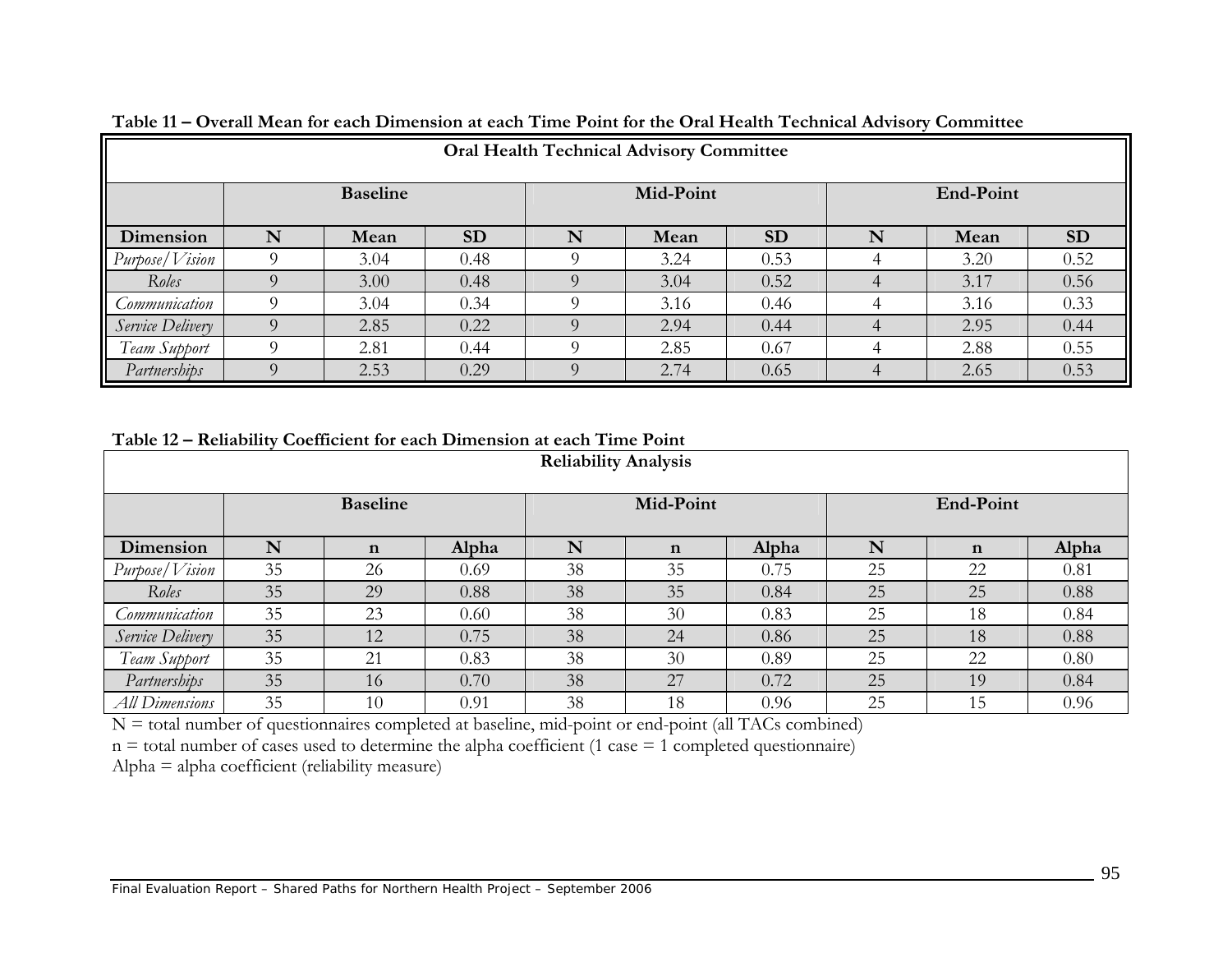| <b>Oral Health Technical Advisory Committee</b> |                 |      |           |           |      |           |           |      |           |
|-------------------------------------------------|-----------------|------|-----------|-----------|------|-----------|-----------|------|-----------|
|                                                 | <b>Baseline</b> |      |           | Mid-Point |      |           | End-Point |      |           |
| Dimension                                       | N               | Mean | <b>SD</b> | N         | Mean | <b>SD</b> | N         | Mean | <b>SD</b> |
| Purpose/Vision                                  |                 | 3.04 | 0.48      |           | 3.24 | 0.53      |           | 3.20 | 0.52      |
| Roles                                           |                 | 3.00 | 0.48      |           | 3.04 | 0.52      |           | 3.17 | 0.56      |
| Communication                                   |                 | 3.04 | 0.34      |           | 3.16 | 0.46      |           | 3.16 | 0.33      |
| Service Delivery                                |                 | 2.85 | 0.22      |           | 2.94 | 0.44      |           | 2.95 | 0.44      |
| Team Support                                    |                 | 2.81 | 0.44      |           | 2.85 | 0.67      |           | 2.88 | 0.55      |
| Partnerships                                    | O               | 2.53 | 0.29      | $\Omega$  | 2.74 | 0.65      | $\Delta$  | 2.65 | 0.53      |

**Table 11 – Overall Mean for each Dimension at each Time Point for the Oral Health Technical Advisory Committee** 

**Table 12 – Reliability Coefficient for each Dimension at each Time Point** 

| <b>Reliability Analysis</b> |                 |             |       |    |             |       |           |             |       |
|-----------------------------|-----------------|-------------|-------|----|-------------|-------|-----------|-------------|-------|
|                             | <b>Baseline</b> |             |       |    | Mid-Point   |       | End-Point |             |       |
| Dimension                   | N               | $\mathbf n$ | Alpha | N  | $\mathbf n$ | Alpha | N         | $\mathbf n$ | Alpha |
| Purpose/Vision              | 35              | 26          | 0.69  | 38 | 35          | 0.75  | 25        | 22          | 0.81  |
| Roles                       | 35              | 29          | 0.88  | 38 | 35          | 0.84  | 25        | 25          | 0.88  |
| Communication               | 35              | 23          | 0.60  | 38 | 30          | 0.83  | 25        | 18          | 0.84  |
| Service Delivery            | 35              | 12          | 0.75  | 38 | 24          | 0.86  | 25        | 18          | 0.88  |
| Team Support                | 35              | 21          | 0.83  | 38 | 30          | 0.89  | 25        | 22          | 0.80  |
| Partnerships                | 35              | 16          | 0.70  | 38 | 27          | 0.72  | 25        | 19          | 0.84  |
| <b>All Dimensions</b>       | 35              | 10          | 0.91  | 38 | 18          | 0.96  | 25        | 15          | 0.96  |

N = total number of questionnaires completed at baseline, mid-point or end-point (all TACs combi ned)

 $n =$  total number of cases used to determine the alpha coefficient (1 case  $=$  1 completed questionnaire)

Alpha = alp ha coefficient (reliability measure)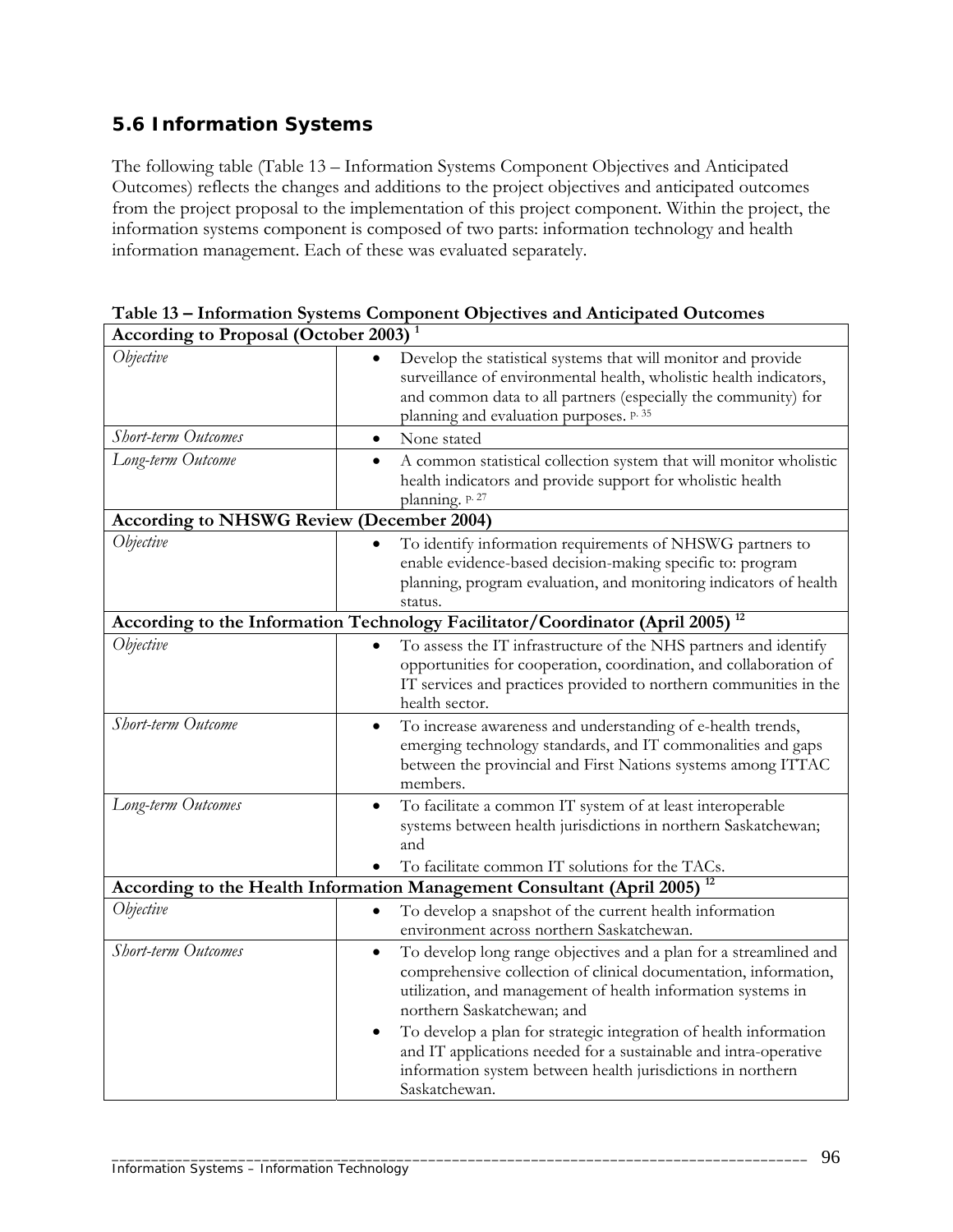# **5.6 Information Systems**

The following table (Table 13 – Information Systems Component Objectives and Anticipated Outcomes) reflects the changes and additions to the project objectives and anticipated outcomes from the project proposal to the implementation of this project component. Within the project, the information systems component is composed of two parts: information technology and health information management. Each of these was evaluated separately.

| <b>According to Proposal (October 2003)</b>      |                                                                                                                                                                                                                                                                                                                                                                                                                                                                                        |
|--------------------------------------------------|----------------------------------------------------------------------------------------------------------------------------------------------------------------------------------------------------------------------------------------------------------------------------------------------------------------------------------------------------------------------------------------------------------------------------------------------------------------------------------------|
| Objective                                        | Develop the statistical systems that will monitor and provide<br>surveillance of environmental health, wholistic health indicators,<br>and common data to all partners (especially the community) for<br>planning and evaluation purposes. p. 35                                                                                                                                                                                                                                       |
| Short-term Outcomes                              | None stated<br>$\bullet$                                                                                                                                                                                                                                                                                                                                                                                                                                                               |
| Long-term Outcome                                | A common statistical collection system that will monitor wholistic<br>health indicators and provide support for wholistic health<br>planning. p. 27                                                                                                                                                                                                                                                                                                                                    |
| <b>According to NHSWG Review (December 2004)</b> |                                                                                                                                                                                                                                                                                                                                                                                                                                                                                        |
| Objective                                        | To identify information requirements of NHSWG partners to<br>enable evidence-based decision-making specific to: program<br>planning, program evaluation, and monitoring indicators of health<br>status.                                                                                                                                                                                                                                                                                |
|                                                  | According to the Information Technology Facilitator/Coordinator (April 2005) <sup>12</sup>                                                                                                                                                                                                                                                                                                                                                                                             |
| Objective                                        | To assess the IT infrastructure of the NHS partners and identify<br>opportunities for cooperation, coordination, and collaboration of<br>IT services and practices provided to northern communities in the<br>health sector.                                                                                                                                                                                                                                                           |
| Short-term Outcome                               | To increase awareness and understanding of e-health trends,<br>$\bullet$<br>emerging technology standards, and IT commonalities and gaps<br>between the provincial and First Nations systems among ITTAC<br>members.                                                                                                                                                                                                                                                                   |
| Long-term Outcomes                               | To facilitate a common IT system of at least interoperable<br>$\bullet$<br>systems between health jurisdictions in northern Saskatchewan;<br>and<br>To facilitate common IT solutions for the TACs.                                                                                                                                                                                                                                                                                    |
|                                                  | According to the Health Information Management Consultant (April 2005)                                                                                                                                                                                                                                                                                                                                                                                                                 |
| Objective                                        | To develop a snapshot of the current health information<br>$\bullet$<br>environment across northern Saskatchewan.                                                                                                                                                                                                                                                                                                                                                                      |
| Short-term Outcomes                              | To develop long range objectives and a plan for a streamlined and<br>$\bullet$<br>comprehensive collection of clinical documentation, information,<br>utilization, and management of health information systems in<br>northern Saskatchewan; and<br>To develop a plan for strategic integration of health information<br>$\bullet$<br>and IT applications needed for a sustainable and intra-operative<br>information system between health jurisdictions in northern<br>Saskatchewan. |

\_\_\_\_\_\_\_\_\_\_\_\_\_\_\_\_\_\_\_\_\_\_\_\_\_\_\_\_\_\_\_\_\_\_\_\_\_\_\_\_\_\_\_\_\_\_\_\_\_\_\_\_\_\_\_\_\_\_\_\_\_\_\_\_\_\_\_\_\_\_\_\_\_\_\_\_\_\_\_\_\_\_\_\_\_\_\_\_

**Table 13 – Information Systems Component Objectives and Anticipated Outcomes**

 $\overline{\phantom{a}}$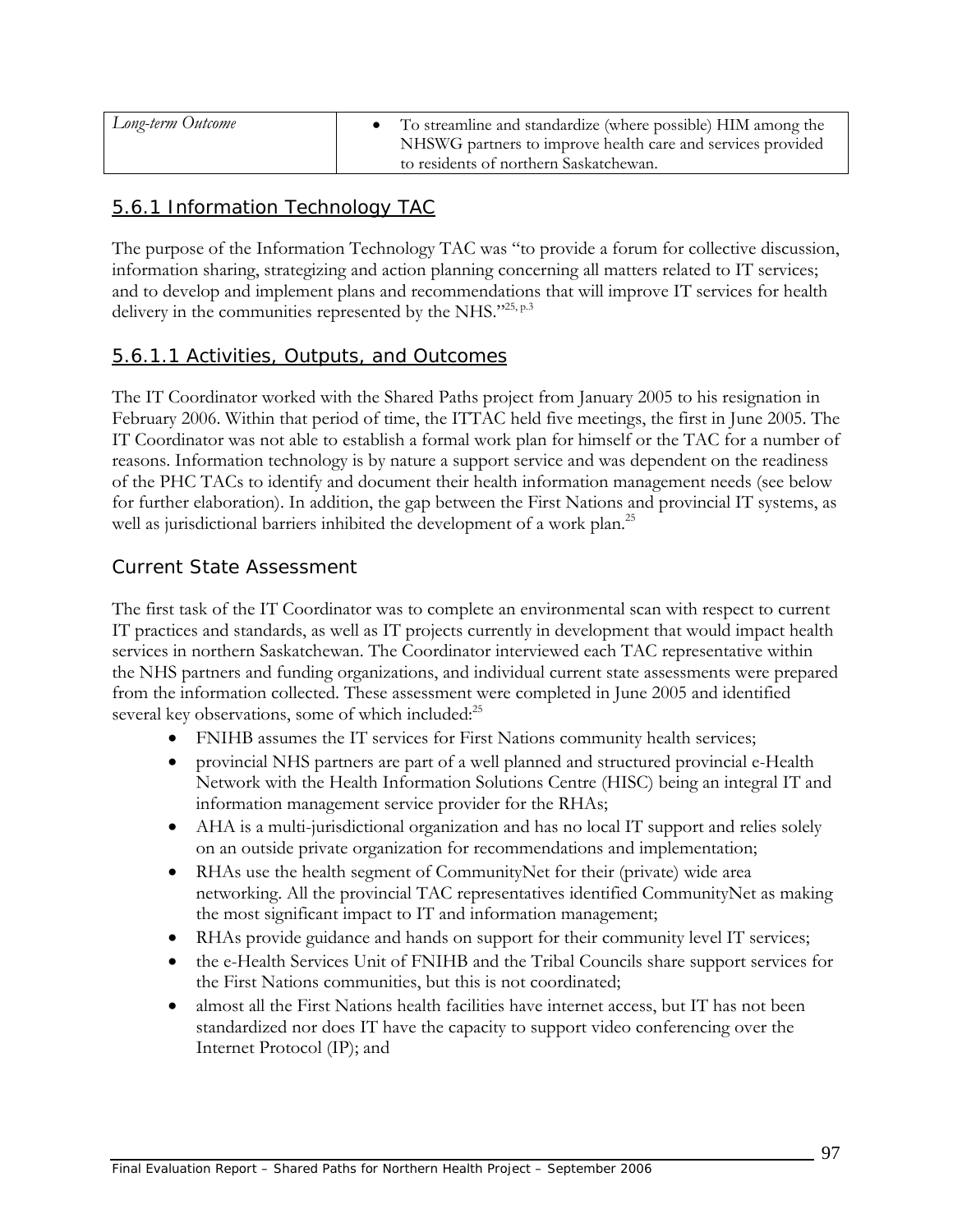| Long-term Outcome | To streamline and standardize (where possible) HIM among the<br>NHSWG partners to improve health care and services provided<br>to residents of northern Saskatchewan. |
|-------------------|-----------------------------------------------------------------------------------------------------------------------------------------------------------------------|
|-------------------|-----------------------------------------------------------------------------------------------------------------------------------------------------------------------|

### 5.6.1 Information Technology TAC

The purpose of the Information Technology TAC was "to provide a forum for collective discussion, information sharing, strategizing and action planning concerning all matters related to IT services; and to develop and implement plans and recommendations that will improve IT services for health delivery in the communities represented by the NHS."25, p.3

### 5.6.1.1 Activities, Outputs, and Outcomes

The IT Coordinator worked with the Shared Paths project from January 2005 to his resignation in February 2006. Within that period of time, the ITTAC held five meetings, the first in June 2005. The IT Coordinator was not able to establish a formal work plan for himself or the TAC for a number of reasons. Information technology is by nature a support service and was dependent on the readiness of the PHC TACs to identify and document their health information management needs (see below for further elaboration). In addition, the gap between the First Nations and provincial IT systems, as well as jurisdictional barriers inhibited the development of a work plan.<sup>25</sup>

#### *Current State Assessment*

The first task of the IT Coordinator was to complete an environmental scan with respect to current IT practices and standards, as well as IT projects currently in development that would impact health services in northern Saskatchewan. The Coordinator interviewed each TAC representative within the NHS partners and funding organizations, and individual current state assessments were prepared from the information collected. These assessment were completed in June 2005 and identified several key observations, some of which included:<sup>25</sup>

- FNIHB assumes the IT services for First Nations community health services;
- provincial NHS partners are part of a well planned and structured provincial e-Health Network with the Health Information Solutions Centre (HISC) being an integral IT and information management service provider for the RHAs;
- AHA is a multi-jurisdictional organization and has no local IT support and relies solely on an outside private organization for recommendations and implementation;
- RHAs use the health segment of CommunityNet for their (private) wide area networking. All the provincial TAC representatives identified CommunityNet as making the most significant impact to IT and information management;
- RHAs provide guidance and hands on support for their community level IT services;
- the e-Health Services Unit of FNIHB and the Tribal Councils share support services for the First Nations communities, but this is not coordinated;
- almost all the First Nations health facilities have internet access, but IT has not been standardized nor does IT have the capacity to support video conferencing over the Internet Protocol (IP); and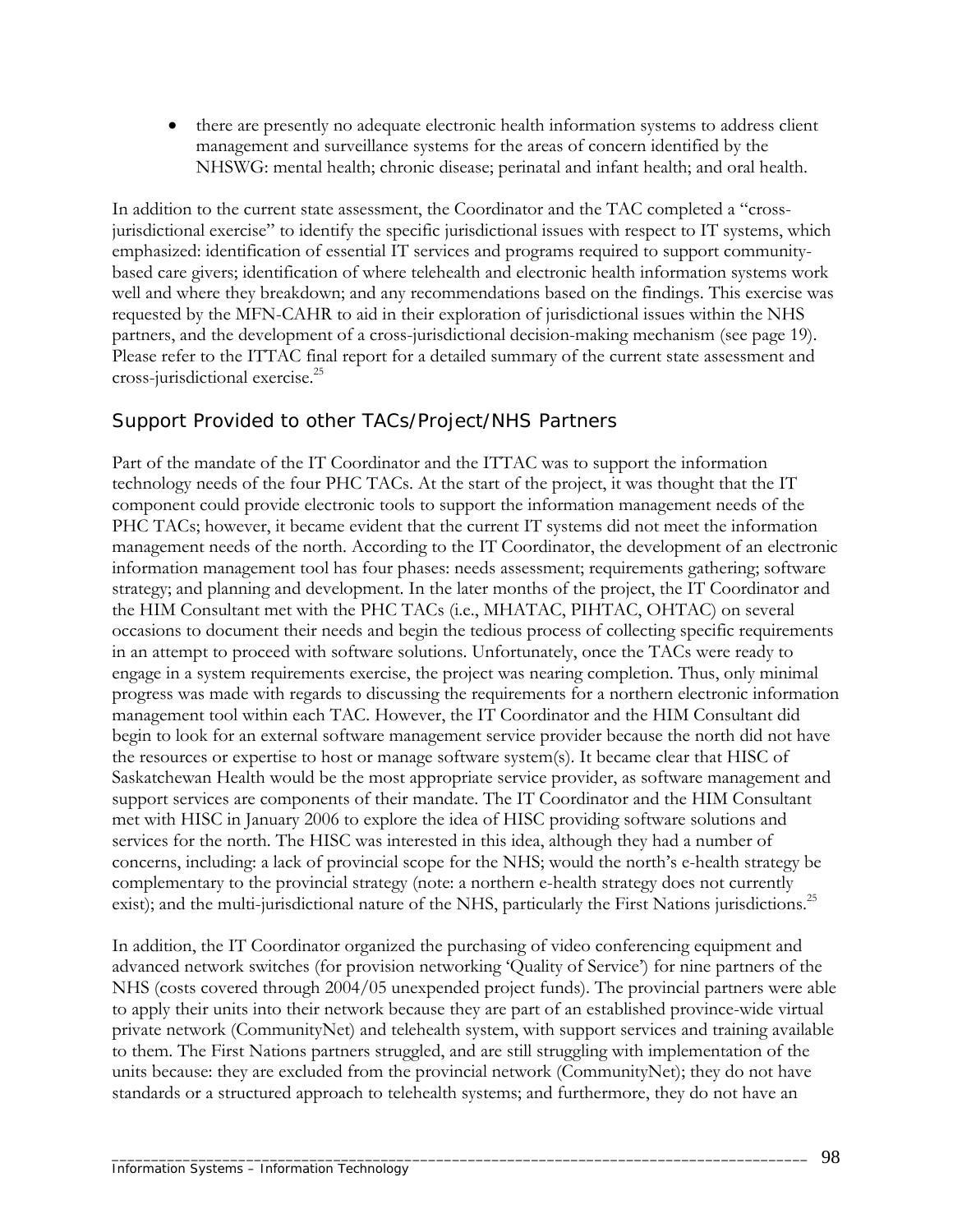• there are presently no adequate electronic health information systems to address client management and surveillance systems for the areas of concern identified by the NHSWG: mental health; chronic disease; perinatal and infant health; and oral health.

In addition to the current state assessment, the Coordinator and the TAC completed a "crossjurisdictional exercise" to identify the specific jurisdictional issues with respect to IT systems, which emphasized: identification of essential IT services and programs required to support communitybased care givers; identification of where telehealth and electronic health information systems work well and where they breakdown; and any recommendations based on the findings. This exercise was requested by the MFN-CAHR to aid in their exploration of jurisdictional issues within the NHS partners, and the development of a cross-jurisdictional decision-making mechanism (see page 19). Please refer to the ITTAC final report for a detailed summary of the current state assessment and cross-jurisdictional exercise.25

### *Support Provided to other TACs/Project/NHS Partners*

Part of the mandate of the IT Coordinator and the ITTAC was to support the information technology needs of the four PHC TACs. At the start of the project, it was thought that the IT component could provide electronic tools to support the information management needs of the PHC TACs; however, it became evident that the current IT systems did not meet the information management needs of the north. According to the IT Coordinator, the development of an electronic information management tool has four phases: needs assessment; requirements gathering; software strategy; and planning and development. In the later months of the project, the IT Coordinator and the HIM Consultant met with the PHC TACs (i.e., MHATAC, PIHTAC, OHTAC) on several occasions to document their needs and begin the tedious process of collecting specific requirements in an attempt to proceed with software solutions. Unfortunately, once the TACs were ready to engage in a system requirements exercise, the project was nearing completion. Thus, only minimal progress was made with regards to discussing the requirements for a northern electronic information management tool within each TAC. However, the IT Coordinator and the HIM Consultant did begin to look for an external software management service provider because the north did not have the resources or expertise to host or manage software system(s). It became clear that HISC of Saskatchewan Health would be the most appropriate service provider, as software management and support services are components of their mandate. The IT Coordinator and the HIM Consultant met with HISC in January 2006 to explore the idea of HISC providing software solutions and services for the north. The HISC was interested in this idea, although they had a number of concerns, including: a lack of provincial scope for the NHS; would the north's e-health strategy be complementary to the provincial strategy (note: a northern e-health strategy does not currently exist); and the multi-jurisdictional nature of the NHS, particularly the First Nations jurisdictions.<sup>25</sup>

In addition, the IT Coordinator organized the purchasing of video conferencing equipment and advanced network switches (for provision networking 'Quality of Service') for nine partners of the NHS (costs covered through 2004/05 unexpended project funds). The provincial partners were able to apply their units into their network because they are part of an established province-wide virtual private network (CommunityNet) and telehealth system, with support services and training available to them. The First Nations partners struggled, and are still struggling with implementation of the units because: they are excluded from the provincial network (CommunityNet); they do not have standards or a structured approach to telehealth systems; and furthermore, they do not have an

\_\_\_\_\_\_\_\_\_\_\_\_\_\_\_\_\_\_\_\_\_\_\_\_\_\_\_\_\_\_\_\_\_\_\_\_\_\_\_\_\_\_\_\_\_\_\_\_\_\_\_\_\_\_\_\_\_\_\_\_\_\_\_\_\_\_\_\_\_\_\_\_\_\_\_\_\_\_\_\_\_\_\_\_\_\_\_\_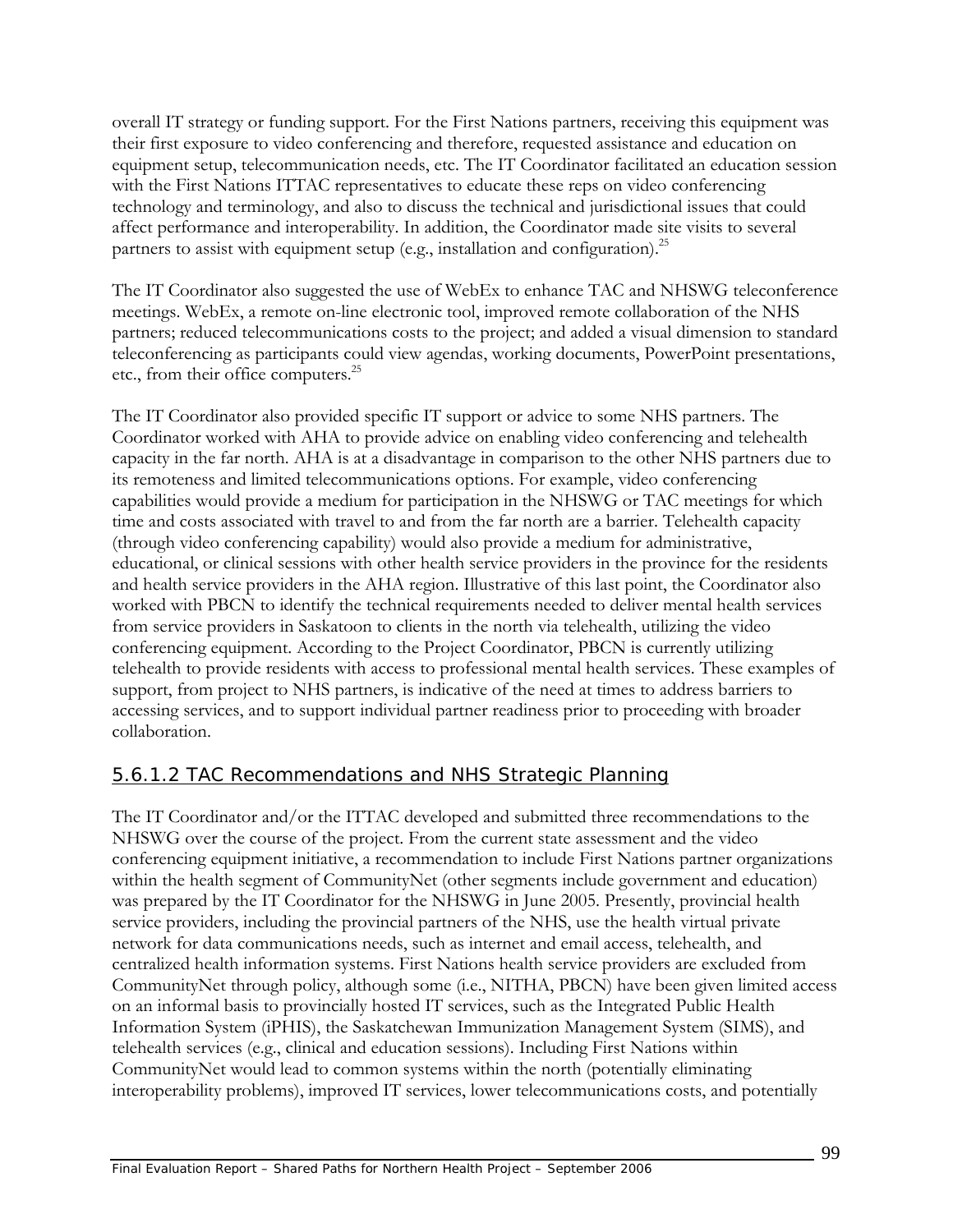overall IT strategy or funding support. For the First Nations partners, receiving this equipment was their first exposure to video conferencing and therefore, requested assistance and education on equipment setup, telecommunication needs, etc. The IT Coordinator facilitated an education session with the First Nations ITTAC representatives to educate these reps on video conferencing technology and terminology, and also to discuss the technical and jurisdictional issues that could affect performance and interoperability. In addition, the Coordinator made site visits to several partners to assist with equipment setup (e.g., installation and configuration).<sup>25</sup>

The IT Coordinator also suggested the use of WebEx to enhance TAC and NHSWG teleconference meetings. WebEx, a remote on-line electronic tool, improved remote collaboration of the NHS partners; reduced telecommunications costs to the project; and added a visual dimension to standard teleconferencing as participants could view agendas, working documents, PowerPoint presentations, etc., from their office computers.<sup>25</sup>

The IT Coordinator also provided specific IT support or advice to some NHS partners. The Coordinator worked with AHA to provide advice on enabling video conferencing and telehealth capacity in the far north. AHA is at a disadvantage in comparison to the other NHS partners due to its remoteness and limited telecommunications options. For example, video conferencing capabilities would provide a medium for participation in the NHSWG or TAC meetings for which time and costs associated with travel to and from the far north are a barrier. Telehealth capacity (through video conferencing capability) would also provide a medium for administrative, educational, or clinical sessions with other health service providers in the province for the residents and health service providers in the AHA region. Illustrative of this last point, the Coordinator also worked with PBCN to identify the technical requirements needed to deliver mental health services from service providers in Saskatoon to clients in the north via telehealth, utilizing the video conferencing equipment. According to the Project Coordinator, PBCN is currently utilizing telehealth to provide residents with access to professional mental health services. These examples of support, from project to NHS partners, is indicative of the need at times to address barriers to accessing services, and to support individual partner readiness prior to proceeding with broader collaboration.

# 5.6.1.2 TAC Recommendations and NHS Strategic Planning

The IT Coordinator and/or the ITTAC developed and submitted three recommendations to the NHSWG over the course of the project. From the current state assessment and the video conferencing equipment initiative, a recommendation to include First Nations partner organizations within the health segment of CommunityNet (other segments include government and education) was prepared by the IT Coordinator for the NHSWG in June 2005. Presently, provincial health service providers, including the provincial partners of the NHS, use the health virtual private network for data communications needs, such as internet and email access, telehealth, and centralized health information systems. First Nations health service providers are excluded from CommunityNet through policy, although some (i.e., NITHA, PBCN) have been given limited access on an informal basis to provincially hosted IT services, such as the Integrated Public Health Information System (iPHIS), the Saskatchewan Immunization Management System (SIMS), and telehealth services (e.g., clinical and education sessions). Including First Nations within CommunityNet would lead to common systems within the north (potentially eliminating interoperability problems), improved IT services, lower telecommunications costs, and potentially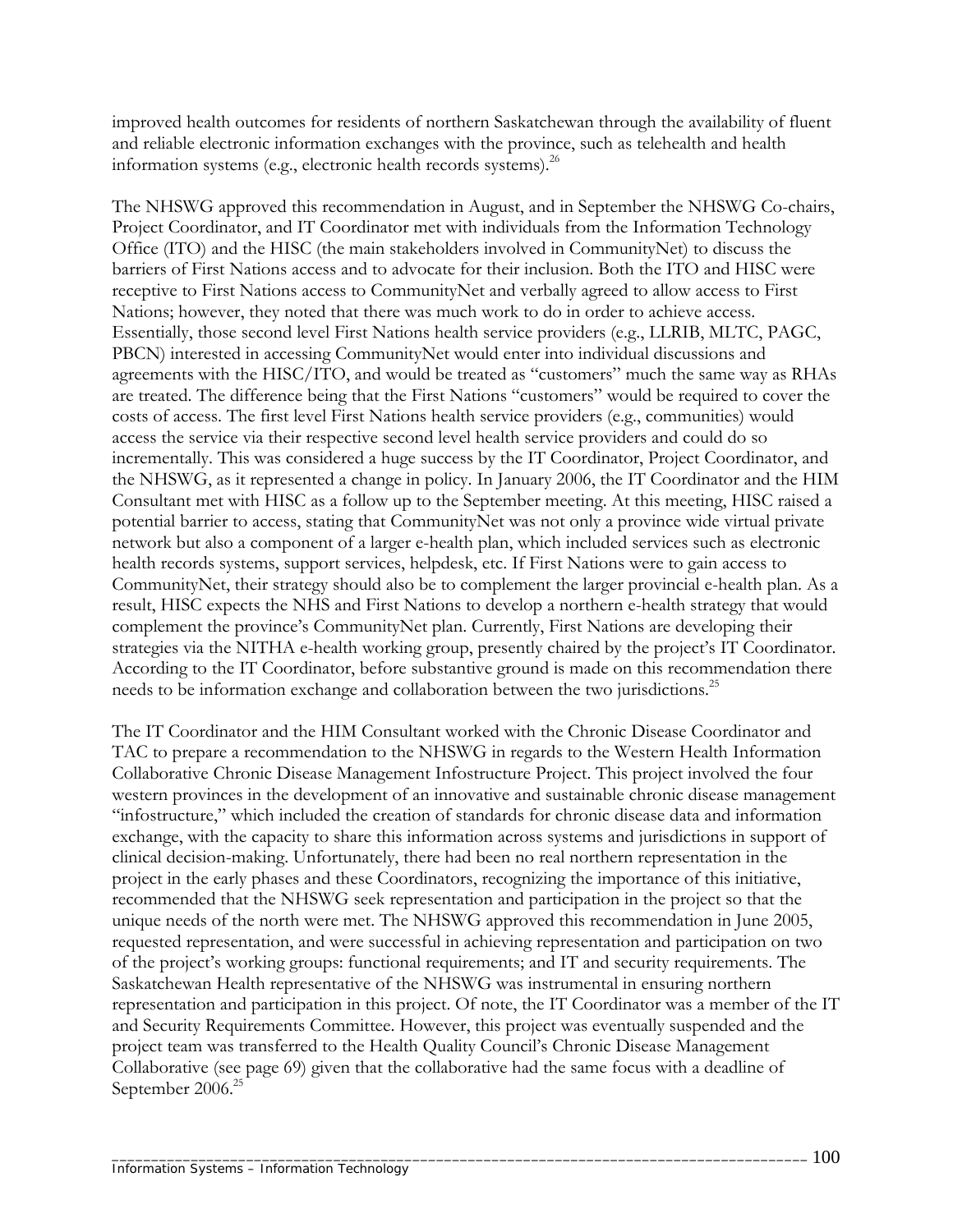improved health outcomes for residents of northern Saskatchewan through the availability of fluent and reliable electronic information exchanges with the province, such as telehealth and health information systems (e.g., electronic health records systems). $^{26}$ 

The NHSWG approved this recommendation in August, and in September the NHSWG Co-chairs, Project Coordinator, and IT Coordinator met with individuals from the Information Technology Office (ITO) and the HISC (the main stakeholders involved in CommunityNet) to discuss the barriers of First Nations access and to advocate for their inclusion. Both the ITO and HISC were receptive to First Nations access to CommunityNet and verbally agreed to allow access to First Nations; however, they noted that there was much work to do in order to achieve access. Essentially, those second level First Nations health service providers (e.g., LLRIB, MLTC, PAGC, PBCN) interested in accessing CommunityNet would enter into individual discussions and agreements with the HISC/ITO, and would be treated as "customers" much the same way as RHAs are treated. The difference being that the First Nations "customers" would be required to cover the costs of access. The first level First Nations health service providers (e.g., communities) would access the service via their respective second level health service providers and could do so incrementally. This was considered a huge success by the IT Coordinator, Project Coordinator, and the NHSWG, as it represented a change in policy. In January 2006, the IT Coordinator and the HIM Consultant met with HISC as a follow up to the September meeting. At this meeting, HISC raised a potential barrier to access, stating that CommunityNet was not only a province wide virtual private network but also a component of a larger e-health plan, which included services such as electronic health records systems, support services, helpdesk, etc. If First Nations were to gain access to CommunityNet, their strategy should also be to complement the larger provincial e-health plan. As a result, HISC expects the NHS and First Nations to develop a northern e-health strategy that would complement the province's CommunityNet plan. Currently, First Nations are developing their strategies via the NITHA e-health working group, presently chaired by the project's IT Coordinator. According to the IT Coordinator, before substantive ground is made on this recommendation there needs to be information exchange and collaboration between the two jurisdictions.<sup>25</sup>

The IT Coordinator and the HIM Consultant worked with the Chronic Disease Coordinator and TAC to prepare a recommendation to the NHSWG in regards to the Western Health Information Collaborative Chronic Disease Management Infostructure Project. This project involved the four western provinces in the development of an innovative and sustainable chronic disease management "infostructure," which included the creation of standards for chronic disease data and information exchange, with the capacity to share this information across systems and jurisdictions in support of clinical decision-making. Unfortunately, there had been no real northern representation in the project in the early phases and these Coordinators, recognizing the importance of this initiative, recommended that the NHSWG seek representation and participation in the project so that the unique needs of the north were met. The NHSWG approved this recommendation in June 2005, requested representation, and were successful in achieving representation and participation on two of the project's working groups: functional requirements; and IT and security requirements. The Saskatchewan Health representative of the NHSWG was instrumental in ensuring northern representation and participation in this project. Of note, the IT Coordinator was a member of the IT and Security Requirements Committee. However, this project was eventually suspended and the project team was transferred to the Health Quality Council's Chronic Disease Management Collaborative (see page 69) given that the collaborative had the same focus with a deadline of September 2006.<sup>25</sup>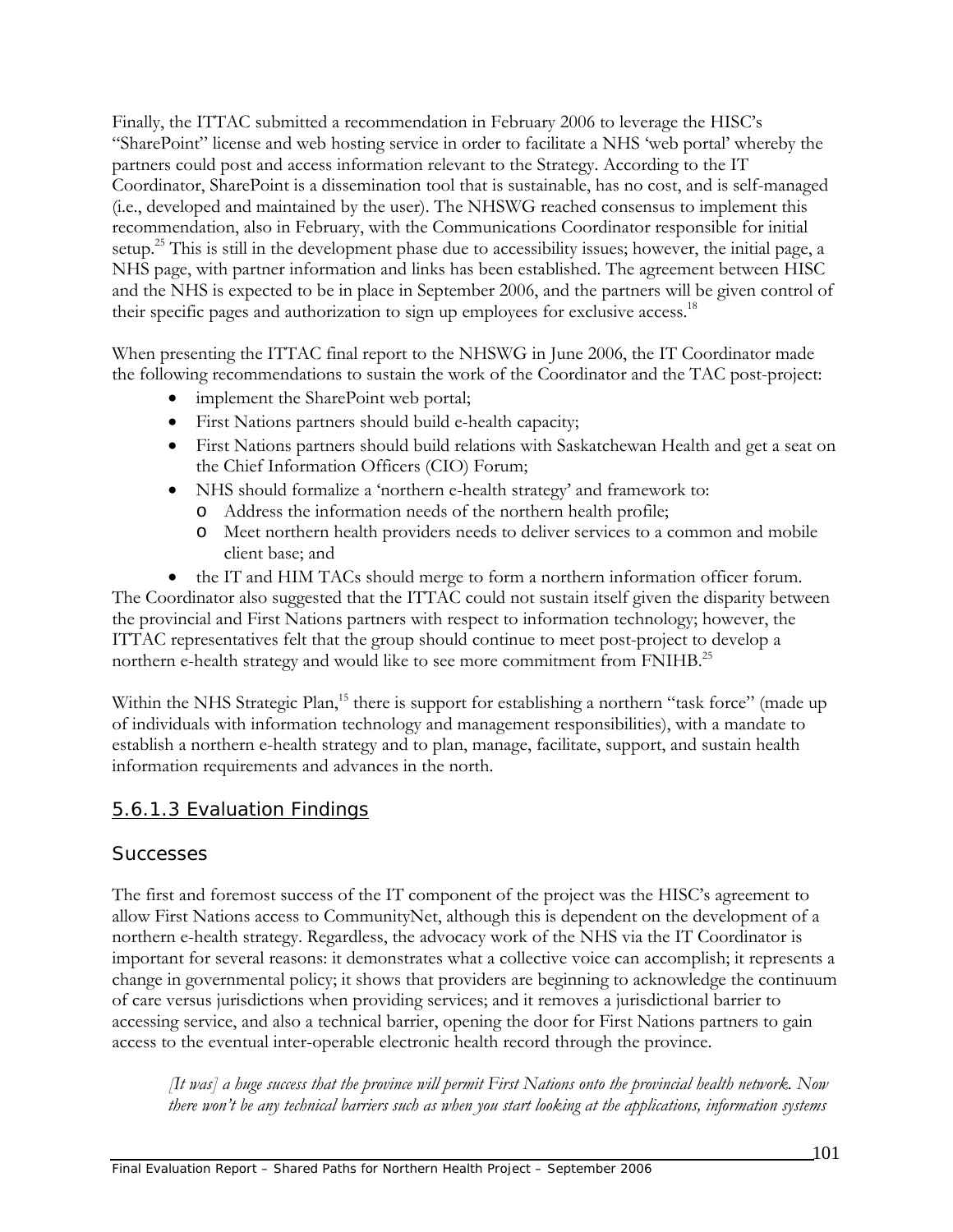Finally, the ITTAC submitted a recommendation in February 2006 to leverage the HISC's "SharePoint" license and web hosting service in order to facilitate a NHS 'web portal' whereby the partners could post and access information relevant to the Strategy. According to the IT Coordinator, SharePoint is a dissemination tool that is sustainable, has no cost, and is self-managed (i.e., developed and maintained by the user). The NHSWG reached consensus to implement this recommendation, also in February, with the Communications Coordinator responsible for initial setup.<sup>25</sup> This is still in the development phase due to accessibility issues; however, the initial page, a NHS page, with partner information and links has been established. The agreement between HISC and the NHS is expected to be in place in September 2006, and the partners will be given control of their specific pages and authorization to sign up employees for exclusive access.<sup>18</sup>

When presenting the ITTAC final report to the NHSWG in June 2006, the IT Coordinator made the following recommendations to sustain the work of the Coordinator and the TAC post-project:

- implement the SharePoint web portal;
- First Nations partners should build e-health capacity;
- First Nations partners should build relations with Saskatchewan Health and get a seat on the Chief Information Officers (CIO) Forum;
- NHS should formalize a 'northern e-health strategy' and framework to:
	- o Address the information needs of the northern health profile;
	- o Meet northern health providers needs to deliver services to a common and mobile client base; and
- the IT and HIM TACs should merge to form a northern information officer forum.

The Coordinator also suggested that the ITTAC could not sustain itself given the disparity between the provincial and First Nations partners with respect to information technology; however, the ITTAC representatives felt that the group should continue to meet post-project to develop a northern e-health strategy and would like to see more commitment from FNIHB.<sup>25</sup>

Within the NHS Strategic Plan,<sup>15</sup> there is support for establishing a northern "task force" (made up of individuals with information technology and management responsibilities), with a mandate to establish a northern e-health strategy and to plan, manage, facilitate, support, and sustain health information requirements and advances in the north.

### 5.6.1.3 Evaluation Findings

#### *Successes*

The first and foremost success of the IT component of the project was the HISC's agreement to allow First Nations access to CommunityNet, although this is dependent on the development of a northern e-health strategy. Regardless, the advocacy work of the NHS via the IT Coordinator is important for several reasons: it demonstrates what a collective voice can accomplish; it represents a change in governmental policy; it shows that providers are beginning to acknowledge the continuum of care versus jurisdictions when providing services; and it removes a jurisdictional barrier to accessing service, and also a technical barrier, opening the door for First Nations partners to gain access to the eventual inter-operable electronic health record through the province.

*[It was] a huge success that the province will permit First Nations onto the provincial health network. Now there won't be any technical barriers such as when you start looking at the applications, information systems*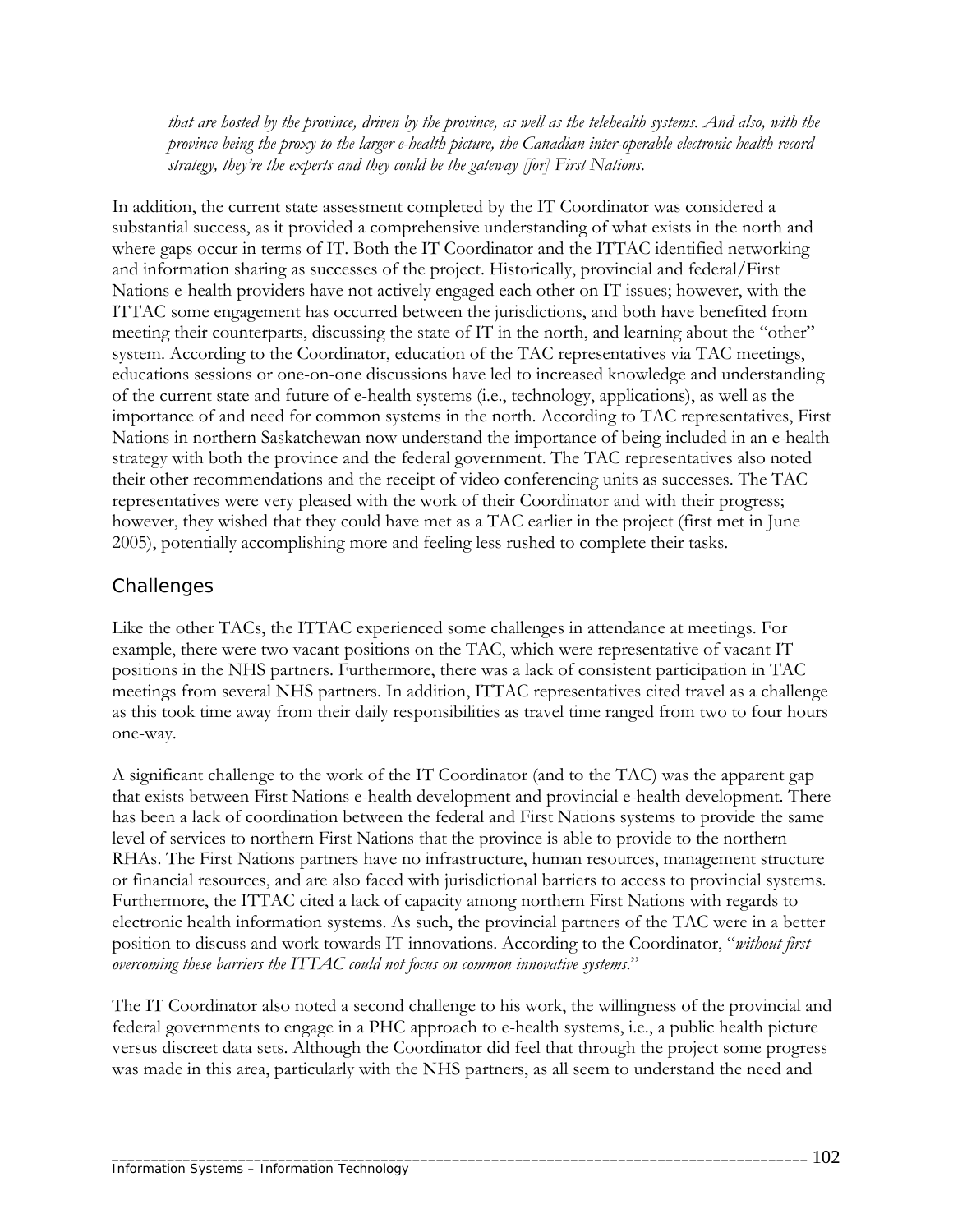*that are hosted by the province, driven by the province, as well as the telehealth systems. And also, with the province being the proxy to the larger e-health picture, the Canadian inter-operable electronic health record strategy, they're the experts and they could be the gateway [for] First Nations.* 

In addition, the current state assessment completed by the IT Coordinator was considered a substantial success, as it provided a comprehensive understanding of what exists in the north and where gaps occur in terms of IT. Both the IT Coordinator and the ITTAC identified networking and information sharing as successes of the project. Historically, provincial and federal/First Nations e-health providers have not actively engaged each other on IT issues; however, with the ITTAC some engagement has occurred between the jurisdictions, and both have benefited from meeting their counterparts, discussing the state of IT in the north, and learning about the "other" system. According to the Coordinator, education of the TAC representatives via TAC meetings, educations sessions or one-on-one discussions have led to increased knowledge and understanding of the current state and future of e-health systems (i.e., technology, applications), as well as the importance of and need for common systems in the north. According to TAC representatives, First Nations in northern Saskatchewan now understand the importance of being included in an e-health strategy with both the province and the federal government. The TAC representatives also noted their other recommendations and the receipt of video conferencing units as successes. The TAC representatives were very pleased with the work of their Coordinator and with their progress; however, they wished that they could have met as a TAC earlier in the project (first met in June 2005), potentially accomplishing more and feeling less rushed to complete their tasks.

## *Challenges*

Like the other TACs, the ITTAC experienced some challenges in attendance at meetings. For example, there were two vacant positions on the TAC, which were representative of vacant IT positions in the NHS partners. Furthermore, there was a lack of consistent participation in TAC meetings from several NHS partners. In addition, ITTAC representatives cited travel as a challenge as this took time away from their daily responsibilities as travel time ranged from two to four hours one-way.

A significant challenge to the work of the IT Coordinator (and to the TAC) was the apparent gap that exists between First Nations e-health development and provincial e-health development. There has been a lack of coordination between the federal and First Nations systems to provide the same level of services to northern First Nations that the province is able to provide to the northern RHAs. The First Nations partners have no infrastructure, human resources, management structure or financial resources, and are also faced with jurisdictional barriers to access to provincial systems. Furthermore, the ITTAC cited a lack of capacity among northern First Nations with regards to electronic health information systems. As such, the provincial partners of the TAC were in a better position to discuss and work towards IT innovations. According to the Coordinator, "*without first overcoming these barriers the ITTAC could not focus on common innovative systems*."

The IT Coordinator also noted a second challenge to his work, the willingness of the provincial and federal governments to engage in a PHC approach to e-health systems, i.e., a public health picture versus discreet data sets. Although the Coordinator did feel that through the project some progress was made in this area, particularly with the NHS partners, as all seem to understand the need and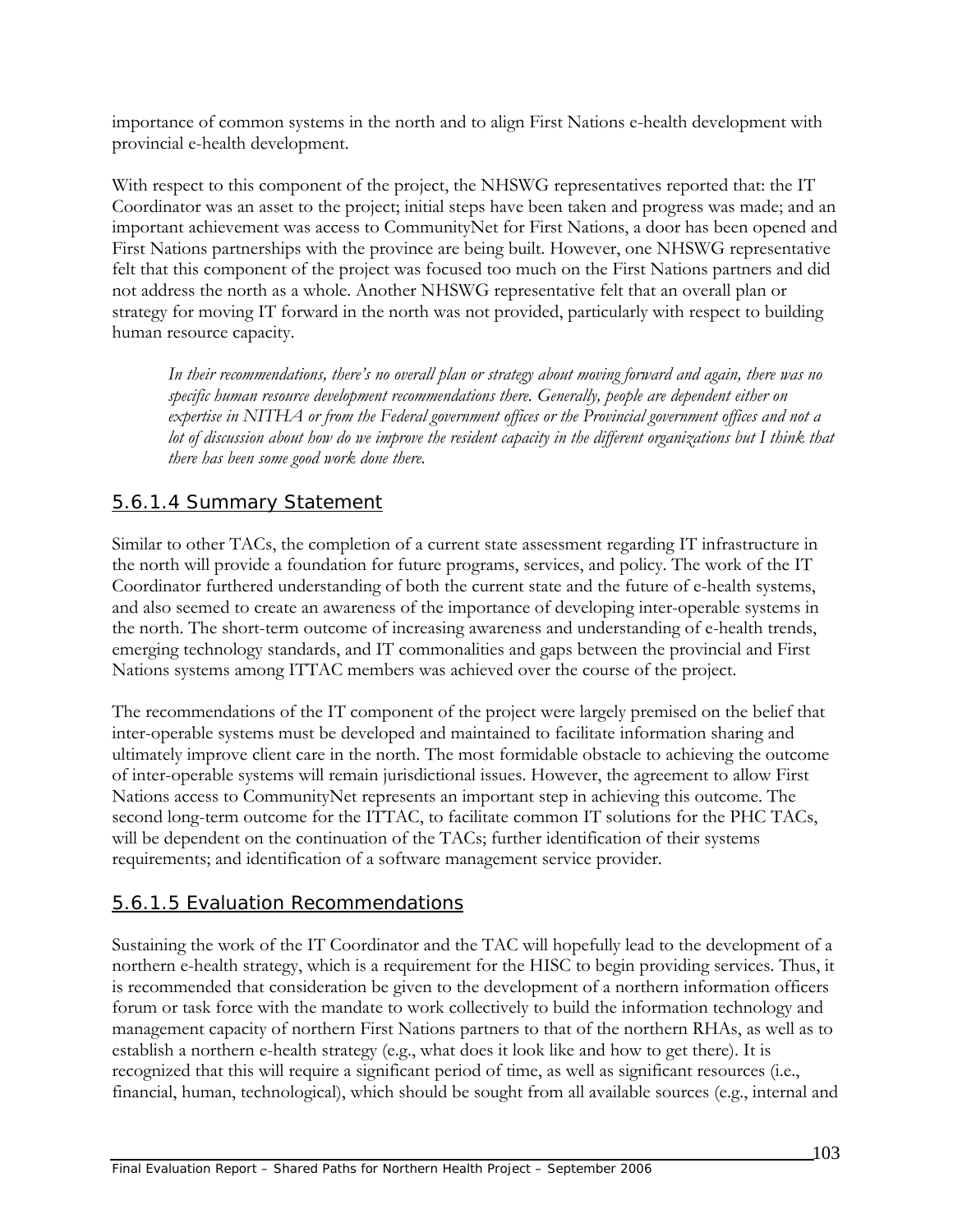importance of common systems in the north and to align First Nations e-health development with provincial e-health development.

With respect to this component of the project, the NHSWG representatives reported that: the IT Coordinator was an asset to the project; initial steps have been taken and progress was made; and an important achievement was access to CommunityNet for First Nations, a door has been opened and First Nations partnerships with the province are being built. However, one NHSWG representative felt that this component of the project was focused too much on the First Nations partners and did not address the north as a whole. Another NHSWG representative felt that an overall plan or strategy for moving IT forward in the north was not provided, particularly with respect to building human resource capacity.

*In their recommendations, there's no overall plan or strategy about moving forward and again, there was no specific human resource development recommendations there. Generally, people are dependent either on expertise in NITHA or from the Federal government offices or the Provincial government offices and not a* lot of discussion about how do we improve the resident capacity in the different organizations but I think that *there has been some good work done there.* 

# 5.6.1.4 Summary Statement

Similar to other TACs, the completion of a current state assessment regarding IT infrastructure in the north will provide a foundation for future programs, services, and policy. The work of the IT Coordinator furthered understanding of both the current state and the future of e-health systems, and also seemed to create an awareness of the importance of developing inter-operable systems in the north. The short-term outcome of increasing awareness and understanding of e-health trends, emerging technology standards, and IT commonalities and gaps between the provincial and First Nations systems among ITTAC members was achieved over the course of the project.

The recommendations of the IT component of the project were largely premised on the belief that inter-operable systems must be developed and maintained to facilitate information sharing and ultimately improve client care in the north. The most formidable obstacle to achieving the outcome of inter-operable systems will remain jurisdictional issues. However, the agreement to allow First Nations access to CommunityNet represents an important step in achieving this outcome. The second long-term outcome for the ITTAC, to facilitate common IT solutions for the PHC TACs, will be dependent on the continuation of the TACs; further identification of their systems requirements; and identification of a software management service provider.

# 5.6.1.5 Evaluation Recommendations

Sustaining the work of the IT Coordinator and the TAC will hopefully lead to the development of a northern e-health strategy, which is a requirement for the HISC to begin providing services. Thus, it is recommended that consideration be given to the development of a northern information officers forum or task force with the mandate to work collectively to build the information technology and management capacity of northern First Nations partners to that of the northern RHAs, as well as to establish a northern e-health strategy (e.g., what does it look like and how to get there). It is recognized that this will require a significant period of time, as well as significant resources (i.e., financial, human, technological), which should be sought from all available sources (e.g., internal and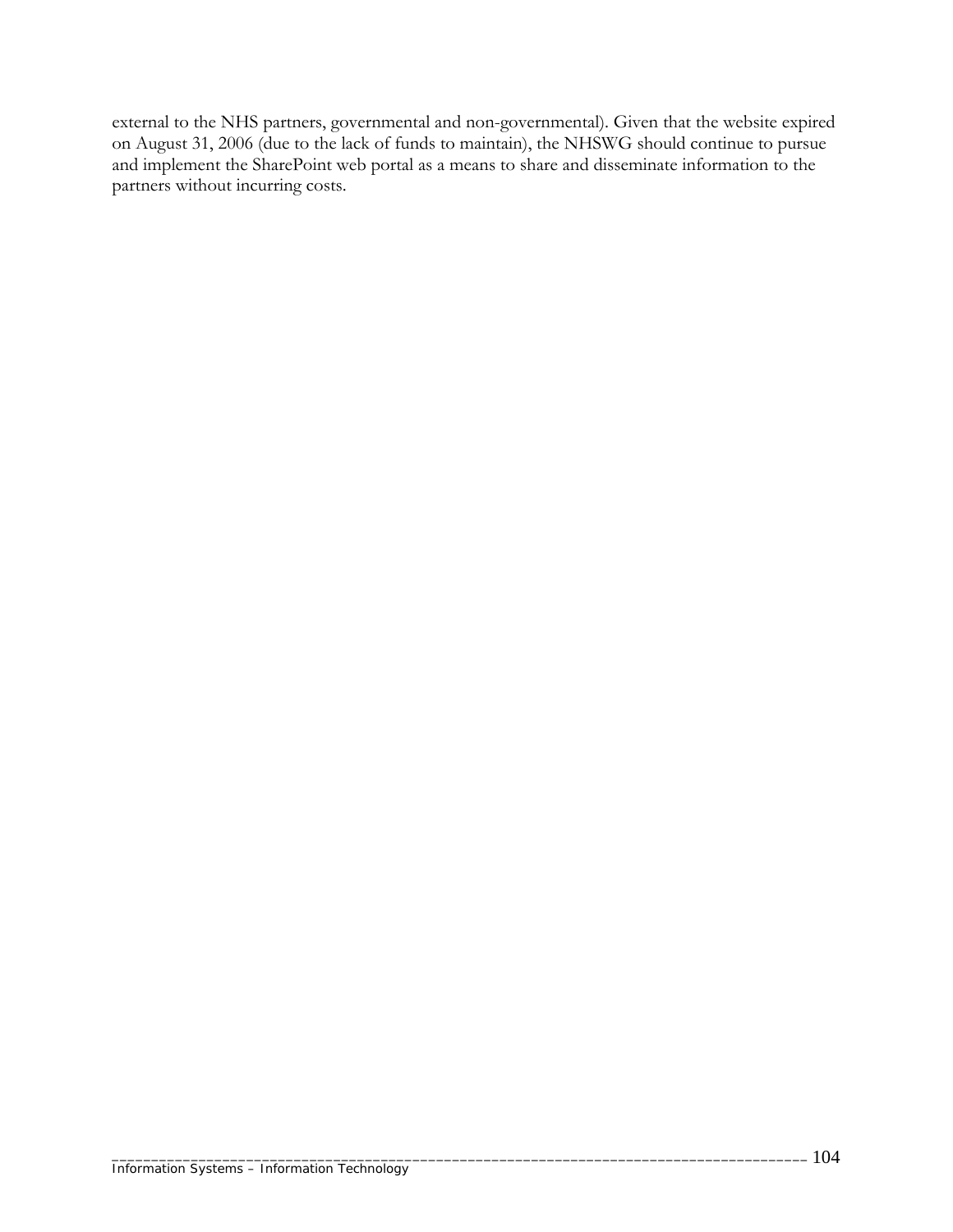external to the NHS partners, governmental and non-governmental). Given that the website expired on August 31, 2006 (due to the lack of funds to maintain), the NHSWG should continue to pursue and implement the SharePoint web portal as a means to share and disseminate information to the partners without incurring costs.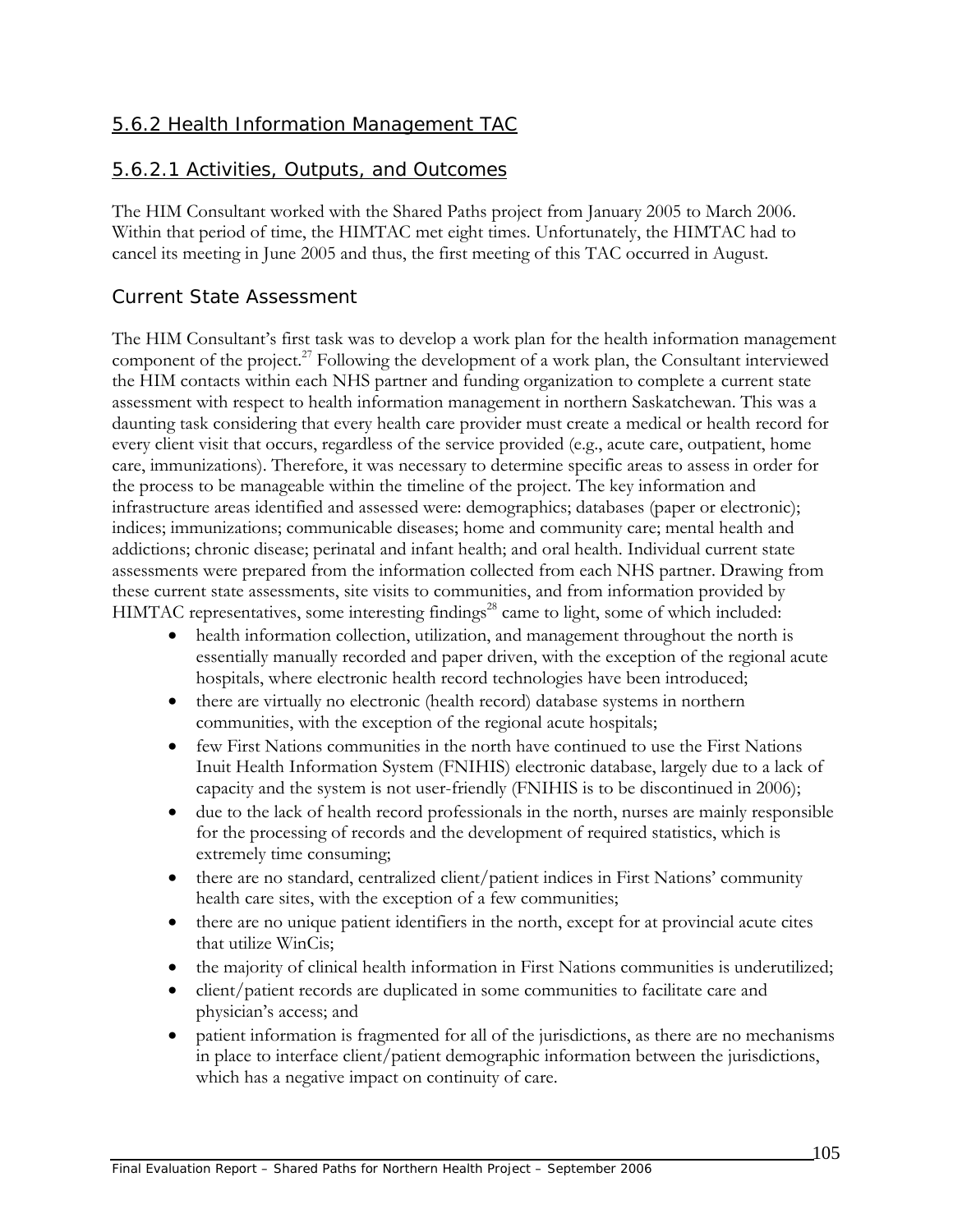## 5.6.2 Health Information Management TAC

#### 5.6.2.1 Activities, Outputs, and Outcomes

The HIM Consultant worked with the Shared Paths project from January 2005 to March 2006. Within that period of time, the HIMTAC met eight times. Unfortunately, the HIMTAC had to cancel its meeting in June 2005 and thus, the first meeting of this TAC occurred in August.

#### *Current State Assessment*

The HIM Consultant's first task was to develop a work plan for the health information management component of the project.<sup>27</sup> Following the development of a work plan, the Consultant interviewed the HIM contacts within each NHS partner and funding organization to complete a current state assessment with respect to health information management in northern Saskatchewan. This was a daunting task considering that every health care provider must create a medical or health record for every client visit that occurs, regardless of the service provided (e.g., acute care, outpatient, home care, immunizations). Therefore, it was necessary to determine specific areas to assess in order for the process to be manageable within the timeline of the project. The key information and infrastructure areas identified and assessed were: demographics; databases (paper or electronic); indices; immunizations; communicable diseases; home and community care; mental health and addictions; chronic disease; perinatal and infant health; and oral health. Individual current state assessments were prepared from the information collected from each NHS partner. Drawing from these current state assessments, site visits to communities, and from information provided by HIMTAC representatives, some interesting findings<sup>28</sup> came to light, some of which included:

- health information collection, utilization, and management throughout the north is essentially manually recorded and paper driven, with the exception of the regional acute hospitals, where electronic health record technologies have been introduced;
- there are virtually no electronic (health record) database systems in northern communities, with the exception of the regional acute hospitals;
- few First Nations communities in the north have continued to use the First Nations Inuit Health Information System (FNIHIS) electronic database, largely due to a lack of capacity and the system is not user-friendly (FNIHIS is to be discontinued in 2006);
- due to the lack of health record professionals in the north, nurses are mainly responsible for the processing of records and the development of required statistics, which is extremely time consuming;
- there are no standard, centralized client/patient indices in First Nations' community health care sites, with the exception of a few communities;
- there are no unique patient identifiers in the north, except for at provincial acute cites that utilize WinCis;
- the majority of clinical health information in First Nations communities is underutilized;
- client/patient records are duplicated in some communities to facilitate care and physician's access; and
- patient information is fragmented for all of the jurisdictions, as there are no mechanisms in place to interface client/patient demographic information between the jurisdictions, which has a negative impact on continuity of care.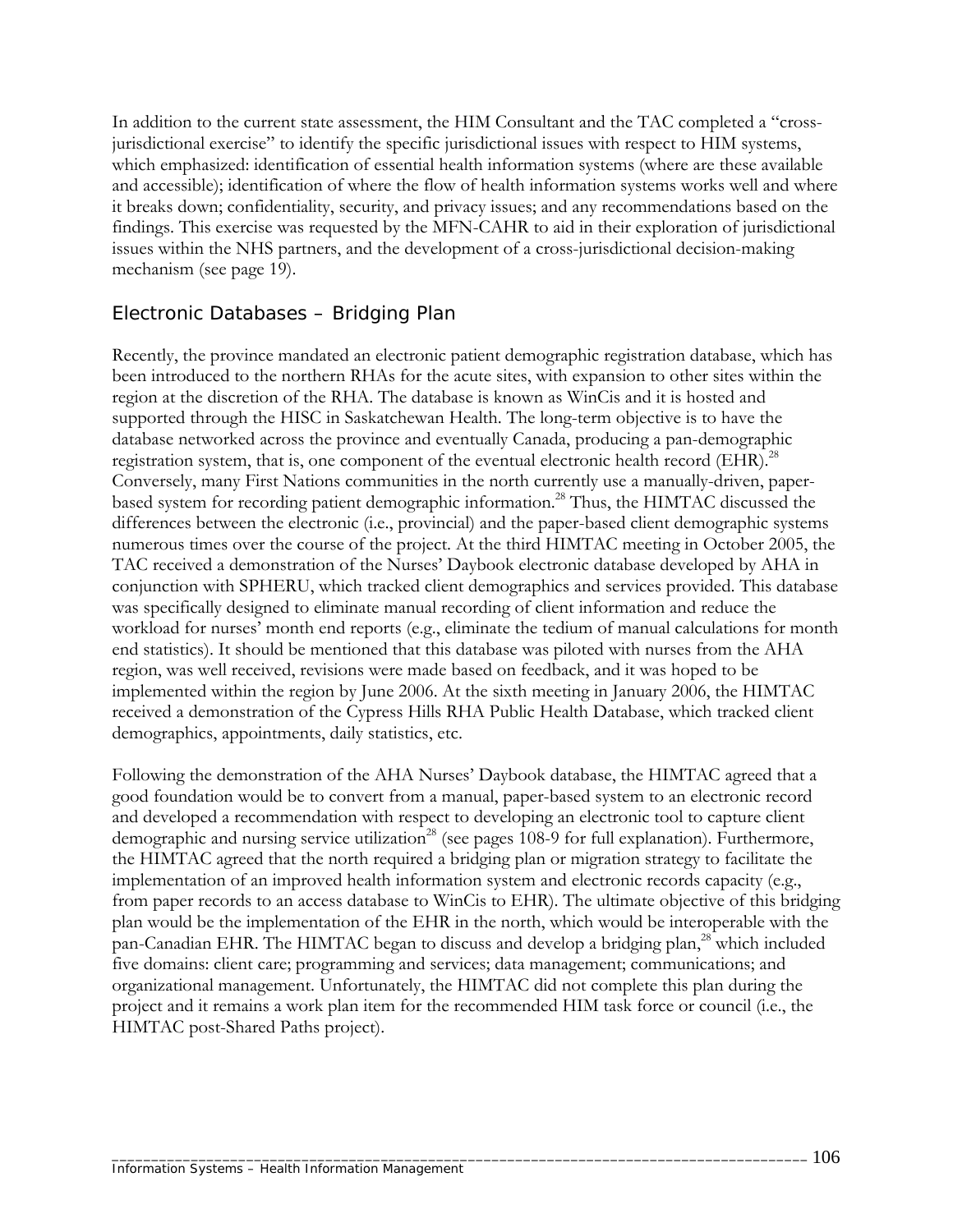In addition to the current state assessment, the HIM Consultant and the TAC completed a "crossjurisdictional exercise" to identify the specific jurisdictional issues with respect to HIM systems, which emphasized: identification of essential health information systems (where are these available and accessible); identification of where the flow of health information systems works well and where it breaks down; confidentiality, security, and privacy issues; and any recommendations based on the findings. This exercise was requested by the MFN-CAHR to aid in their exploration of jurisdictional issues within the NHS partners, and the development of a cross-jurisdictional decision-making mechanism (see page 19).

## *Electronic Databases – Bridging Plan*

Recently, the province mandated an electronic patient demographic registration database, which has been introduced to the northern RHAs for the acute sites, with expansion to other sites within the region at the discretion of the RHA. The database is known as WinCis and it is hosted and supported through the HISC in Saskatchewan Health. The long-term objective is to have the database networked across the province and eventually Canada, producing a pan-demographic registration system, that is, one component of the eventual electronic health record (EHR).<sup>28</sup> Conversely, many First Nations communities in the north currently use a manually-driven, paperbased system for recording patient demographic information.<sup>28</sup> Thus, the HIMTAC discussed the differences between the electronic (i.e., provincial) and the paper-based client demographic systems numerous times over the course of the project. At the third HIMTAC meeting in October 2005, the TAC received a demonstration of the Nurses' Daybook electronic database developed by AHA in conjunction with SPHERU, which tracked client demographics and services provided. This database was specifically designed to eliminate manual recording of client information and reduce the workload for nurses' month end reports (e.g., eliminate the tedium of manual calculations for month end statistics). It should be mentioned that this database was piloted with nurses from the AHA region, was well received, revisions were made based on feedback, and it was hoped to be implemented within the region by June 2006. At the sixth meeting in January 2006, the HIMTAC received a demonstration of the Cypress Hills RHA Public Health Database, which tracked client demographics, appointments, daily statistics, etc.

Following the demonstration of the AHA Nurses' Daybook database, the HIMTAC agreed that a good foundation would be to convert from a manual, paper-based system to an electronic record and developed a recommendation with respect to developing an electronic tool to capture client demographic and nursing service utilization<sup>28</sup> (see pages 108-9 for full explanation). Furthermore, the HIMTAC agreed that the north required a bridging plan or migration strategy to facilitate the implementation of an improved health information system and electronic records capacity (e.g., from paper records to an access database to WinCis to EHR). The ultimate objective of this bridging plan would be the implementation of the EHR in the north, which would be interoperable with the pan-Canadian EHR. The HIMTAC began to discuss and develop a bridging plan,<sup>28</sup> which included five domains: client care; programming and services; data management; communications; and organizational management. Unfortunately, the HIMTAC did not complete this plan during the project and it remains a work plan item for the recommended HIM task force or council (i.e., the HIMTAC post-Shared Paths project).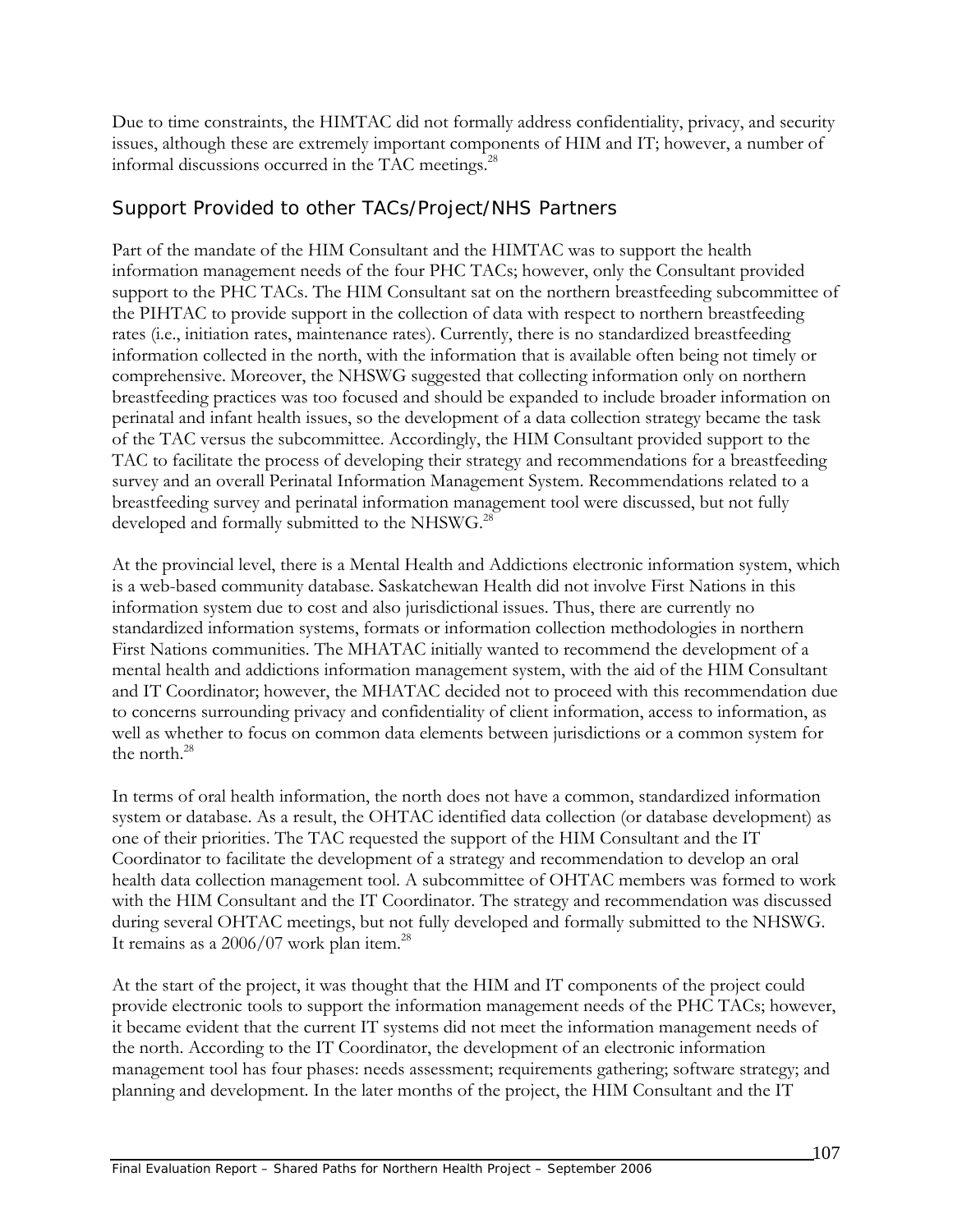Due to time constraints, the HIMTAC did not formally address confidentiality, privacy, and security issues, although these are extremely important components of HIM and IT; however, a number of informal discussions occurred in the TAC meetings.<sup>28</sup>

## *Support Provided to other TACs/Project/NHS Partners*

Part of the mandate of the HIM Consultant and the HIMTAC was to support the health information management needs of the four PHC TACs; however, only the Consultant provided support to the PHC TACs. The HIM Consultant sat on the northern breastfeeding subcommittee of the PIHTAC to provide support in the collection of data with respect to northern breastfeeding rates (i.e., initiation rates, maintenance rates). Currently, there is no standardized breastfeeding information collected in the north, with the information that is available often being not timely or comprehensive. Moreover, the NHSWG suggested that collecting information only on northern breastfeeding practices was too focused and should be expanded to include broader information on perinatal and infant health issues, so the development of a data collection strategy became the task of the TAC versus the subcommittee. Accordingly, the HIM Consultant provided support to the TAC to facilitate the process of developing their strategy and recommendations for a breastfeeding survey and an overall Perinatal Information Management System. Recommendations related to a breastfeeding survey and perinatal information management tool were discussed, but not fully developed and formally submitted to the NHSWG.<sup>28</sup>

At the provincial level, there is a Mental Health and Addictions electronic information system, which is a web-based community database. Saskatchewan Health did not involve First Nations in this information system due to cost and also jurisdictional issues. Thus, there are currently no standardized information systems, formats or information collection methodologies in northern First Nations communities. The MHATAC initially wanted to recommend the development of a mental health and addictions information management system, with the aid of the HIM Consultant and IT Coordinator; however, the MHATAC decided not to proceed with this recommendation due to concerns surrounding privacy and confidentiality of client information, access to information, as well as whether to focus on common data elements between jurisdictions or a common system for the north.28

In terms of oral health information, the north does not have a common, standardized information system or database. As a result, the OHTAC identified data collection (or database development) as one of their priorities. The TAC requested the support of the HIM Consultant and the IT Coordinator to facilitate the development of a strategy and recommendation to develop an oral health data collection management tool. A subcommittee of OHTAC members was formed to work with the HIM Consultant and the IT Coordinator. The strategy and recommendation was discussed during several OHTAC meetings, but not fully developed and formally submitted to the NHSWG. It remains as a  $2006/07$  work plan item.<sup>28</sup>

At the start of the project, it was thought that the HIM and IT components of the project could provide electronic tools to support the information management needs of the PHC TACs; however, it became evident that the current IT systems did not meet the information management needs of the north. According to the IT Coordinator, the development of an electronic information management tool has four phases: needs assessment; requirements gathering; software strategy; and planning and development. In the later months of the project, the HIM Consultant and the IT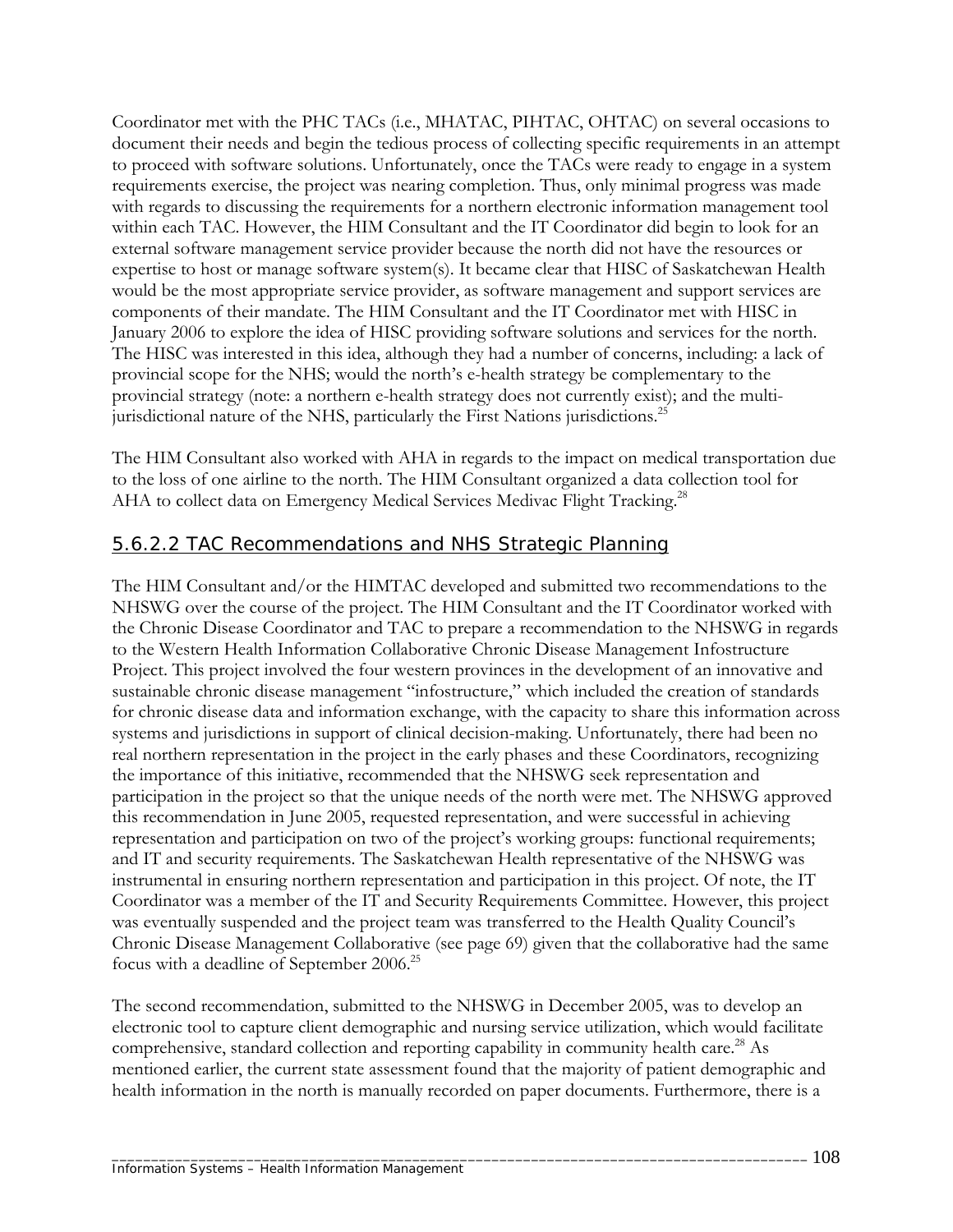Coordinator met with the PHC TACs (i.e., MHATAC, PIHTAC, OHTAC) on several occasions to document their needs and begin the tedious process of collecting specific requirements in an attempt to proceed with software solutions. Unfortunately, once the TACs were ready to engage in a system requirements exercise, the project was nearing completion. Thus, only minimal progress was made with regards to discussing the requirements for a northern electronic information management tool within each TAC. However, the HIM Consultant and the IT Coordinator did begin to look for an external software management service provider because the north did not have the resources or expertise to host or manage software system(s). It became clear that HISC of Saskatchewan Health would be the most appropriate service provider, as software management and support services are components of their mandate. The HIM Consultant and the IT Coordinator met with HISC in January 2006 to explore the idea of HISC providing software solutions and services for the north. The HISC was interested in this idea, although they had a number of concerns, including: a lack of provincial scope for the NHS; would the north's e-health strategy be complementary to the provincial strategy (note: a northern e-health strategy does not currently exist); and the multijurisdictional nature of the NHS, particularly the First Nations jurisdictions.<sup>25</sup>

The HIM Consultant also worked with AHA in regards to the impact on medical transportation due to the loss of one airline to the north. The HIM Consultant organized a data collection tool for AHA to collect data on Emergency Medical Services Medivac Flight Tracking.<sup>28</sup>

# 5.6.2.2 TAC Recommendations and NHS Strategic Planning

The HIM Consultant and/or the HIMTAC developed and submitted two recommendations to the NHSWG over the course of the project. The HIM Consultant and the IT Coordinator worked with the Chronic Disease Coordinator and TAC to prepare a recommendation to the NHSWG in regards to the Western Health Information Collaborative Chronic Disease Management Infostructure Project. This project involved the four western provinces in the development of an innovative and sustainable chronic disease management "infostructure," which included the creation of standards for chronic disease data and information exchange, with the capacity to share this information across systems and jurisdictions in support of clinical decision-making. Unfortunately, there had been no real northern representation in the project in the early phases and these Coordinators, recognizing the importance of this initiative, recommended that the NHSWG seek representation and participation in the project so that the unique needs of the north were met. The NHSWG approved this recommendation in June 2005, requested representation, and were successful in achieving representation and participation on two of the project's working groups: functional requirements; and IT and security requirements. The Saskatchewan Health representative of the NHSWG was instrumental in ensuring northern representation and participation in this project. Of note, the IT Coordinator was a member of the IT and Security Requirements Committee. However, this project was eventually suspended and the project team was transferred to the Health Quality Council's Chronic Disease Management Collaborative (see page 69) given that the collaborative had the same focus with a deadline of September 2006.25

The second recommendation, submitted to the NHSWG in December 2005, was to develop an electronic tool to capture client demographic and nursing service utilization, which would facilitate comprehensive, standard collection and reporting capability in community health care.<sup>28</sup> As mentioned earlier, the current state assessment found that the majority of patient demographic and health information in the north is manually recorded on paper documents. Furthermore, there is a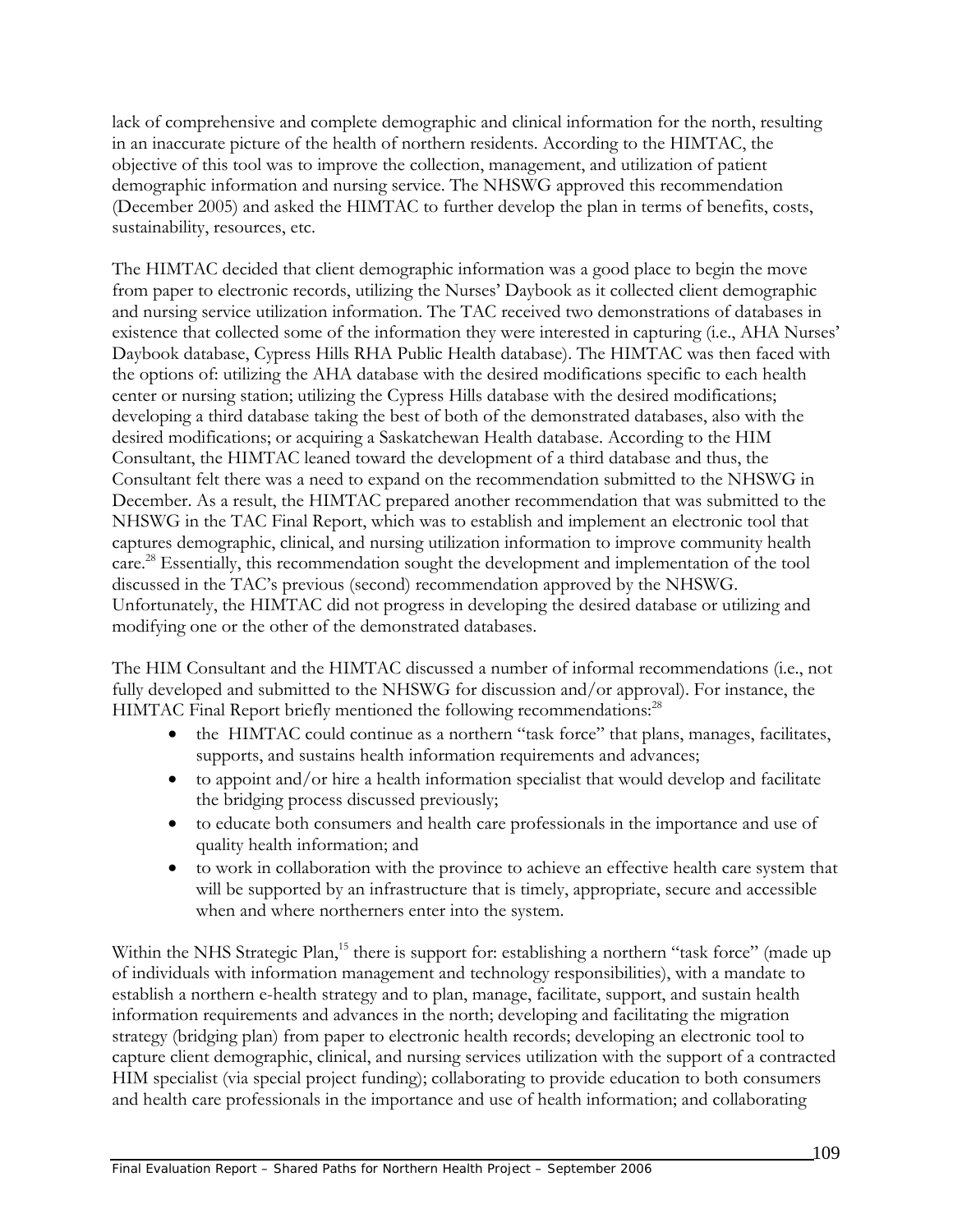lack of comprehensive and complete demographic and clinical information for the north, resulting in an inaccurate picture of the health of northern residents. According to the HIMTAC, the objective of this tool was to improve the collection, management, and utilization of patient demographic information and nursing service. The NHSWG approved this recommendation (December 2005) and asked the HIMTAC to further develop the plan in terms of benefits, costs, sustainability, resources, etc.

The HIMTAC decided that client demographic information was a good place to begin the move from paper to electronic records, utilizing the Nurses' Daybook as it collected client demographic and nursing service utilization information. The TAC received two demonstrations of databases in existence that collected some of the information they were interested in capturing (i.e., AHA Nurses' Daybook database, Cypress Hills RHA Public Health database). The HIMTAC was then faced with the options of: utilizing the AHA database with the desired modifications specific to each health center or nursing station; utilizing the Cypress Hills database with the desired modifications; developing a third database taking the best of both of the demonstrated databases, also with the desired modifications; or acquiring a Saskatchewan Health database. According to the HIM Consultant, the HIMTAC leaned toward the development of a third database and thus, the Consultant felt there was a need to expand on the recommendation submitted to the NHSWG in December. As a result, the HIMTAC prepared another recommendation that was submitted to the NHSWG in the TAC Final Report, which was to establish and implement an electronic tool that captures demographic, clinical, and nursing utilization information to improve community health care.<sup>28</sup> Essentially, this recommendation sought the development and implementation of the tool discussed in the TAC's previous (second) recommendation approved by the NHSWG. Unfortunately, the HIMTAC did not progress in developing the desired database or utilizing and modifying one or the other of the demonstrated databases.

The HIM Consultant and the HIMTAC discussed a number of informal recommendations (i.e., not fully developed and submitted to the NHSWG for discussion and/or approval). For instance, the HIMTAC Final Report briefly mentioned the following recommendations:<sup>28</sup>

- the HIMTAC could continue as a northern "task force" that plans, manages, facilitates, supports, and sustains health information requirements and advances;
- to appoint and/or hire a health information specialist that would develop and facilitate the bridging process discussed previously;
- to educate both consumers and health care professionals in the importance and use of quality health information; and
- to work in collaboration with the province to achieve an effective health care system that will be supported by an infrastructure that is timely, appropriate, secure and accessible when and where northerners enter into the system.

Within the NHS Strategic Plan,<sup>15</sup> there is support for: establishing a northern "task force" (made up of individuals with information management and technology responsibilities), with a mandate to establish a northern e-health strategy and to plan, manage, facilitate, support, and sustain health information requirements and advances in the north; developing and facilitating the migration strategy (bridging plan) from paper to electronic health records; developing an electronic tool to capture client demographic, clinical, and nursing services utilization with the support of a contracted HIM specialist (via special project funding); collaborating to provide education to both consumers and health care professionals in the importance and use of health information; and collaborating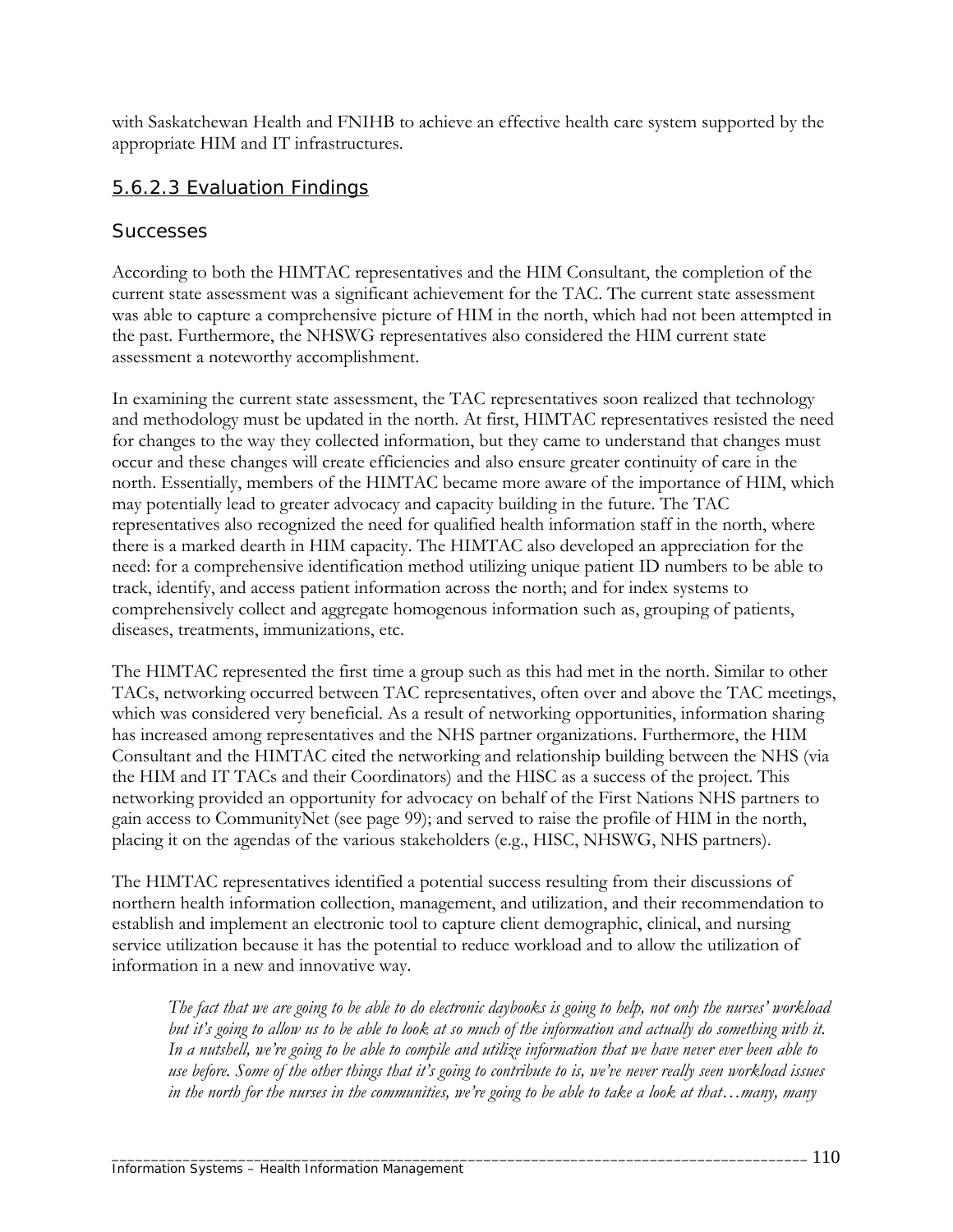with Saskatchewan Health and FNIHB to achieve an effective health care system supported by the appropriate HIM and IT infrastructures.

### 5.6.2.3 Evaluation Findings

#### *Successes*

According to both the HIMTAC representatives and the HIM Consultant, the completion of the current state assessment was a significant achievement for the TAC. The current state assessment was able to capture a comprehensive picture of HIM in the north, which had not been attempted in the past. Furthermore, the NHSWG representatives also considered the HIM current state assessment a noteworthy accomplishment.

In examining the current state assessment, the TAC representatives soon realized that technology and methodology must be updated in the north. At first, HIMTAC representatives resisted the need for changes to the way they collected information, but they came to understand that changes must occur and these changes will create efficiencies and also ensure greater continuity of care in the north. Essentially, members of the HIMTAC became more aware of the importance of HIM, which may potentially lead to greater advocacy and capacity building in the future. The TAC representatives also recognized the need for qualified health information staff in the north, where there is a marked dearth in HIM capacity. The HIMTAC also developed an appreciation for the need: for a comprehensive identification method utilizing unique patient ID numbers to be able to track, identify, and access patient information across the north; and for index systems to comprehensively collect and aggregate homogenous information such as, grouping of patients, diseases, treatments, immunizations, etc.

The HIMTAC represented the first time a group such as this had met in the north. Similar to other TACs, networking occurred between TAC representatives, often over and above the TAC meetings, which was considered very beneficial. As a result of networking opportunities, information sharing has increased among representatives and the NHS partner organizations. Furthermore, the HIM Consultant and the HIMTAC cited the networking and relationship building between the NHS (via the HIM and IT TACs and their Coordinators) and the HISC as a success of the project. This networking provided an opportunity for advocacy on behalf of the First Nations NHS partners to gain access to CommunityNet (see page 99); and served to raise the profile of HIM in the north, placing it on the agendas of the various stakeholders (e.g., HISC, NHSWG, NHS partners).

The HIMTAC representatives identified a potential success resulting from their discussions of northern health information collection, management, and utilization, and their recommendation to establish and implement an electronic tool to capture client demographic, clinical, and nursing service utilization because it has the potential to reduce workload and to allow the utilization of information in a new and innovative way.

*The fact that we are going to be able to do electronic daybooks is going to help, not only the nurses' workload*  but it's going to allow us to be able to look at so much of the information and actually do something with it. *In a nutshell, we're going to be able to compile and utilize information that we have never ever been able to use before. Some of the other things that it's going to contribute to is, we've never really seen workload issues in the north for the nurses in the communities, we're going to be able to take a look at that…many, many*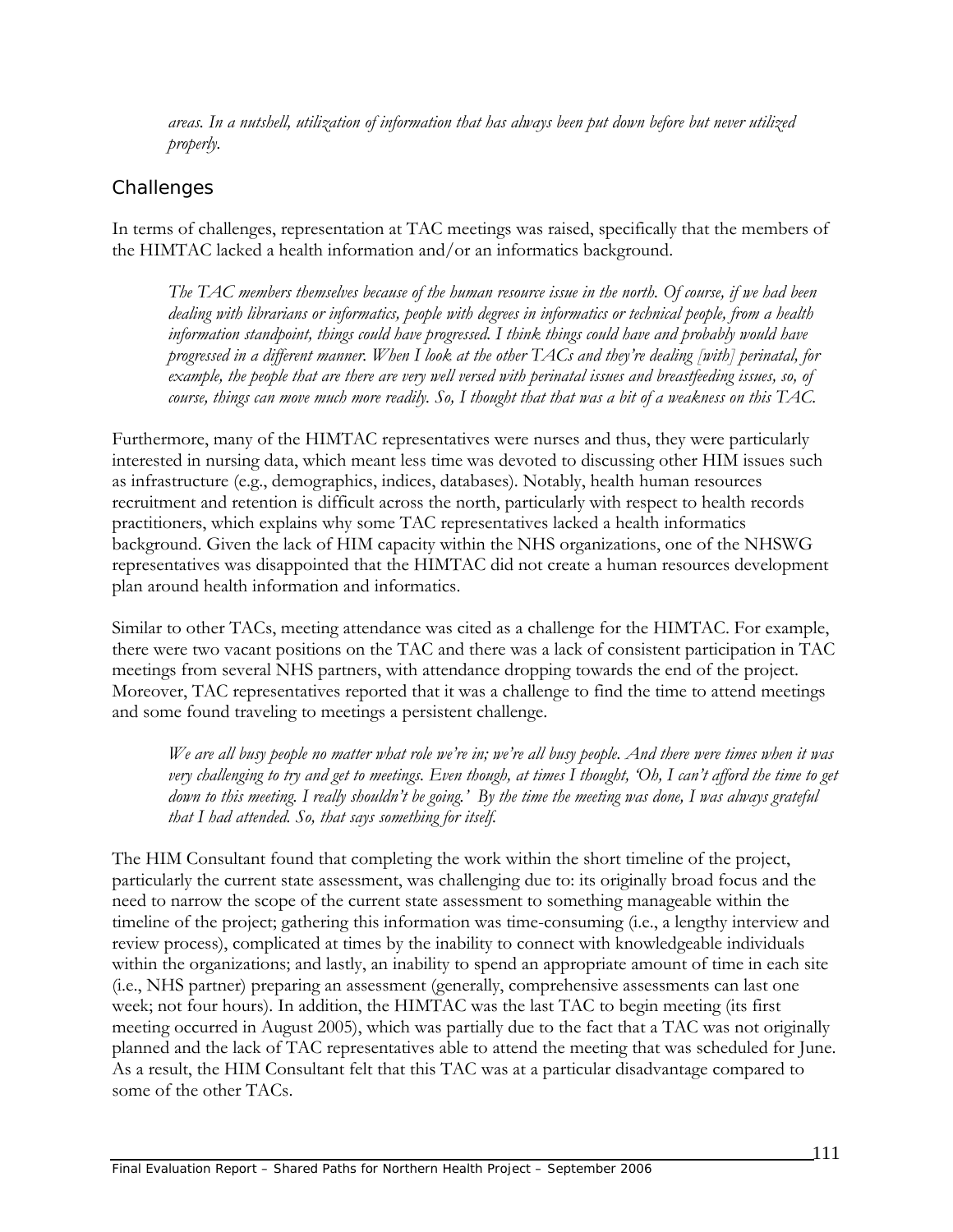*areas. In a nutshell, utilization of information that has always been put down before but never utilized properly.* 

### *Challenges*

In terms of challenges, representation at TAC meetings was raised, specifically that the members of the HIMTAC lacked a health information and/or an informatics background.

*The TAC members themselves because of the human resource issue in the north. Of course, if we had been dealing with librarians or informatics, people with degrees in informatics or technical people, from a health information standpoint, things could have progressed. I think things could have and probably would have progressed in a different manner. When I look at the other TACs and they're dealing [with] perinatal, for example, the people that are there are very well versed with perinatal issues and breastfeeding issues, so, of course, things can move much more readily. So, I thought that that was a bit of a weakness on this TAC.* 

Furthermore, many of the HIMTAC representatives were nurses and thus, they were particularly interested in nursing data, which meant less time was devoted to discussing other HIM issues such as infrastructure (e.g., demographics, indices, databases). Notably, health human resources recruitment and retention is difficult across the north, particularly with respect to health records practitioners, which explains why some TAC representatives lacked a health informatics background. Given the lack of HIM capacity within the NHS organizations, one of the NHSWG representatives was disappointed that the HIMTAC did not create a human resources development plan around health information and informatics.

Similar to other TACs, meeting attendance was cited as a challenge for the HIMTAC. For example, there were two vacant positions on the TAC and there was a lack of consistent participation in TAC meetings from several NHS partners, with attendance dropping towards the end of the project. Moreover, TAC representatives reported that it was a challenge to find the time to attend meetings and some found traveling to meetings a persistent challenge.

*We are all busy people no matter what role we're in; we're all busy people. And there were times when it was very challenging to try and get to meetings. Even though, at times I thought, 'Oh, I can't afford the time to get down to this meeting. I really shouldn't be going.' By the time the meeting was done, I was always grateful that I had attended. So, that says something for itself.* 

The HIM Consultant found that completing the work within the short timeline of the project, particularly the current state assessment, was challenging due to: its originally broad focus and the need to narrow the scope of the current state assessment to something manageable within the timeline of the project; gathering this information was time-consuming (i.e., a lengthy interview and review process), complicated at times by the inability to connect with knowledgeable individuals within the organizations; and lastly, an inability to spend an appropriate amount of time in each site (i.e., NHS partner) preparing an assessment (generally, comprehensive assessments can last one week; not four hours). In addition, the HIMTAC was the last TAC to begin meeting (its first meeting occurred in August 2005), which was partially due to the fact that a TAC was not originally planned and the lack of TAC representatives able to attend the meeting that was scheduled for June. As a result, the HIM Consultant felt that this TAC was at a particular disadvantage compared to some of the other TACs.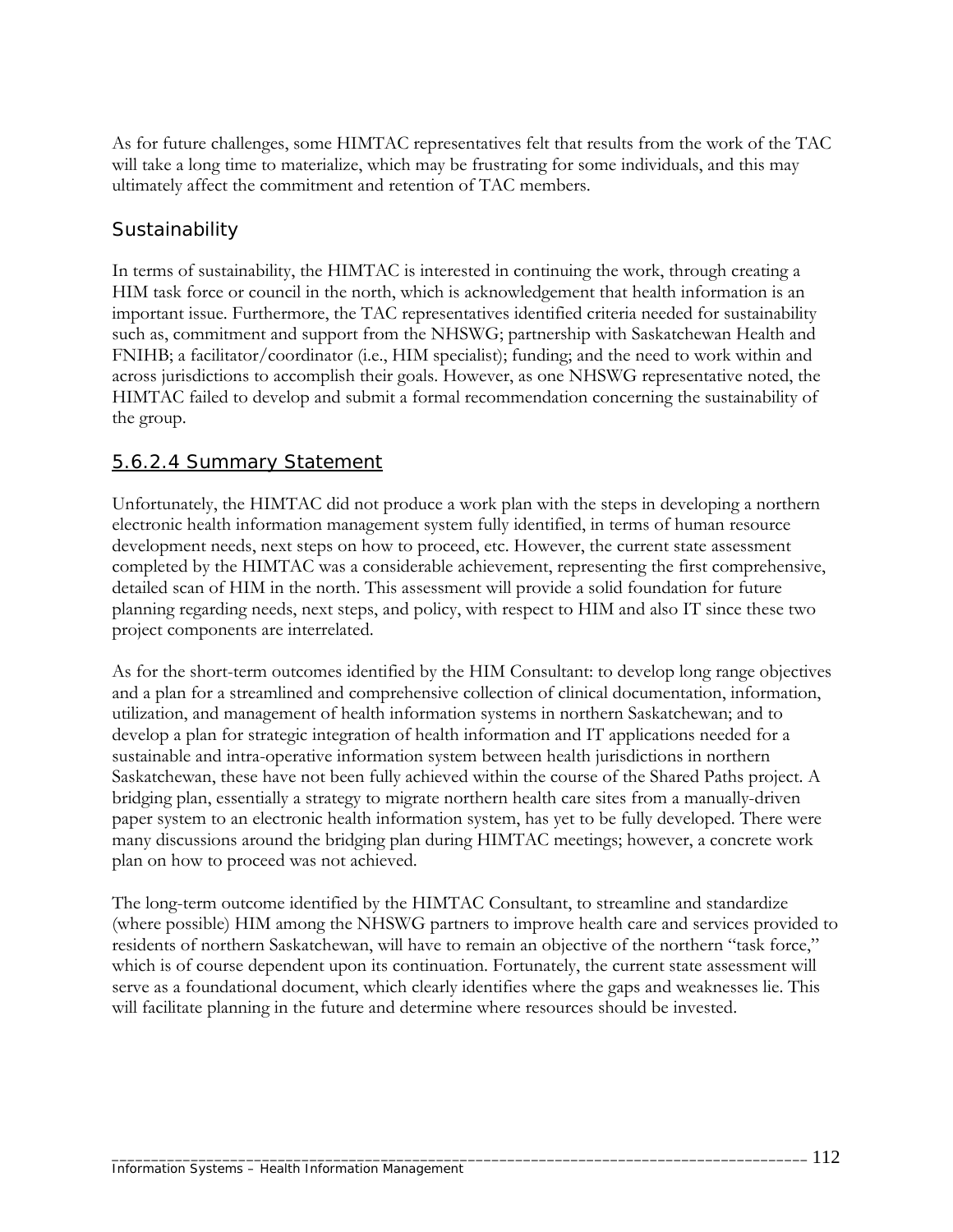As for future challenges, some HIMTAC representatives felt that results from the work of the TAC will take a long time to materialize, which may be frustrating for some individuals, and this may ultimately affect the commitment and retention of TAC members.

## *Sustainability*

In terms of sustainability, the HIMTAC is interested in continuing the work, through creating a HIM task force or council in the north, which is acknowledgement that health information is an important issue. Furthermore, the TAC representatives identified criteria needed for sustainability such as, commitment and support from the NHSWG; partnership with Saskatchewan Health and FNIHB; a facilitator/coordinator (i.e., HIM specialist); funding; and the need to work within and across jurisdictions to accomplish their goals. However, as one NHSWG representative noted, the HIMTAC failed to develop and submit a formal recommendation concerning the sustainability of the group.

#### 5.6.2.4 Summary Statement

Unfortunately, the HIMTAC did not produce a work plan with the steps in developing a northern electronic health information management system fully identified, in terms of human resource development needs, next steps on how to proceed, etc. However, the current state assessment completed by the HIMTAC was a considerable achievement, representing the first comprehensive, detailed scan of HIM in the north. This assessment will provide a solid foundation for future planning regarding needs, next steps, and policy, with respect to HIM and also IT since these two project components are interrelated.

As for the short-term outcomes identified by the HIM Consultant: to develop long range objectives and a plan for a streamlined and comprehensive collection of clinical documentation, information, utilization, and management of health information systems in northern Saskatchewan; and to develop a plan for strategic integration of health information and IT applications needed for a sustainable and intra-operative information system between health jurisdictions in northern Saskatchewan, these have not been fully achieved within the course of the Shared Paths project. A bridging plan, essentially a strategy to migrate northern health care sites from a manually-driven paper system to an electronic health information system, has yet to be fully developed. There were many discussions around the bridging plan during HIMTAC meetings; however, a concrete work plan on how to proceed was not achieved.

The long-term outcome identified by the HIMTAC Consultant, to streamline and standardize (where possible) HIM among the NHSWG partners to improve health care and services provided to residents of northern Saskatchewan, will have to remain an objective of the northern "task force," which is of course dependent upon its continuation. Fortunately, the current state assessment will serve as a foundational document, which clearly identifies where the gaps and weaknesses lie. This will facilitate planning in the future and determine where resources should be invested.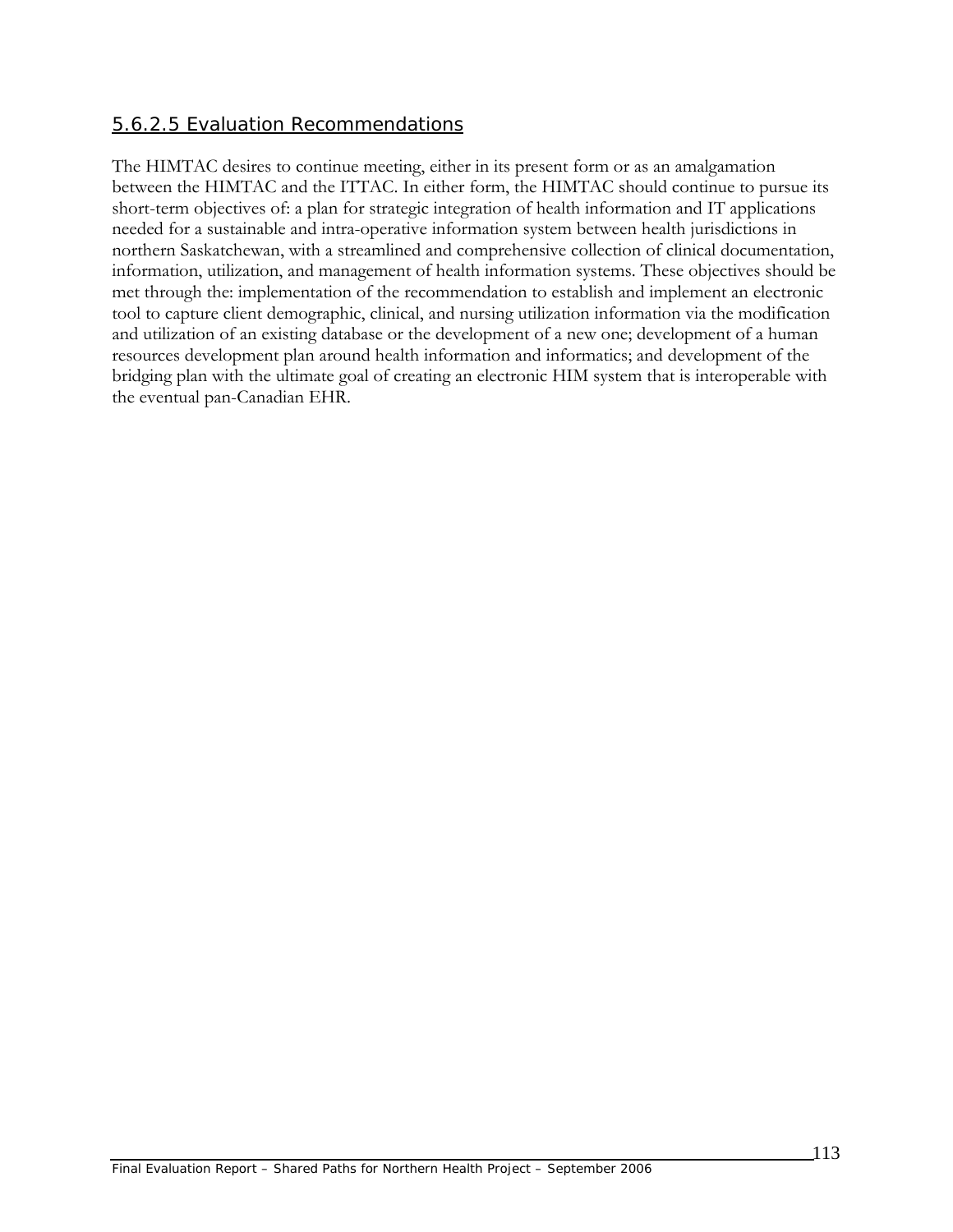### 5.6.2.5 Evaluation Recommendations

The HIMTAC desires to continue meeting, either in its present form or as an amalgamation between the HIMTAC and the ITTAC. In either form, the HIMTAC should continue to pursue its short-term objectives of: a plan for strategic integration of health information and IT applications needed for a sustainable and intra-operative information system between health jurisdictions in northern Saskatchewan, with a streamlined and comprehensive collection of clinical documentation, information, utilization, and management of health information systems. These objectives should be met through the: implementation of the recommendation to establish and implement an electronic tool to capture client demographic, clinical, and nursing utilization information via the modification and utilization of an existing database or the development of a new one; development of a human resources development plan around health information and informatics; and development of the bridging plan with the ultimate goal of creating an electronic HIM system that is interoperable with the eventual pan-Canadian EHR.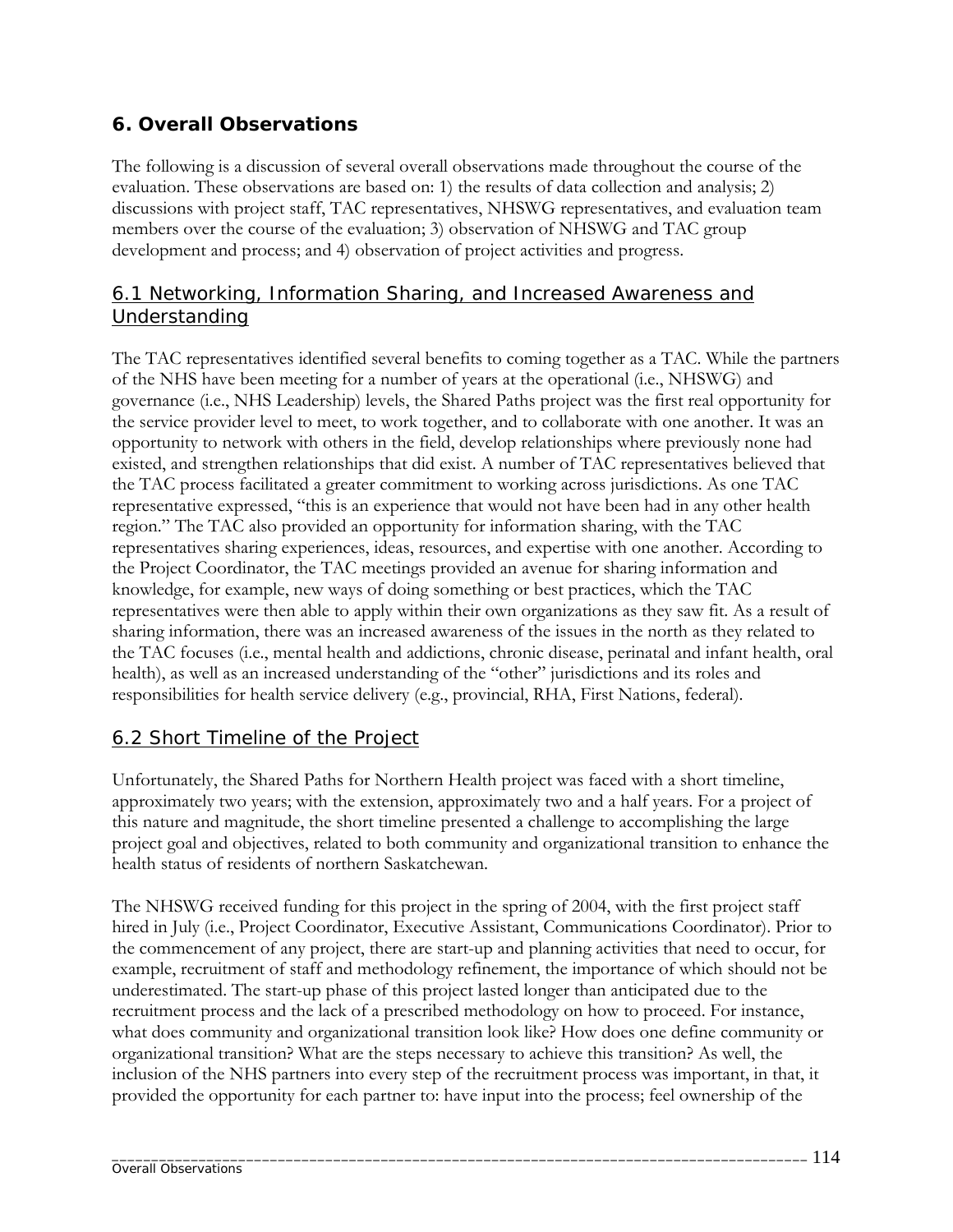# **6. Overall Observations**

The following is a discussion of several overall observations made throughout the course of the evaluation. These observations are based on: 1) the results of data collection and analysis; 2) discussions with project staff, TAC representatives, NHSWG representatives, and evaluation team members over the course of the evaluation; 3) observation of NHSWG and TAC group development and process; and 4) observation of project activities and progress.

### 6.1 Networking, Information Sharing, and Increased Awareness and Understanding

The TAC representatives identified several benefits to coming together as a TAC. While the partners of the NHS have been meeting for a number of years at the operational (i.e., NHSWG) and governance (i.e., NHS Leadership) levels, the Shared Paths project was the first real opportunity for the service provider level to meet, to work together, and to collaborate with one another. It was an opportunity to network with others in the field, develop relationships where previously none had existed, and strengthen relationships that did exist. A number of TAC representatives believed that the TAC process facilitated a greater commitment to working across jurisdictions. As one TAC representative expressed, "this is an experience that would not have been had in any other health region." The TAC also provided an opportunity for information sharing, with the TAC representatives sharing experiences, ideas, resources, and expertise with one another. According to the Project Coordinator, the TAC meetings provided an avenue for sharing information and knowledge, for example, new ways of doing something or best practices, which the TAC representatives were then able to apply within their own organizations as they saw fit. As a result of sharing information, there was an increased awareness of the issues in the north as they related to the TAC focuses (i.e., mental health and addictions, chronic disease, perinatal and infant health, oral health), as well as an increased understanding of the "other" jurisdictions and its roles and responsibilities for health service delivery (e.g., provincial, RHA, First Nations, federal).

# 6.2 Short Timeline of the Project

Unfortunately, the Shared Paths for Northern Health project was faced with a short timeline, approximately two years; with the extension, approximately two and a half years. For a project of this nature and magnitude, the short timeline presented a challenge to accomplishing the large project goal and objectives, related to both community and organizational transition to enhance the health status of residents of northern Saskatchewan.

The NHSWG received funding for this project in the spring of 2004, with the first project staff hired in July (i.e., Project Coordinator, Executive Assistant, Communications Coordinator). Prior to the commencement of any project, there are start-up and planning activities that need to occur, for example, recruitment of staff and methodology refinement, the importance of which should not be underestimated. The start-up phase of this project lasted longer than anticipated due to the recruitment process and the lack of a prescribed methodology on how to proceed. For instance, what does community and organizational transition look like? How does one define community or organizational transition? What are the steps necessary to achieve this transition? As well, the inclusion of the NHS partners into every step of the recruitment process was important, in that, it provided the opportunity for each partner to: have input into the process; feel ownership of the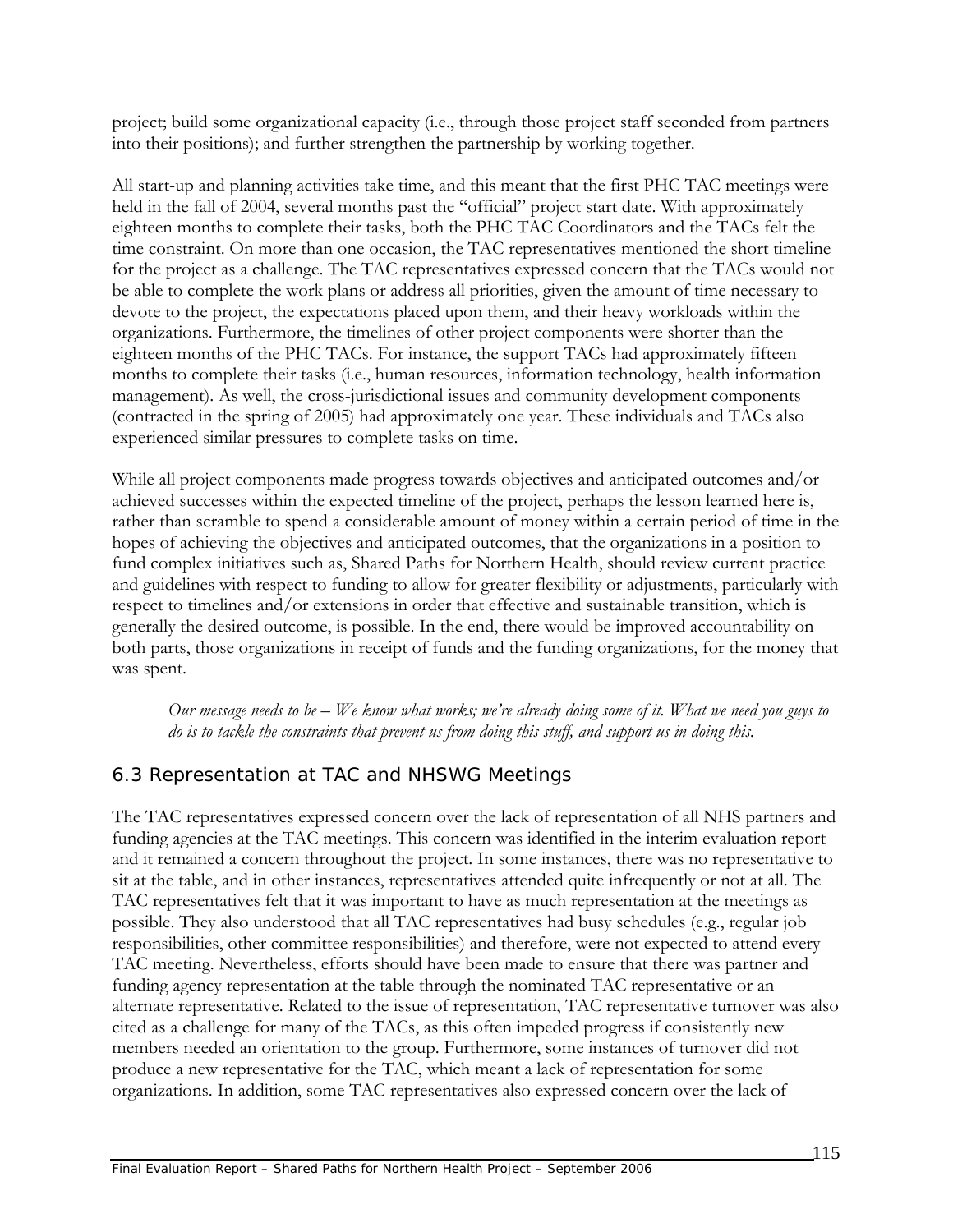project; build some organizational capacity (i.e., through those project staff seconded from partners into their positions); and further strengthen the partnership by working together.

All start-up and planning activities take time, and this meant that the first PHC TAC meetings were held in the fall of 2004, several months past the "official" project start date. With approximately eighteen months to complete their tasks, both the PHC TAC Coordinators and the TACs felt the time constraint. On more than one occasion, the TAC representatives mentioned the short timeline for the project as a challenge. The TAC representatives expressed concern that the TACs would not be able to complete the work plans or address all priorities, given the amount of time necessary to devote to the project, the expectations placed upon them, and their heavy workloads within the organizations. Furthermore, the timelines of other project components were shorter than the eighteen months of the PHC TACs. For instance, the support TACs had approximately fifteen months to complete their tasks (i.e., human resources, information technology, health information management). As well, the cross-jurisdictional issues and community development components (contracted in the spring of 2005) had approximately one year. These individuals and TACs also experienced similar pressures to complete tasks on time.

While all project components made progress towards objectives and anticipated outcomes and/or achieved successes within the expected timeline of the project, perhaps the lesson learned here is, rather than scramble to spend a considerable amount of money within a certain period of time in the hopes of achieving the objectives and anticipated outcomes, that the organizations in a position to fund complex initiatives such as, Shared Paths for Northern Health, should review current practice and guidelines with respect to funding to allow for greater flexibility or adjustments, particularly with respect to timelines and/or extensions in order that effective and sustainable transition, which is generally the desired outcome, is possible. In the end, there would be improved accountability on both parts, those organizations in receipt of funds and the funding organizations, for the money that was spent.

*Our message needs to be – We know what works; we're already doing some of it. What we need you guys to do is to tackle the constraints that prevent us from doing this stuff, and support us in doing this.* 

### 6.3 Representation at TAC and NHSWG Meetings

The TAC representatives expressed concern over the lack of representation of all NHS partners and funding agencies at the TAC meetings. This concern was identified in the interim evaluation report and it remained a concern throughout the project. In some instances, there was no representative to sit at the table, and in other instances, representatives attended quite infrequently or not at all. The TAC representatives felt that it was important to have as much representation at the meetings as possible. They also understood that all TAC representatives had busy schedules (e.g., regular job responsibilities, other committee responsibilities) and therefore, were not expected to attend every TAC meeting. Nevertheless, efforts should have been made to ensure that there was partner and funding agency representation at the table through the nominated TAC representative or an alternate representative. Related to the issue of representation, TAC representative turnover was also cited as a challenge for many of the TACs, as this often impeded progress if consistently new members needed an orientation to the group. Furthermore, some instances of turnover did not produce a new representative for the TAC, which meant a lack of representation for some organizations. In addition, some TAC representatives also expressed concern over the lack of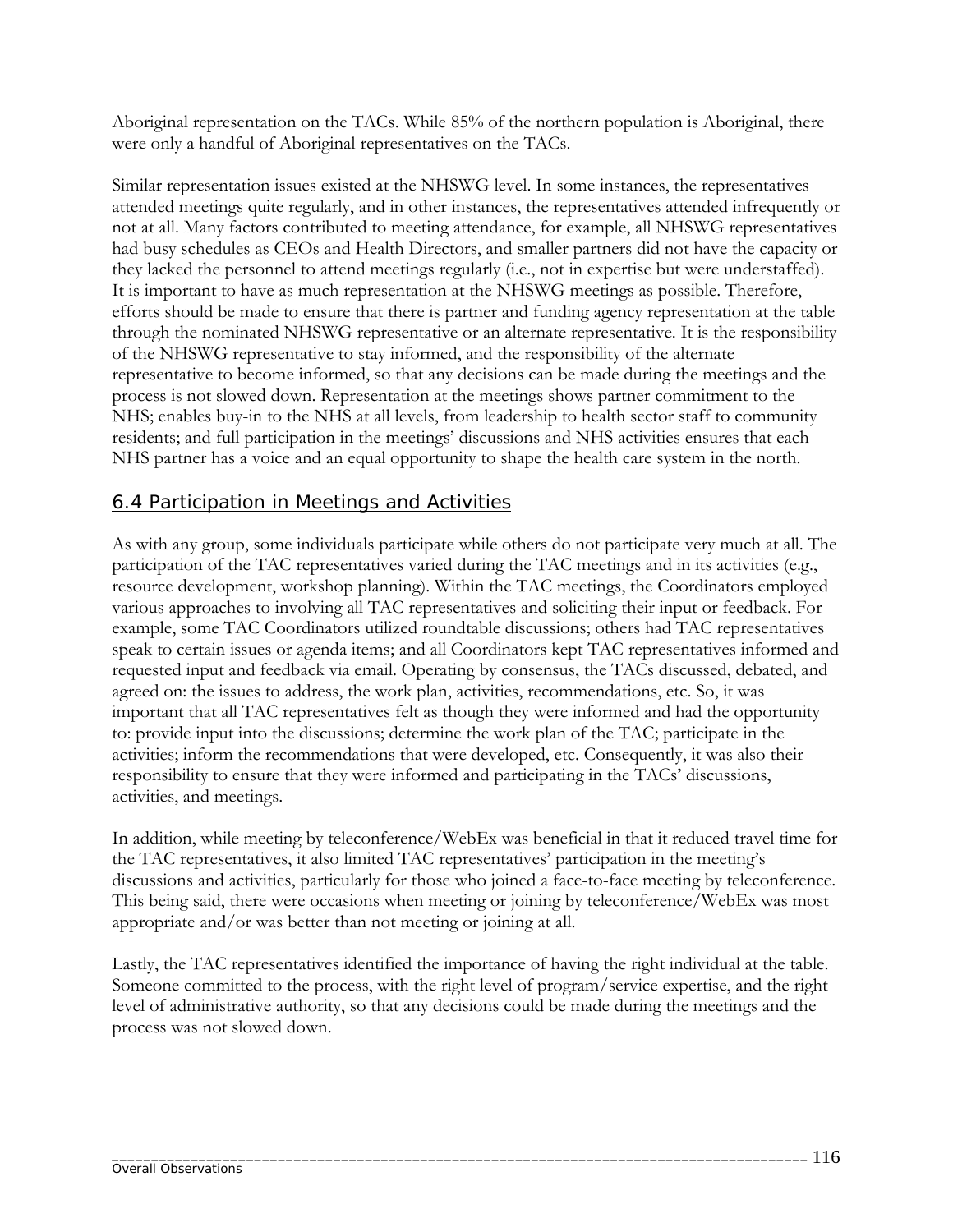Aboriginal representation on the TACs. While 85% of the northern population is Aboriginal, there were only a handful of Aboriginal representatives on the TACs.

Similar representation issues existed at the NHSWG level. In some instances, the representatives attended meetings quite regularly, and in other instances, the representatives attended infrequently or not at all. Many factors contributed to meeting attendance, for example, all NHSWG representatives had busy schedules as CEOs and Health Directors, and smaller partners did not have the capacity or they lacked the personnel to attend meetings regularly (i.e., not in expertise but were understaffed). It is important to have as much representation at the NHSWG meetings as possible. Therefore, efforts should be made to ensure that there is partner and funding agency representation at the table through the nominated NHSWG representative or an alternate representative. It is the responsibility of the NHSWG representative to stay informed, and the responsibility of the alternate representative to become informed, so that any decisions can be made during the meetings and the process is not slowed down. Representation at the meetings shows partner commitment to the NHS; enables buy-in to the NHS at all levels, from leadership to health sector staff to community residents; and full participation in the meetings' discussions and NHS activities ensures that each NHS partner has a voice and an equal opportunity to shape the health care system in the north.

#### 6.4 Participation in Meetings and Activities

As with any group, some individuals participate while others do not participate very much at all. The participation of the TAC representatives varied during the TAC meetings and in its activities (e.g., resource development, workshop planning). Within the TAC meetings, the Coordinators employed various approaches to involving all TAC representatives and soliciting their input or feedback. For example, some TAC Coordinators utilized roundtable discussions; others had TAC representatives speak to certain issues or agenda items; and all Coordinators kept TAC representatives informed and requested input and feedback via email. Operating by consensus, the TACs discussed, debated, and agreed on: the issues to address, the work plan, activities, recommendations, etc. So, it was important that all TAC representatives felt as though they were informed and had the opportunity to: provide input into the discussions; determine the work plan of the TAC; participate in the activities; inform the recommendations that were developed, etc. Consequently, it was also their responsibility to ensure that they were informed and participating in the TACs' discussions, activities, and meetings.

In addition, while meeting by teleconference/WebEx was beneficial in that it reduced travel time for the TAC representatives, it also limited TAC representatives' participation in the meeting's discussions and activities, particularly for those who joined a face-to-face meeting by teleconference. This being said, there were occasions when meeting or joining by teleconference/WebEx was most appropriate and/or was better than not meeting or joining at all.

Lastly, the TAC representatives identified the importance of having the right individual at the table. Someone committed to the process, with the right level of program/service expertise, and the right level of administrative authority, so that any decisions could be made during the meetings and the process was not slowed down.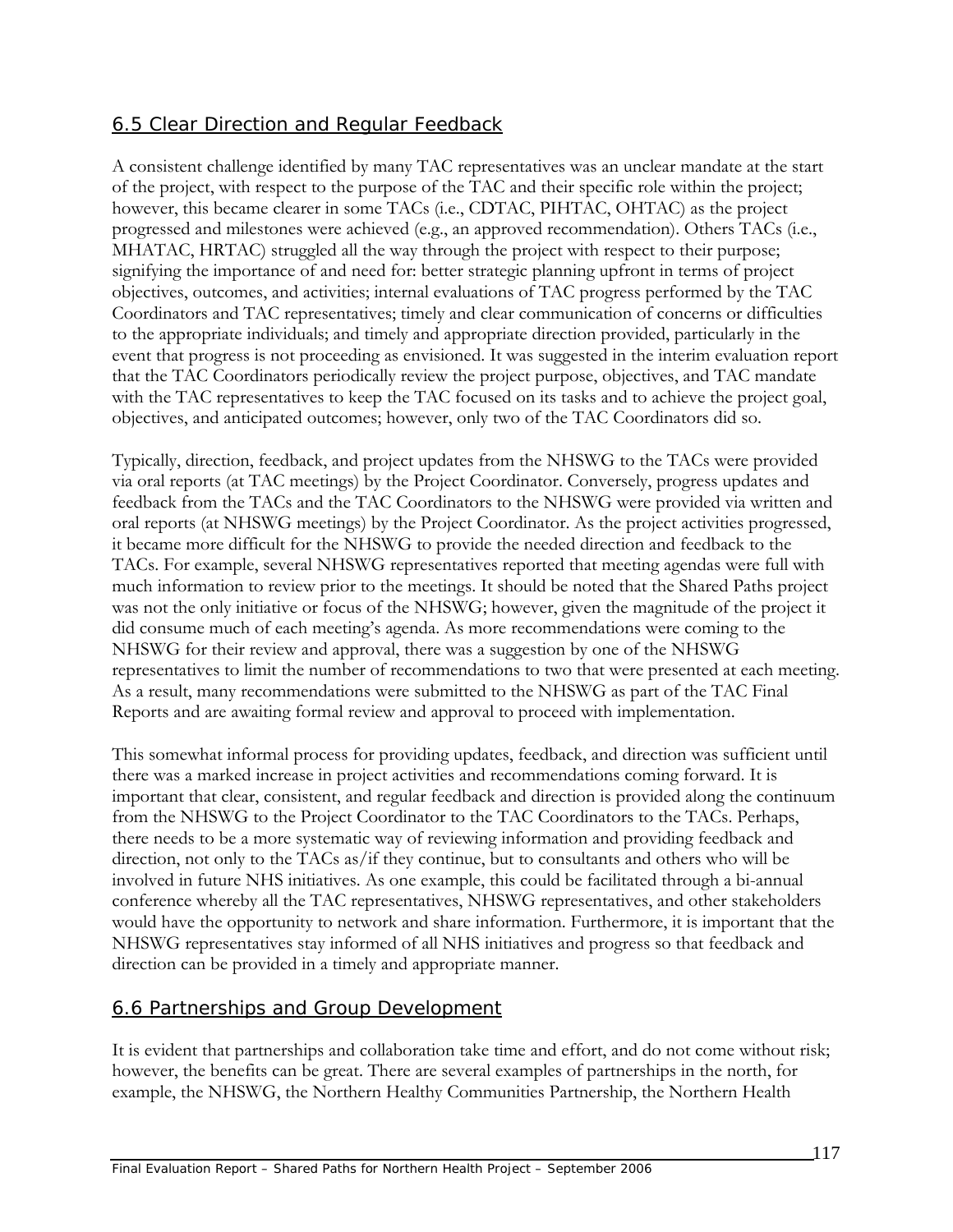# 6.5 Clear Direction and Regular Feedback

A consistent challenge identified by many TAC representatives was an unclear mandate at the start of the project, with respect to the purpose of the TAC and their specific role within the project; however, this became clearer in some TACs (i.e., CDTAC, PIHTAC, OHTAC) as the project progressed and milestones were achieved (e.g., an approved recommendation). Others TACs (i.e., MHATAC, HRTAC) struggled all the way through the project with respect to their purpose; signifying the importance of and need for: better strategic planning upfront in terms of project objectives, outcomes, and activities; internal evaluations of TAC progress performed by the TAC Coordinators and TAC representatives; timely and clear communication of concerns or difficulties to the appropriate individuals; and timely and appropriate direction provided, particularly in the event that progress is not proceeding as envisioned. It was suggested in the interim evaluation report that the TAC Coordinators periodically review the project purpose, objectives, and TAC mandate with the TAC representatives to keep the TAC focused on its tasks and to achieve the project goal, objectives, and anticipated outcomes; however, only two of the TAC Coordinators did so.

Typically, direction, feedback, and project updates from the NHSWG to the TACs were provided via oral reports (at TAC meetings) by the Project Coordinator. Conversely, progress updates and feedback from the TACs and the TAC Coordinators to the NHSWG were provided via written and oral reports (at NHSWG meetings) by the Project Coordinator. As the project activities progressed, it became more difficult for the NHSWG to provide the needed direction and feedback to the TACs. For example, several NHSWG representatives reported that meeting agendas were full with much information to review prior to the meetings. It should be noted that the Shared Paths project was not the only initiative or focus of the NHSWG; however, given the magnitude of the project it did consume much of each meeting's agenda. As more recommendations were coming to the NHSWG for their review and approval, there was a suggestion by one of the NHSWG representatives to limit the number of recommendations to two that were presented at each meeting. As a result, many recommendations were submitted to the NHSWG as part of the TAC Final Reports and are awaiting formal review and approval to proceed with implementation.

This somewhat informal process for providing updates, feedback, and direction was sufficient until there was a marked increase in project activities and recommendations coming forward. It is important that clear, consistent, and regular feedback and direction is provided along the continuum from the NHSWG to the Project Coordinator to the TAC Coordinators to the TACs. Perhaps, there needs to be a more systematic way of reviewing information and providing feedback and direction, not only to the TACs as/if they continue, but to consultants and others who will be involved in future NHS initiatives. As one example, this could be facilitated through a bi-annual conference whereby all the TAC representatives, NHSWG representatives, and other stakeholders would have the opportunity to network and share information. Furthermore, it is important that the NHSWG representatives stay informed of all NHS initiatives and progress so that feedback and direction can be provided in a timely and appropriate manner.

### 6.6 Partnerships and Group Development

It is evident that partnerships and collaboration take time and effort, and do not come without risk; however, the benefits can be great. There are several examples of partnerships in the north, for example, the NHSWG, the Northern Healthy Communities Partnership, the Northern Health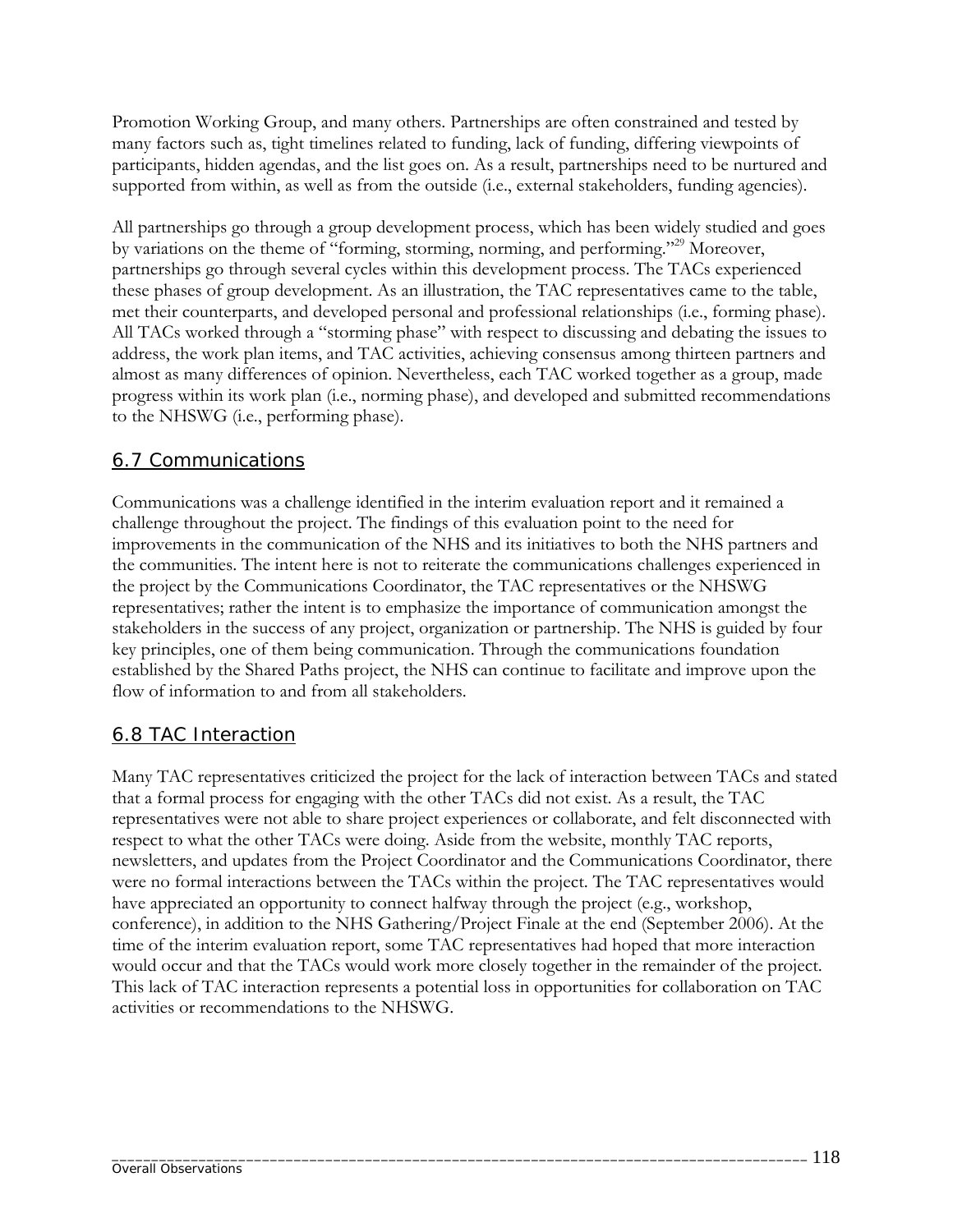Promotion Working Group, and many others. Partnerships are often constrained and tested by many factors such as, tight timelines related to funding, lack of funding, differing viewpoints of participants, hidden agendas, and the list goes on. As a result, partnerships need to be nurtured and supported from within, as well as from the outside (i.e., external stakeholders, funding agencies).

All partnerships go through a group development process, which has been widely studied and goes by variations on the theme of "forming, storming, norming, and performing."<sup>29</sup> Moreover, partnerships go through several cycles within this development process. The TACs experienced these phases of group development. As an illustration, the TAC representatives came to the table, met their counterparts, and developed personal and professional relationships (i.e., forming phase). All TACs worked through a "storming phase" with respect to discussing and debating the issues to address, the work plan items, and TAC activities, achieving consensus among thirteen partners and almost as many differences of opinion. Nevertheless, each TAC worked together as a group, made progress within its work plan (i.e., norming phase), and developed and submitted recommendations to the NHSWG (i.e., performing phase).

### 6.7 Communications

Communications was a challenge identified in the interim evaluation report and it remained a challenge throughout the project. The findings of this evaluation point to the need for improvements in the communication of the NHS and its initiatives to both the NHS partners and the communities. The intent here is not to reiterate the communications challenges experienced in the project by the Communications Coordinator, the TAC representatives or the NHSWG representatives; rather the intent is to emphasize the importance of communication amongst the stakeholders in the success of any project, organization or partnership. The NHS is guided by four key principles, one of them being communication. Through the communications foundation established by the Shared Paths project, the NHS can continue to facilitate and improve upon the flow of information to and from all stakeholders.

#### 6.8 TAC Interaction

Many TAC representatives criticized the project for the lack of interaction between TACs and stated that a formal process for engaging with the other TACs did not exist. As a result, the TAC representatives were not able to share project experiences or collaborate, and felt disconnected with respect to what the other TACs were doing. Aside from the website, monthly TAC reports, newsletters, and updates from the Project Coordinator and the Communications Coordinator, there were no formal interactions between the TACs within the project. The TAC representatives would have appreciated an opportunity to connect halfway through the project (e.g., workshop, conference), in addition to the NHS Gathering/Project Finale at the end (September 2006). At the time of the interim evaluation report, some TAC representatives had hoped that more interaction would occur and that the TACs would work more closely together in the remainder of the project. This lack of TAC interaction represents a potential loss in opportunities for collaboration on TAC activities or recommendations to the NHSWG.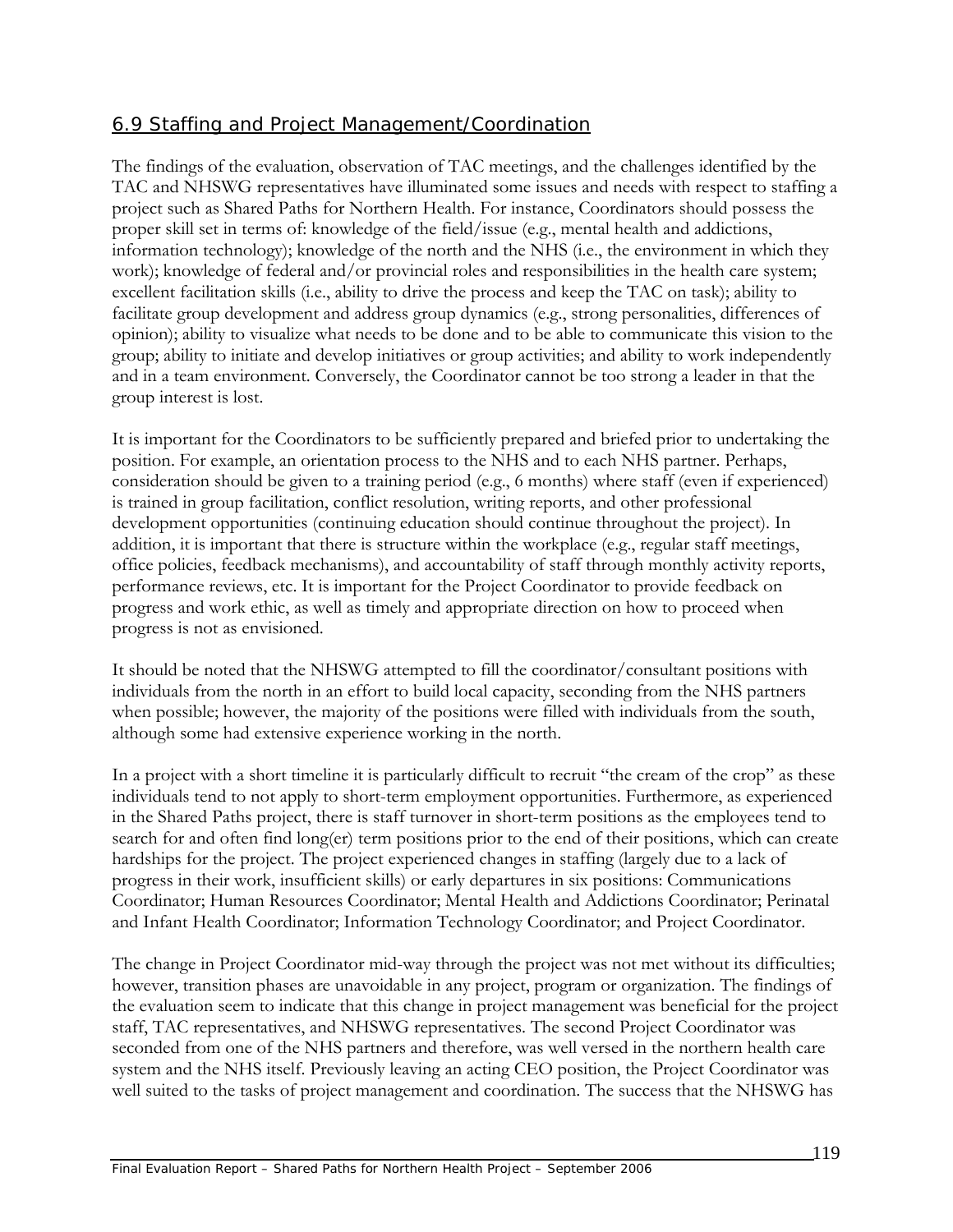# 6.9 Staffing and Project Management/Coordination

The findings of the evaluation, observation of TAC meetings, and the challenges identified by the TAC and NHSWG representatives have illuminated some issues and needs with respect to staffing a project such as Shared Paths for Northern Health. For instance, Coordinators should possess the proper skill set in terms of: knowledge of the field/issue (e.g., mental health and addictions, information technology); knowledge of the north and the NHS (i.e., the environment in which they work); knowledge of federal and/or provincial roles and responsibilities in the health care system; excellent facilitation skills (i.e., ability to drive the process and keep the TAC on task); ability to facilitate group development and address group dynamics (e.g., strong personalities, differences of opinion); ability to visualize what needs to be done and to be able to communicate this vision to the group; ability to initiate and develop initiatives or group activities; and ability to work independently and in a team environment. Conversely, the Coordinator cannot be too strong a leader in that the group interest is lost.

It is important for the Coordinators to be sufficiently prepared and briefed prior to undertaking the position. For example, an orientation process to the NHS and to each NHS partner. Perhaps, consideration should be given to a training period (e.g., 6 months) where staff (even if experienced) is trained in group facilitation, conflict resolution, writing reports, and other professional development opportunities (continuing education should continue throughout the project). In addition, it is important that there is structure within the workplace (e.g., regular staff meetings, office policies, feedback mechanisms), and accountability of staff through monthly activity reports, performance reviews, etc. It is important for the Project Coordinator to provide feedback on progress and work ethic, as well as timely and appropriate direction on how to proceed when progress is not as envisioned.

It should be noted that the NHSWG attempted to fill the coordinator/consultant positions with individuals from the north in an effort to build local capacity, seconding from the NHS partners when possible; however, the majority of the positions were filled with individuals from the south, although some had extensive experience working in the north.

In a project with a short timeline it is particularly difficult to recruit "the cream of the crop" as these individuals tend to not apply to short-term employment opportunities. Furthermore, as experienced in the Shared Paths project, there is staff turnover in short-term positions as the employees tend to search for and often find long(er) term positions prior to the end of their positions, which can create hardships for the project. The project experienced changes in staffing (largely due to a lack of progress in their work, insufficient skills) or early departures in six positions: Communications Coordinator; Human Resources Coordinator; Mental Health and Addictions Coordinator; Perinatal and Infant Health Coordinator; Information Technology Coordinator; and Project Coordinator.

The change in Project Coordinator mid-way through the project was not met without its difficulties; however, transition phases are unavoidable in any project, program or organization. The findings of the evaluation seem to indicate that this change in project management was beneficial for the project staff, TAC representatives, and NHSWG representatives. The second Project Coordinator was seconded from one of the NHS partners and therefore, was well versed in the northern health care system and the NHS itself. Previously leaving an acting CEO position, the Project Coordinator was well suited to the tasks of project management and coordination. The success that the NHSWG has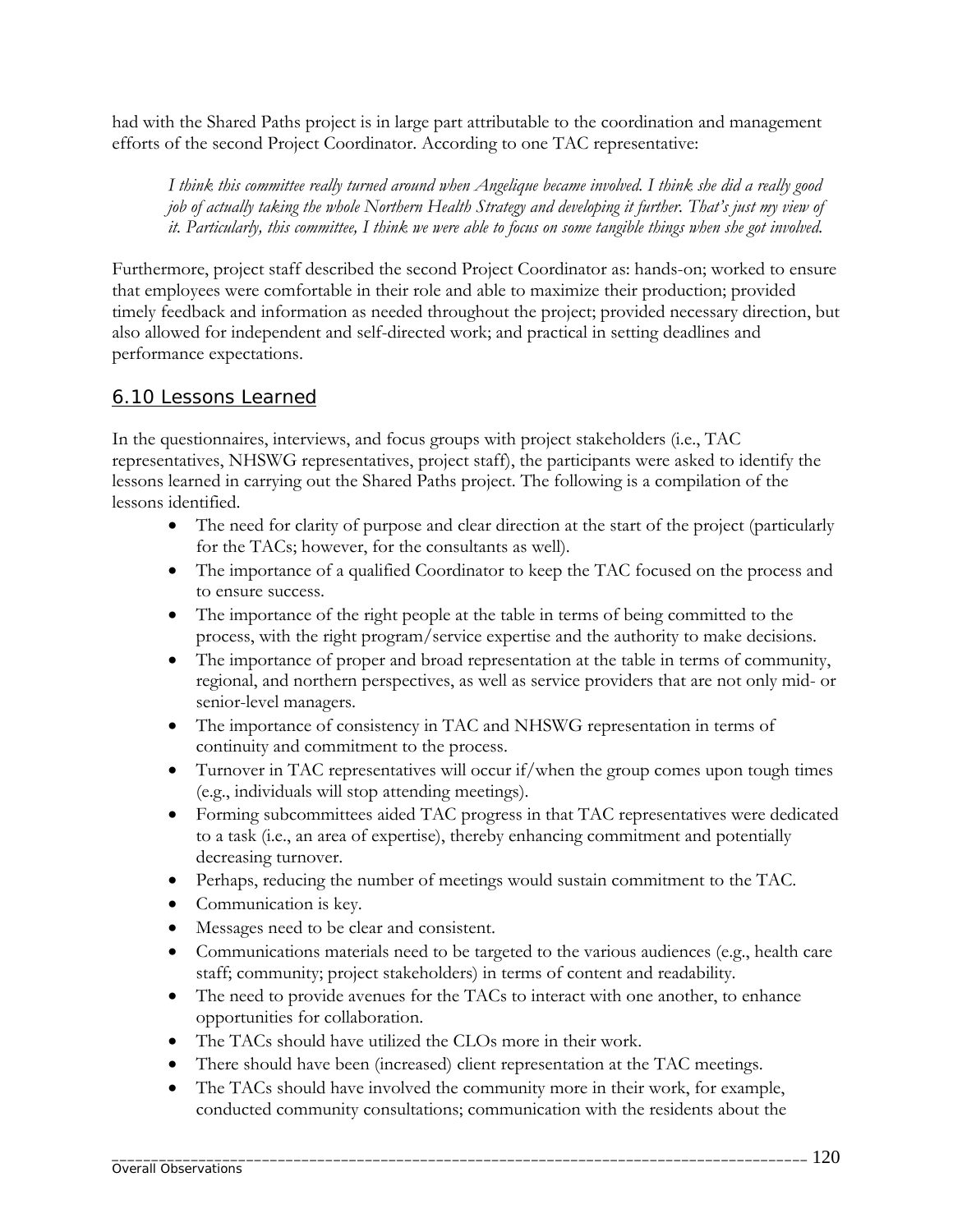had with the Shared Paths project is in large part attributable to the coordination and management efforts of the second Project Coordinator. According to one TAC representative:

*I think this committee really turned around when Angelique became involved. I think she did a really good job of actually taking the whole Northern Health Strategy and developing it further. That's just my view of it. Particularly, this committee, I think we were able to focus on some tangible things when she got involved.* 

Furthermore, project staff described the second Project Coordinator as: hands-on; worked to ensure that employees were comfortable in their role and able to maximize their production; provided timely feedback and information as needed throughout the project; provided necessary direction, but also allowed for independent and self-directed work; and practical in setting deadlines and performance expectations.

### 6.10 Lessons Learned

In the questionnaires, interviews, and focus groups with project stakeholders (i.e., TAC representatives, NHSWG representatives, project staff), the participants were asked to identify the lessons learned in carrying out the Shared Paths project. The following is a compilation of the lessons identified.

- The need for clarity of purpose and clear direction at the start of the project (particularly for the TACs; however, for the consultants as well).
- The importance of a qualified Coordinator to keep the TAC focused on the process and to ensure success.
- The importance of the right people at the table in terms of being committed to the process, with the right program/service expertise and the authority to make decisions.
- The importance of proper and broad representation at the table in terms of community, regional, and northern perspectives, as well as service providers that are not only mid- or senior-level managers.
- The importance of consistency in TAC and NHSWG representation in terms of continuity and commitment to the process.
- Turnover in TAC representatives will occur if/when the group comes upon tough times (e.g., individuals will stop attending meetings).
- Forming subcommittees aided TAC progress in that TAC representatives were dedicated to a task (i.e., an area of expertise), thereby enhancing commitment and potentially decreasing turnover.
- Perhaps, reducing the number of meetings would sustain commitment to the TAC.
- Communication is key.
- Messages need to be clear and consistent.
- Communications materials need to be targeted to the various audiences (e.g., health care staff; community; project stakeholders) in terms of content and readability.
- The need to provide avenues for the TACs to interact with one another, to enhance opportunities for collaboration.
- The TACs should have utilized the CLOs more in their work.
- There should have been (increased) client representation at the TAC meetings.
- The TACs should have involved the community more in their work, for example, conducted community consultations; communication with the residents about the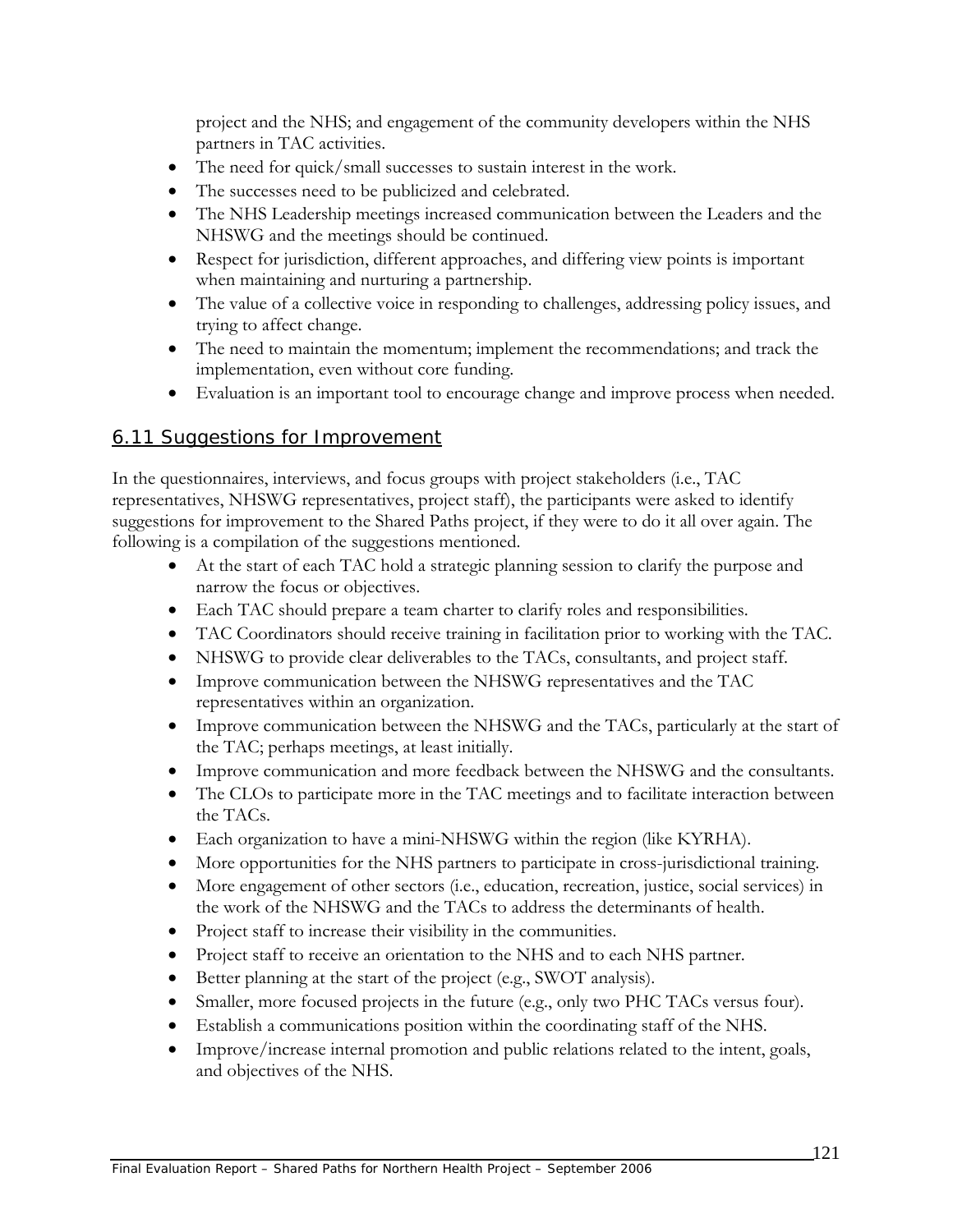project and the NHS; and engagement of the community developers within the NHS partners in TAC activities.

- The need for quick/small successes to sustain interest in the work.
- The successes need to be publicized and celebrated.
- The NHS Leadership meetings increased communication between the Leaders and the NHSWG and the meetings should be continued.
- Respect for jurisdiction, different approaches, and differing view points is important when maintaining and nurturing a partnership.
- The value of a collective voice in responding to challenges, addressing policy issues, and trying to affect change.
- The need to maintain the momentum; implement the recommendations; and track the implementation, even without core funding.
- Evaluation is an important tool to encourage change and improve process when needed.

#### 6.11 Suggestions for Improvement

In the questionnaires, interviews, and focus groups with project stakeholders (i.e., TAC representatives, NHSWG representatives, project staff), the participants were asked to identify suggestions for improvement to the Shared Paths project, if they were to do it all over again. The following is a compilation of the suggestions mentioned.

- At the start of each TAC hold a strategic planning session to clarify the purpose and narrow the focus or objectives.
- Each TAC should prepare a team charter to clarify roles and responsibilities.
- TAC Coordinators should receive training in facilitation prior to working with the TAC.
- NHSWG to provide clear deliverables to the TACs, consultants, and project staff.
- Improve communication between the NHSWG representatives and the TAC representatives within an organization.
- Improve communication between the NHSWG and the TACs, particularly at the start of the TAC; perhaps meetings, at least initially.
- Improve communication and more feedback between the NHSWG and the consultants.
- The CLOs to participate more in the TAC meetings and to facilitate interaction between the TACs.
- Each organization to have a mini-NHSWG within the region (like KYRHA).
- More opportunities for the NHS partners to participate in cross-jurisdictional training.
- More engagement of other sectors (i.e., education, recreation, justice, social services) in the work of the NHSWG and the TACs to address the determinants of health.
- Project staff to increase their visibility in the communities.
- Project staff to receive an orientation to the NHS and to each NHS partner.
- Better planning at the start of the project (e.g., SWOT analysis).
- Smaller, more focused projects in the future (e.g., only two PHC TACs versus four).
- Establish a communications position within the coordinating staff of the NHS.
- Improve/increase internal promotion and public relations related to the intent, goals, and objectives of the NHS.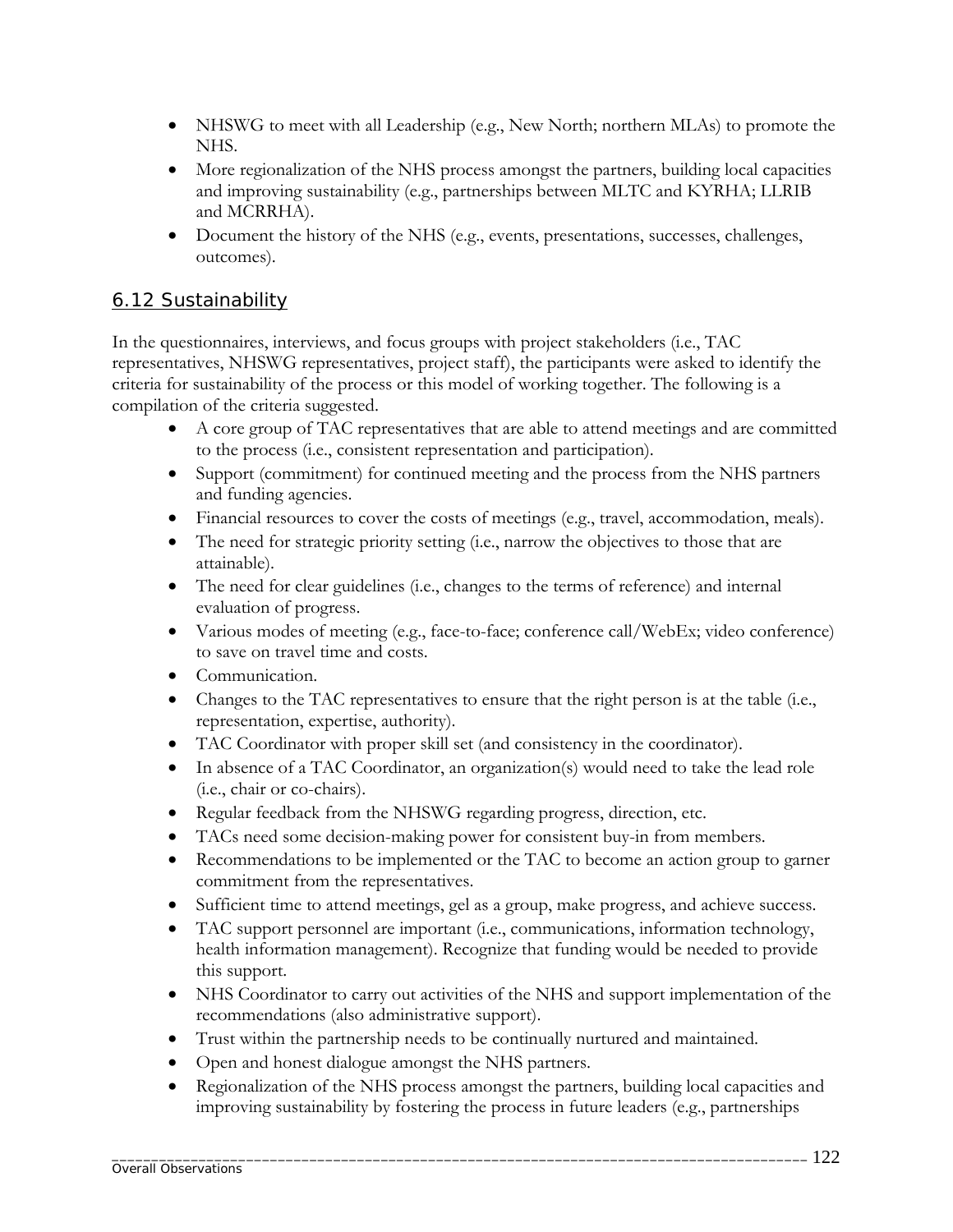- NHSWG to meet with all Leadership (e.g., New North; northern MLAs) to promote the NHS.
- More regionalization of the NHS process amongst the partners, building local capacities and improving sustainability (e.g., partnerships between MLTC and KYRHA; LLRIB and MCRRHA).
- Document the history of the NHS (e.g., events, presentations, successes, challenges, outcomes).

### 6.12 Sustainability

In the questionnaires, interviews, and focus groups with project stakeholders (i.e., TAC representatives, NHSWG representatives, project staff), the participants were asked to identify the criteria for sustainability of the process or this model of working together. The following is a compilation of the criteria suggested.

- A core group of TAC representatives that are able to attend meetings and are committed to the process (i.e., consistent representation and participation).
- Support (commitment) for continued meeting and the process from the NHS partners and funding agencies.
- Financial resources to cover the costs of meetings (e.g., travel, accommodation, meals).
- The need for strategic priority setting (i.e., narrow the objectives to those that are attainable).
- The need for clear guidelines (i.e., changes to the terms of reference) and internal evaluation of progress.
- Various modes of meeting (e.g., face-to-face; conference call/WebEx; video conference) to save on travel time and costs.
- Communication.
- Changes to the TAC representatives to ensure that the right person is at the table (i.e., representation, expertise, authority).
- TAC Coordinator with proper skill set (and consistency in the coordinator).
- In absence of a TAC Coordinator, an organization(s) would need to take the lead role (i.e., chair or co-chairs).
- Regular feedback from the NHSWG regarding progress, direction, etc.
- TACs need some decision-making power for consistent buy-in from members.
- Recommendations to be implemented or the TAC to become an action group to garner commitment from the representatives.
- Sufficient time to attend meetings, gel as a group, make progress, and achieve success.
- TAC support personnel are important (i.e., communications, information technology, health information management). Recognize that funding would be needed to provide this support.
- NHS Coordinator to carry out activities of the NHS and support implementation of the recommendations (also administrative support).
- Trust within the partnership needs to be continually nurtured and maintained.
- Open and honest dialogue amongst the NHS partners.
- Regionalization of the NHS process amongst the partners, building local capacities and improving sustainability by fostering the process in future leaders (e.g., partnerships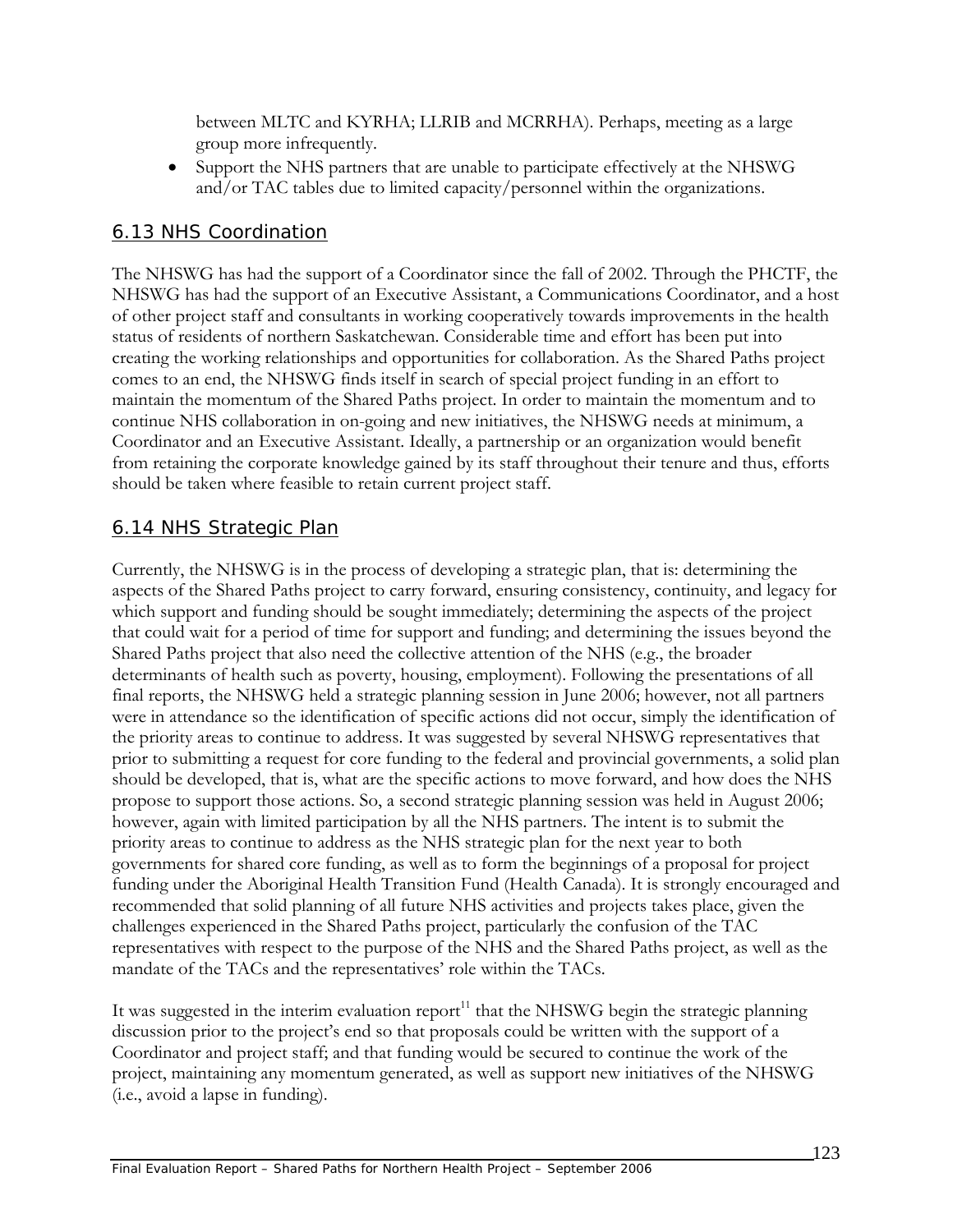between MLTC and KYRHA; LLRIB and MCRRHA). Perhaps, meeting as a large group more infrequently.

• Support the NHS partners that are unable to participate effectively at the NHSWG and/or TAC tables due to limited capacity/personnel within the organizations.

## 6.13 NHS Coordination

The NHSWG has had the support of a Coordinator since the fall of 2002. Through the PHCTF, the NHSWG has had the support of an Executive Assistant, a Communications Coordinator, and a host of other project staff and consultants in working cooperatively towards improvements in the health status of residents of northern Saskatchewan. Considerable time and effort has been put into creating the working relationships and opportunities for collaboration. As the Shared Paths project comes to an end, the NHSWG finds itself in search of special project funding in an effort to maintain the momentum of the Shared Paths project. In order to maintain the momentum and to continue NHS collaboration in on-going and new initiatives, the NHSWG needs at minimum, a Coordinator and an Executive Assistant. Ideally, a partnership or an organization would benefit from retaining the corporate knowledge gained by its staff throughout their tenure and thus, efforts should be taken where feasible to retain current project staff.

# 6.14 NHS Strategic Plan

Currently, the NHSWG is in the process of developing a strategic plan, that is: determining the aspects of the Shared Paths project to carry forward, ensuring consistency, continuity, and legacy for which support and funding should be sought immediately; determining the aspects of the project that could wait for a period of time for support and funding; and determining the issues beyond the Shared Paths project that also need the collective attention of the NHS (e.g., the broader determinants of health such as poverty, housing, employment). Following the presentations of all final reports, the NHSWG held a strategic planning session in June 2006; however, not all partners were in attendance so the identification of specific actions did not occur, simply the identification of the priority areas to continue to address. It was suggested by several NHSWG representatives that prior to submitting a request for core funding to the federal and provincial governments, a solid plan should be developed, that is, what are the specific actions to move forward, and how does the NHS propose to support those actions. So, a second strategic planning session was held in August 2006; however, again with limited participation by all the NHS partners. The intent is to submit the priority areas to continue to address as the NHS strategic plan for the next year to both governments for shared core funding, as well as to form the beginnings of a proposal for project funding under the Aboriginal Health Transition Fund (Health Canada). It is strongly encouraged and recommended that solid planning of all future NHS activities and projects takes place, given the challenges experienced in the Shared Paths project, particularly the confusion of the TAC representatives with respect to the purpose of the NHS and the Shared Paths project, as well as the mandate of the TACs and the representatives' role within the TACs.

It was suggested in the interim evaluation  $report<sup>11</sup>$  that the NHSWG begin the strategic planning discussion prior to the project's end so that proposals could be written with the support of a Coordinator and project staff; and that funding would be secured to continue the work of the project, maintaining any momentum generated, as well as support new initiatives of the NHSWG (i.e., avoid a lapse in funding).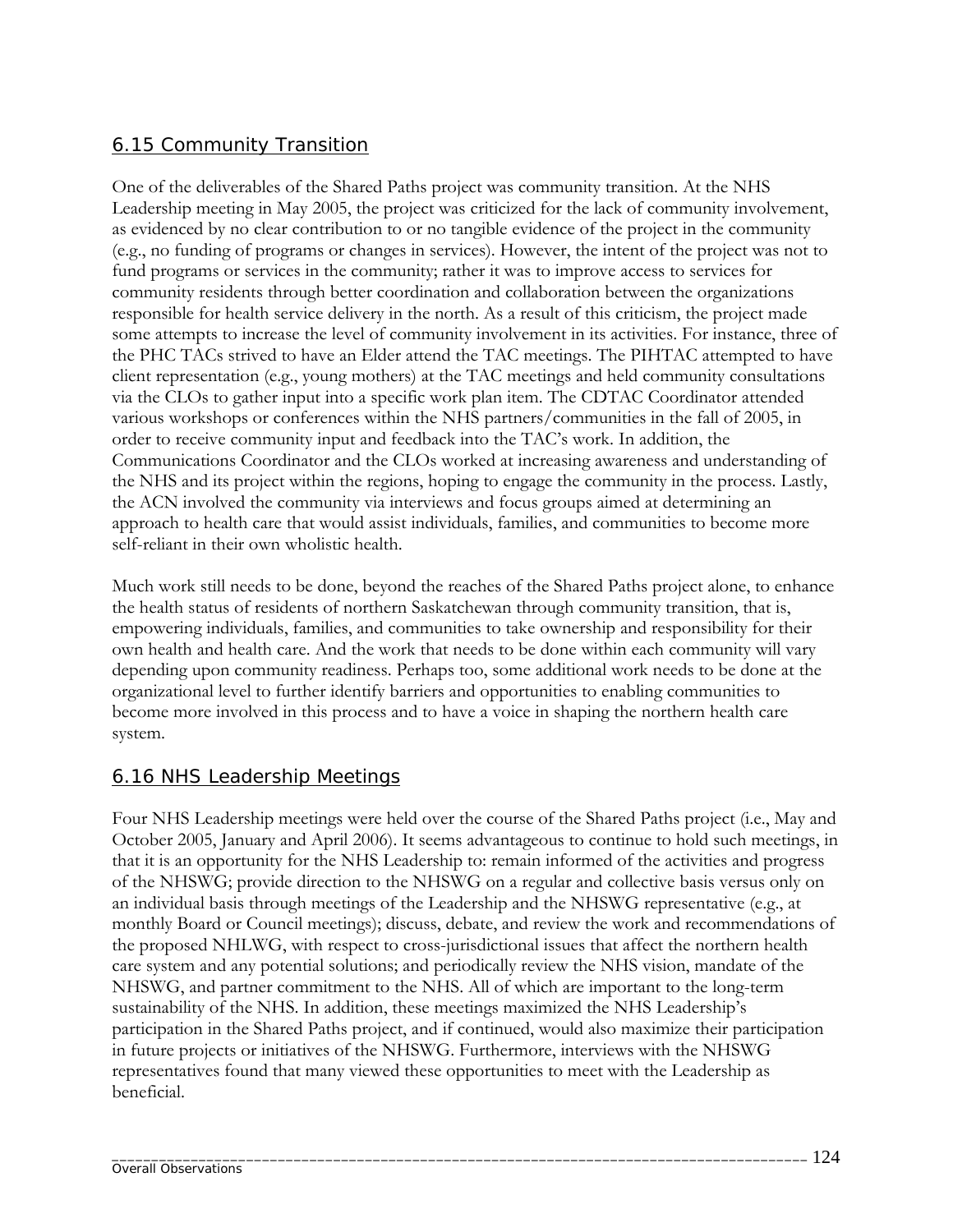# 6.15 Community Transition

One of the deliverables of the Shared Paths project was community transition. At the NHS Leadership meeting in May 2005, the project was criticized for the lack of community involvement, as evidenced by no clear contribution to or no tangible evidence of the project in the community (e.g., no funding of programs or changes in services). However, the intent of the project was not to fund programs or services in the community; rather it was to improve access to services for community residents through better coordination and collaboration between the organizations responsible for health service delivery in the north. As a result of this criticism, the project made some attempts to increase the level of community involvement in its activities. For instance, three of the PHC TACs strived to have an Elder attend the TAC meetings. The PIHTAC attempted to have client representation (e.g., young mothers) at the TAC meetings and held community consultations via the CLOs to gather input into a specific work plan item. The CDTAC Coordinator attended various workshops or conferences within the NHS partners/communities in the fall of 2005, in order to receive community input and feedback into the TAC's work. In addition, the Communications Coordinator and the CLOs worked at increasing awareness and understanding of the NHS and its project within the regions, hoping to engage the community in the process. Lastly, the ACN involved the community via interviews and focus groups aimed at determining an approach to health care that would assist individuals, families, and communities to become more self-reliant in their own wholistic health.

Much work still needs to be done, beyond the reaches of the Shared Paths project alone, to enhance the health status of residents of northern Saskatchewan through community transition, that is, empowering individuals, families, and communities to take ownership and responsibility for their own health and health care. And the work that needs to be done within each community will vary depending upon community readiness. Perhaps too, some additional work needs to be done at the organizational level to further identify barriers and opportunities to enabling communities to become more involved in this process and to have a voice in shaping the northern health care system.

### 6.16 NHS Leadership Meetings

Four NHS Leadership meetings were held over the course of the Shared Paths project (i.e., May and October 2005, January and April 2006). It seems advantageous to continue to hold such meetings, in that it is an opportunity for the NHS Leadership to: remain informed of the activities and progress of the NHSWG; provide direction to the NHSWG on a regular and collective basis versus only on an individual basis through meetings of the Leadership and the NHSWG representative (e.g., at monthly Board or Council meetings); discuss, debate, and review the work and recommendations of the proposed NHLWG, with respect to cross-jurisdictional issues that affect the northern health care system and any potential solutions; and periodically review the NHS vision, mandate of the NHSWG, and partner commitment to the NHS. All of which are important to the long-term sustainability of the NHS. In addition, these meetings maximized the NHS Leadership's participation in the Shared Paths project, and if continued, would also maximize their participation in future projects or initiatives of the NHSWG. Furthermore, interviews with the NHSWG representatives found that many viewed these opportunities to meet with the Leadership as beneficial.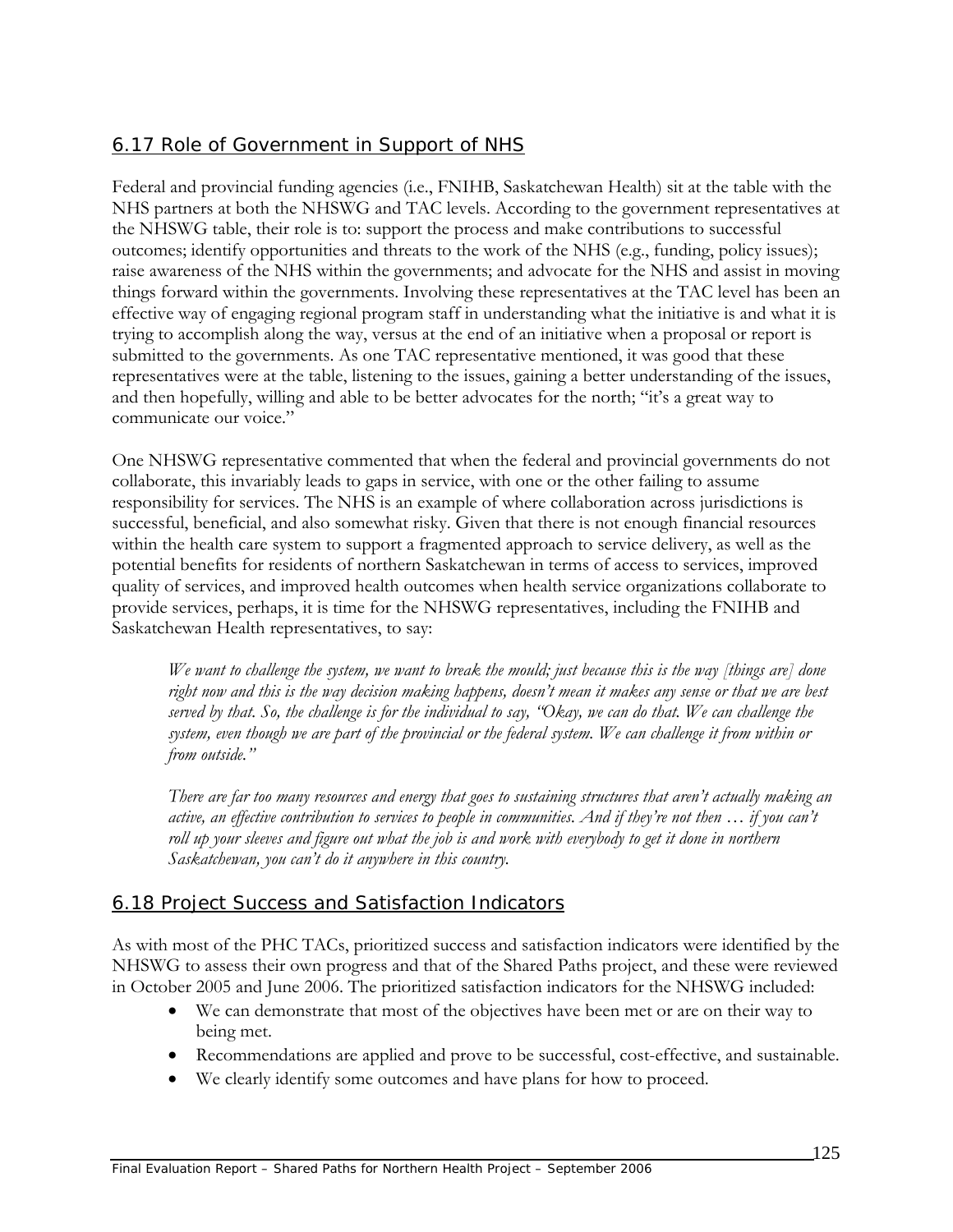# 6.17 Role of Government in Support of NHS

Federal and provincial funding agencies (i.e., FNIHB, Saskatchewan Health) sit at the table with the NHS partners at both the NHSWG and TAC levels. According to the government representatives at the NHSWG table, their role is to: support the process and make contributions to successful outcomes; identify opportunities and threats to the work of the NHS (e.g., funding, policy issues); raise awareness of the NHS within the governments; and advocate for the NHS and assist in moving things forward within the governments. Involving these representatives at the TAC level has been an effective way of engaging regional program staff in understanding what the initiative is and what it is trying to accomplish along the way, versus at the end of an initiative when a proposal or report is submitted to the governments. As one TAC representative mentioned, it was good that these representatives were at the table, listening to the issues, gaining a better understanding of the issues, and then hopefully, willing and able to be better advocates for the north; "it's a great way to communicate our voice."

One NHSWG representative commented that when the federal and provincial governments do not collaborate, this invariably leads to gaps in service, with one or the other failing to assume responsibility for services. The NHS is an example of where collaboration across jurisdictions is successful, beneficial, and also somewhat risky. Given that there is not enough financial resources within the health care system to support a fragmented approach to service delivery, as well as the potential benefits for residents of northern Saskatchewan in terms of access to services, improved quality of services, and improved health outcomes when health service organizations collaborate to provide services, perhaps, it is time for the NHSWG representatives, including the FNIHB and Saskatchewan Health representatives, to say:

*We want to challenge the system, we want to break the mould; just because this is the way [things are] done right now and this is the way decision making happens, doesn't mean it makes any sense or that we are best served by that. So, the challenge is for the individual to say, "Okay, we can do that. We can challenge the system, even though we are part of the provincial or the federal system. We can challenge it from within or from outside."* 

*There are far too many resources and energy that goes to sustaining structures that aren't actually making an active, an effective contribution to services to people in communities. And if they're not then ... if you can't roll up your sleeves and figure out what the job is and work with everybody to get it done in northern Saskatchewan, you can't do it anywhere in this country.* 

# 6.18 Project Success and Satisfaction Indicators

As with most of the PHC TACs, prioritized success and satisfaction indicators were identified by the NHSWG to assess their own progress and that of the Shared Paths project, and these were reviewed in October 2005 and June 2006. The prioritized satisfaction indicators for the NHSWG included:

- We can demonstrate that most of the objectives have been met or are on their way to being met.
- Recommendations are applied and prove to be successful, cost-effective, and sustainable.
- We clearly identify some outcomes and have plans for how to proceed.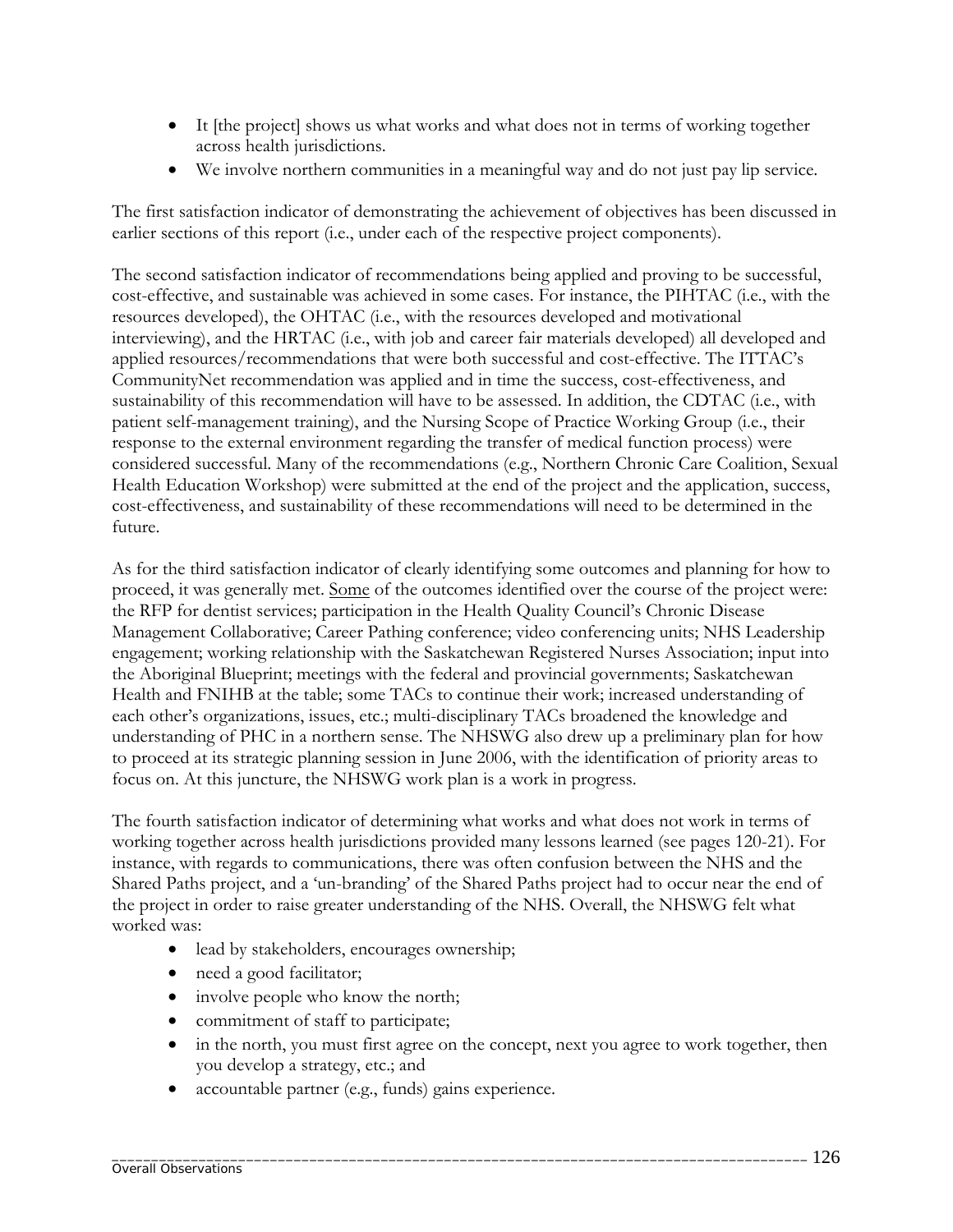- It [the project] shows us what works and what does not in terms of working together across health jurisdictions.
- We involve northern communities in a meaningful way and do not just pay lip service.

The first satisfaction indicator of demonstrating the achievement of objectives has been discussed in earlier sections of this report (i.e., under each of the respective project components).

The second satisfaction indicator of recommendations being applied and proving to be successful, cost-effective, and sustainable was achieved in some cases. For instance, the PIHTAC (i.e., with the resources developed), the OHTAC (i.e., with the resources developed and motivational interviewing), and the HRTAC (i.e., with job and career fair materials developed) all developed and applied resources/recommendations that were both successful and cost-effective. The ITTAC's CommunityNet recommendation was applied and in time the success, cost-effectiveness, and sustainability of this recommendation will have to be assessed. In addition, the CDTAC (i.e., with patient self-management training), and the Nursing Scope of Practice Working Group (i.e., their response to the external environment regarding the transfer of medical function process) were considered successful. Many of the recommendations (e.g., Northern Chronic Care Coalition, Sexual Health Education Workshop) were submitted at the end of the project and the application, success, cost-effectiveness, and sustainability of these recommendations will need to be determined in the future.

As for the third satisfaction indicator of clearly identifying some outcomes and planning for how to proceed, it was generally met. Some of the outcomes identified over the course of the project were: the RFP for dentist services; participation in the Health Quality Council's Chronic Disease Management Collaborative; Career Pathing conference; video conferencing units; NHS Leadership engagement; working relationship with the Saskatchewan Registered Nurses Association; input into the Aboriginal Blueprint; meetings with the federal and provincial governments; Saskatchewan Health and FNIHB at the table; some TACs to continue their work; increased understanding of each other's organizations, issues, etc.; multi-disciplinary TACs broadened the knowledge and understanding of PHC in a northern sense. The NHSWG also drew up a preliminary plan for how to proceed at its strategic planning session in June 2006, with the identification of priority areas to focus on. At this juncture, the NHSWG work plan is a work in progress.

The fourth satisfaction indicator of determining what works and what does not work in terms of working together across health jurisdictions provided many lessons learned (see pages 120-21). For instance, with regards to communications, there was often confusion between the NHS and the Shared Paths project, and a 'un-branding' of the Shared Paths project had to occur near the end of the project in order to raise greater understanding of the NHS. Overall, the NHSWG felt what worked was:

- lead by stakeholders, encourages ownership;
- need a good facilitator;
- involve people who know the north;
- commitment of staff to participate;
- in the north, you must first agree on the concept, next you agree to work together, then you develop a strategy, etc.; and
- accountable partner (e.g., funds) gains experience.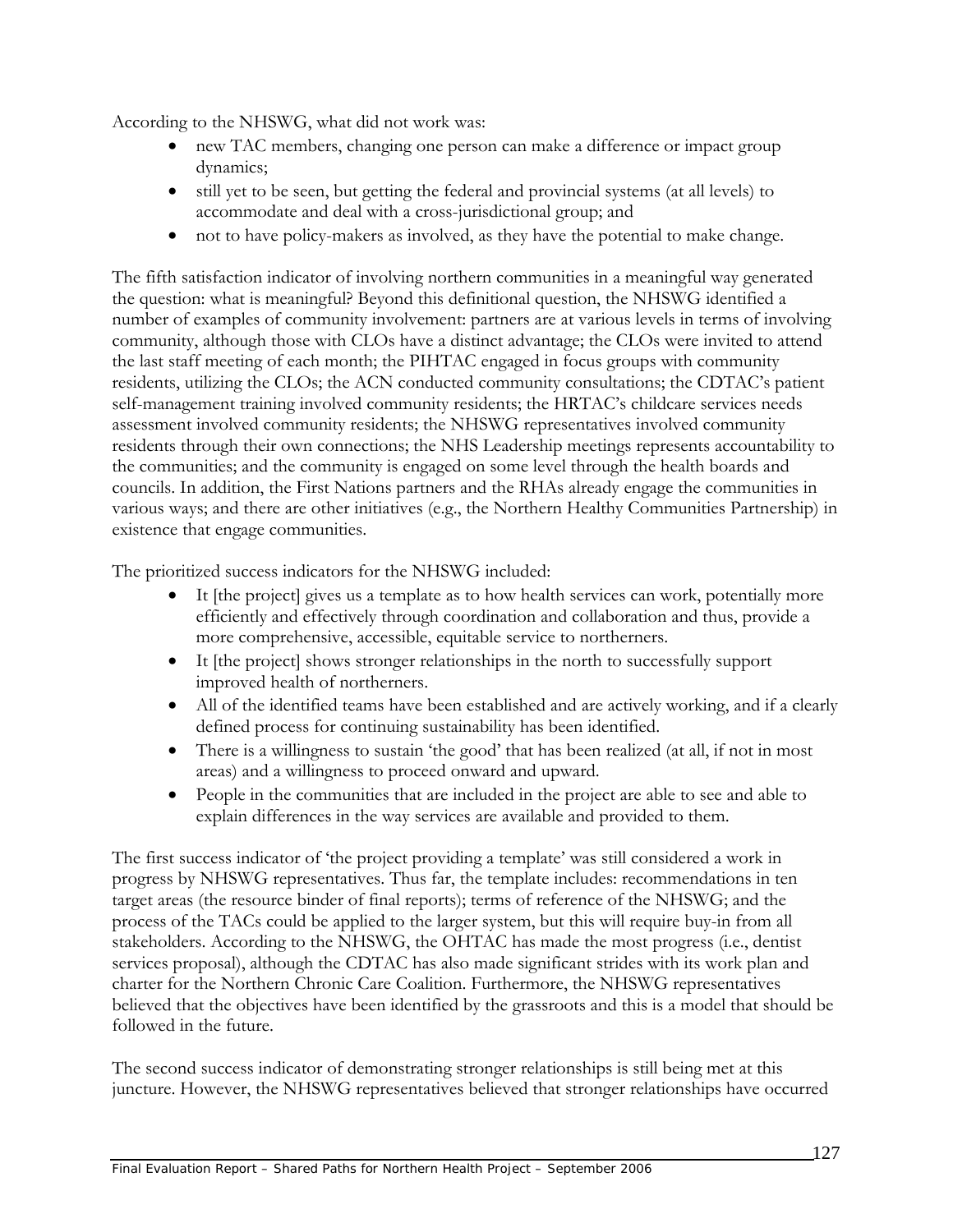According to the NHSWG, what did not work was:

- new TAC members, changing one person can make a difference or impact group dynamics;
- still yet to be seen, but getting the federal and provincial systems (at all levels) to accommodate and deal with a cross-jurisdictional group; and
- not to have policy-makers as involved, as they have the potential to make change.

The fifth satisfaction indicator of involving northern communities in a meaningful way generated the question: what is meaningful? Beyond this definitional question, the NHSWG identified a number of examples of community involvement: partners are at various levels in terms of involving community, although those with CLOs have a distinct advantage; the CLOs were invited to attend the last staff meeting of each month; the PIHTAC engaged in focus groups with community residents, utilizing the CLOs; the ACN conducted community consultations; the CDTAC's patient self-management training involved community residents; the HRTAC's childcare services needs assessment involved community residents; the NHSWG representatives involved community residents through their own connections; the NHS Leadership meetings represents accountability to the communities; and the community is engaged on some level through the health boards and councils. In addition, the First Nations partners and the RHAs already engage the communities in various ways; and there are other initiatives (e.g., the Northern Healthy Communities Partnership) in existence that engage communities.

The prioritized success indicators for the NHSWG included:

- It [the project] gives us a template as to how health services can work, potentially more efficiently and effectively through coordination and collaboration and thus, provide a more comprehensive, accessible, equitable service to northerners.
- It [the project] shows stronger relationships in the north to successfully support improved health of northerners.
- All of the identified teams have been established and are actively working, and if a clearly defined process for continuing sustainability has been identified.
- There is a willingness to sustain 'the good' that has been realized (at all, if not in most areas) and a willingness to proceed onward and upward.
- People in the communities that are included in the project are able to see and able to explain differences in the way services are available and provided to them.

The first success indicator of 'the project providing a template' was still considered a work in progress by NHSWG representatives. Thus far, the template includes: recommendations in ten target areas (the resource binder of final reports); terms of reference of the NHSWG; and the process of the TACs could be applied to the larger system, but this will require buy-in from all stakeholders. According to the NHSWG, the OHTAC has made the most progress (i.e., dentist services proposal), although the CDTAC has also made significant strides with its work plan and charter for the Northern Chronic Care Coalition. Furthermore, the NHSWG representatives believed that the objectives have been identified by the grassroots and this is a model that should be followed in the future.

The second success indicator of demonstrating stronger relationships is still being met at this juncture. However, the NHSWG representatives believed that stronger relationships have occurred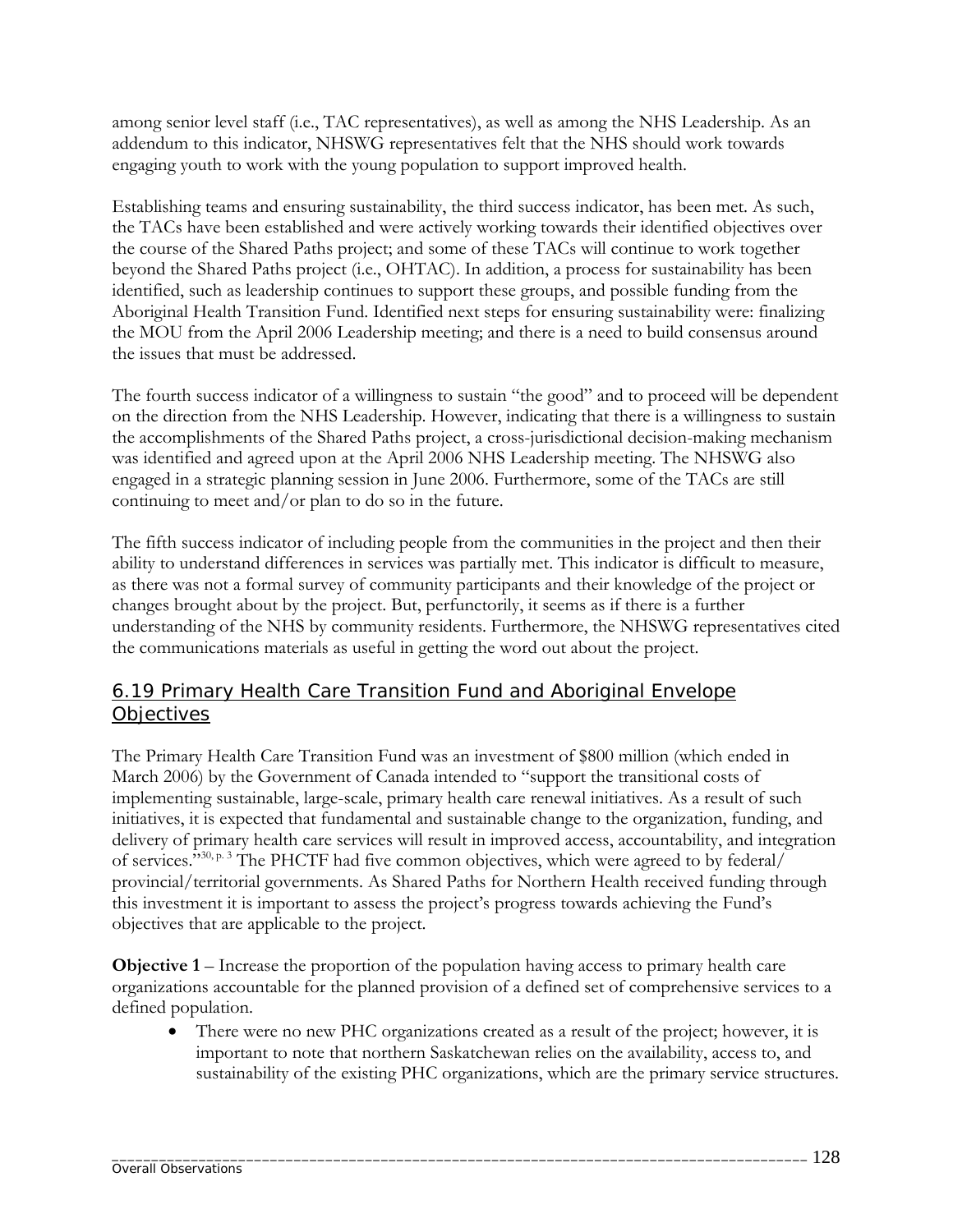among senior level staff (i.e., TAC representatives), as well as among the NHS Leadership. As an addendum to this indicator, NHSWG representatives felt that the NHS should work towards engaging youth to work with the young population to support improved health.

Establishing teams and ensuring sustainability, the third success indicator, has been met. As such, the TACs have been established and were actively working towards their identified objectives over the course of the Shared Paths project; and some of these TACs will continue to work together beyond the Shared Paths project (i.e., OHTAC). In addition, a process for sustainability has been identified, such as leadership continues to support these groups, and possible funding from the Aboriginal Health Transition Fund. Identified next steps for ensuring sustainability were: finalizing the MOU from the April 2006 Leadership meeting; and there is a need to build consensus around the issues that must be addressed.

The fourth success indicator of a willingness to sustain "the good" and to proceed will be dependent on the direction from the NHS Leadership. However, indicating that there is a willingness to sustain the accomplishments of the Shared Paths project, a cross-jurisdictional decision-making mechanism was identified and agreed upon at the April 2006 NHS Leadership meeting. The NHSWG also engaged in a strategic planning session in June 2006. Furthermore, some of the TACs are still continuing to meet and/or plan to do so in the future.

The fifth success indicator of including people from the communities in the project and then their ability to understand differences in services was partially met. This indicator is difficult to measure, as there was not a formal survey of community participants and their knowledge of the project or changes brought about by the project. But, perfunctorily, it seems as if there is a further understanding of the NHS by community residents. Furthermore, the NHSWG representatives cited the communications materials as useful in getting the word out about the project.

## 6.19 Primary Health Care Transition Fund and Aboriginal Envelope **Objectives**

The Primary Health Care Transition Fund was an investment of \$800 million (which ended in March 2006) by the Government of Canada intended to "support the transitional costs of implementing sustainable, large-scale, primary health care renewal initiatives. As a result of such initiatives, it is expected that fundamental and sustainable change to the organization, funding, and delivery of primary health care services will result in improved access, accountability, and integration of services."30, p. 3 The PHCTF had five common objectives, which were agreed to by federal/ provincial/territorial governments. As Shared Paths for Northern Health received funding through this investment it is important to assess the project's progress towards achieving the Fund's objectives that are applicable to the project.

**Objective 1** – Increase the proportion of the population having access to primary health care organizations accountable for the planned provision of a defined set of comprehensive services to a defined population.

There were no new PHC organizations created as a result of the project; however, it is important to note that northern Saskatchewan relies on the availability, access to, and sustainability of the existing PHC organizations, which are the primary service structures.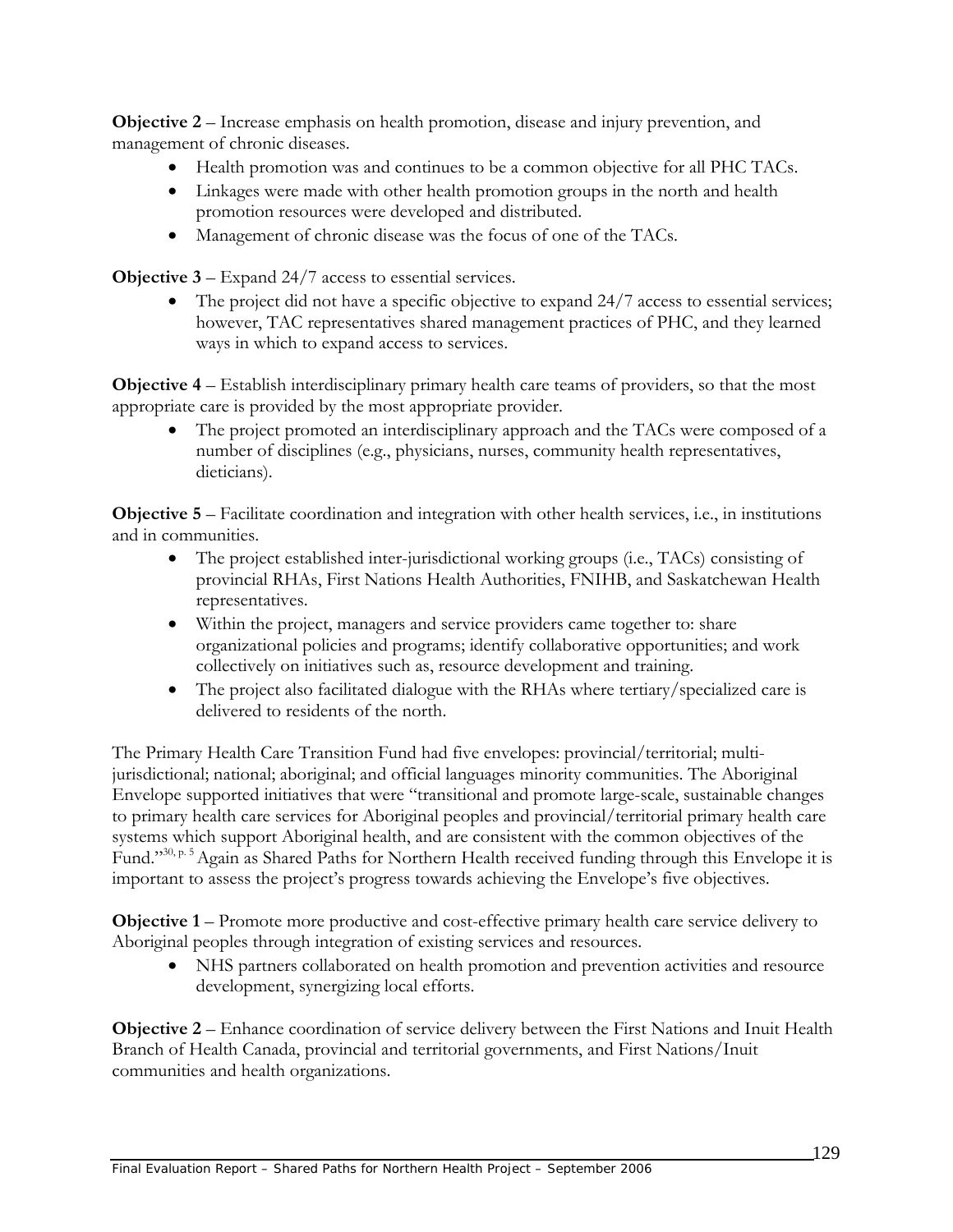**Objective 2** – Increase emphasis on health promotion, disease and injury prevention, and management of chronic diseases.

- Health promotion was and continues to be a common objective for all PHC TACs.
- Linkages were made with other health promotion groups in the north and health promotion resources were developed and distributed.
- Management of chronic disease was the focus of one of the TACs.

**Objective 3** – Expand 24/7 access to essential services.

• The project did not have a specific objective to expand 24/7 access to essential services; however, TAC representatives shared management practices of PHC, and they learned ways in which to expand access to services.

**Objective 4** – Establish interdisciplinary primary health care teams of providers, so that the most appropriate care is provided by the most appropriate provider.

• The project promoted an interdisciplinary approach and the TACs were composed of a number of disciplines (e.g., physicians, nurses, community health representatives, dieticians).

**Objective 5** – Facilitate coordination and integration with other health services, i.e., in institutions and in communities.

- The project established inter-jurisdictional working groups (i.e., TACs) consisting of provincial RHAs, First Nations Health Authorities, FNIHB, and Saskatchewan Health representatives.
- Within the project, managers and service providers came together to: share organizational policies and programs; identify collaborative opportunities; and work collectively on initiatives such as, resource development and training.
- The project also facilitated dialogue with the RHAs where tertiary/specialized care is delivered to residents of the north.

The Primary Health Care Transition Fund had five envelopes: provincial/territorial; multijurisdictional; national; aboriginal; and official languages minority communities. The Aboriginal Envelope supported initiatives that were "transitional and promote large-scale, sustainable changes to primary health care services for Aboriginal peoples and provincial/territorial primary health care systems which support Aboriginal health, and are consistent with the common objectives of the Fund."30, p. 5 Again as Shared Paths for Northern Health received funding through this Envelope it is important to assess the project's progress towards achieving the Envelope's five objectives.

**Objective 1** – Promote more productive and cost-effective primary health care service delivery to Aboriginal peoples through integration of existing services and resources.

• NHS partners collaborated on health promotion and prevention activities and resource development, synergizing local efforts.

**Objective 2** – Enhance coordination of service delivery between the First Nations and Inuit Health Branch of Health Canada, provincial and territorial governments, and First Nations/Inuit communities and health organizations.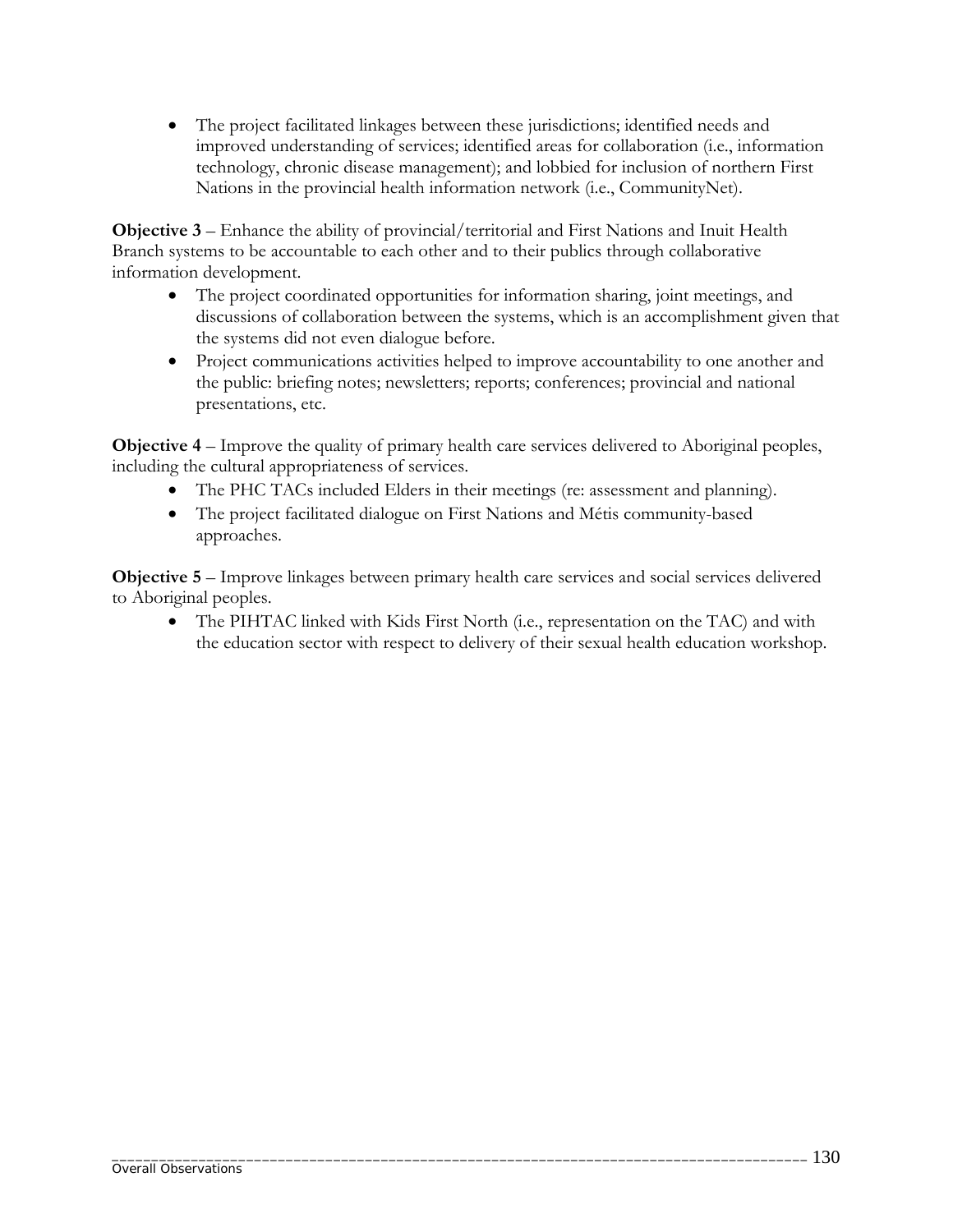• The project facilitated linkages between these jurisdictions; identified needs and improved understanding of services; identified areas for collaboration (i.e., information technology, chronic disease management); and lobbied for inclusion of northern First Nations in the provincial health information network (i.e., CommunityNet).

**Objective 3** – Enhance the ability of provincial/territorial and First Nations and Inuit Health Branch systems to be accountable to each other and to their publics through collaborative information development.

- The project coordinated opportunities for information sharing, joint meetings, and discussions of collaboration between the systems, which is an accomplishment given that the systems did not even dialogue before.
- Project communications activities helped to improve accountability to one another and the public: briefing notes; newsletters; reports; conferences; provincial and national presentations, etc.

**Objective 4** – Improve the quality of primary health care services delivered to Aboriginal peoples, including the cultural appropriateness of services.

- The PHC TACs included Elders in their meetings (re: assessment and planning).
- The project facilitated dialogue on First Nations and Métis community-based approaches.

**Objective 5** – Improve linkages between primary health care services and social services delivered to Aboriginal peoples.

• The PIHTAC linked with Kids First North (i.e., representation on the TAC) and with the education sector with respect to delivery of their sexual health education workshop.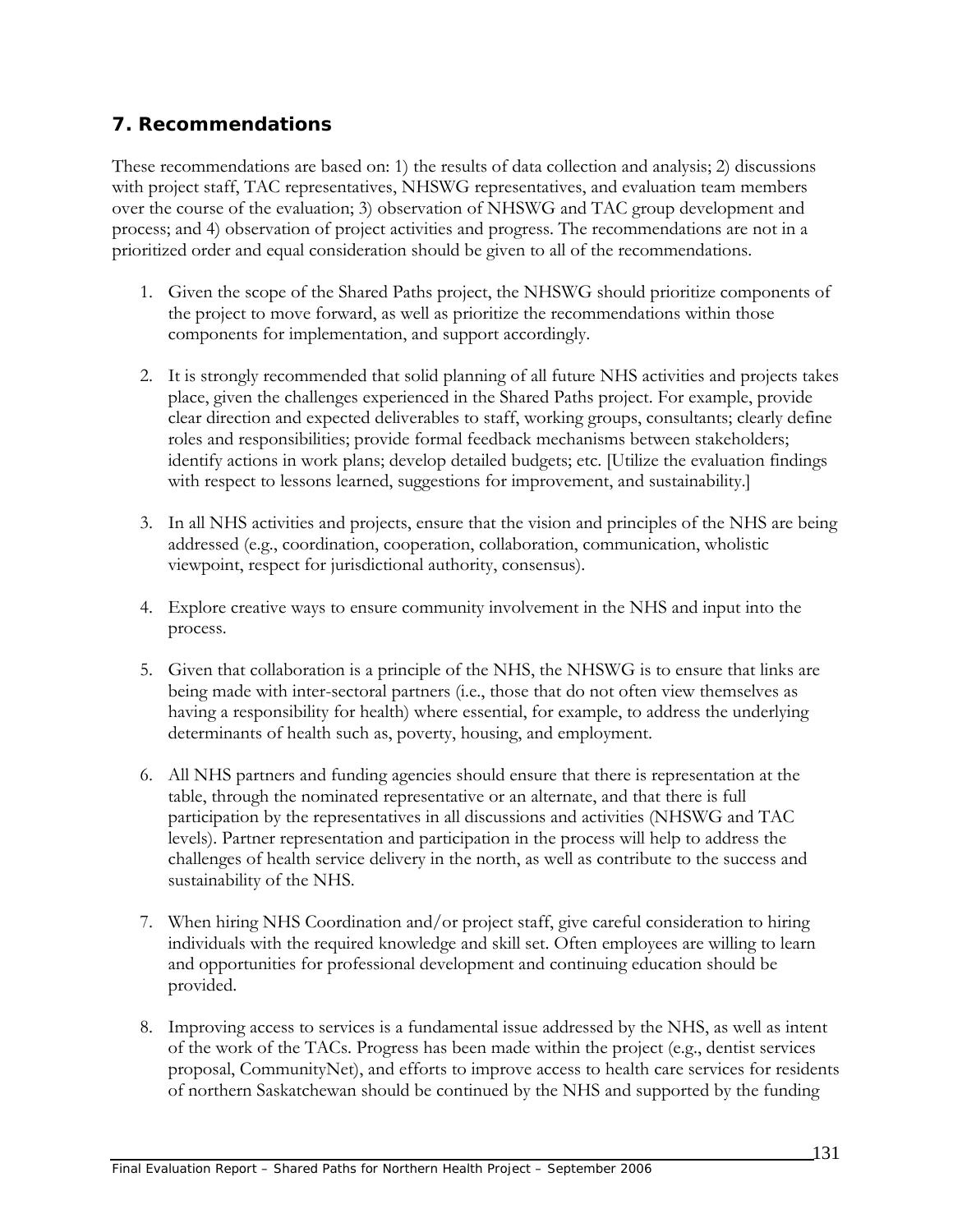## **7. Recommendations**

These recommendations are based on: 1) the results of data collection and analysis; 2) discussions with project staff, TAC representatives, NHSWG representatives, and evaluation team members over the course of the evaluation; 3) observation of NHSWG and TAC group development and process; and 4) observation of project activities and progress. The recommendations are not in a prioritized order and equal consideration should be given to all of the recommendations.

- 1. Given the scope of the Shared Paths project, the NHSWG should prioritize components of the project to move forward, as well as prioritize the recommendations within those components for implementation, and support accordingly.
- 2. It is strongly recommended that solid planning of all future NHS activities and projects takes place, given the challenges experienced in the Shared Paths project. For example, provide clear direction and expected deliverables to staff, working groups, consultants; clearly define roles and responsibilities; provide formal feedback mechanisms between stakeholders; identify actions in work plans; develop detailed budgets; etc. [Utilize the evaluation findings with respect to lessons learned, suggestions for improvement, and sustainability.]
- 3. In all NHS activities and projects, ensure that the vision and principles of the NHS are being addressed (e.g., coordination, cooperation, collaboration, communication, wholistic viewpoint, respect for jurisdictional authority, consensus).
- 4. Explore creative ways to ensure community involvement in the NHS and input into the process.
- 5. Given that collaboration is a principle of the NHS, the NHSWG is to ensure that links are being made with inter-sectoral partners (i.e., those that do not often view themselves as having a responsibility for health) where essential, for example, to address the underlying determinants of health such as, poverty, housing, and employment.
- 6. All NHS partners and funding agencies should ensure that there is representation at the table, through the nominated representative or an alternate, and that there is full participation by the representatives in all discussions and activities (NHSWG and TAC levels). Partner representation and participation in the process will help to address the challenges of health service delivery in the north, as well as contribute to the success and sustainability of the NHS.
- 7. When hiring NHS Coordination and/or project staff, give careful consideration to hiring individuals with the required knowledge and skill set. Often employees are willing to learn and opportunities for professional development and continuing education should be provided.
- 8. Improving access to services is a fundamental issue addressed by the NHS, as well as intent of the work of the TACs. Progress has been made within the project (e.g., dentist services proposal, CommunityNet), and efforts to improve access to health care services for residents of northern Saskatchewan should be continued by the NHS and supported by the funding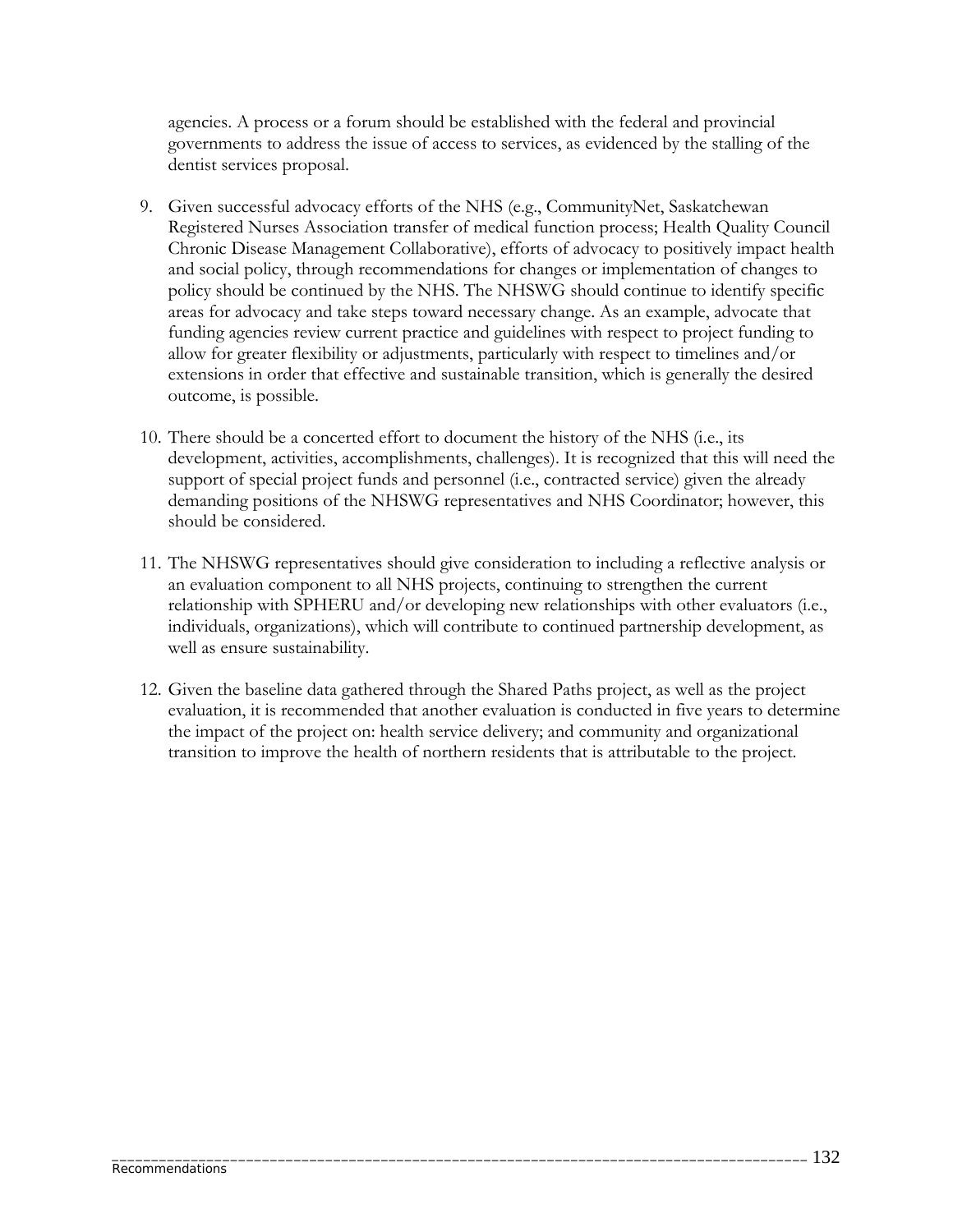agencies. A process or a forum should be established with the federal and provincial governments to address the issue of access to services, as evidenced by the stalling of the dentist services proposal.

- 9. Given successful advocacy efforts of the NHS (e.g., CommunityNet, Saskatchewan Registered Nurses Association transfer of medical function process; Health Quality Council Chronic Disease Management Collaborative), efforts of advocacy to positively impact health and social policy, through recommendations for changes or implementation of changes to policy should be continued by the NHS. The NHSWG should continue to identify specific areas for advocacy and take steps toward necessary change. As an example, advocate that funding agencies review current practice and guidelines with respect to project funding to allow for greater flexibility or adjustments, particularly with respect to timelines and/or extensions in order that effective and sustainable transition, which is generally the desired outcome, is possible.
- 10. There should be a concerted effort to document the history of the NHS (i.e., its development, activities, accomplishments, challenges). It is recognized that this will need the support of special project funds and personnel (i.e., contracted service) given the already demanding positions of the NHSWG representatives and NHS Coordinator; however, this should be considered.
- 11. The NHSWG representatives should give consideration to including a reflective analysis or an evaluation component to all NHS projects, continuing to strengthen the current relationship with SPHERU and/or developing new relationships with other evaluators (i.e., individuals, organizations), which will contribute to continued partnership development, as well as ensure sustainability.
- 12. Given the baseline data gathered through the Shared Paths project, as well as the project evaluation, it is recommended that another evaluation is conducted in five years to determine the impact of the project on: health service delivery; and community and organizational transition to improve the health of northern residents that is attributable to the project.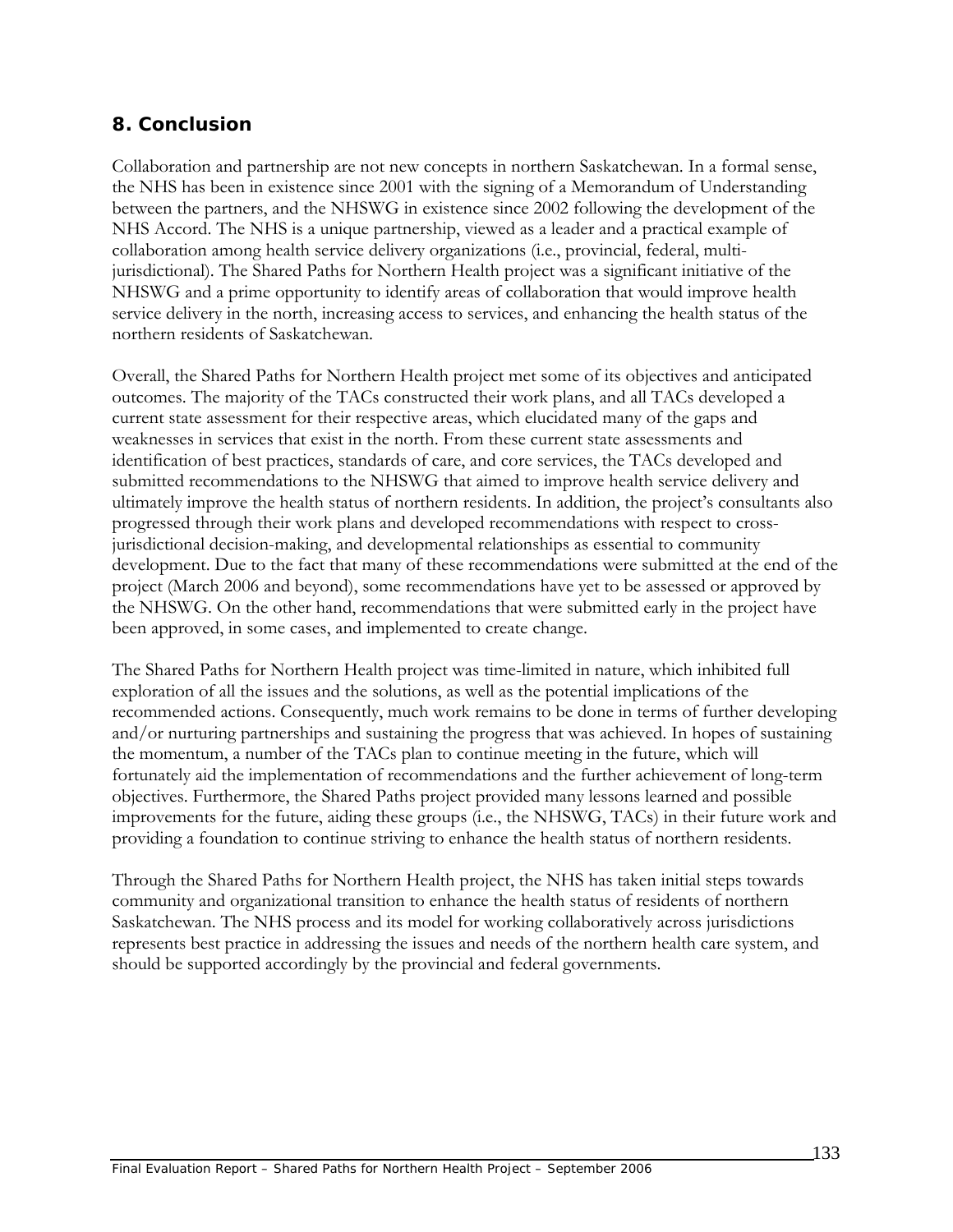## **8. Conclusion**

Collaboration and partnership are not new concepts in northern Saskatchewan. In a formal sense, the NHS has been in existence since 2001 with the signing of a Memorandum of Understanding between the partners, and the NHSWG in existence since 2002 following the development of the NHS Accord. The NHS is a unique partnership, viewed as a leader and a practical example of collaboration among health service delivery organizations (i.e., provincial, federal, multijurisdictional). The Shared Paths for Northern Health project was a significant initiative of the NHSWG and a prime opportunity to identify areas of collaboration that would improve health service delivery in the north, increasing access to services, and enhancing the health status of the northern residents of Saskatchewan.

Overall, the Shared Paths for Northern Health project met some of its objectives and anticipated outcomes. The majority of the TACs constructed their work plans, and all TACs developed a current state assessment for their respective areas, which elucidated many of the gaps and weaknesses in services that exist in the north. From these current state assessments and identification of best practices, standards of care, and core services, the TACs developed and submitted recommendations to the NHSWG that aimed to improve health service delivery and ultimately improve the health status of northern residents. In addition, the project's consultants also progressed through their work plans and developed recommendations with respect to crossjurisdictional decision-making, and developmental relationships as essential to community development. Due to the fact that many of these recommendations were submitted at the end of the project (March 2006 and beyond), some recommendations have yet to be assessed or approved by the NHSWG. On the other hand, recommendations that were submitted early in the project have been approved, in some cases, and implemented to create change.

The Shared Paths for Northern Health project was time-limited in nature, which inhibited full exploration of all the issues and the solutions, as well as the potential implications of the recommended actions. Consequently, much work remains to be done in terms of further developing and/or nurturing partnerships and sustaining the progress that was achieved. In hopes of sustaining the momentum, a number of the TACs plan to continue meeting in the future, which will fortunately aid the implementation of recommendations and the further achievement of long-term objectives. Furthermore, the Shared Paths project provided many lessons learned and possible improvements for the future, aiding these groups (i.e., the NHSWG, TACs) in their future work and providing a foundation to continue striving to enhance the health status of northern residents.

Through the Shared Paths for Northern Health project, the NHS has taken initial steps towards community and organizational transition to enhance the health status of residents of northern Saskatchewan. The NHS process and its model for working collaboratively across jurisdictions represents best practice in addressing the issues and needs of the northern health care system, and should be supported accordingly by the provincial and federal governments.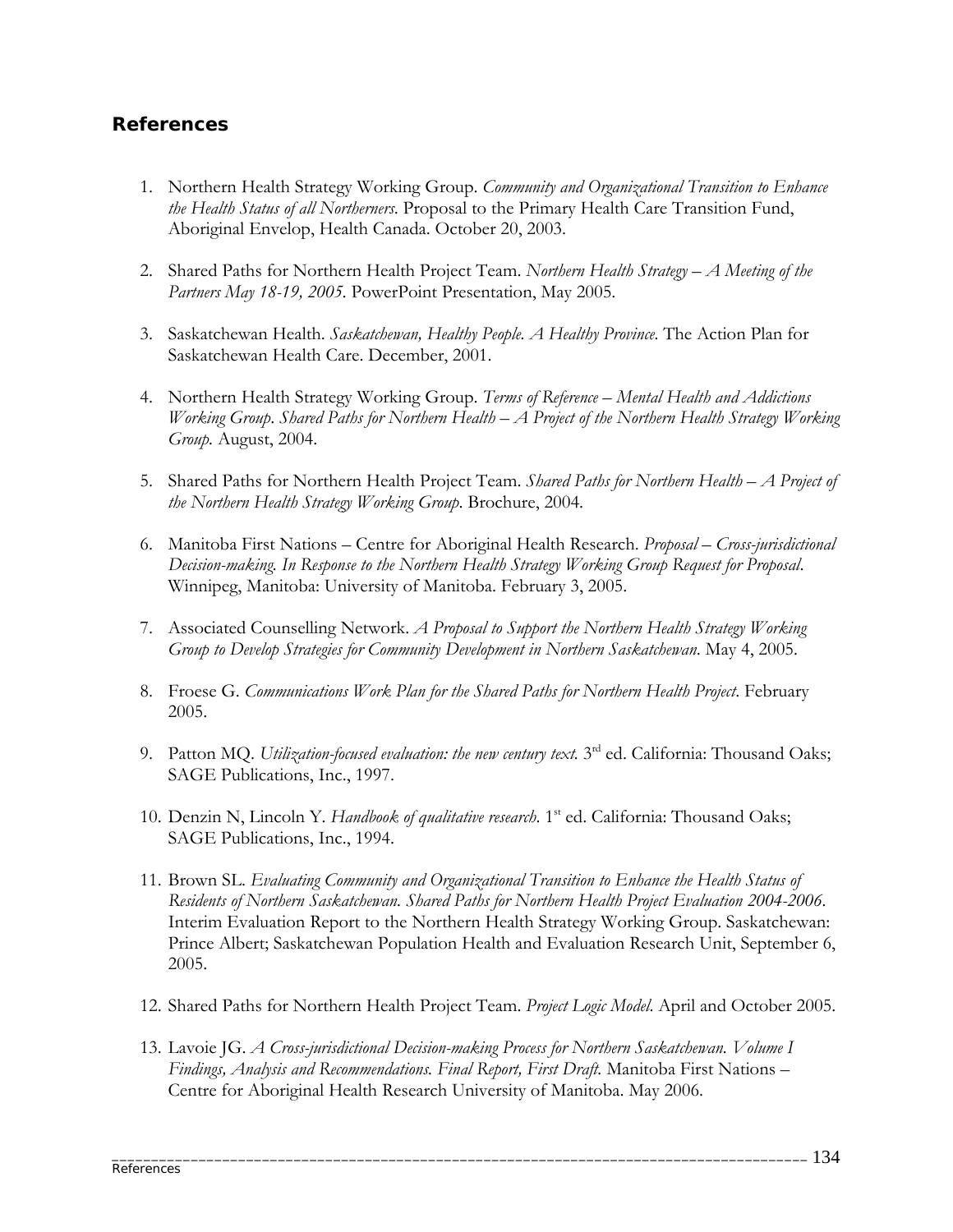## **References**

- 1. Northern Health Strategy Working Group. *Community and Organizational Transition to Enhance the Health Status of all Northerners*. Proposal to the Primary Health Care Transition Fund, Aboriginal Envelop, Health Canada. October 20, 2003.
- 2. Shared Paths for Northern Health Project Team. *Northern Health Strategy A Meeting of the Partners May 18-19, 2005.* PowerPoint Presentation, May 2005.
- 3. Saskatchewan Health. *Saskatchewan, Healthy People. A Healthy Province.* The Action Plan for Saskatchewan Health Care. December, 2001.
- 4. Northern Health Strategy Working Group. *Terms of Reference Mental Health and Addictions Working Group*. *Shared Paths for Northern Health – A Project of the Northern Health Strategy Working Group.* August, 2004.
- 5. Shared Paths for Northern Health Project Team. *Shared Paths for Northern Health A Project of the Northern Health Strategy Working Group*. Brochure, 2004.
- 6. Manitoba First Nations Centre for Aboriginal Health Research. *Proposal Cross-jurisdictional Decision-making. In Response to the Northern Health Strategy Working Group Request for Proposal*. Winnipeg, Manitoba: University of Manitoba. February 3, 2005.
- 7. Associated Counselling Network. *A Proposal to Support the Northern Health Strategy Working Group to Develop Strategies for Community Development in Northern Saskatchewan*. May 4, 2005.
- 8. Froese G. *Communications Work Plan for the Shared Paths for Northern Health Project*. February 2005.
- 9. Patton MQ. *Utilization-focused evaluation: the new century text.* 3<sup>rd</sup> ed. California: Thousand Oaks; SAGE Publications, Inc., 1997.
- 10. Denzin N, Lincoln Y. *Handbook of qualitative research*. 1<sup>st</sup> ed. California: Thousand Oaks; SAGE Publications, Inc., 1994.
- 11. Brown SL. *Evaluating Community and Organizational Transition to Enhance the Health Status of Residents of Northern Saskatchewan. Shared Paths for Northern Health Project Evaluation 2004-2006.*  Interim Evaluation Report to the Northern Health Strategy Working Group. Saskatchewan: Prince Albert; Saskatchewan Population Health and Evaluation Research Unit, September 6, 2005.
- 12. Shared Paths for Northern Health Project Team. *Project Logic Model*. April and October 2005.
- 13. Lavoie JG. *A Cross-jurisdictional Decision-making Process for Northern Saskatchewan. Volume I Findings, Analysis and Recommendations. Final Report, First Draft.* Manitoba First Nations – Centre for Aboriginal Health Research University of Manitoba. May 2006.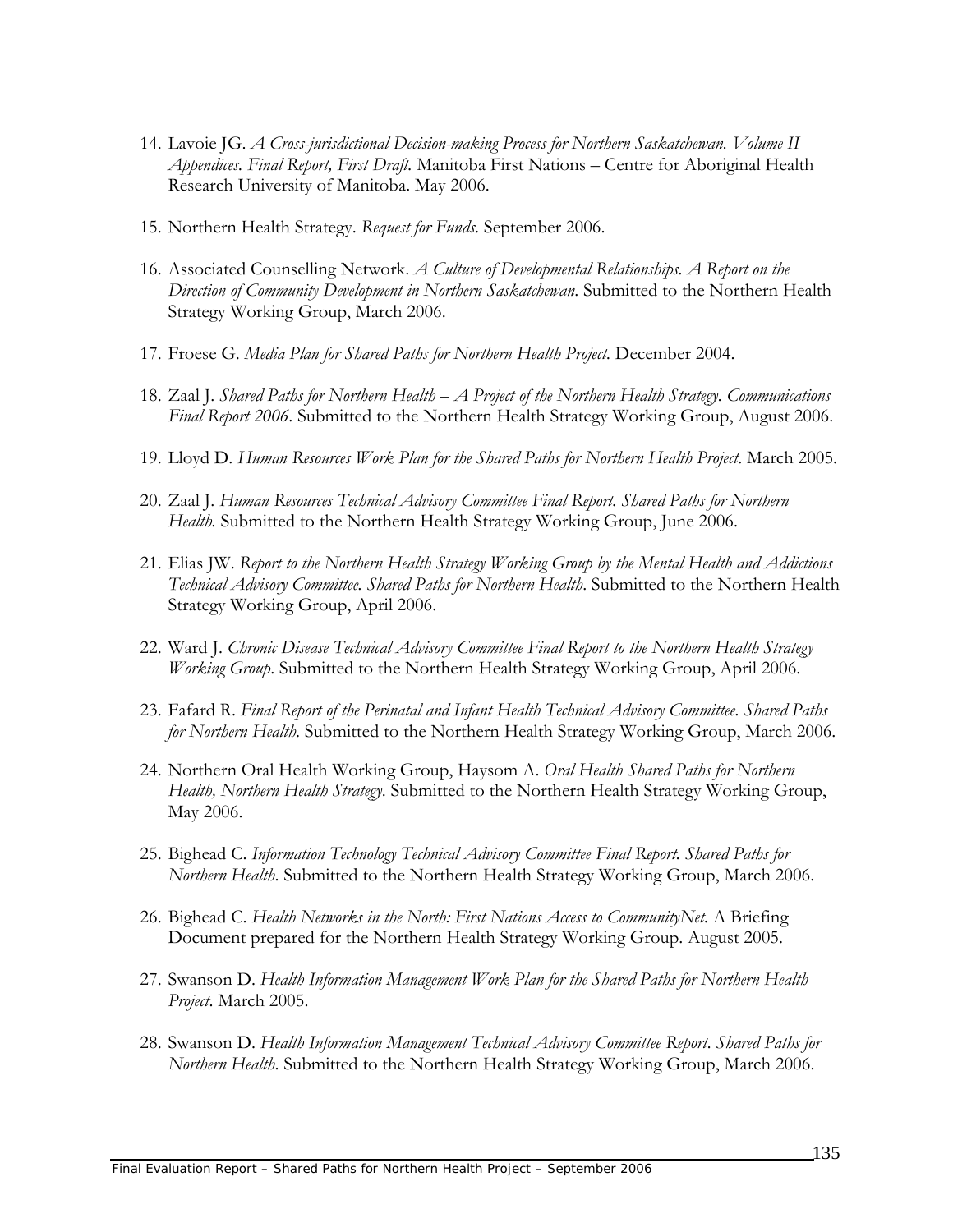- 14. Lavoie JG. *A Cross-jurisdictional Decision-making Process for Northern Saskatchewan. Volume II Appendices. Final Report, First Draft.* Manitoba First Nations – Centre for Aboriginal Health Research University of Manitoba. May 2006.
- 15. Northern Health Strategy. *Request for Funds*. September 2006.
- 16. Associated Counselling Network. *A Culture of Developmental Relationships. A Report on the Direction of Community Development in Northern Saskatchewan*. Submitted to the Northern Health Strategy Working Group, March 2006.
- 17. Froese G. *Media Plan for Shared Paths for Northern Health Project.* December 2004.
- 18. Zaal J. *Shared Paths for Northern Health A Project of the Northern Health Strategy. Communications Final Report 2006*. Submitted to the Northern Health Strategy Working Group, August 2006.
- 19. Lloyd D. *Human Resources Work Plan for the Shared Paths for Northern Health Project*. March 2005.
- 20. Zaal J. *Human Resources Technical Advisory Committee Final Report. Shared Paths for Northern Health.* Submitted to the Northern Health Strategy Working Group, June 2006.
- 21. Elias JW. *Report to the Northern Health Strategy Working Group by the Mental Health and Addictions Technical Advisory Committee. Shared Paths for Northern Health*. Submitted to the Northern Health Strategy Working Group, April 2006.
- 22. Ward J. *Chronic Disease Technical Advisory Committee Final Report to the Northern Health Strategy Working Group*. Submitted to the Northern Health Strategy Working Group, April 2006.
- 23. Fafard R. *Final Report of the Perinatal and Infant Health Technical Advisory Committee. Shared Paths for Northern Health*. Submitted to the Northern Health Strategy Working Group, March 2006.
- 24. Northern Oral Health Working Group, Haysom A. *Oral Health Shared Paths for Northern Health, Northern Health Strategy*. Submitted to the Northern Health Strategy Working Group, May 2006.
- 25. Bighead C. *Information Technology Technical Advisory Committee Final Report. Shared Paths for Northern Health*. Submitted to the Northern Health Strategy Working Group, March 2006.
- 26. Bighead C. *Health Networks in the North: First Nations Access to CommunityNet.* A Briefing Document prepared for the Northern Health Strategy Working Group. August 2005.
- 27. Swanson D. *Health Information Management Work Plan for the Shared Paths for Northern Health Project*. March 2005.
- 28. Swanson D. *Health Information Management Technical Advisory Committee Report. Shared Paths for Northern Health*. Submitted to the Northern Health Strategy Working Group, March 2006.